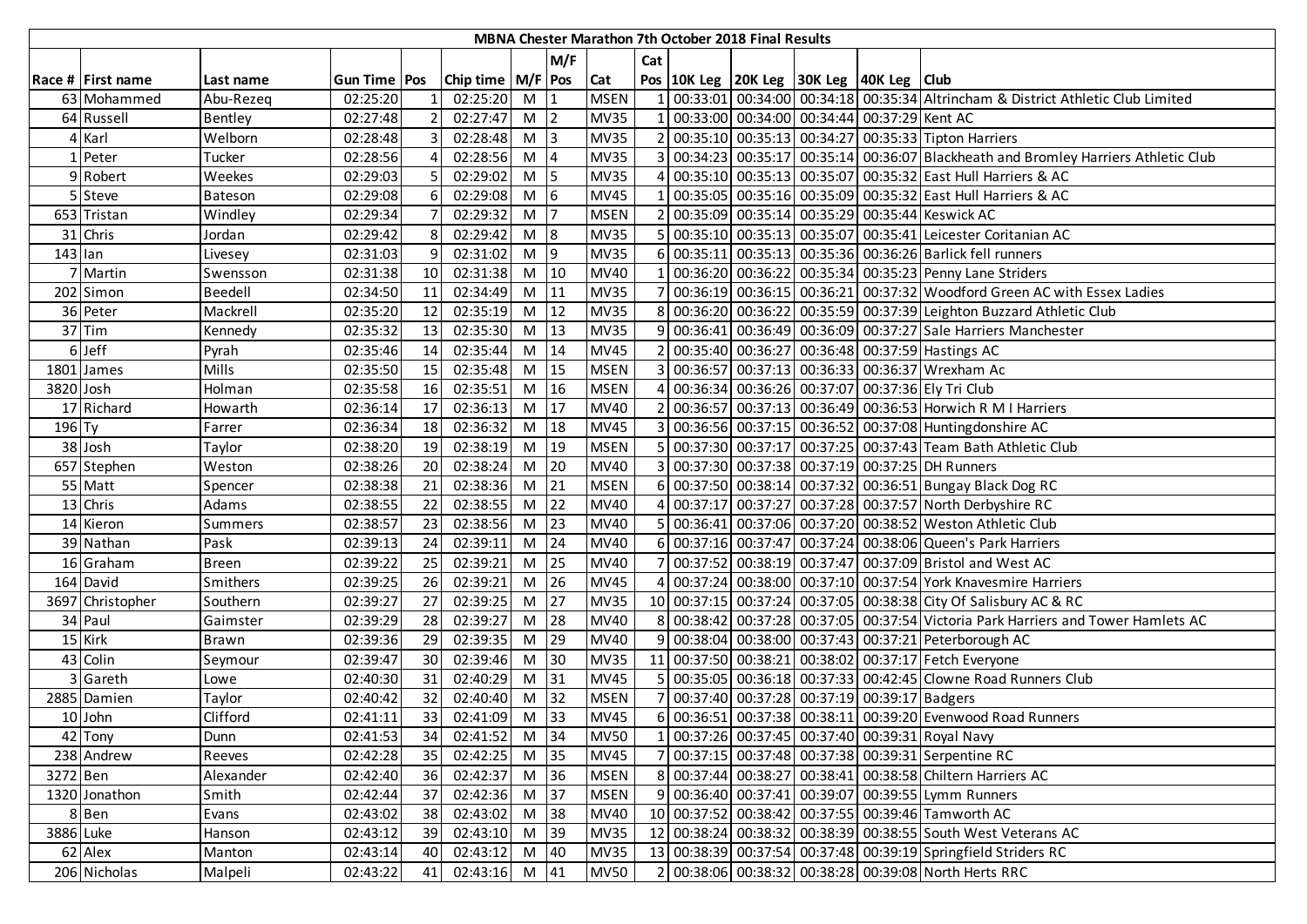|           |                      |              |              |                 |                       |                   |                                           |             |                | <b>MBNA Chester Marathon 7th October 2018 Final Results</b> |                                                    |                                                                                   |
|-----------|----------------------|--------------|--------------|-----------------|-----------------------|-------------------|-------------------------------------------|-------------|----------------|-------------------------------------------------------------|----------------------------------------------------|-----------------------------------------------------------------------------------|
|           |                      |              |              |                 |                       |                   | M/F                                       |             | Cat            |                                                             |                                                    |                                                                                   |
|           | Race # First name    | Last name    | Gun Time Pos |                 | Chip time   M/F   Pos |                   |                                           | Cat         |                |                                                             | Pos   10K Leg   20K Leg   30K Leg   40K Leg   Club |                                                                                   |
|           | 63 Mohammed          | Abu-Rezeq    | 02:25:20     |                 | 02:25:20              | M                 |                                           | <b>MSEN</b> |                |                                                             |                                                    | 00:33:01 00:34:00 00:34:18 00:35:34 Altrincham & District Athletic Club Limited   |
|           | 64 Russell           | Bentley      | 02:27:48     | $\overline{2}$  | 02:27:47              | M                 | 2                                         | <b>MV35</b> | $\mathbf{1}$   |                                                             | 00:33:00 00:34:00 00:34:44 00:37:29 Kent AC        |                                                                                   |
|           | 4 Karl               | Welborn      | 02:28:48     | $\overline{3}$  | 02:28:48              | M <sub>3</sub>    |                                           | <b>MV35</b> |                |                                                             |                                                    | 2 00:35:10 00:35:13 00:34:27 00:35:33 Tipton Harriers                             |
|           | 1 Peter              | Tucker       | 02:28:56     |                 | 02:28:56              | M                 |                                           | <b>MV35</b> | $\overline{3}$ |                                                             |                                                    | 00:34:23 00:35:17 00:35:14 00:36:07 Blackheath and Bromley Harriers Athletic Club |
|           | 9 Robert             | Weekes       | 02:29:03     | 5 <sup>1</sup>  | 02:29:02              | $M$ 5             |                                           | <b>MV35</b> | 4              |                                                             |                                                    | 00:35:10 00:35:13 00:35:07 00:35:32 East Hull Harriers & AC                       |
|           | 5 Steve              | Bateson      | 02:29:08     | 6 <sup>1</sup>  | 02:29:08              | $M$ 6             |                                           | <b>MV45</b> |                |                                                             |                                                    | 00:35:05 00:35:16 00:35:09 00:35:32 East Hull Harriers & AC                       |
|           | 653 Tristan          | Windley      | 02:29:34     |                 | 02:29:32              | M                 |                                           | <b>MSEN</b> |                |                                                             |                                                    | 00:35:09 00:35:14 00:35:29 00:35:44 Keswick AC                                    |
|           | 31 Chris             | Jordan       | 02:29:42     | 8 <sup>1</sup>  | 02:29:42              | $M$ 8             |                                           | <b>MV35</b> |                |                                                             |                                                    | 00:35:10 00:35:13 00:35:07 00:35:41 Leicester Coritanian AC                       |
| $143$ lan |                      | Livesey      | 02:31:03     | 9               | 02:31:02              | $M$  9            |                                           | <b>MV35</b> | 6              |                                                             |                                                    | 00:35:11 00:35:13 00:35:36 00:36:26 Barlick fell runners                          |
|           | Martin               | Swensson     | 02:31:38     | 10 <sup>1</sup> | 02:31:38              | $M$ 10            |                                           | <b>MV40</b> |                |                                                             |                                                    | 00:36:20 00:36:22 00:35:34 00:35:23 Penny Lane Striders                           |
| 202       | Simon                | Beedell      | 02:34:50     | 11              | 02:34:49              | M                 | 11                                        | <b>MV35</b> |                |                                                             |                                                    | 00:36:19 00:36:15 00:36:21 00:37:32 Woodford Green AC with Essex Ladies           |
|           | 36 Peter             | Mackrell     | 02:35:20     | 12              | 02:35:19              | M                 | 12                                        | <b>MV35</b> | 8              |                                                             |                                                    | 00:36:20 00:36:22 00:35:59 00:37:39 Leighton Buzzard Athletic Club                |
|           | $37$ Tim             | Kennedy      | 02:35:32     | 13              | 02:35:30              | M                 | 13                                        | <b>MV35</b> |                |                                                             |                                                    | 9 00:36:41 00:36:49 00:36:09 00:37:27 Sale Harriers Manchester                    |
|           | 6 Jeff               | Pyrah        | 02:35:46     | 14              | 02:35:44              | M                 | 14                                        | <b>MV45</b> |                |                                                             |                                                    | 2 00:35:40 00:36:27 00:36:48 00:37:59 Hastings AC                                 |
|           | 1801 James           | Mills        | 02:35:50     | 15              | 02:35:48              | $M$ 15            |                                           | <b>MSEN</b> |                |                                                             |                                                    | 3 00:36:57 00:37:13 00:36:33 00:36:37 Wrexham Ac                                  |
| 3820 Josh |                      | Holman       | 02:35:58     | 16              | 02:35:51              | $M$ 16            |                                           | <b>MSEN</b> | 4              |                                                             |                                                    | 00:36:34 00:36:26 00:37:07 00:37:36 Ely Tri Club                                  |
|           | 17 Richard           | Howarth      | 02:36:14     | 17              | 02:36:13              | $M \overline{17}$ |                                           | <b>MV40</b> | $\mathcal{P}$  |                                                             |                                                    | 00:36:57 00:37:13 00:36:49 00:36:53 Horwich R M I Harriers                        |
| $196$ Ty  |                      | Farrer       | 02:36:34     | 18              | 02:36:32              | $M$ 18            |                                           | <b>MV45</b> | 3              |                                                             |                                                    | 00:36:56 00:37:15 00:36:52 00:37:08 Huntingdonshire AC                            |
|           | 38 Josh              | Taylor       | 02:38:20     | 19              | 02:38:19              | $M$ 19            |                                           | <b>MSEN</b> | 5              |                                                             |                                                    | 00:37:30 00:37:17 00:37:25 00:37:43 Team Bath Athletic Club                       |
|           | 657 Stephen          | Weston       | 02:38:26     | 20              | 02:38:24              | M                 | 20                                        | <b>MV40</b> |                |                                                             |                                                    | 00:37:30 00:37:38 00:37:19 00:37:25 DH Runners                                    |
|           | 55 Matt              | Spencer      | 02:38:38     | 21              | 02:38:36              | M                 | 21                                        | <b>MSEN</b> | 61             |                                                             |                                                    | 00:37:50 00:38:14 00:37:32 00:36:51 Bungay Black Dog RC                           |
|           | 13 Chris             | Adams        | 02:38:55     | 22              | 02:38:55              | M                 | 22                                        | <b>MV40</b> |                |                                                             |                                                    | 00:37:17 00:37:27 00:37:28 00:37:57 North Derbyshire RC                           |
|           | 14 Kieron            | Summers      | 02:38:57     | 23              | 02:38:56              | M                 | 23                                        | <b>MV40</b> |                |                                                             |                                                    | 5 00:36:41 00:37:06 00:37:20 00:38:52 Weston Athletic Club                        |
|           | 39 Nathan            | Pask         | 02:39:13     | 24              | 02:39:11              | M                 | 24                                        | <b>MV40</b> | 6              |                                                             |                                                    | 00:37:16 00:37:47 00:37:24 00:38:06 Queen's Park Harriers                         |
|           | 16 Graham            | <b>Breen</b> | 02:39:22     | 25              | 02:39:21              | M                 | 25                                        | <b>MV40</b> |                |                                                             |                                                    | 00:37:52 00:38:19 00:37:47 00:37:09 Bristol and West AC                           |
|           | 164 David            | Smithers     | 02:39:25     | 26              | 02:39:21              | M                 | 26                                        | <b>MV45</b> | 4              |                                                             |                                                    | 00:37:24 00:38:00 00:37:10 00:37:54 York Knavesmire Harriers                      |
|           | 3697 Christopher     | Southern     | 02:39:27     | 27              | 02:39:25              | M                 | 27                                        | <b>MV35</b> |                |                                                             |                                                    | 10 00:37:15 00:37:24 00:37:05 00:38:38 City Of Salisbury AC & RC                  |
|           | 34 Paul              | Gaimster     | 02:39:29     | 28              | 02:39:27              | M                 | 28                                        | <b>MV40</b> |                |                                                             |                                                    | 8 00:38:42 00:37:28 00:37:05 00:37:54 Victoria Park Harriers and Tower Hamlets AC |
|           | 15 Kirk              | Brawn        | 02:39:36     | 29              | 02:39:35              | M                 | 29                                        | <b>MV40</b> |                |                                                             |                                                    | 9 00:38:04 00:38:00 00:37:43 00:37:21 Peterborough AC                             |
|           | 43 Colin             | Seymour      | 02:39:47     | 30 <sup>1</sup> | 02:39:46              | M                 | 30                                        | <b>MV35</b> |                |                                                             |                                                    | 11 00:37:50 00:38:21 00:38:02 00:37:17 Fetch Everyone                             |
|           | 3 Gareth             | Lowe         | 02:40:30     | 31              | 02:40:29              | M                 | 31                                        | <b>MV45</b> | 5 <sup>1</sup> |                                                             |                                                    | 00:35:05 00:36:18 00:37:33 00:42:45 Clowne Road Runners Club                      |
|           | 2885 Damien          | Taylor       | 02:40:42     | 32              | 02:40:40              | M                 | 32                                        | <b>MSEN</b> |                |                                                             | 00:37:40 00:37:28 00:37:19 00:39:17 Badgers        |                                                                                   |
|           | 10 John              | Clifford     | 02:41:11     | 33              | 02:41:09              | M                 | $\begin{array}{c} \boxed{33} \end{array}$ | <b>MV45</b> |                |                                                             |                                                    | 6 00:36:51 00:37:38 00:38:11 00:39:20 Evenwood Road Runners                       |
|           | $\overline{42}$ Tony | Dunn         | 02:41:53     | 34              | 02:41:52              | $M$ 34            |                                           | <b>MV50</b> |                |                                                             |                                                    | 00:37:26 00:37:45 00:37:40 00:39:31 Royal Navy                                    |
|           | 238 Andrew           | Reeves       | 02:42:28     | 35              | 02:42:25              | $M$ 35            |                                           | <b>MV45</b> |                |                                                             |                                                    | 00:37:15 00:37:48 00:37:38 00:39:31 Serpentine RC                                 |
| 3272 Ben  |                      | Alexander    | 02:42:40     | 36              | 02:42:37              | $M$ 36            |                                           | <b>MSEN</b> |                |                                                             |                                                    | 8 00:37:44 00:38:27 00:38:41 00:38:58 Chiltern Harriers AC                        |
|           | 1320 Jonathon        | Smith        | 02:42:44     | 37              | 02:42:36              | M                 | 37                                        | <b>MSEN</b> |                |                                                             |                                                    | 9 00:36:40 00:37:41 00:39:07 00:39:55 Lymm Runners                                |
|           | 8 Ben                | Evans        | 02:43:02     | 38              | 02:43:02              | $M$ 38            |                                           | <b>MV40</b> |                |                                                             |                                                    | 10 00:37:52 00:38:42 00:37:55 00:39:46 Tamworth AC                                |
|           | 3886 Luke            | Hanson       | 02:43:12     | 39              | 02:43:10              | $M$ 39            |                                           | <b>MV35</b> |                |                                                             |                                                    | 12 00:38:24 00:38:32 00:38:39 00:38:55 South West Veterans AC                     |
|           | 62 Alex              | Manton       | 02:43:14     | 40              | 02:43:12              | M 40              |                                           | <b>MV35</b> |                |                                                             |                                                    | 13 00:38:39 00:37:54 00:37:48 00:39:19 Springfield Striders RC                    |
|           | 206 Nicholas         | Malpeli      | 02:43:22     | 41              | $02:43:16$ M 41       |                   |                                           | <b>MV50</b> |                |                                                             |                                                    | 2 00:38:06 00:38:32 00:38:28 00:39:08 North Herts RRC                             |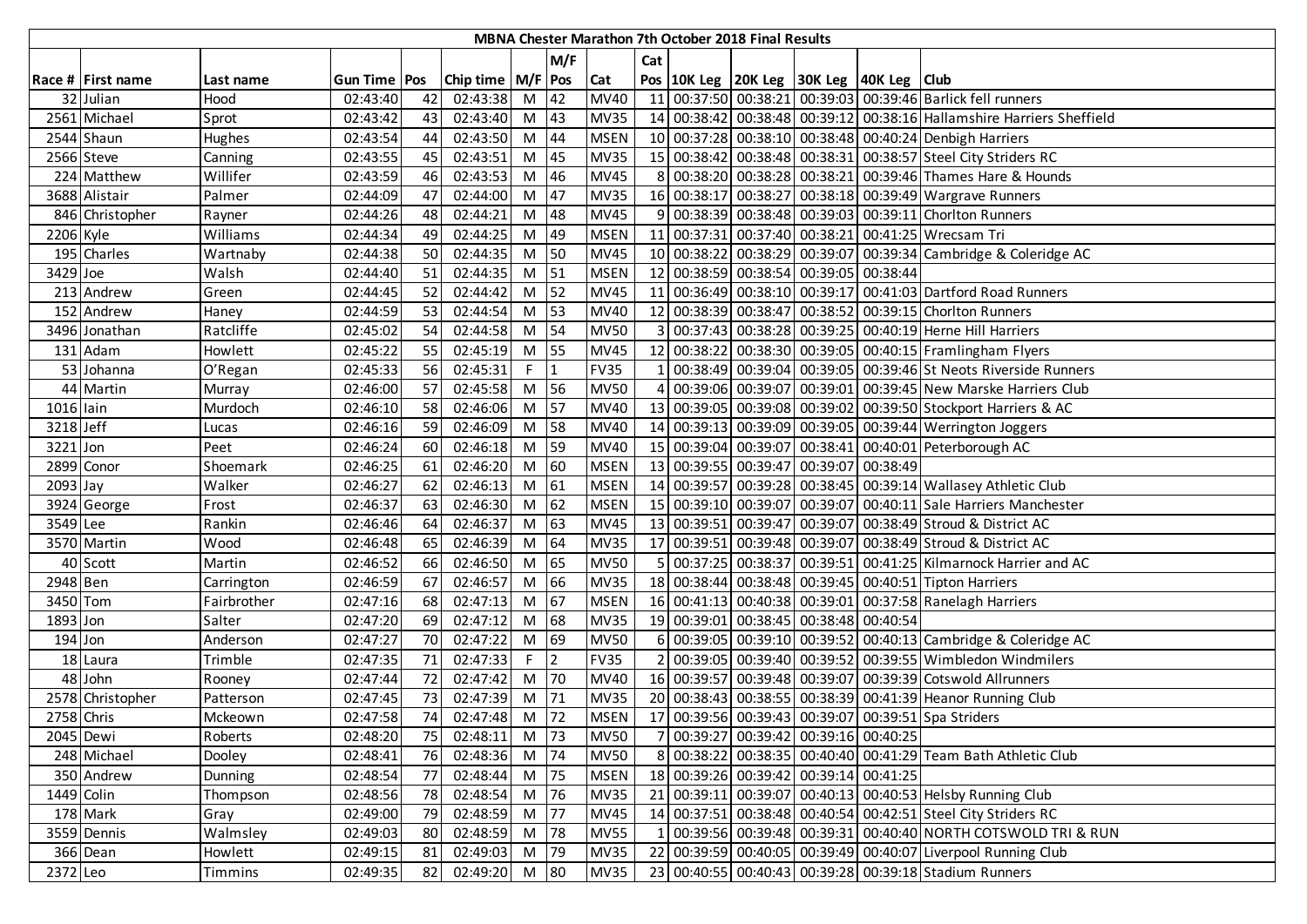|            |                   |             |                |      |                       |                |                |             |                | MBNA Chester Marathon 7th October 2018 Final Results |                                          |                                                                       |
|------------|-------------------|-------------|----------------|------|-----------------------|----------------|----------------|-------------|----------------|------------------------------------------------------|------------------------------------------|-----------------------------------------------------------------------|
|            |                   |             |                |      |                       |                | M/F            |             | Cat            |                                                      |                                          |                                                                       |
|            | Race # First name | Last name   | Gun Time   Pos |      | Chip time   M/F   Pos |                |                | Cat         |                |                                                      | Pos 10K Leg 20K Leg 30K Leg 40K Leg Club |                                                                       |
|            | 32 Julian         | Hood        | 02:43:40       | 42   | 02:43:38              | $M$ 42         |                | <b>MV40</b> |                |                                                      |                                          | 11 00:37:50 00:38:21 00:39:03 00:39:46 Barlick fell runners           |
|            | 2561 Michael      | Sprot       | 02:43:42       | 43   | 02:43:40              | M 43           |                | <b>MV35</b> |                |                                                      |                                          | 14 00:38:42 00:38:48 00:39:12 00:38:16 Hallamshire Harriers Sheffield |
|            | 2544 Shaun        | Hughes      | 02:43:54       | 44   | 02:43:50              | M 44           |                | <b>MSEN</b> |                |                                                      |                                          | 10 00:37:28 00:38:10 00:38:48 00:40:24 Denbigh Harriers               |
|            | 2566 Steve        | Canning     | 02:43:55       | 45   | 02:43:51              | M 45           |                | <b>MV35</b> |                |                                                      |                                          | 15 00:38:42 00:38:48 00:38:31 00:38:57 Steel City Striders RC         |
|            | 224 Matthew       | Willifer    | 02:43:59       | 46   | 02:43:53              | M 46           |                | <b>MV45</b> |                |                                                      |                                          | 8 00:38:20 00:38:28 00:38:21 00:39:46 Thames Hare & Hounds            |
|            | 3688 Alistair     | Palmer      | 02:44:09       | 47   | 02:44:00              | $M$ 47         |                | <b>MV35</b> |                |                                                      |                                          | 16 00:38:17 00:38:27 00:38:18 00:39:49 Wargrave Runners               |
|            | 846 Christopher   | Rayner      | 02:44:26       | 48   | 02:44:21              | M $ 48$        |                | <b>MV45</b> |                |                                                      |                                          | 9 00:38:39 00:38:48 00:39:03 00:39:11 Choriton Runners                |
| 2206 Kyle  |                   | Williams    | 02:44:34       | 49   | 02:44:25              | M 49           |                | <b>MSEN</b> |                |                                                      |                                          | 11 00:37:31 00:37:40 00:38:21 00:41:25 Wrecsam Tri                    |
|            | 195 Charles       | Wartnaby    | 02:44:38       | 50   | 02:44:35              | M <sub>1</sub> | 50             | <b>MV45</b> |                |                                                      |                                          | 10 00:38:22 00:38:29 00:39:07 00:39:34 Cambridge & Coleridge AC       |
| 3429 Joe   |                   | Walsh       | 02:44:40       | 51   | 02:44:35              | $M$ 51         |                | <b>MSEN</b> |                |                                                      | 12 00:38:59 00:38:54 00:39:05 00:38:44   |                                                                       |
|            | 213 Andrew        | Green       | 02:44:45       | 52   | 02:44:42              | $M$ 52         |                | <b>MV45</b> |                |                                                      |                                          | 11 00:36:49 00:38:10 00:39:17 00:41:03 Dartford Road Runners          |
|            | 152 Andrew        | Haney       | 02:44:59       | 53   | 02:44:54              | $M$ 53         |                | <b>MV40</b> |                |                                                      |                                          | 12 00:38:39 00:38:47 00:38:52 00:39:15 Choriton Runners               |
|            | 3496 Jonathan     | Ratcliffe   | 02:45:02       | 54   | 02:44:58              | $M$ 54         |                | <b>MV50</b> |                |                                                      |                                          | 3 00:37:43 00:38:28 00:39:25 00:40:19 Herne Hill Harriers             |
|            | 131 Adam          | Howlett     | 02:45:22       | 55   | 02:45:19              | M 55           |                | <b>MV45</b> |                |                                                      |                                          | 12 00:38:22 00:38:30 00:39:05 00:40:15 Framlingham Flyers             |
|            | 53 Johanna        | O'Regan     | 02:45:33       | 56   | 02:45:31              | $F \parallel$  | $\mathbf{1}$   | <b>FV35</b> |                |                                                      |                                          | 1 00:38:49 00:39:04 00:39:05 00:39:46 St Neots Riverside Runners      |
|            | 44 Martin         | Murray      | 02:46:00       | 57   | 02:45:58              | M 56           |                | <b>MV50</b> |                |                                                      |                                          | 4 00:39:06 00:39:07 00:39:01 00:39:45 New Marske Harriers Club        |
| 1016 lain  |                   | Murdoch     | 02:46:10       | 58   | 02:46:06              | M 57           |                | MV40        |                |                                                      |                                          | 13 00:39:05 00:39:08 00:39:02 00:39:50 Stockport Harriers & AC        |
| 3218 Jeff  |                   | Lucas       | 02:46:16       | 59   | 02:46:09              | M 58           |                | MV40        |                |                                                      |                                          | 14 00:39:13 00:39:09 00:39:05 00:39:44 Werrington Joggers             |
| 3221 Jon   |                   | Peet        | 02:46:24       | 60   | 02:46:18              | M 59           |                | <b>MV40</b> |                |                                                      |                                          | 15 00:39:04 00:39:07 00:38:41 00:40:01 Peterborough AC                |
|            | 2899 Conor        | Shoemark    | 02:46:25       | 61   | 02:46:20              | $M$ 60         |                | <b>MSEN</b> |                |                                                      | 13 00:39:55 00:39:47 00:39:07 00:38:49   |                                                                       |
| 2093 Jay   |                   | Walker      | 02:46:27       | 62   | 02:46:13              | M 61           |                | <b>MSEN</b> |                |                                                      |                                          | 14 00:39:57 00:39:28 00:38:45 00:39:14 Wallasey Athletic Club         |
|            | 3924 George       | Frost       | 02:46:37       | 63   | 02:46:30              | $M$ 62         |                | <b>MSEN</b> |                |                                                      |                                          | 15 00:39:10 00:39:07 00:39:07 00:40:11 Sale Harriers Manchester       |
| 3549 Lee   |                   | Rankin      | 02:46:46       | 64   | 02:46:37              | $M$ 63         |                | <b>MV45</b> |                |                                                      |                                          | 13 00:39:51 00:39:47 00:39:07 00:38:49 Stroud & District AC           |
|            | 3570 Martin       | Wood        | 02:46:48       | 65   | 02:46:39              | M $ 64$        |                | <b>MV35</b> |                |                                                      |                                          | 17 00:39:51 00:39:48 00:39:07 00:38:49 Stroud & District AC           |
|            | 40 Scott          | Martin      | 02:46:52       | 66   | 02:46:50              | M 65           |                | <b>MV50</b> |                |                                                      |                                          | 5 00:37:25 00:38:37 00:39:51 00:41:25 Kilmarnock Harrier and AC       |
| 2948 Ben   |                   | Carrington  | 02:46:59       | 67   | 02:46:57              | M 66           |                | <b>MV35</b> |                |                                                      |                                          | 18 00:38:44 00:38:48 00:39:45 00:40:51 Tipton Harriers                |
| 3450 Tom   |                   | Fairbrother | 02:47:16       | 68   | 02:47:13              | M 67           |                | <b>MSEN</b> |                |                                                      |                                          | 16 00:41:13 00:40:38 00:39:01 00:37:58 Ranelagh Harriers              |
| 1893 Jon   |                   | Salter      | 02:47:20       | 69   | 02:47:12              | $M$ 68         |                | <b>MV35</b> |                |                                                      | 19 00:39:01 00:38:45 00:38:48 00:40:54   |                                                                       |
| $194$ Jon  |                   | Anderson    | 02:47:27       | 70   | 02:47:22              | M 69           |                | <b>MV50</b> |                |                                                      |                                          | 6 00:39:05 00:39:10 00:39:52 00:40:13 Cambridge & Coleridge AC        |
|            | 18 Laura          | Trimble     | 02:47:35       | 71   | 02:47:33              | $F \parallel$  | $\overline{2}$ | <b>FV35</b> | $\overline{2}$ |                                                      |                                          | 00:39:05 00:39:40 00:39:52 00:39:55 Wimbledon Windmilers              |
|            | 48 John           | Rooney      | 02:47:44       | 72   | 02:47:42              | M 70           |                | <b>MV40</b> |                |                                                      |                                          | 16 00:39:57 00:39:48 00:39:07 00:39:39 Cotswold Allrunners            |
|            | 2578 Christopher  | Patterson   | 02:47:45       | 73   | 02:47:39              | $M$ 71         |                | <b>MV35</b> |                |                                                      |                                          | 20 00:38:43 00:38:55 00:38:39 00:41:39 Heanor Running Club            |
| 2758 Chris |                   | Mckeown     | 02:47:58       | 74   | 02:47:48              | M 72           |                | <b>MSEN</b> |                |                                                      |                                          | 17 00:39:56 00:39:43 00:39:07 00:39:51 Spa Striders                   |
| 2045 Dewi  |                   | Roberts     | 02:48:20       | 75 I | 02:48:11              | M 73           |                | <b>MV50</b> |                |                                                      | 7 00:39:27 00:39:42 00:39:16 00:40:25    |                                                                       |
|            | 248 Michael       | Dooley      | 02:48:41       | 76   | 02:48:36              | M 74           |                | <b>MV50</b> |                |                                                      |                                          | 8 00:38:22 00:38:35 00:40:40 00:41:29 Team Bath Athletic Club         |
|            | 350 Andrew        | Dunning     | 02:48:54       | 77   | 02:48:44              | M 75           |                | <b>MSEN</b> |                |                                                      | 18 00:39:26 00:39:42 00:39:14 00:41:25   |                                                                       |
| 1449 Colin |                   | Thompson    | 02:48:56       | 78   | 02:48:54              | M 76           |                | <b>MV35</b> |                |                                                      |                                          | 21 00:39:11 00:39:07 00:40:13 00:40:53 Helsby Running Club            |
|            | 178 Mark          | Gray        | 02:49:00       | 79   | 02:48:59              | M 77           |                | <b>MV45</b> |                |                                                      |                                          | 14 00:37:51 00:38:48 00:40:54 00:42:51 Steel City Striders RC         |
|            | 3559 Dennis       | Walmsley    | 02:49:03       | 80   | 02:48:59              | M 78           |                | <b>MV55</b> |                |                                                      |                                          | 00:39:56 00:39:48 00:39:31 00:40:40 NORTH COTSWOLD TRI & RUN          |
|            | 366 Dean          | Howlett     | 02:49:15       | 81   | 02:49:03              | M 79           |                | <b>MV35</b> |                |                                                      |                                          | 22 00:39:59 00:40:05 00:39:49 00:40:07 Liverpool Running Club         |
| 2372 Leo   |                   | Timmins     | 02:49:35       | 82   | 02:49:20 M 80         |                |                | <b>MV35</b> |                |                                                      |                                          | 23 00:40:55 00:40:43 00:39:28 00:39:18 Stadium Runners                |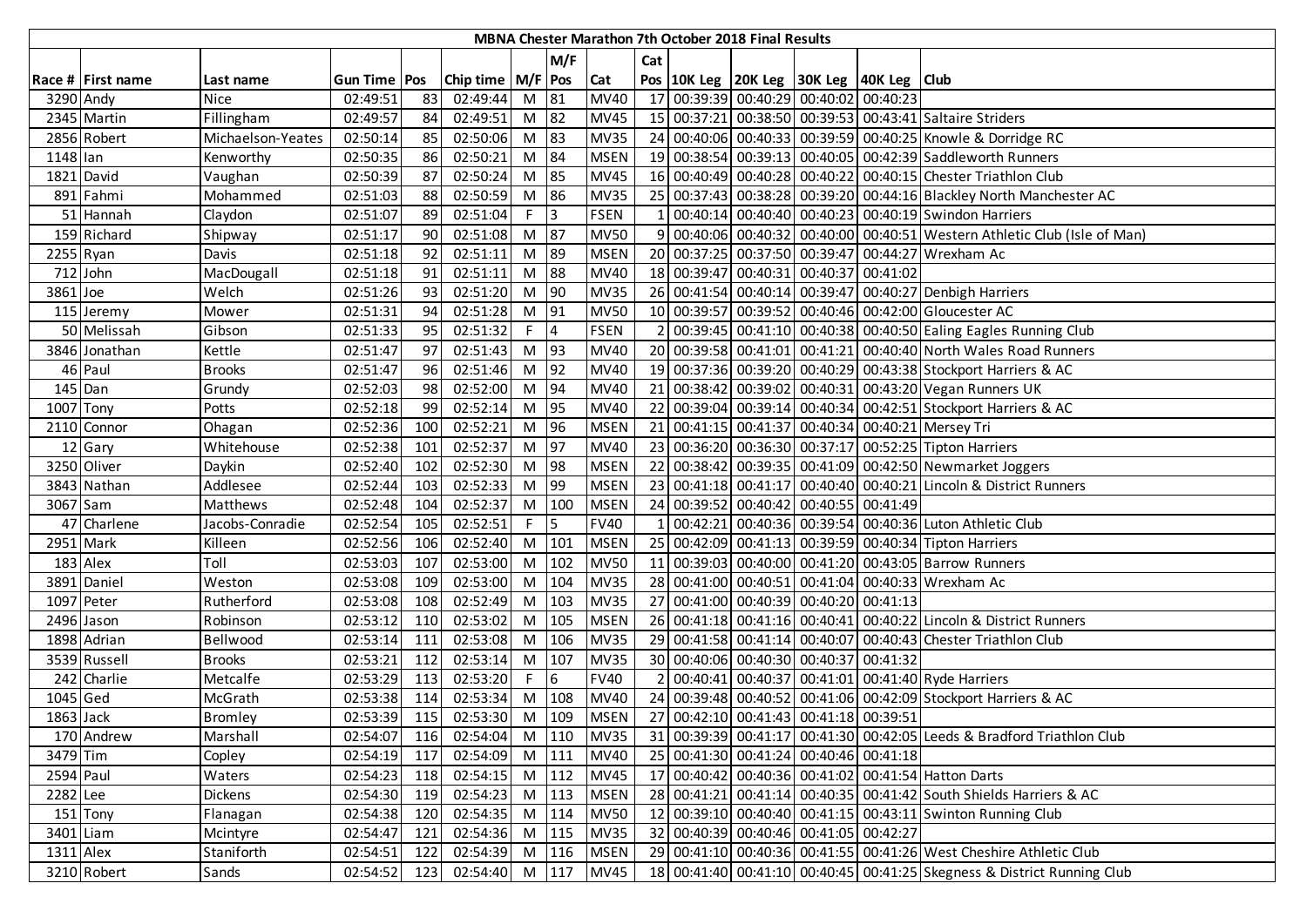|           |                          |                   |                |     |                       |            |                |             |                | <b>MBNA Chester Marathon 7th October 2018 Final Results</b> |                                                    |                                                                         |
|-----------|--------------------------|-------------------|----------------|-----|-----------------------|------------|----------------|-------------|----------------|-------------------------------------------------------------|----------------------------------------------------|-------------------------------------------------------------------------|
|           |                          |                   |                |     |                       |            | M/F            |             | Cat            |                                                             |                                                    |                                                                         |
|           | Race # First name        | Last name         | Gun Time   Pos |     | Chip time   M/F   Pos |            |                | <b>Cat</b>  |                |                                                             | Pos   10K Leg   20K Leg   30K Leg   40K Leg   Club |                                                                         |
|           | 3290 Andy                | <b>Nice</b>       | 02:49:51       | 83  | 02:49:44              | M 81       |                | <b>MV40</b> |                |                                                             | 17 00:39:39 00:40:29 00:40:02 00:40:23             |                                                                         |
|           | 2345 Martin              | Fillingham        | 02:49:57       | 84  | 02:49:51              | M 82       |                | <b>MV45</b> |                |                                                             |                                                    | 15 00:37:21 00:38:50 00:39:53 00:43:41 Saltaire Striders                |
|           | 2856 Robert              | Michaelson-Yeates | 02:50:14       | 85  | 02:50:06              | M 83       |                | <b>MV35</b> |                |                                                             |                                                    | 24 00:40:06 00:40:33 00:39:59 00:40:25 Knowle & Dorridge RC             |
| 1148 lan  |                          | Kenworthy         | 02:50:35       | 86  | 02:50:21              | M          | 84             | <b>MSEN</b> |                |                                                             |                                                    | 19 00:38:54 00:39:13 00:40:05 00:42:39 Saddleworth Runners              |
|           | 1821 David               | Vaughan           | 02:50:39       | 87  | 02:50:24              | M          | 85             | <b>MV45</b> |                |                                                             |                                                    | 16 00:40:49 00:40:28 00:40:22 00:40:15 Chester Triathlon Club           |
|           | 891 Fahmi                | Mohammed          | 02:51:03       | 88  | 02:50:59              | M 86       |                | <b>MV35</b> |                |                                                             |                                                    | 25 00:37:43 00:38:28 00:39:20 00:44:16 Blackley North Manchester AC     |
|           | 51 Hannah                | Claydon           | 02:51:07       | 89  | 02:51:04              | $F \mid 3$ |                | <b>FSEN</b> |                |                                                             |                                                    | 00:40:14 00:40:40 00:40:23 00:40:19 Swindon Harriers                    |
|           | 159 Richard              | Shipway           | 02:51:17       | 90  | 02:51:08              | M 87       |                | <b>MV50</b> | q              |                                                             |                                                    | 00:40:06 00:40:32 00:40:00 00:40:51 Western Athletic Club (Isle of Man) |
| 2255 Ryan |                          | <b>Davis</b>      | 02:51:18       | 92  | 02:51:11              | M 89       |                | <b>MSEN</b> |                |                                                             |                                                    | 20 00:37:25 00:37:50 00:39:47 00:44:27 Wrexham Ac                       |
|           | 712 John                 | MacDougall        | 02:51:18       | 91  | 02:51:11              | M          | 88             | MV40        |                |                                                             | 18 00:39:47 00:40:31 00:40:37 00:41:02             |                                                                         |
| 3861 Joe  |                          | Welch             | 02:51:26       | 93  | 02:51:20              | M 90       |                | <b>MV35</b> |                |                                                             |                                                    | 26 00:41:54 00:40:14 00:39:47 00:40:27 Denbigh Harriers                 |
|           | 115 Jeremy               | Mower             | 02:51:31       | 94  | 02:51:28              | $M$ 91     |                | <b>MV50</b> |                |                                                             |                                                    | 10 00:39:57 00:39:52 00:40:46 00:42:00 Gloucester AC                    |
|           | 50 Melissah              | Gibson            | 02:51:33       | 95  | 02:51:32              | $F$ 4      |                | <b>FSEN</b> | $\overline{2}$ |                                                             |                                                    | 00:39:45 00:41:10 00:40:38 00:40:50 Ealing Eagles Running Club          |
|           | 3846 Jonathan            | Kettle            | 02:51:47       | 97  | 02:51:43              | $M$ 93     |                | MV40        |                |                                                             |                                                    | 20 00:39:58 00:41:01 00:41:21 00:40:40 North Wales Road Runners         |
|           | 46 Paul                  | <b>Brooks</b>     | 02:51:47       | 96  | 02:51:46              | $M$ 92     |                | <b>MV40</b> |                |                                                             |                                                    | 19 00:37:36 00:39:20 00:40:29 00:43:38 Stockport Harriers & AC          |
|           | 145 Dan                  | Grundy            | 02:52:03       | 98  | 02:52:00              | M 94       |                | <b>MV40</b> |                |                                                             |                                                    | 21 00:38:42 00:39:02 00:40:31 00:43:20 Vegan Runners UK                 |
| 1007 Tony |                          | Potts             | 02:52:18       | 99  | 02:52:14              | M 95       |                | <b>MV40</b> |                |                                                             |                                                    | 22 00:39:04 00:39:14 00:40:34 00:42:51 Stockport Harriers & AC          |
|           | 2110 Connor              | Ohagan            | 02:52:36       | 100 | 02:52:21              | M 96       |                | <b>MSEN</b> |                |                                                             |                                                    | 21 00:41:15 00:41:37 00:40:34 00:40:21 Mersey Tri                       |
|           | 12 Gary                  | Whitehouse        | 02:52:38       | 101 | 02:52:37              | M 97       |                | <b>MV40</b> |                |                                                             |                                                    | 23 00:36:20 00:36:30 00:37:17 00:52:25 Tipton Harriers                  |
|           | 3250 Oliver              | Daykin            | 02:52:40       | 102 | 02:52:30              | M 98       |                | <b>MSEN</b> |                |                                                             |                                                    | 22 00:38:42 00:39:35 00:41:09 00:42:50 Newmarket Joggers                |
|           | 3843 Nathan              | Addlesee          | 02:52:44       | 103 | 02:52:33              | M 99       |                | <b>MSEN</b> |                |                                                             |                                                    | 23 00:41:18 00:41:17 00:40:40 00:40:21 Lincoln & District Runners       |
| 3067 Sam  |                          | Matthews          | 02:52:48       | 104 | 02:52:37              |            | M 100          | <b>MSEN</b> |                |                                                             | 24 00:39:52 00:40:42 00:40:55 00:41:49             |                                                                         |
|           | $\overline{47}$ Charlene | Jacobs-Conradie   | 02:52:54       | 105 | 02:52:51              | F.         | $\overline{5}$ | <b>FV40</b> |                |                                                             |                                                    | 00:42:21 00:40:36 00:39:54 00:40:36 Luton Athletic Club                 |
|           | 2951 Mark                | Killeen           | 02:52:56       | 106 | 02:52:40              |            | M 101          | <b>MSEN</b> |                |                                                             |                                                    | 25 00:42:09 00:41:13 00:39:59 00:40:34 Tipton Harriers                  |
|           | 183 Alex                 | Toll              | 02:53:03       | 107 | 02:53:00              | M          | 102            | <b>MV50</b> |                |                                                             |                                                    | 11 00:39:03 00:40:00 00:41:20 00:43:05 Barrow Runners                   |
|           | 3891 Daniel              | Weston            | 02:53:08       | 109 | 02:53:00              | M          | 104            | <b>MV35</b> |                |                                                             |                                                    | 28 00:41:00 00:40:51 00:41:04 00:40:33 Wrexham Ac                       |
|           | 1097 Peter               | Rutherford        | 02:53:08       | 108 | 02:52:49              | M          | 103            | <b>MV35</b> |                |                                                             | 27 00:41:00 00:40:39 00:40:20 00:41:13             |                                                                         |
|           | 2496 Jason               | Robinson          | 02:53:12       | 110 | 02:53:02              | M          | 105            | <b>MSEN</b> |                |                                                             |                                                    | 26 00:41:18 00:41:16 00:40:41 00:40:22 Lincoln & District Runners       |
|           | 1898 Adrian              | Bellwood          | 02:53:14       | 111 | 02:53:08              | M          | 106            | <b>MV35</b> |                |                                                             |                                                    | 29 00:41:58 00:41:14 00:40:07 00:40:43 Chester Triathlon Club           |
|           | 3539 Russell             | <b>Brooks</b>     | 02:53:21       | 112 | 02:53:14              |            | M 107          | <b>MV35</b> |                |                                                             | 30 00:40:06 00:40:30 00:40:37 00:41:32             |                                                                         |
|           | 242 Charlie              | Metcalfe          | 02:53:29       | 113 | 02:53:20              | F.         | 6              | <b>FV40</b> |                |                                                             |                                                    | 00:40:41 00:40:37 00:41:01 00:41:40 Ryde Harriers                       |
| 1045 Ged  |                          | McGrath           | 02:53:38       | 114 | 02:53:34              |            | M 108          | <b>MV40</b> |                |                                                             |                                                    | 24 00:39:48 00:40:52 00:41:06 00:42:09 Stockport Harriers & AC          |
| 1863 Jack |                          | <b>Bromley</b>    | 02:53:39       | 115 | 02:53:30              |            | M 109          | <b>MSEN</b> |                |                                                             | 27 00:42:10 00:41:43 00:41:18 00:39:51             |                                                                         |
|           | 170 Andrew               | Marshall          | 02:54:07       | 116 | 02:54:04              |            | M 110          | <b>MV35</b> |                |                                                             |                                                    | 31 00:39:39 00:41:17 00:41:30 00:42:05 Leeds & Bradford Triathlon Club  |
| 3479 Tim  |                          | Copley            | 02:54:19       | 117 | 02:54:09              |            | M 111          | <b>MV40</b> |                |                                                             | 25 00:41:30 00:41:24 00:40:46 00:41:18             |                                                                         |
| 2594 Paul |                          | Waters            | 02:54:23       | 118 | 02:54:15              |            | M 112          | <b>MV45</b> |                |                                                             |                                                    | 17 00:40:42 00:40:36 00:41:02 00:41:54 Hatton Darts                     |
| 2282 Lee  |                          | <b>Dickens</b>    | 02:54:30       | 119 | 02:54:23              |            | M 113          | <b>MSEN</b> |                |                                                             |                                                    | 28 00:41:21 00:41:14 00:40:35 00:41:42 South Shields Harriers & AC      |
|           | 151 Tony                 | Flanagan          | 02:54:38       | 120 | 02:54:35              |            | M 114          | <b>MV50</b> |                |                                                             |                                                    | 12 00:39:10 00:40:40 00:41:15 00:43:11 Swinton Running Club             |
|           | 3401 Liam                | Mcintyre          | 02:54:47       | 121 | 02:54:36              |            | M 115          | <b>MV35</b> |                |                                                             | 32 00:40:39 00:40:46 00:41:05 00:42:27             |                                                                         |
| 1311 Alex |                          | Staniforth        | 02:54:51       | 122 | 02:54:39              |            | $M$ 116        | <b>MSEN</b> |                |                                                             |                                                    | 29 00:41:10 00:40:36 00:41:55 00:41:26 West Cheshire Athletic Club      |
|           | 3210 Robert              | Sands             | 02:54:52 123   |     | 02:54:40 M 117 MV45   |            |                |             |                |                                                             |                                                    | 18 00:41:40 00:41:10 00:40:45 00:41:25 Skegness & District Running Club |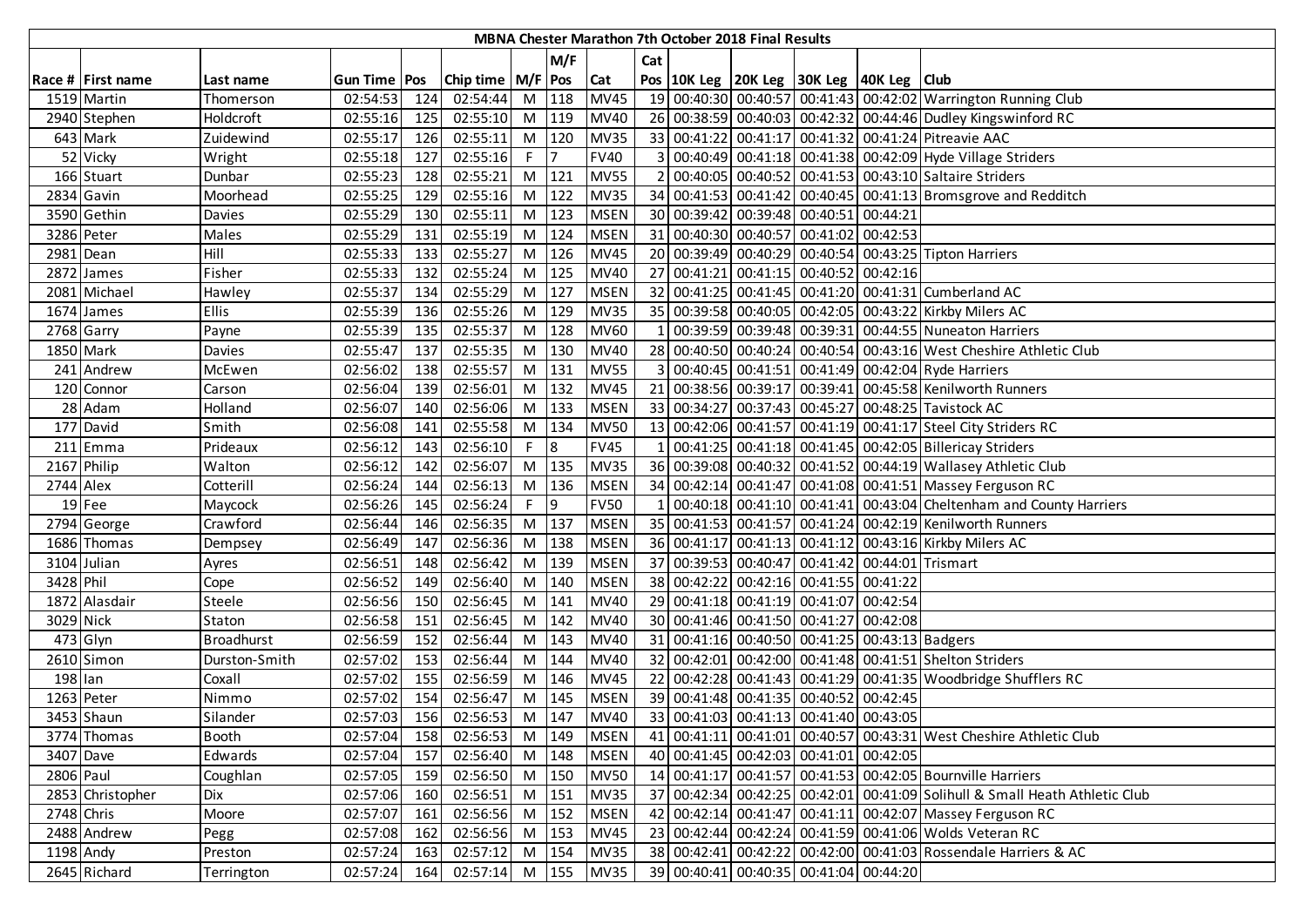|            |                   |                   |                |     |                       |    |                |             |              | MBNA Chester Marathon 7th October 2018 Final Results |                                                    |                                                                             |
|------------|-------------------|-------------------|----------------|-----|-----------------------|----|----------------|-------------|--------------|------------------------------------------------------|----------------------------------------------------|-----------------------------------------------------------------------------|
|            |                   |                   |                |     |                       |    | M/F            |             | Cat          |                                                      |                                                    |                                                                             |
|            | Race # First name | Last name         | Gun Time   Pos |     | Chip time   M/F   Pos |    |                | Cat         |              |                                                      | Pos   10K Leg   20K Leg   30K Leg   40K Leg   Club |                                                                             |
|            | 1519 Martin       | Thomerson         | 02:54:53       | 124 | 02:54:44              |    | M 118          | <b>MV45</b> |              |                                                      |                                                    | 19 00:40:30 00:40:57 00:41:43 00:42:02 Warrington Running Club              |
|            | 2940 Stephen      | Holdcroft         | 02:55:16       | 125 | 02:55:10              | M  | 119            | <b>MV40</b> |              |                                                      |                                                    | 26 00:38:59 00:40:03 00:42:32 00:44:46 Dudley Kingswinford RC               |
|            | 643 Mark          | Zuidewind         | 02:55:17       | 126 | 02:55:11              |    | $M$ 120        | <b>MV35</b> |              |                                                      |                                                    | 33 00:41:22 00:41:17 00:41:32 00:41:24 Pitreavie AAC                        |
|            | 52 Vicky          | Wright            | 02:55:18       | 127 | 02:55:16              | F  | $\overline{7}$ | <b>FV40</b> |              |                                                      |                                                    | 3 00:40:49 00:41:18 00:41:38 00:42:09 Hyde Village Striders                 |
|            | 166 Stuart        | Dunbar            | 02:55:23       | 128 | 02:55:21              | M  | 121            | <b>MV55</b> |              |                                                      |                                                    | 2 00:40:05 00:40:52 00:41:53 00:43:10 Saltaire Striders                     |
|            | 2834 Gavin        | Moorhead          | 02:55:25       | 129 | 02:55:16              | M  | 122            | <b>MV35</b> |              |                                                      |                                                    | 34 00:41:53 00:41:42 00:40:45 00:41:13 Bromsgrove and Redditch              |
|            | 3590 Gethin       | Davies            | 02:55:29       | 130 | 02:55:11              | M  | 123            | <b>MSEN</b> |              |                                                      | 30 00:39:42 00:39:48 00:40:51 00:44:21             |                                                                             |
|            | 3286 Peter        | Males             | 02:55:29       | 131 | 02:55:19              | M  | 124            | <b>MSEN</b> |              |                                                      | 31 00:40:30 00:40:57 00:41:02 00:42:53             |                                                                             |
|            | 2981 Dean         | Hill              | 02:55:33       | 133 | 02:55:27              | M  | 126            | <b>MV45</b> |              |                                                      |                                                    | 20 00:39:49 00:40:29 00:40:54 00:43:25 Tipton Harriers                      |
|            | 2872 James        | Fisher            | 02:55:33       | 132 | 02:55:24              | M  | 125            | <b>MV40</b> |              |                                                      | 27 00:41:21 00:41:15 00:40:52 00:42:16             |                                                                             |
|            | 2081 Michael      | Hawley            | 02:55:37       | 134 | 02:55:29              | M  | 127            | <b>MSEN</b> |              |                                                      |                                                    | 32 00:41:25 00:41:45 00:41:20 00:41:31 Cumberland AC                        |
|            | 1674 James        | <b>Ellis</b>      | 02:55:39       | 136 | 02:55:26              | M  | 129            | <b>MV35</b> |              |                                                      |                                                    | 35 00:39:58 00:40:05 00:42:05 00:43:22 Kirkby Milers AC                     |
|            | 2768 Garry        | Payne             | 02:55:39       | 135 | 02:55:37              | M  | 128            | <b>MV60</b> |              |                                                      |                                                    | 00:39:59 00:39:48 00:39:31 00:44:55 Nuneaton Harriers                       |
|            | 1850 Mark         | Davies            | 02:55:47       | 137 | 02:55:35              | M  | 130            | <b>MV40</b> |              |                                                      |                                                    | 28 00:40:50 00:40:24 00:40:54 00:43:16 West Cheshire Athletic Club          |
|            | 241 Andrew        | McEwen            | 02:56:02       | 138 | 02:55:57              | M  | 131            | <b>MV55</b> |              |                                                      |                                                    | 3 00:40:45 00:41:51 00:41:49 00:42:04 Ryde Harriers                         |
|            | 120 Connor        | Carson            | 02:56:04       | 139 | 02:56:01              |    | $M$ 132        | <b>MV45</b> |              |                                                      |                                                    | 21 00:38:56 00:39:17 00:39:41 00:45:58 Kenilworth Runners                   |
|            | 28 Adam           | Holland           | 02:56:07       | 140 | 02:56:06              |    | M 133          | <b>MSEN</b> |              |                                                      |                                                    | 33 00:34:27 00:37:43 00:45:27 00:48:25 Tavistock AC                         |
|            | 177 David         | Smith             | 02:56:08       | 141 | 02:55:58              |    | M 134          | <b>MV50</b> |              |                                                      |                                                    | 13 00:42:06 00:41:57 00:41:19 00:41:17 Steel City Striders RC               |
|            | $211$ Emma        | Prideaux          | 02:56:12       | 143 | 02:56:10              | F. | 8              | <b>FV45</b> | $\mathbf{1}$ |                                                      |                                                    | 00:41:25 00:41:18 00:41:45 00:42:05 Billericay Striders                     |
|            | 2167 Philip       | Walton            | 02:56:12       | 142 | 02:56:07              |    | M 135          | <b>MV35</b> |              |                                                      |                                                    | 36 00:39:08 00:40:32 00:41:52 00:44:19 Wallasey Athletic Club               |
| 2744 Alex  |                   | Cotterill         | 02:56:24       | 144 | 02:56:13              | M  | 136            | <b>MSEN</b> |              |                                                      |                                                    | 34 00:42:14 00:41:47 00:41:08 00:41:51 Massey Ferguson RC                   |
|            | $19$ Fee          | Maycock           | 02:56:26       | 145 | 02:56:24              | F. | 9              | <b>FV50</b> |              |                                                      |                                                    | 00:40:18 00:41:10 00:41:41 00:43:04 Cheltenham and County Harriers          |
|            | 2794 George       | Crawford          | 02:56:44       | 146 | 02:56:35              |    | M 137          | <b>MSEN</b> |              |                                                      |                                                    | 35 00:41:53 00:41:57 00:41:24 00:42:19 Kenilworth Runners                   |
|            | 1686 Thomas       | Dempsey           | 02:56:49       | 147 | 02:56:36              | M  | 138            | <b>MSEN</b> |              |                                                      |                                                    | 36 00:41:17 00:41:13 00:41:12 00:43:16 Kirkby Milers AC                     |
|            | 3104 Julian       | Ayres             | 02:56:51       | 148 | 02:56:42              | M  | 139            | <b>MSEN</b> |              |                                                      | 37 00:39:53 00:40:47 00:41:42 00:44:01 Trismart    |                                                                             |
| 3428 Phil  |                   | Cope              | 02:56:52       | 149 | 02:56:40              | M  | 140            | <b>MSEN</b> |              |                                                      | 38 00:42:22 00:42:16 00:41:55 00:41:22             |                                                                             |
|            | 1872 Alasdair     | Steele            | 02:56:56       | 150 | 02:56:45              | M  | 141            | <b>MV40</b> |              |                                                      | 29 00:41:18 00:41:19 00:41:07 00:42:54             |                                                                             |
| 3029 Nick  |                   | Staton            | 02:56:58       | 151 | 02:56:45              | M  | 142            | <b>MV40</b> |              |                                                      | 30 00:41:46 00:41:50 00:41:27 00:42:08             |                                                                             |
|            | 473 Glyn          | <b>Broadhurst</b> | 02:56:59       | 152 | 02:56:44              | M  | 143            | <b>MV40</b> |              |                                                      | 31 00:41:16 00:40:50 00:41:25 00:43:13 Badgers     |                                                                             |
|            | 2610 Simon        | Durston-Smith     | 02:57:02       | 153 | 02:56:44              | M  | 144            | <b>MV40</b> |              |                                                      |                                                    | 32 00:42:01 00:42:00 00:41:48 00:41:51 Shelton Striders                     |
| 198 lan    |                   | Coxall            | 02:57:02       | 155 | 02:56:59              | M  | 146            | <b>MV45</b> |              |                                                      |                                                    | 22 00:42:28 00:41:43 00:41:29 00:41:35 Woodbridge Shufflers RC              |
|            | 1263 Peter        | Nimmo             | 02:57:02       | 154 | 02:56:47              | M  | 145            | <b>MSEN</b> |              |                                                      | 39 00:41:48 00:41:35 00:40:52 00:42:45             |                                                                             |
|            | 3453 Shaun        | Silander          | 02:57:03       | 156 | 02:56:53              | M  | 147            | <b>MV40</b> |              |                                                      | 33 00:41:03 00:41:13 00:41:40 00:43:05             |                                                                             |
|            | 3774 Thomas       | <b>Booth</b>      | 02:57:04 158   |     | 02:56:53              |    | M 149          | <b>MSEN</b> |              |                                                      |                                                    | 41 00:41:11 00:41:01 00:40:57 00:43:31 West Cheshire Athletic Club          |
| 3407 Dave  |                   | Edwards           | 02:57:04       | 157 | 02:56:40              |    | M 148          | <b>MSEN</b> |              |                                                      | 40 00:41:45 00:42:03 00:41:01 00:42:05             |                                                                             |
| 2806 Paul  |                   | Coughlan          | 02:57:05       | 159 | 02:56:50              |    | M 150          | <b>MV50</b> |              |                                                      |                                                    | 14 00:41:17 00:41:57 00:41:53 00:42:05 Bournville Harriers                  |
|            | 2853 Christopher  | <b>Dix</b>        | 02:57:06       | 160 | 02:56:51              | M  | 151            | <b>MV35</b> |              |                                                      |                                                    | 37 00:42:34 00:42:25 00:42:01 00:41:09 Solihull & Small Heath Athletic Club |
| 2748 Chris |                   | Moore             | 02:57:07       | 161 | 02:56:56              | M  | 152            | <b>MSEN</b> |              |                                                      |                                                    | 42 00:42:14 00:41:47 00:41:11 00:42:07 Massey Ferguson RC                   |
|            | 2488 Andrew       | Pegg              | 02:57:08       | 162 | 02:56:56              | M  | 153            | <b>MV45</b> |              |                                                      |                                                    | 23 00:42:44 00:42:24 00:41:59 00:41:06 Wolds Veteran RC                     |
| 1198 Andy  |                   | Preston           | 02:57:24       | 163 | 02:57:12              | M  | 154            | <b>MV35</b> |              |                                                      |                                                    | 38 00:42:41 00:42:22 00:42:00 00:41:03 Rossendale Harriers & AC             |
|            | 2645 Richard      | Terrington        | 02:57:24       | 164 | 02:57:14              |    |                | M 155 MV35  |              |                                                      | 39 00:40:41 00:40:35 00:41:04 00:44:20             |                                                                             |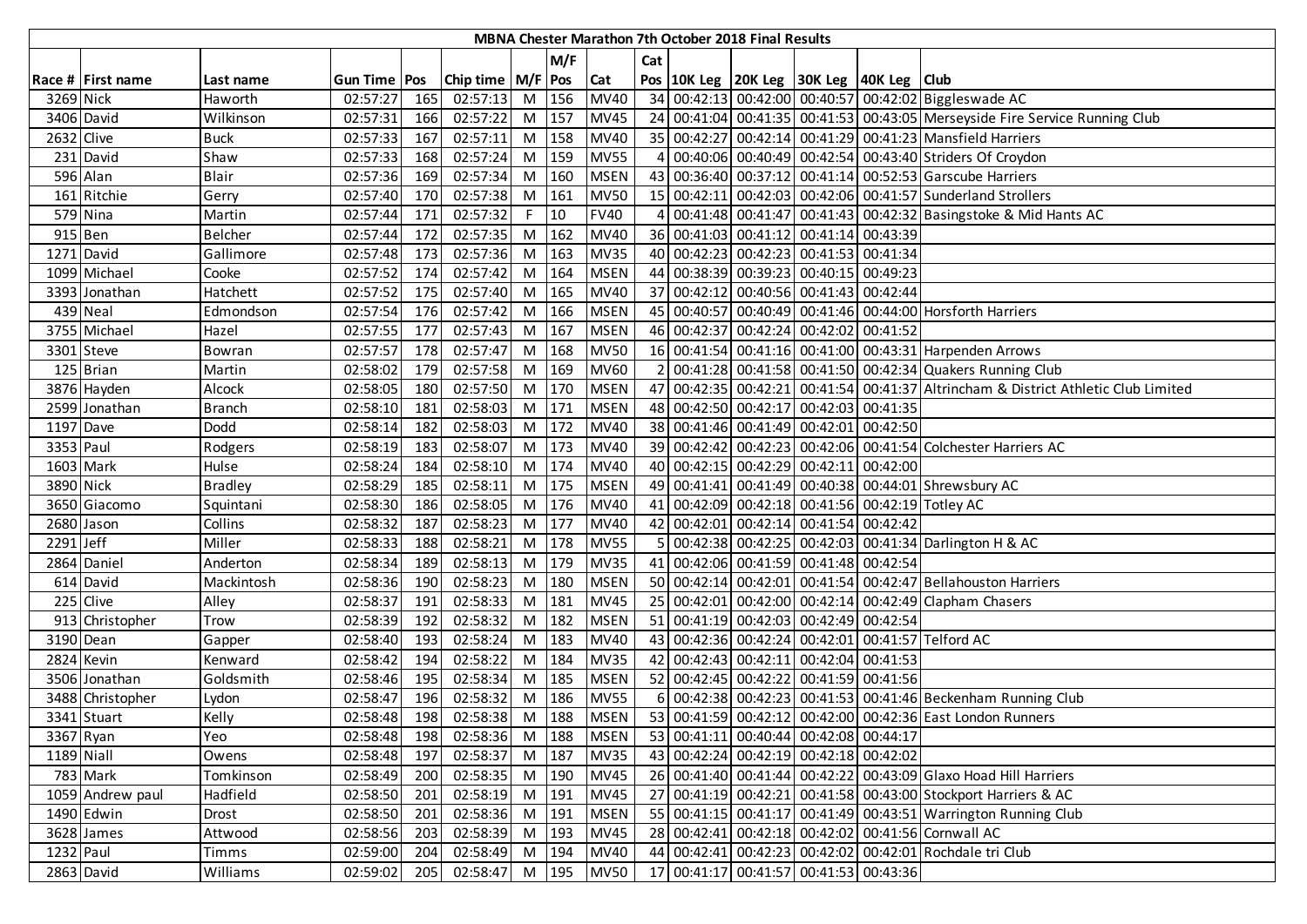|             |                   |                |                       |     |                       |    |       |             |                | <b>MBNA Chester Marathon 7th October 2018 Final Results</b> |                                                    |                                                                                    |
|-------------|-------------------|----------------|-----------------------|-----|-----------------------|----|-------|-------------|----------------|-------------------------------------------------------------|----------------------------------------------------|------------------------------------------------------------------------------------|
|             |                   |                |                       |     |                       |    | M/F   |             | Cat            |                                                             |                                                    |                                                                                    |
|             | Race # First name | Last name      | <b>Gun Time   Pos</b> |     | Chip time   M/F   Pos |    |       | <b>Cat</b>  |                |                                                             | Pos   10K Leg   20K Leg   30K Leg   40K Leg   Club |                                                                                    |
| 3269 Nick   |                   | Haworth        | 02:57:27              | 165 | 02:57:13              |    | M 156 | <b>MV40</b> |                |                                                             |                                                    | 34 00:42:13 00:42:00 00:40:57 00:42:02 Biggleswade AC                              |
|             | 3406 David        | Wilkinson      | 02:57:31              | 166 | 02:57:22              | M  | 157   | <b>MV45</b> |                |                                                             |                                                    | 24 00:41:04 00:41:35 00:41:53 00:43:05 Merseyside Fire Service Running Club        |
| 2632 Clive  |                   | <b>Buck</b>    | 02:57:33              | 167 | 02:57:11              |    | M 158 | <b>MV40</b> |                |                                                             |                                                    | 35 00:42:27 00:42:14 00:41:29 00:41:23 Mansfield Harriers                          |
|             | 231 David         | Shaw           | 02:57:33              | 168 | 02:57:24              |    | M 159 | <b>MV55</b> | $\overline{4}$ |                                                             |                                                    | 00:40:06 00:40:49 00:42:54 00:43:40 Striders Of Croydon                            |
|             | 596 Alan          | <b>Blair</b>   | 02:57:36              | 169 | 02:57:34              | M  | 160   | <b>MSEN</b> |                |                                                             |                                                    | 43 00:36:40 00:37:12 00:41:14 00:52:53 Garscube Harriers                           |
|             | 161 Ritchie       | Gerry          | 02:57:40              | 170 | 02:57:38              | M  | 161   | <b>MV50</b> |                |                                                             |                                                    | 15 00:42:11 00:42:03 00:42:06 00:41:57 Sunderland Strollers                        |
|             | 579 Nina          | Martin         | 02:57:44              | 171 | 02:57:32              | F. | 10    | <b>FV40</b> | 4              |                                                             |                                                    | 00:41:48 00:41:47 00:41:43 00:42:32 Basingstoke & Mid Hants AC                     |
| 915 Ben     |                   | <b>Belcher</b> | 02:57:44              | 172 | 02:57:35              | M  | 162   | <b>MV40</b> |                |                                                             | 36 00:41:03 00:41:12 00:41:14 00:43:39             |                                                                                    |
|             | 1271 David        | Gallimore      | 02:57:48              | 173 | 02:57:36              | M  | 163   | <b>MV35</b> |                |                                                             | 40 00:42:23 00:42:23 00:41:53 00:41:34             |                                                                                    |
|             | 1099 Michael      | Cooke          | 02:57:52              | 174 | 02:57:42              | M  | 164   | <b>MSEN</b> |                |                                                             | 44 00:38:39 00:39:23 00:40:15 00:49:23             |                                                                                    |
|             | 3393 Jonathan     | Hatchett       | 02:57:52              | 175 | 02:57:40              | M  | 165   | <b>MV40</b> |                |                                                             | 37 00:42:12 00:40:56 00:41:43 00:42:44             |                                                                                    |
|             | 439 Neal          | Edmondson      | 02:57:54              | 176 | 02:57:42              | M  | 166   | <b>MSEN</b> |                |                                                             |                                                    | 45 00:40:57 00:40:49 00:41:46 00:44:00 Horsforth Harriers                          |
|             | 3755 Michael      | Hazel          | 02:57:55              | 177 | 02:57:43              | M  | 167   | <b>MSEN</b> |                |                                                             | 46 00:42:37 00:42:24 00:42:02 00:41:52             |                                                                                    |
|             | 3301 Steve        | Bowran         | 02:57:57              | 178 | 02:57:47              | M  | 168   | <b>MV50</b> |                |                                                             |                                                    | 16 00:41:54 00:41:16 00:41:00 00:43:31 Harpenden Arrows                            |
|             | 125 Brian         | Martin         | 02:58:02              | 179 | 02:57:58              | M  | 169   | <b>MV60</b> |                |                                                             |                                                    | 2 00:41:28 00:41:58 00:41:50 00:42:34 Quakers Running Club                         |
|             | 3876 Hayden       | Alcock         | 02:58:05              | 180 | 02:57:50              |    | M 170 | <b>MSEN</b> |                |                                                             |                                                    | 47 00:42:35 00:42:21 00:41:54 00:41:37 Altrincham & District Athletic Club Limited |
|             | 2599 Jonathan     | <b>Branch</b>  | 02:58:10              | 181 | 02:58:03              |    | M 171 | <b>MSEN</b> |                |                                                             | 48 00:42:50 00:42:17 00:42:03 00:41:35             |                                                                                    |
| 1197 Dave   |                   | Dodd           | 02:58:14              | 182 | 02:58:03              |    | M 172 | <b>MV40</b> |                |                                                             | 38 00:41:46 00:41:49 00:42:01 00:42:50             |                                                                                    |
| 3353 Paul   |                   | Rodgers        | 02:58:19              | 183 | 02:58:07              | M  | 173   | <b>MV40</b> |                |                                                             |                                                    | 39 00:42:42 00:42:23 00:42:06 00:41:54 Colchester Harriers AC                      |
|             | 1603 Mark         | Hulse          | 02:58:24              | 184 | 02:58:10              | M  | 174   | <b>MV40</b> |                |                                                             | 40 00:42:15 00:42:29 00:42:11 00:42:00             |                                                                                    |
| 3890 Nick   |                   | <b>Bradley</b> | 02:58:29              | 185 | 02:58:11              | M  | 175   | <b>MSEN</b> |                |                                                             |                                                    | 49 00:41:41 00:41:49 00:40:38 00:44:01 Shrewsbury AC                               |
|             | 3650 Giacomo      | Squintani      | 02:58:30              | 186 | 02:58:05              | M  | 176   | <b>MV40</b> |                |                                                             |                                                    | 41 00:42:09 00:42:18 00:41:56 00:42:19 Totley AC                                   |
|             | 2680 Jason        | Collins        | 02:58:32              | 187 | 02:58:23              | M  | 177   | <b>MV40</b> |                |                                                             | 42 00:42:01 00:42:14 00:41:54 00:42:42             |                                                                                    |
| $2291$ Jeff |                   | Miller         | 02:58:33              | 188 | 02:58:21              | M  | 178   | <b>MV55</b> |                |                                                             |                                                    | 5 00:42:38 00:42:25 00:42:03 00:41:34 Darlington H & AC                            |
|             | 2864 Daniel       | Anderton       | 02:58:34              | 189 | 02:58:13              | M  | 179   | <b>MV35</b> |                |                                                             | 41 00:42:06 00:41:59 00:41:48 00:42:54             |                                                                                    |
|             | 614 David         | Mackintosh     | 02:58:36              | 190 | 02:58:23              | M  | 180   | <b>MSEN</b> |                |                                                             |                                                    | 50 00:42:14 00:42:01 00:41:54 00:42:47 Bellahouston Harriers                       |
|             | 225 Clive         | Alley          | 02:58:37              | 191 | 02:58:33              | M  | 181   | <b>MV45</b> |                |                                                             |                                                    | 25 00:42:01 00:42:00 00:42:14 00:42:49 Clapham Chasers                             |
|             | 913 Christopher   | Trow           | 02:58:39              | 192 | 02:58:32              | M  | 182   | <b>MSEN</b> |                |                                                             | 51 00:41:19 00:42:03 00:42:49 00:42:54             |                                                                                    |
|             | 3190 Dean         | Gapper         | 02:58:40              | 193 | 02:58:24              | M  | 183   | <b>MV40</b> |                |                                                             |                                                    | 43 00:42:36 00:42:24 00:42:01 00:41:57 Telford AC                                  |
|             | 2824 Kevin        | Kenward        | 02:58:42              | 194 | 02:58:22              | M  | 184   | <b>MV35</b> |                |                                                             | 42 00:42:43 00:42:11 00:42:04 00:41:53             |                                                                                    |
|             | 3506 Jonathan     | Goldsmith      | 02:58:46              | 195 | 02:58:34              | M  | 185   | <b>MSEN</b> |                |                                                             | 52 00:42:45 00:42:22 00:41:59 00:41:56             |                                                                                    |
|             | 3488 Christopher  | Lydon          | 02:58:47              | 196 | 02:58:32              | M  | 186   | <b>MV55</b> |                |                                                             |                                                    | 6 00:42:38 00:42:23 00:41:53 00:41:46 Beckenham Running Club                       |
|             | 3341 Stuart       | Kelly          | 02:58:48              | 198 | 02:58:38              | M  | 188   | <b>MSEN</b> |                |                                                             |                                                    | 53 00:41:59 00:42:12 00:42:00 00:42:36 East London Runners                         |
| 3367 Ryan   |                   | Yeo            | 02:58:48 198          |     | 02:58:36              |    | M 188 | <b>MSEN</b> |                |                                                             | 53 00:41:11 00:40:44 00:42:08 00:44:17             |                                                                                    |
| 1189 Niall  |                   | Owens          | 02:58:48              | 197 | 02:58:37              |    | M 187 | <b>MV35</b> |                |                                                             | 43 00:42:24 00:42:19 00:42:18 00:42:02             |                                                                                    |
|             | 783 Mark          | Tomkinson      | 02:58:49              | 200 | 02:58:35              |    | M 190 | <b>MV45</b> |                |                                                             |                                                    | 26 00:41:40 00:41:44 00:42:22 00:43:09 Glaxo Hoad Hill Harriers                    |
|             | 1059 Andrew paul  | Hadfield       | 02:58:50              | 201 | 02:58:19              | M  | 191   | <b>MV45</b> |                |                                                             |                                                    | 27 00:41:19 00:42:21 00:41:58 00:43:00 Stockport Harriers & AC                     |
|             | 1490 Edwin        | Drost          | 02:58:50              | 201 | 02:58:36              | M  | 191   | <b>MSEN</b> |                |                                                             |                                                    | 55 00:41:15 00:41:17 00:41:49 00:43:51 Warrington Running Club                     |
|             | 3628 James        | Attwood        | 02:58:56              | 203 | 02:58:39              | M  | 193   | <b>MV45</b> |                |                                                             |                                                    | 28 00:42:41 00:42:18 00:42:02 00:41:56 Cornwall AC                                 |
| 1232 Paul   |                   | Timms          | 02:59:00              | 204 | 02:58:49              | M  | 194   | <b>MV40</b> |                |                                                             |                                                    | 44 00:42:41 00:42:23 00:42:02 00:42:01 Rochdale tri Club                           |
|             | 2863 David        | Williams       | 02:59:02              | 205 | 02:58:47 M            |    | 195   | <b>MV50</b> |                |                                                             | 17 00:41:17 00:41:57 00:41:53 00:43:36             |                                                                                    |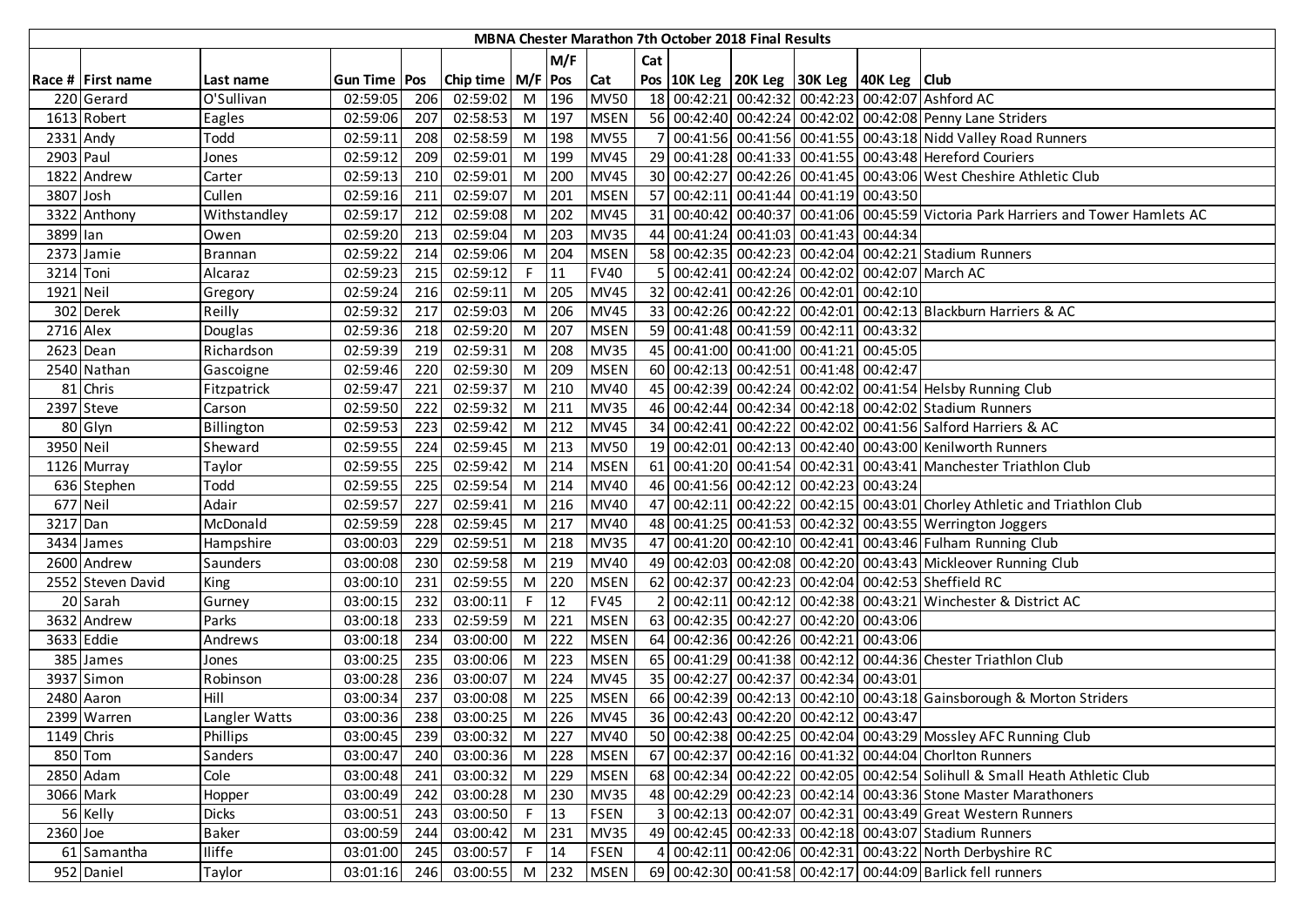|            |                   |                |                |     |                       |                |         |             |     | <b>MBNA Chester Marathon 7th October 2018 Final Results</b> |                                          |                                                                                    |
|------------|-------------------|----------------|----------------|-----|-----------------------|----------------|---------|-------------|-----|-------------------------------------------------------------|------------------------------------------|------------------------------------------------------------------------------------|
|            |                   |                |                |     |                       |                | M/F     |             | Cat |                                                             |                                          |                                                                                    |
|            | Race # First name | Last name      | Gun Time   Pos |     | Chip time   M/F   Pos |                |         | <b>Cat</b>  |     |                                                             | Pos 10K Leg 20K Leg 30K Leg 40K Leg Club |                                                                                    |
|            | 220 Gerard        | O'Sullivan     | 02:59:05       | 206 | 02:59:02              | M 196          |         | <b>MV50</b> |     |                                                             |                                          | 18 00:42:21 00:42:32 00:42:23 00:42:07 Ashford AC                                  |
|            | 1613 Robert       | Eagles         | 02:59:06       | 207 | 02:58:53              | M              | 197     | <b>MSEN</b> |     |                                                             |                                          | 56 00:42:40 00:42:24 00:42:02 00:42:08 Penny Lane Striders                         |
| 2331 Andy  |                   | Todd           | 02:59:11       | 208 | 02:58:59              | M 198          |         | <b>MV55</b> |     |                                                             |                                          | 00:41:56 00:41:56 00:41:55 00:43:18 Nidd Valley Road Runners                       |
| 2903 Paul  |                   | Jones          | 02:59:12       | 209 | 02:59:01              | M              | 199     | <b>MV45</b> |     |                                                             |                                          | 29 00:41:28 00:41:33 00:41:55 00:43:48 Hereford Couriers                           |
|            | 1822 Andrew       | Carter         | 02:59:13       | 210 | 02:59:01              | M              | 200     | <b>MV45</b> |     |                                                             |                                          | 30 00:42:27 00:42:26 00:41:45 00:43:06 West Cheshire Athletic Club                 |
| 3807 Josh  |                   | Cullen         | 02:59:16       | 211 | 02:59:07              | M              | 201     | <b>MSEN</b> |     |                                                             | 57 00:42:11 00:41:44 00:41:19 00:43:50   |                                                                                    |
|            | 3322 Anthony      | Withstandley   | 02:59:17       | 212 | 02:59:08              | M              | 202     | <b>MV45</b> |     |                                                             |                                          | 31 00:40:42 00:40:37 00:41:06 00:45:59 Victoria Park Harriers and Tower Hamlets AC |
| 3899 lan   |                   | Owen           | 02:59:20       | 213 | 02:59:04              | M              | 203     | <b>MV35</b> |     |                                                             | 44 00:41:24 00:41:03 00:41:43 00:44:34   |                                                                                    |
|            | 2373 Jamie        | <b>Brannan</b> | 02:59:22       | 214 | 02:59:06              | M              | 204     | <b>MSEN</b> |     |                                                             |                                          | 58 00:42:35 00:42:23 00:42:04 00:42:21 Stadium Runners                             |
| 3214 Toni  |                   | Alcaraz        | 02:59:23       | 215 | 02:59:12              | F.             | 11      | <b>FV40</b> |     |                                                             |                                          | 00:42:41 00:42:24 00:42:02 00:42:07 March AC                                       |
| 1921 Neil  |                   | Gregory        | 02:59:24       | 216 | 02:59:11              | M              | 205     | <b>MV45</b> |     |                                                             | 32 00:42:41 00:42:26 00:42:01 00:42:10   |                                                                                    |
|            | 302 Derek         | Reilly         | 02:59:32       | 217 | 02:59:03              | M              | 206     | <b>MV45</b> |     |                                                             |                                          | 33 00:42:26 00:42:22 00:42:01 00:42:13 Blackburn Harriers & AC                     |
| 2716 Alex  |                   | Douglas        | 02:59:36       | 218 | 02:59:20              | M              | 207     | <b>MSEN</b> |     |                                                             | 59 00:41:48 00:41:59 00:42:11 00:43:32   |                                                                                    |
|            | 2623 Dean         | Richardson     | 02:59:39       | 219 | 02:59:31              | M              | 208     | <b>MV35</b> |     |                                                             | 45 00:41:00 00:41:00 00:41:21 00:45:05   |                                                                                    |
|            | 2540 Nathan       | Gascoigne      | 02:59:46       | 220 | 02:59:30              | M              | 209     | <b>MSEN</b> |     |                                                             | 60 00:42:13 00:42:51 00:41:48 00:42:47   |                                                                                    |
|            | 81 Chris          | Fitzpatrick    | 02:59:47       | 221 | 02:59:37              | M 210          |         | <b>MV40</b> |     |                                                             |                                          | 45 00:42:39 00:42:24 00:42:02 00:41:54 Helsby Running Club                         |
|            | 2397 Steve        | Carson         | 02:59:50       | 222 | 02:59:32              | M 211          |         | <b>MV35</b> |     |                                                             |                                          | 46 00:42:44 00:42:34 00:42:18 00:42:02 Stadium Runners                             |
|            | 80 Glyn           | Billington     | 02:59:53       | 223 | 02:59:42              |                | M 212   | <b>MV45</b> |     |                                                             |                                          | 34 00:42:41 00:42:22 00:42:02 00:41:56 Salford Harriers & AC                       |
| 3950 Neil  |                   | Sheward        | 02:59:55       | 224 | 02:59:45              | M <sub>1</sub> | 213     | <b>MV50</b> |     |                                                             |                                          | 19 00:42:01 00:42:13 00:42:40 00:43:00 Kenilworth Runners                          |
|            | 1126 Murray       | Taylor         | 02:59:55       | 225 | 02:59:42              |                | M 214   | <b>MSEN</b> |     |                                                             |                                          | 61 00:41:20 00:41:54 00:42:31 00:43:41 Manchester Triathlon Club                   |
|            | 636 Stephen       | Todd           | 02:59:55       | 225 | 02:59:54              | M              | 214     | <b>MV40</b> |     |                                                             | 46 00:41:56 00:42:12 00:42:23 00:43:24   |                                                                                    |
| 677 Neil   |                   | Adair          | 02:59:57       | 227 | 02:59:41              |                | $M$ 216 | <b>MV40</b> |     |                                                             |                                          | 47 00:42:11 00:42:22 00:42:15 00:43:01 Chorley Athletic and Triathlon Club         |
| 3217 Dan   |                   | McDonald       | 02:59:59       | 228 | 02:59:45              | M              | 217     | <b>MV40</b> |     |                                                             |                                          | 48 00:41:25 00:41:53 00:42:32 00:43:55 Werrington Joggers                          |
|            | 3434 James        | Hampshire      | 03:00:03       | 229 | 02:59:51              | M              | 218     | <b>MV35</b> |     |                                                             |                                          | 47 00:41:20 00:42:10 00:42:41 00:43:46 Fulham Running Club                         |
|            | 2600 Andrew       | Saunders       | 03:00:08       | 230 | 02:59:58              | M              | 219     | <b>MV40</b> |     |                                                             |                                          | 49 00:42:03 00:42:08 00:42:20 00:43:43 Mickleover Running Club                     |
|            | 2552 Steven David | King           | 03:00:10       | 231 | 02:59:55              | M              | 220     | <b>MSEN</b> |     |                                                             |                                          | 62 00:42:37 00:42:23 00:42:04 00:42:53 Sheffield RC                                |
|            | 20 Sarah          | Gurney         | 03:00:15       | 232 | 03:00:11              | F.             | 12      | <b>FV45</b> |     |                                                             |                                          | 00:42:11 00:42:12 00:42:38 00:43:21 Winchester & District AC                       |
|            | 3632 Andrew       | Parks          | 03:00:18       | 233 | 02:59:59              | M              | 221     | <b>MSEN</b> |     |                                                             | 63 00:42:35 00:42:27 00:42:20 00:43:06   |                                                                                    |
|            | 3633 Eddie        | Andrews        | 03:00:18       | 234 | 03:00:00              | M              | 222     | <b>MSEN</b> |     |                                                             | 64 00:42:36 00:42:26 00:42:21 00:43:06   |                                                                                    |
|            | 385 James         | Jones          | 03:00:25       | 235 | 03:00:06              | M              | 223     | <b>MSEN</b> |     |                                                             |                                          | 65 00:41:29 00:41:38 00:42:12 00:44:36 Chester Triathlon Club                      |
|            | 3937 Simon        | Robinson       | 03:00:28       | 236 | 03:00:07              | M              | 224     | <b>MV45</b> |     |                                                             | 35 00:42:27 00:42:37 00:42:34 00:43:01   |                                                                                    |
|            | 2480 Aaron        | Hill           | 03:00:34       | 237 | 03:00:08              | M              | 225     | <b>MSEN</b> |     |                                                             |                                          | 66 00:42:39 00:42:13 00:42:10 00:43:18 Gainsborough & Morton Striders              |
|            | 2399 Warren       | Langler Watts  | 03:00:36       | 238 | 03:00:25              | $M$ 226        |         | <b>MV45</b> |     |                                                             | 36 00:42:43 00:42:20 00:42:12 00:43:47   |                                                                                    |
| 1149 Chris |                   | Phillips       | 03:00:45       | 239 | 03:00:32              | M 227          |         | <b>MV40</b> |     |                                                             |                                          | 50 00:42:38 00:42:25 00:42:04 00:43:29 Mossley AFC Running Club                    |
|            | 850 Tom           | Sanders        | 03:00:47       | 240 | 03:00:36              | M 228          |         | <b>MSEN</b> |     |                                                             |                                          | 67 00:42:37 00:42:16 00:41:32 00:44:04 Choriton Runners                            |
|            | 2850 Adam         | Cole           | 03:00:48       | 241 | 03:00:32              | M 229          |         | <b>MSEN</b> |     |                                                             |                                          | 68 00:42:34 00:42:22 00:42:05 00:42:54 Solihull & Small Heath Athletic Club        |
|            | 3066 Mark         | Hopper         | 03:00:49       | 242 | 03:00:28              |                | M 230   | <b>MV35</b> |     |                                                             |                                          | 48 00:42:29 00:42:23 00:42:14 00:43:36 Stone Master Marathoners                    |
|            | 56 Kelly          | <b>Dicks</b>   | 03:00:51       | 243 | 03:00:50              | $F \parallel$  | 13      | <b>FSEN</b> |     |                                                             |                                          | 00:42:13 00:42:07 00:42:31 00:43:49 Great Western Runners                          |
| 2360 Joe   |                   | <b>Baker</b>   | 03:00:59       | 244 | 03:00:42              | M 231          |         | <b>MV35</b> |     |                                                             |                                          | 49 00:42:45 00:42:33 00:42:18 00:43:07 Stadium Runners                             |
|            | 61 Samantha       | <b>Iliffe</b>  | 03:01:00       | 245 | 03:00:57              | F              | 14      | <b>FSEN</b> | 4   |                                                             |                                          | 00:42:11 00:42:06 00:42:31 00:43:22 North Derbyshire RC                            |
|            | 952 Daniel        | Taylor         | 03:01:16       | 246 | 03:00:55 M 232 MSEN   |                |         |             |     |                                                             |                                          | 69 00:42:30 00:41:58 00:42:17 00:44:09 Barlick fell runners                        |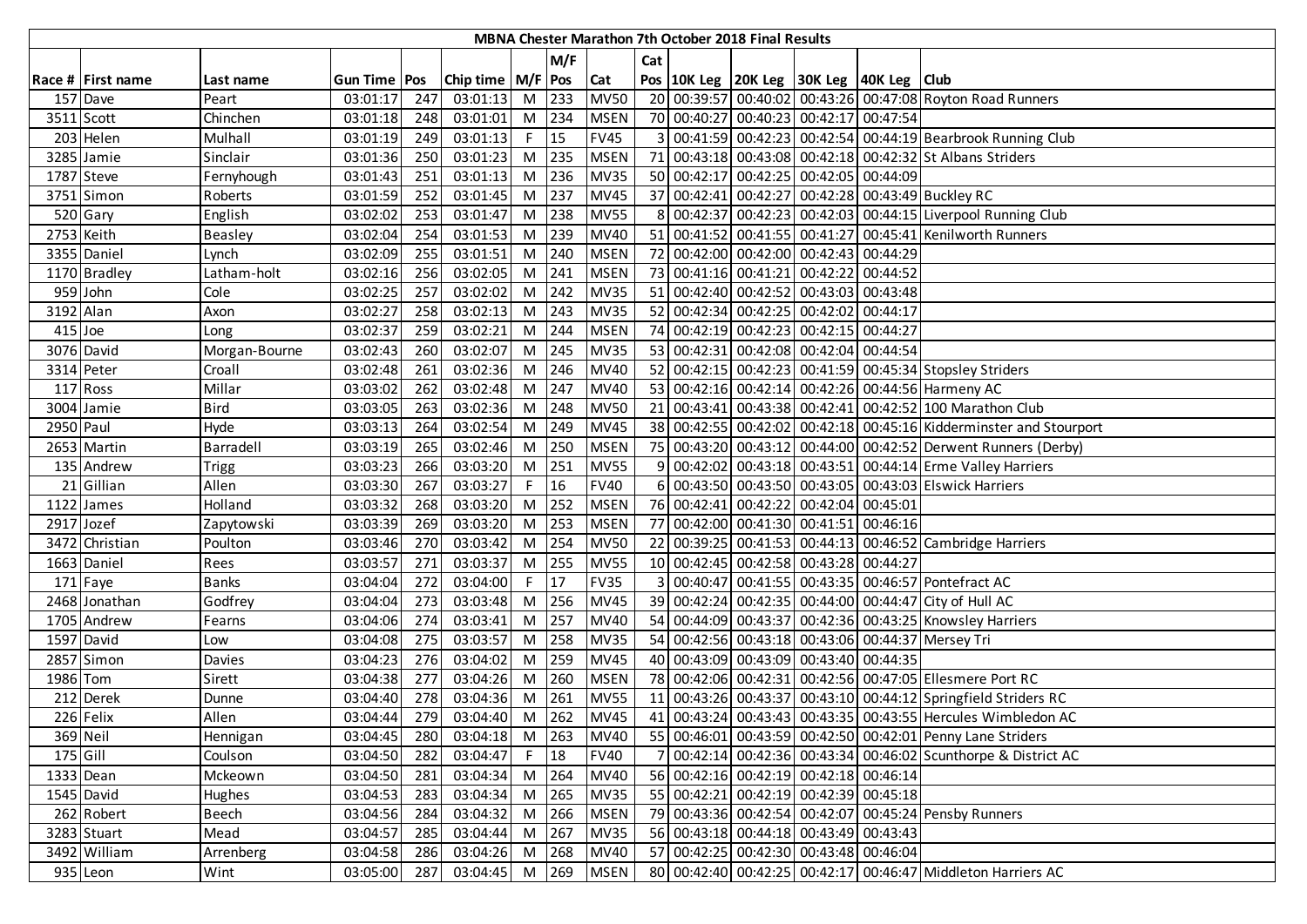|           |                   |                |                |     |                       |    |       |             |     | MBNA Chester Marathon 7th October 2018 Final Results |                                                    |                                                                    |
|-----------|-------------------|----------------|----------------|-----|-----------------------|----|-------|-------------|-----|------------------------------------------------------|----------------------------------------------------|--------------------------------------------------------------------|
|           |                   |                |                |     |                       |    | M/F   |             | Cat |                                                      |                                                    |                                                                    |
|           | Race # First name | Last name      | Gun Time   Pos |     | Chip time   M/F   Pos |    |       | Cat         |     |                                                      | Pos   10K Leg   20K Leg   30K Leg   40K Leg   Club |                                                                    |
|           | 157 Dave          | Peart          | 03:01:17       | 247 | 03:01:13              |    | M 233 | <b>MV50</b> |     |                                                      |                                                    | 20 00:39:57 00:40:02 00:43:26 00:47:08 Royton Road Runners         |
|           | 3511 Scott        | Chinchen       | 03:01:18       | 248 | 03:01:01              | M  | 234   | <b>MSEN</b> |     |                                                      | 70 00:40:27 00:40:23 00:42:17 00:47:54             |                                                                    |
|           | 203 Helen         | Mulhall        | 03:01:19       | 249 | 03:01:13              | F. | 15    | <b>FV45</b> |     |                                                      |                                                    | 3 00:41:59 00:42:23 00:42:54 00:44:19 Bearbrook Running Club       |
|           | 3285 Jamie        | Sinclair       | 03:01:36       | 250 | 03:01:23              |    | M 235 | <b>MSEN</b> |     |                                                      |                                                    | 71 00:43:18 00:43:08 00:42:18 00:42:32 St Albans Striders          |
|           | 1787 Steve        | Fernyhough     | 03:01:43       | 251 | 03:01:13              | M  | 236   | <b>MV35</b> |     |                                                      | 50 00:42:17 00:42:25 00:42:05 00:44:09             |                                                                    |
|           | 3751 Simon        | Roberts        | 03:01:59       | 252 | 03:01:45              | M  | 237   | <b>MV45</b> |     |                                                      |                                                    | 37 00:42:41 00:42:27 00:42:28 00:43:49 Buckley RC                  |
|           | 520 Gary          | English        | 03:02:02       | 253 | 03:01:47              | M  | 238   | <b>MV55</b> | 8   |                                                      |                                                    | 00:42:37 00:42:23 00:42:03 00:44:15 Liverpool Running Club         |
|           | 2753 Keith        | <b>Beasley</b> | 03:02:04       | 254 | 03:01:53              | M  | 239   | MV40        |     |                                                      |                                                    | 51 00:41:52 00:41:55 00:41:27 00:45:41 Kenilworth Runners          |
|           | 3355 Daniel       | Lynch          | 03:02:09       | 255 | 03:01:51              | M  | 240   | <b>MSEN</b> |     |                                                      | 72 00:42:00 00:42:00 00:42:43 00:44:29             |                                                                    |
|           | 1170 Bradley      | Latham-holt    | 03:02:16       | 256 | 03:02:05              | M  | 241   | <b>MSEN</b> |     |                                                      | 73 00:41:16 00:41:21 00:42:22 00:44:52             |                                                                    |
|           | 959 John          | Cole           | 03:02:25       | 257 | 03:02:02              | M  | 242   | <b>MV35</b> |     |                                                      | 51 00:42:40 00:42:52 00:43:03 00:43:48             |                                                                    |
| 3192 Alan |                   | Axon           | 03:02:27       | 258 | 03:02:13              | M  | 243   | <b>MV35</b> |     |                                                      | 52 00:42:34 00:42:25 00:42:02 00:44:17             |                                                                    |
| $415$ Joe |                   | Long           | 03:02:37       | 259 | 03:02:21              | M  | 244   | <b>MSEN</b> |     |                                                      | 74 00:42:19 00:42:23 00:42:15 00:44:27             |                                                                    |
|           | 3076 David        | Morgan-Bourne  | 03:02:43       | 260 | 03:02:07              | M  | 245   | <b>MV35</b> |     |                                                      | 53 00:42:31 00:42:08 00:42:04 00:44:54             |                                                                    |
|           | 3314 Peter        | Croall         | 03:02:48       | 261 | 03:02:36              | M  | 246   | MV40        |     |                                                      |                                                    | 52 00:42:15 00:42:23 00:41:59 00:45:34 Stopsley Striders           |
|           | 117 Ross          | Millar         | 03:03:02       | 262 | 03:02:48              | M  | 247   | <b>MV40</b> |     |                                                      |                                                    | 53 00:42:16 00:42:14 00:42:26 00:44:56 Harmeny AC                  |
|           | 3004 Jamie        | <b>Bird</b>    | 03:03:05       | 263 | 03:02:36              | M  | 248   | <b>MV50</b> |     |                                                      |                                                    | 21 00:43:41 00:43:38 00:42:41 00:42:52 100 Marathon Club           |
| 2950 Paul |                   | Hyde           | 03:03:13       | 264 | 03:02:54              | M  | 249   | <b>MV45</b> |     |                                                      |                                                    | 38 00:42:55 00:42:02 00:42:18 00:45:16 Kidderminster and Stourport |
|           | 2653 Martin       | Barradell      | 03:03:19       | 265 | 03:02:46              | M  | 250   | <b>MSEN</b> |     |                                                      |                                                    | 75 00:43:20 00:43:12 00:44:00 00:42:52 Derwent Runners (Derby)     |
|           | 135 Andrew        | Trigg          | 03:03:23       | 266 | 03:03:20              | M  | 251   | <b>MV55</b> |     |                                                      |                                                    | 9 00:42:02 00:43:18 00:43:51 00:44:14 Erme Valley Harriers         |
|           | 21 Gillian        | Allen          | 03:03:30       | 267 | 03:03:27              | F  | 16    | <b>FV40</b> | 6   |                                                      |                                                    | 00:43:50 00:43:50 00:43:05 00:43:03 Elswick Harriers               |
|           | $1122$ James      | Holland        | 03:03:32       | 268 | 03:03:20              | M  | 252   | <b>MSEN</b> |     |                                                      | 76 00:42:41 00:42:22 00:42:04 00:45:01             |                                                                    |
|           | 2917 Jozef        | Zapytowski     | 03:03:39       | 269 | 03:03:20              | M  | 253   | <b>MSEN</b> |     |                                                      | 77 00:42:00 00:41:30 00:41:51 00:46:16             |                                                                    |
|           | 3472 Christian    | Poulton        | 03:03:46       | 270 | 03:03:42              | M  | 254   | <b>MV50</b> |     |                                                      |                                                    | 22 00:39:25 00:41:53 00:44:13 00:46:52 Cambridge Harriers          |
|           | 1663 Daniel       | Rees           | 03:03:57       | 271 | 03:03:37              | M  | 255   | <b>MV55</b> |     |                                                      | 10 00:42:45 00:42:58 00:43:28 00:44:27             |                                                                    |
|           | 171 Faye          | <b>Banks</b>   | 03:04:04       | 272 | 03:04:00              | F  | 17    | <b>FV35</b> |     |                                                      |                                                    | 3 00:40:47 00:41:55 00:43:35 00:46:57 Pontefract AC                |
|           | 2468 Jonathan     | Godfrey        | 03:04:04       | 273 | 03:03:48              | M  | 256   | <b>MV45</b> |     |                                                      |                                                    | 39 00:42:24 00:42:35 00:44:00 00:44:47 City of Hull AC             |
|           | 1705 Andrew       | Fearns         | 03:04:06       | 274 | 03:03:41              | M  | 257   | MV40        |     |                                                      |                                                    | 54 00:44:09 00:43:37 00:42:36 00:43:25 Knowsley Harriers           |
|           | 1597 David        | Low            | 03:04:08       | 275 | 03:03:57              | M  | 258   | <b>MV35</b> |     |                                                      |                                                    | 54 00:42:56 00:43:18 00:43:06 00:44:37 Mersey Tri                  |
|           | 2857 Simon        | Davies         | 03:04:23       | 276 | 03:04:02              | M  | 259   | <b>MV45</b> |     |                                                      | 40 00:43:09 00:43:09 00:43:40 00:44:35             |                                                                    |
| 1986 Tom  |                   | Sirett         | 03:04:38       | 277 | 03:04:26              | M  | 260   | <b>MSEN</b> |     |                                                      |                                                    | 78 00:42:06 00:42:31 00:42:56 00:47:05 Ellesmere Port RC           |
|           | 212 Derek         | Dunne          | 03:04:40       | 278 | 03:04:36              | M  | 261   | <b>MV55</b> |     |                                                      |                                                    | 11 00:43:26 00:43:37 00:43:10 00:44:12 Springfield Striders RC     |
|           | $226$ Felix       | Allen          | 03:04:44       | 279 | 03:04:40              | M  | 262   | <b>MV45</b> |     |                                                      |                                                    | 41 00:43:24 00:43:43 00:43:35 00:43:55 Hercules Wimbledon AC       |
|           | 369 Neil          | Hennigan       | 03:04:45       | 280 | 03:04:18              |    | M 263 | <b>MV40</b> |     |                                                      |                                                    | 55 00:46:01 00:43:59 00:42:50 00:42:01 Penny Lane Striders         |
| 175 Gill  |                   | Coulson        | 03:04:50       | 282 | 03:04:47              | F. | 18    | <b>FV40</b> |     |                                                      |                                                    | 00:42:14 00:42:36 00:43:34 00:46:02 Scunthorpe & District AC       |
|           | 1333 Dean         | Mckeown        | 03:04:50       | 281 | 03:04:34              |    | M 264 | <b>MV40</b> |     |                                                      | 56 00:42:16 00:42:19 00:42:18 00:46:14             |                                                                    |
|           | 1545 David        | Hughes         | 03:04:53       | 283 | 03:04:34              | M  | 265   | <b>MV35</b> |     |                                                      | 55 00:42:21 00:42:19 00:42:39 00:45:18             |                                                                    |
|           | 262 Robert        | <b>Beech</b>   | 03:04:56       | 284 | 03:04:32              | M  | 266   | <b>MSEN</b> |     |                                                      |                                                    | 79 00:43:36 00:42:54 00:42:07 00:45:24 Pensby Runners              |
|           | 3283 Stuart       | Mead           | 03:04:57       | 285 | 03:04:44              | M  | 267   | <b>MV35</b> |     |                                                      | 56 00:43:18 00:44:18 00:43:49 00:43:43             |                                                                    |
|           | 3492 William      | Arrenberg      | 03:04:58       | 286 | 03:04:26              | M  | 268   | <b>MV40</b> |     |                                                      | 57 00:42:25 00:42:30 00:43:48 00:46:04             |                                                                    |
|           | 935 Leon          | Wint           | 03:05:00       | 287 | 03:04:45              |    | M 269 | <b>MSEN</b> |     |                                                      |                                                    | 80 00:42:40 00:42:25 00:42:17 00:46:47 Middleton Harriers AC       |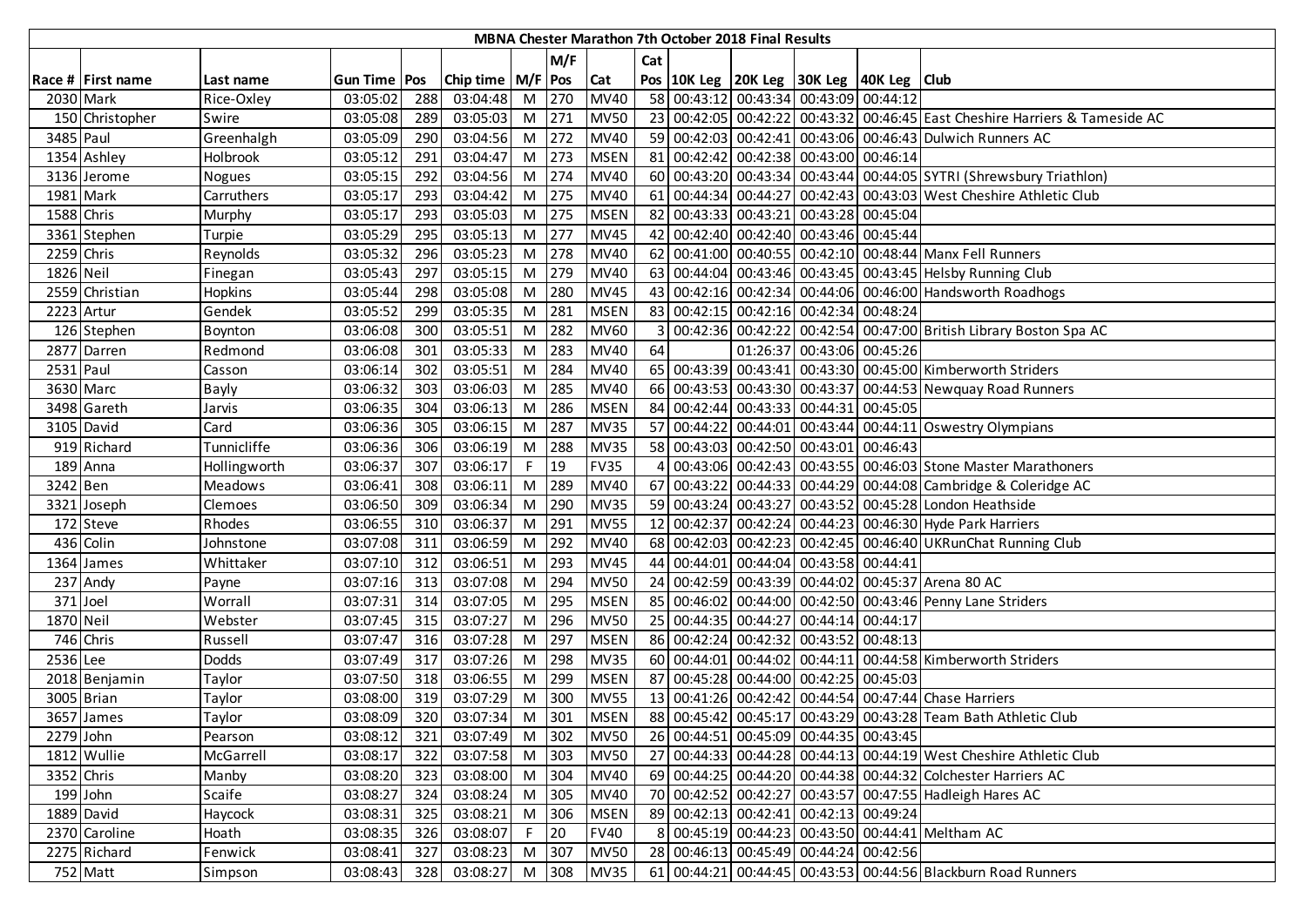|            |                   |                |                |     |                       |     |       |             |                | <b>MBNA Chester Marathon 7th October 2018 Final Results</b> |                                        |                                                    |                                                                             |
|------------|-------------------|----------------|----------------|-----|-----------------------|-----|-------|-------------|----------------|-------------------------------------------------------------|----------------------------------------|----------------------------------------------------|-----------------------------------------------------------------------------|
|            |                   |                |                |     |                       |     | M/F   |             | Cat            |                                                             |                                        |                                                    |                                                                             |
|            | Race # First name | Last name      | Gun Time   Pos |     | Chip time   M/F   Pos |     |       | Cat         |                |                                                             |                                        | Pos   10K Leg   20K Leg   30K Leg   40K Leg   Club |                                                                             |
|            | 2030 Mark         | Rice-Oxley     | 03:05:02       | 288 | 03:04:48              | M   | 270   | <b>MV40</b> |                |                                                             | 58 00:43:12 00:43:34 00:43:09 00:44:12 |                                                    |                                                                             |
|            | 150 Christopher   | Swire          | 03:05:08       | 289 | 03:05:03              | $M$ | 271   | <b>MV50</b> |                |                                                             |                                        |                                                    | 23 00:42:05 00:42:22 00:43:32 00:46:45 East Cheshire Harriers & Tameside AC |
| 3485 Paul  |                   | Greenhalgh     | 03:05:09       | 290 | 03:04:56              | M   | 272   | <b>MV40</b> |                |                                                             |                                        |                                                    | 59 00:42:03 00:42:41 00:43:06 00:46:43 Dulwich Runners AC                   |
|            | 1354 Ashley       | Holbrook       | 03:05:12       | 291 | 03:04:47              | M   | 273   | <b>MSEN</b> |                |                                                             | 81 00:42:42 00:42:38 00:43:00 00:46:14 |                                                    |                                                                             |
|            | 3136 Jerome       | Nogues         | 03:05:15       | 292 | 03:04:56              | M   | 274   | <b>MV40</b> |                |                                                             |                                        |                                                    | 60 00:43:20 00:43:34 00:43:44 00:44:05 SYTRI (Shrewsbury Triathlon)         |
|            | 1981 Mark         | Carruthers     | 03:05:17       | 293 | 03:04:42              | M   | 275   | <b>MV40</b> |                |                                                             |                                        |                                                    | 61 00:44:34 00:44:27 00:42:43 00:43:03 West Cheshire Athletic Club          |
| 1588 Chris |                   | Murphy         | 03:05:17       | 293 | 03:05:03              | M   | 275   | <b>MSEN</b> |                |                                                             | 82 00:43:33 00:43:21 00:43:28 00:45:04 |                                                    |                                                                             |
|            | 3361 Stephen      | Turpie         | 03:05:29       | 295 | 03:05:13              | M   | 277   | <b>MV45</b> |                |                                                             | 42 00:42:40 00:42:40 00:43:46 00:45:44 |                                                    |                                                                             |
| 2259 Chris |                   | Reynolds       | 03:05:32       | 296 | 03:05:23              | M   | 278   | <b>MV40</b> |                |                                                             |                                        |                                                    | 62 00:41:00 00:40:55 00:42:10 00:48:44 Manx Fell Runners                    |
| 1826 Neil  |                   | Finegan        | 03:05:43       | 297 | 03:05:15              | M   | 279   | <b>MV40</b> |                |                                                             |                                        |                                                    | 63 00:44:04 00:43:46 00:43:45 00:43:45 Helsby Running Club                  |
|            | 2559 Christian    | Hopkins        | 03:05:44       | 298 | 03:05:08              | M   | 280   | <b>MV45</b> |                |                                                             |                                        |                                                    | 43 00:42:16 00:42:34 00:44:06 00:46:00 Handsworth Roadhogs                  |
|            | 2223 Artur        | Gendek         | 03:05:52       | 299 | 03:05:35              | M   | 281   | <b>MSEN</b> |                |                                                             | 83 00:42:15 00:42:16 00:42:34 00:48:24 |                                                    |                                                                             |
|            | 126 Stephen       | Boynton        | 03:06:08       | 300 | 03:05:51              | M   | 282   | <b>MV60</b> | $\overline{3}$ |                                                             |                                        |                                                    | 00:42:36 00:42:22 00:42:54 00:47:00 British Library Boston Spa AC           |
|            | 2877 Darren       | Redmond        | 03:06:08       | 301 | 03:05:33              | M   | 283   | <b>MV40</b> | 64             |                                                             | 01:26:37 00:43:06 00:45:26             |                                                    |                                                                             |
| 2531 Paul  |                   | Casson         | 03:06:14       | 302 | 03:05:51              | M   | 284   | <b>MV40</b> |                |                                                             |                                        |                                                    | 65 00:43:39 00:43:41 00:43:30 00:45:00 Kimberworth Striders                 |
|            | 3630 Marc         | <b>Bayly</b>   | 03:06:32       | 303 | 03:06:03              | M   | 285   | <b>MV40</b> |                |                                                             |                                        |                                                    | 66 00:43:53 00:43:30 00:43:37 00:44:53 Newquay Road Runners                 |
|            | 3498 Gareth       | Jarvis         | 03:06:35       | 304 | 03:06:13              | M   | 286   | <b>MSEN</b> |                |                                                             | 84 00:42:44 00:43:33 00:44:31 00:45:05 |                                                    |                                                                             |
|            | 3105 David        | Card           | 03:06:36       | 305 | 03:06:15              | M   | 287   | <b>MV35</b> |                |                                                             |                                        |                                                    | 57 00:44:22 00:44:01 00:43:44 00:44:11 Oswestry Olympians                   |
|            | 919 Richard       | Tunnicliffe    | 03:06:36       | 306 | 03:06:19              | M   | 288   | <b>MV35</b> |                |                                                             | 58 00:43:03 00:42:50 00:43:01 00:46:43 |                                                    |                                                                             |
|            | 189 Anna          | Hollingworth   | 03:06:37       | 307 | 03:06:17              | F   | 19    | <b>FV35</b> | 4              |                                                             |                                        |                                                    | 00:43:06 00:42:43 00:43:55 00:46:03 Stone Master Marathoners                |
| 3242 Ben   |                   | <b>Meadows</b> | 03:06:41       | 308 | 03:06:11              | M   | 289   | <b>MV40</b> |                |                                                             |                                        |                                                    | 67 00:43:22 00:44:33 00:44:29 00:44:08 Cambridge & Coleridge AC             |
|            | 3321 Joseph       | Clemoes        | 03:06:50       | 309 | 03:06:34              | M   | 290   | <b>MV35</b> |                |                                                             |                                        |                                                    | 59 00:43:24 00:43:27 00:43:52 00:45:28 London Heathside                     |
|            | 172 Steve         | Rhodes         | 03:06:55       | 310 | 03:06:37              | M   | 291   | <b>MV55</b> |                |                                                             |                                        |                                                    | 12 00:42:37 00:42:24 00:44:23 00:46:30 Hyde Park Harriers                   |
|            | 436 Colin         | Johnstone      | 03:07:08       | 311 | 03:06:59              | M   | 292   | <b>MV40</b> |                |                                                             |                                        |                                                    | 68 00:42:03 00:42:23 00:42:45 00:46:40 UKRunChat Running Club               |
|            | 1364 James        | Whittaker      | 03:07:10       | 312 | 03:06:51              | M   | 293   | <b>MV45</b> |                |                                                             | 44 00:44:01 00:44:04 00:43:58 00:44:41 |                                                    |                                                                             |
|            | 237 Andy          | Payne          | 03:07:16       | 313 | 03:07:08              | M   | 294   | <b>MV50</b> |                |                                                             |                                        |                                                    | 24 00:42:59 00:43:39 00:44:02 00:45:37 Arena 80 AC                          |
| 371 Joel   |                   | Worrall        | 03:07:31       | 314 | 03:07:05              | M   | 295   | <b>MSEN</b> |                |                                                             |                                        |                                                    | 85 00:46:02 00:44:00 00:42:50 00:43:46 Penny Lane Striders                  |
| 1870 Neil  |                   | Webster        | 03:07:45       | 315 | 03:07:27              | M   | 296   | <b>MV50</b> |                |                                                             | 25 00:44:35 00:44:27 00:44:14 00:44:17 |                                                    |                                                                             |
|            | 746 Chris         | Russell        | 03:07:47       | 316 | 03:07:28              | M   | 297   | <b>MSEN</b> |                |                                                             | 86 00:42:24 00:42:32 00:43:52 00:48:13 |                                                    |                                                                             |
| 2536 Lee   |                   | <b>Dodds</b>   | 03:07:49       | 317 | 03:07:26              | M   | 298   | <b>MV35</b> |                |                                                             |                                        |                                                    | 60 00:44:01 00:44:02 00:44:11 00:44:58 Kimberworth Striders                 |
|            | 2018 Benjamin     | Taylor         | 03:07:50       | 318 | 03:06:55              | M   | 299   | <b>MSEN</b> |                |                                                             | 87 00:45:28 00:44:00 00:42:25 00:45:03 |                                                    |                                                                             |
|            | 3005 Brian        | Taylor         | 03:08:00       | 319 | 03:07:29              | M   | 300   | <b>MV55</b> |                |                                                             |                                        |                                                    | 13 00:41:26 00:42:42 00:44:54 00:47:44 Chase Harriers                       |
|            | 3657 James        | Taylor         | 03:08:09       | 320 | 03:07:34              | M   | 301   | <b>MSEN</b> |                |                                                             |                                        |                                                    | 88 00:45:42 00:45:17 00:43:29 00:43:28 Team Bath Athletic Club              |
| 2279 John  |                   | Pearson        | 03:08:12       | 321 | 03:07:49              |     | M 302 | <b>MV50</b> |                |                                                             |                                        | 26 00:44:51 00:45:09 00:44:35 00:43:45             |                                                                             |
|            | 1812 Wullie       | McGarrell      | 03:08:17       | 322 | 03:07:58              |     | M 303 | <b>MV50</b> |                |                                                             |                                        |                                                    | 27 00:44:33 00:44:28 00:44:13 00:44:19 West Cheshire Athletic Club          |
| 3352 Chris |                   | Manby          | 03:08:20       | 323 | 03:08:00              | M   | 304   | <b>MV40</b> |                |                                                             |                                        |                                                    | 69 00:44:25 00:44:20 00:44:38 00:44:32 Colchester Harriers AC               |
|            | 199 John          | Scaife         | 03:08:27       | 324 | 03:08:24              | M   | 305   | <b>MV40</b> |                |                                                             |                                        |                                                    | 70 00:42:52 00:42:27 00:43:57 00:47:55 Hadleigh Hares AC                    |
|            | 1889 David        | Haycock        | 03:08:31       | 325 | 03:08:21              | M   | 306   | <b>MSEN</b> |                |                                                             |                                        | 89 00:42:13 00:42:41 00:42:13 00:49:24             |                                                                             |
|            | 2370 Caroline     | Hoath          | 03:08:35       | 326 | 03:08:07              | F   | 20    | <b>FV40</b> |                |                                                             |                                        |                                                    | 8 00:45:19 00:44:23 00:43:50 00:44:41 Meltham AC                            |
|            | 2275 Richard      | Fenwick        | 03:08:41       | 327 | 03:08:23              | M   | 307   | <b>MV50</b> |                |                                                             |                                        | 28 00:46:13 00:45:49 00:44:24 00:42:56             |                                                                             |
|            | 752 Matt          | Simpson        | 03:08:43       | 328 | 03:08:27 M 308        |     |       | <b>MV35</b> |                |                                                             |                                        |                                                    | 61 00:44:21 00:44:45 00:43:53 00:44:56 Blackburn Road Runners               |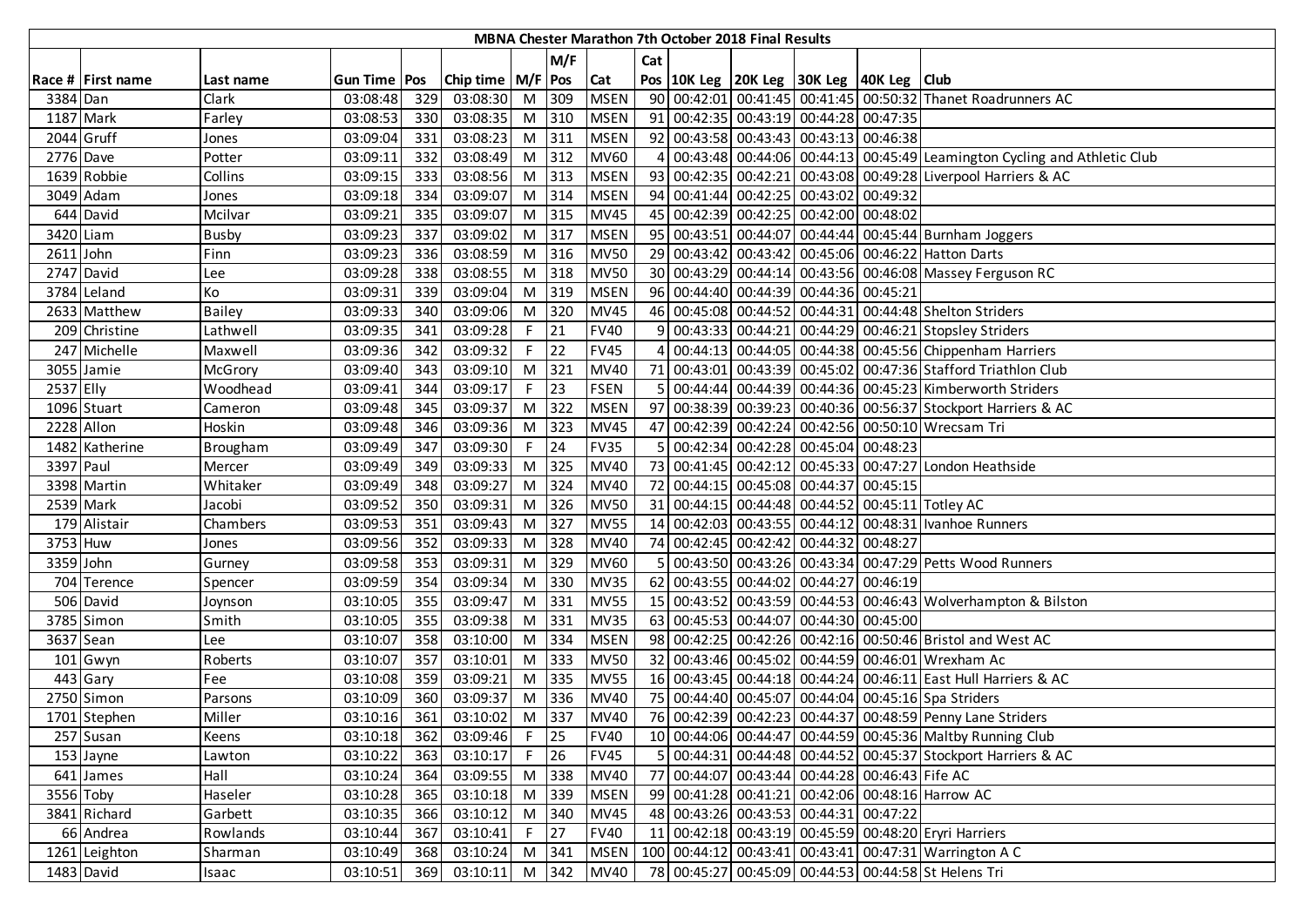|            |                   |                |                |     |                       |                |         |             |     | <b>MBNA Chester Marathon 7th October 2018 Final Results</b> |                                                    |                                                                            |
|------------|-------------------|----------------|----------------|-----|-----------------------|----------------|---------|-------------|-----|-------------------------------------------------------------|----------------------------------------------------|----------------------------------------------------------------------------|
|            |                   |                |                |     |                       |                | M/F     |             | Cat |                                                             |                                                    |                                                                            |
|            | Race # First name | Last name      | Gun Time   Pos |     | Chip time   M/F   Pos |                |         | Cat         |     |                                                             | Pos   10K Leg   20K Leg   30K Leg   40K Leg   Club |                                                                            |
| 3384 Dan   |                   | Clark          | 03:08:48       | 329 | 03:08:30              | $M$            | 309     | <b>MSEN</b> |     |                                                             |                                                    | 90 00:42:01 00:41:45 00:41:45 00:50:32 Thanet Roadrunners AC               |
| 1187 Mark  |                   | Farley         | 03:08:53       | 330 | 03:08:35              |                | M 310   | <b>MSEN</b> |     |                                                             | 91 00:42:35 00:43:19 00:44:28 00:47:35             |                                                                            |
|            | 2044 Gruff        | Jones          | 03:09:04       | 331 | 03:08:23              | M 311          |         | <b>MSEN</b> |     |                                                             | 92 00:43:58 00:43:43 00:43:13 00:46:38             |                                                                            |
| 2776 Dave  |                   | Potter         | 03:09:11       | 332 | 03:08:49              |                | M 312   | <b>MV60</b> |     |                                                             |                                                    | 4 00:43:48 00:44:06 00:44:13 00:45:49 Leamington Cycling and Athletic Club |
|            | 1639 Robbie       | Collins        | 03:09:15       | 333 | 03:08:56              |                | M 313   | <b>MSEN</b> |     |                                                             |                                                    | 93 00:42:35 00:42:21 00:43:08 00:49:28 Liverpool Harriers & AC             |
|            | 3049 Adam         | Jones          | 03:09:18       | 334 | 03:09:07              |                | M 314   | <b>MSEN</b> |     |                                                             | 94 00:41:44 00:42:25 00:43:02 00:49:32             |                                                                            |
|            | 644 David         | Mcilvar        | 03:09:21       | 335 | 03:09:07              |                | $M$ 315 | <b>MV45</b> |     |                                                             | 45 00:42:39 00:42:25 00:42:00 00:48:02             |                                                                            |
| 3420 Liam  |                   | Busby          | 03:09:23       | 337 | 03:09:02              | M              | 317     | <b>MSEN</b> |     |                                                             |                                                    | 95 00:43:51 00:44:07 00:44:44 00:45:44 Burnham Joggers                     |
| 2611 John  |                   | Finn           | 03:09:23       | 336 | 03:08:59              | M I            | 316     | <b>MV50</b> |     |                                                             |                                                    | 29 00:43:42 00:43:42 00:45:06 00:46:22 Hatton Darts                        |
|            | 2747 David        | Lee            | 03:09:28       | 338 | 03:08:55              | M <sub>1</sub> | 318     | <b>MV50</b> |     |                                                             |                                                    | 30 00:43:29 00:44:14 00:43:56 00:46:08 Massey Ferguson RC                  |
|            | 3784 Leland       | Ko             | 03:09:31       | 339 | 03:09:04              | M I            | 319     | <b>MSEN</b> |     |                                                             | 96 00:44:40 00:44:39 00:44:36 00:45:21             |                                                                            |
|            | 2633 Matthew      | <b>Bailey</b>  | 03:09:33       | 340 | 03:09:06              | M              | 320     | <b>MV45</b> |     |                                                             |                                                    | 46 00:45:08 00:44:52 00:44:31 00:44:48 Shelton Striders                    |
|            | 209 Christine     | Lathwell       | 03:09:35       | 341 | 03:09:28              | F              | 21      | <b>FV40</b> |     |                                                             |                                                    | 9 00:43:33 00:44:21 00:44:29 00:46:21 Stopsley Striders                    |
|            | 247 Michelle      | Maxwell        | 03:09:36       | 342 | 03:09:32              | F.             | 22      | <b>FV45</b> |     |                                                             |                                                    | 4 00:44:13 00:44:05 00:44:38 00:45:56 Chippenham Harriers                  |
|            | 3055 Jamie        | <b>McGrory</b> | 03:09:40       | 343 | 03:09:10              | M              | 321     | <b>MV40</b> |     |                                                             |                                                    | 71 00:43:01 00:43:39 00:45:02 00:47:36 Stafford Triathlon Club             |
| 2537 Elly  |                   | Woodhead       | 03:09:41       | 344 | 03:09:17              | F.             | 23      | <b>FSEN</b> |     |                                                             |                                                    | 5 00:44:44 00:44:39 00:44:36 00:45:23 Kimberworth Striders                 |
|            | 1096 Stuart       | Cameron        | 03:09:48       | 345 | 03:09:37              |                | M 322   | <b>MSEN</b> |     |                                                             |                                                    | 97 00:38:39 00:39:23 00:40:36 00:56:37 Stockport Harriers & AC             |
| 2228 Allon |                   | Hoskin         | 03:09:48       | 346 | 03:09:36              |                | M 323   | <b>MV45</b> |     |                                                             |                                                    | 47 00:42:39 00:42:24 00:42:56 00:50:10 Wrecsam Tri                         |
|            | 1482 Katherine    | Brougham       | 03:09:49       | 347 | 03:09:30              | F.             | 24      | <b>FV35</b> |     |                                                             | 5 00:42:34 00:42:28 00:45:04 00:48:23              |                                                                            |
| 3397 Paul  |                   | Mercer         | 03:09:49       | 349 | 03:09:33              | M              | 325     | <b>MV40</b> |     |                                                             |                                                    | 73 00:41:45 00:42:12 00:45:33 00:47:27 London Heathside                    |
|            | 3398 Martin       | Whitaker       | 03:09:49       | 348 | 03:09:27              | M              | 324     | <b>MV40</b> |     |                                                             | 72 00:44:15 00:45:08 00:44:37 00:45:15             |                                                                            |
|            | 2539 Mark         | Jacobi         | 03:09:52       | 350 | 03:09:31              | M              | 326     | <b>MV50</b> |     |                                                             |                                                    | 31 00:44:15 00:44:48 00:44:52 00:45:11 Totley AC                           |
|            | 179 Alistair      | Chambers       | 03:09:53       | 351 | 03:09:43              | M              | 327     | <b>MV55</b> |     |                                                             |                                                    | 14 00:42:03 00:43:55 00:44:12 00:48:31   Ivanhoe Runners                   |
| 3753 Huw   |                   | Jones          | 03:09:56       | 352 | 03:09:33              | M              | 328     | <b>MV40</b> |     |                                                             | 74 00:42:45 00:42:42 00:44:32 00:48:27             |                                                                            |
| 3359 John  |                   | Gurney         | 03:09:58       | 353 | 03:09:31              | M              | 329     | <b>MV60</b> |     |                                                             |                                                    | 5 00:43:50 00:43:26 00:43:34 00:47:29 Petts Wood Runners                   |
|            | 704 Terence       | Spencer        | 03:09:59       | 354 | 03:09:34              | M              | 330     | <b>MV35</b> |     |                                                             | 62 00:43:55 00:44:02 00:44:27 00:46:19             |                                                                            |
|            | 506 David         | Joynson        | 03:10:05       | 355 | 03:09:47              | M              | 331     | <b>MV55</b> |     |                                                             |                                                    | 15 00:43:52 00:43:59 00:44:53 00:46:43 Wolverhampton & Bilston             |
|            | 3785 Simon        | Smith          | 03:10:05       | 355 | 03:09:38              | M              | 331     | <b>MV35</b> |     |                                                             | 63 00:45:53 00:44:07 00:44:30 00:45:00             |                                                                            |
|            | 3637 Sean         | Lee            | 03:10:07       | 358 | 03:10:00              | M I            | 334     | <b>MSEN</b> |     |                                                             |                                                    | 98 00:42:25 00:42:26 00:42:16 00:50:46 Bristol and West AC                 |
|            | 101 Gwyn          | Roberts        | 03:10:07       | 357 | 03:10:01              | M I            | 333     | <b>MV50</b> |     |                                                             |                                                    | 32 00:43:46 00:45:02 00:44:59 00:46:01 Wrexham Ac                          |
|            | 443 Gary          | Fee            | 03:10:08       | 359 | 03:09:21              | M              | 335     | <b>MV55</b> |     |                                                             |                                                    | 16 00:43:45 00:44:18 00:44:24 00:46:11 East Hull Harriers & AC             |
|            | 2750 Simon        | Parsons        | 03:10:09       | 360 | 03:09:37              | M              | 336     | <b>MV40</b> |     |                                                             |                                                    | 75 00:44:40 00:45:07 00:44:04 00:45:16 Spa Striders                        |
|            | 1701 Stephen      | Miller         | 03:10:16       | 361 | 03:10:02              | M              | 337     | <b>MV40</b> |     |                                                             |                                                    | 76 00:42:39 00:42:23 00:44:37 00:48:59 Penny Lane Striders                 |
|            | 257 Susan         | Keens          | 03:10:18       | 362 | 03:09:46              | $F$ 25         |         | <b>FV40</b> |     |                                                             |                                                    | 10 00:44:06 00:44:47 00:44:59 00:45:36 Maltby Running Club                 |
|            | 153 Jayne         | Lawton         | 03:10:22       | 363 | 03:10:17              | F              | 26      | <b>FV45</b> |     |                                                             |                                                    | 5 00:44:31 00:44:48 00:44:52 00:45:37 Stockport Harriers & AC              |
|            | 641 James         | Hall           | 03:10:24       | 364 | 03:09:55              |                | M 338   | <b>MV40</b> |     |                                                             | 77 00:44:07 00:43:44 00:44:28 00:46:43 Fife AC     |                                                                            |
| 3556 Toby  |                   | Haseler        | 03:10:28       | 365 | 03:10:18              |                | M 339   | <b>MSEN</b> |     |                                                             |                                                    | 99 00:41:28 00:41:21 00:42:06 00:48:16 Harrow AC                           |
|            | 3841 Richard      | Garbett        | 03:10:35       | 366 | 03:10:12              |                | M 340   | <b>MV45</b> |     |                                                             | 48 00:43:26 00:43:53 00:44:31 00:47:22             |                                                                            |
|            | 66 Andrea         | Rowlands       | 03:10:44       | 367 | 03:10:41              | F              | 27      | <b>FV40</b> |     |                                                             |                                                    | 11 00:42:18 00:43:19 00:45:59 00:48:20 Eryri Harriers                      |
|            | 1261 Leighton     | Sharman        | 03:10:49       | 368 | 03:10:24              |                | M 341   | <b>MSEN</b> |     |                                                             |                                                    | 100 00:44:12 00:43:41 00:43:41 00:47:31 Warrington A C                     |
|            | 1483 David        | Isaac          | 03:10:51       | 369 | 03:10:11              |                | $M$ 342 | <b>MV40</b> |     |                                                             |                                                    | 78 00:45:27 00:45:09 00:44:53 00:44:58 St Helens Tri                       |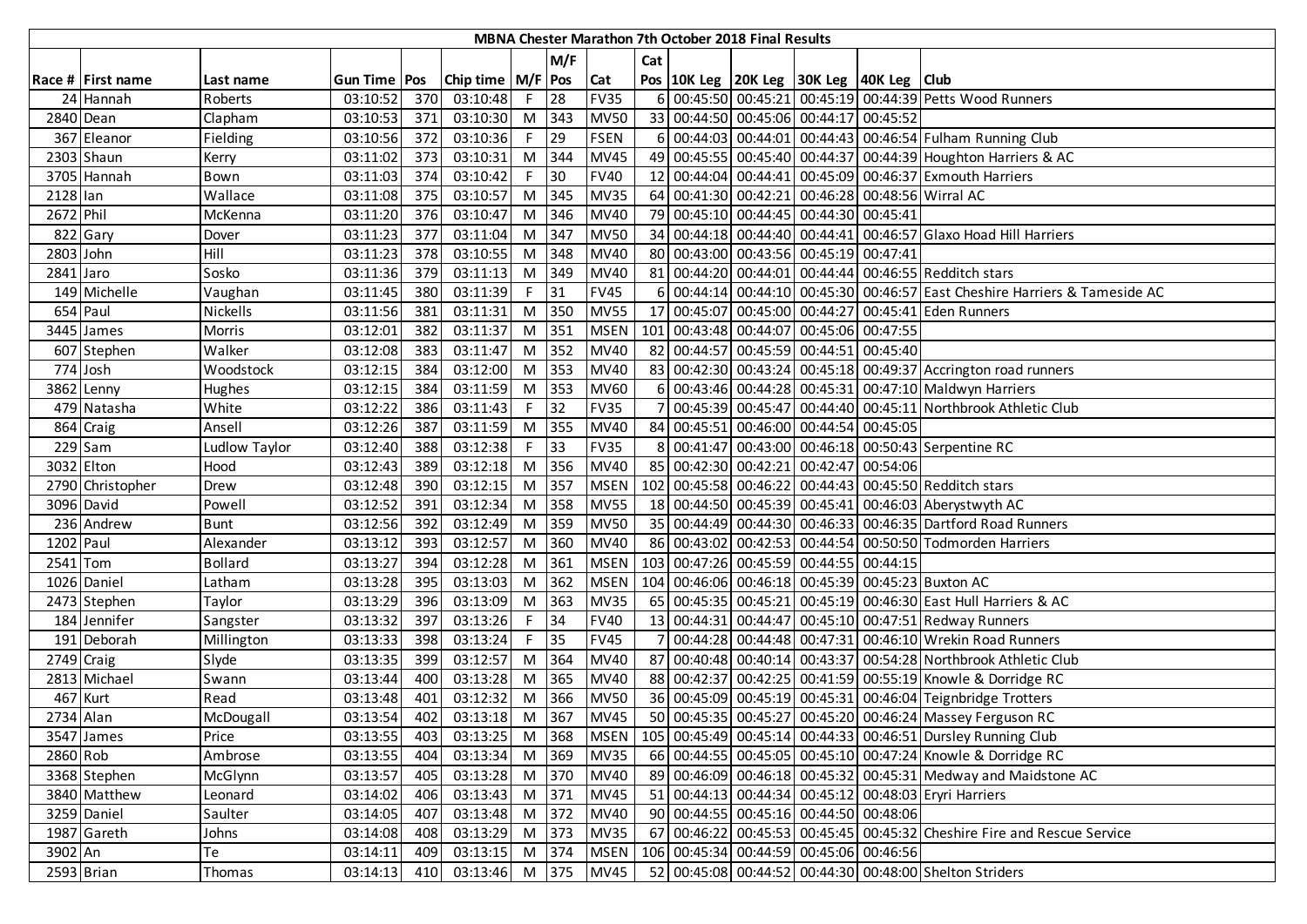|            |                   |                |                       |     |                       |                |         |             |     | <b>MBNA Chester Marathon 7th October 2018 Final Results</b> |                                                    |                                                                               |
|------------|-------------------|----------------|-----------------------|-----|-----------------------|----------------|---------|-------------|-----|-------------------------------------------------------------|----------------------------------------------------|-------------------------------------------------------------------------------|
|            |                   |                |                       |     |                       |                | M/F     |             | Cat |                                                             |                                                    |                                                                               |
|            | Race # First name | Last name      | <b>Gun Time   Pos</b> |     | Chip time   M/F   Pos |                |         | Cat         |     |                                                             | Pos   10K Leg   20K Leg   30K Leg   40K Leg   Club |                                                                               |
|            | 24 Hannah         | Roberts        | 03:10:52              | 370 | 03:10:48              | $F^{\top}$     | 28      | <b>FV35</b> |     |                                                             |                                                    | 6 00:45:50 00:45:21 00:45:19 00:44:39 Petts Wood Runners                      |
|            | 2840 Dean         | Clapham        | 03:10:53              | 371 | 03:10:30              |                | M 343   | <b>MV50</b> |     |                                                             | 33 00:44:50 00:45:06 00:44:17 00:45:52             |                                                                               |
|            | 367 Eleanor       | Fielding       | 03:10:56              | 372 | 03:10:36              | F.             | 29      | <b>FSEN</b> |     |                                                             |                                                    | 6 00:44:03 00:44:01 00:44:43 00:46:54 Fulham Running Club                     |
|            | 2303 Shaun        | Kerry          | 03:11:02              | 373 | 03:10:31              |                | M 344   | <b>MV45</b> |     |                                                             |                                                    | 49 00:45:55 00:45:40 00:44:37 00:44:39 Houghton Harriers & AC                 |
|            | 3705 Hannah       | Bown           | 03:11:03              | 374 | 03:10:42              | F.             | 30      | <b>FV40</b> |     |                                                             |                                                    | 12 00:44:04 00:44:41 00:45:09 00:46:37 Exmouth Harriers                       |
| 2128 lan   |                   | Wallace        | 03:11:08              | 375 | 03:10:57              |                | $M$ 345 | <b>MV35</b> |     |                                                             |                                                    | 64 00:41:30 00:42:21 00:46:28 00:48:56 Wirral AC                              |
| 2672 Phil  |                   | McKenna        | 03:11:20              | 376 | 03:10:47              | M              | 346     | <b>MV40</b> |     |                                                             | 79 00:45:10 00:44:45 00:44:30 00:45:41             |                                                                               |
|            | 822 Gary          | Dover          | 03:11:23              | 377 | 03:11:04              | M              | 347     | <b>MV50</b> |     |                                                             |                                                    | 34 00:44:18 00:44:40 00:44:41 00:46:57 Glaxo Hoad Hill Harriers               |
| 2803 John  |                   | Hill           | 03:11:23              | 378 | 03:10:55              | M I            | 348     | <b>MV40</b> |     |                                                             | 80 00:43:00 00:43:56 00:45:19 00:47:41             |                                                                               |
| 2841 Jaro  |                   | Sosko          | 03:11:36              | 379 | 03:11:13              | M              | 349     | <b>MV40</b> |     |                                                             |                                                    | 81 00:44:20 00:44:01 00:44:44 00:46:55 Redditch stars                         |
|            | 149 Michelle      | Vaughan        | 03:11:45              | 380 | 03:11:39              | F              | 31      | <b>FV45</b> | 61  |                                                             |                                                    | 00:44:14 00:44:10 00:45:30 00:46:57 East Cheshire Harriers & Tameside AC      |
| 654 Paul   |                   | Nickells       | 03:11:56              | 381 | 03:11:31              | M <sub>1</sub> | 350     | <b>MV55</b> |     |                                                             |                                                    | 17 00:45:07 00:45:00 00:44:27 00:45:41 Eden Runners                           |
|            | 3445 James        | Morris         | 03:12:01              | 382 | 03:11:37              | M              | 351     | <b>MSEN</b> |     |                                                             | 101 00:43:48 00:44:07 00:45:06 00:47:55            |                                                                               |
|            | 607 Stephen       | Walker         | 03:12:08              | 383 | 03:11:47              | M              | 352     | <b>MV40</b> |     |                                                             | 82 00:44:57 00:45:59 00:44:51 00:45:40             |                                                                               |
|            | 774 Josh          | Woodstock      | 03:12:15              | 384 | 03:12:00              | M              | 353     | <b>MV40</b> |     |                                                             |                                                    | 83 00:42:30 00:43:24 00:45:18 00:49:37 Accrington road runners                |
|            | 3862 Lenny        | Hughes         | 03:12:15              | 384 | 03:11:59              |                | $M$ 353 | <b>MV60</b> |     |                                                             |                                                    | 6 00:43:46 00:44:28 00:45:31 00:47:10 Maldwyn Harriers                        |
|            | 479 Natasha       | White          | 03:12:22              | 386 | 03:11:43              | $F^{-1}$       | 32      | <b>FV35</b> |     |                                                             |                                                    | 7 00:45:39 00:45:47 00:44:40 00:45:11 Northbrook Athletic Club                |
|            | 864 Craig         | Ansell         | 03:12:26              | 387 | 03:11:59              |                | M 355   | <b>MV40</b> |     |                                                             | 84 00:45:51 00:46:00 00:44:54 00:45:05             |                                                                               |
|            | $229$ Sam         | Ludlow Taylor  | 03:12:40              | 388 | 03:12:38              | F              | 33      | <b>FV35</b> |     |                                                             |                                                    | 8 00:41:47 00:43:00 00:46:18 00:50:43 Serpentine RC                           |
|            | 3032 Elton        | Hood           | 03:12:43              | 389 | 03:12:18              | M              | 356     | <b>MV40</b> |     |                                                             | 85 00:42:30 00:42:21 00:42:47 00:54:06             |                                                                               |
|            | 2790 Christopher  | <b>Drew</b>    | 03:12:48              | 390 | 03:12:15              | M              | 357     | <b>MSEN</b> |     |                                                             |                                                    | 102 00:45:58 00:46:22 00:44:43 00:45:50 Redditch stars                        |
|            | 3096 David        | Powell         | 03:12:52              | 391 | 03:12:34              | M I            | 358     | <b>MV55</b> |     |                                                             |                                                    | 18 00:44:50 00:45:39 00:45:41 00:46:03 Aberystwyth AC                         |
|            | 236 Andrew        | Bunt           | 03:12:56              | 392 | 03:12:49              | M <sub>1</sub> | 359     | <b>MV50</b> |     |                                                             |                                                    | 35 00:44:49 00:44:30 00:46:33 00:46:35 Dartford Road Runners                  |
| 1202 Paul  |                   | Alexander      | 03:13:12              | 393 | 03:12:57              | M              | 360     | <b>MV40</b> |     |                                                             |                                                    | 86 00:43:02 00:42:53 00:44:54 00:50:50 Todmorden Harriers                     |
| 2541 Tom   |                   | <b>Bollard</b> | 03:13:27              | 394 | 03:12:28              | M              | 361     | <b>MSEN</b> |     |                                                             | 103 00:47:26 00:45:59 00:44:55 00:44:15            |                                                                               |
|            | 1026 Daniel       | Latham         | 03:13:28              | 395 | 03:13:03              | M              | 362     | <b>MSEN</b> |     |                                                             |                                                    | 104 00:46:06 00:46:18 00:45:39 00:45:23 Buxton AC                             |
|            | 2473 Stephen      | Taylor         | 03:13:29              | 396 | 03:13:09              | M              | 363     | <b>MV35</b> |     |                                                             |                                                    | 65 00:45:35 00:45:21 00:45:19 00:46:30 East Hull Harriers & AC                |
|            | 184 Jennifer      | Sangster       | 03:13:32              | 397 | 03:13:26              | F.             | 34      | <b>FV40</b> |     |                                                             |                                                    | 13 00:44:31 00:44:47 00:45:10 00:47:51 Redway Runners                         |
|            | 191 Deborah       | Millington     | 03:13:33              | 398 | 03:13:24              | F.             | 35      | <b>FV45</b> |     |                                                             |                                                    | 7 00:44:28 00:44:48 00:47:31 00:46:10 Wrekin Road Runners                     |
| 2749 Craig |                   | Slyde          | 03:13:35              | 399 | 03:12:57              | M <sub>1</sub> | 364     | <b>MV40</b> |     |                                                             |                                                    | 87 00:40:48 00:40:14 00:43:37 00:54:28 Northbrook Athletic Club               |
|            | 2813 Michael      | Swann          | 03:13:44              | 400 | 03:13:28              | M              | 365     | <b>MV40</b> |     |                                                             |                                                    | 88 00:42:37 00:42:25 00:41:59 00:55:19 Knowle & Dorridge RC                   |
| 467 Kurt   |                   | Read           | 03:13:48              | 401 | 03:12:32              | M              | 366     | <b>MV50</b> |     |                                                             |                                                    | 36 00:45:09 00:45:19 00:45:31 00:46:04 Teignbridge Trotters                   |
| 2734 Alan  |                   | McDougall      | 03:13:54              | 402 | 03:13:18              | M              | 367     | <b>MV45</b> |     |                                                             |                                                    | 50 00:45:35 00:45:27 00:45:20 00:46:24 Massey Ferguson RC                     |
|            | 3547 James        | Price          | 03:13:55              | 403 | 03:13:25              |                | M 368   |             |     |                                                             |                                                    | MSEN   105   00:45:49   00:45:14   00:44:33   00:46:51   Dursley Running Club |
| 2860 Rob   |                   | Ambrose        | 03:13:55              | 404 | 03:13:34              |                | M 369   | <b>MV35</b> |     |                                                             |                                                    | 66 00:44:55 00:45:05 00:45:10 00:47:24 Knowle & Dorridge RC                   |
|            | 3368 Stephen      | McGlynn        | 03:13:57              | 405 | 03:13:28              |                | M 370   | <b>MV40</b> |     |                                                             |                                                    | 89 00:46:09 00:46:18 00:45:32 00:45:31 Medway and Maidstone AC                |
|            | 3840 Matthew      | Leonard        | 03:14:02              | 406 | 03:13:43              |                | M 371   | <b>MV45</b> |     |                                                             |                                                    | 51 00:44:13 00:44:34 00:45:12 00:48:03 Eryri Harriers                         |
|            | 3259 Daniel       | Saulter        | 03:14:05              | 407 | 03:13:48              |                | M 372   | <b>MV40</b> |     |                                                             | 90 00:44:55 00:45:16 00:44:50 00:48:06             |                                                                               |
|            | 1987 Gareth       | Johns          | 03:14:08              | 408 | 03:13:29              |                | M 373   | <b>MV35</b> |     |                                                             |                                                    | 67 00:46:22 00:45:53 00:45:45 00:45:32 Cheshire Fire and Rescue Service       |
| 3902 An    |                   | Te             | 03:14:11              | 409 | 03:13:15              |                | M 374   | <b>MSEN</b> |     |                                                             | 106 00:45:34 00:44:59 00:45:06 00:46:56            |                                                                               |
|            | 2593 Brian        | Thomas         | 03:14:13              | 410 | 03:13:46 M 375 MV45   |                |         |             |     |                                                             |                                                    | 52 00:45:08 00:44:52 00:44:30 00:48:00 Shelton Striders                       |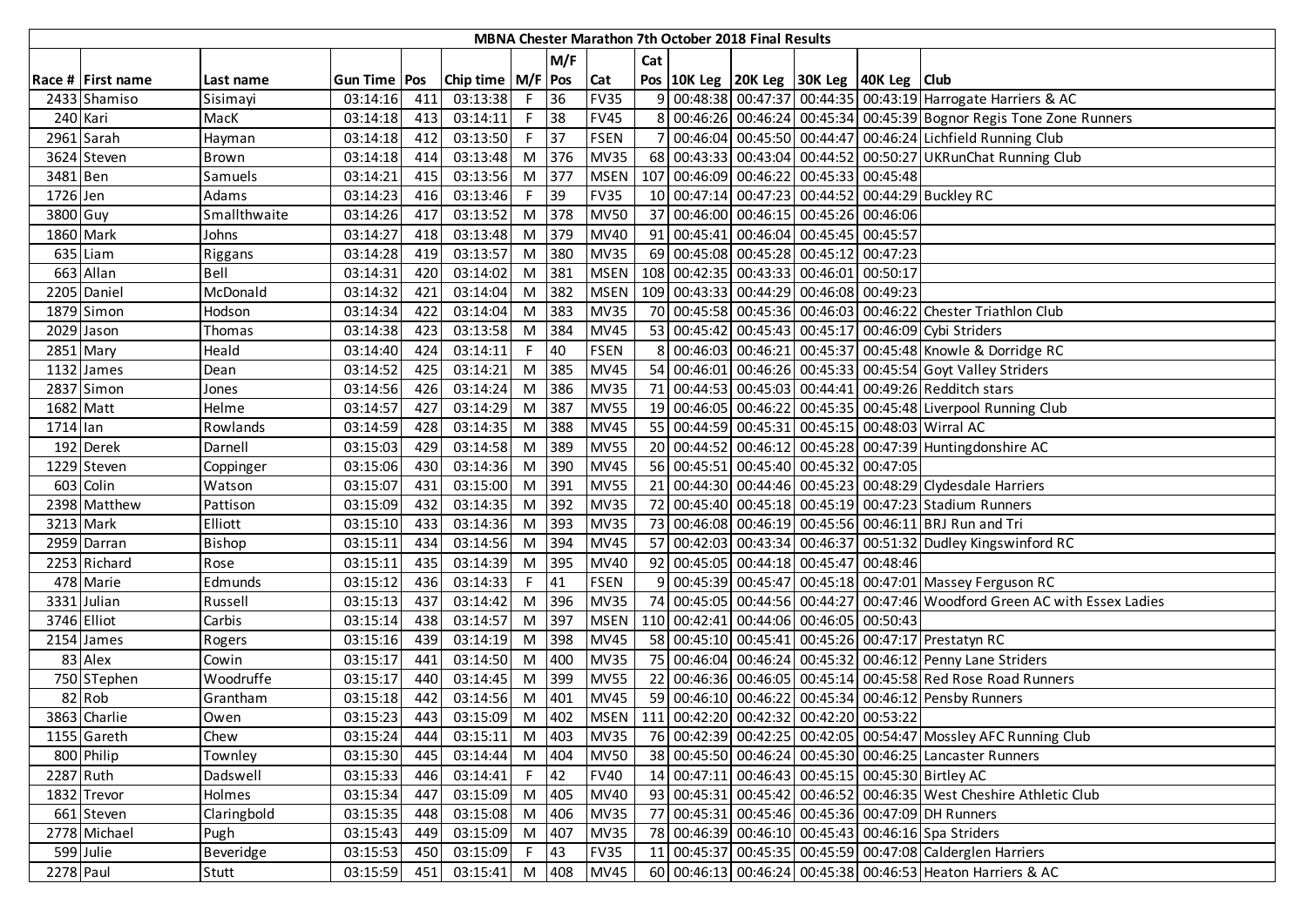|           |                   |               |                       |     |                       |                |       |             |     | MBNA Chester Marathon 7th October 2018 Final Results |                                                    |                                                                            |
|-----------|-------------------|---------------|-----------------------|-----|-----------------------|----------------|-------|-------------|-----|------------------------------------------------------|----------------------------------------------------|----------------------------------------------------------------------------|
|           |                   |               |                       |     |                       |                | M/F   |             | Cat |                                                      |                                                    |                                                                            |
|           | Race # First name | Last name     | <b>Gun Time   Pos</b> |     | Chip time   M/F   Pos |                |       | Cat         |     |                                                      | Pos   10K Leg   20K Leg   30K Leg   40K Leg   Club |                                                                            |
|           | 2433 Shamiso      | Sisimayi      | 03:14:16              | 411 | 03:13:38              | $F^{-1}$       | 36    | <b>FV35</b> |     |                                                      |                                                    | 9 00:48:38 00:47:37 00:44:35 00:43:19 Harrogate Harriers & AC              |
|           | 240 Kari          | MacK          | 03:14:18              | 413 | 03:14:11              | F              | 38    | <b>FV45</b> |     |                                                      |                                                    | 8 00:46:26 00:46:24 00:45:34 00:45:39 Bognor Regis Tone Zone Runners       |
|           | 2961 Sarah        | Hayman        | 03:14:18              | 412 | 03:13:50              | F              | 37    | <b>FSEN</b> |     |                                                      |                                                    | 7 00:46:04 00:45:50 00:44:47 00:46:24 Lichfield Running Club               |
|           | 3624 Steven       | Brown         | 03:14:18              | 414 | 03:13:48              |                | M 376 | <b>MV35</b> |     |                                                      |                                                    | 68 00:43:33 00:43:04 00:44:52 00:50:27 UKRunChat Running Club              |
| 3481 Ben  |                   | Samuels       | 03:14:21              | 415 | 03:13:56              | M              | 377   | <b>MSEN</b> |     |                                                      | 107 00:46:09 00:46:22 00:45:33 00:45:48            |                                                                            |
| 1726 Jen  |                   | Adams         | 03:14:23              | 416 | 03:13:46              | F.             | 39    | <b>FV35</b> |     |                                                      |                                                    | 10 00:47:14 00:47:23 00:44:52 00:44:29 Buckley RC                          |
| 3800 Guy  |                   | Smallthwaite  | 03:14:26              | 417 | 03:13:52              | M <sub>1</sub> | 378   | <b>MV50</b> |     |                                                      | 37 00:46:00 00:46:15 00:45:26 00:46:06             |                                                                            |
|           | 1860 Mark         | Johns         | 03:14:27              | 418 | 03:13:48              | M              | 379   | <b>MV40</b> |     |                                                      | 91 00:45:41 00:46:04 00:45:45 00:45:57             |                                                                            |
|           | 635 Liam          | Riggans       | 03:14:28              | 419 | 03:13:57              | M              | 380   | <b>MV35</b> |     |                                                      | 69 00:45:08 00:45:28 00:45:12 00:47:23             |                                                                            |
|           | 663 Allan         | <b>Bell</b>   | 03:14:31              | 420 | 03:14:02              | M              | 381   | <b>MSEN</b> |     |                                                      | 108 00:42:35 00:43:33 00:46:01 00:50:17            |                                                                            |
|           | 2205 Daniel       | McDonald      | 03:14:32              | 421 | 03:14:04              | M              | 382   | <b>MSEN</b> |     |                                                      | 109 00:43:33 00:44:29 00:46:08 00:49:23            |                                                                            |
|           | $1879$ Simon      | Hodson        | 03:14:34              | 422 | 03:14:04              | M              | 383   | <b>MV35</b> |     |                                                      |                                                    | 70 00:45:58 00:45:36 00:46:03 00:46:22 Chester Triathlon Club              |
|           | 2029 Jason        | Thomas        | 03:14:38              | 423 | 03:13:58              | M              | 384   | <b>MV45</b> |     |                                                      |                                                    | 53 00:45:42 00:45:43 00:45:17 00:46:09 Cybi Striders                       |
|           | 2851 Mary         | Heald         | 03:14:40              | 424 | 03:14:11              | F.             | 40    | <b>FSEN</b> |     |                                                      |                                                    | 8 00:46:03 00:46:21 00:45:37 00:45:48 Knowle & Dorridge RC                 |
|           | 1132 James        | Dean          | 03:14:52              | 425 | 03:14:21              | M              | 385   | <b>MV45</b> |     |                                                      |                                                    | 54 00:46:01 00:46:26 00:45:33 00:45:54 Goyt Valley Striders                |
|           | 2837 Simon        | Jones         | 03:14:56              | 426 | 03:14:24              | M <sub>1</sub> | 386   | <b>MV35</b> |     |                                                      |                                                    | 71 00:44:53 00:45:03 00:44:41 00:49:26 Redditch stars                      |
| 1682 Matt |                   | Helme         | 03:14:57              | 427 | 03:14:29              | M              | 387   | <b>MV55</b> |     |                                                      |                                                    | 19 00:46:05 00:46:22 00:45:35 00:45:48 Liverpool Running Club              |
| 1714 lan  |                   | Rowlands      | 03:14:59              | 428 | 03:14:35              | M              | 388   | <b>MV45</b> |     |                                                      |                                                    | 55 00:44:59 00:45:31 00:45:15 00:48:03 Wirral AC                           |
|           | 192 Derek         | Darnell       | 03:15:03              | 429 | 03:14:58              | M              | 389   | <b>MV55</b> |     |                                                      |                                                    | 20 00:44:52 00:46:12 00:45:28 00:47:39 Huntingdonshire AC                  |
|           | 1229 Steven       | Coppinger     | 03:15:06              | 430 | 03:14:36              | M              | 390   | <b>MV45</b> |     |                                                      | 56 00:45:51 00:45:40 00:45:32 00:47:05             |                                                                            |
|           | 603 Colin         | Watson        | 03:15:07              | 431 | 03:15:00              | M              | 391   | <b>MV55</b> |     |                                                      |                                                    | 21 00:44:30 00:44:46 00:45:23 00:48:29 Clydesdale Harriers                 |
|           | 2398 Matthew      | Pattison      | 03:15:09              | 432 | 03:14:35              | M              | 392   | <b>MV35</b> |     |                                                      |                                                    | 72 00:45:40 00:45:18 00:45:19 00:47:23 Stadium Runners                     |
|           | 3213 Mark         | Elliott       | 03:15:10              | 433 | 03:14:36              | M              | 393   | <b>MV35</b> |     |                                                      |                                                    | 73 00:46:08 00:46:19 00:45:56 00:46:11 BRJ Run and Tri                     |
|           | 2959 Darran       | <b>Bishop</b> | 03:15:11              | 434 | 03:14:56              | M              | 394   | <b>MV45</b> |     |                                                      |                                                    | 57 00:42:03 00:43:34 00:46:37 00:51:32 Dudley Kingswinford RC              |
|           | 2253 Richard      | Rose          | 03:15:11              | 435 | 03:14:39              | M              | 395   | <b>MV40</b> |     |                                                      | 92 00:45:05 00:44:18 00:45:47 00:48:46             |                                                                            |
|           | 478 Marie         | Edmunds       | 03:15:12              | 436 | 03:14:33              | F.             | 41    | <b>FSEN</b> |     |                                                      |                                                    | 9 00:45:39 00:45:47 00:45:18 00:47:01 Massey Ferguson RC                   |
|           | 3331 Julian       | Russell       | 03:15:13              | 437 | 03:14:42              | M              | 396   | <b>MV35</b> |     |                                                      |                                                    | 74 00:45:05 00:44:56 00:44:27 00:47:46 Woodford Green AC with Essex Ladies |
|           | 3746 Elliot       | Carbis        | 03:15:14              | 438 | 03:14:57              | M              | 397   | <b>MSEN</b> |     |                                                      | 110 00:42:41 00:44:06 00:46:05 00:50:43            |                                                                            |
|           | 2154 James        | Rogers        | 03:15:16              | 439 | 03:14:19              | M              | 398   | <b>MV45</b> |     |                                                      |                                                    | 58 00:45:10 00:45:41 00:45:26 00:47:17 Prestatyn RC                        |
|           | 83 Alex           | Cowin         | 03:15:17              | 441 | 03:14:50              | M              | 400   | <b>MV35</b> |     |                                                      |                                                    | 75 00:46:04 00:46:24 00:45:32 00:46:12 Penny Lane Striders                 |
|           | 750 STephen       | Woodruffe     | 03:15:17              | 440 | 03:14:45              | M              | 399   | <b>MV55</b> |     |                                                      |                                                    | 22 00:46:36 00:46:05 00:45:14 00:45:58 Red Rose Road Runners               |
|           | 82 Rob            | Grantham      | 03:15:18              | 442 | 03:14:56              | M              | 401   | <b>MV45</b> |     |                                                      |                                                    | 59 00:46:10 00:46:22 00:45:34 00:46:12 Pensby Runners                      |
|           | 3863 Charlie      | Owen          | 03:15:23              | 443 | 03:15:09              | M              | 402   |             |     |                                                      | MSEN   111 00:42:20 00:42:32 00:42:20 00:53:22     |                                                                            |
|           | 1155 Gareth       | Chew          | 03:15:24              | 444 | 03:15:11              |                | M 403 | <b>MV35</b> |     |                                                      |                                                    | 76 00:42:39 00:42:25 00:42:05 00:54:47 Mossley AFC Running Club            |
|           | 800 Philip        | Townley       | 03:15:30              | 445 | 03:14:44              |                | M 404 | <b>MV50</b> |     |                                                      |                                                    | 38 00:45:50 00:46:24 00:45:30 00:46:25 Lancaster Runners                   |
| 2287 Ruth |                   | Dadswell      | 03:15:33              | 446 | 03:14:41              | $F$ 42         |       | <b>FV40</b> |     |                                                      |                                                    | 14 00:47:11 00:46:43 00:45:15 00:45:30 Birtley AC                          |
|           | 1832 Trevor       | Holmes        | 03:15:34              | 447 | 03:15:09              |                | M 405 | <b>MV40</b> |     |                                                      |                                                    | 93 00:45:31 00:45:42 00:46:52 00:46:35 West Cheshire Athletic Club         |
|           | 661 Steven        | Claringbold   | 03:15:35              | 448 | 03:15:08              |                | M 406 | <b>MV35</b> |     |                                                      |                                                    | 77 00:45:31 00:45:46 00:45:36 00:47:09 DH Runners                          |
|           | 2778 Michael      | Pugh          | 03:15:43              | 449 | 03:15:09              |                | M 407 | <b>MV35</b> |     |                                                      |                                                    | 78 00:46:39 00:46:10 00:45:43 00:46:16 Spa Striders                        |
|           | 599 Julie         | Beveridge     | 03:15:53              | 450 | 03:15:09              | $F$ 43         |       | <b>FV35</b> |     |                                                      |                                                    | 11 00:45:37 00:45:35 00:45:59 00:47:08 Calderglen Harriers                 |
| 2278 Paul |                   | Stutt         | 03:15:59              | 451 | 03:15:41 M 408        |                |       | <b>MV45</b> |     |                                                      |                                                    | 60 00:46:13 00:46:24 00:45:38 00:46:53 Heaton Harriers & AC                |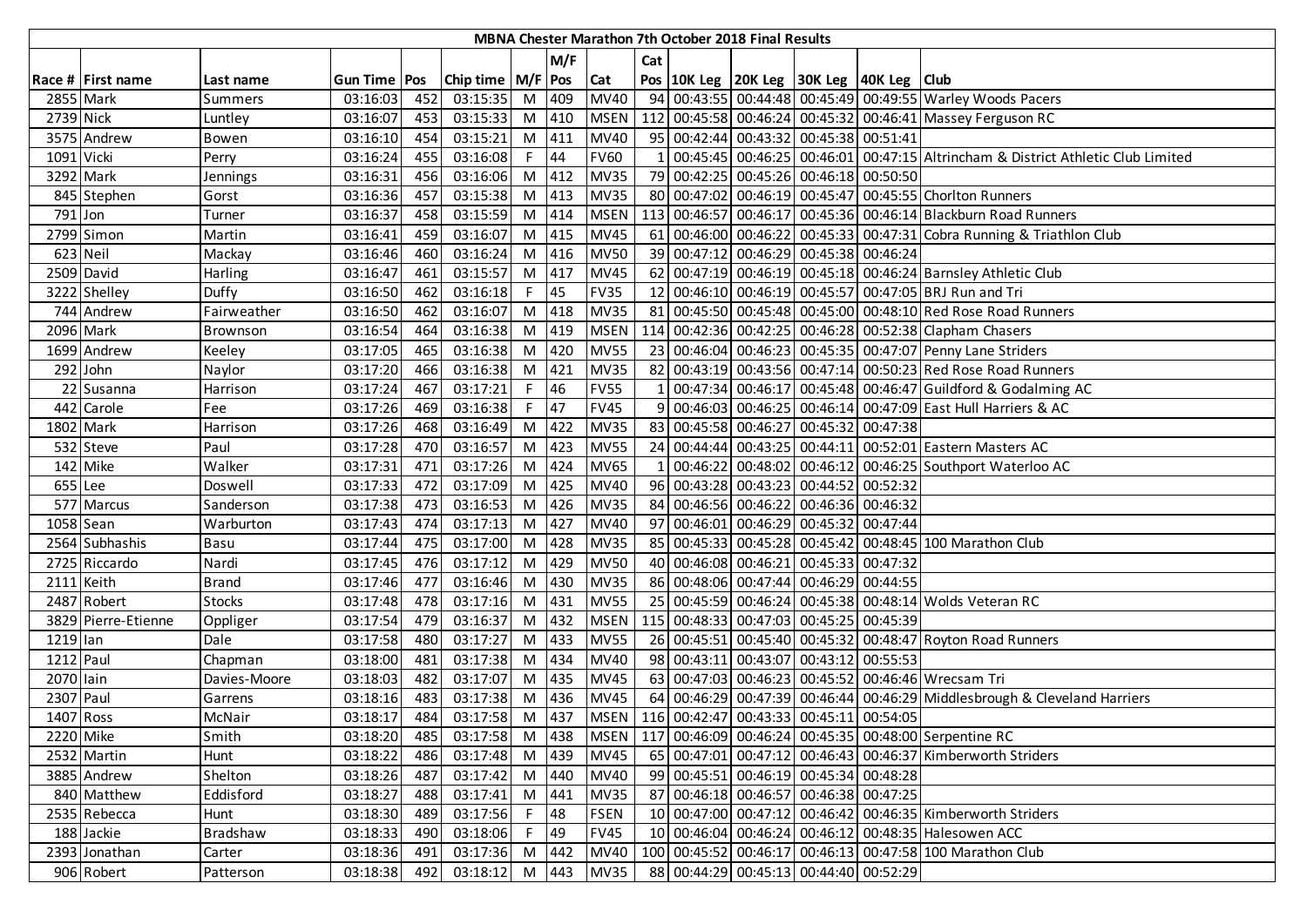|            |                     |               |                     |     |                       |        |       |             |     | <b>MBNA Chester Marathon 7th October 2018 Final Results</b> |                                                |                                                                                 |
|------------|---------------------|---------------|---------------------|-----|-----------------------|--------|-------|-------------|-----|-------------------------------------------------------------|------------------------------------------------|---------------------------------------------------------------------------------|
|            |                     |               |                     |     |                       |        | M/F   |             | Cat |                                                             |                                                |                                                                                 |
|            | Race # First name   | Last name     | <b>Gun Time Pos</b> |     | Chip time   M/F   Pos |        |       | <b>Cat</b>  |     |                                                             | Pos 10K Leg 20K Leg 30K Leg 40K Leg Club       |                                                                                 |
|            | 2855 Mark           | Summers       | 03:16:03            | 452 | 03:15:35              |        | M 409 | <b>MV40</b> |     |                                                             |                                                | 94 00:43:55 00:44:48 00:45:49 00:49:55 Warley Woods Pacers                      |
| 2739 Nick  |                     | Luntley       | 03:16:07            | 453 | 03:15:33              |        | M 410 | <b>MSEN</b> |     |                                                             |                                                | 112 00:45:58 00:46:24 00:45:32 00:46:41 Massey Ferguson RC                      |
|            | 3575 Andrew         | Bowen         | 03:16:10            | 454 | 03:15:21              |        | M 411 | <b>MV40</b> |     |                                                             | 95 00:42:44 00:43:32 00:45:38 00:51:41         |                                                                                 |
| 1091 Vicki |                     | Perry         | 03:16:24            | 455 | 03:16:08              | $F$ 44 |       | <b>FV60</b> |     |                                                             |                                                | 00:45:45 00:46:25 00:46:01 00:47:15 Altrincham & District Athletic Club Limited |
|            | 3292 Mark           | Jennings      | 03:16:31            | 456 | 03:16:06              |        | M 412 | <b>MV35</b> |     |                                                             | 79 00:42:25 00:45:26 00:46:18 00:50:50         |                                                                                 |
|            | 845 Stephen         | Gorst         | 03:16:36            | 457 | 03:15:38              |        | M 413 | <b>MV35</b> |     |                                                             |                                                | 80 00:47:02 00:46:19 00:45:47 00:45:55 Choriton Runners                         |
| 791 Jon    |                     | Turner        | 03:16:37            | 458 | 03:15:59              |        | M 414 | <b>MSEN</b> |     |                                                             |                                                | 113 00:46:57 00:46:17 00:45:36 00:46:14 Blackburn Road Runners                  |
|            | 2799 Simon          | Martin        | 03:16:41            | 459 | 03:16:07              |        | M 415 | <b>MV45</b> |     |                                                             |                                                | 61 00:46:00 00:46:22 00:45:33 00:47:31 Cobra Running & Triathlon Club           |
| 623 Neil   |                     | Mackay        | 03:16:46            | 460 | 03:16:24              |        | M 416 | <b>MV50</b> |     |                                                             | 39 00:47:12 00:46:29 00:45:38 00:46:24         |                                                                                 |
|            | 2509 David          | Harling       | 03:16:47            | 461 | 03:15:57              |        | M 417 | <b>MV45</b> |     |                                                             |                                                | 62 00:47:19 00:46:19 00:45:18 00:46:24 Barnsley Athletic Club                   |
|            | 3222 Shelley        | Duffy         | 03:16:50            | 462 | 03:16:18              | F.     | 45    | <b>FV35</b> |     |                                                             |                                                | 12 00:46:10 00:46:19 00:45:57 00:47:05 BRJ Run and Tri                          |
|            | 744 Andrew          | Fairweather   | 03:16:50            | 462 | 03:16:07              |        | M 418 | <b>MV35</b> |     |                                                             |                                                | 81 00:45:50 00:45:48 00:45:00 00:48:10 Red Rose Road Runners                    |
|            | 2096 Mark           | Brownson      | 03:16:54            | 464 | 03:16:38              | M      | 419   | <b>MSEN</b> |     |                                                             |                                                | 114 00:42:36 00:42:25 00:46:28 00:52:38 Clapham Chasers                         |
|            | 1699 Andrew         | Keeley        | 03:17:05            | 465 | 03:16:38              | M      | 420   | <b>MV55</b> |     |                                                             |                                                | 23 00:46:04 00:46:23 00:45:35 00:47:07 Penny Lane Striders                      |
|            | 292 John            | Naylor        | 03:17:20            | 466 | 03:16:38              |        | M 421 | <b>MV35</b> |     |                                                             |                                                | 82 00:43:19 00:43:56 00:47:14 00:50:23 Red Rose Road Runners                    |
|            | 22 Susanna          | Harrison      | 03:17:24            | 467 | 03:17:21              | $F$ 46 |       | <b>FV55</b> |     |                                                             |                                                | 1 00:47:34 00:46:17 00:45:48 00:46:47 Guildford & Godalming AC                  |
|            | 442 Carole          | Fee           | 03:17:26            | 469 | 03:16:38              | $F$ 47 |       | <b>FV45</b> |     |                                                             |                                                | 9 00:46:03 00:46:25 00:46:14 00:47:09 East Hull Harriers & AC                   |
|            | 1802 Mark           | Harrison      | 03:17:26            | 468 | 03:16:49              |        | M 422 | <b>MV35</b> |     |                                                             | 83 00:45:58 00:46:27 00:45:32 00:47:38         |                                                                                 |
|            | 532 Steve           | Paul          | 03:17:28            | 470 | 03:16:57              | M      | 423   | <b>MV55</b> |     |                                                             |                                                | 24 00:44:44 00:43:25 00:44:11 00:52:01 Eastern Masters AC                       |
|            | 142 Mike            | Walker        | 03:17:31            | 471 | 03:17:26              |        | M 424 | <b>MV65</b> |     |                                                             |                                                | 00:46:22 00:48:02 00:46:12 00:46:25 Southport Waterloo AC                       |
| 655 Lee    |                     | Doswell       | 03:17:33            | 472 | 03:17:09              |        | M 425 | <b>MV40</b> |     |                                                             | 96 00:43:28 00:43:23 00:44:52 00:52:32         |                                                                                 |
|            | 577 Marcus          | Sanderson     | 03:17:38            | 473 | 03:16:53              | M      | 426   | <b>MV35</b> |     |                                                             | 84 00:46:56 00:46:22 00:46:36 00:46:32         |                                                                                 |
| 1058 Sean  |                     | Warburton     | 03:17:43            | 474 | 03:17:13              | M      | 427   | <b>MV40</b> |     |                                                             | 97 00:46:01 00:46:29 00:45:32 00:47:44         |                                                                                 |
|            | 2564 Subhashis      | Basu          | 03:17:44            | 475 | 03:17:00              | M      | 428   | <b>MV35</b> |     |                                                             |                                                | 85 00:45:33 00:45:28 00:45:42 00:48:45 100 Marathon Club                        |
|            | 2725 Riccardo       | Nardi         | 03:17:45            | 476 | 03:17:12              | M      | 429   | <b>MV50</b> |     |                                                             | 40 00:46:08 00:46:21 00:45:33 00:47:32         |                                                                                 |
|            | 2111 Keith          | <b>Brand</b>  | 03:17:46            | 477 | 03:16:46              | M      | 430   | <b>MV35</b> |     |                                                             | 86 00:48:06 00:47:44 00:46:29 00:44:55         |                                                                                 |
|            | 2487 Robert         | <b>Stocks</b> | 03:17:48            | 478 | 03:17:16              | M      | 431   | <b>MV55</b> |     |                                                             |                                                | 25 00:45:59 00:46:24 00:45:38 00:48:14 Wolds Veteran RC                         |
|            | 3829 Pierre-Etienne | Oppliger      | 03:17:54            | 479 | 03:16:37              |        | M 432 | <b>MSEN</b> |     |                                                             | 115 00:48:33 00:47:03 00:45:25 00:45:39        |                                                                                 |
| 1219 lan   |                     | Dale          | 03:17:58            | 480 | 03:17:27              | M      | 433   | <b>MV55</b> |     |                                                             |                                                | 26 00:45:51 00:45:40 00:45:32 00:48:47 Royton Road Runners                      |
| 1212 Paul  |                     | Chapman       | 03:18:00            | 481 | 03:17:38              | M      | 434   | <b>MV40</b> |     |                                                             | 98 00:43:11 00:43:07 00:43:12 00:55:53         |                                                                                 |
| 2070 lain  |                     | Davies-Moore  | 03:18:03            | 482 | 03:17:07              |        | M 435 | <b>MV45</b> |     |                                                             |                                                | 63 00:47:03 00:46:23 00:45:52 00:46:46 Wrecsam Tri                              |
| 2307 Paul  |                     | Garrens       | 03:18:16            | 483 | 03:17:38              | M      | 436   | <b>MV45</b> |     |                                                             |                                                | 64 00:46:29 00:47:39 00:46:44 00:46:29 Middlesbrough & Cleveland Harriers       |
| 1407 Ross  |                     | McNair        | 03:18:17            | 484 | 03:17:58              | M      | 437   |             |     |                                                             | MSEN   116 00:42:47 00:43:33 00:45:11 00:54:05 |                                                                                 |
| 2220 Mike  |                     | Smith         | 03:18:20            | 485 | 03:17:58              | M 438  |       |             |     |                                                             |                                                | MSEN   117 00:46:09 00:46:24 00:45:35 00:48:00 Serpentine RC                    |
|            | 2532 Martin         | Hunt          | 03:18:22            | 486 | 03:17:48              | M 439  |       | <b>MV45</b> |     |                                                             |                                                | 65 00:47:01 00:47:12 00:46:43 00:46:37 Kimberworth Striders                     |
|            | 3885 Andrew         | Shelton       | 03:18:26            | 487 | 03:17:42              |        | M 440 | <b>MV40</b> |     |                                                             | 99 00:45:51 00:46:19 00:45:34 00:48:28         |                                                                                 |
|            | 840 Matthew         | Eddisford     | 03:18:27            | 488 | 03:17:41              |        | M 441 | <b>MV35</b> |     |                                                             | 87 00:46:18 00:46:57 00:46:38 00:47:25         |                                                                                 |
|            | 2535 Rebecca        | Hunt          | 03:18:30            | 489 | 03:17:56              | $F$ 48 |       | <b>FSEN</b> |     |                                                             |                                                | 10 00:47:00 00:47:12 00:46:42 00:46:35 Kimberworth Striders                     |
|            | 188 Jackie          | Bradshaw      | 03:18:33            | 490 | 03:18:06              | $F$ 49 |       | <b>FV45</b> |     |                                                             |                                                | 10 00:46:04 00:46:24 00:46:12 00:48:35 Halesowen ACC                            |
|            | 2393 Jonathan       | Carter        | 03:18:36            | 491 | 03:17:36              |        | M 442 | <b>MV40</b> |     |                                                             |                                                | 100 00:45:52 00:46:17 00:46:13 00:47:58 100 Marathon Club                       |
|            | 906 Robert          | Patterson     | 03:18:38            | 492 | 03:18:12              |        |       | M 443 MV35  |     |                                                             | 88 00:44:29 00:45:13 00:44:40 00:52:29         |                                                                                 |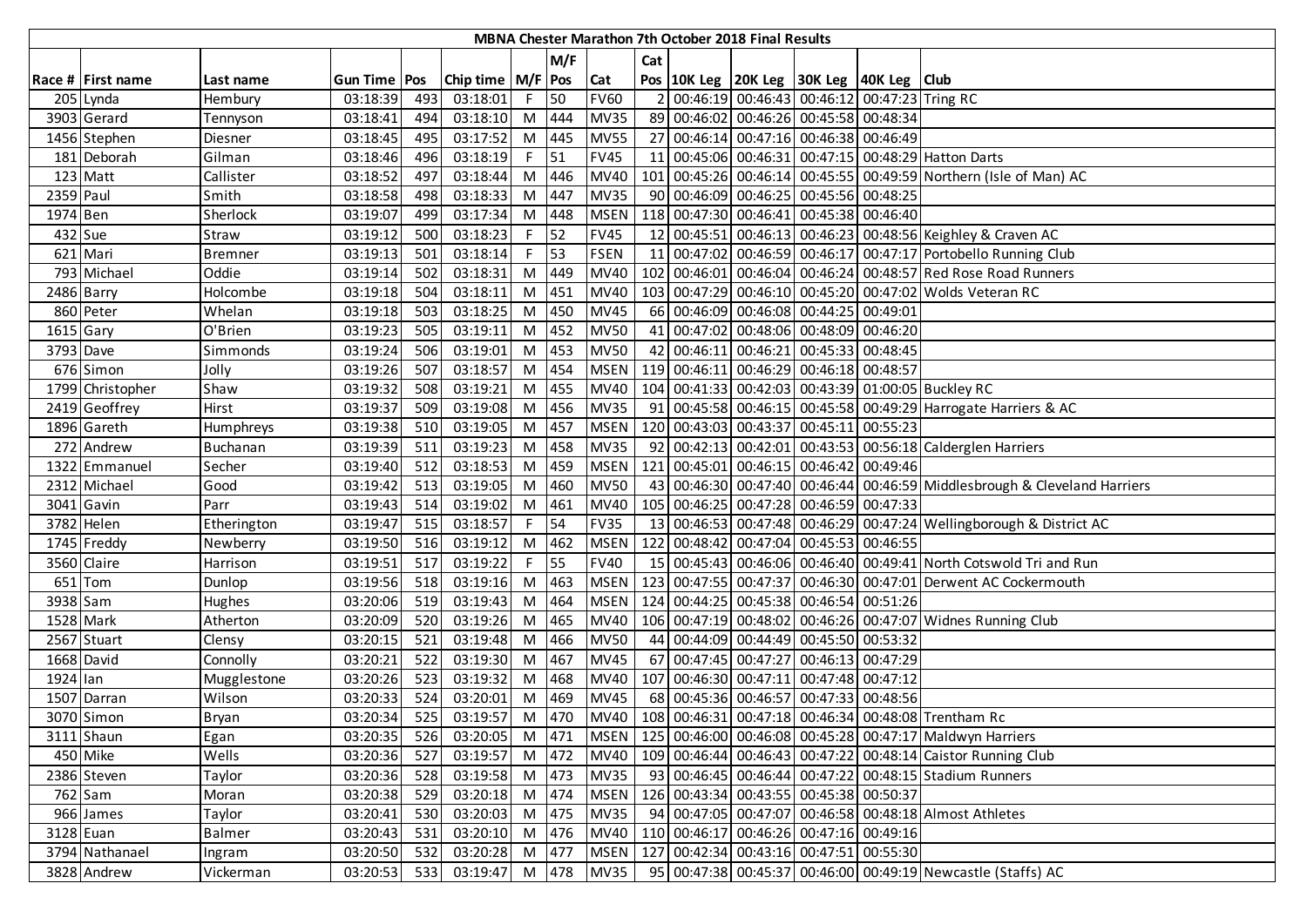|             |                   |                |                |     |                       |    |       |             |                | <b>MBNA Chester Marathon 7th October 2018 Final Results</b> |                                                    |                                                                           |
|-------------|-------------------|----------------|----------------|-----|-----------------------|----|-------|-------------|----------------|-------------------------------------------------------------|----------------------------------------------------|---------------------------------------------------------------------------|
|             |                   |                |                |     |                       |    | M/F   |             | Cat            |                                                             |                                                    |                                                                           |
|             | Race # First name | Last name      | Gun Time   Pos |     | Chip time   M/F   Pos |    |       | Cat         |                |                                                             | Pos   10K Leg   20K Leg   30K Leg   40K Leg   Club |                                                                           |
|             | 205 Lynda         | Hembury        | 03:18:39       | 493 | 03:18:01              | F. | 50    | <b>FV60</b> | $\overline{2}$ |                                                             | 00:46:19 00:46:43 00:46:12 00:47:23 Tring RC       |                                                                           |
|             | 3903 Gerard       | Tennyson       | 03:18:41       | 494 | 03:18:10              | M  | 444   | <b>MV35</b> |                |                                                             | 89 00:46:02 00:46:26 00:45:58 00:48:34             |                                                                           |
|             | 1456 Stephen      | Diesner        | 03:18:45       | 495 | 03:17:52              | M  | 445   | <b>MV55</b> |                |                                                             | 27 00:46:14 00:47:16 00:46:38 00:46:49             |                                                                           |
|             | 181 Deborah       | Gilman         | 03:18:46       | 496 | 03:18:19              | F. | 51    | <b>FV45</b> |                |                                                             |                                                    | 11 00:45:06 00:46:31 00:47:15 00:48:29 Hatton Darts                       |
|             | 123 Matt          | Callister      | 03:18:52       | 497 | 03:18:44              | M  | 446   | MV40        |                |                                                             |                                                    | 101 00:45:26 00:46:14 00:45:55 00:49:59 Northern (Isle of Man) AC         |
| 2359 Paul   |                   | Smith          | 03:18:58       | 498 | 03:18:33              | M  | 447   | <b>MV35</b> |                |                                                             | 90 00:46:09 00:46:25 00:45:56 00:48:25             |                                                                           |
| 1974 Ben    |                   | Sherlock       | 03:19:07       | 499 | 03:17:34              | M  | 448   | <b>MSEN</b> |                |                                                             | 118 00:47:30 00:46:41 00:45:38 00:46:40            |                                                                           |
| 432 Sue     |                   | Straw          | 03:19:12       | 500 | 03:18:23              | F. | 52    | <b>FV45</b> | 12             |                                                             |                                                    | 00:45:51 00:46:13 00:46:23 00:48:56 Keighley & Craven AC                  |
|             | 621 Mari          | <b>Bremner</b> | 03:19:13       | 501 | 03:18:14              | F. | 53    | <b>FSEN</b> |                |                                                             |                                                    | 11 00:47:02 00:46:59 00:46:17 00:47:17 Portobello Running Club            |
|             | 793 Michael       | Oddie          | 03:19:14       | 502 | 03:18:31              | M  | 449   | <b>MV40</b> | 102            |                                                             |                                                    | 00:46:01 00:46:04 00:46:24 00:48:57 Red Rose Road Runners                 |
|             | 2486 Barry        | Holcombe       | 03:19:18       | 504 | 03:18:11              | M  | 451   | <b>MV40</b> |                |                                                             |                                                    | 103 00:47:29 00:46:10 00:45:20 00:47:02 Wolds Veteran RC                  |
|             | 860 Peter         | Whelan         | 03:19:18       | 503 | 03:18:25              | M  | 450   | <b>MV45</b> |                |                                                             | 66 00:46:09 00:46:08 00:44:25 00:49:01             |                                                                           |
| $1615$ Gary |                   | O'Brien        | 03:19:23       | 505 | 03:19:11              | M  | 452   | <b>MV50</b> |                |                                                             | 41 00:47:02 00:48:06 00:48:09 00:46:20             |                                                                           |
| 3793 Dave   |                   | Simmonds       | 03:19:24       | 506 | 03:19:01              | M  | 453   | <b>MV50</b> |                |                                                             | 42 00:46:11 00:46:21 00:45:33 00:48:45             |                                                                           |
|             | 676 Simon         | Jolly          | 03:19:26       | 507 | 03:18:57              | M  | 454   | <b>MSEN</b> |                |                                                             | 119 00:46:11 00:46:29 00:46:18 00:48:57            |                                                                           |
|             | 1799 Christopher  | Shaw           | 03:19:32       | 508 | 03:19:21              | M  | 455   | <b>MV40</b> |                |                                                             |                                                    | 104 00:41:33 00:42:03 00:43:39 01:00:05 Buckley RC                        |
|             | 2419 Geoffrey     | Hirst          | 03:19:37       | 509 | 03:19:08              |    | M 456 | <b>MV35</b> |                |                                                             |                                                    | 91 00:45:58 00:46:15 00:45:58 00:49:29 Harrogate Harriers & AC            |
|             | 1896 Gareth       | Humphreys      | 03:19:38       | 510 | 03:19:05              | M  | 457   | <b>MSEN</b> |                |                                                             | 120 00:43:03 00:43:37 00:45:11 00:55:23            |                                                                           |
|             | 272 Andrew        | Buchanan       | 03:19:39       | 511 | 03:19:23              | M  | 458   | <b>MV35</b> |                |                                                             |                                                    | 92 00:42:13 00:42:01 00:43:53 00:56:18 Calderglen Harriers                |
|             | 1322 Emmanuel     | Secher         | 03:19:40       | 512 | 03:18:53              | M  | 459   | <b>MSEN</b> |                |                                                             | 121 00:45:01 00:46:15 00:46:42 00:49:46            |                                                                           |
|             | 2312 Michael      | Good           | 03:19:42       | 513 | 03:19:05              | M  | 460   | <b>MV50</b> |                |                                                             |                                                    | 43 00:46:30 00:47:40 00:46:44 00:46:59 Middlesbrough & Cleveland Harriers |
|             | 3041 Gavin        | Parr           | 03:19:43       | 514 | 03:19:02              | M  | 461   | <b>MV40</b> |                |                                                             | 105 00:46:25 00:47:28 00:46:59 00:47:33            |                                                                           |
|             | 3782 Helen        | Etherington    | 03:19:47       | 515 | 03:18:57              |    | 54    | <b>FV35</b> |                |                                                             |                                                    | 13 00:46:53 00:47:48 00:46:29 00:47:24 Wellingborough & District AC       |
|             | 1745 Freddy       | Newberry       | 03:19:50       | 516 | 03:19:12              | M  | 462   | <b>MSEN</b> | 122            |                                                             | 00:48:42 00:47:04 00:45:53 00:46:55                |                                                                           |
|             | 3560 Claire       | Harrison       | 03:19:51       | 517 | 03:19:22              | F. | 55    | <b>FV40</b> |                |                                                             |                                                    | 15 00:45:43 00:46:06 00:46:40 00:49:41 North Cotswold Tri and Run         |
|             | 651 Tom           | Dunlop         | 03:19:56       | 518 | 03:19:16              | M  | 463   | <b>MSEN</b> |                |                                                             |                                                    | 123 00:47:55 00:47:37 00:46:30 00:47:01 Derwent AC Cockermouth            |
| 3938 Sam    |                   | Hughes         | 03:20:06       | 519 | 03:19:43              | M  | 464   | <b>MSEN</b> |                |                                                             | 124 00:44:25 00:45:38 00:46:54 00:51:26            |                                                                           |
|             | 1528 Mark         | Atherton       | 03:20:09       | 520 | 03:19:26              | M  | 465   | MV40        |                |                                                             |                                                    | 106 00:47:19 00:48:02 00:46:26 00:47:07 Widnes Running Club               |
|             | 2567 Stuart       | Clensy         | 03:20:15       | 521 | 03:19:48              | M  | 466   | <b>MV50</b> |                |                                                             | 44 00:44:09 00:44:49 00:45:50 00:53:32             |                                                                           |
|             | 1668 David        | Connolly       | 03:20:21       | 522 | 03:19:30              | M  | 467   | <b>MV45</b> |                |                                                             | 67 00:47:45 00:47:27 00:46:13 00:47:29             |                                                                           |
| 1924 lan    |                   | Mugglestone    | 03:20:26       | 523 | 03:19:32              | M  | 468   | <b>MV40</b> |                |                                                             | 107 00:46:30 00:47:11 00:47:48 00:47:12            |                                                                           |
|             | 1507 Darran       | Wilson         | 03:20:33       | 524 | 03:20:01              | M  | 469   | <b>MV45</b> |                |                                                             | 68 00:45:36 00:46:57 00:47:33 00:48:56             |                                                                           |
|             | 3070 Simon        | Bryan          | 03:20:34       | 525 | 03:19:57              | M  | 470   |             |                |                                                             |                                                    | MV40   108 00:46:31 00:47:18 00:46:34 00:48:08 Trentham Rc                |
|             | 3111 Shaun        | Egan           | 03:20:35       | 526 | 03:20:05              |    | M 471 |             |                |                                                             |                                                    | MSEN   125   00:46:00   00:46:08   00:45:28   00:47:17   Maldwyn Harriers |
|             | 450 Mike          | Wells          | 03:20:36       | 527 | 03:19:57              |    | M 472 | <b>MV40</b> |                |                                                             |                                                    | 109 00:46:44 00:46:43 00:47:22 00:48:14 Caistor Running Club              |
|             | 2386 Steven       | Taylor         | 03:20:36       | 528 | 03:19:58              |    | M 473 | <b>MV35</b> |                |                                                             |                                                    | 93 00:46:45 00:46:44 00:47:22 00:48:15 Stadium Runners                    |
|             | 762 Sam           | Moran          | 03:20:38       | 529 | 03:20:18              |    | M 474 | <b>MSEN</b> |                |                                                             | 126 00:43:34 00:43:55 00:45:38 00:50:37            |                                                                           |
|             | 966 James         | Taylor         | 03:20:41       | 530 | 03:20:03              |    | M 475 | <b>MV35</b> |                |                                                             |                                                    | 94 00:47:05 00:47:07 00:46:58 00:48:18 Almost Athletes                    |
|             | 3128 Euan         | Balmer         | 03:20:43       | 531 | 03:20:10              |    | M 476 | <b>MV40</b> |                |                                                             | 110 00:46:17 00:46:26 00:47:16 00:49:16            |                                                                           |
|             | 3794 Nathanael    | Ingram         | 03:20:50       | 532 | 03:20:28              |    | M 477 | <b>MSEN</b> |                |                                                             | 127 00:42:34 00:43:16 00:47:51 00:55:30            |                                                                           |
|             | 3828 Andrew       | Vickerman      | 03:20:53       | 533 | 03:19:47 M 478        |    |       | <b>MV35</b> |                |                                                             |                                                    | 95 00:47:38 00:45:37 00:46:00 00:49:19 Newcastle (Staffs) AC              |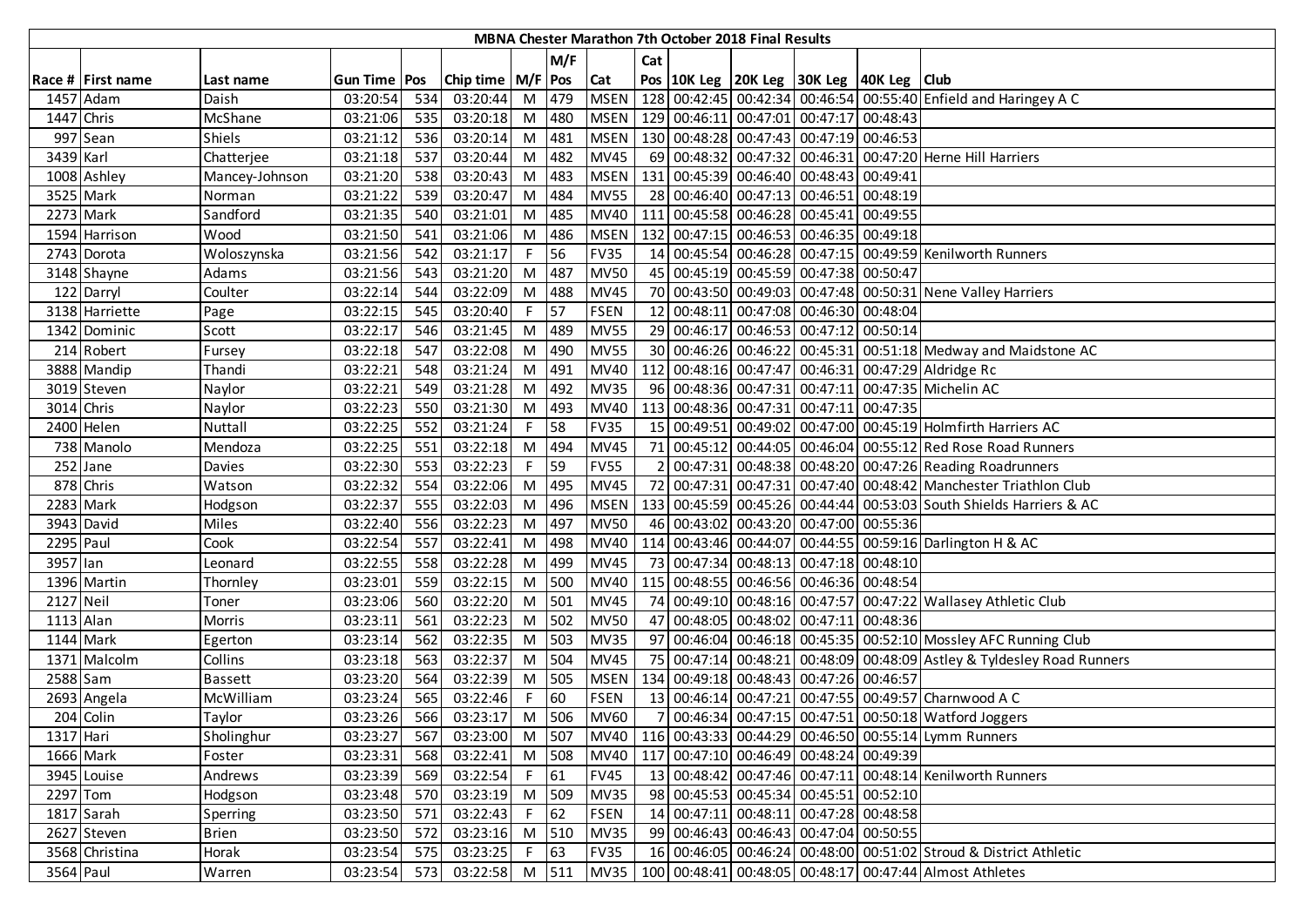|            |                   |                |                |     |                       |        |        |             |     | MBNA Chester Marathon 7th October 2018 Final Results |                                                    |                                                                             |
|------------|-------------------|----------------|----------------|-----|-----------------------|--------|--------|-------------|-----|------------------------------------------------------|----------------------------------------------------|-----------------------------------------------------------------------------|
|            |                   |                |                |     |                       |        | M/F    |             | Cat |                                                      |                                                    |                                                                             |
|            | Race # First name | Last name      | Gun Time   Pos |     | Chip time   M/F   Pos |        |        | <b>Cat</b>  |     |                                                      | Pos   10K Leg   20K Leg   30K Leg   40K Leg   Club |                                                                             |
|            | 1457 Adam         | Daish          | 03:20:54       | 534 | 03:20:44              |        | M 479  | <b>MSEN</b> |     |                                                      |                                                    | 128 00:42:45 00:42:34 00:46:54 00:55:40 Enfield and Haringey A C            |
| 1447 Chris |                   | McShane        | 03:21:06       | 535 | 03:20:18              |        | M 480  | <b>MSEN</b> |     |                                                      | 129 00:46:11 00:47:01 00:47:17 00:48:43            |                                                                             |
|            | 997 Sean          | <b>Shiels</b>  | 03:21:12       | 536 | 03:20:14              |        | M 481  | <b>MSEN</b> |     |                                                      | 130 00:48:28 00:47:43 00:47:19 00:46:53            |                                                                             |
| 3439 Karl  |                   | Chatterjee     | 03:21:18       | 537 | 03:20:44              |        | M 482  | <b>MV45</b> |     |                                                      |                                                    | 69 00:48:32 00:47:32 00:46:31 00:47:20 Herne Hill Harriers                  |
|            | 1008 Ashley       | Mancey-Johnson | 03:21:20       | 538 | 03:20:43              | M      | 483    | <b>MSEN</b> |     |                                                      | 131 00:45:39 00:46:40 00:48:43 00:49:41            |                                                                             |
|            | 3525 Mark         | Norman         | 03:21:22       | 539 | 03:20:47              | M      | 484    | <b>MV55</b> |     |                                                      | 28 00:46:40 00:47:13 00:46:51 00:48:19             |                                                                             |
|            | 2273 Mark         | Sandford       | 03:21:35       | 540 | 03:21:01              | M      | 485    | <b>MV40</b> |     |                                                      | 111 00:45:58 00:46:28 00:45:41 00:49:55            |                                                                             |
|            | 1594 Harrison     | Wood           | 03:21:50       | 541 | 03:21:06              | M      | 486    | <b>MSEN</b> |     |                                                      | 132 00:47:15 00:46:53 00:46:35 00:49:18            |                                                                             |
|            | 2743 Dorota       | Woloszynska    | 03:21:56       | 542 | 03:21:17              |        | 56     | <b>FV35</b> |     |                                                      |                                                    | 14 00:45:54 00:46:28 00:47:15 00:49:59 Kenilworth Runners                   |
|            | 3148 Shayne       | Adams          | 03:21:56       | 543 | 03:21:20              | M      | 487    | <b>MV50</b> |     |                                                      | 45 00:45:19 00:45:59 00:47:38 00:50:47             |                                                                             |
|            | 122 Darryl        | Coulter        | 03:22:14       | 544 | 03:22:09              | M      | 488    | <b>MV45</b> |     |                                                      |                                                    | 70 00:43:50 00:49:03 00:47:48 00:50:31 Nene Valley Harriers                 |
|            | 3138 Harriette    | Page           | 03:22:15       | 545 | 03:20:40              | F.     | 57     | <b>FSEN</b> |     |                                                      | 12 00:48:11 00:47:08 00:46:30 00:48:04             |                                                                             |
|            | 1342 Dominic      | Scott          | 03:22:17       | 546 | 03:21:45              |        | M 489  | <b>MV55</b> |     |                                                      | 29 00:46:17 00:46:53 00:47:12 00:50:14             |                                                                             |
|            | 214 Robert        | Fursey         | 03:22:18       | 547 | 03:22:08              | M      | 490    | <b>MV55</b> |     |                                                      |                                                    | 30 00:46:26 00:46:22 00:45:31 00:51:18 Medway and Maidstone AC              |
|            | 3888 Mandip       | Thandi         | 03:22:21       | 548 | 03:21:24              | M      | 491    | <b>MV40</b> |     |                                                      |                                                    | 112 00:48:16 00:47:47 00:46:31 00:47:29 Aldridge Rc                         |
|            | 3019 Steven       | Naylor         | 03:22:21       | 549 | 03:21:28              |        | M 492  | <b>MV35</b> |     |                                                      |                                                    | 96 00:48:36 00:47:31 00:47:11 00:47:35 Michelin AC                          |
| 3014 Chris |                   | Naylor         | 03:22:23       | 550 | 03:21:30              |        | M 493  | <b>MV40</b> |     |                                                      | 113 00:48:36 00:47:31 00:47:11 00:47:35            |                                                                             |
|            | 2400 Helen        | Nuttall        | 03:22:25       | 552 | 03:21:24              | F.     | 58     | <b>FV35</b> |     |                                                      |                                                    | 15 00:49:51 00:49:02 00:47:00 00:45:19 Holmfirth Harriers AC                |
|            | 738 Manolo        | Mendoza        | 03:22:25       | 551 | 03:22:18              | M      | 494    | <b>MV45</b> |     |                                                      |                                                    | 71 00:45:12 00:44:05 00:46:04 00:55:12 Red Rose Road Runners                |
|            | $252$ Jane        | Davies         | 03:22:30       | 553 | 03:22:23              | F.     | 59     | <b>FV55</b> |     |                                                      |                                                    | 00:47:31 00:48:38 00:48:20 00:47:26 Reading Roadrunners                     |
|            | 878 Chris         | Watson         | 03:22:32       | 554 | 03:22:06              |        | M 495  | <b>MV45</b> | 72  |                                                      |                                                    | 00:47:31 00:47:31 00:47:40 00:48:42 Manchester Triathlon Club               |
|            | 2283 Mark         | Hodgson        | 03:22:37       | 555 | 03:22:03              |        | M 496  | <b>MSEN</b> |     |                                                      |                                                    | 133 00:45:59 00:45:26 00:44:44 00:53:03 South Shields Harriers & AC         |
|            | 3943 David        | Miles          | 03:22:40       | 556 | 03:22:23              | M      | 497    | <b>MV50</b> |     |                                                      | 46 00:43:02 00:43:20 00:47:00 00:55:36             |                                                                             |
| 2295 Paul  |                   | Cook           | 03:22:54       | 557 | 03:22:41              | M      | 498    | <b>MV40</b> |     |                                                      |                                                    | 114 00:43:46 00:44:07 00:44:55 00:59:16 Darlington H & AC                   |
| 3957 lan   |                   | Leonard        | 03:22:55       | 558 | 03:22:28              | M      | 499    | <b>MV45</b> |     |                                                      | 73 00:47:34 00:48:13 00:47:18 00:48:10             |                                                                             |
|            | 1396 Martin       | Thornley       | 03:23:01       | 559 | 03:22:15              |        | M 500  | <b>MV40</b> |     |                                                      | 115 00:48:55 00:46:56 00:46:36 00:48:54            |                                                                             |
| 2127 Neil  |                   | Toner          | 03:23:06       | 560 | 03:22:20              |        | M 501  | <b>MV45</b> |     |                                                      |                                                    | 74 00:49:10 00:48:16 00:47:57 00:47:22 Wallasey Athletic Club               |
| 1113 Alan  |                   | Morris         | 03:23:11       | 561 | 03:22:23              |        | M 502  | <b>MV50</b> |     |                                                      | 47 00:48:05 00:48:02 00:47:11 00:48:36             |                                                                             |
| 1144 Mark  |                   | Egerton        | 03:23:14       | 562 | 03:22:35              |        | M 503  | <b>MV35</b> |     |                                                      |                                                    | 97 00:46:04 00:46:18 00:45:35 00:52:10 Mossley AFC Running Club             |
|            | 1371 Malcolm      | Collins        | 03:23:18       | 563 | 03:22:37              |        | M 504  | <b>MV45</b> |     |                                                      |                                                    | 75 00:47:14 00:48:21 00:48:09 00:48:09 Astley & Tyldesley Road Runners      |
| 2588 Sam   |                   | <b>Bassett</b> | 03:23:20       | 564 | 03:22:39              |        | M 505  | <b>MSEN</b> |     |                                                      | 134 00:49:18 00:48:43 00:47:26 00:46:57            |                                                                             |
|            | 2693 Angela       | McWilliam      | 03:23:24       | 565 | 03:22:46              |        | 60     | <b>FSEN</b> |     |                                                      |                                                    | 13 00:46:14 00:47:21 00:47:55 00:49:57 Charnwood A C                        |
|            | 204 Colin         | Taylor         | 03:23:26       | 566 | 03:23:17              |        | M 506  | <b>MV60</b> |     |                                                      |                                                    | 7 00:46:34 00:47:15 00:47:51 00:50:18 Watford Joggers                       |
| 1317 Hari  |                   | Sholinghur     | 03:23:27 567   |     | 03:23:00              |        | M 507  |             |     |                                                      |                                                    | MV40   116 00:43:33 00:44:29 00:46:50 00:55:14 Lymm Runners                 |
|            | 1666 Mark         | Foster         | 03:23:31       | 568 | 03:22:41              |        | M 508  | <b>MV40</b> |     |                                                      | 117 00:47:10 00:46:49 00:48:24 00:49:39            |                                                                             |
|            | 3945 Louise       | Andrews        | 03:23:39       | 569 | 03:22:54              | F 61   |        | <b>FV45</b> |     |                                                      |                                                    | 13 00:48:42 00:47:46 00:47:11 00:48:14 Kenilworth Runners                   |
| 2297 Tom   |                   | Hodgson        | 03:23:48       | 570 | 03:23:19              |        | M 509  | <b>MV35</b> |     |                                                      | 98 00:45:53 00:45:34 00:45:51 00:52:10             |                                                                             |
|            | 1817 Sarah        | Sperring       | 03:23:50       | 571 | 03:22:43              |        | $F$ 62 | <b>FSEN</b> |     |                                                      | 14 00:47:11 00:48:11 00:47:28 00:48:58             |                                                                             |
|            | 2627 Steven       | <b>Brien</b>   | 03:23:50       | 572 | 03:23:16              |        | M 510  | <b>MV35</b> |     |                                                      | 99 00:46:43 00:46:43 00:47:04 00:50:55             |                                                                             |
|            | 3568 Christina    | Horak          | 03:23:54       | 575 | 03:23:25              | $F$ 63 |        | <b>FV35</b> |     |                                                      |                                                    | 16 00:46:05 00:46:24 00:48:00 00:51:02 Stroud & District Athletic           |
| 3564 Paul  |                   | Warren         | 03:23:54       | 573 |                       |        |        |             |     |                                                      |                                                    | 03:22:58 M 511 MV35 100 00:48:41 00:48:05 00:48:17 00:47:44 Almost Athletes |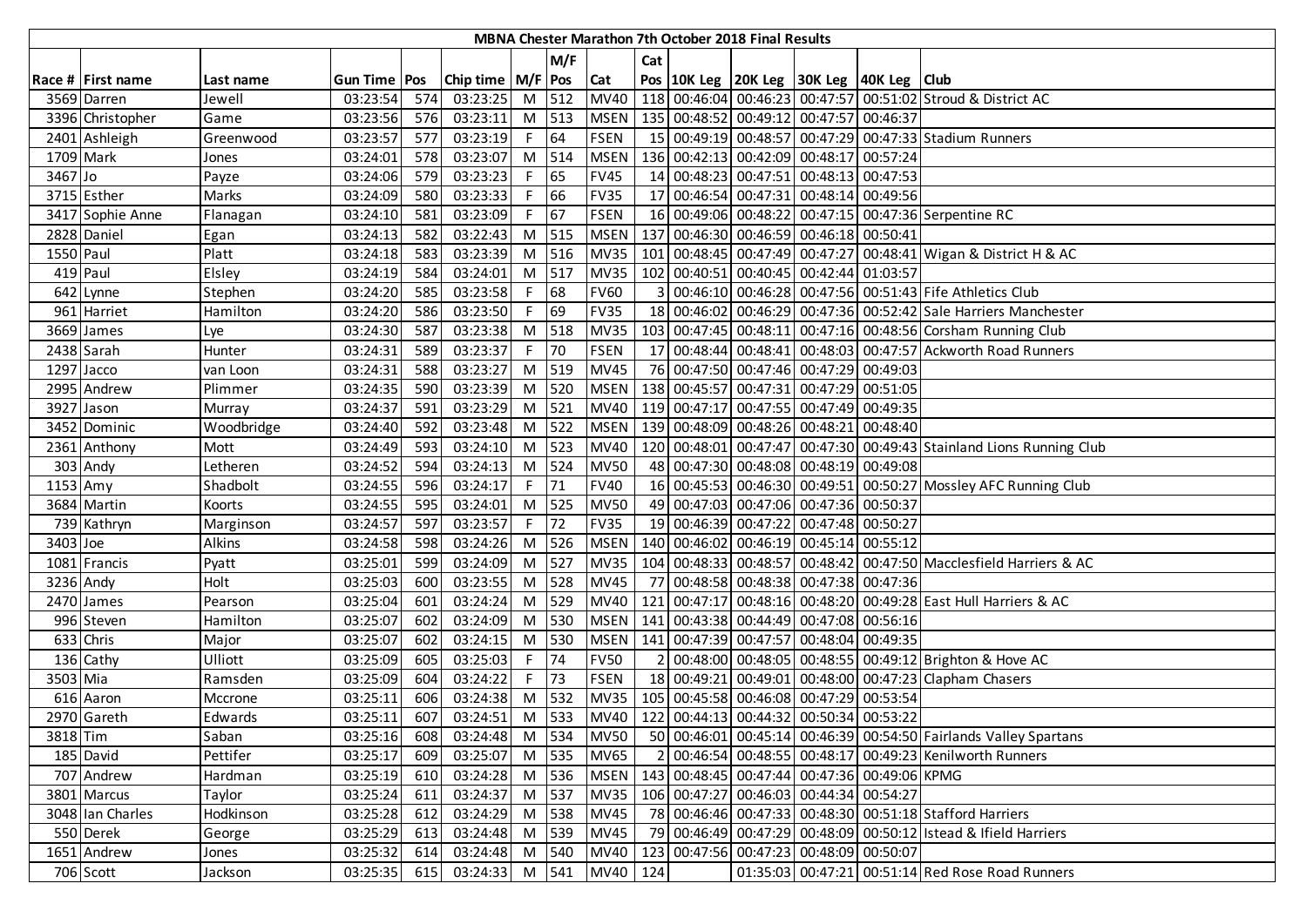|           |                   |                |                |     |                       |       |             |             |                         | <b>MBNA Chester Marathon 7th October 2018 Final Results</b> |                                                     |                                                                      |
|-----------|-------------------|----------------|----------------|-----|-----------------------|-------|-------------|-------------|-------------------------|-------------------------------------------------------------|-----------------------------------------------------|----------------------------------------------------------------------|
|           |                   |                |                |     |                       |       | M/F         |             | Cat                     |                                                             |                                                     |                                                                      |
|           | Race # First name | Last name      | Gun Time   Pos |     | Chip time   M/F   Pos |       |             | <b>Cat</b>  |                         |                                                             | Pos 10K Leg 20K Leg 30K Leg 40K Leg Club            |                                                                      |
|           | 3569 Darren       | Jewell         | 03:23:54       | 574 | 03:23:25              |       | M 512       | <b>MV40</b> |                         |                                                             |                                                     | 118 00:46:04 00:46:23 00:47:57 00:51:02 Stroud & District AC         |
|           | 3396 Christopher  | Game           | 03:23:56       | 576 | 03:23:11              |       | M 513       |             |                         |                                                             | MSEN   135 00:48:52 00:49:12 00:47:57 00:46:37      |                                                                      |
|           | 2401 Ashleigh     | Greenwood      | 03:23:57       | 577 | 03:23:19              | F 64  |             | <b>FSEN</b> |                         |                                                             |                                                     | 15 00:49:19 00:48:57 00:47:29 00:47:33 Stadium Runners               |
| 1709 Mark |                   | Jones          | 03:24:01       | 578 | 03:23:07              |       | M 514       | <b>MSEN</b> |                         |                                                             | 136 00:42:13 00:42:09 00:48:17 00:57:24             |                                                                      |
| 3467 Jo   |                   | Payze          | 03:24:06       | 579 | 03:23:23              | F     | 65          | <b>FV45</b> |                         |                                                             | 14 00:48:23 00:47:51 00:48:13 00:47:53              |                                                                      |
|           | 3715 Esther       | Marks          | 03:24:09       | 580 | 03:23:33              | F.    | 66          | <b>FV35</b> |                         |                                                             | 17 00:46:54 00:47:31 00:48:14 00:49:56              |                                                                      |
|           | 3417 Sophie Anne  | Flanagan       | 03:24:10       | 581 | 03:23:09              | F.    | $\sqrt{67}$ | <b>FSEN</b> |                         |                                                             |                                                     | 16 00:49:06 00:48:22 00:47:15 00:47:36 Serpentine RC                 |
|           | 2828 Daniel       | Egan           | 03:24:13       | 582 | 03:22:43              |       | M 515       | <b>MSEN</b> |                         |                                                             | 137 00:46:30 00:46:59 00:46:18 00:50:41             |                                                                      |
| 1550 Paul |                   | Platt          | 03:24:18       | 583 | 03:23:39              |       | M 516       | <b>MV35</b> |                         |                                                             |                                                     | 101 00:48:45 00:47:49 00:47:27 00:48:41 Wigan & District H & AC      |
|           | 419 Paul          | Elsley         | 03:24:19       | 584 | 03:24:01              |       | M 517       | <b>MV35</b> |                         |                                                             | 102 00:40:51 00:40:45 00:42:44 01:03:57             |                                                                      |
|           | 642 Lynne         | Stephen        | 03:24:20       | 585 | 03:23:58              | F     | 68          | <b>FV60</b> | $\overline{\mathsf{3}}$ |                                                             |                                                     | 00:46:10 00:46:28 00:47:56 00:51:43 Fife Athletics Club              |
|           | 961 Harriet       | Hamilton       | 03:24:20       | 586 | 03:23:50              | F.    | 69          | <b>FV35</b> |                         |                                                             |                                                     | 18 00:46:02 00:46:29 00:47:36 00:52:42 Sale Harriers Manchester      |
|           | 3669 James        | Lye            | 03:24:30       | 587 | 03:23:38              |       | $M$ 518     | <b>MV35</b> |                         |                                                             |                                                     | 103 00:47:45 00:48:11 00:47:16 00:48:56 Corsham Running Club         |
|           | 2438 Sarah        | Hunter         | 03:24:31       | 589 | 03:23:37              | F.    | 70          | <b>FSEN</b> |                         |                                                             |                                                     | 17 00:48:44 00:48:41 00:48:03 00:47:57 Ackworth Road Runners         |
|           | 1297 Jacco        | van Loon       | 03:24:31       | 588 | 03:23:27              |       | M 519       | <b>MV45</b> |                         |                                                             | 76 00:47:50 00:47:46 00:47:29 00:49:03              |                                                                      |
|           | 2995 Andrew       | Plimmer        | 03:24:35       | 590 | 03:23:39              |       | $M$ 520     |             |                         |                                                             | MSEN   138 00:45:57 00:47:31 00:47:29 00:51:05      |                                                                      |
|           | 3927 Jason        | Murray         | 03:24:37       | 591 | 03:23:29              |       | M 521       |             |                         |                                                             | MV40   119 00:47:17 00:47:55 00:47:49 00:49:35      |                                                                      |
|           | 3452 Dominic      | Woodbridge     | 03:24:40       | 592 | 03:23:48              |       | M 522       |             |                         |                                                             | MSEN   139 00:48:09 00:48:26 00:48:21 00:48:40      |                                                                      |
|           | 2361 Anthony      | Mott           | 03:24:49       | 593 | 03:24:10              | $M$   | 523         | <b>MV40</b> |                         |                                                             |                                                     | 120 00:48:01 00:47:47 00:47:30 00:49:43 Stainland Lions Running Club |
|           | 303 Andy          | Letheren       | 03:24:52       | 594 | 03:24:13              | M     | 524         | <b>MV50</b> |                         |                                                             | 48 00:47:30 00:48:08 00:48:19 00:49:08              |                                                                      |
| 1153 Amy  |                   | Shadbolt       | 03:24:55       | 596 | 03:24:17              | F I   | 71          | <b>FV40</b> |                         |                                                             |                                                     | 16 00:45:53 00:46:30 00:49:51 00:50:27 Mossley AFC Running Club      |
|           | 3684 Martin       | Koorts         | 03:24:55       | 595 | 03:24:01              |       | M 525       | <b>MV50</b> |                         |                                                             | 49 00:47:03 00:47:06 00:47:36 00:50:37              |                                                                      |
|           | 739 Kathryn       | Marginson      | 03:24:57       | 597 | 03:23:57              | F.    | 72          | <b>FV35</b> |                         |                                                             | 19 00:46:39 00:47:22 00:47:48 00:50:27              |                                                                      |
| 3403 Joe  |                   | Alkins         | 03:24:58       | 598 | 03:24:26              |       | M 526       | <b>MSEN</b> |                         |                                                             | 140 00:46:02 00:46:19 00:45:14 00:55:12             |                                                                      |
|           | 1081 Francis      | Pyatt          | 03:25:01       | 599 | 03:24:09              | M     | 527         | <b>MV35</b> |                         |                                                             |                                                     | 104 00:48:33 00:48:57 00:48:42 00:47:50 Macclesfield Harriers & AC   |
|           | 3236 Andy         | Holt           | 03:25:03       | 600 | 03:23:55              | M     | 528         | <b>MV45</b> |                         |                                                             | 77 00:48:58 00:48:38 00:47:38 00:47:36              |                                                                      |
|           | 2470 James        | Pearson        | 03:25:04       | 601 | 03:24:24              | M     | 529         | MV40        |                         |                                                             |                                                     | 121 00:47:17 00:48:16 00:48:20 00:49:28 East Hull Harriers & AC      |
|           | 996 Steven        | Hamilton       | 03:25:07       | 602 | 03:24:09              | M     | 530         | <b>MSEN</b> |                         |                                                             | 141   00:43:38   00:44:49   00:47:08   00:56:16     |                                                                      |
|           | 633 Chris         | Major          | 03:25:07       | 602 | 03:24:15              | M     | 530         | <b>MSEN</b> |                         |                                                             | 141 00:47:39 00:47:57 00:48:04 00:49:35             |                                                                      |
|           | 136 Cathy         | <b>Ulliott</b> | 03:25:09       | 605 | 03:25:03              | F I   | 74          | <b>FV50</b> | $\overline{2}$          |                                                             |                                                     | 00:48:00 00:48:05 00:48:55 00:49:12 Brighton & Hove AC               |
| 3503 Mia  |                   | Ramsden        | 03:25:09       | 604 | 03:24:22              | F     | 73          | <b>FSEN</b> |                         |                                                             |                                                     | 18 00:49:21 00:49:01 00:48:00 00:47:23 Clapham Chasers               |
|           | 616 Aaron         | Mccrone        | 03:25:11       | 606 | 03:24:38              | M I   | 532         |             |                         |                                                             | MV35   105 00:45:58 00:46:08 00:47:29 00:53:54      |                                                                      |
|           | 2970 Gareth       | Edwards        | 03:25:11       | 607 | 03:24:51              |       | M 533       |             |                         |                                                             | MV40   122 00:44:13 00:44:32 00:50:34 00:53:22      |                                                                      |
| 3818 Tim  |                   | Saban          | 03:25:16 608   |     | 03:24:48              | M 534 |             | <b>MV50</b> |                         |                                                             |                                                     | 50 00:46:01 00:45:14 00:46:39 00:54:50 Fairlands Valley Spartans     |
|           | 185 David         | Pettifer       | 03:25:17       | 609 | 03:25:07              |       | M 535       | <b>MV65</b> |                         |                                                             |                                                     | 2 00:46:54 00:48:55 00:48:17 00:49:23 Kenilworth Runners             |
|           | 707 Andrew        | Hardman        | 03:25:19       | 610 | 03:24:28              |       | M 536       |             |                         |                                                             | MSEN   143 00:48:45 00:47:44 00:47:36 00:49:06 KPMG |                                                                      |
|           | 3801 Marcus       | Taylor         | 03:25:24       | 611 | 03:24:37              |       | M 537       | <b>MV35</b> |                         |                                                             | 106 00:47:27 00:46:03 00:44:34 00:54:27             |                                                                      |
|           | 3048 Ian Charles  | Hodkinson      | 03:25:28       | 612 | 03:24:29              |       | M 538       | <b>MV45</b> |                         |                                                             |                                                     | 78 00:46:46 00:47:33 00:48:30 00:51:18 Stafford Harriers             |
|           | 550 Derek         | George         | 03:25:29       | 613 | 03:24:48              |       | M 539       | <b>MV45</b> |                         |                                                             |                                                     | 79 00:46:49 00:47:29 00:48:09 00:50:12 Istead & Ifield Harriers      |
|           | 1651 Andrew       | Jones          | 03:25:32       | 614 | 03:24:48              |       | M 540       | <b>MV40</b> |                         |                                                             | 123 00:47:56 00:47:23 00:48:09 00:50:07             |                                                                      |
|           | 706 Scott         | Jackson        | 03:25:35       | 615 | 03:24:33 M 541        |       |             | MV40 124    |                         |                                                             |                                                     | 01:35:03 00:47:21 00:51:14 Red Rose Road Runners                     |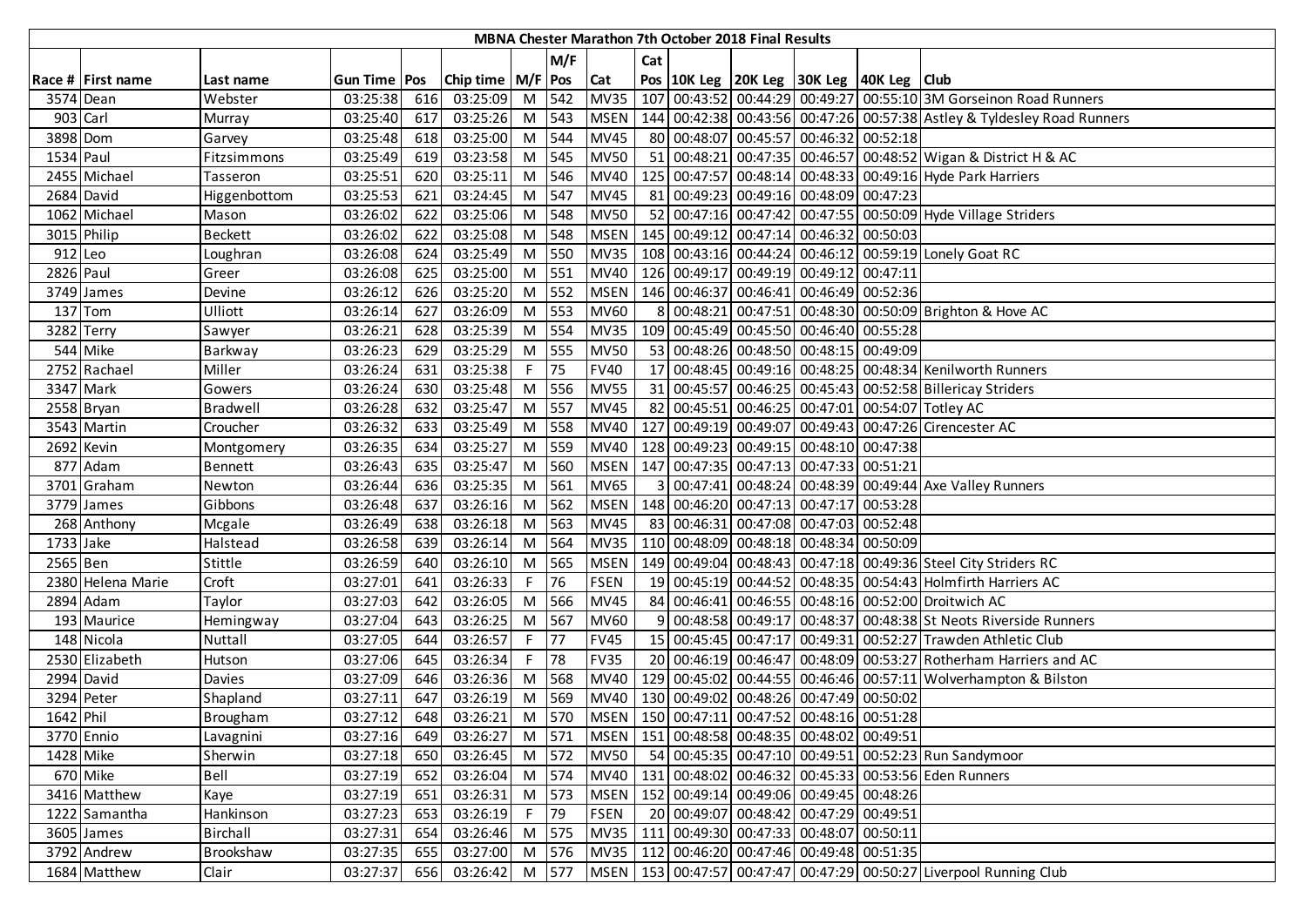|           |                          |                |                       |     |                       |     |       |             |                | MBNA Chester Marathon 7th October 2018 Final Results |                                                    |                                                                                   |
|-----------|--------------------------|----------------|-----------------------|-----|-----------------------|-----|-------|-------------|----------------|------------------------------------------------------|----------------------------------------------------|-----------------------------------------------------------------------------------|
|           |                          |                |                       |     |                       |     | M/F   |             | Cat            |                                                      |                                                    |                                                                                   |
|           | Race # First name        | Last name      | <b>Gun Time   Pos</b> |     | Chip time   M/F   Pos |     |       | <b>Cat</b>  |                |                                                      | Pos   10K Leg   20K Leg   30K Leg   40K Leg   Club |                                                                                   |
|           | 3574 Dean                | Webster        | 03:25:38              | 616 | 03:25:09              |     | M 542 | <b>MV35</b> |                |                                                      |                                                    | 107 00:43:52 00:44:29 00:49:27 00:55:10 3M Gorseinon Road Runners                 |
| 903 Carl  |                          | Murray         | 03:25:40              | 617 | 03:25:26              | M   | 543   | <b>MSEN</b> |                |                                                      |                                                    | 144   00:42:38   00:43:56   00:47:26   00:57:38   Astley & Tyldesley Road Runners |
| 3898 Dom  |                          | Garvey         | 03:25:48              | 618 | 03:25:00              | $M$ | 544   | <b>MV45</b> |                |                                                      | 80 00:48:07 00:45:57 00:46:32 00:52:18             |                                                                                   |
| 1534 Paul |                          | Fitzsimmons    | 03:25:49              | 619 | 03:23:58              |     | M 545 | <b>MV50</b> |                |                                                      |                                                    | 51 00:48:21 00:47:35 00:46:57 00:48:52 Wigan & District H & AC                    |
|           | 2455 Michael             | Tasseron       | 03:25:51              | 620 | 03:25:11              | M   | 546   | <b>MV40</b> |                |                                                      |                                                    | 125 00:47:57 00:48:14 00:48:33 00:49:16 Hyde Park Harriers                        |
|           | 2684 David               | Higgenbottom   | 03:25:53              | 621 | 03:24:45              | M   | 547   | <b>MV45</b> |                |                                                      | 81 00:49:23 00:49:16 00:48:09 00:47:23             |                                                                                   |
|           | 1062 Michael             | Mason          | 03:26:02              | 622 | 03:25:06              | M   | 548   | <b>MV50</b> |                |                                                      |                                                    | 52 00:47:16 00:47:42 00:47:55 00:50:09 Hyde Village Striders                      |
|           | 3015 Philip              | <b>Beckett</b> | 03:26:02              | 622 | 03:25:08              | M   | 548   | <b>MSEN</b> |                |                                                      | 145   00:49:12   00:47:14   00:46:32   00:50:03    |                                                                                   |
| 912 Leo   |                          | Loughran       | 03:26:08              | 624 | 03:25:49              | M   | 550   | <b>MV35</b> |                |                                                      |                                                    | 108 00:43:16 00:44:24 00:46:12 00:59:19 Lonely Goat RC                            |
| 2826 Paul |                          | Greer          | 03:26:08              | 625 | 03:25:00              | M   | 551   | <b>MV40</b> |                |                                                      | 126 00:49:17 00:49:19 00:49:12 00:47:11            |                                                                                   |
|           | $\overline{37}$ 49 James | Devine         | 03:26:12              | 626 | 03:25:20              | M   | 552   | <b>MSEN</b> |                |                                                      | 146 00:46:37 00:46:41 00:46:49 00:52:36            |                                                                                   |
|           | 137 Tom                  | Ulliott        | 03:26:14              | 627 | 03:26:09              | M   | 553   | <b>MV60</b> |                |                                                      |                                                    | 8 00:48:21 00:47:51 00:48:30 00:50:09 Brighton & Hove AC                          |
| 3282      | Terry                    | Sawyer         | 03:26:21              | 628 | 03:25:39              | M   | 554   | <b>MV35</b> |                |                                                      | 109 00:45:49 00:45:50 00:46:40 00:55:28            |                                                                                   |
|           | 544 Mike                 | Barkway        | 03:26:23              | 629 | 03:25:29              | M   | 555   | <b>MV50</b> |                |                                                      | 53 00:48:26 00:48:50 00:48:15 00:49:09             |                                                                                   |
|           | 2752 Rachael             | Miller         | 03:26:24              | 631 | 03:25:38              | F   | 75    | <b>FV40</b> |                |                                                      |                                                    | 17 00:48:45 00:49:16 00:48:25 00:48:34 Kenilworth Runners                         |
|           | 3347 Mark                | Gowers         | 03:26:24              | 630 | 03:25:48              |     | M 556 | <b>MV55</b> |                |                                                      |                                                    | 31 00:45:57 00:46:25 00:45:43 00:52:58 Billericay Striders                        |
|           | 2558 Bryan               | Bradwell       | 03:26:28              | 632 | 03:25:47              |     | M 557 | <b>MV45</b> |                |                                                      |                                                    | 82 00:45:51 00:46:25 00:47:01 00:54:07 Totley AC                                  |
|           | 3543 Martin              | Croucher       | 03:26:32              | 633 | 03:25:49              |     | M 558 | <b>MV40</b> |                |                                                      |                                                    | 127 00:49:19 00:49:07 00:49:43 00:47:26 Cirencester AC                            |
|           | 2692 Kevin               | Montgomery     | 03:26:35              | 634 | 03:25:27              | $M$ | 559   |             |                |                                                      | MV40   128 00:49:23 00:49:15 00:48:10 00:47:38     |                                                                                   |
|           | 877 Adam                 | <b>Bennett</b> | 03:26:43              | 635 | 03:25:47              | M   | 560   |             |                |                                                      | MSEN   147 00:47:35 00:47:13 00:47:33 00:51:21     |                                                                                   |
|           | 3701 Graham              | Newton         | 03:26:44              | 636 | 03:25:35              | M   | 561   | <b>MV65</b> | $\overline{3}$ |                                                      |                                                    | 00:47:41 00:48:24 00:48:39 00:49:44 Axe Valley Runners                            |
|           | 3779 James               | Gibbons        | 03:26:48              | 637 | 03:26:16              | M   | 562   | <b>MSEN</b> |                |                                                      | 148 00:46:20 00:47:13 00:47:17 00:53:28            |                                                                                   |
|           | 268 Anthony              | Mcgale         | 03:26:49              | 638 | 03:26:18              | M   | 563   | <b>MV45</b> |                |                                                      | 83 00:46:31 00:47:08 00:47:03 00:52:48             |                                                                                   |
| 1733 Jake |                          | Halstead       | 03:26:58              | 639 | 03:26:14              | M   | 564   | <b>MV35</b> |                |                                                      | 110 00:48:09 00:48:18 00:48:34 00:50:09            |                                                                                   |
| 2565 Ben  |                          | Stittle        | 03:26:59              | 640 | 03:26:10              | M   | 565   | <b>MSEN</b> |                |                                                      |                                                    | 149 00:49:04 00:48:43 00:47:18 00:49:36 Steel City Striders RC                    |
|           | 2380 Helena Marie        | Croft          | 03:27:01              | 641 | 03:26:33              | F.  | 76    | <b>FSEN</b> |                |                                                      |                                                    | 19 00:45:19 00:44:52 00:48:35 00:54:43 Holmfirth Harriers AC                      |
|           | 2894 Adam                | Taylor         | 03:27:03              | 642 | 03:26:05              | M   | 566   | <b>MV45</b> |                |                                                      |                                                    | 84 00:46:41 00:46:55 00:48:16 00:52:00 Droitwich AC                               |
|           | 193 Maurice              | Hemingway      | 03:27:04              | 643 | 03:26:25              | M   | 567   | <b>MV60</b> |                |                                                      |                                                    | 9 00:48:58 00:49:17 00:48:37 00:48:38 St Neots Riverside Runners                  |
|           | 148 Nicola               | Nuttall        | 03:27:05              | 644 | 03:26:57              | F.  | 77    | <b>FV45</b> |                |                                                      |                                                    | 15 00:45:45 00:47:17 00:49:31 00:52:27 Trawden Athletic Club                      |
|           | 2530 Elizabeth           | Hutson         | 03:27:06              | 645 | 03:26:34              | F.  | 78    | <b>FV35</b> |                |                                                      |                                                    | 20 00:46:19 00:46:47 00:48:09 00:53:27 Rotherham Harriers and AC                  |
|           | 2994 David               | <b>Davies</b>  | 03:27:09              | 646 | 03:26:36              | M   | 568   | MV40        |                |                                                      |                                                    | 129 00:45:02 00:44:55 00:46:46 00:57:11 Wolverhampton & Bilston                   |
| 3294      | Peter                    | Shapland       | 03:27:11              | 647 | 03:26:19              | M   | 569   |             |                |                                                      | MV40 130 00:49:02 00:48:26 00:47:49 00:50:02       |                                                                                   |
| 1642 Phil |                          | Brougham       | 03:27:12              | 648 | 03:26:21              | M   | 570   |             |                |                                                      | MSEN   150 00:47:11 00:47:52 00:48:16 00:51:28     |                                                                                   |
|           | 3770 Ennio               | Lavagnini      | 03:27:16              | 649 | 03:26:27              |     | M 571 |             |                |                                                      | MSEN   151 00:48:58 00:48:35 00:48:02 00:49:51     |                                                                                   |
| 1428 Mike |                          | Sherwin        | 03:27:18              | 650 | 03:26:45              |     | M 572 | <b>MV50</b> |                |                                                      |                                                    | 54 00:45:35 00:47:10 00:49:51 00:52:23 Run Sandymoor                              |
|           | 670 Mike                 | Bell           | 03:27:19              | 652 | 03:26:04              |     | M 574 |             |                |                                                      |                                                    | MV40   131 00:48:02 00:46:32 00:45:33 00:53:56 Eden Runners                       |
|           | 3416 Matthew             | Kaye           | 03:27:19              | 651 | 03:26:31              |     | M 573 | <b>MSEN</b> |                |                                                      | 152 00:49:14 00:49:06 00:49:45 00:48:26            |                                                                                   |
|           | 1222 Samantha            | Hankinson      | 03:27:23              | 653 | 03:26:19              | F   | 79    | <b>FSEN</b> |                |                                                      | 20 00:49:07 00:48:42 00:47:29 00:49:51             |                                                                                   |
|           | 3605 James               | Birchall       | 03:27:31              | 654 | 03:26:46              |     | M 575 | <b>MV35</b> |                |                                                      | 111 00:49:30 00:47:33 00:48:07 00:50:11            |                                                                                   |
|           | 3792 Andrew              | Brookshaw      | 03:27:35              | 655 | 03:27:00              |     | M 576 |             |                |                                                      | MV35   112 00:46:20 00:47:46 00:49:48 00:51:35     |                                                                                   |
|           | 1684 Matthew             | Clair          | 03:27:37              | 656 | 03:26:42 M 577        |     |       |             |                |                                                      |                                                    | MSEN   153 00:47:57 00:47:47 00:47:29 00:50:27 Liverpool Running Club             |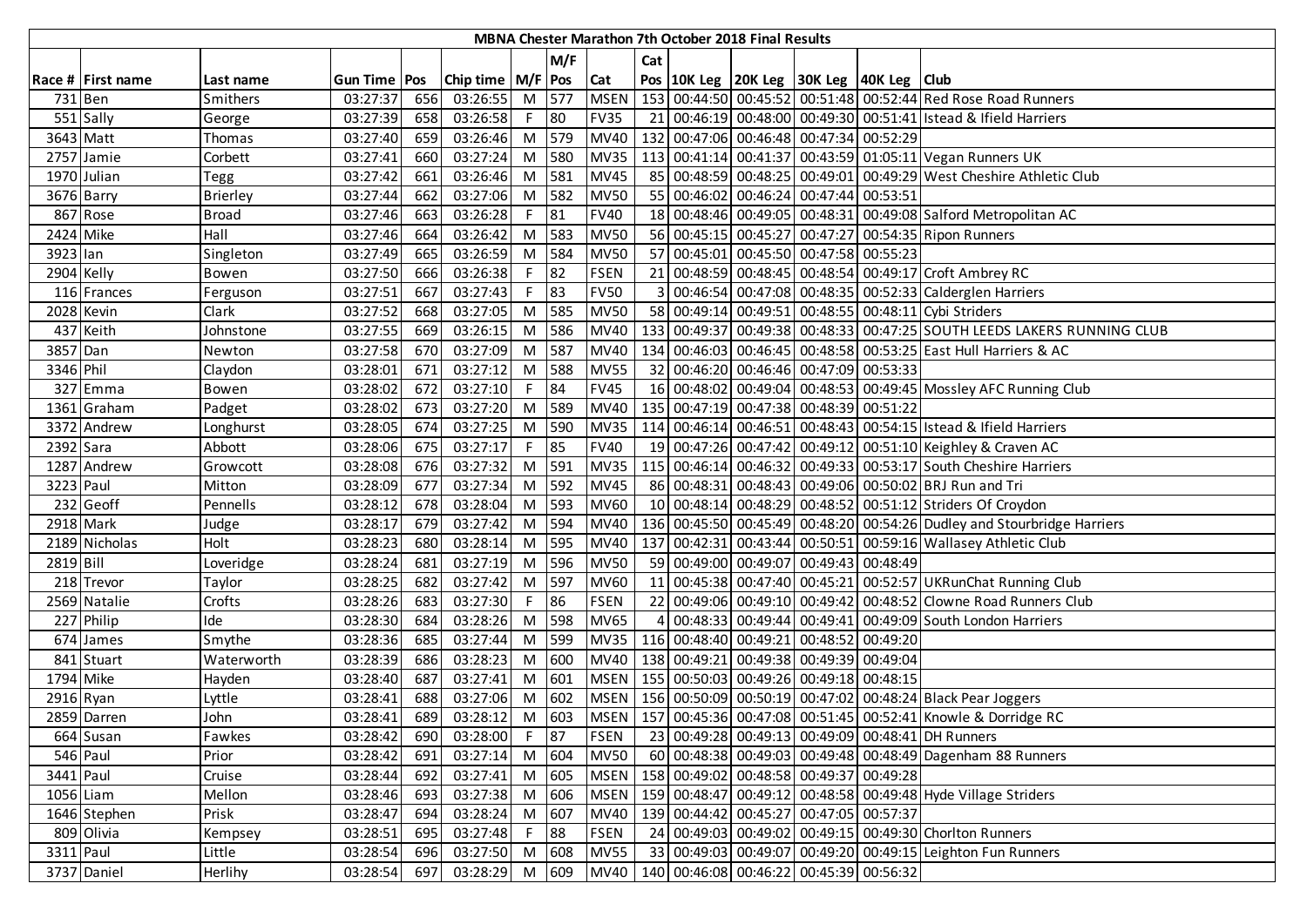|           |                            |                 |                |     |                       |    |       |             |                | <b>MBNA Chester Marathon 7th October 2018 Final Results</b> |                                                    |                                                                         |
|-----------|----------------------------|-----------------|----------------|-----|-----------------------|----|-------|-------------|----------------|-------------------------------------------------------------|----------------------------------------------------|-------------------------------------------------------------------------|
|           |                            |                 |                |     |                       |    | M/F   |             | Cat            |                                                             |                                                    |                                                                         |
|           | Race # First name          | Last name       | Gun Time   Pos |     | Chip time   M/F   Pos |    |       | Cat         |                |                                                             | Pos   10K Leg   20K Leg   30K Leg   40K Leg   Club |                                                                         |
| 731 Ben   |                            | Smithers        | 03:27:37       | 656 | 03:26:55              |    | M 577 | <b>MSEN</b> |                |                                                             |                                                    | 153 00:44:50 00:45:52 00:51:48 00:52:44 Red Rose Road Runners           |
|           | 551 Sally                  | George          | 03:27:39       | 658 | 03:26:58              | F. | 80    | <b>FV35</b> |                |                                                             |                                                    | 21 00:46:19 00:48:00 00:49:30 00:51:41 Istead & Ifield Harriers         |
|           | 3643 Matt                  | Thomas          | 03:27:40       | 659 | 03:26:46              | M  | 579   | <b>MV40</b> |                |                                                             | 132 00:47:06 00:46:48 00:47:34 00:52:29            |                                                                         |
|           | 2757 Jamie                 | Corbett         | 03:27:41       | 660 | 03:27:24              | M  | 580   | <b>MV35</b> |                |                                                             |                                                    | 113 00:41:14 00:41:37 00:43:59 01:05:11 Vegan Runners UK                |
|           | 1970 Julian                | Tegg            | 03:27:42       | 661 | 03:26:46              | M  | 581   | <b>MV45</b> |                |                                                             |                                                    | 85 00:48:59 00:48:25 00:49:01 00:49:29 West Cheshire Athletic Club      |
|           | 3676 Barry                 | <b>Brierley</b> | 03:27:44       | 662 | 03:27:06              | M  | 582   | <b>MV50</b> |                |                                                             | 55 00:46:02 00:46:24 00:47:44 00:53:51             |                                                                         |
|           | 867 Rose                   | <b>Broad</b>    | 03:27:46       | 663 | 03:26:28              | F  | 81    | <b>FV40</b> |                |                                                             |                                                    | 18 00:48:46 00:49:05 00:48:31 00:49:08 Salford Metropolitan AC          |
| 2424 Mike |                            | Hall            | 03:27:46       | 664 | 03:26:42              | M  | 583   | <b>MV50</b> |                |                                                             |                                                    | 56 00:45:15 00:45:27 00:47:27 00:54:35 Ripon Runners                    |
| 3923 lan  |                            | Singleton       | 03:27:49       | 665 | 03:26:59              | M  | 584   | <b>MV50</b> |                |                                                             | 57 00:45:01 00:45:50 00:47:58 00:55:23             |                                                                         |
|           | 2904 Kelly                 | Bowen           | 03:27:50       | 666 | 03:26:38              |    | 82    | <b>FSEN</b> |                |                                                             |                                                    | 21 00:48:59 00:48:45 00:48:54 00:49:17 Croft Ambrey RC                  |
|           | 116 Frances                | Ferguson        | 03:27:51       | 667 | 03:27:43              |    | co    | <b>FV50</b> | $\overline{3}$ |                                                             |                                                    | 00:46:54 00:47:08 00:48:35 00:52:33 Calderglen Harriers                 |
|           | 2028 Kevin                 | Clark           | 03:27:52       | 668 | 03:27:05              | M  | 585   | <b>MV50</b> |                |                                                             |                                                    | 58 00:49:14 00:49:51 00:48:55 00:48:11 Cybi Striders                    |
|           | 437 Keith                  | Johnstone       | 03:27:55       | 669 | 03:26:15              | M  | 586   | <b>MV40</b> |                |                                                             |                                                    | 133 00:49:37 00:49:38 00:48:33 00:47:25 SOUTH LEEDS LAKERS RUNNING CLUB |
| 3857 Dan  |                            | Newton          | 03:27:58       | 670 | 03:27:09              | M  | 587   | <b>MV40</b> |                |                                                             |                                                    | 134 00:46:03 00:46:45 00:48:58 00:53:25 East Hull Harriers & AC         |
| 3346 Phil |                            | Claydon         | 03:28:01       | 671 | 03:27:12              | M  | 588   | <b>MV55</b> |                |                                                             | 32 00:46:20 00:46:46 00:47:09 00:53:33             |                                                                         |
|           | 327 Emma                   | Bowen           | 03:28:02       | 672 | 03:27:10              | F. | 84    | <b>FV45</b> |                |                                                             |                                                    | 16 00:48:02 00:49:04 00:48:53 00:49:45 Mossley AFC Running Club         |
|           | 1361 Graham                | Padget          | 03:28:02       | 673 | 03:27:20              | M  | 589   | <b>MV40</b> |                |                                                             | 135 00:47:19 00:47:38 00:48:39 00:51:22            |                                                                         |
|           | 3372 Andrew                | Longhurst       | 03:28:05       | 674 | 03:27:25              | M  | 590   | <b>MV35</b> |                |                                                             |                                                    | 114 00:46:14 00:46:51 00:48:43 00:54:15 Istead & Ifield Harriers        |
| 2392 Sara |                            | Abbott          | 03:28:06       | 675 | 03:27:17              | F. | 85    | <b>FV40</b> |                |                                                             |                                                    | 19 00:47:26 00:47:42 00:49:12 00:51:10 Keighley & Craven AC             |
|           | 1287 Andrew                | Growcott        | 03:28:08       | 676 | 03:27:32              | M  | 591   | <b>MV35</b> |                |                                                             |                                                    | 115 00:46:14 00:46:32 00:49:33 00:53:17 South Cheshire Harriers         |
| 3223 Paul |                            | Mitton          | 03:28:09       | 677 | 03:27:34              | M  | 592   | <b>MV45</b> |                |                                                             |                                                    | 86 00:48:31 00:48:43 00:49:06 00:50:02 BRJ Run and Tri                  |
|           | 232 Geoff                  | Pennells        | 03:28:12       | 678 | 03:28:04              | M  | 593   | <b>MV60</b> |                |                                                             |                                                    | 10 00:48:14 00:48:29 00:48:52 00:51:12 Striders Of Croydon              |
|           | 2918 Mark                  | Judge           | 03:28:17       | 679 | 03:27:42              | M  | 594   | <b>MV40</b> |                |                                                             |                                                    | 136 00:45:50 00:45:49 00:48:20 00:54:26 Dudley and Stourbridge Harriers |
|           | $\overline{2189}$ Nicholas | Holt            | 03:28:23       | 680 | 03:28:14              | M  | 595   | MV40        |                |                                                             |                                                    | 137 00:42:31 00:43:44 00:50:51 00:59:16 Wallasey Athletic Club          |
| 2819 Bill |                            | Loveridge       | 03:28:24       | 681 | 03:27:19              | M  | 596   | <b>MV50</b> |                |                                                             | 59 00:49:00 00:49:07 00:49:43 00:48:49             |                                                                         |
|           | 218 Trevor                 | Taylor          | 03:28:25       | 682 | 03:27:42              | M  | 597   | <b>MV60</b> |                |                                                             |                                                    | 11 00:45:38 00:47:40 00:45:21 00:52:57 UKRunChat Running Club           |
|           | 2569 Natalie               | Crofts          | 03:28:26       | 683 | 03:27:30              |    | 86    | <b>FSEN</b> |                |                                                             |                                                    | 22 00:49:06 00:49:10 00:49:42 00:48:52 Clowne Road Runners Club         |
|           | 227 Philip                 | Ide             | 03:28:30       | 684 | 03:28:26              | M  | 598   | <b>MV65</b> | 4              |                                                             |                                                    | 00:48:33 00:49:44 00:49:41 00:49:09 South London Harriers               |
|           | 674 James                  | Smythe          | 03:28:36       | 685 | 03:27:44              | M  | 599   | <b>MV35</b> |                |                                                             | 116 00:48:40 00:49:21 00:48:52 00:49:20            |                                                                         |
|           | 841 Stuart                 | Waterworth      | 03:28:39       | 686 | 03:28:23              | M  | 600   | <b>MV40</b> |                |                                                             | 138 00:49:21 00:49:38 00:49:39 00:49:04            |                                                                         |
| 1794 Mike |                            | Hayden          | 03:28:40       | 687 | 03:27:41              | M  | 601   |             |                |                                                             | MSEN   155 00:50:03 00:49:26 00:49:18 00:48:15     |                                                                         |
|           | 2916 Ryan                  | Lyttle          | 03:28:41       | 688 | 03:27:06              | M  | 602   |             |                |                                                             |                                                    | MSEN   156 00:50:09 00:50:19 00:47:02 00:48:24 Black Pear Joggers       |
|           | 2859 Darren                | John            | 03:28:41       | 689 | 03:28:12              | M  | 603   |             |                |                                                             |                                                    | MSEN   157 00:45:36 00:47:08 00:51:45 00:52:41 Knowle & Dorridge RC     |
|           | 664 Susan                  | Fawkes          | 03:28:42       | 690 | 03:28:00              | F. | 87    | <b>FSEN</b> |                |                                                             |                                                    | 23 00:49:28 00:49:13 00:49:09 00:48:41 DH Runners                       |
|           | 546 Paul                   | Prior           | 03:28:42       | 691 | 03:27:14              |    | M 604 | <b>MV50</b> |                |                                                             |                                                    | 60 00:48:38 00:49:03 00:49:48 00:48:49 Dagenham 88 Runners              |
| 3441 Paul |                            | Cruise          | 03:28:44       | 692 | 03:27:41              |    | M 605 | <b>MSEN</b> |                |                                                             | 158 00:49:02 00:48:58 00:49:37 00:49:28            |                                                                         |
| 1056 Liam |                            | Mellon          | 03:28:46       | 693 | 03:27:38              | M  | 606   | <b>MSEN</b> |                |                                                             |                                                    | 159 00:48:47 00:49:12 00:48:58 00:49:48 Hyde Village Striders           |
|           | 1646 Stephen               | Prisk           | 03:28:47       | 694 | 03:28:24              | M  | 607   | <b>MV40</b> |                |                                                             | 139 00:44:42 00:45:27 00:47:05 00:57:37            |                                                                         |
|           | 809 Olivia                 | Kempsey         | 03:28:51       | 695 | 03:27:48              | F. | 88    | <b>FSEN</b> |                |                                                             |                                                    | 24 00:49:03 00:49:02 00:49:15 00:49:30 Choriton Runners                 |
| 3311 Paul |                            | Little          | 03:28:54       | 696 | 03:27:50              |    | M 608 | <b>MV55</b> |                |                                                             |                                                    | 33 00:49:03 00:49:07 00:49:20 00:49:15 Leighton Fun Runners             |
|           | 3737 Daniel                | Herlihy         | 03:28:54       | 697 | 03:28:29              | M  | 609   |             |                |                                                             | MV40   140 00:46:08 00:46:22 00:45:39 00:56:32     |                                                                         |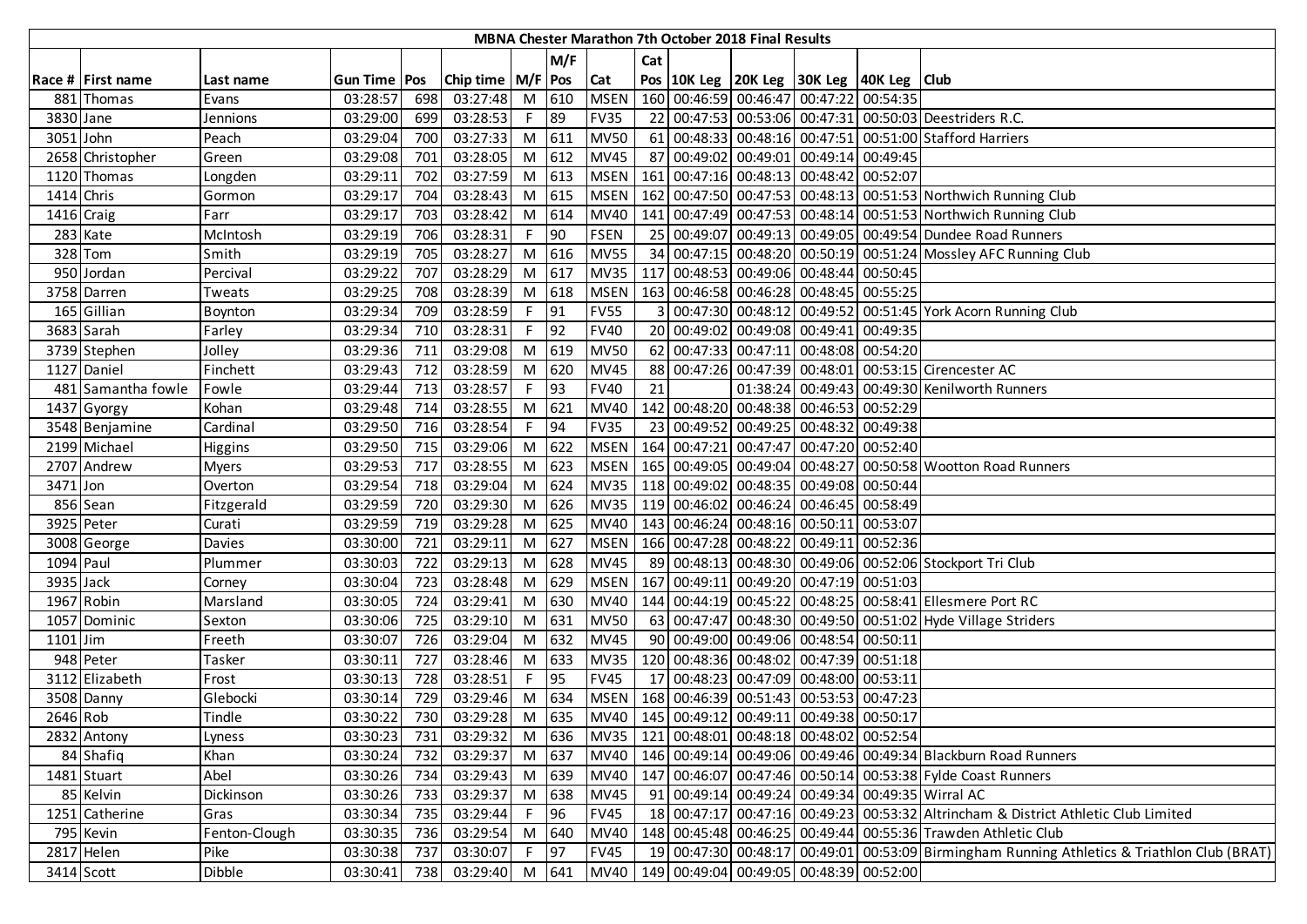|            |                    |               |                |     |                       |        |            |             |     | MBNA Chester Marathon 7th October 2018 Final Results |                                                    |          |                                                                                             |
|------------|--------------------|---------------|----------------|-----|-----------------------|--------|------------|-------------|-----|------------------------------------------------------|----------------------------------------------------|----------|---------------------------------------------------------------------------------------------|
|            |                    |               |                |     |                       |        | M/F        |             | Cat |                                                      |                                                    |          |                                                                                             |
|            | Race # First name  | Last name     | Gun Time   Pos |     | Chip time   M/F   Pos |        |            | Cat         |     |                                                      | Pos   10K Leg   20K Leg   30K Leg   40K Leg   Club |          |                                                                                             |
|            | 881 Thomas         | Evans         | 03:28:57       | 698 | 03:27:48              |        | M 610      | <b>MSEN</b> |     |                                                      | 160 00:46:59 00:46:47 00:47:22                     | 00:54:35 |                                                                                             |
| 3830 Jane  |                    | Jennions      | 03:29:00       | 699 | 03:28:53              | F.     | 89         | <b>FV35</b> |     |                                                      |                                                    |          | 22 00:47:53 00:53:06 00:47:31 00:50:03 Deestriders R.C.                                     |
| 3051 John  |                    | Peach         | 03:29:04       | 700 | 03:27:33              |        | M 611      | <b>MV50</b> |     |                                                      |                                                    |          | 61 00:48:33 00:48:16 00:47:51 00:51:00 Stafford Harriers                                    |
|            | 2658 Christopher   | Green         | 03:29:08       | 701 | 03:28:05              |        | M 612      | <b>MV45</b> |     |                                                      | 87 00:49:02 00:49:01 00:49:14 00:49:45             |          |                                                                                             |
|            | 1120 Thomas        | Longden       | 03:29:11       | 702 | 03:27:59              | M      | 613        | <b>MSEN</b> |     |                                                      | 161 00:47:16 00:48:13 00:48:42                     | 00:52:07 |                                                                                             |
| 1414 Chris |                    | Gormon        | 03:29:17       | 704 | 03:28:43              | M      | 615        | <b>MSEN</b> |     |                                                      |                                                    |          | 162 00:47:50 00:47:53 00:48:13 00:51:53 Northwich Running Club                              |
|            | 1416 Craig         | Farr          | 03:29:17       | 703 | 03:28:42              |        | M 614      | <b>MV40</b> |     |                                                      |                                                    |          | 141 00:47:49 00:47:53 00:48:14 00:51:53 Northwich Running Club                              |
|            | 283 Kate           | McIntosh      | 03:29:19       | 706 | 03:28:31              | F.     | 90         | <b>FSEN</b> |     |                                                      |                                                    |          | 25 00:49:07 00:49:13 00:49:05 00:49:54 Dundee Road Runners                                  |
|            | 328 Tom            | Smith         | 03:29:19       | 705 | 03:28:27              |        | M 616      | <b>MV55</b> |     |                                                      |                                                    |          | 34 00:47:15 00:48:20 00:50:19 00:51:24 Mossley AFC Running Club                             |
|            | 950 Jordan         | Percival      | 03:29:22       | 707 | 03:28:29              |        | M 617      | <b>MV35</b> | 117 |                                                      | 00:48:53 00:49:06 00:48:44 00:50:45                |          |                                                                                             |
|            | 3758 Darren        | Tweats        | 03:29:25       | 708 | 03:28:39              |        | M 618      | <b>MSEN</b> |     |                                                      | 163 00:46:58 00:46:28 00:48:45 00:55:25            |          |                                                                                             |
|            | 165 Gillian        | Boynton       | 03:29:34       | 709 | 03:28:59              | F.     | 91         | <b>FV55</b> |     |                                                      |                                                    |          | 00:47:30 00:48:12 00:49:52 00:51:45 York Acorn Running Club                                 |
|            | 3683 Sarah         | Farley        | 03:29:34       | 710 | 03:28:31              | F.     | $\vert$ 92 | <b>FV40</b> |     |                                                      | 20 00:49:02 00:49:08 00:49:41 00:49:35             |          |                                                                                             |
|            | 3739 Stephen       | Jolley        | 03:29:36       | 711 | 03:29:08              |        | $M$ 619    | <b>MV50</b> |     |                                                      | 62 00:47:33 00:47:11 00:48:08 00:54:20             |          |                                                                                             |
|            | 1127 Daniel        | Finchett      | 03:29:43       | 712 | 03:28:59              |        | M 620      | <b>MV45</b> |     |                                                      |                                                    |          | 88 00:47:26 00:47:39 00:48:01 00:53:15 Cirencester AC                                       |
|            | 481 Samantha fowle | Fowle         | 03:29:44       | 713 | 03:28:57              | $F$ 93 |            | <b>FV40</b> | 21  |                                                      |                                                    |          | 01:38:24 00:49:43 00:49:30 Kenilworth Runners                                               |
|            | 1437 Gyorgy        | Kohan         | 03:29:48       | 714 | 03:28:55              |        | M 621      | <b>MV40</b> |     |                                                      | 142 00:48:20 00:48:38 00:46:53 00:52:29            |          |                                                                                             |
|            | 3548 Benjamine     | Cardinal      | 03:29:50       | 716 | 03:28:54              | F.     | 94         | <b>FV35</b> |     |                                                      | 23 00:49:52 00:49:25 00:48:32                      | 00:49:38 |                                                                                             |
|            | 2199 Michael       | Higgins       | 03:29:50       | 715 | 03:29:06              | M      | 622        | <b>MSEN</b> |     |                                                      | 164 00:47:21 00:47:47 00:47:20 00:52:40            |          |                                                                                             |
|            | 2707 Andrew        | <b>Myers</b>  | 03:29:53       | 717 | 03:28:55              | M      | 623        | <b>MSEN</b> |     |                                                      |                                                    |          | 165 00:49:05 00:49:04 00:48:27 00:50:58 Wootton Road Runners                                |
| 3471 Jon   |                    | Overton       | 03:29:54       | 718 | 03:29:04              |        | M 624      | <b>MV35</b> |     |                                                      | 118 00:49:02 00:48:35 00:49:08 00:50:44            |          |                                                                                             |
|            | $856$ Sean         | Fitzgerald    | 03:29:59       | 720 | 03:29:30              |        | M 626      | MV35        |     |                                                      | 119 00:46:02 00:46:24 00:46:45 00:58:49            |          |                                                                                             |
|            | 3925 Peter         | Curati        | 03:29:59       | 719 | 03:29:28              | M      | 625        | <b>MV40</b> |     |                                                      | 143 00:46:24 00:48:16 00:50:11 00:53:07            |          |                                                                                             |
|            | 3008 George        | Davies        | 03:30:00       | 721 | 03:29:11              | M      | 627        | <b>MSEN</b> |     |                                                      | 166 00:47:28 00:48:22 00:49:11 00:52:36            |          |                                                                                             |
| 1094 Paul  |                    | Plummer       | 03:30:03       | 722 | 03:29:13              | M      | 628        | <b>MV45</b> |     |                                                      |                                                    |          | 89 00:48:13 00:48:30 00:49:06 00:52:06 Stockport Tri Club                                   |
| 3935 Jack  |                    | Corney        | 03:30:04       | 723 | 03:28:48              |        | M 629      | <b>MSEN</b> |     |                                                      | 167 00:49:11 00:49:20 00:47:19 00:51:03            |          |                                                                                             |
|            | 1967 Robin         | Marsland      | 03:30:05       | 724 | 03:29:41              |        | M 630      | <b>MV40</b> |     |                                                      |                                                    |          | 144 00:44:19 00:45:22 00:48:25 00:58:41 Ellesmere Port RC                                   |
|            | 1057 Dominic       | Sexton        | 03:30:06       | 725 | 03:29:10              |        | M 631      | <b>MV50</b> |     |                                                      |                                                    |          | 63 00:47:47 00:48:30 00:49:50 00:51:02 Hyde Village Striders                                |
| $1101$ Jim |                    | Freeth        | 03:30:07       | 726 | 03:29:04              |        | M 632      | <b>MV45</b> |     |                                                      | 90 00:49:00 00:49:06 00:48:54 00:50:11             |          |                                                                                             |
|            | 948 Peter          | Tasker        | 03:30:11       | 727 | 03:28:46              |        | M 633      | <b>MV35</b> |     |                                                      | 120 00:48:36 00:48:02 00:47:39 00:51:18            |          |                                                                                             |
|            | $3112$ Elizabeth   | Frost         | 03:30:13       | 728 | 03:28:51              | F.     | 95         | <b>FV45</b> |     |                                                      | 17 00:48:23 00:47:09 00:48:00 00:53:11             |          |                                                                                             |
|            | 3508 Danny         | Glebocki      | 03:30:14       | 729 | 03:29:46              | M      | 634        | <b>MSEN</b> |     |                                                      | 168 00:46:39 00:51:43 00:53:53 00:47:23            |          |                                                                                             |
| 2646 Rob   |                    | Tindle        | 03:30:22       | 730 | 03:29:28              | M      | 635        |             |     |                                                      | MV40   145 00:49:12 00:49:11 00:49:38 00:50:17     |          |                                                                                             |
|            | 2832 Antony        | Lyness        | 03:30:23       | 731 | 03:29:32              |        | M 636      |             |     |                                                      | MV35   121 00:48:01 00:48:18 00:48:02 00:52:54     |          |                                                                                             |
|            | 84 Shafiq          | Khan          | 03:30:24       | 732 | 03:29:37              |        | M 637      | <b>MV40</b> |     |                                                      |                                                    |          | 146   00:49:14   00:49:06   00:49:46   00:49:34   Blackburn Road Runners                    |
|            | 1481 Stuart        | Abel          | 03:30:26       | 734 | 03:29:43              |        | M 639      | <b>MV40</b> |     |                                                      |                                                    |          | 147 00:46:07 00:47:46 00:50:14 00:53:38 Fylde Coast Runners                                 |
|            | 85 Kelvin          | Dickinson     | 03:30:26       | 733 | 03:29:37              |        | M 638      | <b>MV45</b> |     |                                                      |                                                    |          | 91 00:49:14 00:49:24 00:49:34 00:49:35 Wirral AC                                            |
|            | 1251 Catherine     | Gras          | 03:30:34       | 735 | 03:29:44              | F.     | 96         | <b>FV45</b> |     |                                                      |                                                    |          | 18 00:47:17 00:47:16 00:49:23 00:53:32 Altrincham & District Athletic Club Limited          |
|            | 795 Kevin          | Fenton-Clough | 03:30:35       | 736 | 03:29:54              |        | M 640      | <b>MV40</b> |     |                                                      |                                                    |          | 148 00:45:48 00:46:25 00:49:44 00:55:36 Trawden Athletic Club                               |
|            | 2817 Helen         | Pike          | 03:30:38       | 737 | 03:30:07              | F.     | 97         | <b>FV45</b> |     |                                                      |                                                    |          | 19 00:47:30 00:48:17 00:49:01 00:53:09 Birmingham Running Athletics & Triathlon Club (BRAT) |
|            | 3414 Scott         | Dibble        | 03:30:41       | 738 | 03:29:40              |        | M 641      |             |     |                                                      | MV40   149 00:49:04 00:49:05 00:48:39 00:52:00     |          |                                                                                             |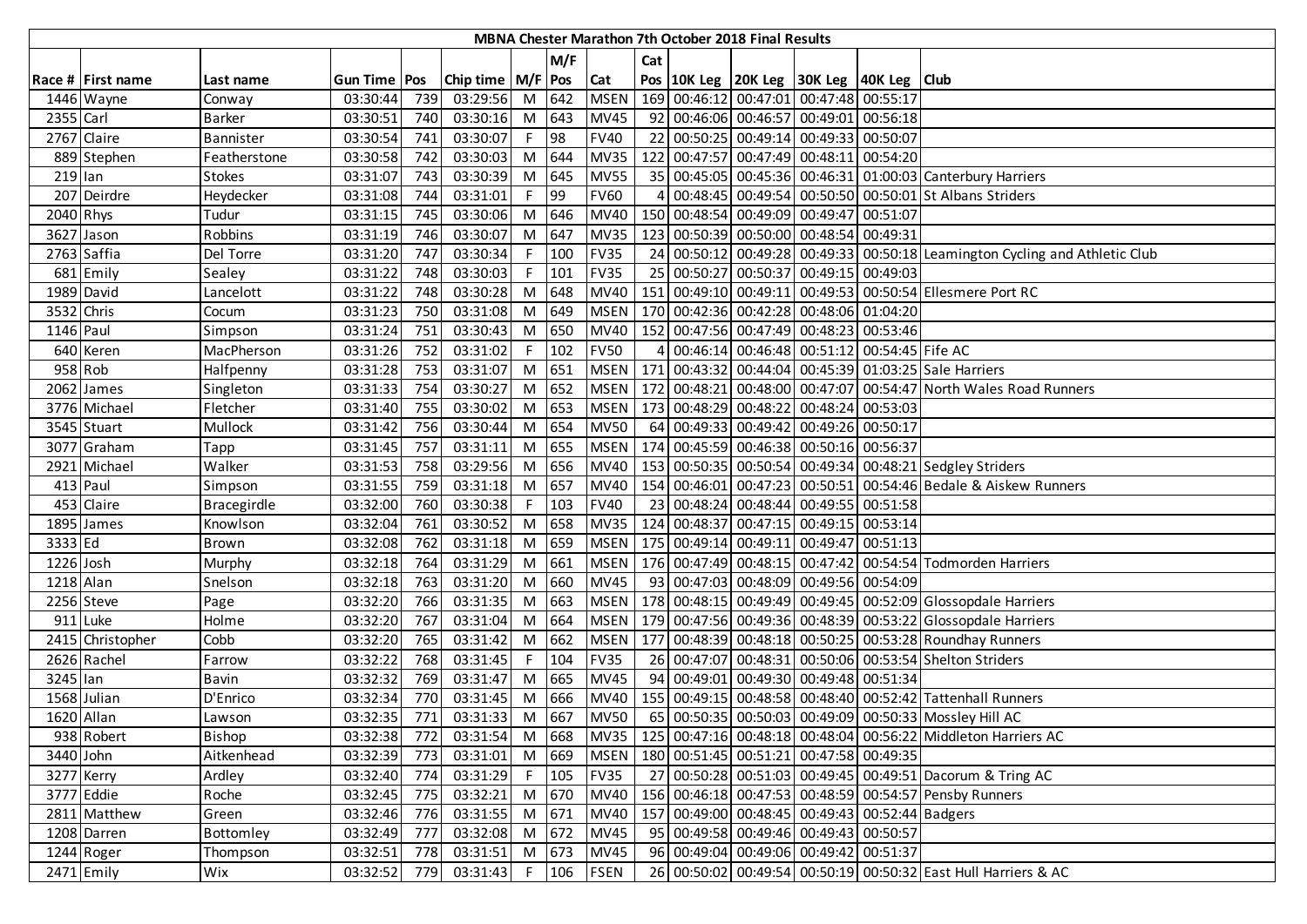|            |                   |               |                |     |                       |    |         |             |     | <b>MBNA Chester Marathon 7th October 2018 Final Results</b> |                                                    |                                                                                |
|------------|-------------------|---------------|----------------|-----|-----------------------|----|---------|-------------|-----|-------------------------------------------------------------|----------------------------------------------------|--------------------------------------------------------------------------------|
|            |                   |               |                |     |                       |    | M/F     |             | Cat |                                                             |                                                    |                                                                                |
|            | Race # First name | Last name     | Gun Time   Pos |     | Chip time   M/F   Pos |    |         | Cat         |     |                                                             | Pos   10K Leg   20K Leg   30K Leg   40K Leg   Club |                                                                                |
|            | 1446 Wayne        | Conway        | 03:30:44       | 739 | 03:29:56              |    | M 642   | <b>MSEN</b> |     |                                                             | 169 00:46:12 00:47:01 00:47:48 00:55:17            |                                                                                |
| 2355 Carl  |                   | Barker        | 03:30:51       | 740 | 03:30:16              |    | M 643   | <b>MV45</b> |     |                                                             | 92 00:46:06 00:46:57 00:49:01 00:56:18             |                                                                                |
|            | 2767 Claire       | Bannister     | 03:30:54       | 741 | 03:30:07              | F. | 98      | <b>FV40</b> |     |                                                             | 22 00:50:25 00:49:14 00:49:33 00:50:07             |                                                                                |
|            | 889 Stephen       | Featherstone  | 03:30:58       | 742 | 03:30:03              |    | M 644   | <b>MV35</b> |     |                                                             | 122 00:47:57 00:47:49 00:48:11 00:54:20            |                                                                                |
| 219 lan    |                   | <b>Stokes</b> | 03:31:07       | 743 | 03:30:39              |    | M 645   | <b>MV55</b> |     |                                                             |                                                    | 35 00:45:05 00:45:36 00:46:31 01:00:03 Canterbury Harriers                     |
|            | 207 Deirdre       | Heydecker     | 03:31:08       | 744 | 03:31:01              | F. | 99      | <b>FV60</b> |     |                                                             |                                                    | 00:48:45 00:49:54 00:50:50 00:50:01 St Albans Striders                         |
| 2040 Rhys  |                   | Tudur         | 03:31:15       | 745 | 03:30:06              |    | M 646   | <b>MV40</b> |     |                                                             | 150 00:48:54 00:49:09 00:49:47 00:51:07            |                                                                                |
|            | 3627 Jason        | Robbins       | 03:31:19       | 746 | 03:30:07              |    | M 647   | <b>MV35</b> |     |                                                             | 123 00:50:39 00:50:00 00:48:54 00:49:31            |                                                                                |
|            | 2763 Saffia       | Del Torre     | 03:31:20       | 747 | 03:30:34              |    | 100     | <b>FV35</b> |     |                                                             |                                                    | 24 00:50:12 00:49:28 00:49:33 00:50:18 Leamington Cycling and Athletic Club    |
|            | 681 Emily         | Sealey        | 03:31:22       | 748 | 03:30:03              | F. | 101     | <b>FV35</b> |     |                                                             | 25 00:50:27 00:50:37 00:49:15 00:49:03             |                                                                                |
|            | 1989 David        | Lancelott     | 03:31:22       | 748 | 03:30:28              | M  | 648     | <b>MV40</b> |     |                                                             |                                                    | 151 00:49:10 00:49:11 00:49:53 00:50:54 Ellesmere Port RC                      |
| 3532 Chris |                   | Cocum         | 03:31:23       | 750 | 03:31:08              | M  | 649     | <b>MSEN</b> |     |                                                             | 170 00:42:36 00:42:28 00:48:06 01:04:20            |                                                                                |
| 1146 Paul  |                   | Simpson       | 03:31:24       | 751 | 03:30:43              |    | M 650   | <b>MV40</b> |     |                                                             | 152 00:47:56 00:47:49 00:48:23 00:53:46            |                                                                                |
|            | 640 Keren         | MacPherson    | 03:31:26       | 752 | 03:31:02              | F. | 102     | <b>FV50</b> |     |                                                             | 00:46:14 00:46:48 00:51:12 00:54:45 Fife AC        |                                                                                |
|            | 958 Rob           | Halfpenny     | 03:31:28       | 753 | 03:31:07              |    | M 651   | <b>MSEN</b> |     |                                                             |                                                    | 171 00:43:32 00:44:04 00:45:39 01:03:25 Sale Harriers                          |
|            | 2062 James        | Singleton     | 03:31:33       | 754 | 03:30:27              |    | M 652   |             |     |                                                             |                                                    | MSEN   172 00:48:21 00:48:00 00:47:07 00:54:47 North Wales Road Runners        |
|            | 3776 Michael      | Fletcher      | 03:31:40       | 755 | 03:30:02              |    | M 653   |             |     |                                                             | MSEN   173 00:48:29 00:48:22 00:48:24 00:53:03     |                                                                                |
|            | 3545 Stuart       | Mullock       | 03:31:42       | 756 | 03:30:44              |    | M 654   | <b>MV50</b> |     |                                                             | 64 00:49:33 00:49:42 00:49:26 00:50:17             |                                                                                |
|            | 3077 Graham       | Tapp          | 03:31:45       | 757 | 03:31:11              | M  | 655     | <b>MSEN</b> |     |                                                             | 174 00:45:59 00:46:38 00:50:16 00:56:37            |                                                                                |
|            | 2921 Michael      | Walker        | 03:31:53       | 758 | 03:29:56              | M  | 656     | <b>MV40</b> |     |                                                             |                                                    | 153 00:50:35 00:50:54 00:49:34 00:48:21 Sedgley Striders                       |
|            | 413 Paul          | Simpson       | 03:31:55       | 759 | 03:31:18              |    | M 657   | <b>MV40</b> |     |                                                             |                                                    | 154 00:46:01 00:47:23 00:50:51 00:54:46 Bedale & Aiskew Runners                |
|            | 453 Claire        | Bracegirdle   | 03:32:00       | 760 | 03:30:38              |    | 103     | <b>FV40</b> |     |                                                             | 23 00:48:24 00:48:44 00:49:55 00:51:58             |                                                                                |
|            | 1895 James        | Knowlson      | 03:32:04       | 761 | 03:30:52              |    | M 658   | <b>MV35</b> |     |                                                             | 124 00:48:37 00:47:15 00:49:15 00:53:14            |                                                                                |
| 3333 Ed    |                   | Brown         | 03:32:08       | 762 | 03:31:18              | M  | 659     | <b>MSEN</b> |     |                                                             | 175 00:49:14 00:49:11 00:49:47 00:51:13            |                                                                                |
| 1226 Josh  |                   | Murphy        | 03:32:18       | 764 | 03:31:29              | M  | 661     | <b>MSEN</b> |     |                                                             |                                                    | 176 00:47:49 00:48:15 00:47:42 00:54:54 Todmorden Harriers                     |
| 1218 Alan  |                   | Snelson       | 03:32:18       | 763 | 03:31:20              |    | M 660   | <b>MV45</b> |     |                                                             | 93 00:47:03 00:48:09 00:49:56 00:54:09             |                                                                                |
|            | 2256 Steve        | Page          | 03:32:20       | 766 | 03:31:35              | M  | 663     | <b>MSEN</b> |     |                                                             |                                                    | 178 00:48:15 00:49:49 00:49:45 00:52:09 Glossopdale Harriers                   |
|            | 911 Luke          | Holme         | 03:32:20       | 767 | 03:31:04              | M  | 664     | <b>MSEN</b> |     |                                                             |                                                    | 179 00:47:56 00:49:36 00:48:39 00:53:22 Glossopdale Harriers                   |
|            | 2415 Christopher  | Cobb          | 03:32:20       | 765 | 03:31:42              |    | M 662   | <b>MSEN</b> |     |                                                             |                                                    | 177 00:48:39 00:48:18 00:50:25 00:53:28 Roundhay Runners                       |
|            | 2626 Rachel       | Farrow        | 03:32:22       | 768 | 03:31:45              |    | 104     | <b>FV35</b> |     |                                                             |                                                    | 26 00:47:07 00:48:31 00:50:06 00:53:54 Shelton Striders                        |
| 3245 lan   |                   | <b>Bavin</b>  | 03:32:32       | 769 | 03:31:47              | M  | 665     | <b>MV45</b> |     |                                                             | 94 00:49:01 00:49:30 00:49:48 00:51:34             |                                                                                |
|            | 1568 Julian       | D'Enrico      | 03:32:34       | 770 | 03:31:45              | M  | 666     | <b>MV40</b> |     |                                                             |                                                    | 155 00:49:15 00:48:58 00:48:40 00:52:42 Tattenhall Runners                     |
|            | 1620 Allan        | Lawson        | 03:32:35       | 771 | 03:31:33              | M  | 667     | <b>MV50</b> |     |                                                             |                                                    | 65 00:50:35 00:50:03 00:49:09 00:50:33 Mossley Hill AC                         |
|            | 938 Robert        | <b>Bishop</b> | 03:32:38       | 772 | 03:31:54              |    | M 668   |             |     |                                                             |                                                    | MV35   125   00:47:16   00:48:18   00:48:04   00:56:22   Middleton Harriers AC |
| 3440 John  |                   | Aitkenhead    | 03:32:39       | 773 | 03:31:01              |    | M 669   | <b>MSEN</b> |     |                                                             | 180 00:51:45 00:51:21 00:47:58 00:49:35            |                                                                                |
|            | 3277 Kerry        | Ardley        | 03:32:40       | 774 | 03:31:29              |    | $F$ 105 | <b>FV35</b> |     |                                                             |                                                    | 27 00:50:28 00:51:03 00:49:45 00:49:51 Dacorum & Tring AC                      |
|            | 3777 Eddie        | Roche         | 03:32:45       | 775 | 03:32:21              |    | M 670   | <b>MV40</b> |     |                                                             |                                                    | 156 00:46:18 00:47:53 00:48:59 00:54:57 Pensby Runners                         |
|            | 2811 Matthew      | Green         | 03:32:46       | 776 | 03:31:55              |    | M 671   | <b>MV40</b> |     |                                                             | 157 00:49:00 00:48:45 00:49:43 00:52:44 Badgers    |                                                                                |
|            | 1208 Darren       | Bottomley     | 03:32:49       | 777 | 03:32:08              |    | M 672   | <b>MV45</b> |     |                                                             | 95 00:49:58 00:49:46 00:49:43 00:50:57             |                                                                                |
|            | 1244 Roger        | Thompson      | 03:32:51       | 778 | 03:31:51              |    | M 673   | <b>MV45</b> |     |                                                             | 96 00:49:04 00:49:06 00:49:42 00:51:37             |                                                                                |
|            | $2471$ Emily      | Wix           | 03:32:52       | 779 | 03:31:43              |    |         | F 106 FSEN  |     |                                                             |                                                    | 26 00:50:02 00:49:54 00:50:19 00:50:32 East Hull Harriers & AC                 |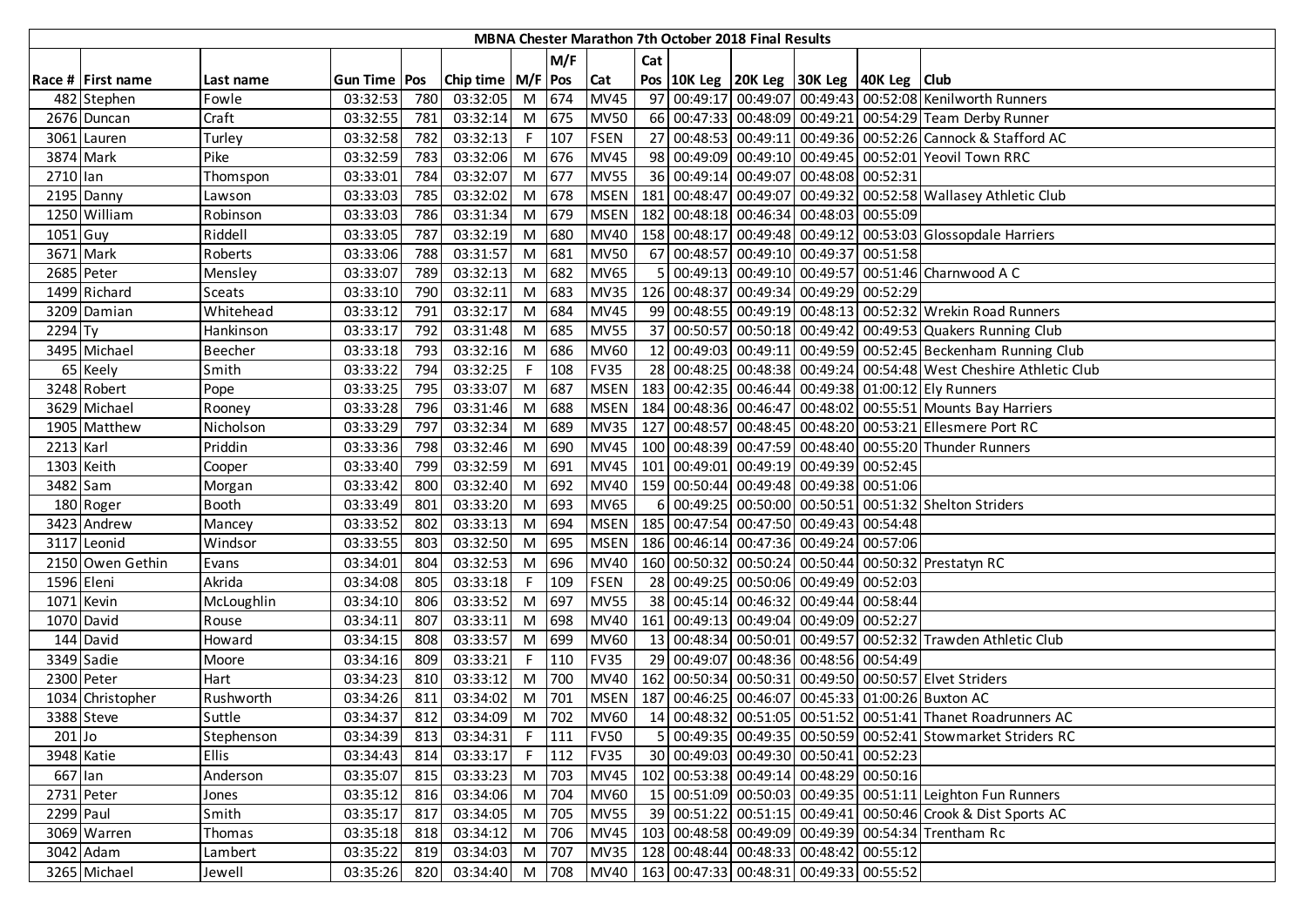|            |                   |                |                |     |                                                                          |    |         |             |     | <b>MBNA Chester Marathon 7th October 2018 Final Results</b> |                                                    |                                                                    |
|------------|-------------------|----------------|----------------|-----|--------------------------------------------------------------------------|----|---------|-------------|-----|-------------------------------------------------------------|----------------------------------------------------|--------------------------------------------------------------------|
|            |                   |                |                |     |                                                                          |    | M/F     |             | Cat |                                                             |                                                    |                                                                    |
|            | Race # First name | Last name      | Gun Time   Pos |     | Chip time   M/F   Pos                                                    |    |         | Cat         |     |                                                             | Pos   10K Leg   20K Leg   30K Leg   40K Leg   Club |                                                                    |
|            | 482 Stephen       | Fowle          | 03:32:53       | 780 | 03:32:05                                                                 |    | M 674   | <b>MV45</b> |     |                                                             |                                                    | 97 00:49:17 00:49:07 00:49:43 00:52:08 Kenilworth Runners          |
|            | 2676 Duncan       | Craft          | 03:32:55       | 781 | 03:32:14                                                                 |    | M 675   | <b>MV50</b> |     |                                                             |                                                    | 66 00:47:33 00:48:09 00:49:21 00:54:29 Team Derby Runner           |
|            | 3061 Lauren       | Turley         | 03:32:58       | 782 | 03:32:13                                                                 | F. | 107     | <b>FSEN</b> |     |                                                             |                                                    | 27 00:48:53 00:49:11 00:49:36 00:52:26 Cannock & Stafford AC       |
|            | 3874 Mark         | Pike           | 03:32:59       | 783 | 03:32:06                                                                 | M  | 676     | <b>MV45</b> |     |                                                             |                                                    | 98 00:49:09 00:49:10 00:49:45 00:52:01 Yeovil Town RRC             |
| 2710 lan   |                   | Thomspon       | 03:33:01       | 784 | 03:32:07                                                                 | M  | 677     | <b>MV55</b> |     |                                                             | 36 00:49:14 00:49:07 00:48:08 00:52:31             |                                                                    |
|            | 2195 Danny        | Lawson         | 03:33:03       | 785 | 03:32:02                                                                 | M  | 678     | <b>MSEN</b> |     |                                                             |                                                    | 181 00:48:47 00:49:07 00:49:32 00:52:58 Wallasey Athletic Club     |
|            | 1250 William      | Robinson       | 03:33:03       | 786 | 03:31:34                                                                 | M  | 679     | <b>MSEN</b> | 182 |                                                             | 00:48:18 00:46:34 00:48:03 00:55:09                |                                                                    |
| 1051 Guy   |                   | Riddell        | 03:33:05       | 787 | 03:32:19                                                                 | M  | 680     | <b>MV40</b> |     |                                                             |                                                    | 158 00:48:17 00:49:48 00:49:12 00:53:03 Glossopdale Harriers       |
|            | 3671 Mark         | Roberts        | 03:33:06       | 788 | 03:31:57                                                                 | M  | 681     | <b>MV50</b> |     |                                                             | 67 00:48:57 00:49:10 00:49:37 00:51:58             |                                                                    |
|            | 2685 Peter        | Mensley        | 03:33:07       | 789 | 03:32:13                                                                 | M  | 682     | <b>MV65</b> | 5   |                                                             |                                                    | 00:49:13 00:49:10 00:49:57 00:51:46 Charnwood A C                  |
|            | 1499 Richard      | <b>Sceats</b>  | 03:33:10       | 790 | 03:32:11                                                                 | M  | 683     | <b>MV35</b> |     |                                                             | 126 00:48:37 00:49:34 00:49:29 00:52:29            |                                                                    |
|            | 3209 Damian       | Whitehead      | 03:33:12       | 791 | 03:32:17                                                                 | M  | 684     | <b>MV45</b> |     |                                                             |                                                    | 99 00:48:55 00:49:19 00:48:13 00:52:32 Wrekin Road Runners         |
| 2294 Ty    |                   | Hankinson      | 03:33:17       | 792 | 03:31:48                                                                 | M  | 685     | <b>MV55</b> |     |                                                             |                                                    | 37 00:50:57 00:50:18 00:49:42 00:49:53 Quakers Running Club        |
|            | 3495 Michael      | <b>Beecher</b> | 03:33:18       | 793 | 03:32:16                                                                 | M  | 686     | <b>MV60</b> |     |                                                             |                                                    | 12 00:49:03 00:49:11 00:49:59 00:52:45 Beckenham Running Club      |
|            | 65 Keely          | Smith          | 03:33:22       | 794 | 03:32:25                                                                 | F. | 108     | <b>FV35</b> |     |                                                             |                                                    | 28 00:48:25 00:48:38 00:49:24 00:54:48 West Cheshire Athletic Club |
|            | 3248 Robert       | Pope           | 03:33:25       | 795 | 03:33:07                                                                 | M  | 687     | <b>MSEN</b> |     |                                                             |                                                    | 183 00:42:35 00:46:44 00:49:38 01:00:12 Ely Runners                |
|            | 3629 Michael      | Rooney         | 03:33:28       | 796 | 03:31:46                                                                 | M  | 688     | <b>MSEN</b> |     |                                                             |                                                    | 184 00:48:36 00:46:47 00:48:02 00:55:51 Mounts Bay Harriers        |
|            | 1905 Matthew      | Nicholson      | 03:33:29       | 797 | 03:32:34                                                                 | M  | 689     | <b>MV35</b> |     |                                                             |                                                    | 127 00:48:57 00:48:45 00:48:20 00:53:21 Ellesmere Port RC          |
| 2213 Karl  |                   | Priddin        | 03:33:36       | 798 | 03:32:46                                                                 | M  | 690     | <b>MV45</b> |     |                                                             |                                                    | 100 00:48:39 00:47:59 00:48:40 00:55:20 Thunder Runners            |
|            | 1303 Keith        | Cooper         | 03:33:40       | 799 | 03:32:59                                                                 | M  | 691     | <b>MV45</b> |     |                                                             | 101 00:49:01 00:49:19 00:49:39 00:52:45            |                                                                    |
| 3482 Sam   |                   | Morgan         | 03:33:42       | 800 | 03:32:40                                                                 | M  | 692     | <b>MV40</b> |     |                                                             | 159 00:50:44 00:49:48 00:49:38 00:51:06            |                                                                    |
|            | 180 Roger         | Booth          | 03:33:49       | 801 | 03:33:20                                                                 | M  | 693     | <b>MV65</b> | 6   |                                                             |                                                    | 00:49:25 00:50:00 00:50:51 00:51:32 Shelton Striders               |
|            | 3423 Andrew       | Mancey         | 03:33:52       | 802 | 03:33:13                                                                 | M  | 694     | <b>MSEN</b> |     |                                                             | 185 00:47:54 00:47:50 00:49:43 00:54:48            |                                                                    |
|            | 3117 Leonid       | Windsor        | 03:33:55       | 803 | 03:32:50                                                                 | M  | 695     | <b>MSEN</b> |     |                                                             | 186 00:46:14 00:47:36 00:49:24 00:57:06            |                                                                    |
|            | 2150 Owen Gethin  | Evans          | 03:34:01       | 804 | 03:32:53                                                                 | M  | 696     | <b>MV40</b> |     |                                                             |                                                    | 160 00:50:32 00:50:24 00:50:44 00:50:32 Prestatyn RC               |
| 1596 Eleni |                   | Akrida         | 03:34:08       | 805 | 03:33:18                                                                 |    | 109     | <b>FSEN</b> |     |                                                             | 28 00:49:25 00:50:06 00:49:49 00:52:03             |                                                                    |
|            | 1071 Kevin        | McLoughlin     | 03:34:10       | 806 | 03:33:52                                                                 | M  | 697     | <b>MV55</b> |     |                                                             | 38 00:45:14 00:46:32 00:49:44 00:58:44             |                                                                    |
|            | 1070 David        | Rouse          | 03:34:11       | 807 | 03:33:11                                                                 | M  | 698     | MV40        |     |                                                             | 161 00:49:13 00:49:04 00:49:09 00:52:27            |                                                                    |
|            | 144 David         | Howard         | 03:34:15       | 808 | 03:33:57                                                                 | M  | 699     | <b>MV60</b> |     |                                                             |                                                    | 13 00:48:34 00:50:01 00:49:57 00:52:32 Trawden Athletic Club       |
|            | 3349 Sadie        | Moore          | 03:34:16       | 809 | 03:33:21                                                                 | F. | 110     | <b>FV35</b> |     |                                                             | 29 00:49:07 00:48:36 00:48:56 00:54:49             |                                                                    |
|            | 2300 Peter        | Hart           | 03:34:23       | 810 | 03:33:12                                                                 | M  | 700     | <b>MV40</b> |     |                                                             |                                                    | 162 00:50:34 00:50:31 00:49:50 00:50:57 Elvet Striders             |
|            | 1034 Christopher  | Rushworth      | 03:34:26       | 811 | 03:34:02                                                                 | M  | 701     | <b>MSEN</b> |     |                                                             |                                                    | 187 00:46:25 00:46:07 00:45:33 01:00:26 Buxton AC                  |
|            | 3388 Steve        | Suttle         | 03:34:37       | 812 | 03:34:09                                                                 |    | M 702   | <b>MV60</b> |     |                                                             |                                                    | 14 00:48:32 00:51:05 00:51:52 00:51:41 Thanet Roadrunners AC       |
| $201$ Jo   |                   | Stephenson     | 03:34:39       | 813 | 03:34:31                                                                 | F  | 111     | <b>FV50</b> | 51  |                                                             |                                                    | 00:49:35 00:49:35 00:50:59 00:52:41 Stowmarket Striders RC         |
|            | 3948 Katie        | <b>Ellis</b>   | 03:34:43       | 814 | 03:33:17                                                                 |    | $F$ 112 | <b>FV35</b> |     |                                                             | 30 00:49:03 00:49:30 00:50:41 00:52:23             |                                                                    |
| 667 lan    |                   | Anderson       | 03:35:07       | 815 | 03:33:23                                                                 | M  | 703     | <b>MV45</b> |     |                                                             | 102 00:53:38 00:49:14 00:48:29 00:50:16            |                                                                    |
|            | 2731 Peter        | Jones          | 03:35:12       | 816 | 03:34:06                                                                 | M  | 704     | <b>MV60</b> |     |                                                             |                                                    | 15 00:51:09 00:50:03 00:49:35 00:51:11 Leighton Fun Runners        |
| 2299 Paul  |                   | Smith          | 03:35:17       | 817 | 03:34:05                                                                 | M  | 705     | <b>MV55</b> |     |                                                             |                                                    | 39 00:51:22 00:51:15 00:49:41 00:50:46 Crook & Dist Sports AC      |
|            | 3069 Warren       | Thomas         | 03:35:18       | 818 | 03:34:12                                                                 | M  | 706     | <b>MV45</b> |     |                                                             |                                                    | 103 00:48:58 00:49:09 00:49:39 00:54:34 Trentham Rc                |
|            | 3042 Adam         | Lambert        | 03:35:22       | 819 | 03:34:03                                                                 | M  | 707     | <b>MV35</b> |     |                                                             | 128 00:48:44 00:48:33 00:48:42 00:55:12            |                                                                    |
|            | 3265 Michael      | Jewell         |                |     | 03:35:26 820 03:34:40 M 708 MV40 163 00:47:33 00:48:31 00:49:33 00:55:52 |    |         |             |     |                                                             |                                                    |                                                                    |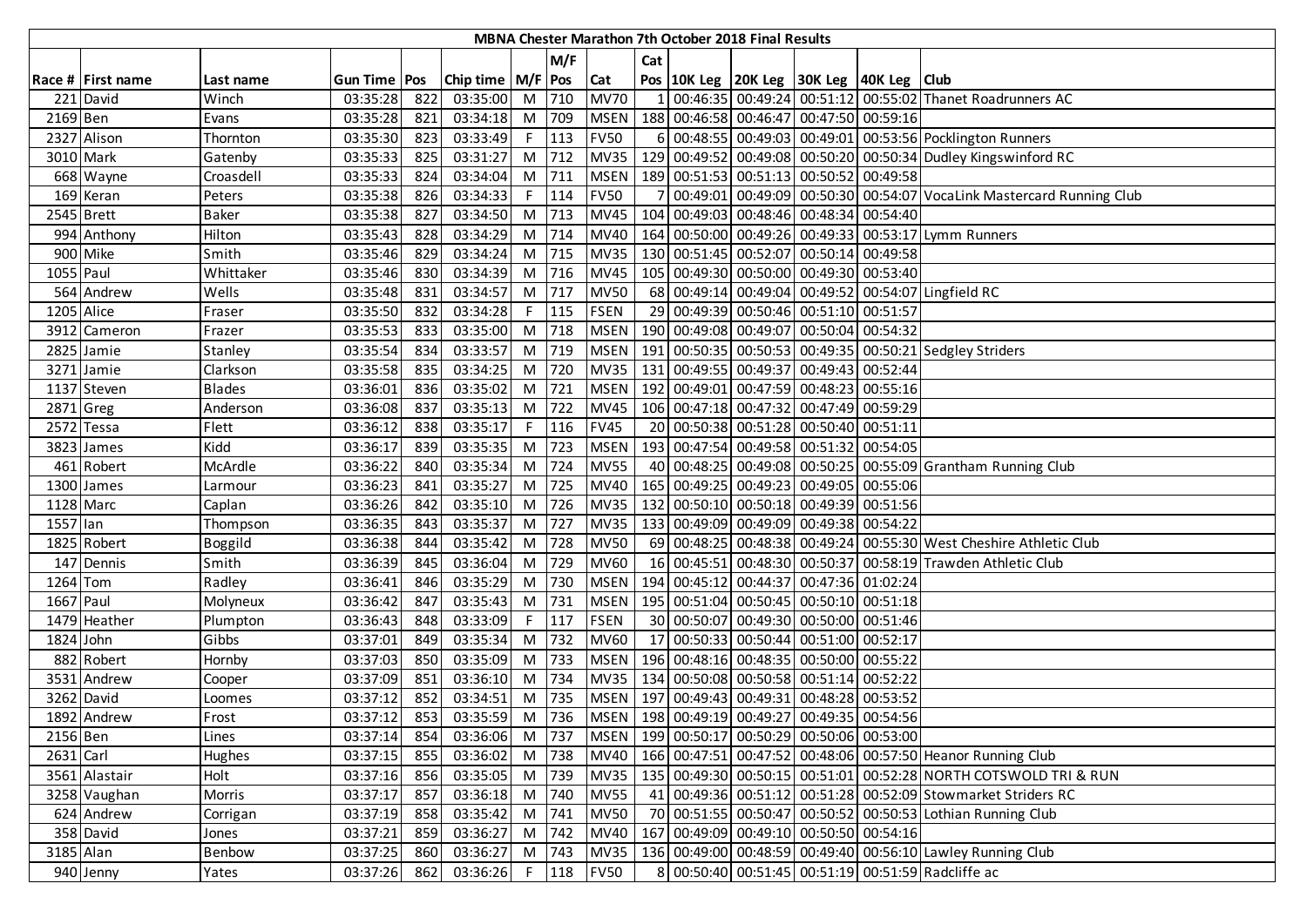|             |                   |                |                |     |                       |    |         |             |     | MBNA Chester Marathon 7th October 2018 Final Results |                                                    |          |                                                                      |
|-------------|-------------------|----------------|----------------|-----|-----------------------|----|---------|-------------|-----|------------------------------------------------------|----------------------------------------------------|----------|----------------------------------------------------------------------|
|             |                   |                |                |     |                       |    | M/F     |             | Cat |                                                      |                                                    |          |                                                                      |
|             | Race # First name | Last name      | Gun Time   Pos |     | Chip time   M/F   Pos |    |         | <b>Cat</b>  |     |                                                      | Pos   10K Leg   20K Leg   30K Leg   40K Leg   Club |          |                                                                      |
|             | 221 David         | Winch          | 03:35:28       | 822 | 03:35:00              |    | M 710   | <b>MV70</b> |     |                                                      |                                                    |          | 00:46:35 00:49:24 00:51:12 00:55:02 Thanet Roadrunners AC            |
| 2169 Ben    |                   | Evans          | 03:35:28       | 821 | 03:34:18              |    | M 709   | <b>MSEN</b> |     |                                                      | 188 00:46:58 00:46:47 00:47:50 00:59:16            |          |                                                                      |
|             | 2327 Alison       | Thornton       | 03:35:30       | 823 | 03:33:49              |    | $F$ 113 | <b>FV50</b> |     |                                                      |                                                    |          | 6 00:48:55 00:49:03 00:49:01 00:53:56 Pocklington Runners            |
|             | 3010 Mark         | Gatenby        | 03:35:33       | 825 | 03:31:27              |    | M 712   | <b>MV35</b> |     |                                                      |                                                    |          | 129 00:49:52 00:49:08 00:50:20 00:50:34 Dudley Kingswinford RC       |
|             | 668 Wayne         | Croasdell      | 03:35:33       | 824 | 03:34:04              |    | M 711   | <b>MSEN</b> |     |                                                      | 189 00:51:53 00:51:13 00:50:52 00:49:58            |          |                                                                      |
|             | 169 Keran         | Peters         | 03:35:38       | 826 | 03:34:33              | F. | 114     | <b>FV50</b> |     |                                                      |                                                    |          | 00:49:01 00:49:09 00:50:30 00:54:07 VocaLink Mastercard Running Club |
|             | 2545 Brett        | <b>Baker</b>   | 03:35:38       | 827 | 03:34:50              |    | M 713   | <b>MV45</b> |     |                                                      | 104 00:49:03 00:48:46 00:48:34 00:54:40            |          |                                                                      |
|             | 994 Anthony       | Hilton         | 03:35:43       | 828 | 03:34:29              |    | M 714   | <b>MV40</b> |     |                                                      |                                                    |          | 164 00:50:00 00:49:26 00:49:33 00:53:17 Lymm Runners                 |
|             | 900 Mike          | Smith          | 03:35:46       | 829 | 03:34:24              |    | M 715   | <b>MV35</b> |     |                                                      | 130 00:51:45 00:52:07 00:50:14 00:49:58            |          |                                                                      |
| 1055 Paul   |                   | Whittaker      | 03:35:46       | 830 | 03:34:39              |    | M 716   | <b>MV45</b> |     |                                                      | 105 00:49:30 00:50:00 00:49:30 00:53:40            |          |                                                                      |
|             | 564 Andrew        | Wells          | 03:35:48       | 831 | 03:34:57              |    | $M$ 717 | <b>MV50</b> |     |                                                      |                                                    |          | 68 00:49:14 00:49:04 00:49:52 00:54:07 Lingfield RC                  |
| 1205 Alice  |                   | Fraser         | 03:35:50       | 832 | 03:34:28              | F. | 115     | <b>FSEN</b> |     |                                                      | 29 00:49:39 00:50:46 00:51:10 00:51:57             |          |                                                                      |
|             | 3912 Cameron      | Frazer         | 03:35:53       | 833 | 03:35:00              |    | M 718   | <b>MSEN</b> |     |                                                      | 190 00:49:08 00:49:07 00:50:04 00:54:32            |          |                                                                      |
|             | 2825 Jamie        | Stanley        | 03:35:54       | 834 | 03:33:57              |    | M 719   | <b>MSEN</b> |     |                                                      |                                                    |          | 191 00:50:35 00:50:53 00:49:35 00:50:21 Sedgley Striders             |
|             | 3271 Jamie        | Clarkson       | 03:35:58       | 835 | 03:34:25              |    | M 720   | <b>MV35</b> |     |                                                      | 131 00:49:55 00:49:37 00:49:43 00:52:44            |          |                                                                      |
|             | 1137 Steven       | <b>Blades</b>  | 03:36:01       | 836 | 03:35:02              |    | M 721   | <b>MSEN</b> |     |                                                      | 192 00:49:01 00:47:59 00:48:23 00:55:16            |          |                                                                      |
| 2871 Greg   |                   | Anderson       | 03:36:08       | 837 | 03:35:13              |    | M 722   | <b>MV45</b> |     |                                                      | 106 00:47:18 00:47:32 00:47:49 00:59:29            |          |                                                                      |
|             | 2572 Tessa        | Flett          | 03:36:12       | 838 | 03:35:17              |    | $F$ 116 | <b>FV45</b> |     |                                                      | 20 00:50:38 00:51:28 00:50:40 00:51:11             |          |                                                                      |
|             | 3823 James        | Kidd           | 03:36:17       | 839 | 03:35:35              | M  | 723     | <b>MSEN</b> |     |                                                      | 193 00:47:54 00:49:58 00:51:32 00:54:05            |          |                                                                      |
|             | 461 Robert        | McArdle        | 03:36:22       | 840 | 03:35:34              |    | M 724   | <b>MV55</b> |     |                                                      |                                                    |          | 40 00:48:25 00:49:08 00:50:25 00:55:09 Grantham Running Club         |
|             | 1300 James        | Larmour        | 03:36:23       | 841 | 03:35:27              |    | M 725   | <b>MV40</b> |     |                                                      | 165 00:49:25 00:49:23 00:49:05 00:55:06            |          |                                                                      |
| 1128 Marc   |                   | Caplan         | 03:36:26       | 842 | 03:35:10              |    | M 726   | <b>MV35</b> |     |                                                      | 132 00:50:10 00:50:18 00:49:39 00:51:56            |          |                                                                      |
| 1557 lan    |                   | Thompson       | 03:36:35       | 843 | 03:35:37              |    | M 727   | <b>MV35</b> |     |                                                      | 133 00:49:09 00:49:09 00:49:38 00:54:22            |          |                                                                      |
|             | 1825 Robert       | <b>Boggild</b> | 03:36:38       | 844 | 03:35:42              |    | M 728   | <b>MV50</b> |     |                                                      |                                                    |          | 69 00:48:25 00:48:38 00:49:24 00:55:30 West Cheshire Athletic Club   |
|             | 147 Dennis        | Smith          | 03:36:39       | 845 | 03:36:04              |    | M 729   | <b>MV60</b> |     |                                                      |                                                    |          | 16 00:45:51 00:48:30 00:50:37 00:58:19 Trawden Athletic Club         |
| 1264 Tom    |                   | Radley         | 03:36:41       | 846 | 03:35:29              |    | M 730   | <b>MSEN</b> |     |                                                      | 194 00:45:12 00:44:37 00:47:36 01:02:24            |          |                                                                      |
| 1667 Paul   |                   | Molyneux       | 03:36:42       | 847 | 03:35:43              |    | M 731   | <b>MSEN</b> |     |                                                      | 195 00:51:04 00:50:45 00:50:10 00:51:18            |          |                                                                      |
|             | 1479 Heather      | Plumpton       | 03:36:43       | 848 | 03:33:09              |    | $F$ 117 | <b>FSEN</b> |     |                                                      | 30 00:50:07 00:49:30 00:50:00 00:51:46             |          |                                                                      |
| 1824 John   |                   | Gibbs          | 03:37:01       | 849 | 03:35:34              |    | M 732   | <b>MV60</b> |     |                                                      | 17 00:50:33 00:50:44 00:51:00 00:52:17             |          |                                                                      |
|             | 882 Robert        | Hornby         | 03:37:03       | 850 | 03:35:09              | M  | 733     | <b>MSEN</b> |     |                                                      | 196 00:48:16 00:48:35 00:50:00 00:55:22            |          |                                                                      |
|             | 3531 Andrew       | Cooper         | 03:37:09       | 851 | 03:36:10              | M  | 734     | MV35        |     |                                                      | 134 00:50:08 00:50:58 00:51:14                     | 00:52:22 |                                                                      |
|             | 3262 David        | Loomes         | 03:37:12       | 852 | 03:34:51              | M  | 735     | <b>MSEN</b> |     |                                                      | 197 00:49:43 00:49:31 00:48:28 00:53:52            |          |                                                                      |
|             | 1892 Andrew       | Frost          | 03:37:12       | 853 | 03:35:59              |    | M 736   |             |     |                                                      | MSEN   198 00:49:19 00:49:27 00:49:35 00:54:56     |          |                                                                      |
| 2156 Ben    |                   | Lines          | 03:37:14       | 854 | 03:36:06              |    | M 737   |             |     |                                                      | MSEN   199 00:50:17 00:50:29 00:50:06 00:53:00     |          |                                                                      |
| $2631$ Carl |                   | Hughes         | 03:37:15       | 855 | 03:36:02              |    | M 738   |             |     |                                                      |                                                    |          | MV40   166 00:47:51 00:47:52 00:48:06 00:57:50 Heanor Running Club   |
|             | 3561 Alastair     | Holt           | 03:37:16       | 856 | 03:35:05              |    | M 739   | <b>MV35</b> |     |                                                      |                                                    |          | 135 00:49:30 00:50:15 00:51:01 00:52:28 NORTH COTSWOLD TRI & RUN     |
|             | 3258 Vaughan      | Morris         | 03:37:17       | 857 | 03:36:18              |    | M 740   | <b>MV55</b> |     |                                                      |                                                    |          | 41 00:49:36 00:51:12 00:51:28 00:52:09 Stowmarket Striders RC        |
|             | 624 Andrew        | Corrigan       | 03:37:19       | 858 | 03:35:42              |    | M 741   | <b>MV50</b> |     |                                                      |                                                    |          | 70 00:51:55 00:50:47 00:50:52 00:50:53 Lothian Running Club          |
|             | 358 David         | Jones          | 03:37:21       | 859 | 03:36:27              |    | M 742   | <b>MV40</b> |     |                                                      | 167 00:49:09 00:49:10 00:50:50 00:54:16            |          |                                                                      |
| 3185 Alan   |                   | Benbow         | 03:37:25       | 860 | 03:36:27              |    | M 743   | <b>MV35</b> |     |                                                      |                                                    |          | 136 00:49:00 00:48:59 00:49:40 00:56:10 Lawley Running Club          |
|             | 940 Jenny         | Yates          | 03:37:26       | 862 | 03:36:26              |    | $F$ 118 | <b>FV50</b> |     |                                                      |                                                    |          | 8 00:50:40 00:51:45 00:51:19 00:51:59 Radcliffe ac                   |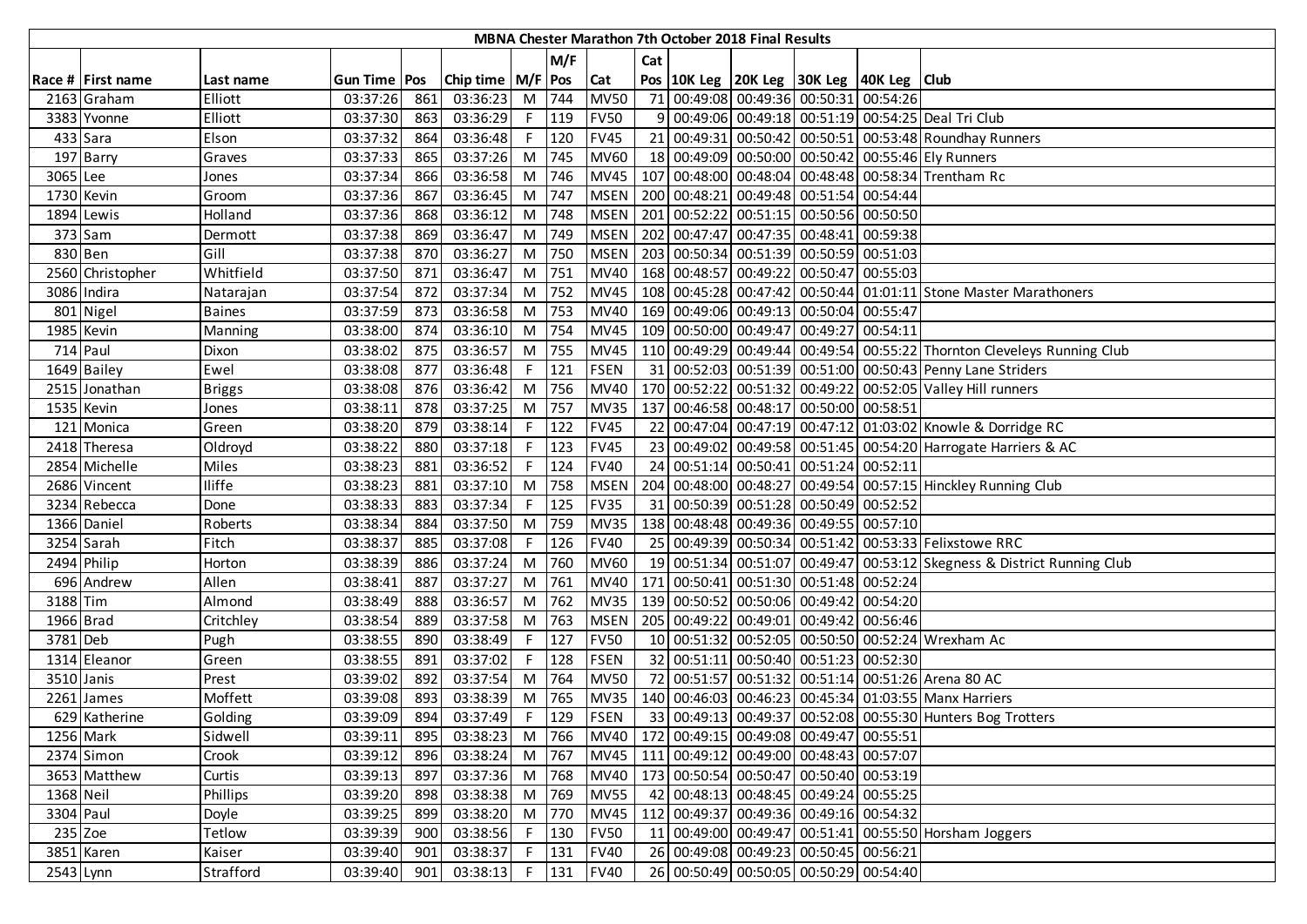|            |                   |                 |                     |     |                       |    |         |             |     | MBNA Chester Marathon 7th October 2018 Final Results |                                                    |                                                                         |
|------------|-------------------|-----------------|---------------------|-----|-----------------------|----|---------|-------------|-----|------------------------------------------------------|----------------------------------------------------|-------------------------------------------------------------------------|
|            |                   |                 |                     |     |                       |    | M/F     |             | Cat |                                                      |                                                    |                                                                         |
|            | Race # First name | Last name       | <b>Gun Time Pos</b> |     | Chip time   M/F   Pos |    |         | <b>Cat</b>  |     |                                                      | Pos   10K Leg   20K Leg   30K Leg   40K Leg   Club |                                                                         |
|            | 2163 Graham       | Elliott         | 03:37:26            | 861 | 03:36:23              |    | M 744   | <b>MV50</b> |     |                                                      | 71 00:49:08 00:49:36 00:50:31 00:54:26             |                                                                         |
|            | 3383 Yvonne       | Elliott         | 03:37:30            | 863 | 03:36:29              |    | $F$ 119 | <b>FV50</b> |     |                                                      |                                                    | 9 00:49:06 00:49:18 00:51:19 00:54:25 Deal Tri Club                     |
|            | 433 Sara          | Elson           | 03:37:32            | 864 | 03:36:48              |    | $F$ 120 | <b>FV45</b> |     |                                                      |                                                    | 21 00:49:31 00:50:42 00:50:51 00:53:48 Roundhay Runners                 |
|            | 197 Barry         | Graves          | 03:37:33            | 865 | 03:37:26              |    | M 745   | <b>MV60</b> |     |                                                      |                                                    | 18 00:49:09 00:50:00 00:50:42 00:55:46 Ely Runners                      |
| 3065 Lee   |                   | Jones           | 03:37:34            | 866 | 03:36:58              | M  | 746     | <b>MV45</b> |     |                                                      |                                                    | 107 00:48:00 00:48:04 00:48:48 00:58:34 Trentham Rc                     |
|            | 1730 Kevin        | Groom           | 03:37:36            | 867 | 03:36:45              |    | M 747   |             |     |                                                      | MSEN   200 00:48:21 00:49:48 00:51:54 00:54:44     |                                                                         |
|            | 1894 Lewis        | Holland         | 03:37:36            | 868 | 03:36:12              |    | M 748   | <b>MSEN</b> |     |                                                      | 201 00:52:22 00:51:15 00:50:56 00:50:50            |                                                                         |
|            | 373 Sam           | Dermott         | 03:37:38            | 869 | 03:36:47              |    | M 749   | <b>MSEN</b> |     |                                                      | 202 00:47:47 00:47:35 00:48:41 00:59:38            |                                                                         |
|            | 830 Ben           | Gill            | 03:37:38            | 870 | 03:36:27              |    | M 750   | <b>MSEN</b> |     |                                                      | 203   00:50:34   00:51:39   00:50:59   00:51:03    |                                                                         |
|            | 2560 Christopher  | Whitfield       | 03:37:50            | 871 | 03:36:47              |    | M 751   | <b>MV40</b> |     |                                                      | 168 00:48:57 00:49:22 00:50:47 00:55:03            |                                                                         |
|            | 3086 Indira       | Natarajan       | 03:37:54            | 872 | 03:37:34              |    | M 752   | <b>MV45</b> |     |                                                      |                                                    | 108 00:45:28 00:47:42 00:50:44 01:01:11 Stone Master Marathoners        |
|            | 801 Nigel         | <b>Baines</b>   | 03:37:59            | 873 | 03:36:58              |    | M 753   | <b>MV40</b> |     |                                                      | 169 00:49:06 00:49:13 00:50:04 00:55:47            |                                                                         |
|            | 1985 Kevin        | Manning         | 03:38:00            | 874 | 03:36:10              |    | $M$ 754 | <b>MV45</b> |     |                                                      | 109 00:50:00 00:49:47 00:49:27 00:54:11            |                                                                         |
|            | 714 Paul          | Dixon           | 03:38:02            | 875 | 03:36:57              |    | M 755   | <b>MV45</b> |     |                                                      |                                                    | 110 00:49:29 00:49:44 00:49:54 00:55:22 Thornton Cleveleys Running Club |
|            | 1649 Bailey       | Ewel            | 03:38:08            | 877 | 03:36:48              |    | $F$ 121 | <b>FSEN</b> |     |                                                      |                                                    | 31 00:52:03 00:51:39 00:51:00 00:50:43 Penny Lane Striders              |
|            | 2515 Jonathan     | <b>Briggs</b>   | 03:38:08            | 876 | 03:36:42              |    | M 756   | <b>MV40</b> |     |                                                      |                                                    | 170 00:52:22 00:51:32 00:49:22 00:52:05 Valley Hill runners             |
|            | 1535 Kevin        | Jones           | 03:38:11            | 878 | 03:37:25              |    | M 757   | <b>MV35</b> |     |                                                      | 137 00:46:58 00:48:17 00:50:00 00:58:51            |                                                                         |
|            | 121 Monica        | Green           | 03:38:20            | 879 | 03:38:14              |    | $F$ 122 | <b>FV45</b> |     |                                                      |                                                    | 22 00:47:04 00:47:19 00:47:12 01:03:02 Knowle & Dorridge RC             |
|            | 2418 Theresa      | Oldroyd         | 03:38:22            | 880 | 03:37:18              | F. | 123     | <b>FV45</b> |     |                                                      |                                                    | 23 00:49:02 00:49:58 00:51:45 00:54:20 Harrogate Harriers & AC          |
|            | 2854 Michelle     | Miles           | 03:38:23            | 881 | 03:36:52              | F. | 124     | <b>FV40</b> |     |                                                      | 24 00:51:14 00:50:41 00:51:24 00:52:11             |                                                                         |
|            | 2686 Vincent      | <b>Iliffe</b>   | 03:38:23            | 881 | 03:37:10              |    | M 758   | <b>MSEN</b> |     |                                                      |                                                    | 204 00:48:00 00:48:27 00:49:54 00:57:15 Hinckley Running Club           |
|            | 3234 Rebecca      | Done            | 03:38:33            | 883 | 03:37:34              | F. | 125     | <b>FV35</b> |     |                                                      | 31 00:50:39 00:51:28 00:50:49 00:52:52             |                                                                         |
|            | 1366 Daniel       | Roberts         | 03:38:34            | 884 | 03:37:50              |    | M 759   | <b>MV35</b> |     |                                                      | 138 00:48:48 00:49:36 00:49:55 00:57:10            |                                                                         |
|            | 3254 Sarah        | Fitch           | 03:38:37            | 885 | 03:37:08              | F. | 126     | <b>FV40</b> |     |                                                      |                                                    | 25 00:49:39 00:50:34 00:51:42 00:53:33 Felixstowe RRC                   |
|            | 2494 Philip       | Horton          | 03:38:39            | 886 | 03:37:24              |    | M 760   | <b>MV60</b> |     |                                                      |                                                    | 19 00:51:34 00:51:07 00:49:47 00:53:12 Skegness & District Running Club |
|            | 696 Andrew        | Allen           | 03:38:41            | 887 | 03:37:27              | M  | 761     | <b>MV40</b> |     |                                                      | 171 00:50:41 00:51:30 00:51:48 00:52:24            |                                                                         |
| 3188 Tim   |                   | Almond          | 03:38:49            | 888 | 03:36:57              | M  | 762     | <b>MV35</b> |     |                                                      | 139 00:50:52 00:50:06 00:49:42 00:54:20            |                                                                         |
| 1966 Brad  |                   | Critchley       | 03:38:54            | 889 | 03:37:58              | M  | 763     | <b>MSEN</b> |     |                                                      | 205 00:49:22 00:49:01 00:49:42 00:56:46            |                                                                         |
| 3781 Deb   |                   | Pugh            | 03:38:55            | 890 | 03:38:49              |    | $F$ 127 | <b>FV50</b> |     |                                                      |                                                    | 10 00:51:32 00:52:05 00:50:50 00:52:24 Wrexham Ac                       |
|            | 1314 Eleanor      | Green           | 03:38:55            | 891 | 03:37:02              |    | $F$ 128 | <b>FSEN</b> |     |                                                      | 32 00:51:11 00:50:40 00:51:23 00:52:30             |                                                                         |
| 3510 Janis |                   | Prest           | 03:39:02            | 892 | 03:37:54              |    | M 764   | <b>MV50</b> |     |                                                      |                                                    | 72 00:51:57 00:51:32 00:51:14 00:51:26 Arena 80 AC                      |
|            | 2261 James        | Moffett         | 03:39:08            | 893 | 03:38:39              | M  | 765     | <b>MV35</b> |     |                                                      |                                                    | 140 00:46:03 00:46:23 00:45:34 01:03:55 Manx Harriers                   |
|            | 629 Katherine     | Golding         | 03:39:09            | 894 | 03:37:49              | F. | 129     | <b>FSEN</b> |     |                                                      |                                                    | 33 00:49:13 00:49:37 00:52:08 00:55:30 Hunters Bog Trotters             |
|            | 1256 Mark         | Sidwell         | 03:39:11            | 895 | 03:38:23              |    | M 766   |             |     |                                                      | MV40   172 00:49:15 00:49:08 00:49:47 00:55:51     |                                                                         |
|            | 2374 Simon        | Crook           | 03:39:12            | 896 | 03:38:24              |    | M 767   |             |     |                                                      | MV45   111 00:49:12 00:49:00 00:48:43 00:57:07     |                                                                         |
|            | 3653 Matthew      | Curtis          | 03:39:13            | 897 | 03:37:36              |    | M 768   |             |     |                                                      | MV40   173 00:50:54 00:50:47 00:50:40 00:53:19     |                                                                         |
| 1368 Neil  |                   | <b>Phillips</b> | 03:39:20            | 898 | 03:38:38              |    | M 769   | <b>MV55</b> |     |                                                      | 42 00:48:13 00:48:45 00:49:24 00:55:25             |                                                                         |
| 3304 Paul  |                   | Doyle           | 03:39:25            | 899 | 03:38:20              |    | M 770   | <b>MV45</b> |     |                                                      | 112 00:49:37 00:49:36 00:49:16 00:54:32            |                                                                         |
| $235$ Zoe  |                   | Tetlow          | 03:39:39            | 900 | 03:38:56              |    | F 130   | <b>FV50</b> |     |                                                      |                                                    | 11 00:49:00 00:49:47 00:51:41 00:55:50 Horsham Joggers                  |
|            | 3851 Karen        | Kaiser          | 03:39:40            | 901 | 03:38:37              |    | $F$ 131 | <b>FV40</b> |     |                                                      | 26 00:49:08 00:49:23 00:50:45 00:56:21             |                                                                         |
| 2543 Lynn  |                   | Strafford       | 03:39:40            | 901 | 03:38:13              |    | $F$ 131 | <b>FV40</b> |     |                                                      | 26 00:50:49 00:50:05 00:50:29 00:54:40             |                                                                         |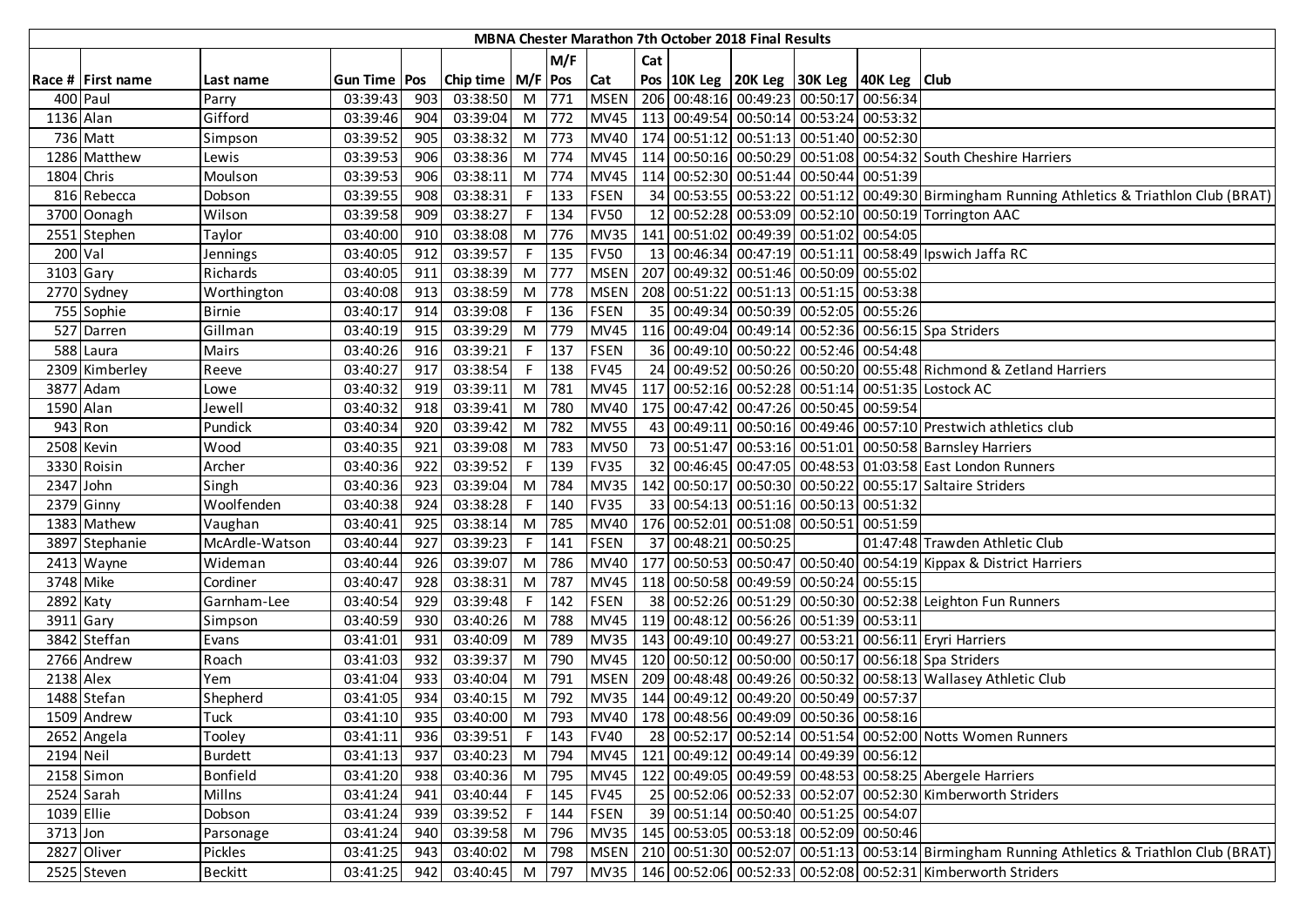|             |                   |                |                       |     |                       |    |         |             |                 | MBNA Chester Marathon 7th October 2018 Final Results |                                                    |                                                                                              |
|-------------|-------------------|----------------|-----------------------|-----|-----------------------|----|---------|-------------|-----------------|------------------------------------------------------|----------------------------------------------------|----------------------------------------------------------------------------------------------|
|             |                   |                |                       |     |                       |    | M/F     |             | Cat             |                                                      |                                                    |                                                                                              |
|             | Race # First name | Last name      | <b>Gun Time   Pos</b> |     | Chip time   M/F   Pos |    |         | Cat         |                 |                                                      | Pos   10K Leg   20K Leg   30K Leg   40K Leg   Club |                                                                                              |
| 400 Paul    |                   | Parry          | 03:39:43              | 903 | 03:38:50              |    | M 771   | <b>MSEN</b> |                 |                                                      | 206 00:48:16 00:49:23 00:50:17 00:56:34            |                                                                                              |
| 1136 Alan   |                   | Gifford        | 03:39:46              | 904 | 03:39:04              |    | M 772   | <b>MV45</b> |                 |                                                      | 113 00:49:54 00:50:14 00:53:24 00:53:32            |                                                                                              |
|             | 736 Matt          | Simpson        | 03:39:52              | 905 | 03:38:32              |    | M 773   | MV40        |                 |                                                      | 174 00:51:12 00:51:13 00:51:40 00:52:30            |                                                                                              |
|             | 1286 Matthew      | Lewis          | 03:39:53              | 906 | 03:38:36              |    | M 774   | <b>MV45</b> |                 |                                                      |                                                    | 114 00:50:16 00:50:29 00:51:08 00:54:32 South Cheshire Harriers                              |
| 1804 Chris  |                   | Moulson        | 03:39:53              | 906 | 03:38:11              |    | M 774   | <b>MV45</b> |                 |                                                      | 114 00:52:30 00:51:44 00:50:44 00:51:39            |                                                                                              |
|             | 816 Rebecca       | Dobson         | 03:39:55              | 908 | 03:38:31              | F. | 133     | <b>FSEN</b> |                 |                                                      |                                                    | 34 00:53:55 00:53:22 00:51:12 00:49:30 Birmingham Running Athletics & Triathlon Club (BRAT)  |
|             | 3700 Oonagh       | Wilson         | 03:39:58              | 909 | 03:38:27              | F  | 134     | <b>FV50</b> | 12              |                                                      |                                                    | 00:52:28 00:53:09 00:52:10 00:50:19 Torrington AAC                                           |
|             | 2551 Stephen      | Taylor         | 03:40:00              | 910 | 03:38:08              |    | M 776   | <b>MV35</b> |                 |                                                      | 141 00:51:02 00:49:39 00:51:02 00:54:05            |                                                                                              |
| $200$ Val   |                   | Jennings       | 03:40:05              | 912 | 03:39:57              | F. | 135     | <b>FV50</b> | 13              |                                                      |                                                    | 00:46:34 00:47:19 00:51:11 00:58:49 Ipswich Jaffa RC                                         |
| 3103 Gary   |                   | Richards       | 03:40:05              | 911 | 03:38:39              |    | M 777   | <b>MSEN</b> | 207             |                                                      | 00:49:32 00:51:46 00:50:09 00:55:02                |                                                                                              |
|             | 2770 Sydney       | Worthington    | 03:40:08              | 913 | 03:38:59              |    | M 778   | <b>MSEN</b> |                 |                                                      | 208 00:51:22 00:51:13 00:51:15 00:53:38            |                                                                                              |
|             | 755 Sophie        | <b>Birnie</b>  | 03:40:17              | 914 | 03:39:08              | F. | 136     | <b>FSEN</b> |                 |                                                      | 35 00:49:34 00:50:39 00:52:05 00:55:26             |                                                                                              |
|             | 527 Darren        | Gillman        | 03:40:19              | 915 | 03:39:29              |    | M 779   | <b>MV45</b> |                 |                                                      |                                                    | 116 00:49:04 00:49:14 00:52:36 00:56:15 Spa Striders                                         |
|             | 588 Laura         | Mairs          | 03:40:26              | 916 | 03:39:21              | F. | 137     | <b>FSEN</b> |                 |                                                      | 36 00:49:10 00:50:22 00:52:46 00:54:48             |                                                                                              |
|             | 2309 Kimberley    | Reeve          | 03:40:27              | 917 | 03:38:54              | F. | 138     | <b>FV45</b> |                 |                                                      |                                                    | 24 00:49:52 00:50:26 00:50:20 00:55:48 Richmond & Zetland Harriers                           |
|             | 3877 Adam         | Lowe           | 03:40:32              | 919 | 03:39:11              |    | M 781   | <b>MV45</b> |                 |                                                      |                                                    | 117 00:52:16 00:52:28 00:51:14 00:51:35 Lostock AC                                           |
| 1590 Alan   |                   | Jewell         | 03:40:32              | 918 | 03:39:41              |    | M 780   | <b>MV40</b> |                 |                                                      | 175 00:47:42 00:47:26 00:50:45 00:59:54            |                                                                                              |
| 943 Ron     |                   | Pundick        | 03:40:34              | 920 | 03:39:42              |    | M 782   | <b>MV55</b> |                 |                                                      |                                                    | 43 00:49:11 00:50:16 00:49:46 00:57:10 Prestwich athletics club                              |
|             | 2508 Kevin        | Wood           | 03:40:35              | 921 | 03:39:08              | M  | 783     | <b>MV50</b> | 73              |                                                      |                                                    | 00:51:47 00:53:16 00:51:01 00:50:58 Barnsley Harriers                                        |
|             | 3330 Roisin       | Archer         | 03:40:36              | 922 | 03:39:52              | F. | 139     | <b>FV35</b> |                 |                                                      |                                                    | 32 00:46:45 00:47:05 00:48:53 01:03:58 East London Runners                                   |
| 2347 John   |                   | Singh          | 03:40:36              | 923 | 03:39:04              | M  | 784     | <b>MV35</b> |                 |                                                      |                                                    | 142 00:50:17 00:50:30 00:50:22 00:55:17 Saltaire Striders                                    |
|             | 2379 Ginny        | Woolfenden     | 03:40:38              | 924 | 03:38:28              | F. | 140     | <b>FV35</b> |                 |                                                      | 33 00:54:13 00:51:16 00:50:13 00:51:32             |                                                                                              |
|             | 1383 Mathew       | Vaughan        | 03:40:41              | 925 | 03:38:14              |    | M 785   | <b>MV40</b> |                 |                                                      | 176 00:52:01 00:51:08 00:50:51 00:51:59            |                                                                                              |
|             | 3897 Stephanie    | McArdle-Watson | 03:40:44              | 927 | 03:39:23              | F. | 141     | <b>FSEN</b> | 37 <sup>1</sup> | 00:48:21 00:50:25                                    |                                                    | 01:47:48 Trawden Athletic Club                                                               |
|             | 2413 Wayne        | Wideman        | 03:40:44              | 926 | 03:39:07              | M  | 786     | <b>MV40</b> | 177             |                                                      |                                                    | 00:50:53 00:50:47 00:50:40 00:54:19 Kippax & District Harriers                               |
| 3748 Mike   |                   | Cordiner       | 03:40:47              | 928 | 03:38:31              | M  | 787     | <b>MV45</b> |                 |                                                      | 118 00:50:58 00:49:59 00:50:24 00:55:15            |                                                                                              |
| $2892$ Katy |                   | Garnham-Lee    | 03:40:54              | 929 | 03:39:48              | F. | 142     | <b>FSEN</b> |                 |                                                      |                                                    | 38 00:52:26 00:51:29 00:50:30 00:52:38 Leighton Fun Runners                                  |
| 3911 Gary   |                   | Simpson        | 03:40:59              | 930 | 03:40:26              | M  | 788     | <b>MV45</b> |                 |                                                      | 119 00:48:12 00:56:26 00:51:39 00:53:11            |                                                                                              |
|             | 3842 Steffan      | Evans          | 03:41:01              | 931 | 03:40:09              | M  | 789     | <b>MV35</b> |                 |                                                      |                                                    | 143 00:49:10 00:49:27 00:53:21 00:56:11 Eryri Harriers                                       |
|             | 2766 Andrew       | Roach          | 03:41:03              | 932 | 03:39:37              | M  | 790     | <b>MV45</b> |                 |                                                      |                                                    | 120 00:50:12 00:50:00 00:50:17 00:56:18 Spa Striders                                         |
| 2138 Alex   |                   | Yem            | 03:41:04              | 933 | 03:40:04              | M  | 791     | <b>MSEN</b> |                 |                                                      |                                                    | 209 00:48:48 00:49:26 00:50:32 00:58:13 Wallasey Athletic Club                               |
|             | 1488 Stefan       | Shepherd       | 03:41:05              | 934 | 03:40:15              | M  | 792     | <b>MV35</b> |                 |                                                      | 144 00:49:12 00:49:20 00:50:49 00:57:37            |                                                                                              |
|             | 1509 Andrew       | Tuck           | 03:41:10              | 935 | 03:40:00              |    | M 793   |             |                 |                                                      | MV40   178 00:48:56 00:49:09 00:50:36 00:58:16     |                                                                                              |
|             | 2652 Angela       | Tooley         | 03:41:11              | 936 | 03:39:51              |    | $F$ 143 | <b>FV40</b> |                 |                                                      |                                                    | 28 00:52:17 00:52:14 00:51:54 00:52:00 Notts Women Runners                                   |
| 2194 Neil   |                   | <b>Burdett</b> | 03:41:13              | 937 | 03:40:23              |    | M 794   | <b>MV45</b> |                 |                                                      | 121 00:49:12 00:49:14 00:49:39 00:56:12            |                                                                                              |
|             | 2158 Simon        | Bonfield       | 03:41:20              | 938 | 03:40:36 M 795        |    |         | <b>MV45</b> |                 |                                                      |                                                    | 122 00:49:05 00:49:59 00:48:53 00:58:25 Abergele Harriers                                    |
|             | 2524 Sarah        | Millns         | 03:41:24              | 941 | 03:40:44              | F. | 145     | <b>FV45</b> |                 |                                                      |                                                    | 25 00:52:06 00:52:33 00:52:07 00:52:30 Kimberworth Striders                                  |
| 1039 Ellie  |                   | Dobson         | 03:41:24              | 939 | 03:39:52              | F. | 144     | <b>FSEN</b> |                 |                                                      | 39 00:51:14 00:50:40 00:51:25 00:54:07             |                                                                                              |
| 3713 Jon    |                   | Parsonage      | 03:41:24              | 940 | 03:39:58              | M  | 796     | <b>MV35</b> |                 |                                                      | 145 00:53:05 00:53:18 00:52:09 00:50:46            |                                                                                              |
|             | 2827 Oliver       | Pickles        | 03:41:25              | 943 | 03:40:02              | M  | 798     | <b>MSEN</b> |                 |                                                      |                                                    | 210 00:51:30 00:52:07 00:51:13 00:53:14 Birmingham Running Athletics & Triathlon Club (BRAT) |
|             | 2525 Steven       | Beckitt        | 03:41:25              | 942 | 03:40:45 M 797        |    |         |             |                 |                                                      |                                                    | MV35   146 00:52:06 00:52:33 00:52:08 00:52:31 Kimberworth Striders                          |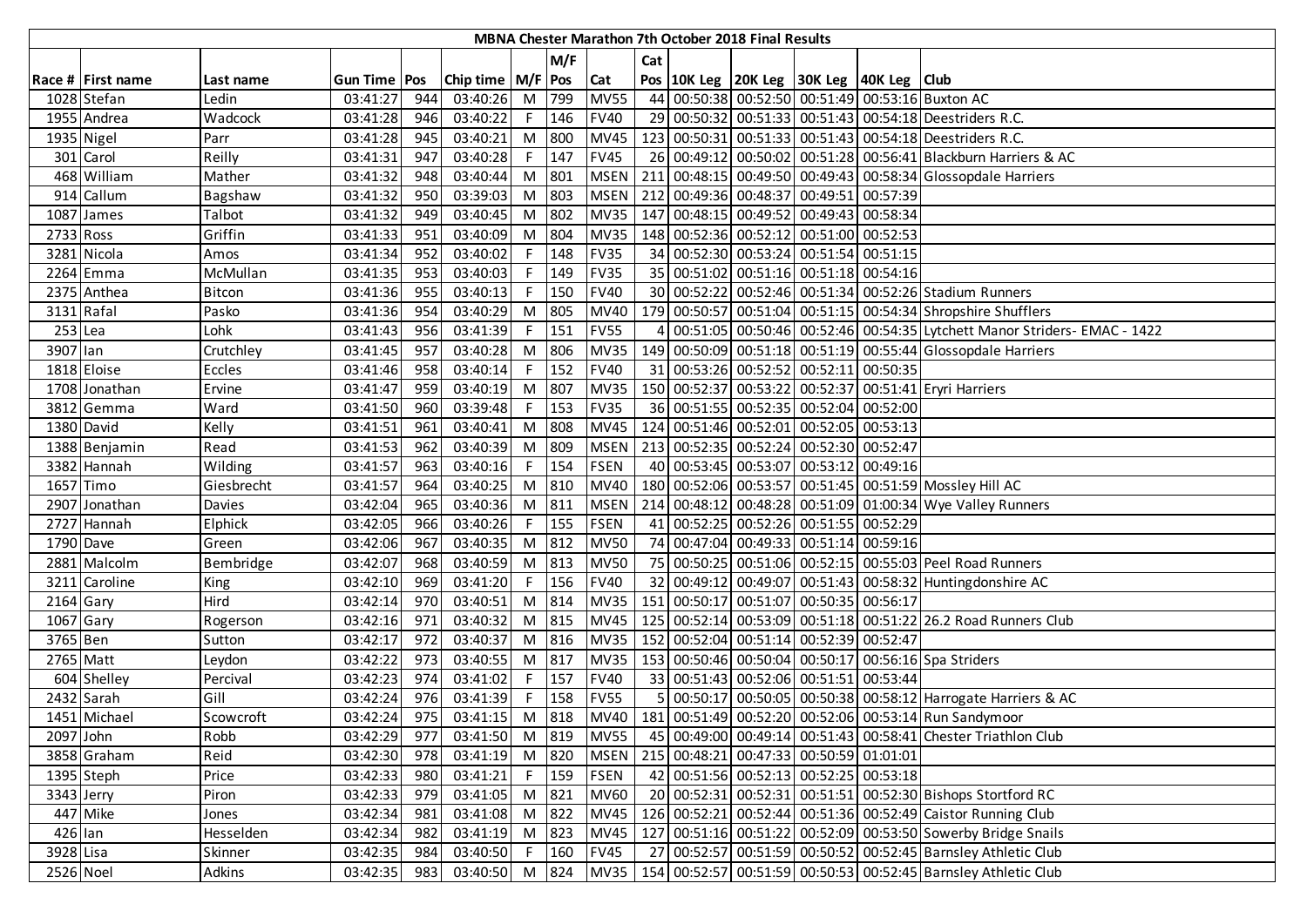|             |                   |               |                |     |                       |              |         |             |     | MBNA Chester Marathon 7th October 2018 Final Results |                                                    |                                                                          |
|-------------|-------------------|---------------|----------------|-----|-----------------------|--------------|---------|-------------|-----|------------------------------------------------------|----------------------------------------------------|--------------------------------------------------------------------------|
|             |                   |               |                |     |                       |              | M/F     |             | Cat |                                                      |                                                    |                                                                          |
|             | Race # First name | Last name     | Gun Time   Pos |     | Chip time   M/F   Pos |              |         | Cat         |     |                                                      | Pos   10K Leg   20K Leg   30K Leg   40K Leg   Club |                                                                          |
|             | 1028 Stefan       | Ledin         | 03:41:27       | 944 | 03:40:26              | M            | 799     | <b>MV55</b> |     |                                                      |                                                    | 44 00:50:38 00:52:50 00:51:49 00:53:16 Buxton AC                         |
|             | 1955 Andrea       | Wadcock       | 03:41:28       | 946 | 03:40:22              | F.           | 146     | <b>FV40</b> |     |                                                      |                                                    | 29 00:50:32 00:51:33 00:51:43 00:54:18 Deestriders R.C.                  |
|             | 1935 Nigel        | Parr          | 03:41:28       | 945 | 03:40:21              | M            | 800     | <b>MV45</b> |     |                                                      |                                                    | 123 00:50:31 00:51:33 00:51:43 00:54:18 Deestriders R.C.                 |
|             | 301 Carol         | Reilly        | 03:41:31       | 947 | 03:40:28              | F            | 147     | <b>FV45</b> | 26  |                                                      |                                                    | 00:49:12 00:50:02 00:51:28 00:56:41 Blackburn Harriers & AC              |
|             | 468 William       | Mather        | 03:41:32       | 948 | 03:40:44              | M            | 801     | <b>MSEN</b> |     |                                                      |                                                    | 211 00:48:15 00:49:50 00:49:43 00:58:34 Glossopdale Harriers             |
|             | 914 Callum        | Bagshaw       | 03:41:32       | 950 | 03:39:03              | M            | 803     | <b>MSEN</b> |     |                                                      | 212 00:49:36 00:48:37 00:49:51 00:57:39            |                                                                          |
|             | 1087 James        | Talbot        | 03:41:32       | 949 | 03:40:45              | M            | 802     | <b>MV35</b> |     |                                                      | 147 00:48:15 00:49:52 00:49:43 00:58:34            |                                                                          |
| 2733 Ross   |                   | Griffin       | 03:41:33       | 951 | 03:40:09              | M            | 804     | <b>MV35</b> |     |                                                      | 148 00:52:36 00:52:12 00:51:00 00:52:53            |                                                                          |
|             | 3281 Nicola       | Amos          | 03:41:34       | 952 | 03:40:02              | F            | 148     | <b>FV35</b> | 34  |                                                      | 00:52:30 00:53:24 00:51:54 00:51:15                |                                                                          |
|             | 2264 Emma         | McMullan      | 03:41:35       | 953 | 03:40:03              |              | 149     | <b>FV35</b> |     |                                                      | 35 00:51:02 00:51:16 00:51:18 00:54:16             |                                                                          |
|             | 2375 Anthea       | <b>Bitcon</b> | 03:41:36       | 955 | 03:40:13              |              | 150     | <b>FV40</b> |     |                                                      |                                                    | 30 00:52:22 00:52:46 00:51:34 00:52:26 Stadium Runners                   |
|             | 3131 Rafal        | Pasko         | 03:41:36       | 954 | 03:40:29              | M            | 805     | <b>MV40</b> |     |                                                      |                                                    | 179 00:50:57 00:51:04 00:51:15 00:54:34 Shropshire Shufflers             |
| $253$ Lea   |                   | Lohk          | 03:41:43       | 956 | 03:41:39              |              | 151     | <b>FV55</b> | 4   |                                                      |                                                    | 00:51:05 00:50:46 00:52:46 00:54:35 Lytchett Manor Striders- EMAC - 1422 |
| 3907 lan    |                   | Crutchley     | 03:41:45       | 957 | 03:40:28              | M            | 806     | <b>MV35</b> |     |                                                      |                                                    | 149 00:50:09 00:51:18 00:51:19 00:55:44 Glossopdale Harriers             |
|             | 1818 Eloise       | Eccles        | 03:41:46       | 958 | 03:40:14              | F.           | 152     | <b>FV40</b> |     |                                                      | 31 00:53:26 00:52:52 00:52:11 00:50:35             |                                                                          |
|             | 1708 Jonathan     | Ervine        | 03:41:47       | 959 | 03:40:19              | M            | 807     | <b>MV35</b> |     |                                                      |                                                    | 150 00:52:37 00:53:22 00:52:37 00:51:41 Eryri Harriers                   |
|             | 3812 Gemma        | Ward          | 03:41:50       | 960 | 03:39:48              | F            | 153     | <b>FV35</b> |     |                                                      | 36 00:51:55 00:52:35 00:52:04 00:52:00             |                                                                          |
|             | 1380 David        | Kelly         | 03:41:51       | 961 | 03:40:41              | M            | 808     | <b>MV45</b> |     |                                                      | 124 00:51:46 00:52:01 00:52:05 00:53:13            |                                                                          |
|             | 1388 Benjamin     | Read          | 03:41:53       | 962 | 03:40:39              | M            | 809     | <b>MSEN</b> |     |                                                      | 213 00:52:35 00:52:24 00:52:30 00:52:47            |                                                                          |
|             | 3382 Hannah       | Wilding       | 03:41:57       | 963 | 03:40:16              |              | 154     | <b>FSEN</b> |     |                                                      | 40 00:53:45 00:53:07 00:53:12 00:49:16             |                                                                          |
|             | 1657 Timo         | Giesbrecht    | 03:41:57       | 964 | 03:40:25              | M            | 810     | <b>MV40</b> |     |                                                      |                                                    | 180 00:52:06 00:53:57 00:51:45 00:51:59 Mossley Hill AC                  |
|             | 2907 Jonathan     | Davies        | 03:42:04       | 965 | 03:40:36              | M            | 811     | <b>MSEN</b> |     |                                                      |                                                    | 214 00:48:12 00:48:28 00:51:09 01:00:34 Wye Valley Runners               |
|             | 2727 Hannah       | Elphick       | 03:42:05       | 966 | 03:40:26              | F.           | 155     | <b>FSEN</b> |     |                                                      | 41 00:52:25 00:52:26 00:51:55 00:52:29             |                                                                          |
| 1790 Dave   |                   | Green         | 03:42:06       | 967 | 03:40:35              | M            | 812     | <b>MV50</b> | 74  |                                                      | 00:47:04 00:49:33 00:51:14 00:59:16                |                                                                          |
|             | 2881 Malcolm      | Bembridge     | 03:42:07       | 968 | 03:40:59              | M            | 813     | <b>MV50</b> |     |                                                      |                                                    | 75 00:50:25 00:51:06 00:52:15 00:55:03 Peel Road Runners                 |
|             | 3211 Caroline     | King          | 03:42:10       | 969 | 03:41:20              | F.           | 156     | <b>FV40</b> |     |                                                      |                                                    | 32 00:49:12 00:49:07 00:51:43 00:58:32 Huntingdonshire AC                |
| $2164$ Gary |                   | Hird          | 03:42:14       | 970 | 03:40:51              | M            | 814     | <b>MV35</b> |     |                                                      | 151 00:50:17 00:51:07 00:50:35 00:56:17            |                                                                          |
| 1067 Gary   |                   | Rogerson      | 03:42:16       | 971 | 03:40:32              | M            | 815     | <b>MV45</b> |     |                                                      |                                                    | 125 00:52:14 00:53:09 00:51:18 00:51:22 26.2 Road Runners Club           |
| 3765 Ben    |                   | Sutton        | 03:42:17       | 972 | 03:40:37              | M            | 816     | <b>MV35</b> |     |                                                      | 152 00:52:04 00:51:14 00:52:39 00:52:47            |                                                                          |
| 2765 Matt   |                   | Leydon        | 03:42:22       | 973 | 03:40:55              | M            | 817     | <b>MV35</b> |     |                                                      |                                                    | 153 00:50:46 00:50:04 00:50:17 00:56:16 Spa Striders                     |
|             | 604 Shelley       | Percival      | 03:42:23       | 974 | 03:41:02              | F.           | 157     | <b>FV40</b> |     |                                                      | 33 00:51:43 00:52:06 00:51:51 00:53:44             |                                                                          |
|             | 2432 Sarah        | Gill          | 03:42:24       | 976 | 03:41:39              |              | 158     | <b>FV55</b> | 5   |                                                      |                                                    | 00:50:17 00:50:05 00:50:38 00:58:12 Harrogate Harriers & AC              |
|             | 1451 Michael      | Scowcroft     | 03:42:24       | 975 | 03:41:15              | M            | 818     |             |     |                                                      |                                                    | MV40   181 00:51:49 00:52:20 00:52:06 00:53:14 Run Sandymoor             |
| 2097 John   |                   | Robb          | 03:42:29       | 977 | 03:41:50              |              | M 819   | <b>MV55</b> |     |                                                      |                                                    | 45 00:49:00 00:49:14 00:51:43 00:58:41 Chester Triathlon Club            |
|             | 3858 Graham       | Reid          | 03:42:30       | 978 | 03:41:19              | M 820        |         | <b>MSEN</b> |     |                                                      | 215 00:48:21 00:47:33 00:50:59 01:01:01            |                                                                          |
|             | 1395 Steph        | Price         | 03:42:33       | 980 | 03:41:21              |              | $F$ 159 | <b>FSEN</b> |     |                                                      | 42 00:51:56 00:52:13 00:52:25 00:53:18             |                                                                          |
| 3343 Jerry  |                   | Piron         | 03:42:33       | 979 | 03:41:05              | M            | 821     | <b>MV60</b> |     |                                                      |                                                    | 20 00:52:31 00:52:31 00:51:51 00:52:30 Bishops Stortford RC              |
|             | 447 Mike          | Jones         | 03:42:34       | 981 | 03:41:08              |              | M 822   | <b>MV45</b> |     |                                                      |                                                    | 126 00:52:21 00:52:44 00:51:36 00:52:49 Caistor Running Club             |
| $426$ lan   |                   | Hesselden     | 03:42:34       | 982 | 03:41:19              |              | M 823   | <b>MV45</b> |     |                                                      |                                                    | 127 00:51:16 00:51:22 00:52:09 00:53:50 Sowerby Bridge Snails            |
| 3928 Lisa   |                   | Skinner       | 03:42:35       | 984 | 03:40:50              | $\mathsf{F}$ | 160     | <b>FV45</b> |     |                                                      |                                                    | 27 00:52:57 00:51:59 00:50:52 00:52:45 Barnsley Athletic Club            |
| 2526 Noel   |                   | Adkins        | 03:42:35       | 983 | 03:40:50              |              | M 824   | <b>MV35</b> |     |                                                      |                                                    | 154 00:52:57 00:51:59 00:50:53 00:52:45 Barnsley Athletic Club           |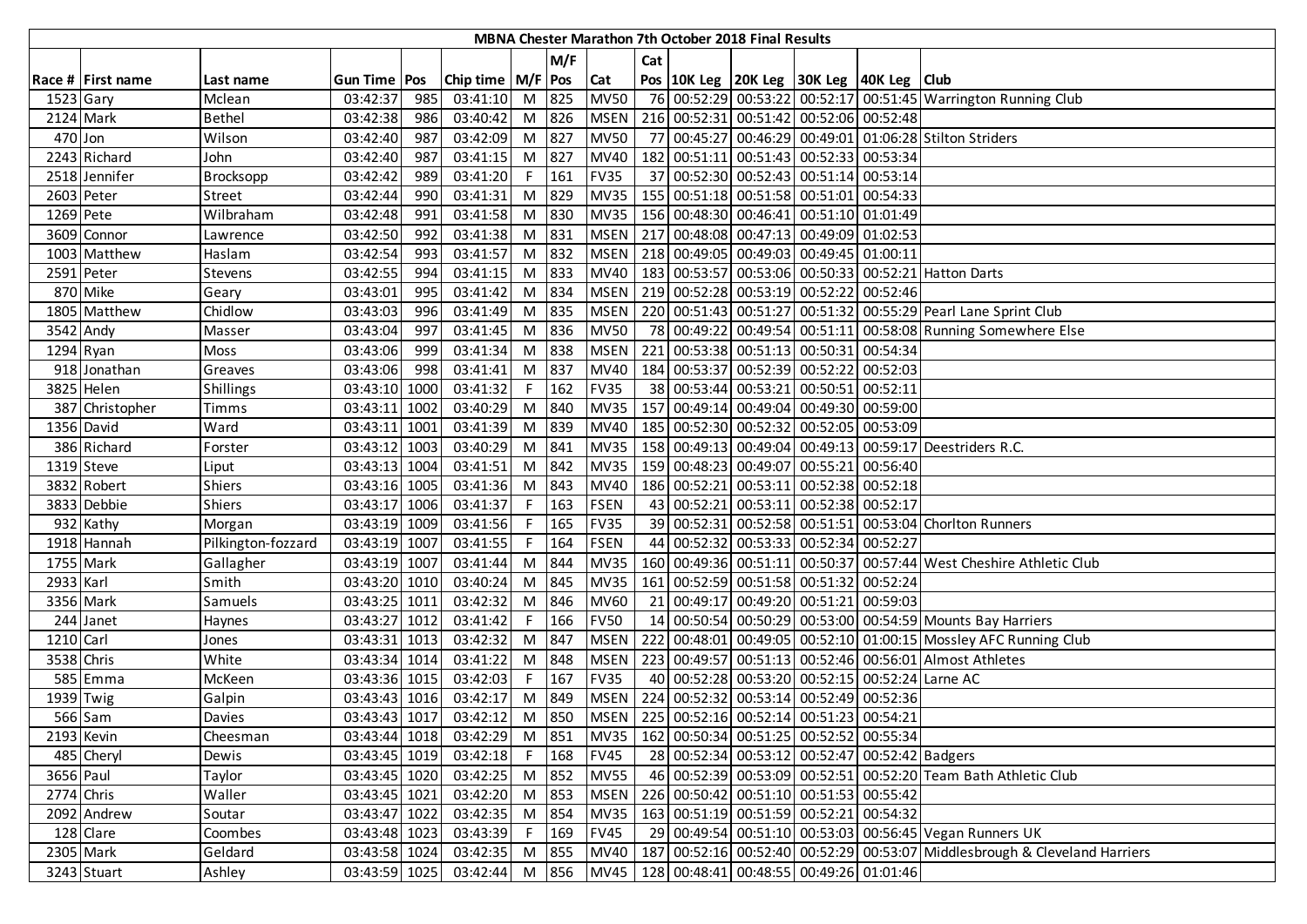|            |                   |                    |                |      |                       |    |         |             |     | MBNA Chester Marathon 7th October 2018 Final Results |                                                    |          |                                                                            |
|------------|-------------------|--------------------|----------------|------|-----------------------|----|---------|-------------|-----|------------------------------------------------------|----------------------------------------------------|----------|----------------------------------------------------------------------------|
|            |                   |                    |                |      |                       |    | M/F     |             | Cat |                                                      |                                                    |          |                                                                            |
|            | Race # First name | Last name          | Gun Time   Pos |      | Chip time   M/F   Pos |    |         | <b>Cat</b>  |     |                                                      | Pos   10K Leg   20K Leg   30K Leg   40K Leg   Club |          |                                                                            |
| 1523 Gary  |                   | Mclean             | 03:42:37       | 985  | 03:41:10              |    | M 825   | <b>MV50</b> |     |                                                      |                                                    |          | 76 00:52:29 00:53:22 00:52:17 00:51:45 Warrington Running Club             |
|            | 2124 Mark         | <b>Bethel</b>      | 03:42:38       | 986  | 03:40:42              |    | M 826   | <b>MSEN</b> |     |                                                      | 216 00:52:31 00:51:42 00:52:06 00:52:48            |          |                                                                            |
| $470$ Jon  |                   | Wilson             | 03:42:40       | 987  | 03:42:09              |    | M 827   | <b>MV50</b> |     |                                                      |                                                    |          | 77 00:45:27 00:46:29 00:49:01 01:06:28 Stilton Striders                    |
|            | 2243 Richard      | John               | 03:42:40       | 987  | 03:41:15              |    | $M$ 827 | <b>MV40</b> |     |                                                      | 182 00:51:11 00:51:43 00:52:33 00:53:34            |          |                                                                            |
|            | 2518 Jennifer     | Brocksopp          | 03:42:42       | 989  | 03:41:20              | F. | 161     | <b>FV35</b> |     |                                                      | 37 00:52:30 00:52:43 00:51:14                      | 00:53:14 |                                                                            |
|            | 2603 Peter        | Street             | 03:42:44       | 990  | 03:41:31              | M  | 829     | <b>MV35</b> |     |                                                      | 155 00:51:18 00:51:58 00:51:01 00:54:33            |          |                                                                            |
| 1269 Pete  |                   | Wilbraham          | 03:42:48       | 991  | 03:41:58              |    | M 830   | <b>MV35</b> |     |                                                      | 156 00:48:30 00:46:41 00:51:10 01:01:49            |          |                                                                            |
|            | 3609 Connor       | Lawrence           | 03:42:50       | 992  | 03:41:38              |    | M 831   | <b>MSEN</b> |     |                                                      | 217 00:48:08 00:47:13 00:49:09 01:02:53            |          |                                                                            |
|            | 1003 Matthew      | Haslam             | 03:42:54       | 993  | 03:41:57              |    | M 832   | <b>MSEN</b> |     |                                                      | 218 00:49:05 00:49:03 00:49:45 01:00:11            |          |                                                                            |
|            | 2591 Peter        | Stevens            | 03:42:55       | 994  | 03:41:15              |    | M 833   | <b>MV40</b> |     |                                                      |                                                    |          | 183 00:53:57 00:53:06 00:50:33 00:52:21 Hatton Darts                       |
|            | 870 Mike          | Geary              | 03:43:01       | 995  | 03:41:42              |    | M 834   | <b>MSEN</b> |     |                                                      | 219 00:52:28 00:53:19 00:52:22                     | 00:52:46 |                                                                            |
|            | 1805 Matthew      | Chidlow            | 03:43:03       | 996  | 03:41:49              | M  | 835     | <b>MSEN</b> |     |                                                      |                                                    |          | 220 00:51:43 00:51:27 00:51:32 00:55:29 Pearl Lane Sprint Club             |
|            | 3542 Andy         | Masser             | 03:43:04       | 997  | 03:41:45              |    | M 836   | <b>MV50</b> |     |                                                      |                                                    |          | 78 00:49:22 00:49:54 00:51:11 00:58:08 Running Somewhere Else              |
| 1294 Ryan  |                   | Moss               | 03:43:06       | 999  | 03:41:34              |    | M 838   | <b>MSEN</b> |     | 221 00:53:38 00:51:13 00:50:31                       |                                                    | 00:54:34 |                                                                            |
|            | 918 Jonathan      | Greaves            | 03:43:06       | 998  | 03:41:41              |    | M 837   | <b>MV40</b> |     | 184 00:53:37 00:52:39 00:52:22                       |                                                    | 00:52:03 |                                                                            |
|            | 3825 Helen        | Shillings          | 03:43:10 1000  |      | 03:41:32              |    | $F$ 162 | <b>FV35</b> |     |                                                      | 38 00:53:44 00:53:21 00:50:51 00:52:11             |          |                                                                            |
|            | 387 Christopher   | Timms              | 03:43:11 1002  |      | 03:40:29              |    | M 840   | <b>MV35</b> |     |                                                      | 157 00:49:14 00:49:04 00:49:30 00:59:00            |          |                                                                            |
|            | 1356 David        | Ward               | 03:43:11 1001  |      | 03:41:39              | M  | 839     | <b>MV40</b> |     |                                                      | 185 00:52:30 00:52:32 00:52:05 00:53:09            |          |                                                                            |
|            | 386 Richard       | Forster            | 03:43:12 1003  |      | 03:40:29              | M  | 841     | <b>MV35</b> |     |                                                      |                                                    |          | 158 00:49:13 00:49:04 00:49:13 00:59:17 Deestriders R.C.                   |
|            | 1319 Steve        | Liput              | 03:43:13 1004  |      | 03:41:51              | M  | 842     | <b>MV35</b> |     |                                                      | 159 00:48:23 00:49:07 00:55:21 00:56:40            |          |                                                                            |
|            | 3832 Robert       | Shiers             | 03:43:16 1005  |      | 03:41:36              |    | M 843   | <b>MV40</b> |     |                                                      | 186 00:52:21 00:53:11 00:52:38 00:52:18            |          |                                                                            |
|            | 3833 Debbie       | <b>Shiers</b>      | 03:43:17 1006  |      | 03:41:37              |    | 163     | <b>FSEN</b> |     |                                                      | 43 00:52:21 00:53:11 00:52:38 00:52:17             |          |                                                                            |
|            | 932 Kathy         | Morgan             | 03:43:19 1009  |      | 03:41:56              | F. | 165     | <b>FV35</b> |     |                                                      |                                                    |          | 39 00:52:31 00:52:58 00:51:51 00:53:04 Choriton Runners                    |
|            | $1918$ Hannah     | Pilkington-fozzard | 03:43:19 1007  |      | 03:41:55              |    | 164     | <b>FSEN</b> |     |                                                      | 44 00:52:32 00:53:33 00:52:34 00:52:27             |          |                                                                            |
|            | 1755 Mark         | Gallagher          | 03:43:19       | 1007 | 03:41:44              | M  | 844     | <b>MV35</b> |     |                                                      | 160 00:49:36 00:51:11 00:50:37                     |          | 00:57:44 West Cheshire Athletic Club                                       |
| 2933 Karl  |                   | Smith              | 03:43:20 1010  |      | 03:40:24              |    | M 845   | <b>MV35</b> |     |                                                      | 161 00:52:59 00:51:58 00:51:32                     | 00:52:24 |                                                                            |
|            | 3356 Mark         | Samuels            | 03:43:25 1011  |      | 03:42:32              |    | M 846   | <b>MV60</b> |     |                                                      | 21 00:49:17 00:49:20 00:51:21 00:59:03             |          |                                                                            |
|            | 244 Janet         | Haynes             | 03:43:27 1012  |      | 03:41:42              | F. | 166     | <b>FV50</b> |     |                                                      |                                                    |          | 14 00:50:54 00:50:29 00:53:00 00:54:59 Mounts Bay Harriers                 |
| 1210 Carl  |                   | Jones              | 03:43:31 1013  |      | 03:42:32              |    | M 847   | <b>MSEN</b> |     |                                                      |                                                    |          | 222 00:48:01 00:49:05 00:52:10 01:00:15 Mossley AFC Running Club           |
| 3538 Chris |                   | White              | 03:43:34 1014  |      | 03:41:22              |    | M 848   | <b>MSEN</b> |     |                                                      |                                                    |          | 223 00:49:57 00:51:13 00:52:46 00:56:01 Almost Athletes                    |
|            | 585 Emma          | McKeen             | 03:43:36 1015  |      | 03:42:03              | F. | 167     | <b>FV35</b> |     |                                                      | 40 00:52:28 00:53:20 00:52:15 00:52:24 Larne AC    |          |                                                                            |
| 1939 Twig  |                   | Galpin             | 03:43:43 1016  |      | 03:42:17              | M  | 849     | <b>MSEN</b> |     |                                                      | 224 00:52:32 00:53:14 00:52:49 00:52:36            |          |                                                                            |
|            | 566 Sam           | <b>Davies</b>      | 03:43:43 1017  |      | 03:42:12              |    | M 850   |             |     |                                                      | MSEN 225 00:52:16 00:52:14 00:51:23 00:54:21       |          |                                                                            |
|            | 2193 Kevin        | Cheesman           | 03:43:44 1018  |      | 03:42:29              |    | M 851   |             |     |                                                      | MV35   162 00:50:34 00:51:25 00:52:52 00:55:34     |          |                                                                            |
|            | 485 Cheryl        | Dewis              | 03:43:45 1019  |      | 03:42:18              |    | $F$ 168 | <b>FV45</b> |     |                                                      | 28 00:52:34 00:53:12 00:52:47 00:52:42 Badgers     |          |                                                                            |
| 3656 Paul  |                   | Taylor             | 03:43:45 1020  |      | 03:42:25              |    | M 852   | <b>MV55</b> |     |                                                      |                                                    |          | 46 00:52:39 00:53:09 00:52:51 00:52:20 Team Bath Athletic Club             |
| 2774 Chris |                   | Waller             | 03:43:45 1021  |      | 03:42:20              |    | M 853   | <b>MSEN</b> |     |                                                      | 226 00:50:42 00:51:10 00:51:53 00:55:42            |          |                                                                            |
|            | 2092 Andrew       | Soutar             | 03:43:47 1022  |      | 03:42:35              |    | M 854   | <b>MV35</b> |     |                                                      | 163 00:51:19 00:51:59 00:52:21 00:54:32            |          |                                                                            |
|            | 128 Clare         | Coombes            | 03:43:48 1023  |      | 03:43:39              |    | F 169   | <b>FV45</b> |     |                                                      |                                                    |          | 29 00:49:54 00:51:10 00:53:03 00:56:45 Vegan Runners UK                    |
|            | 2305 Mark         | Geldard            | 03:43:58 1024  |      | 03:42:35              |    | M 855   | <b>MV40</b> |     |                                                      |                                                    |          | 187 00:52:16 00:52:40 00:52:29 00:53:07 Middlesbrough & Cleveland Harriers |
|            | 3243 Stuart       | Ashley             | 03:43:59 1025  |      | 03:42:44              |    | M 856   |             |     |                                                      | MV45   128 00:48:41 00:48:55 00:49:26 01:01:46     |          |                                                                            |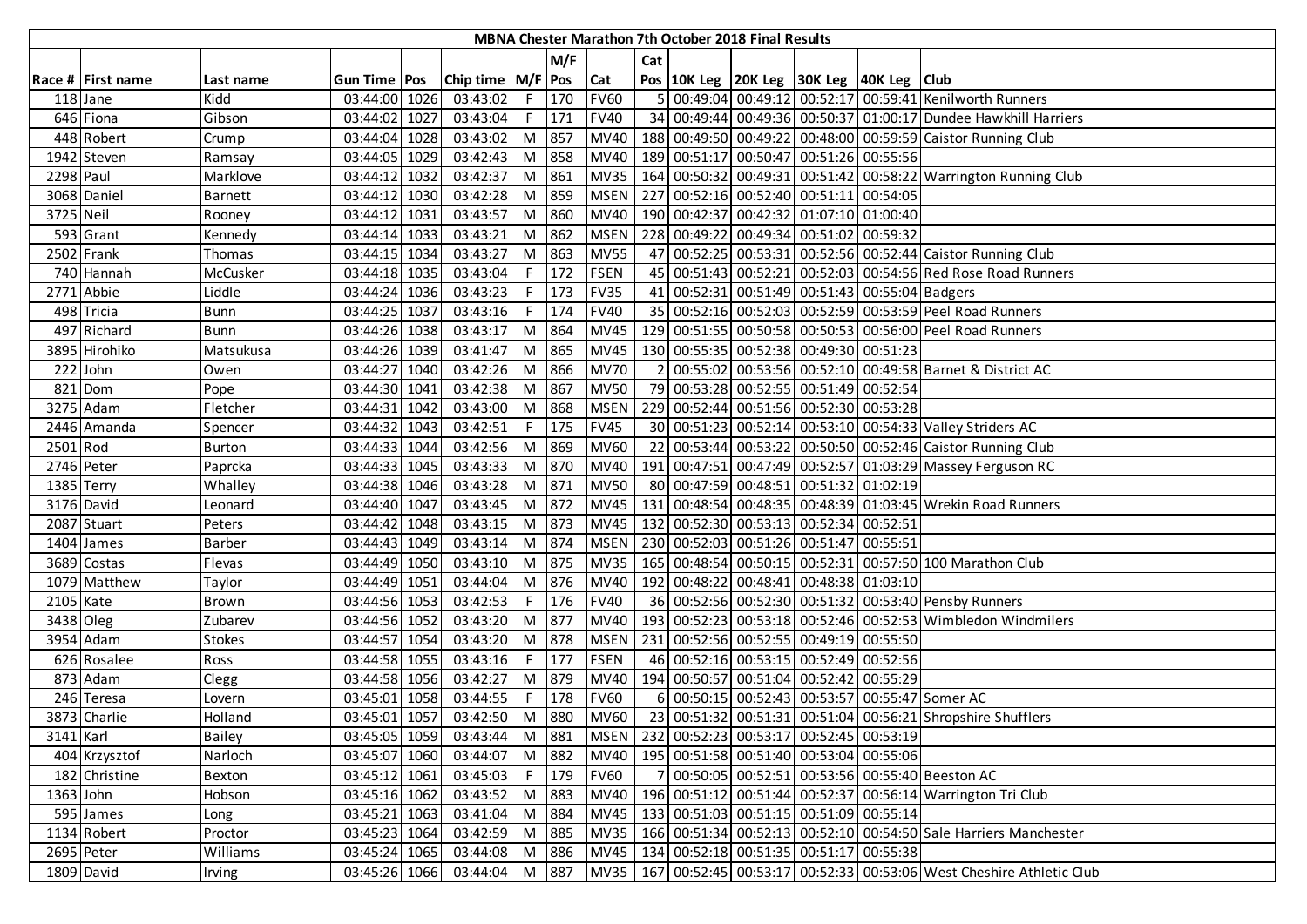|                        |                   |                |                |      |                       |       |       |             |                | MBNA Chester Marathon 7th October 2018 Final Results |                                                    |                                                                            |
|------------------------|-------------------|----------------|----------------|------|-----------------------|-------|-------|-------------|----------------|------------------------------------------------------|----------------------------------------------------|----------------------------------------------------------------------------|
|                        |                   |                |                |      |                       |       | M/F   |             | Cat            |                                                      |                                                    |                                                                            |
|                        | Race # First name | Last name      | Gun Time   Pos |      | Chip time   M/F   Pos |       |       | Cat         |                |                                                      | Pos   10K Leg   20K Leg   30K Leg   40K Leg   Club |                                                                            |
|                        | 118 Jane          | Kidd           | 03:44:00       | 1026 | 03:43:02              | F.    | 170   | <b>FV60</b> | 5 <sub>1</sub> |                                                      |                                                    | 00:49:04 00:49:12 00:52:17 00:59:41 Kenilworth Runners                     |
|                        | 646 Fiona         | Gibson         | 03:44:02 1027  |      | 03:43:04              | F.    | 171   | <b>FV40</b> |                |                                                      |                                                    | 34 00:49:44 00:49:36 00:50:37 01:00:17 Dundee Hawkhill Harriers            |
|                        | 448 Robert        | Crump          | 03:44:04 1028  |      | 03:43:02              | M     | 857   | <b>MV40</b> |                |                                                      |                                                    | 188 00:49:50 00:49:22 00:48:00 00:59:59 Caistor Running Club               |
|                        | 1942 Steven       | Ramsay         | 03:44:05 1029  |      | 03:42:43              |       | M 858 | <b>MV40</b> |                |                                                      | 189 00:51:17 00:50:47 00:51:26 00:55:56            |                                                                            |
| 2298 Paul              |                   | Marklove       | 03:44:12 1032  |      | 03:42:37              | M     | 861   | <b>MV35</b> |                |                                                      |                                                    | 164 00:50:32 00:49:31 00:51:42 00:58:22 Warrington Running Club            |
|                        | 3068 Daniel       | <b>Barnett</b> | 03:44:12 1030  |      | 03:42:28              | M     | 859   | <b>MSEN</b> |                |                                                      | 227 00:52:16 00:52:40 00:51:11 00:54:05            |                                                                            |
| 3725 Neil              |                   | Rooney         | 03:44:12       | 1031 | 03:43:57              | M     | 860   | <b>MV40</b> |                |                                                      | 190 00:42:37 00:42:32 01:07:10 01:00:40            |                                                                            |
|                        | 593 Grant         | Kennedy        | 03:44:14 1033  |      | 03:43:21              | M     | 862   | <b>MSEN</b> |                |                                                      | 228 00:49:22 00:49:34 00:51:02 00:59:32            |                                                                            |
|                        | 2502 Frank        | Thomas         | 03:44:15 1034  |      | 03:43:27              | M     | 863   | <b>MV55</b> |                |                                                      |                                                    | 47 00:52:25 00:53:31 00:52:56 00:52:44 Caistor Running Club                |
|                        | 740 Hannah        | McCusker       | 03:44:18 1035  |      | 03:43:04              |       | 172   | <b>FSEN</b> |                |                                                      |                                                    | 45 00:51:43 00:52:21 00:52:03 00:54:56 Red Rose Road Runners               |
|                        | 2771 Abbie        | Liddle         | 03:44:24       | 1036 | 03:43:23              |       | 173   | <b>FV35</b> |                |                                                      | 41 00:52:31 00:51:49 00:51:43 00:55:04 Badgers     |                                                                            |
|                        | 498 Tricia        | <b>Bunn</b>    | 03:44:25 1037  |      | 03:43:16              | F.    | 174   | <b>FV40</b> |                |                                                      |                                                    | 35 00:52:16 00:52:03 00:52:59 00:53:59 Peel Road Runners                   |
|                        | 497 Richard       | <b>Bunn</b>    | 03:44:26 1038  |      | 03:43:17              | M     | 864   | <b>MV45</b> |                |                                                      |                                                    | 129 00:51:55 00:50:58 00:50:53 00:56:00 Peel Road Runners                  |
|                        | 3895 Hirohiko     | Matsukusa      | 03:44:26 1039  |      | 03:41:47              | M     | 865   | <b>MV45</b> |                |                                                      | 130 00:55:35 00:52:38 00:49:30 00:51:23            |                                                                            |
|                        | 222 John          | Owen           | 03:44:27 1040  |      | 03:42:26              | M     | 866   | <b>MV70</b> | $\overline{2}$ |                                                      |                                                    | 00:55:02 00:53:56 00:52:10 00:49:58 Barnet & District AC                   |
|                        | 821 Dom           | Pope           | 03:44:30 1041  |      | 03:42:38              | M     | 867   | <b>MV50</b> |                |                                                      | 79 00:53:28 00:52:55 00:51:49 00:52:54             |                                                                            |
|                        | 3275 Adam         | Fletcher       | 03:44:31 1042  |      | 03:43:00              | M     | 868   | <b>MSEN</b> |                |                                                      | 229 00:52:44 00:51:56 00:52:30 00:53:28            |                                                                            |
|                        | 2446 Amanda       | Spencer        | 03:44:32 1043  |      | 03:42:51              | F.    | 175   | <b>FV45</b> |                |                                                      |                                                    | 30 00:51:23 00:52:14 00:53:10 00:54:33 Valley Striders AC                  |
| 2501 Rod               |                   | Burton         | 03:44:33 1044  |      | 03:42:56              | M     | 869   | <b>MV60</b> |                |                                                      |                                                    | 22 00:53:44 00:53:22 00:50:50 00:52:46 Caistor Running Club                |
|                        | 2746 Peter        | Paprcka        | 03:44:33 1045  |      | 03:43:33              | M     | 870   | <b>MV40</b> |                |                                                      |                                                    | 191 00:47:51 00:47:49 00:52:57 01:03:29 Massey Ferguson RC                 |
|                        | 1385 Terry        | Whalley        | 03:44:38 1046  |      | 03:43:28              | M     | 871   | <b>MV50</b> |                |                                                      | 80 00:47:59 00:48:51 00:51:32 01:02:19             |                                                                            |
|                        | 3176 David        | Leonard        | 03:44:40 1047  |      | 03:43:45              | M     | 872   | <b>MV45</b> |                |                                                      |                                                    | 131 00:48:54 00:48:35 00:48:39 01:03:45 Wrekin Road Runners                |
|                        | 2087 Stuart       | Peters         | 03:44:42 1048  |      | 03:43:15              | M     | 873   | <b>MV45</b> |                |                                                      | 132 00:52:30 00:53:13 00:52:34 00:52:51            |                                                                            |
|                        | 1404 James        | <b>Barber</b>  | 03:44:43 1049  |      | 03:43:14              | M     | 874   | <b>MSEN</b> |                |                                                      | 230 00:52:03 00:51:26 00:51:47 00:55:51            |                                                                            |
|                        | 3689 Costas       | Flevas         | 03:44:49 1050  |      | 03:43:10              | M     | 875   | <b>MV35</b> |                |                                                      |                                                    | 165 00:48:54 00:50:15 00:52:31 00:57:50 100 Marathon Club                  |
|                        | 1079 Matthew      | Taylor         | 03:44:49 1051  |      | 03:44:04              | M     | 876   | <b>MV40</b> |                |                                                      | 192 00:48:22 00:48:41 00:48:38 01:03:10            |                                                                            |
| 2105 Kate              |                   | Brown          | 03:44:56 1053  |      | 03:42:53              | F     | 176   | <b>FV40</b> |                |                                                      |                                                    | 36 00:52:56 00:52:30 00:51:32 00:53:40 Pensby Runners                      |
| $\overline{3438}$ Oleg |                   | Zubarev        | 03:44:56 1052  |      | 03:43:20              | M     | 877   | <b>MV40</b> |                |                                                      |                                                    | 193 00:52:23 00:53:18 00:52:46 00:52:53 Wimbledon Windmilers               |
|                        | 3954 Adam         | <b>Stokes</b>  | 03:44:57 1054  |      | 03:43:20              | M     | 878   | <b>MSEN</b> |                |                                                      | 231 00:52:56 00:52:55 00:49:19 00:55:50            |                                                                            |
|                        | 626 Rosalee       | Ross           | 03:44:58 1055  |      | 03:43:16              | F.    | 177   | <b>FSEN</b> | 46             |                                                      | 00:52:16 00:53:15 00:52:49 00:52:56                |                                                                            |
|                        | 873 Adam          | Clegg          | 03:44:58 1056  |      | 03:42:27              | M     | 879   | <b>MV40</b> |                |                                                      | 194 00:50:57 00:51:04 00:52:42 00:55:29            |                                                                            |
|                        | 246 Teresa        | Lovern         | 03:45:01 1058  |      | 03:44:55              |       | 178   | <b>FV60</b> | 6              |                                                      |                                                    | 00:50:15 00:52:43 00:53:57 00:55:47 Somer AC                               |
|                        | 3873 Charlie      | Holland        | 03:45:01 1057  |      | 03:42:50              | M     | 880   | <b>MV60</b> |                |                                                      |                                                    | 23 00:51:32 00:51:31 00:51:04 00:56:21 Shropshire Shufflers                |
| 3141 Karl              |                   | <b>Bailey</b>  | 03:45:05 1059  |      | 03:43:44              |       | M 881 |             |                |                                                      | MSEN   232 00:52:23 00:53:17 00:52:45 00:53:19     |                                                                            |
|                        | 404 Krzysztof     | Narloch        | 03:45:07 1060  |      | 03:44:07              |       | M 882 | <b>MV40</b> |                |                                                      | 195 00:51:58 00:51:40 00:53:04 00:55:06            |                                                                            |
|                        | 182 Christine     | Bexton         | 03:45:12 1061  |      | 03:45:03              |       | F 179 | <b>FV60</b> |                |                                                      |                                                    | 00:50:05 00:52:51 00:53:56 00:55:40 Beeston AC                             |
| 1363 John              |                   | Hobson         | 03:45:16 1062  |      | 03:43:52              | M     | 883   | <b>MV40</b> |                |                                                      |                                                    | 196 00:51:12 00:51:44 00:52:37 00:56:14 Warrington Tri Club                |
|                        | 595 James         | Long           | 03:45:21 1063  |      | 03:41:04              | M     | 884   | <b>MV45</b> |                |                                                      | 133 00:51:03 00:51:15 00:51:09 00:55:14            |                                                                            |
|                        | 1134 Robert       | Proctor        | 03:45:23 1064  |      | 03:42:59              |       | M 885 | <b>MV35</b> |                |                                                      |                                                    | 166 00:51:34 00:52:13 00:52:10 00:54:50 Sale Harriers Manchester           |
|                        | 2695 Peter        | Williams       | 03:45:24 1065  |      | 03:44:08              | M     | 886   | <b>MV45</b> |                |                                                      | 134 00:52:18 00:51:35 00:51:17 00:55:38            |                                                                            |
|                        | 1809 David        | Irving         | 03:45:26 1066  |      | 03:44:04              | M 887 |       |             |                |                                                      |                                                    | MV35   167 00:52:45 00:53:17 00:52:33 00:53:06 West Cheshire Athletic Club |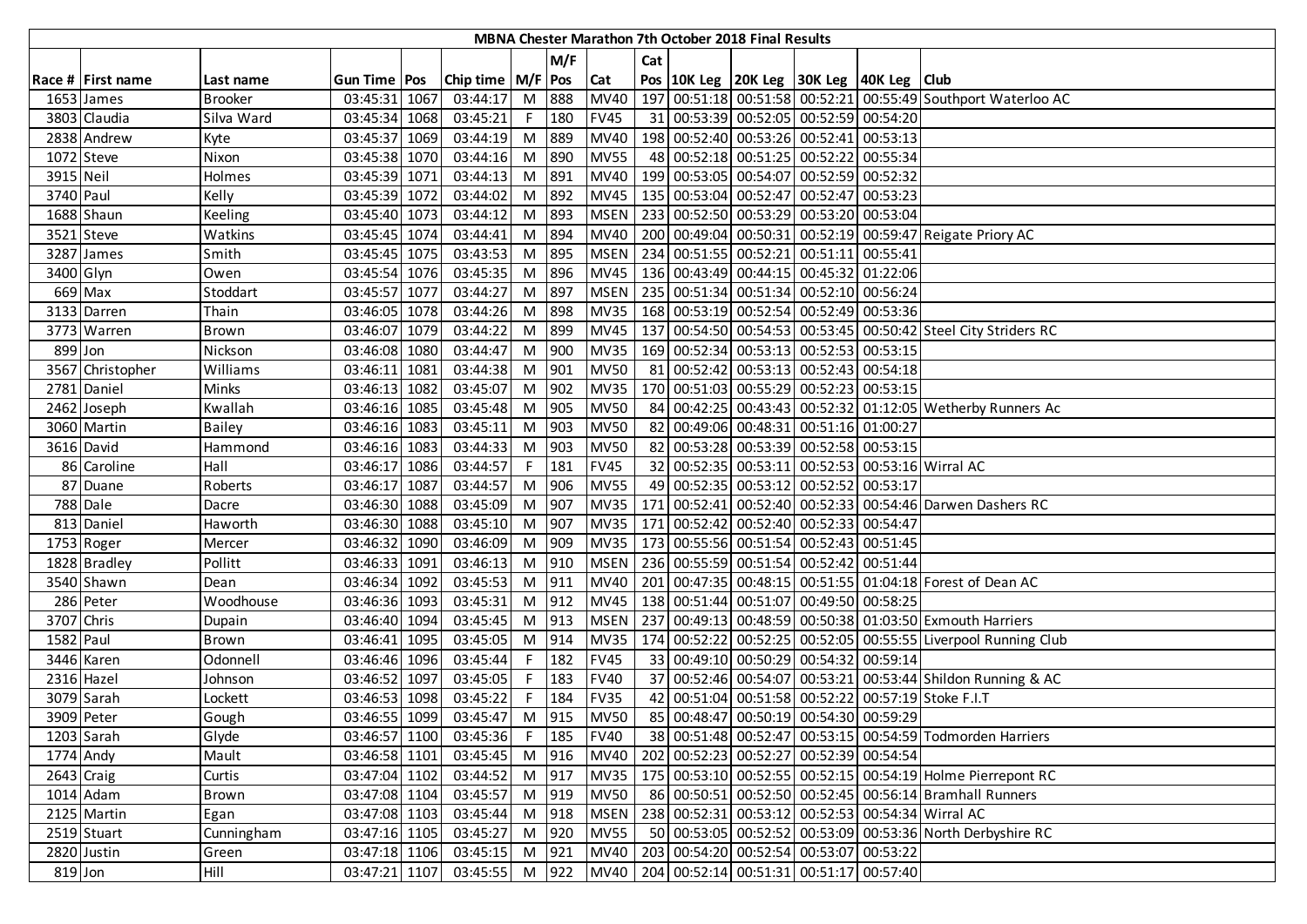|            |                   |                |                       |                       |                |         |             |     | MBNA Chester Marathon 7th October 2018 Final Results |                                                    |                                                                |
|------------|-------------------|----------------|-----------------------|-----------------------|----------------|---------|-------------|-----|------------------------------------------------------|----------------------------------------------------|----------------------------------------------------------------|
|            |                   |                |                       |                       |                | M/F     |             | Cat |                                                      |                                                    |                                                                |
|            | Race # First name | Last name      | <b>Gun Time   Pos</b> | Chip time   M/F   Pos |                |         | Cat         |     |                                                      | Pos   10K Leg   20K Leg   30K Leg   40K Leg   Club |                                                                |
|            | 1653 James        | <b>Brooker</b> | 03:45:31 1067         | 03:44:17              |                | M 888   | <b>MV40</b> |     |                                                      |                                                    | 197 00:51:18 00:51:58 00:52:21 00:55:49 Southport Waterloo AC  |
|            | 3803 Claudia      | Silva Ward     | 03:45:34 1068         | 03:45:21              | F.             | 180     | <b>FV45</b> |     |                                                      | 31 00:53:39 00:52:05 00:52:59 00:54:20             |                                                                |
|            | 2838 Andrew       | Kyte           | 03:45:37 1069         | 03:44:19              | M              | 889     | MV40        |     |                                                      | 198 00:52:40 00:53:26 00:52:41 00:53:13            |                                                                |
|            | 1072 Steve        | Nixon          | 03:45:38 1070         | 03:44:16              |                | M 890   | <b>MV55</b> |     |                                                      | 48 00:52:18 00:51:25 00:52:22 00:55:34             |                                                                |
| 3915 Neil  |                   | Holmes         | 03:45:39 1071         | 03:44:13              | M              | 891     | <b>MV40</b> |     |                                                      | 199 00:53:05 00:54:07 00:52:59 00:52:32            |                                                                |
| 3740 Paul  |                   | Kelly          | 03:45:39 1072         | 03:44:02              | M <sub>1</sub> | 892     |             |     |                                                      | MV45   135 00:53:04 00:52:47 00:52:47 00:53:23     |                                                                |
|            | 1688 Shaun        | Keeling        | 03:45:40 1073         | 03:44:12              | M              | 893     | <b>MSEN</b> |     |                                                      | 233 00:52:50 00:53:29 00:53:20 00:53:04            |                                                                |
|            | 3521 Steve        | Watkins        | 03:45:45 1074         | 03:44:41              | M              | 894     | <b>MV40</b> |     |                                                      |                                                    | 200 00:49:04 00:50:31 00:52:19 00:59:47 Reigate Priory AC      |
|            | 3287 James        | Smith          | 03:45:45 1075         | 03:43:53              | M I            | 895     | <b>MSEN</b> |     |                                                      | 234 00:51:55 00:52:21 00:51:11 00:55:41            |                                                                |
| 3400 Glyn  |                   | Owen           | 03:45:54 1076         | 03:45:35              | M              | 896     | <b>MV45</b> |     |                                                      | 136 00:43:49 00:44:15 00:45:32 01:22:06            |                                                                |
|            | 669 Max           | Stoddart       | 03:45:57 1077         | 03:44:27              | M              | 897     | <b>MSEN</b> |     |                                                      | 235 00:51:34 00:51:34 00:52:10 00:56:24            |                                                                |
|            | 3133 Darren       | Thain          | 03:46:05 1078         | 03:44:26              | M              | 898     | <b>MV35</b> |     |                                                      | 168 00:53:19 00:52:54 00:52:49 00:53:36            |                                                                |
|            | 3773 Warren       | <b>Brown</b>   | 03:46:07 1079         | 03:44:22              | M              | 899     | <b>MV45</b> |     |                                                      |                                                    | 137 00:54:50 00:54:53 00:53:45 00:50:42 Steel City Striders RC |
| 899 Jon    |                   | Nickson        | 03:46:08 1080         | 03:44:47              | M              | 900     | <b>MV35</b> |     |                                                      | 169 00:52:34 00:53:13 00:52:53 00:53:15            |                                                                |
|            | 3567 Christopher  | Williams       | 03:46:11 1081         | 03:44:38              | M I            | 901     | <b>MV50</b> |     |                                                      | 81 00:52:42 00:53:13 00:52:43 00:54:18             |                                                                |
|            | 2781 Daniel       | Minks          | 03:46:13 1082         | 03:45:07              |                | M 902   | <b>MV35</b> |     |                                                      | 170 00:51:03 00:55:29 00:52:23 00:53:15            |                                                                |
|            | 2462 Joseph       | Kwallah        | 03:46:16 1085         | 03:45:48              |                | M 905   | <b>MV50</b> |     |                                                      |                                                    | 84 00:42:25 00:43:43 00:52:32 01:12:05 Wetherby Runners Ac     |
|            | 3060 Martin       | <b>Bailey</b>  | 03:46:16 1083         | 03:45:11              |                | M 903   | <b>MV50</b> |     |                                                      | 82 00:49:06 00:48:31 00:51:16 01:00:27             |                                                                |
|            | 3616 David        | Hammond        | 03:46:16 1083         | 03:44:33              | M              | 903     | <b>MV50</b> |     |                                                      | 82 00:53:28 00:53:39 00:52:58 00:53:15             |                                                                |
|            | 86 Caroline       | Hall           | 03:46:17 1086         | 03:44:57              | F              | 181     | <b>FV45</b> |     |                                                      |                                                    | 32 00:52:35 00:53:11 00:52:53 00:53:16 Wirral AC               |
|            | 87 Duane          | Roberts        | 03:46:17 1087         | 03:44:57              |                | M 906   | <b>MV55</b> |     |                                                      | 49 00:52:35 00:53:12 00:52:52 00:53:17             |                                                                |
|            | 788 Dale          | Dacre          | 03:46:30 1088         | 03:45:09              | M              | 907     | <b>MV35</b> |     |                                                      |                                                    | 171 00:52:41 00:52:40 00:52:33 00:54:46 Darwen Dashers RC      |
|            | 813 Daniel        | Haworth        | 03:46:30 1088         | 03:45:10              | M <sub>1</sub> | 907     | <b>MV35</b> |     |                                                      | 171   00:52:42   00:52:40   00:52:33   00:54:47    |                                                                |
|            | 1753 Roger        | Mercer         | 03:46:32 1090         | 03:46:09              | M              | 909     | <b>MV35</b> |     |                                                      | 173 00:55:56 00:51:54 00:52:43 00:51:45            |                                                                |
|            | 1828 Bradley      | Pollitt        | 03:46:33 1091         | 03:46:13              |                | M 910   | <b>MSEN</b> |     |                                                      | 236 00:55:59 00:51:54 00:52:42 00:51:44            |                                                                |
|            | 3540 Shawn        | Dean           | 03:46:34 1092         | 03:45:53              | M 911          |         | MV40        |     |                                                      |                                                    | 201 00:47:35 00:48:15 00:51:55 01:04:18 Forest of Dean AC      |
|            | 286 Peter         | Woodhouse      | 03:46:36 1093         | 03:45:31              |                | M 912   | <b>MV45</b> |     |                                                      | 138 00:51:44 00:51:07 00:49:50 00:58:25            |                                                                |
| 3707 Chris |                   | Dupain         | 03:46:40 1094         | 03:45:45              | M <sub>1</sub> | 913     | <b>MSEN</b> |     |                                                      |                                                    | 237 00:49:13 00:48:59 00:50:38 01:03:50 Exmouth Harriers       |
| 1582 Paul  |                   | Brown          | 03:46:41 1095         | 03:45:05              |                | M 914   | <b>MV35</b> |     |                                                      |                                                    | 174 00:52:22 00:52:25 00:52:05 00:55:55 Liverpool Running Club |
|            | 3446 Karen        | Odonnell       | 03:46:46 1096         | 03:45:44              | F I            | 182     | <b>FV45</b> |     |                                                      | 33 00:49:10 00:50:29 00:54:32 00:59:14             |                                                                |
|            | 2316 Hazel        | Johnson        | 03:46:52 1097         | 03:45:05              | F              | 183     | <b>FV40</b> |     |                                                      |                                                    | 37 00:52:46 00:54:07 00:53:21 00:53:44 Shildon Running & AC    |
|            | 3079 Sarah        | Lockett        | 03:46:53 1098         | 03:45:22              |                | 184     | <b>FV35</b> |     |                                                      |                                                    | 42 00:51:04 00:51:58 00:52:22 00:57:19 Stoke F.I.T             |
|            | 3909 Peter        | Gough          | 03:46:55 1099         | 03:45:47 M 915        |                |         | <b>MV50</b> |     |                                                      | 85 00:48:47 00:50:19 00:54:30 00:59:29             |                                                                |
|            | 1203 Sarah        | Glyde          | 03:46:57 1100         | 03:45:36              |                | $F$ 185 | <b>FV40</b> |     |                                                      |                                                    | 38 00:51:48 00:52:47 00:53:15 00:54:59 Todmorden Harriers      |
| 1774 Andy  |                   | Mault          | 03:46:58 1101         | 03:45:45              |                | M 916   | <b>MV40</b> |     |                                                      | 202 00:52:23 00:52:27 00:52:39 00:54:54            |                                                                |
| 2643 Craig |                   | Curtis         | 03:47:04 1102         | 03:44:52 M 917        |                |         | <b>MV35</b> |     |                                                      |                                                    | 175 00:53:10 00:52:55 00:52:15 00:54:19 Holme Pierrepont RC    |
|            | 1014 Adam         | Brown          | 03:47:08 1104         | 03:45:57              |                | M 919   | <b>MV50</b> |     |                                                      |                                                    | 86 00:50:51 00:52:50 00:52:45 00:56:14 Bramhall Runners        |
|            | 2125 Martin       | Egan           | 03:47:08 1103         | 03:45:44              |                | M 918   | <b>MSEN</b> |     |                                                      |                                                    | 238 00:52:31 00:53:12 00:52:53 00:54:34 Wirral AC              |
|            | 2519 Stuart       | Cunningham     | 03:47:16 1105         | 03:45:27              |                | M 920   | <b>MV55</b> |     |                                                      |                                                    | 50 00:53:05 00:52:52 00:53:09 00:53:36 North Derbyshire RC     |
|            | 2820 Justin       | Green          | 03:47:18 1106         | 03:45:15              | M 921          |         | <b>MV40</b> |     |                                                      | 203 00:54:20 00:52:54 00:53:07 00:53:22            |                                                                |
| 819 Jon    |                   | Hill           | 03:47:21 1107         | 03:45:55 M 922        |                |         |             |     |                                                      | MV40   204 00:52:14 00:51:31 00:51:17 00:57:40     |                                                                |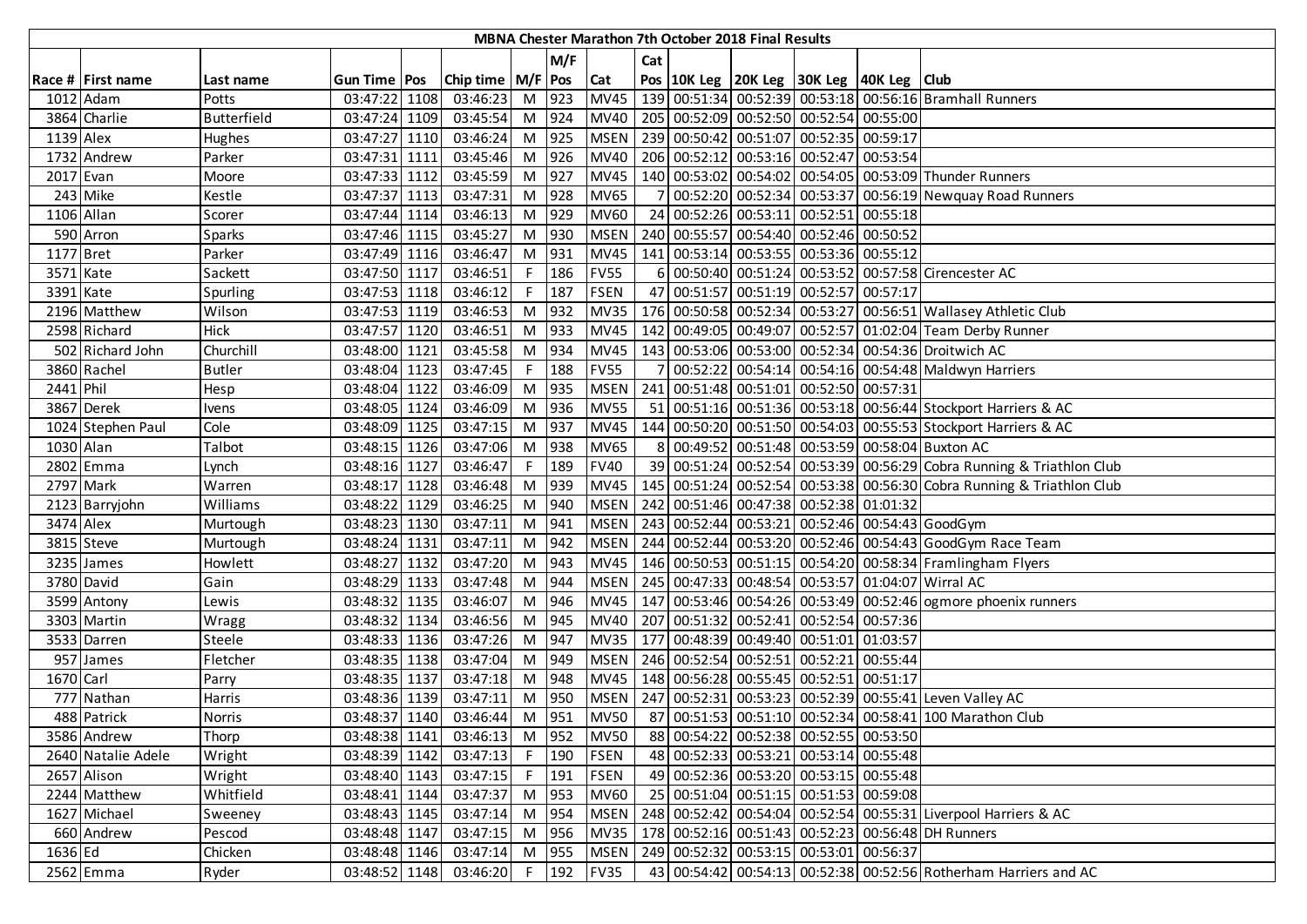|           |                    |               |                |                       |                |         |             |     | MBNA Chester Marathon 7th October 2018 Final Results |                                              |                                                                        |
|-----------|--------------------|---------------|----------------|-----------------------|----------------|---------|-------------|-----|------------------------------------------------------|----------------------------------------------|------------------------------------------------------------------------|
|           |                    |               |                |                       |                | M/F     |             | Cat |                                                      |                                              |                                                                        |
|           | Race # First name  | Last name     | Gun Time   Pos | Chip time   M/F   Pos |                |         | <b>Cat</b>  |     |                                                      | Pos 10K Leg 20K Leg 30K Leg 40K Leg Club     |                                                                        |
|           | 1012 Adam          | Potts         | 03:47:22 1108  | 03:46:23              |                | M 923   | <b>MV45</b> |     |                                                      |                                              | 139 00:51:34 00:52:39 00:53:18 00:56:16 Bramhall Runners               |
|           | 3864 Charlie       | Butterfield   | 03:47:24 1109  | 03:45:54              |                | M 924   |             |     |                                                      | MV40 205 00:52:09 00:52:50 00:52:54 00:55:00 |                                                                        |
| 1139 Alex |                    | <b>Hughes</b> | 03:47:27 1110  | 03:46:24              |                | M 925   | <b>MSEN</b> |     |                                                      | 239 00:50:42 00:51:07 00:52:35 00:59:17      |                                                                        |
|           | 1732 Andrew        | Parker        | 03:47:31 1111  | 03:45:46              |                | M 926   | MV40        |     |                                                      | 206 00:52:12 00:53:16 00:52:47 00:53:54      |                                                                        |
| 2017 Evan |                    | Moore         | 03:47:33 1112  | 03:45:59              |                | M 927   | <b>MV45</b> |     |                                                      |                                              | 140 00:53:02 00:54:02 00:54:05 00:53:09 Thunder Runners                |
|           | 243 Mike           | Kestle        | 03:47:37 1113  | 03:47:31              |                | M 928   | <b>MV65</b> |     |                                                      |                                              | 00:52:20 00:52:34 00:53:37 00:56:19 Newquay Road Runners               |
|           | 1106 Allan         | Scorer        | 03:47:44 1114  | 03:46:13              |                | M 929   | <b>MV60</b> |     |                                                      | 24 00:52:26 00:53:11 00:52:51 00:55:18       |                                                                        |
|           | 590 Arron          | Sparks        | 03:47:46 1115  | 03:45:27              |                | M 930   | <b>MSEN</b> |     |                                                      | 240 00:55:57 00:54:40 00:52:46 00:50:52      |                                                                        |
| 1177 Bret |                    | Parker        | 03:47:49 1116  | 03:46:47              |                | M 931   | <b>MV45</b> |     |                                                      | 141 00:53:14 00:53:55 00:53:36 00:55:12      |                                                                        |
| 3571 Kate |                    | Sackett       | 03:47:50 1117  | 03:46:51              |                | 186     | <b>FV55</b> | 61  |                                                      |                                              | 00:50:40 00:51:24 00:53:52 00:57:58 Cirencester AC                     |
| 3391 Kate |                    | Spurling      | 03:47:53 1118  | 03:46:12              | F              | 187     | <b>FSEN</b> |     |                                                      | 47 00:51:57 00:51:19 00:52:57 00:57:17       |                                                                        |
|           | 2196 Matthew       | Wilson        | 03:47:53 1119  | 03:46:53              | M <sub>1</sub> | 932     | <b>MV35</b> |     |                                                      |                                              | 176 00:50:58 00:52:34 00:53:27 00:56:51 Wallasey Athletic Club         |
|           | 2598 Richard       | <b>Hick</b>   | 03:47:57 1120  | 03:46:51              | M              | 933     | <b>MV45</b> |     |                                                      |                                              | 142 00:49:05 00:49:07 00:52:57 01:02:04 Team Derby Runner              |
|           | 502 Richard John   | Churchill     | 03:48:00 1121  | 03:45:58              | M <sub>1</sub> | 934     | <b>MV45</b> |     |                                                      |                                              | 143 00:53:06 00:53:00 00:52:34 00:54:36 Droitwich AC                   |
|           | 3860 Rachel        | <b>Butler</b> | 03:48:04 1123  | 03:47:45              | F.             | 188     | <b>FV55</b> |     |                                                      |                                              | 7 00:52:22 00:54:14 00:54:16 00:54:48 Maldwyn Harriers                 |
| 2441 Phil |                    | Hesp          | 03:48:04 1122  | 03:46:09              |                | M 935   | <b>MSEN</b> |     |                                                      | 241 00:51:48 00:51:01 00:52:50 00:57:31      |                                                                        |
|           | 3867 Derek         | Ivens         | 03:48:05 1124  | 03:46:09              |                | M 936   | <b>MV55</b> |     |                                                      |                                              | 51 00:51:16 00:51:36 00:53:18 00:56:44 Stockport Harriers & AC         |
|           | 1024 Stephen Paul  | Cole          | 03:48:09 1125  | 03:47:15              |                | M 937   | <b>MV45</b> |     |                                                      |                                              | 144 00:50:20 00:51:50 00:54:03 00:55:53 Stockport Harriers & AC        |
| 1030 Alan |                    | Talbot        | 03:48:15 1126  | 03:47:06              |                | M 938   | <b>MV65</b> |     |                                                      |                                              | 8 00:49:52 00:51:48 00:53:59 00:58:04 Buxton AC                        |
|           | 2802 Emma          | Lynch         | 03:48:16 1127  | 03:46:47              | F              | 189     | <b>FV40</b> |     |                                                      |                                              | 39 00:51:24 00:52:54 00:53:39 00:56:29 Cobra Running & Triathlon Club  |
|           | 2797 Mark          | Warren        | 03:48:17 1128  | 03:46:48              |                | M 939   | <b>MV45</b> |     |                                                      |                                              | 145 00:51:24 00:52:54 00:53:38 00:56:30 Cobra Running & Triathlon Club |
|           | 2123 Barryjohn     | Williams      | 03:48:22 1129  | 03:46:25              | M I            | 940     | <b>MSEN</b> |     |                                                      | 242 00:51:46 00:47:38 00:52:38 01:01:32      |                                                                        |
| 3474 Alex |                    | Murtough      | 03:48:23 1130  | 03:47:11              | M 941          |         | <b>MSEN</b> |     |                                                      |                                              | 243 00:52:44 00:53:21 00:52:46 00:54:43 GoodGym                        |
|           | 3815 Steve         | Murtough      | 03:48:24 1131  | 03:47:11              | M              | 942     | <b>MSEN</b> |     |                                                      |                                              | 244 00:52:44 00:53:20 00:52:46 00:54:43 GoodGym Race Team              |
|           | 3235 James         | Howlett       | 03:48:27 1132  | 03:47:20              | M <sub>1</sub> | 943     | <b>MV45</b> |     |                                                      |                                              | 146 00:50:53 00:51:15 00:54:20 00:58:34 Framlingham Flyers             |
|           | 3780 David         | Gain          | 03:48:29 1133  | 03:47:48              | M              | 944     | <b>MSEN</b> |     |                                                      |                                              | 245 00:47:33 00:48:54 00:53:57 01:04:07 Wirral AC                      |
|           | 3599 Antony        | Lewis         | 03:48:32 1135  | 03:46:07              | M              | 946     | <b>MV45</b> |     |                                                      |                                              | 147 00:53:46 00:54:26 00:53:49 00:52:46 ogmore phoenix runners         |
|           | 3303 Martin        | Wragg         | 03:48:32 1134  | 03:46:56              | M              | 945     | MV40        |     |                                                      | 207 00:51:32 00:52:41 00:52:54 00:57:36      |                                                                        |
|           | 3533 Darren        | Steele        | 03:48:33 1136  | 03:47:26              | M I            | 947     | <b>MV35</b> |     |                                                      | 177 00:48:39 00:49:40 00:51:01 01:03:57      |                                                                        |
|           | 957 James          | Fletcher      | 03:48:35 1138  | 03:47:04              |                | M 949   | <b>MSEN</b> |     |                                                      | 246 00:52:54 00:52:51 00:52:21 00:55:44      |                                                                        |
| 1670 Carl |                    | Parry         | 03:48:35 1137  | 03:47:18              |                | M 948   | <b>MV45</b> |     |                                                      | 148 00:56:28 00:55:45 00:52:51 00:51:17      |                                                                        |
|           | 777 Nathan         | Harris        | 03:48:36 1139  | 03:47:11              | M              | 950     |             |     |                                                      |                                              | MSEN   247 00:52:31 00:53:23 00:52:39 00:55:41 Leven Valley AC         |
|           | 488 Patrick        | <b>Norris</b> | 03:48:37 1140  | 03:46:44              |                | M 951   | <b>MV50</b> |     |                                                      |                                              | 87 00:51:53 00:51:10 00:52:34 00:58:41 100 Marathon Club               |
|           | 3586 Andrew        | Thorp         | 03:48:38 1141  | 03:46:13              |                | M 952   | <b>MV50</b> |     |                                                      | 88 00:54:22 00:52:38 00:52:55 00:53:50       |                                                                        |
|           | 2640 Natalie Adele | Wright        | 03:48:39 1142  | 03:47:13              | F              | 190     | <b>FSEN</b> |     |                                                      | 48 00:52:33 00:53:21 00:53:14 00:55:48       |                                                                        |
|           | 2657 Alison        | Wright        | 03:48:40 1143  | 03:47:15              |                | $F$ 191 | <b>FSEN</b> |     |                                                      | 49 00:52:36 00:53:20 00:53:15 00:55:48       |                                                                        |
|           | 2244 Matthew       | Whitfield     | 03:48:41 1144  | 03:47:37              |                | M 953   | <b>MV60</b> |     |                                                      | 25 00:51:04 00:51:15 00:51:53 00:59:08       |                                                                        |
|           | 1627 Michael       | Sweeney       | 03:48:43 1145  | 03:47:14              |                | M 954   | <b>MSEN</b> |     |                                                      |                                              | 248 00:52:42 00:54:04 00:52:54 00:55:31 Liverpool Harriers & AC        |
|           | 660 Andrew         | Pescod        | 03:48:48 1147  | 03:47:15              |                | M 956   | <b>MV35</b> |     |                                                      |                                              | 178 00:52:16 00:51:43 00:52:23 00:56:48 DH Runners                     |
| 1636 Ed   |                    | Chicken       | 03:48:48 1146  | 03:47:14              |                | M 955   | <b>MSEN</b> |     |                                                      | 249 00:52:32 00:53:15 00:53:01 00:56:37      |                                                                        |
|           | 2562 Emma          | Ryder         | 03:48:52 1148  | 03:46:20              | F              | 192     | <b>FV35</b> |     |                                                      |                                              | 43 00:54:42 00:54:13 00:52:38 00:52:56 Rotherham Harriers and AC       |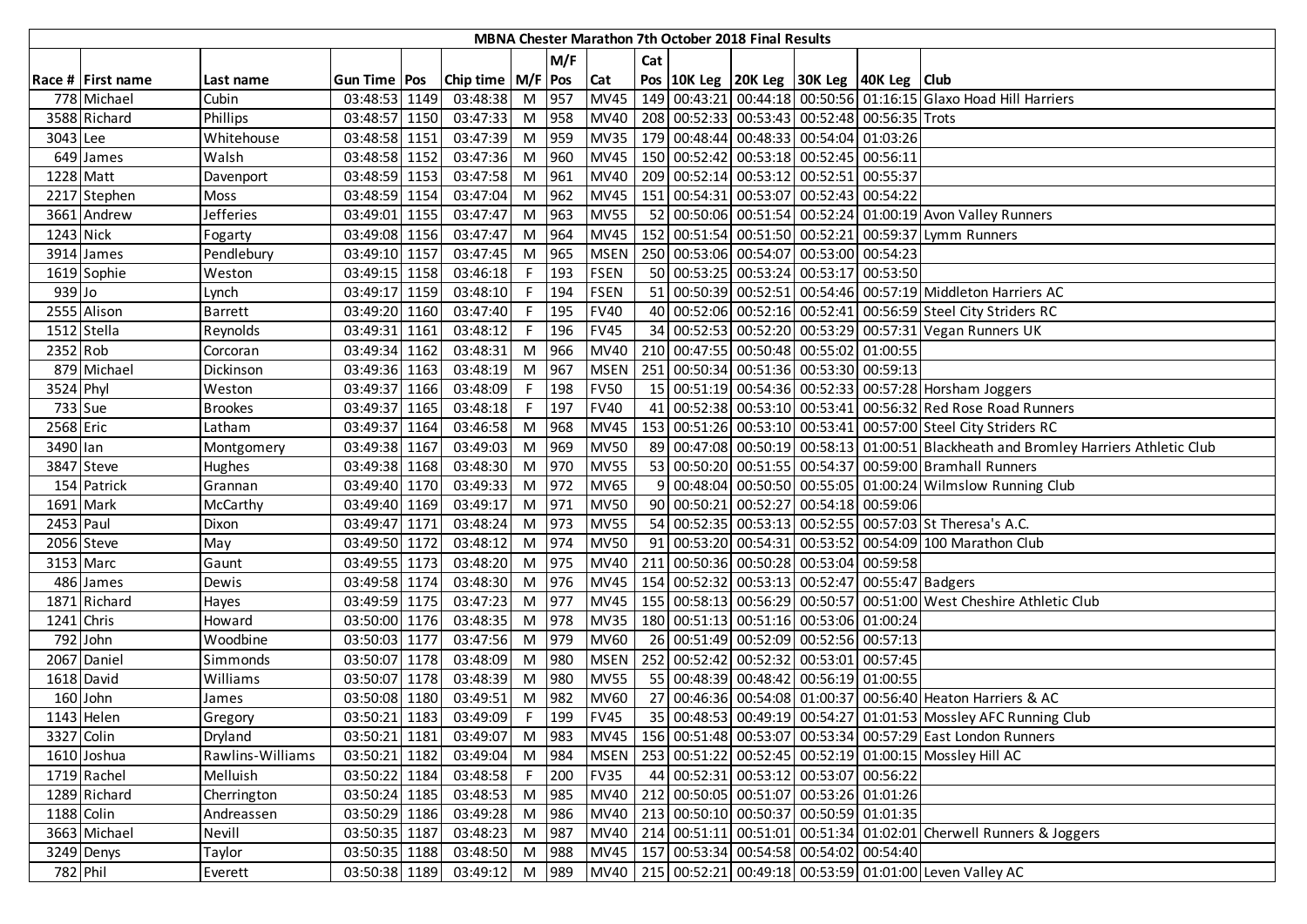|            |                   |                  |                |      |                       |       |         |             |     | <b>MBNA Chester Marathon 7th October 2018 Final Results</b> |                                                 |                                                                                      |
|------------|-------------------|------------------|----------------|------|-----------------------|-------|---------|-------------|-----|-------------------------------------------------------------|-------------------------------------------------|--------------------------------------------------------------------------------------|
|            |                   |                  |                |      |                       |       | M/F     |             | Cat |                                                             |                                                 |                                                                                      |
|            | Race # First name | Last name        | Gun Time   Pos |      | Chip time   M/F   Pos |       |         | <b>Cat</b>  |     |                                                             | Pos 10K Leg 20K Leg 30K Leg 40K Leg Club        |                                                                                      |
|            | 778 Michael       | Cubin            | 03:48:53 1149  |      | 03:48:38              | M 957 |         | <b>MV45</b> |     |                                                             |                                                 | 149 00:43:21 00:44:18 00:50:56 01:16:15 Glaxo Hoad Hill Harriers                     |
|            | 3588 Richard      | Phillips         | 03:48:57 1150  |      | 03:47:33              | M 958 |         | <b>MV40</b> |     |                                                             | 208 00:52:33 00:53:43 00:52:48 00:56:35 Trots   |                                                                                      |
| 3043 Lee   |                   | Whitehouse       | 03:48:58 1151  |      | 03:47:39              | M 959 |         | <b>MV35</b> |     |                                                             | 179 00:48:44 00:48:33 00:54:04 01:03:26         |                                                                                      |
|            | 649 James         | Walsh            | 03:48:58 1152  |      | 03:47:36              | M     | 960     | <b>MV45</b> |     |                                                             | 150 00:52:42 00:53:18 00:52:45 00:56:11         |                                                                                      |
| 1228 Matt  |                   | Davenport        | 03:48:59 1153  |      | 03:47:58              | M     | 961     | MV40        |     |                                                             | 209 00:52:14 00:53:12 00:52:51 00:55:37         |                                                                                      |
|            | 2217 Stephen      | Moss             | 03:48:59 1154  |      | 03:47:04              |       | M 962   | <b>MV45</b> |     |                                                             | 151 00:54:31 00:53:07 00:52:43 00:54:22         |                                                                                      |
|            | 3661 Andrew       | Jefferies        | 03:49:01 1155  |      | 03:47:47              | M 963 |         | <b>MV55</b> |     |                                                             |                                                 | 52 00:50:06 00:51:54 00:52:24 01:00:19 Avon Valley Runners                           |
| 1243 Nick  |                   | Fogarty          | 03:49:08 1156  |      | 03:47:47              | M 964 |         | <b>MV45</b> |     |                                                             |                                                 | 152 00:51:54 00:51:50 00:52:21 00:59:37 Lymm Runners                                 |
|            | 3914 James        | Pendlebury       | 03:49:10 1157  |      | 03:47:45              | M 965 |         | <b>MSEN</b> |     |                                                             | 250 00:53:06 00:54:07 00:53:00 00:54:23         |                                                                                      |
|            | 1619 Sophie       | Weston           | 03:49:15 1158  |      | 03:46:18              | F.    | 193     | <b>FSEN</b> |     |                                                             | 50 00:53:25 00:53:24 00:53:17 00:53:50          |                                                                                      |
| 939 Jo     |                   | Lynch            | 03:49:17       | 1159 | 03:48:10              | F.    | 194     | <b>FSEN</b> |     |                                                             |                                                 | 51 00:50:39 00:52:51 00:54:46 00:57:19 Middleton Harriers AC                         |
|            | 2555 Alison       | <b>Barrett</b>   | 03:49:20 1160  |      | 03:47:40              | F.    | 195     | <b>FV40</b> |     |                                                             |                                                 | 40 00:52:06 00:52:16 00:52:41 00:56:59 Steel City Striders RC                        |
|            | 1512 Stella       | Reynolds         | 03:49:31 1161  |      | 03:48:12              | F.    | 196     | <b>FV45</b> |     |                                                             |                                                 | 34 00:52:53 00:52:20 00:53:29 00:57:31 Vegan Runners UK                              |
| 2352 Rob   |                   | Corcoran         | 03:49:34 1162  |      | 03:48:31              | M     | 966     | <b>MV40</b> |     |                                                             | 210 00:47:55 00:50:48 00:55:02 01:00:55         |                                                                                      |
|            | 879 Michael       | Dickinson        | 03:49:36 1163  |      | 03:48:19              | M 967 |         | <b>MSEN</b> |     |                                                             | 251 00:50:34 00:51:36 00:53:30 00:59:13         |                                                                                      |
| 3524 Phyl  |                   | Weston           | 03:49:37 1166  |      | 03:48:09              |       | $F$ 198 | <b>FV50</b> |     |                                                             |                                                 | 15 00:51:19 00:54:36 00:52:33 00:57:28 Horsham Joggers                               |
| 733 Sue    |                   | <b>Brookes</b>   | 03:49:37 1165  |      | 03:48:18              |       | F 197   | <b>FV40</b> |     |                                                             |                                                 | 41 00:52:38 00:53:10 00:53:41 00:56:32 Red Rose Road Runners                         |
| 2568 Eric  |                   | Latham           | 03:49:37 1164  |      | 03:46:58              | M 968 |         | <b>MV45</b> |     |                                                             |                                                 | 153 00:51:26 00:53:10 00:53:41 00:57:00 Steel City Striders RC                       |
| 3490 lan   |                   | Montgomery       | 03:49:38 1167  |      | 03:49:03              | M     | 969     | <b>MV50</b> |     |                                                             |                                                 | 89 00:47:08 00:50:19 00:58:13 01:00:51 Blackheath and Bromley Harriers Athletic Club |
|            | 3847 Steve        | Hughes           | 03:49:38 1168  |      | 03:48:30              | M 970 |         | <b>MV55</b> |     |                                                             |                                                 | 53 00:50:20 00:51:55 00:54:37 00:59:00 Bramhall Runners                              |
|            | 154 Patrick       | Grannan          | 03:49:40 1170  |      | 03:49:33              | M 972 |         | <b>MV65</b> | 9   |                                                             |                                                 | 00:48:04 00:50:50 00:55:05 01:00:24 Wilmslow Running Club                            |
|            | 1691 Mark         | McCarthy         | 03:49:40 1169  |      | 03:49:17              | M 971 |         | <b>MV50</b> |     |                                                             | 90 00:50:21 00:52:27 00:54:18 00:59:06          |                                                                                      |
| 2453 Paul  |                   | Dixon            | 03:49:47 1171  |      | 03:48:24              |       | M 973   | <b>MV55</b> |     |                                                             |                                                 | 54 00:52:35 00:53:13 00:52:55 00:57:03 St Theresa's A.C.                             |
|            | 2056 Steve        | May              | 03:49:50 1172  |      | 03:48:12              |       | M 974   | <b>MV50</b> |     |                                                             |                                                 | 91 00:53:20 00:54:31 00:53:52 00:54:09 100 Marathon Club                             |
|            | 3153 Marc         | Gaunt            | 03:49:55 1173  |      | 03:48:20              |       | M 975   | <b>MV40</b> |     |                                                             | 211 00:50:36 00:50:28 00:53:04 00:59:58         |                                                                                      |
|            | 486 James         | Dewis            | 03:49:58 1174  |      | 03:48:30              |       | M 976   | <b>MV45</b> |     |                                                             | 154 00:52:32 00:53:13 00:52:47 00:55:47 Badgers |                                                                                      |
|            | 1871 Richard      | Hayes            | 03:49:59 1175  |      | 03:47:23              | M     | 977     | <b>MV45</b> |     |                                                             |                                                 | 155 00:58:13 00:56:29 00:50:57 00:51:00 West Cheshire Athletic Club                  |
| 1241 Chris |                   | Howard           | 03:50:00 1176  |      | 03:48:35              |       | M 978   | <b>MV35</b> |     |                                                             | 180 00:51:13 00:51:16 00:53:06 01:00:24         |                                                                                      |
|            | 792 John          | Woodbine         | 03:50:03 1177  |      | 03:47:56              | M 979 |         | <b>MV60</b> |     |                                                             | 26 00:51:49 00:52:09 00:52:56 00:57:13          |                                                                                      |
|            | 2067 Daniel       | Simmonds         | 03:50:07 1178  |      | 03:48:09              | M     | 980     | <b>MSEN</b> |     |                                                             | 252 00:52:42 00:52:32 00:53:01 00:57:45         |                                                                                      |
|            | 1618 David        | Williams         | 03:50:07 1178  |      | 03:48:39              | M     | 980     | <b>MV55</b> |     |                                                             | 55 00:48:39 00:48:42 00:56:19 01:00:55          |                                                                                      |
|            | 160 John          | James            | 03:50:08 1180  |      | 03:49:51              | M     | 982     | <b>MV60</b> |     |                                                             |                                                 | 27 00:46:36 00:54:08 01:00:37 00:56:40 Heaton Harriers & AC                          |
|            | 1143 Helen        | Gregory          | 03:50:21 1183  |      | 03:49:09              | F.    | 199     | <b>FV45</b> |     |                                                             |                                                 | 35 00:48:53 00:49:19 00:54:27 01:01:53 Mossley AFC Running Club                      |
| 3327 Colin |                   | Dryland          | 03:50:21 1181  |      | 03:49:07              | M 983 |         |             |     |                                                             |                                                 | MV45   156 00:51:48 00:53:07 00:53:34 00:57:29 East London Runners                   |
|            | 1610 Joshua       | Rawlins-Williams | 03:50:21 1182  |      | 03:49:04              |       | M 984   | <b>MSEN</b> |     |                                                             |                                                 | 253 00:51:22 00:52:45 00:52:19 01:00:15 Mossley Hill AC                              |
|            | 1719 Rachel       | Melluish         | 03:50:22 1184  |      | 03:48:58              |       | $F$ 200 | <b>FV35</b> |     |                                                             | 44 00:52:31 00:53:12 00:53:07 00:56:22          |                                                                                      |
|            | 1289 Richard      | Cherrington      | 03:50:24 1185  |      | 03:48:53              | M 985 |         | <b>MV40</b> |     |                                                             | 212 00:50:05 00:51:07 00:53:26 01:01:26         |                                                                                      |
| 1188 Colin |                   | Andreassen       | 03:50:29 1186  |      | 03:49:28              | M 986 |         | <b>MV40</b> |     |                                                             | 213 00:50:10 00:50:37 00:50:59 01:01:35         |                                                                                      |
|            | 3663 Michael      | Nevill           | 03:50:35 1187  |      | 03:48:23              | M 987 |         |             |     |                                                             |                                                 | MV40 214 00:51:11 00:51:01 00:51:34 01:02:01 Cherwell Runners & Joggers              |
|            | 3249 Denys        | Taylor           | 03:50:35 1188  |      | 03:48:50              | M 988 |         |             |     |                                                             | MV45   157 00:53:34 00:54:58 00:54:02 00:54:40  |                                                                                      |
| 782 Phil   |                   | Everett          | 03:50:38 1189  |      | 03:49:12 M 989        |       |         |             |     |                                                             |                                                 | MV40 215 00:52:21 00:49:18 00:53:59 01:01:00 Leven Valley AC                         |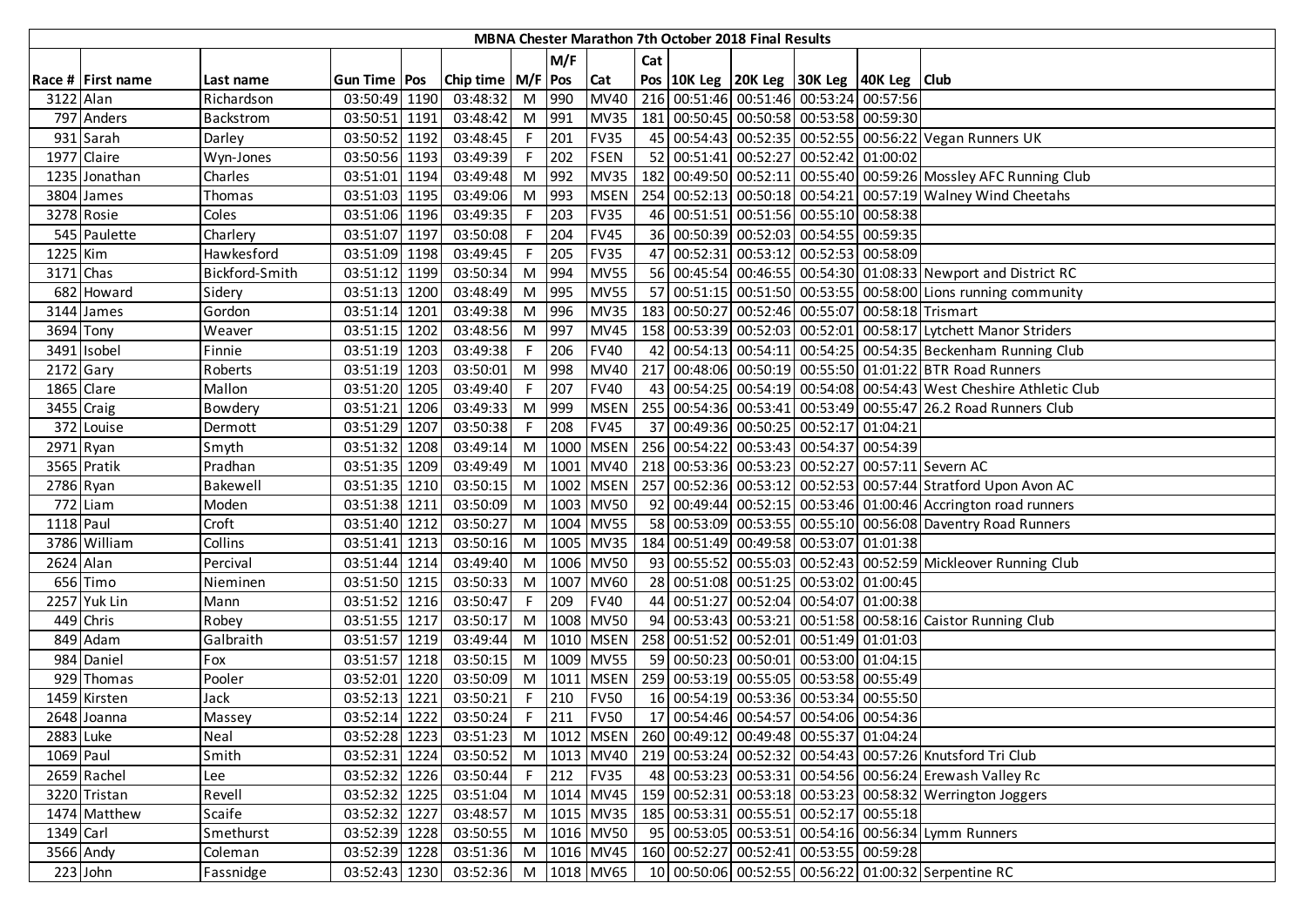|             |                   |                |                       |                       |     |         |             |     | MBNA Chester Marathon 7th October 2018 Final Results |                                                                  |                                                                                        |
|-------------|-------------------|----------------|-----------------------|-----------------------|-----|---------|-------------|-----|------------------------------------------------------|------------------------------------------------------------------|----------------------------------------------------------------------------------------|
|             |                   |                |                       |                       |     | M/F     |             | Cat |                                                      |                                                                  |                                                                                        |
|             | Race # First name | Last name      | <b>Gun Time   Pos</b> | Chip time   M/F   Pos |     |         | <b>Cat</b>  |     |                                                      | Pos 10K Leg 20K Leg 30K Leg 40K Leg Club                         |                                                                                        |
| 3122 Alan   |                   | Richardson     | 03:50:49 1190         | 03:48:32              |     | M 990   | <b>MV40</b> |     |                                                      | 216 00:51:46 00:51:46 00:53:24 00:57:56                          |                                                                                        |
|             | 797 Anders        | Backstrom      | 03:50:51 1191         | 03:48:42              |     | M 991   | <b>MV35</b> |     |                                                      | 181 00:50:45 00:50:58 00:53:58 00:59:30                          |                                                                                        |
|             | 931 Sarah         | Darley         | 03:50:52 1192         | 03:48:45              | F   | 201     | <b>FV35</b> |     |                                                      |                                                                  | 45 00:54:43 00:52:35 00:52:55 00:56:22 Vegan Runners UK                                |
|             | 1977 Claire       | Wyn-Jones      | 03:50:56 1193         | 03:49:39              |     | $F$ 202 | <b>FSEN</b> |     |                                                      | 52 00:51:41 00:52:27 00:52:42 01:00:02                           |                                                                                        |
|             | 1235 Jonathan     | Charles        | 03:51:01 1194         | 03:49:48              |     | M 992   | <b>MV35</b> |     |                                                      |                                                                  | 182 00:49:50 00:52:11 00:55:40 00:59:26 Mossley AFC Running Club                       |
|             | 3804 James        | Thomas         | 03:51:03 1195         | 03:49:06              | M   | 993     | <b>MSEN</b> |     |                                                      |                                                                  | 254 00:52:13 00:50:18 00:54:21 00:57:19 Walney Wind Cheetahs                           |
|             | 3278 Rosie        | Coles          | 03:51:06 1196         | 03:49:35              | F   | 203     | <b>FV35</b> |     |                                                      | 46 00:51:51 00:51:56 00:55:10 00:58:38                           |                                                                                        |
|             | 545 Paulette      | Charlery       | 03:51:07 1197         | 03:50:08              |     | 204     | <b>FV45</b> |     |                                                      | 36 00:50:39 00:52:03 00:54:55 00:59:35                           |                                                                                        |
| 1225 Kim    |                   | Hawkesford     | 03:51:09 1198         | 03:49:45              |     | 205     | <b>FV35</b> |     |                                                      | 47 00:52:31 00:53:12 00:52:53 00:58:09                           |                                                                                        |
| 3171 Chas   |                   | Bickford-Smith | 03:51:12 1199         | 03:50:34              | M   | 994     | <b>MV55</b> |     |                                                      |                                                                  | 56 00:45:54 00:46:55 00:54:30 01:08:33 Newport and District RC                         |
|             | 682 Howard        | Sidery         | 03:51:13 1200         | 03:48:49              | M   | 995     | <b>MV55</b> |     |                                                      |                                                                  | 57 00:51:15 00:51:50 00:53:55 00:58:00 Lions running community                         |
|             | 3144 James        | Gordon         | 03:51:14 1201         | 03:49:38              | M   | 996     | <b>MV35</b> |     |                                                      | 183 00:50:27 00:52:46 00:55:07 00:58:18 Trismart                 |                                                                                        |
| 3694 Tony   |                   | Weaver         | 03:51:15 1202         | 03:48:56              | M   | 997     | <b>MV45</b> |     |                                                      |                                                                  | 158 00:53:39 00:52:03 00:52:01 00:58:17 Lytchett Manor Striders                        |
|             | 3491 Isobel       | Finnie         | 03:51:19 1203         | 03:49:38              | F.  | 206     | <b>FV40</b> |     |                                                      |                                                                  | 42 00:54:13 00:54:11 00:54:25 00:54:35 Beckenham Running Club                          |
| $2172$ Gary |                   | Roberts        | 03:51:19 1203         | 03:50:01              | M   | 998     | <b>MV40</b> |     |                                                      |                                                                  | 217 00:48:06 00:50:19 00:55:50 01:01:22 BTR Road Runners                               |
| 1865 Clare  |                   | Mallon         | 03:51:20 1205         | 03:49:40              | F   | 207     | <b>FV40</b> |     |                                                      |                                                                  | 43 00:54:25 00:54:19 00:54:08 00:54:43 West Cheshire Athletic Club                     |
|             | 3455 Craig        | Bowdery        | 03:51:21 1206         | 03:49:33              |     | M 999   | <b>MSEN</b> |     |                                                      |                                                                  | 255 00:54:36 00:53:41 00:53:49 00:55:47 26.2 Road Runners Club                         |
|             | 372 Louise        | Dermott        | 03:51:29 1207         | 03:50:38              | F I | 208     | <b>FV45</b> |     |                                                      | 37 00:49:36 00:50:25 00:52:17 01:04:21                           |                                                                                        |
| 2971 Ryan   |                   | Smyth          | 03:51:32 1208         | 03:49:14              | M   |         |             |     |                                                      | 1000 MSEN 256 00:54:22 00:53:43 00:54:37 00:54:39                |                                                                                        |
|             | 3565 Pratik       | Pradhan        | 03:51:35 1209         | 03:49:49              | M   |         | 1001 MV40   |     |                                                      |                                                                  | 218 00:53:36 00:53:23 00:52:27 00:57:11 Severn AC                                      |
| 2786 Ryan   |                   | Bakewell       | 03:51:35 1210         | 03:50:15              | M   |         | 1002 MSEN   |     |                                                      |                                                                  | 257 00:52:36 00:53:12 00:52:53 00:57:44 Stratford Upon Avon AC                         |
|             | 772 Liam          | Moden          | 03:51:38 1211         | 03:50:09              | M   |         | 1003 MV50   |     |                                                      |                                                                  | 92 00:49:44 00:52:15 00:53:46 01:00:46 Accrington road runners                         |
| 1118 Paul   |                   | Croft          | 03:51:40 1212         | 03:50:27              | M   |         | 1004 MV55   |     |                                                      |                                                                  | 58 00:53:09 00:53:55 00:55:10 00:56:08 Daventry Road Runners                           |
|             | 3786 William      | Collins        | 03:51:41 1213         | 03:50:16              | M   |         | 1005 MV35   |     |                                                      | 184 00:51:49 00:49:58 00:53:07 01:01:38                          |                                                                                        |
| 2624 Alan   |                   | Percival       | 03:51:44 1214         | 03:49:40              | M   |         | 1006 MV50   |     |                                                      |                                                                  | 93 00:55:52 00:55:03 00:52:43 00:52:59 Mickleover Running Club                         |
|             | 656 Timo          | Nieminen       | 03:51:50 1215         | 03:50:33              | M   | 1007    | <b>MV60</b> |     |                                                      | 28 00:51:08 00:51:25 00:53:02 01:00:45                           |                                                                                        |
|             | 2257 Yuk Lin      | Mann           | 03:51:52 1216         | 03:50:47              | F.  | 209     | <b>FV40</b> |     |                                                      | 44 00:51:27 00:52:04 00:54:07 01:00:38                           |                                                                                        |
|             | 449 Chris         | Robey          | 03:51:55 1217         | 03:50:17              | M   |         | 1008 MV50   |     |                                                      |                                                                  | 94 00:53:43 00:53:21 00:51:58 00:58:16 Caistor Running Club                            |
|             | 849 Adam          | Galbraith      | 03:51:57 1219         | 03:49:44              | M   |         | 1010 MSEN   |     |                                                      | 258 00:51:52 00:52:01 00:51:49 01:01:03                          |                                                                                        |
|             | 984 Daniel        | Fox            | 03:51:57 1218         | 03:50:15              | M   |         | 1009 MV55   |     |                                                      | 59 00:50:23 00:50:01 00:53:00 01:04:15                           |                                                                                        |
|             | 929 Thomas        | Pooler         | 03:52:01 1220         | 03:50:09              | M   | 1011    | <b>MSEN</b> |     |                                                      | 259 00:53:19 00:55:05 00:53:58 00:55:49                          |                                                                                        |
|             | 1459 Kirsten      | Jack           | 03:52:13 1221         | 03:50:21              | F.  | 210     | <b>FV50</b> |     |                                                      | 16 00:54:19 00:53:36 00:53:34 00:55:50                           |                                                                                        |
|             | 2648 Joanna       | Massey         | 03:52:14 1222         | 03:50:24              | F   | 211     | <b>FV50</b> |     |                                                      | 17 00:54:46 00:54:57 00:54:06 00:54:36                           |                                                                                        |
| 2883 Luke   |                   | Neal           | 03:52:28 1223         | 03:51:23              |     |         |             |     |                                                      | M  1012   MSEN   260   00:49:12   00:49:48   00:55:37   01:04:24 |                                                                                        |
| 1069 Paul   |                   | Smith          | 03:52:31 1224         | 03:50:52              |     |         |             |     |                                                      |                                                                  | M   1013   MV40   219   00:53:24   00:52:32   00:54:43   00:57:26   Knutsford Tri Club |
|             | 2659 Rachel       | Lee            | 03:52:32 1226         | 03:50:44              |     |         | F 212 FV35  |     |                                                      |                                                                  | 48 00:53:23 00:53:31 00:54:56 00:56:24 Erewash Valley Rc                               |
|             | 3220 Tristan      | Revell         | 03:52:32 1225         | 03:51:04              |     |         | M 1014 MV45 |     |                                                      |                                                                  | 159 00:52:31 00:53:18 00:53:23 00:58:32 Werrington Joggers                             |
|             | 1474 Matthew      | Scaife         | 03:52:32 1227         | 03:48:57              |     |         | M 1015 MV35 |     |                                                      | 185 00:53:31 00:55:51 00:52:17 00:55:18                          |                                                                                        |
| 1349 Carl   |                   | Smethurst      | 03:52:39 1228         | 03:50:55              | M   |         | 1016 MV50   |     |                                                      |                                                                  | 95 00:53:05 00:53:51 00:54:16 00:56:34 Lymm Runners                                    |
|             | 3566 Andy         | Coleman        | 03:52:39 1228         | 03:51:36              | M   |         | 1016 MV45   |     |                                                      | 160 00:52:27 00:52:41 00:53:55 00:59:28                          |                                                                                        |
|             | 223 John          | Fassnidge      | 03:52:43 1230         | 03:52:36 M 1018 MV65  |     |         |             |     |                                                      |                                                                  | 10 00:50:06 00:52:55 00:56:22 01:00:32 Serpentine RC                                   |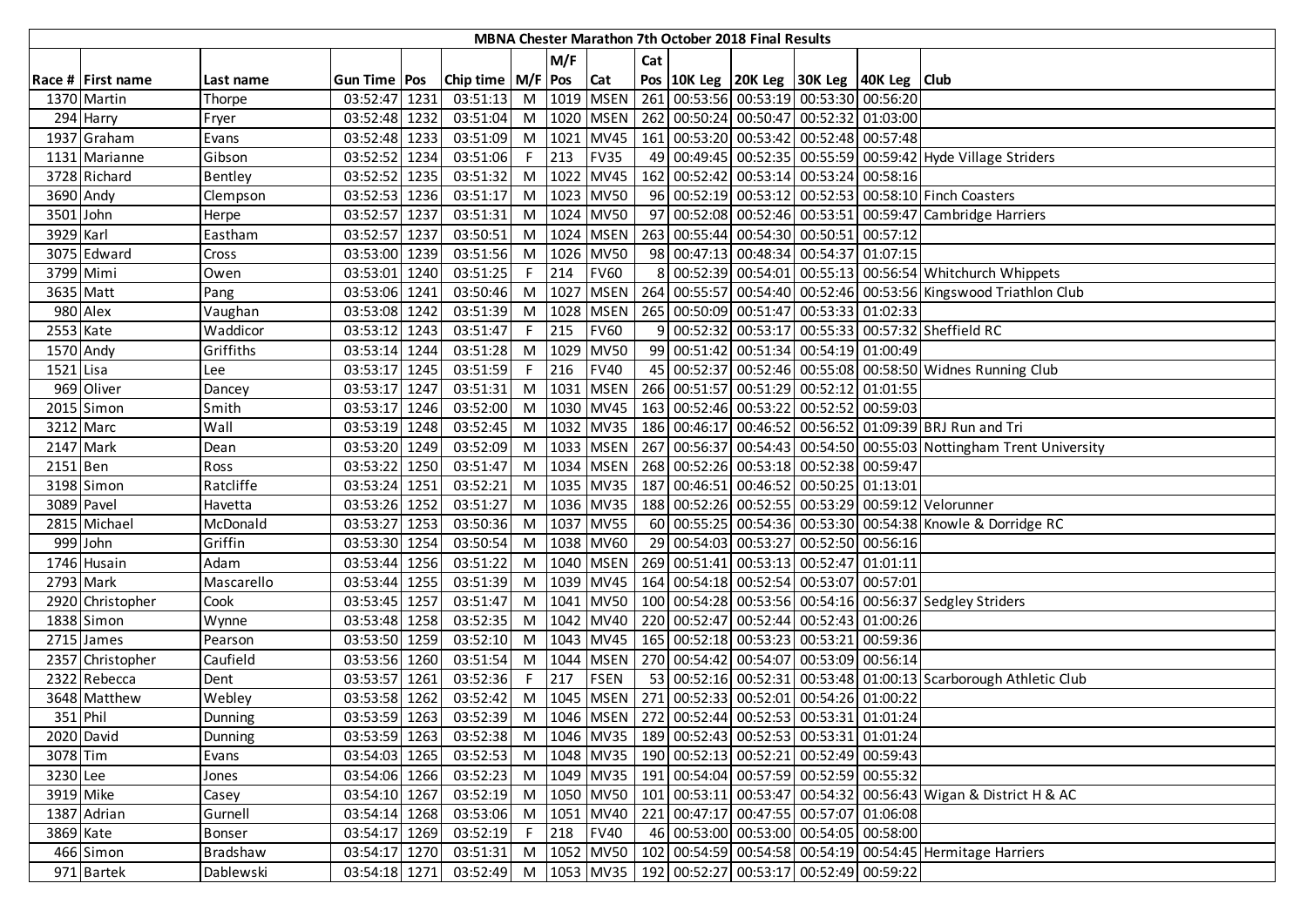|             |                       |                |               |                                                              |                |      |             |     | MBNA Chester Marathon 7th October 2018 Final Results |                                                                            |                                                                                           |
|-------------|-----------------------|----------------|---------------|--------------------------------------------------------------|----------------|------|-------------|-----|------------------------------------------------------|----------------------------------------------------------------------------|-------------------------------------------------------------------------------------------|
|             |                       |                |               |                                                              |                | M/F  |             | Cat |                                                      |                                                                            |                                                                                           |
|             | Race # First name     | Last name      | Gun Time Pos  | Chip time   M/F   Pos                                        |                |      | Cat         |     |                                                      | Pos   10K Leg   20K Leg   30K Leg   40K Leg   Club                         |                                                                                           |
|             | 1370 Martin           | Thorpe         | 03:52:47 1231 | 03:51:13                                                     | M              |      | 1019 MSEN   |     |                                                      | 261 00:53:56 00:53:19 00:53:30 00:56:20                                    |                                                                                           |
|             | 294 Harry             | Fryer          | 03:52:48 1232 | 03:51:04                                                     | M              |      | 1020 MSEN   |     |                                                      | 262 00:50:24 00:50:47 00:52:32 01:03:00                                    |                                                                                           |
|             | 1937 Graham           | Evans          | 03:52:48 1233 | 03:51:09                                                     | M              |      | 1021 MV45   |     |                                                      | 161 00:53:20 00:53:42 00:52:48 00:57:48                                    |                                                                                           |
|             | 1131 Marianne         | Gibson         | 03:52:52 1234 | 03:51:06                                                     | F              | 213  | <b>FV35</b> |     |                                                      |                                                                            | 49 00:49:45 00:52:35 00:55:59 00:59:42 Hyde Village Striders                              |
|             | 3728 Richard          | <b>Bentley</b> | 03:52:52 1235 | 03:51:32                                                     | M              |      | 1022 MV45   |     |                                                      | 162 00:52:42 00:53:14 00:53:24 00:58:16                                    |                                                                                           |
| 3690 Andy   |                       | Clempson       | 03:52:53 1236 | 03:51:17                                                     | M              |      | 1023 MV50   |     |                                                      |                                                                            | 96 00:52:19 00:53:12 00:52:53 00:58:10 Finch Coasters                                     |
| 3501 John   |                       | Herpe          | 03:52:57 1237 | 03:51:31                                                     | M              |      | 1024 MV50   |     |                                                      |                                                                            | 97 00:52:08 00:52:46 00:53:51 00:59:47 Cambridge Harriers                                 |
| 3929 Karl   |                       | Eastham        | 03:52:57 1237 | 03:50:51                                                     | M              |      | 1024 MSEN   |     |                                                      | 263 00:55:44 00:54:30 00:50:51 00:57:12                                    |                                                                                           |
|             | 3075 Edward           | Cross          | 03:53:00 1239 | 03:51:56                                                     | M              |      | 1026 MV50   |     |                                                      | 98 00:47:13 00:48:34 00:54:37 01:07:15                                     |                                                                                           |
|             | 3799 Mimi             | Owen           | 03:53:01 1240 | 03:51:25                                                     | F.             | 214  | <b>FV60</b> |     |                                                      |                                                                            | 8 00:52:39 00:54:01 00:55:13 00:56:54 Whitchurch Whippets                                 |
| 3635 Matt   |                       | Pang           | 03:53:06 1241 | 03:50:46                                                     | M              | 1027 | <b>MSEN</b> |     |                                                      |                                                                            | 264 00:55:57 00:54:40 00:52:46 00:53:56 Kingswood Triathlon Club                          |
|             | 980 Alex              | Vaughan        | 03:53:08 1242 | 03:51:39                                                     | M              | 1028 | <b>MSEN</b> |     |                                                      | 265 00:50:09 00:51:47 00:53:33 01:02:33                                    |                                                                                           |
| 2553 Kate   |                       | Waddicor       | 03:53:12 1243 | 03:51:47                                                     | $\overline{F}$ | 215  | <b>FV60</b> |     |                                                      |                                                                            | 9 00:52:32 00:53:17 00:55:33 00:57:32 Sheffield RC                                        |
| 1570 Andy   |                       | Griffiths      | 03:53:14 1244 | 03:51:28                                                     | M              | 1029 | <b>MV50</b> |     |                                                      | 99 00:51:42 00:51:34 00:54:19 01:00:49                                     |                                                                                           |
| $1521$ Lisa |                       | Lee            | 03:53:17 1245 | 03:51:59                                                     | F.             | 216  | <b>FV40</b> |     |                                                      |                                                                            | 45 00:52:37 00:52:46 00:55:08 00:58:50 Widnes Running Club                                |
|             | 969 Oliver            | Dancey         | 03:53:17 1247 | 03:51:31                                                     | M              |      | 1031 MSEN   |     |                                                      | 266 00:51:57 00:51:29 00:52:12 01:01:55                                    |                                                                                           |
|             | 2015 Simon            | Smith          | 03:53:17 1246 | 03:52:00                                                     | M              |      |             |     |                                                      | 1030 MV45 163 00:52:46 00:53:22 00:52:52 00:59:03                          |                                                                                           |
|             | 3212 Marc             | Wall           | 03:53:19 1248 | 03:52:45                                                     | M              |      |             |     |                                                      |                                                                            | 1032 MV35 186 00:46:17 00:46:52 00:56:52 01:09:39 BRJ Run and Tri                         |
|             | 2147 Mark             | Dean           | 03:53:20 1249 | 03:52:09                                                     | M              |      |             |     |                                                      |                                                                            | 1033   MSEN   267   00:56:37   00:54:43   00:54:50   00:55:03 Nottingham Trent University |
| $2151$ Ben  |                       | Ross           | 03:53:22 1250 | 03:51:47                                                     | M              |      |             |     |                                                      | 1034   MSEN   268   00:52:26   00:53:18   00:52:38   00:59:47              |                                                                                           |
|             | 3198 Simon            | Ratcliffe      | 03:53:24 1251 | 03:52:21                                                     | M              |      | 1035 MV35   |     |                                                      | 187 00:46:51 00:46:52 00:50:25 01:13:01                                    |                                                                                           |
|             | 3089 Pavel            | Havetta        | 03:53:26 1252 | 03:51:27                                                     | M              |      | 1036 MV35   |     |                                                      |                                                                            | 188 00:52:26 00:52:55 00:53:29 00:59:12 Velorunner                                        |
|             | 2815 Michael          | McDonald       | 03:53:27 1253 | 03:50:36                                                     | M              |      | 1037 MV55   |     |                                                      |                                                                            | 60 00:55:25 00:54:36 00:53:30 00:54:38 Knowle & Dorridge RC                               |
|             | $\overline{999}$ John | Griffin        | 03:53:30 1254 | 03:50:54                                                     | M              |      | 1038 MV60   |     |                                                      | 29 00:54:03 00:53:27 00:52:50 00:56:16                                     |                                                                                           |
|             | 1746 Husain           | Adam           | 03:53:44 1256 | 03:51:22                                                     | M              |      | 1040 MSEN   |     |                                                      | 269 00:51:41 00:53:13 00:52:47 01:01:11                                    |                                                                                           |
|             | 2793 Mark             | Mascarello     | 03:53:44 1255 | 03:51:39                                                     | M              |      | 1039 MV45   |     |                                                      | 164 00:54:18 00:52:54 00:53:07 00:57:01                                    |                                                                                           |
|             | 2920 Christopher      | Cook           | 03:53:45 1257 | 03:51:47                                                     | M              |      | 1041 MV50   |     |                                                      |                                                                            | 100 00:54:28 00:53:56 00:54:16 00:56:37 Sedgley Striders                                  |
|             | 1838 Simon            | Wynne          | 03:53:48 1258 | 03:52:35                                                     | M              |      | 1042 MV40   |     |                                                      | 220 00:52:47 00:52:44 00:52:43 01:00:26                                    |                                                                                           |
|             | 2715 James            | Pearson        | 03:53:50 1259 | 03:52:10                                                     | M              |      | 1043 MV45   |     |                                                      | 165 00:52:18 00:53:23 00:53:21 00:59:36                                    |                                                                                           |
|             | 2357 Christopher      | Caufield       | 03:53:56 1260 | 03:51:54                                                     | M              |      | 1044 MSEN   |     |                                                      | 270 00:54:42 00:54:07 00:53:09 00:56:14                                    |                                                                                           |
|             | 2322 Rebecca          | Dent           | 03:53:57 1261 | 03:52:36                                                     | F.             | 217  | <b>FSEN</b> |     |                                                      |                                                                            | 53 00:52:16 00:52:31 00:53:48 01:00:13 Scarborough Athletic Club                          |
|             | 3648 Matthew          | Webley         | 03:53:58 1262 | 03:52:42                                                     | M              |      |             |     |                                                      | 1045   MSEN   271   00:52:33   00:52:01   00:54:26   01:00:22              |                                                                                           |
| 351 Phil    |                       | Dunning        | 03:53:59 1263 |                                                              |                |      |             |     |                                                      | 03:52:39 M   1046   MSEN   272   00:52:44   00:52:53   00:53:31   01:01:24 |                                                                                           |
|             | 2020 David            | Dunning        | 03:53:59 1263 | 03:52:38                                                     | M I            |      |             |     |                                                      | 1046 MV35   189 00:52:43 00:52:53 00:53:31 01:01:24                        |                                                                                           |
| 3078 Tim    |                       | Evans          | 03:54:03 1265 |                                                              |                |      |             |     |                                                      | 03:52:53 M   1048   MV35   190   00:52:13   00:52:21   00:52:49   00:59:43 |                                                                                           |
| 3230 Lee    |                       | Jones          | 03:54:06 1266 | 03:52:23                                                     | M              |      |             |     |                                                      | 1049 MV35 191 00:54:04 00:57:59 00:52:59 00:55:32                          |                                                                                           |
| 3919 Mike   |                       | Casey          | 03:54:10 1267 | 03:52:19                                                     | M              |      | 1050 MV50   |     |                                                      |                                                                            | 101 00:53:11 00:53:47 00:54:32 00:56:43 Wigan & District H & AC                           |
|             | 1387 Adrian           | Gurnell        | 03:54:14 1268 | 03:53:06                                                     | M              |      | 1051 MV40   |     |                                                      | 221 00:47:17 00:47:55 00:57:07 01:06:08                                    |                                                                                           |
| 3869 Kate   |                       | <b>Bonser</b>  | 03:54:17 1269 | 03:52:19                                                     | F              | 218  | <b>FV40</b> |     |                                                      | 46 00:53:00 00:53:00 00:54:05 00:58:00                                     |                                                                                           |
|             | 466 Simon             | Bradshaw       | 03:54:17 1270 | 03:51:31                                                     | M              |      | 1052 MV50   |     |                                                      |                                                                            | 102 00:54:59 00:54:58 00:54:19 00:54:45 Hermitage Harriers                                |
|             | 971 Bartek            | Dablewski      | 03:54:18 1271 | 03:52:49 M 1053 MV35 192 00:52:27 00:53:17 00:52:49 00:59:22 |                |      |             |     |                                                      |                                                                            |                                                                                           |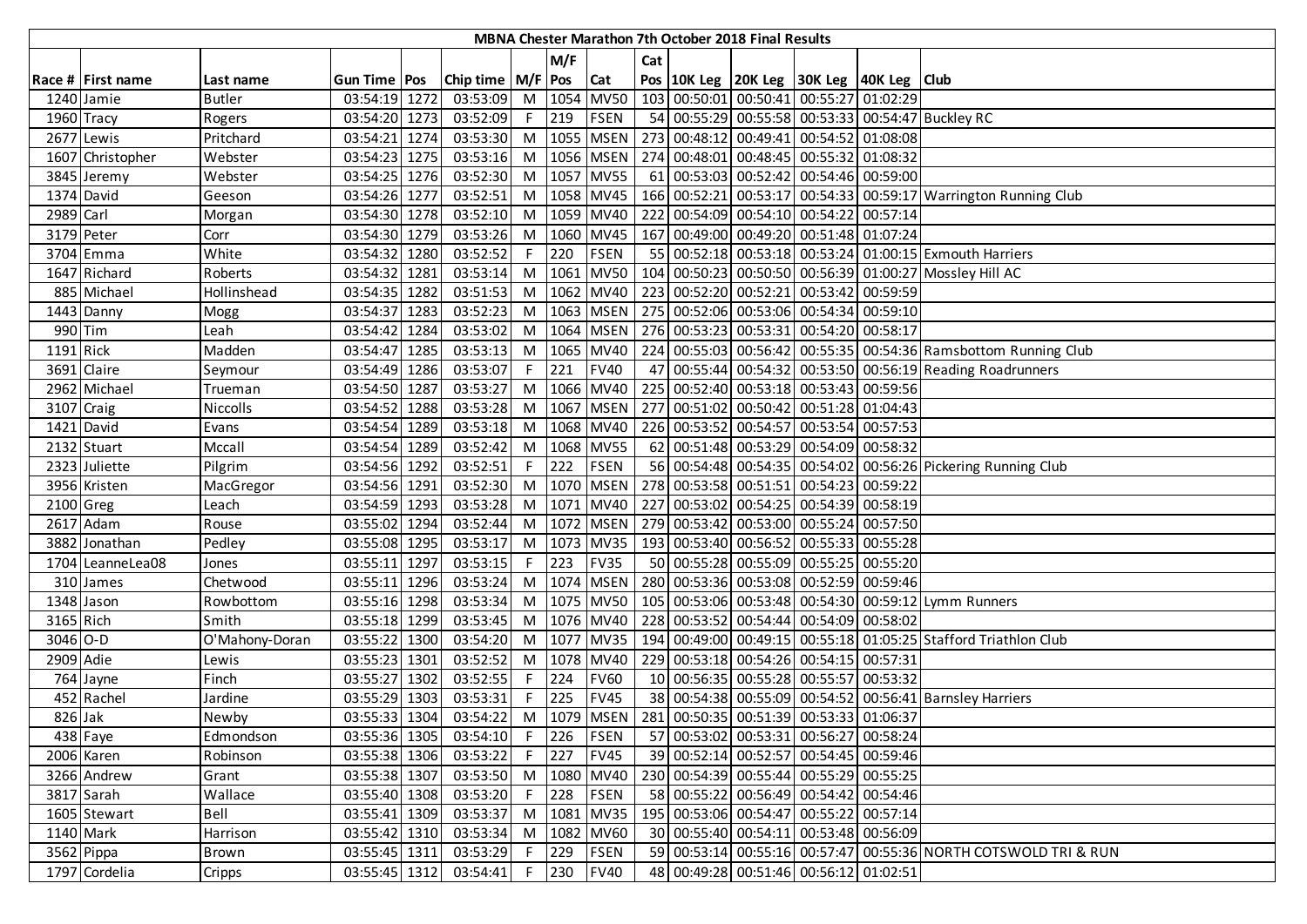|            |                       |                |                |      |                       |    |         |                 |     | MBNA Chester Marathon 7th October 2018 Final Results |                                                                   |          |                                                                 |
|------------|-----------------------|----------------|----------------|------|-----------------------|----|---------|-----------------|-----|------------------------------------------------------|-------------------------------------------------------------------|----------|-----------------------------------------------------------------|
|            |                       |                |                |      |                       |    | M/F     |                 | Cat |                                                      |                                                                   |          |                                                                 |
|            | Race # First name     | Last name      | Gun Time   Pos |      | Chip time   M/F   Pos |    |         | Cat             |     |                                                      | Pos   10K Leg   20K Leg   30K Leg   40K Leg   Club                |          |                                                                 |
|            | 1240 Jamie            | <b>Butler</b>  | 03:54:19 1272  |      | 03:53:09              |    |         | M 1054 MV50     |     |                                                      | 103 00:50:01 00:50:41 00:55:27                                    | 01:02:29 |                                                                 |
|            | 1960 Tracy            | Rogers         | 03:54:20 1273  |      | 03:52:09              | F. | 219     | FSEN            |     |                                                      |                                                                   |          | 54 00:55:29 00:55:58 00:53:33 00:54:47 Buckley RC               |
|            | 2677 Lewis            | Pritchard      | 03:54:21 1274  |      | 03:53:30              |    |         | M 1055 MSEN     |     |                                                      | 273 00:48:12 00:49:41 00:54:52 01:08:08                           |          |                                                                 |
|            | 1607 Christopher      | Webster        | 03:54:23 1275  |      | 03:53:16              |    |         | M   1056   MSEN |     |                                                      | 274 00:48:01 00:48:45 00:55:32 01:08:32                           |          |                                                                 |
|            | 3845 Jeremy           | Webster        | 03:54:25 1276  |      | 03:52:30              |    |         | M 1057 MV55     |     |                                                      | 61 00:53:03 00:52:42 00:54:46 00:59:00                            |          |                                                                 |
|            | 1374 David            | Geeson         | 03:54:26 1277  |      | 03:52:51              |    |         | M   1058   MV45 |     |                                                      |                                                                   |          | 166 00:52:21 00:53:17 00:54:33 00:59:17 Warrington Running Club |
| 2989 Carl  |                       | Morgan         | 03:54:30 1278  |      | 03:52:10              |    |         | M 1059 MV40     |     |                                                      | 222 00:54:09 00:54:10 00:54:22 00:57:14                           |          |                                                                 |
|            | 3179 Peter            | Corr           | 03:54:30 1279  |      | 03:53:26              | M  |         | 1060 MV45       |     |                                                      | 167 00:49:00 00:49:20 00:51:48 01:07:24                           |          |                                                                 |
|            | 3704 Emma             | White          | 03:54:32 1280  |      | 03:52:52              |    | 220     | <b>FSEN</b>     |     |                                                      |                                                                   |          | 55 00:52:18 00:53:18 00:53:24 01:00:15 Exmouth Harriers         |
|            | 1647 Richard          | Roberts        | 03:54:32 1281  |      | 03:53:14              |    |         | M 1061 MV50     |     |                                                      |                                                                   |          | 104 00:50:23 00:50:50 00:56:39 01:00:27 Mossley Hill AC         |
|            | 885 Michael           | Hollinshead    | 03:54:35       | 1282 | 03:51:53              |    |         | M 1062 MV40     |     |                                                      | 223 00:52:20 00:52:21 00:53:42 00:59:59                           |          |                                                                 |
|            | 1443 Danny            | Mogg           | 03:54:37       | 1283 | 03:52:23              |    |         | M 1063 MSEN     |     |                                                      | 275 00:52:06 00:53:06 00:54:34 00:59:10                           |          |                                                                 |
| 990 Tim    |                       | Leah           | 03:54:42       | 1284 | 03:53:02              |    |         | M   1064   MSEN |     |                                                      | 276 00:53:23 00:53:31 00:54:20 00:58:17                           |          |                                                                 |
| 1191 Rick  |                       | Madden         | 03:54:47 1285  |      | 03:53:13              |    |         | M 1065 MV40     |     |                                                      |                                                                   |          | 224 00:55:03 00:56:42 00:55:35 00:54:36 Ramsbottom Running Club |
|            | 3691 Claire           | Seymour        | 03:54:49 1286  |      | 03:53:07              |    | $F$ 221 | <b>FV40</b>     |     |                                                      |                                                                   |          | 47 00:55:44 00:54:32 00:53:50 00:56:19 Reading Roadrunners      |
|            | 2962 Michael          | Trueman        | 03:54:50 1287  |      | 03:53:27              |    |         | M 1066 MV40     |     |                                                      | 225 00:52:40 00:53:18 00:53:43 00:59:56                           |          |                                                                 |
| 3107 Craig |                       | Niccolls       | 03:54:52 1288  |      | 03:53:28              |    |         | M 1067 MSEN     |     |                                                      | 277 00:51:02 00:50:42 00:51:28 01:04:43                           |          |                                                                 |
|            | 1421 David            | Evans          | 03:54:54 1289  |      | 03:53:18              |    |         | M 1068 MV40     |     |                                                      | 226 00:53:52 00:54:57 00:53:54                                    | 00:57:53 |                                                                 |
|            | 2132 Stuart           | Mccall         | 03:54:54 1289  |      | 03:52:42              | M  |         | 1068 MV55       |     |                                                      | 62 00:51:48 00:53:29 00:54:09 00:58:32                            |          |                                                                 |
|            | 2323 Juliette         | Pilgrim        | 03:54:56 1292  |      | 03:52:51              |    | 222     | FSEN            |     |                                                      |                                                                   |          | 56 00:54:48 00:54:35 00:54:02 00:56:26 Pickering Running Club   |
|            | 3956 Kristen          | MacGregor      | 03:54:56 1291  |      | 03:52:30              |    |         | M 1070 MSEN     |     |                                                      | 278 00:53:58 00:51:51 00:54:23 00:59:22                           |          |                                                                 |
| 2100 Greg  |                       | Leach          | 03:54:59 1293  |      | 03:53:28              |    |         | M 1071 MV40     |     |                                                      | 227 00:53:02 00:54:25 00:54:39 00:58:19                           |          |                                                                 |
|            | 2617 Adam             | Rouse          | 03:55:02 1294  |      | 03:52:44              |    |         | M 1072 MSEN     |     |                                                      | 279 00:53:42 00:53:00 00:55:24 00:57:50                           |          |                                                                 |
|            | 3882 Jonathan         | Pedley         | 03:55:08 1295  |      | 03:53:17              |    |         | M 1073 MV35     |     |                                                      | 193 00:53:40 00:56:52 00:55:33 00:55:28                           |          |                                                                 |
|            | 1704 LeanneLea08      | Jones          | 03:55:11 1297  |      | 03:53:15              | F. | 223     | <b>FV35</b>     |     |                                                      | 50 00:55:28 00:55:09 00:55:25 00:55:20                            |          |                                                                 |
|            | 310 James             | Chetwood       | 03:55:11 1296  |      | 03:53:24              |    |         | M 1074 MSEN     |     |                                                      | 280 00:53:36 00:53:08 00:52:59 00:59:46                           |          |                                                                 |
| 1348 Jason |                       | Rowbottom      | 03:55:16 1298  |      | 03:53:34              |    |         | M 1075 MV50     |     |                                                      |                                                                   |          | 105 00:53:06 00:53:48 00:54:30 00:59:12 Lymm Runners            |
| 3165 Rich  |                       | Smith          | 03:55:18 1299  |      | 03:53:45              |    |         | M 1076 MV40     |     |                                                      | 228 00:53:52 00:54:44 00:54:09 00:58:02                           |          |                                                                 |
| 3046 O-D   |                       | O'Mahony-Doran | 03:55:22 1300  |      | 03:54:20              |    |         | M 1077 MV35     |     |                                                      |                                                                   |          | 194 00:49:00 00:49:15 00:55:18 01:05:25 Stafford Triathlon Club |
| 2909 Adie  |                       | Lewis          | 03:55:23 1301  |      | 03:52:52              |    |         | M 1078 MV40     |     |                                                      | 229 00:53:18 00:54:26 00:54:15 00:57:31                           |          |                                                                 |
|            | 764 Jayne             | Finch          | 03:55:27 1302  |      | 03:52:55              | F. | 224     | <b>FV60</b>     |     |                                                      | 10 00:56:35 00:55:28 00:55:57                                     | 00:53:32 |                                                                 |
|            | 452 Rachel            | Jardine        | 03:55:29 1303  |      | 03:53:31              |    | 225     | <b>FV45</b>     |     |                                                      |                                                                   |          | 38 00:54:38 00:55:09 00:54:52 00:56:41 Barnsley Harriers        |
| 826 Jak    |                       | Newby          | 03:55:33 1304  |      | 03:54:22              |    |         |                 |     |                                                      | M   1079   MSEN   281   00:50:35   00:51:39   00:53:33   01:06:37 |          |                                                                 |
|            | $\overline{438}$ Faye | Edmondson      | 03:55:36 1305  |      | 03:54:10              |    | $F$ 226 | FSEN            |     |                                                      | 57 00:53:02 00:53:31 00:56:27 00:58:24                            |          |                                                                 |
|            | 2006 Karen            | Robinson       | 03:55:38 1306  |      | 03:53:22              |    | $F$ 227 | <b>FV45</b>     |     |                                                      | 39 00:52:14 00:52:57 00:54:45 00:59:46                            |          |                                                                 |
|            | 3266 Andrew           | Grant          | 03:55:38 1307  |      | 03:53:50              |    |         | M 1080 MV40     |     |                                                      | 230 00:54:39 00:55:44 00:55:29 00:55:25                           |          |                                                                 |
|            | 3817 Sarah            | Wallace        | 03:55:40 1308  |      | 03:53:20              |    | $F$ 228 | <b>FSEN</b>     |     |                                                      | 58 00:55:22 00:56:49 00:54:42 00:54:46                            |          |                                                                 |
|            | 1605 Stewart          | Bell           | 03:55:41 1309  |      | 03:53:37              |    |         | M 1081 MV35     |     |                                                      | 195 00:53:06 00:54:47 00:55:22 00:57:14                           |          |                                                                 |
| 1140 Mark  |                       | Harrison       | 03:55:42 1310  |      | 03:53:34              |    |         | M 1082 MV60     |     |                                                      | 30 00:55:40 00:54:11 00:53:48 00:56:09                            |          |                                                                 |
|            | 3562 Pippa            | <b>Brown</b>   | 03:55:45 1311  |      | 03:53:29              |    | F 229   | <b>FSEN</b>     |     |                                                      |                                                                   |          | 59 00:53:14 00:55:16 00:57:47 00:55:36 NORTH COTSWOLD TRI & RUN |
|            | 1797 Cordelia         | Cripps         | 03:55:45 1312  |      | 03:54:41              |    | $F$ 230 | <b>FV40</b>     |     |                                                      | 48 00:49:28 00:51:46 00:56:12 01:02:51                            |          |                                                                 |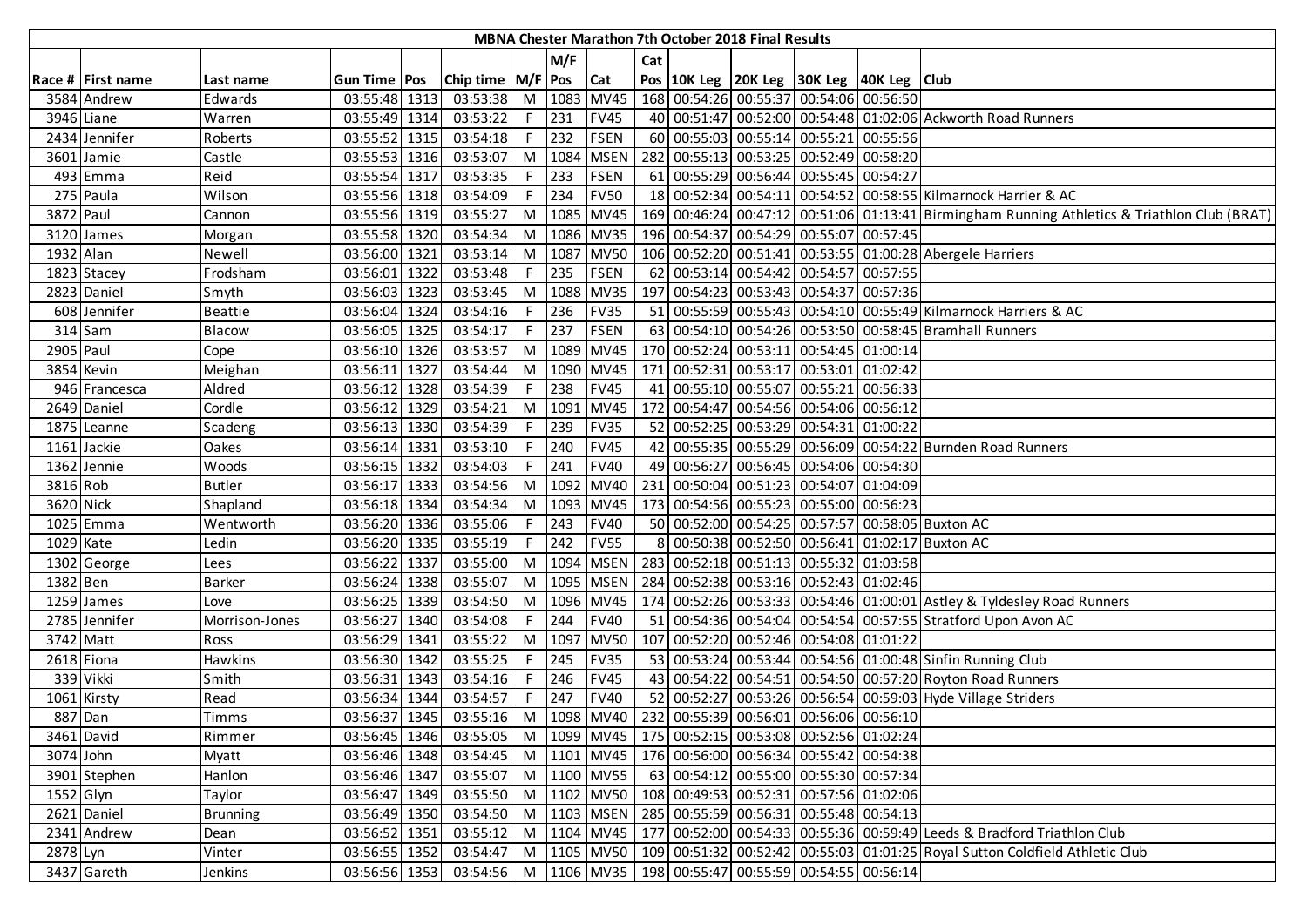|           |                   |                 |                |                             |    |               |                 |     | MBNA Chester Marathon 7th October 2018 Final Results |                                                                   |                                                                                                        |
|-----------|-------------------|-----------------|----------------|-----------------------------|----|---------------|-----------------|-----|------------------------------------------------------|-------------------------------------------------------------------|--------------------------------------------------------------------------------------------------------|
|           |                   |                 |                |                             |    | M/F           |                 | Cat |                                                      |                                                                   |                                                                                                        |
|           | Race # First name | Last name       | Gun Time   Pos | Chip time   M/F   Pos   Cat |    |               |                 |     |                                                      | Pos   10K Leg   20K Leg   30K Leg   40K Leg   Club                |                                                                                                        |
|           | 3584 Andrew       | Edwards         | 03:55:48 1313  | 03:53:38                    |    |               | M 1083 MV45     |     |                                                      | 168 00:54:26 00:55:37 00:54:06 00:56:50                           |                                                                                                        |
|           | 3946 Liane        | Warren          | 03:55:49 1314  | 03:53:22                    |    | $F$ 231       | <b>FV45</b>     |     |                                                      |                                                                   | 40 00:51:47 00:52:00 00:54:48 01:02:06 Ackworth Road Runners                                           |
|           | 2434 Jennifer     | Roberts         | 03:55:52 1315  | 03:54:18                    |    | $F$ 232       | <b>FSEN</b>     |     |                                                      | 60 00:55:03 00:55:14 00:55:21 00:55:56                            |                                                                                                        |
|           | 3601 Jamie        | Castle          | 03:55:53 1316  | 03:53:07                    |    | M 1084        | <b>MSEN</b>     |     |                                                      | 282 00:55:13 00:53:25 00:52:49 00:58:20                           |                                                                                                        |
|           | 493 Emma          | Reid            | 03:55:54 1317  | 03:53:35                    |    | $F$ 233       | <b>FSEN</b>     |     |                                                      | 61 00:55:29 00:56:44 00:55:45 00:54:27                            |                                                                                                        |
|           | 275 Paula         | Wilson          | 03:55:56 1318  | 03:54:09                    | F. | 234           | <b>FV50</b>     |     |                                                      |                                                                   | 18 00:52:34 00:54:11 00:54:52 00:58:55 Kilmarnock Harrier & AC                                         |
| 3872 Paul |                   | Cannon          | 03:55:56 1319  | 03:55:27                    |    |               | M 1085 MV45     |     |                                                      |                                                                   | 169 00:46:24 00:47:12 00:51:06 01:13:41 Birmingham Running Athletics & Triathlon Club (BRAT)           |
|           | 3120 James        | Morgan          | 03:55:58 1320  | 03:54:34                    |    |               | M   1086   MV35 |     |                                                      | 196 00:54:37 00:54:29 00:55:07 00:57:45                           |                                                                                                        |
| 1932 Alan |                   | Newell          | 03:56:00 1321  | 03:53:14                    |    |               | M 1087 MV50     |     |                                                      |                                                                   | 106 00:52:20 00:51:41 00:53:55 01:00:28 Abergele Harriers                                              |
|           | 1823 Stacey       | Frodsham        | 03:56:01 1322  | 03:53:48                    | F. | 235           | <b>FSEN</b>     |     |                                                      | 62 00:53:14 00:54:42 00:54:57 00:57:55                            |                                                                                                        |
|           | 2823 Daniel       | Smyth           | 03:56:03 1323  | 03:53:45                    |    | M 1088        | <b>MV35</b>     |     |                                                      | 197 00:54:23 00:53:43 00:54:37 00:57:36                           |                                                                                                        |
|           | 608 Jennifer      | <b>Beattie</b>  | 03:56:04 1324  | 03:54:16                    | F. | 236           | <b>FV35</b>     |     |                                                      |                                                                   | 51 00:55:59 00:55:43 00:54:10 00:55:49 Kilmarnock Harriers & AC                                        |
|           | 314 Sam           | <b>Blacow</b>   | 03:56:05 1325  | 03:54:17                    | F. | 237           | <b>FSEN</b>     |     |                                                      |                                                                   | 63 00:54:10 00:54:26 00:53:50 00:58:45 Bramhall Runners                                                |
| 2905 Paul |                   | Cope            | 03:56:10 1326  | 03:53:57                    |    | M 1089        | <b>MV45</b>     |     |                                                      | 170 00:52:24 00:53:11 00:54:45 01:00:14                           |                                                                                                        |
|           | 3854 Kevin        | Meighan         | 03:56:11 1327  | 03:54:44                    |    |               | M 1090 MV45     |     |                                                      | 171 00:52:31 00:53:17 00:53:01 01:02:42                           |                                                                                                        |
|           | 946 Francesca     | Aldred          | 03:56:12 1328  | 03:54:39                    |    | F 238         | <b>FV45</b>     |     |                                                      | 41 00:55:10 00:55:07 00:55:21 00:56:33                            |                                                                                                        |
|           | 2649 Daniel       | Cordle          | 03:56:12 1329  | 03:54:21                    |    |               | M 1091 MV45     |     |                                                      | 172 00:54:47 00:54:56 00:54:06 00:56:12                           |                                                                                                        |
|           | 1875 Leanne       | Scadeng         | 03:56:13 1330  | 03:54:39                    |    | F 239         | <b>FV35</b>     |     |                                                      | 52 00:52:25 00:53:29 00:54:31 01:00:22                            |                                                                                                        |
|           | 1161 Jackie       | Oakes           | 03:56:14 1331  | 03:53:10                    | F. | 240           | <b>FV45</b>     |     |                                                      |                                                                   | 42 00:55:35 00:55:29 00:56:09 00:54:22 Burnden Road Runners                                            |
|           | 1362 Jennie       | Woods           | 03:56:15 1332  | 03:54:03                    | F. | 241           | <b>FV40</b>     |     |                                                      | 49 00:56:27 00:56:45 00:54:06 00:54:30                            |                                                                                                        |
| 3816 Rob  |                   | <b>Butler</b>   | 03:56:17 1333  | 03:54:56                    |    |               | M 1092 MV40     |     |                                                      | 231 00:50:04 00:51:23 00:54:07 01:04:09                           |                                                                                                        |
| 3620 Nick |                   | Shapland        | 03:56:18 1334  | 03:54:34                    |    |               | M 1093 MV45     |     |                                                      | 173 00:54:56 00:55:23 00:55:00 00:56:23                           |                                                                                                        |
|           | 1025 Emma         | Wentworth       | 03:56:20 1336  | 03:55:06                    | F. | $ 243\rangle$ | <b>FV40</b>     |     |                                                      |                                                                   | 50 00:52:00 00:54:25 00:57:57 00:58:05 Buxton AC                                                       |
| 1029 Kate |                   | Ledin           | 03:56:20 1335  | 03:55:19                    | F. | 242           | <b>FV55</b>     |     |                                                      |                                                                   | 00:50:38 00:52:50 00:56:41 01:02:17 Buxton AC                                                          |
|           | 1302 George       | Lees            | 03:56:22 1337  | 03:55:00                    |    |               | M 1094 MSEN     |     |                                                      | 283 00:52:18 00:51:13 00:55:32 01:03:58                           |                                                                                                        |
| 1382 Ben  |                   | <b>Barker</b>   | 03:56:24 1338  | 03:55:07                    |    |               | M   1095   MSEN |     |                                                      | 284 00:52:38 00:53:16 00:52:43 01:02:46                           |                                                                                                        |
|           | 1259 James        | Love            | 03:56:25 1339  | 03:54:50                    |    |               | M 1096 MV45     |     |                                                      |                                                                   | 174 00:52:26 00:53:33 00:54:46 01:00:01 Astley & Tyldesley Road Runners                                |
|           | 2785 Jennifer     | Morrison-Jones  | 03:56:27 1340  | 03:54:08                    |    | $F$ 244       | <b>FV40</b>     |     |                                                      |                                                                   | 51 00:54:36 00:54:04 00:54:54 00:57:55 Stratford Upon Avon AC                                          |
|           | 3742 Matt         | Ross            | 03:56:29 1341  | 03:55:22                    |    | M 1097        | <b>MV50</b>     |     |                                                      | 107 00:52:20 00:52:46 00:54:08 01:01:22                           |                                                                                                        |
|           | 2618 Fiona        | Hawkins         | 03:56:30 1342  | 03:55:25                    | F. | 245           | <b>FV35</b>     |     |                                                      |                                                                   | 53 00:53:24 00:53:44 00:54:56 01:00:48 Sinfin Running Club                                             |
|           | 339 Vikki         | Smith           | 03:56:31 1343  | 03:54:16                    | F. | $ 246\rangle$ | <b>FV45</b>     |     |                                                      |                                                                   | 43 00:54:22 00:54:51 00:54:50 00:57:20 Royton Road Runners                                             |
|           | 1061 Kirsty       | Read            | 03:56:34 1344  | 03:54:57                    | F. | 247           | <b>FV40</b>     |     |                                                      |                                                                   | 52 00:52:27 00:53:26 00:56:54 00:59:03 Hyde Village Striders                                           |
|           | 887 Dan           | Timms           | 03:56:37 1345  | 03:55:16 M 1098 MV40        |    |               |                 |     |                                                      | 232 00:55:39 00:56:01 00:56:06 00:56:10                           |                                                                                                        |
|           | 3461 David        | Rimmer          | 03:56:45 1346  | 03:55:05                    |    |               |                 |     |                                                      | M  1099  MV45   175   00:52:15   00:53:08   00:52:56   01:02:24   |                                                                                                        |
| 3074 John |                   | Myatt           | 03:56:46 1348  | 03:54:45                    |    |               |                 |     |                                                      | M  1101  MV45   176 00:56:00 00:56:34 00:55:42 00:54:38           |                                                                                                        |
|           | 3901 Stephen      | Hanlon          | 03:56:46 1347  | 03:55:07 M 1100 MV55        |    |               |                 |     |                                                      | 63 00:54:12 00:55:00 00:55:30 00:57:34                            |                                                                                                        |
| 1552 Glyn |                   | Taylor          | 03:56:47 1349  | 03:55:50                    |    |               |                 |     |                                                      | M  1102  MV50   108 00:49:53 00:52:31 00:57:56 01:02:06           |                                                                                                        |
|           | 2621 Daniel       | <b>Brunning</b> | 03:56:49 1350  | 03:54:50                    |    |               |                 |     |                                                      | M   1103   MSEN   285   00:55:59   00:56:31   00:55:48   00:54:13 |                                                                                                        |
|           | 2341 Andrew       | Dean            | 03:56:52 1351  | 03:55:12                    |    |               |                 |     |                                                      |                                                                   | M  1104   MV45   177   00:52:00   00:54:33   00:55:36   00:59:49   Leeds & Bradford Triathlon Club     |
| 2878 Lyn  |                   | Vinter          | 03:56:55 1352  | 03:54:47                    |    |               |                 |     |                                                      |                                                                   | M  1105  MV50   109   00:51:32   00:52:42   00:55:03   01:01:25   Royal Sutton Coldfield Athletic Club |
|           | 3437 Gareth       | Jenkins         | 03:56:56 1353  |                             |    |               |                 |     |                                                      | 03:54:56 M  1106  MV35   198 00:55:47 00:55:59 00:54:55 00:56:14  |                                                                                                        |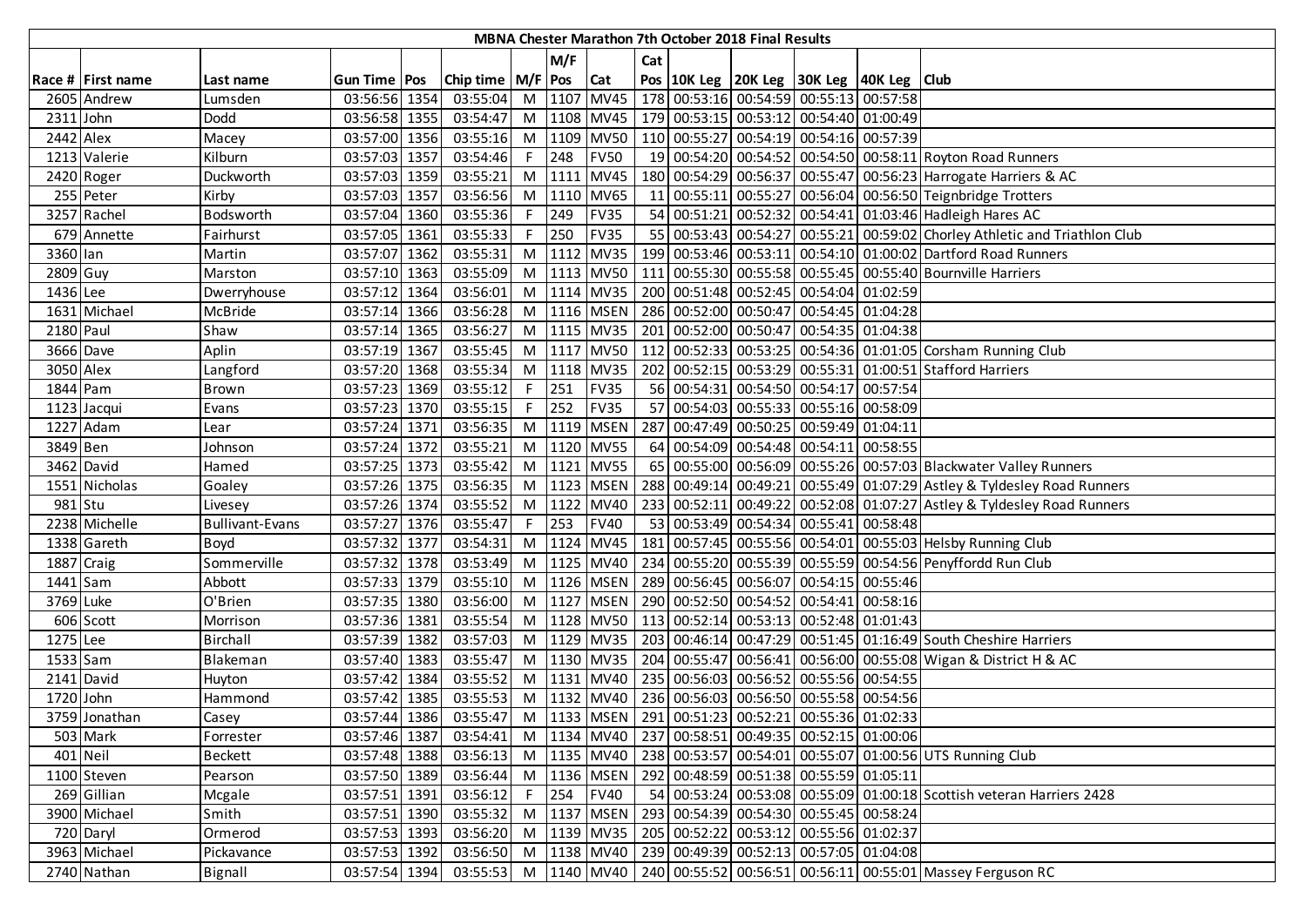|             |                   |                        |               |                       |    |         |                 |     | MBNA Chester Marathon 7th October 2018 Final Results |                                                                            |                                                                                                    |
|-------------|-------------------|------------------------|---------------|-----------------------|----|---------|-----------------|-----|------------------------------------------------------|----------------------------------------------------------------------------|----------------------------------------------------------------------------------------------------|
|             |                   |                        |               |                       |    | M/F     |                 | Cat |                                                      |                                                                            |                                                                                                    |
|             | Race # First name | Last name              | Gun Time Pos  | Chip time   M/F   Pos |    |         | <b>Cat</b>      |     |                                                      | Pos 10K Leg 20K Leg 30K Leg 40K Leg Club                                   |                                                                                                    |
|             | 2605 Andrew       | Lumsden                | 03:56:56 1354 | 03:55:04              |    |         |                 |     |                                                      | M  1107   MV45   178   00:53:16   00:54:59   00:55:13   00:57:58           |                                                                                                    |
| $2311$ John |                   | Dodd                   | 03:56:58 1355 | 03:54:47              |    |         |                 |     |                                                      | M  1108   MV45   179   00:53:15   00:53:12   00:54:40   01:00:49           |                                                                                                    |
| 2442 Alex   |                   | Macey                  | 03:57:00 1356 | 03:55:16              |    |         |                 |     |                                                      | M  1109   MV50   110   00:55:27   00:54:19   00:54:16   00:57:39           |                                                                                                    |
|             | 1213 Valerie      | Kilburn                | 03:57:03 1357 | 03:54:46              |    | F 248   | <b>FV50</b>     |     |                                                      |                                                                            | 19 00:54:20 00:54:52 00:54:50 00:58:11 Royton Road Runners                                         |
|             | 2420 Roger        | Duckworth              | 03:57:03 1359 | 03:55:21              |    |         | M 1111 MV45     |     |                                                      |                                                                            | 180 00:54:29 00:56:37 00:55:47 00:56:23 Harrogate Harriers & AC                                    |
|             | 255 Peter         | Kirby                  | 03:57:03 1357 | 03:56:56              |    |         | M 1110 MV65     |     |                                                      |                                                                            | 11 00:55:11 00:55:27 00:56:04 00:56:50 Teignbridge Trotters                                        |
|             | 3257 Rachel       | Bodsworth              | 03:57:04 1360 | 03:55:36              | F. | 249     | <b>FV35</b>     |     |                                                      |                                                                            | 54 00:51:21 00:52:32 00:54:41 01:03:46 Hadleigh Hares AC                                           |
|             | 679 Annette       | Fairhurst              | 03:57:05 1361 | 03:55:33              | F. | 250     | <b>FV35</b>     |     |                                                      |                                                                            | 55 00:53:43 00:54:27 00:55:21 00:59:02 Chorley Athletic and Triathlon Club                         |
| 3360 lan    |                   | Martin                 | 03:57:07 1362 | 03:55:31              |    |         | M 1112 MV35     |     |                                                      |                                                                            | 199 00:53:46 00:53:11 00:54:10 01:00:02 Dartford Road Runners                                      |
| 2809 Guy    |                   | Marston                | 03:57:10 1363 | 03:55:09              |    |         | M 1113 MV50     |     |                                                      |                                                                            | 111 00:55:30 00:55:58 00:55:45 00:55:40 Bournville Harriers                                        |
| 1436 Lee    |                   | Dwerryhouse            | 03:57:12 1364 | 03:56:01              |    |         | M 1114 MV35     |     |                                                      | 200 00:51:48 00:52:45 00:54:04 01:02:59                                    |                                                                                                    |
|             | 1631 Michael      | McBride                | 03:57:14 1366 | 03:56:28              |    |         | M   1116   MSEN |     |                                                      | 286 00:52:00 00:50:47 00:54:45 01:04:28                                    |                                                                                                    |
| 2180 Paul   |                   | Shaw                   | 03:57:14 1365 | 03:56:27              |    |         |                 |     |                                                      | M  1115   MV35   201   00:52:00   00:50:47   00:54:35   01:04:38           |                                                                                                    |
|             | 3666 Dave         | Aplin                  | 03:57:19 1367 | 03:55:45              |    |         | M 1117 MV50     |     |                                                      |                                                                            | 112 00:52:33 00:53:25 00:54:36 01:01:05 Corsham Running Club                                       |
| 3050 Alex   |                   | Langford               | 03:57:20 1368 | 03:55:34              |    |         | M 1118 MV35     |     |                                                      |                                                                            | 202 00:52:15 00:53:29 00:55:31 01:00:51 Stafford Harriers                                          |
| 1844 Pam    |                   | <b>Brown</b>           | 03:57:23 1369 | 03:55:12              |    | $F$ 251 | <b>FV35</b>     |     |                                                      | 56 00:54:31 00:54:50 00:54:17 00:57:54                                     |                                                                                                    |
|             | 1123 Jacqui       | Evans                  | 03:57:23 1370 | 03:55:15              |    | $F$ 252 | <b>FV35</b>     |     |                                                      | 57 00:54:03 00:55:33 00:55:16 00:58:09                                     |                                                                                                    |
|             | 1227 Adam         | Lear                   | 03:57:24 1371 | 03:56:35              |    |         | M 1119 MSEN     |     |                                                      | 287 00:47:49 00:50:25 00:59:49 01:04:11                                    |                                                                                                    |
| 3849 Ben    |                   | Johnson                | 03:57:24 1372 | 03:55:21              |    |         | M 1120 MV55     |     |                                                      | 64 00:54:09 00:54:48 00:54:11 00:58:55                                     |                                                                                                    |
|             | 3462 David        | Hamed                  | 03:57:25 1373 | 03:55:42              |    |         | M 1121 MV55     |     |                                                      |                                                                            | 65 00:55:00 00:56:09 00:55:26 00:57:03 Blackwater Valley Runners                                   |
|             | 1551 Nicholas     | Goaley                 | 03:57:26 1375 | 03:56:35              |    |         |                 |     |                                                      |                                                                            | M  1123   MSEN   288   00:49:14   00:49:21   00:55:49   01:07:29   Astley & Tyldesley Road Runners |
| 981 Stu     |                   | Livesey                | 03:57:26 1374 | 03:55:52              |    |         |                 |     |                                                      |                                                                            | M  1122 MV40   233   00:52:11   00:49:22   00:52:08   01:07:27   Astley & Tyldesley Road Runners   |
|             | 2238 Michelle     | <b>Bullivant-Evans</b> | 03:57:27 1376 | 03:55:47              |    | $F$ 253 | <b>FV40</b>     |     |                                                      | 53 00:53:49 00:54:34 00:55:41 00:58:48                                     |                                                                                                    |
|             | 1338 Gareth       | Boyd                   | 03:57:32 1377 | 03:54:31              |    |         | M 1124 MV45     |     |                                                      |                                                                            | 181 00:57:45 00:55:56 00:54:01 00:55:03 Helsby Running Club                                        |
|             | 1887 Craig        | Sommerville            | 03:57:32 1378 | 03:53:49              |    |         | M 1125 MV40     |     |                                                      |                                                                            | 234 00:55:20 00:55:39 00:55:59 00:54:56 Penyffordd Run Club                                        |
| 1441 Sam    |                   | Abbott                 | 03:57:33 1379 | 03:55:10              |    |         | M 1126 MSEN     |     |                                                      | 289 00:56:45 00:56:07 00:54:15 00:55:46                                    |                                                                                                    |
| 3769 Luke   |                   | O'Brien                | 03:57:35 1380 | 03:56:00              |    |         | M 1127 MSEN     |     |                                                      | 290 00:52:50 00:54:52 00:54:41 00:58:16                                    |                                                                                                    |
|             | 606 Scott         | Morrison               | 03:57:36 1381 | 03:55:54              |    |         |                 |     |                                                      | M  1128   MV50   113   00:52:14   00:53:13   00:52:48   01:01:43           |                                                                                                    |
| 1275 Lee    |                   | Birchall               | 03:57:39 1382 | 03:57:03              |    |         |                 |     |                                                      |                                                                            | M  1129   MV35   203   00:46:14   00:47:29   00:51:45   01:16:49 South Cheshire Harriers           |
| 1533 Sam    |                   | Blakeman               | 03:57:40 1383 | 03:55:47              |    |         |                 |     |                                                      |                                                                            | M  1130   MV35   204   00:55:47   00:56:41   00:56:00   00:55:08   Wigan & District H & AC         |
|             | 2141 David        | Huyton                 | 03:57:42 1384 | 03:55:52              |    |         |                 |     |                                                      | M  1131  MV40   235   00:56:03   00:56:52   00:55:56   00:54:55            |                                                                                                    |
| 1720 John   |                   | Hammond                | 03:57:42 1385 | 03:55:53              |    |         |                 |     |                                                      | M  1132  MV40   236   00:56:03   00:56:50   00:55:58   00:54:56            |                                                                                                    |
|             | 3759 Jonathan     | Casey                  | 03:57:44 1386 |                       |    |         |                 |     |                                                      | 03:55:47 M   1133   MSEN   291   00:51:23   00:52:21   00:55:36   01:02:33 |                                                                                                    |
|             | 503 Mark          | Forrester              | 03:57:46 1387 | 03:54:41              |    |         |                 |     |                                                      | M  1134  MV40   237 00:58:51 00:49:35 00:52:15 01:00:06                    |                                                                                                    |
|             | 401 Neil          | Beckett                | 03:57:48 1388 | 03:56:13              |    |         |                 |     |                                                      |                                                                            | M  1135  MV40   238 00:53:57 00:54:01 00:55:07 01:00:56 UTS Running Club                           |
|             | 1100 Steven       | Pearson                | 03:57:50 1389 | 03:56:44              |    |         |                 |     |                                                      | M  1136   MSEN   292   00:48:59   00:51:38   00:55:59   01:05:11           |                                                                                                    |
|             | 269 Gillian       | Mcgale                 | 03:57:51 1391 | 03:56:12              |    | F 254   | <b>FV40</b>     |     |                                                      |                                                                            | 54 00:53:24 00:53:08 00:55:09 01:00:18 Scottish veteran Harriers 2428                              |
|             | 3900 Michael      | Smith                  | 03:57:51 1390 | 03:55:32              |    |         | M 1137 MSEN     |     |                                                      | 293 00:54:39 00:54:30 00:55:45 00:58:24                                    |                                                                                                    |
|             | 720 Daryl         | Ormerod                | 03:57:53 1393 | 03:56:20              |    |         |                 |     |                                                      | M  1139   MV35   205   00:52:22   00:53:12   00:55:56   01:02:37           |                                                                                                    |
|             | 3963 Michael      | Pickavance             | 03:57:53 1392 | 03:56:50              |    |         |                 |     |                                                      | M  1138  MV40   239   00:49:39   00:52:13   00:57:05   01:04:08            |                                                                                                    |
|             | 2740 Nathan       | Bignall                | 03:57:54 1394 |                       |    |         |                 |     |                                                      |                                                                            | 00:55:53 M   1140   MV40   240   00:55:52   00:56:51   00:56:11   00:55:01   Massey Ferguson RC    |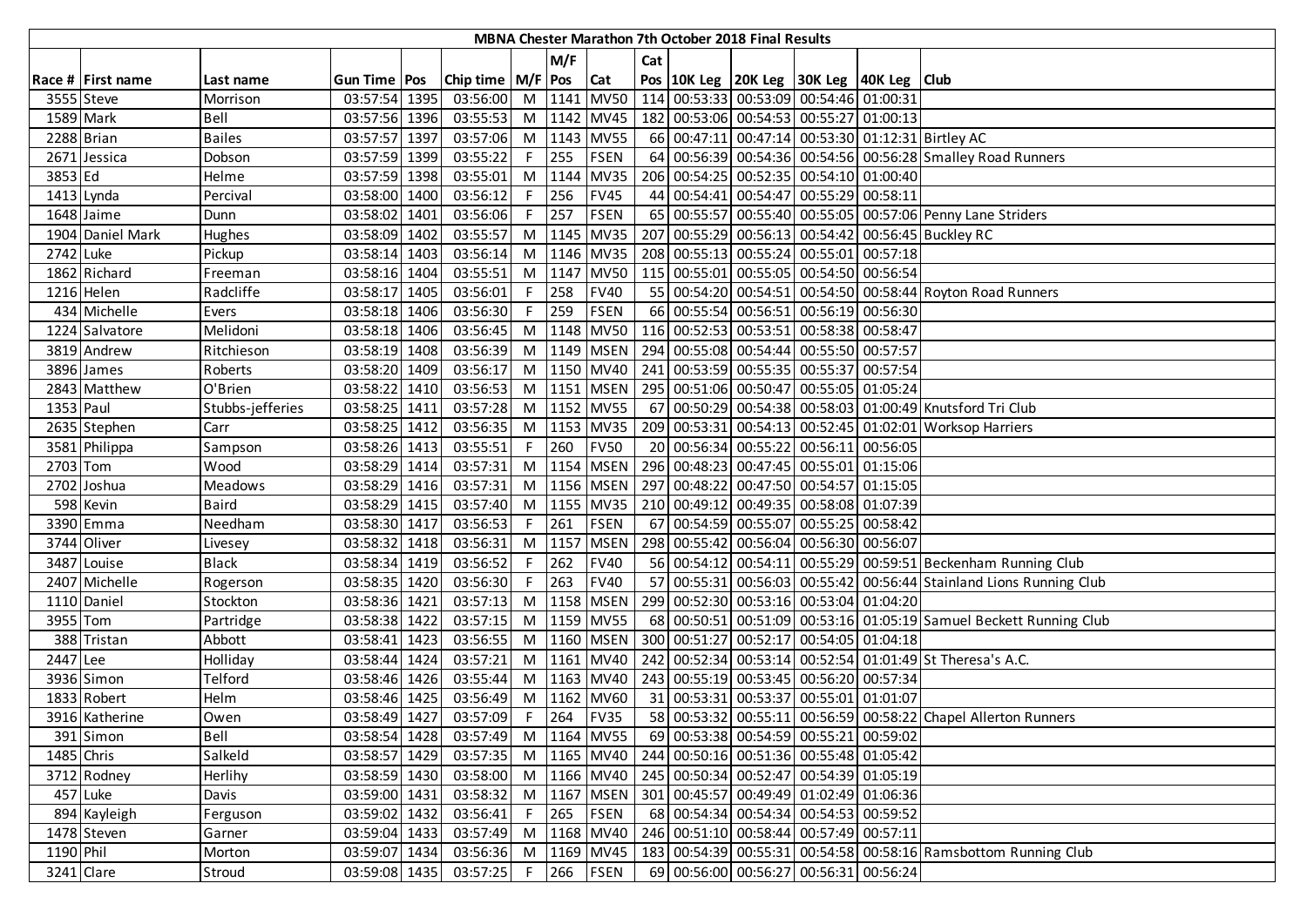|            |                   |                  |               |                       |     |         |                 |     | MBNA Chester Marathon 7th October 2018 Final Results |                                                                  |                                                                     |
|------------|-------------------|------------------|---------------|-----------------------|-----|---------|-----------------|-----|------------------------------------------------------|------------------------------------------------------------------|---------------------------------------------------------------------|
|            |                   |                  |               |                       |     | M/F     |                 | Cat |                                                      |                                                                  |                                                                     |
|            | Race # First name | Last name        | Gun Time Pos  | Chip time   M/F   Pos |     |         | <b>Cat</b>      |     |                                                      | Pos 10K Leg 20K Leg 30K Leg 40K Leg Club                         |                                                                     |
|            | 3555 Steve        | Morrison         | 03:57:54 1395 | 03:56:00              |     |         | M 1141 MV50     |     |                                                      | 114 00:53:33 00:53:09 00:54:46 01:00:31                          |                                                                     |
| 1589 Mark  |                   | Bell             | 03:57:56 1396 | 03:55:53              |     |         |                 |     |                                                      | M  1142   MV45   182   00:53:06   00:54:53   00:55:27   01:00:13 |                                                                     |
|            | 2288 Brian        | <b>Bailes</b>    | 03:57:57 1397 | 03:57:06              |     |         | M 1143 MV55     |     |                                                      |                                                                  | 66 00:47:11 00:47:14 00:53:30 01:12:31 Birtley AC                   |
|            | 2671 Jessica      | Dobson           | 03:57:59 1399 | 03:55:22              |     | $F$ 255 | FSEN            |     |                                                      |                                                                  | 64 00:56:39 00:54:36 00:54:56 00:56:28 Smalley Road Runners         |
| 3853 Ed    |                   | Helme            | 03:57:59 1398 | 03:55:01              |     | M 1144  | <b>MV35</b>     |     |                                                      | 206 00:54:25 00:52:35 00:54:10 01:00:40                          |                                                                     |
|            | 1413 Lynda        | Percival         | 03:58:00 1400 | 03:56:12              | F.  | 256     | <b>FV45</b>     |     |                                                      | 44 00:54:41 00:54:47 00:55:29 00:58:11                           |                                                                     |
|            | 1648 Jaime        | Dunn             | 03:58:02 1401 | 03:56:06              | F.  | 257     | <b>FSEN</b>     |     |                                                      |                                                                  | 65 00:55:57 00:55:40 00:55:05 00:57:06 Penny Lane Striders          |
|            | 1904 Daniel Mark  | Hughes           | 03:58:09 1402 | 03:55:57              |     |         | M 1145 MV35     |     |                                                      |                                                                  | 207 00:55:29 00:56:13 00:54:42 00:56:45 Buckley RC                  |
| 2742 Luke  |                   | Pickup           | 03:58:14 1403 | 03:56:14              |     |         | M 1146 MV35     |     |                                                      | 208 00:55:13 00:55:24 00:55:01 00:57:18                          |                                                                     |
|            | 1862 Richard      | Freeman          | 03:58:16 1404 | 03:55:51              |     |         | M 1147 MV50     |     |                                                      | 115 00:55:01 00:55:05 00:54:50 00:56:54                          |                                                                     |
|            | 1216 Helen        | Radcliffe        | 03:58:17 1405 | 03:56:01              | F.  | 258     | <b>FV40</b>     |     |                                                      |                                                                  | 55 00:54:20 00:54:51 00:54:50 00:58:44 Royton Road Runners          |
|            | 434 Michelle      | Evers            | 03:58:18 1406 | 03:56:30              | F.  | 259     | <b>FSEN</b>     |     |                                                      | 66 00:55:54 00:56:51 00:56:19 00:56:30                           |                                                                     |
|            | 1224 Salvatore    | Melidoni         | 03:58:18 1406 | 03:56:45              |     |         | M 1148 MV50     |     |                                                      | 116 00:52:53 00:53:51 00:58:38 00:58:47                          |                                                                     |
|            | 3819 Andrew       | Ritchieson       | 03:58:19 1408 | 03:56:39              |     |         | M   1149   MSEN |     |                                                      | 294 00:55:08 00:54:44 00:55:50 00:57:57                          |                                                                     |
|            | 3896 James        | Roberts          | 03:58:20 1409 | 03:56:17              |     |         |                 |     |                                                      | M  1150  MV40   241 00:53:59 00:55:35 00:55:37 00:57:54          |                                                                     |
|            | 2843 Matthew      | O'Brien          | 03:58:22 1410 | 03:56:53              |     |         |                 |     |                                                      | M  1151  MSEN   295 00:51:06 00:50:47 00:55:05 01:05:24          |                                                                     |
| 1353 Paul  |                   | Stubbs-jefferies | 03:58:25 1411 | 03:57:28              |     |         | M 1152 MV55     |     |                                                      |                                                                  | 67 00:50:29 00:54:38 00:58:03 01:00:49 Knutsford Tri Club           |
|            | 2635 Stephen      | Carr             | 03:58:25 1412 | 03:56:35              |     |         | M 1153 MV35     |     |                                                      |                                                                  | 209 00:53:31 00:54:13 00:52:45 01:02:01 Worksop Harriers            |
|            | 3581 Philippa     | Sampson          | 03:58:26 1413 | 03:55:51              | F.  | 260     | <b>FV50</b>     |     |                                                      | 20 00:56:34 00:55:22 00:56:11 00:56:05                           |                                                                     |
| 2703 Tom   |                   | Wood             | 03:58:29 1414 | 03:57:31              |     |         |                 |     |                                                      | M  1154   MSEN   296   00:48:23   00:47:45   00:55:01   01:15:06 |                                                                     |
|            | 2702 Joshua       | Meadows          | 03:58:29 1416 | 03:57:31              |     |         |                 |     |                                                      | M  1156   MSEN   297   00:48:22   00:47:50   00:54:57   01:15:05 |                                                                     |
|            | 598 Kevin         | <b>Baird</b>     | 03:58:29 1415 | 03:57:40              |     |         | M   1155   MV35 |     |                                                      | 210 00:49:12 00:49:35 00:58:08 01:07:39                          |                                                                     |
|            | 3390 Emma         | Needham          | 03:58:30 1417 | 03:56:53              | F.  | 261     | <b>FSEN</b>     |     |                                                      | 67 00:54:59 00:55:07 00:55:25 00:58:42                           |                                                                     |
|            | 3744 Oliver       | Livesey          | 03:58:32 1418 | 03:56:31              |     | M 1157  | <b>MSEN</b>     |     |                                                      | 298 00:55:42 00:56:04 00:56:30 00:56:07                          |                                                                     |
|            | 3487 Louise       | <b>Black</b>     | 03:58:34 1419 | 03:56:52              | F I | 262     | <b>FV40</b>     |     |                                                      |                                                                  | 56 00:54:12 00:54:11 00:55:29 00:59:51 Beckenham Running Club       |
|            | 2407 Michelle     | Rogerson         | 03:58:35 1420 | 03:56:30              | F I | 263     | <b>FV40</b>     |     |                                                      |                                                                  | 57 00:55:31 00:56:03 00:55:42 00:56:44 Stainland Lions Running Club |
|            | 1110 Daniel       | Stockton         | 03:58:36 1421 | 03:57:13              |     |         | M 1158 MSEN     |     |                                                      | 299 00:52:30 00:53:16 00:53:04 01:04:20                          |                                                                     |
| 3955 Tom   |                   | Partridge        | 03:58:38 1422 | 03:57:15              |     |         | M 1159 MV55     |     |                                                      |                                                                  | 68 00:50:51 00:51:09 00:53:16 01:05:19 Samuel Beckett Running Club  |
|            | 388 Tristan       | Abbott           | 03:58:41 1423 | 03:56:55              |     |         | M 1160 MSEN     |     |                                                      | 300 00:51:27 00:52:17 00:54:05 01:04:18                          |                                                                     |
| 2447 Lee   |                   | Holliday         | 03:58:44 1424 | 03:57:21              |     |         | M 1161 MV40     |     |                                                      |                                                                  | 242 00:52:34 00:53:14 00:52:54 01:01:49 St Theresa's A.C.           |
|            | 3936 Simon        | Telford          | 03:58:46 1426 | 03:55:44              |     |         | M 1163 MV40     |     |                                                      | 243 00:55:19 00:53:45 00:56:20 00:57:34                          |                                                                     |
|            | 1833 Robert       | Helm             | 03:58:46 1425 | 03:56:49              | M I |         | 1162 MV60       |     |                                                      | 31 00:53:31 00:53:37 00:55:01 01:01:07                           |                                                                     |
|            | 3916 Katherine    | Owen             | 03:58:49 1427 | 03:57:09              |     |         | F 264 FV35      |     |                                                      |                                                                  | 58 00:53:32 00:55:11 00:56:59 00:58:22 Chapel Allerton Runners      |
|            | 391 Simon         | Bell             | 03:58:54 1428 | 03:57:49              |     |         | M 1164 MV55     |     |                                                      | 69 00:53:38 00:54:59 00:55:21 00:59:02                           |                                                                     |
| 1485 Chris |                   | Salkeld          | 03:58:57 1429 | 03:57:35              |     |         |                 |     |                                                      | M  1165  MV40   244   00:50:16   00:51:36   00:55:48   01:05:42  |                                                                     |
|            | 3712 Rodney       | Herlihy          | 03:58:59 1430 | 03:58:00              |     |         |                 |     |                                                      | M  1166  MV40   245   00:50:34   00:52:47   00:54:39   01:05:19  |                                                                     |
|            | 457 Luke          | Davis            | 03:59:00 1431 | 03:58:32              |     |         | M 1167 MSEN     |     |                                                      | 301 00:45:57 00:49:49 01:02:49 01:06:36                          |                                                                     |
|            | 894 Kayleigh      | Ferguson         | 03:59:02 1432 | 03:56:41              |     | F 265   | <b>FSEN</b>     |     |                                                      | 68 00:54:34 00:54:34 00:54:53 00:59:52                           |                                                                     |
|            | 1478 Steven       | Garner           | 03:59:04 1433 | 03:57:49              |     |         | M 1168 MV40     |     |                                                      | 246 00:51:10 00:58:44 00:57:49 00:57:11                          |                                                                     |
| 1190 Phil  |                   | Morton           | 03:59:07 1434 | 03:56:36              |     |         | M 1169 MV45     |     |                                                      |                                                                  | 183 00:54:39 00:55:31 00:54:58 00:58:16 Ramsbottom Running Club     |
|            | 3241 Clare        | Stroud           | 03:59:08 1435 | 03:57:25              |     |         | F 266 FSEN      |     |                                                      | 69 00:56:00 00:56:27 00:56:31 00:56:24                           |                                                                     |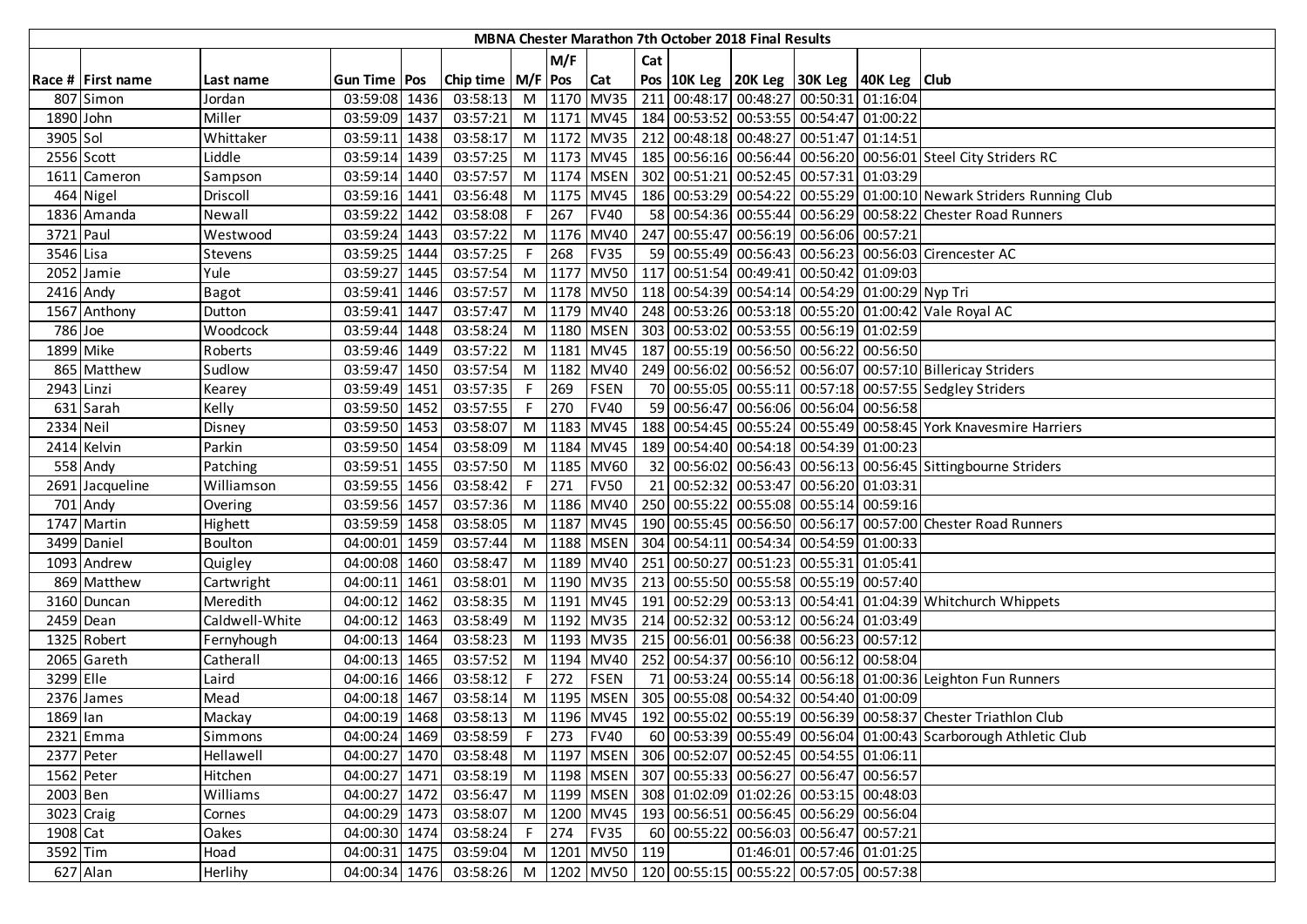|            |                        |                |                |      |                                                                            |                |      |                 |     | MBNA Chester Marathon 7th October 2018 Final Results |                                                                  |                                                                                     |
|------------|------------------------|----------------|----------------|------|----------------------------------------------------------------------------|----------------|------|-----------------|-----|------------------------------------------------------|------------------------------------------------------------------|-------------------------------------------------------------------------------------|
|            |                        |                |                |      |                                                                            |                | M/F  |                 | Cat |                                                      |                                                                  |                                                                                     |
|            | Race # First name      | Last name      | Gun Time   Pos |      | Chip time   M/F   Pos   Cat                                                |                |      |                 |     |                                                      | Pos 10K Leg 20K Leg 30K Leg 40K Leg Club                         |                                                                                     |
|            | 807 Simon              | Jordan         | 03:59:08 1436  |      | 03:58:13                                                                   |                |      | M   1170   MV35 |     |                                                      | 211 00:48:17 00:48:27 00:50:31 01:16:04                          |                                                                                     |
| 1890 John  |                        | Miller         | 03:59:09 1437  |      | 03:57:21                                                                   | M              |      |                 |     |                                                      | 1171 MV45   184 00:53:52 00:53:55 00:54:47 01:00:22              |                                                                                     |
| 3905 Sol   |                        | Whittaker      | 03:59:11 1438  |      | 03:58:17                                                                   | M              |      | 1172 MV35       |     |                                                      | 212 00:48:18 00:48:27 00:51:47 01:14:51                          |                                                                                     |
|            | 2556 Scott             | Liddle         | 03:59:14 1439  |      | 03:57:25                                                                   | M              |      | 1173 MV45       |     |                                                      |                                                                  | 185 00:56:16 00:56:44 00:56:20 00:56:01 Steel City Striders RC                      |
|            | 1611 Cameron           | Sampson        | 03:59:14 1440  |      | 03:57:57                                                                   | M              |      | 1174 MSEN       |     |                                                      | 302 00:51:21 00:52:45 00:57:31 01:03:29                          |                                                                                     |
|            | 464 Nigel              | Driscoll       | 03:59:16 1441  |      | 03:56:48                                                                   | M              |      | 1175 MV45       |     |                                                      |                                                                  | 186 00:53:29 00:54:22 00:55:29 01:00:10 Newark Striders Running Club                |
|            | 1836 Amanda            | Newall         | 03:59:22 1442  |      | 03:58:08                                                                   |                | 267  | <b>FV40</b>     |     |                                                      |                                                                  | 58 00:54:36 00:55:44 00:56:29 00:58:22 Chester Road Runners                         |
| 3721 Paul  |                        | Westwood       | 03:59:24 1443  |      | 03:57:22                                                                   | M              |      | 1176 MV40       |     |                                                      | 247 00:55:47 00:56:19 00:56:06 00:57:21                          |                                                                                     |
| 3546 Lisa  |                        | <b>Stevens</b> | 03:59:25 1444  |      | 03:57:25                                                                   |                | 268  | <b>FV35</b>     |     |                                                      |                                                                  | 59 00:55:49 00:56:43 00:56:23 00:56:03 Cirencester AC                               |
|            | 2052 Jamie             | Yule           | 03:59:27 1445  |      | 03:57:54                                                                   | M              | 1177 | <b>MV50</b>     |     |                                                      | 117 00:51:54 00:49:41 00:50:42 01:09:03                          |                                                                                     |
|            | $\overline{2416}$ Andy | <b>Bagot</b>   | 03:59:41       | 1446 | 03:57:57                                                                   | M              |      | 1178 MV50       |     |                                                      | 118 00:54:39 00:54:14 00:54:29 01:00:29 Nyp Tri                  |                                                                                     |
|            | 1567 Anthony           | Dutton         | 03:59:41       | 1447 | 03:57:47                                                                   | M              |      | 1179 MV40       |     |                                                      |                                                                  | 248 00:53:26 00:53:18 00:55:20 01:00:42 Vale Royal AC                               |
| 786 Joe    |                        | Woodcock       | 03:59:44 1448  |      | 03:58:24                                                                   | M              |      | 1180 MSEN       |     |                                                      | 303 00:53:02 00:53:55 00:56:19 01:02:59                          |                                                                                     |
| 1899 Mike  |                        | Roberts        | 03:59:46 1449  |      | 03:57:22                                                                   | M              |      | 1181 MV45       |     |                                                      | 187 00:55:19 00:56:50 00:56:22 00:56:50                          |                                                                                     |
|            | 865 Matthew            | Sudlow         | 03:59:47 1450  |      | 03:57:54                                                                   | M              |      | 1182 MV40       |     |                                                      |                                                                  | 249 00:56:02 00:56:52 00:56:07 00:57:10 Billericay Striders                         |
| 2943 Linzi |                        | Kearey         | 03:59:49 1451  |      | 03:57:35                                                                   | $\overline{F}$ | 269  | <b>FSEN</b>     |     |                                                      |                                                                  | 70 00:55:05 00:55:11 00:57:18 00:57:55 Sedgley Striders                             |
|            | 631 Sarah              | Kelly          | 03:59:50 1452  |      | 03:57:55                                                                   | $\sqrt{F}$     | 270  | <b>FV40</b>     |     |                                                      | 59 00:56:47 00:56:06 00:56:04 00:56:58                           |                                                                                     |
| 2334 Neil  |                        | Disney         | 03:59:50 1453  |      | 03:58:07                                                                   | M              |      | 1183 MV45       |     |                                                      |                                                                  | 188 00:54:45 00:55:24 00:55:49 00:58:45 York Knavesmire Harriers                    |
|            | 2414 Kelvin            | Parkin         | 03:59:50 1454  |      | 03:58:09                                                                   | M              |      | 1184 MV45       |     |                                                      | 189 00:54:40 00:54:18 00:54:39 01:00:23                          |                                                                                     |
|            | 558 Andy               | Patching       | 03:59:51 1455  |      | 03:57:50                                                                   | M              |      | 1185 MV60       |     |                                                      |                                                                  | 32 00:56:02 00:56:43 00:56:13 00:56:45 Sittingbourne Striders                       |
|            | 2691 Jacqueline        | Williamson     | 03:59:55 1456  |      | 03:58:42                                                                   | F.             | 271  | <b>FV50</b>     |     |                                                      | 21 00:52:32 00:53:47 00:56:20 01:03:31                           |                                                                                     |
|            | 701 Andy               | Overing        | 03:59:56 1457  |      | 03:57:36                                                                   | M              |      | 1186 MV40       |     |                                                      | 250 00:55:22 00:55:08 00:55:14 00:59:16                          |                                                                                     |
|            | 1747 Martin            | Highett        | 03:59:59 1458  |      | 03:58:05                                                                   | M              |      | 1187 MV45       |     |                                                      |                                                                  | 190 00:55:45 00:56:50 00:56:17 00:57:00 Chester Road Runners                        |
|            | 3499 Daniel            | Boulton        | 04:00:01       | 1459 | 03:57:44                                                                   | M              |      | 1188 MSEN       |     |                                                      | 304 00:54:11 00:54:34 00:54:59 01:00:33                          |                                                                                     |
|            | 1093 Andrew            | Quigley        | 04:00:08 1460  |      | 03:58:47                                                                   | M              |      | 1189 MV40       |     |                                                      | 251 00:50:27 00:51:23 00:55:31 01:05:41                          |                                                                                     |
|            | 869 Matthew            | Cartwright     | 04:00:11       | 1461 | 03:58:01                                                                   | M              |      | 1190 MV35       |     |                                                      | 213 00:55:50 00:55:58 00:55:19 00:57:40                          |                                                                                     |
|            | 3160 Duncan            | Meredith       | 04:00:12       | 1462 | 03:58:35                                                                   | M              |      | 1191 MV45       |     |                                                      |                                                                  | 191 00:52:29 00:53:13 00:54:41 01:04:39 Whitchurch Whippets                         |
|            | 2459 Dean              | Caldwell-White | 04:00:12 1463  |      | 03:58:49                                                                   | M              |      | 1192 MV35       |     |                                                      | 214 00:52:32 00:53:12 00:56:24 01:03:49                          |                                                                                     |
|            | 1325 Robert            | Fernyhough     | 04:00:13 1464  |      | 03:58:23                                                                   | M              |      | 1193 MV35       |     |                                                      | 215 00:56:01 00:56:38 00:56:23 00:57:12                          |                                                                                     |
|            | 2065 Gareth            | Catherall      | 04:00:13 1465  |      | 03:57:52                                                                   | M              |      | 1194 MV40       |     |                                                      | 252 00:54:37 00:56:10 00:56:12 00:58:04                          |                                                                                     |
| 3299 Elle  |                        | Laird          | 04:00:16 1466  |      | 03:58:12                                                                   | F              | 272  | FSEN            |     |                                                      |                                                                  | 71 00:53:24 00:55:14 00:56:18 01:00:36 Leighton Fun Runners                         |
|            | 2376 James             | Mead           | 04:00:18 1467  |      | 03:58:14                                                                   | M              |      |                 |     |                                                      | 1195   MSEN   305   00:55:08   00:54:32   00:54:40   01:00:09    |                                                                                     |
| 1869 lan   |                        | Mackay         | 04:00:19 1468  |      |                                                                            |                |      |                 |     |                                                      |                                                                  | 03:58:13 M 1196 MV45 192 00:55:02 00:55:19 00:56:39 00:58:37 Chester Triathlon Club |
|            | 2321 Emma              | Simmons        | 04:00:24 1469  |      | 03:58:59                                                                   |                |      | F 273 FV40      |     |                                                      |                                                                  | 60 00:53:39 00:55:49 00:56:04 01:00:43 Scarborough Athletic Club                    |
|            | 2377 Peter             | Hellawell      | 04:00:27 1470  |      | 03:58:48                                                                   |                |      |                 |     |                                                      | M  1197   MSEN   306   00:52:07   00:52:45   00:54:55   01:06:11 |                                                                                     |
|            | 1562 Peter             | Hitchen        | 04:00:27 1471  |      | 03:58:19                                                                   |                |      |                 |     |                                                      | M  1198   MSEN   307   00:55:33   00:56:27   00:56:47   00:56:57 |                                                                                     |
| 2003 Ben   |                        | Williams       | 04:00:27 1472  |      | 03:56:47                                                                   |                |      |                 |     |                                                      | M  1199   MSEN   308   01:02:09   01:02:26   00:53:15   00:48:03 |                                                                                     |
|            | 3023 Craig             | Cornes         | 04:00:29 1473  |      | 03:58:07                                                                   | M              |      | 1200 MV45       |     |                                                      | 193 00:56:51 00:56:45 00:56:29 00:56:04                          |                                                                                     |
| 1908 Cat   |                        | Oakes          | 04:00:30 1474  |      | 03:58:24                                                                   | F              | 274  | <b>FV35</b>     |     |                                                      | 60 00:55:22 00:56:03 00:56:47 00:57:21                           |                                                                                     |
| 3592 Tim   |                        | Hoad           | 04:00:31 1475  |      | 03:59:04                                                                   | M              |      | 1201 MV50       | 119 |                                                      | 01:46:01 00:57:46 01:01:25                                       |                                                                                     |
|            | 627 Alan               | Herlihy        |                |      | 04:00:34 1476 03:58:26 M 1202 MV50 120 00:55:15 00:55:22 00:57:05 00:57:38 |                |      |                 |     |                                                      |                                                                  |                                                                                     |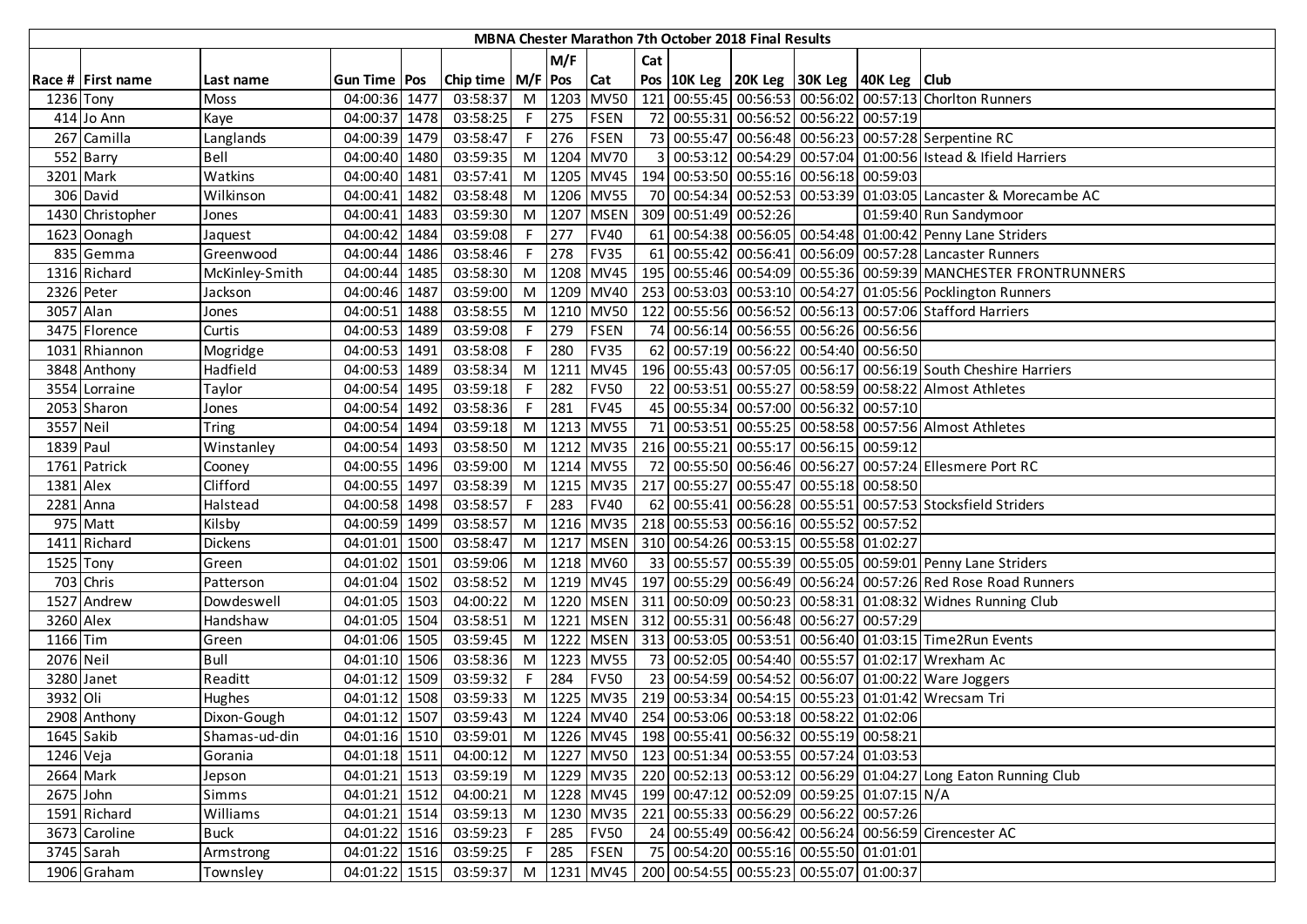|           |                   |                |                |                             |    |        |             |     | <b>MBNA Chester Marathon 7th October 2018 Final Results</b> |                                                                  |                                                                                          |
|-----------|-------------------|----------------|----------------|-----------------------------|----|--------|-------------|-----|-------------------------------------------------------------|------------------------------------------------------------------|------------------------------------------------------------------------------------------|
|           |                   |                |                |                             |    | M/F    |             | Cat |                                                             |                                                                  |                                                                                          |
|           | Race # First name | Last name      | Gun Time   Pos | Chip time   M/F   Pos   Cat |    |        |             |     |                                                             | Pos   10K Leg   20K Leg   30K Leg   40K Leg   Club               |                                                                                          |
| 1236 Tony |                   | <b>Moss</b>    | 04:00:36 1477  | 03:58:37                    |    | M 1203 | <b>MV50</b> |     |                                                             |                                                                  | 121 00:55:45 00:56:53 00:56:02 00:57:13 Choriton Runners                                 |
|           | 414 Jo Ann        | Kaye           | 04:00:37 1478  | 03:58:25                    | F. | 275    | <b>FSEN</b> |     |                                                             | 72 00:55:31 00:56:52 00:56:22 00:57:19                           |                                                                                          |
|           | 267 Camilla       | Langlands      | 04:00:39 1479  | 03:58:47                    | F. | 276    | <b>FSEN</b> |     |                                                             |                                                                  | 73 00:55:47 00:56:48 00:56:23 00:57:28 Serpentine RC                                     |
|           | 552 Barry         | Bell           | 04:00:40 1480  | 03:59:35                    | M  |        | 1204 MV70   |     |                                                             |                                                                  | 3 00:53:12 00:54:29 00:57:04 01:00:56 Istead & Ifield Harriers                           |
|           | 3201 Mark         | Watkins        | 04:00:40 1481  | 03:57:41                    | M  |        | 1205 MV45   |     |                                                             | 194 00:53:50 00:55:16 00:56:18 00:59:03                          |                                                                                          |
|           | 306 David         | Wilkinson      | 04:00:41 1482  | 03:58:48                    | M  |        | 1206 MV55   |     |                                                             |                                                                  | 70 00:54:34 00:52:53 00:53:39 01:03:05 Lancaster & Morecambe AC                          |
|           | 1430 Christopher  | Jones          | 04:00:41 1483  | 03:59:30                    | M  | 1207   | <b>MSEN</b> |     | 309 00:51:49 00:52:26                                       |                                                                  | 01:59:40 Run Sandymoor                                                                   |
|           | 1623 Oonagh       | Jaquest        | 04:00:42 1484  | 03:59:08                    | E  | 277    | <b>FV40</b> |     |                                                             |                                                                  | 61 00:54:38 00:56:05 00:54:48 01:00:42 Penny Lane Striders                               |
|           | 835 Gemma         | Greenwood      | 04:00:44 1486  | 03:58:46                    | F. | 278    | <b>FV35</b> |     |                                                             |                                                                  | 61 00:55:42 00:56:41 00:56:09 00:57:28 Lancaster Runners                                 |
|           | 1316 Richard      | McKinley-Smith | 04:00:44 1485  | 03:58:30                    | M  | 1208   | <b>MV45</b> |     |                                                             |                                                                  | 195 00:55:46 00:54:09 00:55:36 00:59:39 MANCHESTER FRONTRUNNERS                          |
|           | 2326 Peter        | Jackson        | 04:00:46 1487  | 03:59:00                    | M  |        | 1209 MV40   |     |                                                             |                                                                  | 253 00:53:03 00:53:10 00:54:27 01:05:56 Pocklington Runners                              |
| 3057 Alan |                   | Jones          | 04:00:51 1488  | 03:58:55                    | M  |        | 1210 MV50   |     |                                                             |                                                                  | 122 00:55:56 00:56:52 00:56:13 00:57:06 Stafford Harriers                                |
|           | 3475 Florence     | Curtis         | 04:00:53 1489  | 03:59:08                    |    | 279    | <b>FSEN</b> | 74  |                                                             | 00:56:14 00:56:55 00:56:26 00:56:56                              |                                                                                          |
|           | 1031 Rhiannon     | Mogridge       | 04:00:53 1491  | 03:58:08                    | F. | 280    | <b>FV35</b> |     |                                                             | 62 00:57:19 00:56:22 00:54:40 00:56:50                           |                                                                                          |
|           | 3848 Anthony      | Hadfield       | 04:00:53 1489  | 03:58:34                    | M  | 1211   | <b>MV45</b> |     |                                                             |                                                                  | 196 00:55:43 00:57:05 00:56:17 00:56:19 South Cheshire Harriers                          |
|           | 3554 Lorraine     | Taylor         | 04:00:54 1495  | 03:59:18                    | F. | 282    | <b>FV50</b> |     |                                                             |                                                                  | 22 00:53:51 00:55:27 00:58:59 00:58:22 Almost Athletes                                   |
|           | 2053 Sharon       | Jones          | 04:00:54 1492  | 03:58:36                    | F. | 281    | <b>FV45</b> |     |                                                             | 45 00:55:34 00:57:00 00:56:32 00:57:10                           |                                                                                          |
| 3557 Neil |                   | Tring          | 04:00:54 1494  | 03:59:18                    |    |        | M 1213 MV55 |     |                                                             |                                                                  | 71 00:53:51 00:55:25 00:58:58 00:57:56 Almost Athletes                                   |
| 1839 Paul |                   | Winstanley     | 04:00:54 1493  | 03:58:50                    | M  |        | 1212 MV35   |     |                                                             | 216 00:55:21 00:55:17 00:56:15 00:59:12                          |                                                                                          |
|           | 1761 Patrick      | Cooney         | 04:00:55 1496  | 03:59:00                    | M  |        | 1214 MV55   |     |                                                             |                                                                  | 72 00:55:50 00:56:46 00:56:27 00:57:24 Ellesmere Port RC                                 |
| 1381 Alex |                   | Clifford       | 04:00:55 1497  | 03:58:39                    | M  |        | 1215 MV35   |     |                                                             | 217 00:55:27 00:55:47 00:55:18 00:58:50                          |                                                                                          |
|           | 2281 Anna         | Halstead       | 04:00:58 1498  | 03:58:57                    | F. | 283    | <b>FV40</b> |     |                                                             |                                                                  | 62 00:55:41 00:56:28 00:55:51 00:57:53 Stocksfield Striders                              |
|           | 975 Matt          | Kilsby         | 04:00:59 1499  | 03:58:57                    | M  |        | 1216 MV35   |     |                                                             | 218 00:55:53 00:56:16 00:55:52 00:57:52                          |                                                                                          |
|           | 1411 Richard      | Dickens        | 04:01:01 1500  | 03:58:47                    | M  |        | 1217 MSEN   |     |                                                             | 310 00:54:26 00:53:15 00:55:58 01:02:27                          |                                                                                          |
| 1525 Tony |                   | Green          | 04:01:02 1501  | 03:59:06                    | M  |        | 1218 MV60   |     |                                                             |                                                                  | 33 00:55:57 00:55:39 00:55:05 00:59:01 Penny Lane Striders                               |
|           | 703 Chris         | Patterson      | 04:01:04 1502  | 03:58:52                    | M  |        | 1219 MV45   |     |                                                             |                                                                  | 197 00:55:29 00:56:49 00:56:24 00:57:26 Red Rose Road Runners                            |
|           | 1527 Andrew       | Dowdeswell     | 04:01:05 1503  | 04:00:22                    | M  |        | 1220 MSEN   |     |                                                             |                                                                  | 311 00:50:09 00:50:23 00:58:31 01:08:32 Widnes Running Club                              |
| 3260 Alex |                   | Handshaw       | 04:01:05 1504  | 03:58:51                    | M  | 1221   | <b>MSEN</b> |     |                                                             | 312 00:55:31 00:56:48 00:56:27 00:57:29                          |                                                                                          |
| 1166 Tim  |                   | Green          | 04:01:06 1505  | 03:59:45                    | M  |        | 1222 MSEN   |     |                                                             |                                                                  | 313 00:53:05 00:53:51 00:56:40 01:03:15 Time2Run Events                                  |
| 2076 Neil |                   | Bull           | 04:01:10 1506  | 03:58:36                    | M  |        | 1223 MV55   |     |                                                             |                                                                  | 73 00:52:05 00:54:40 00:55:57 01:02:17 Wrexham Ac                                        |
|           | 3280 Janet        | Readitt        | 04:01:12 1509  | 03:59:32                    | F. | 284    | <b>FV50</b> |     |                                                             |                                                                  | 23 00:54:59 00:54:52 00:56:07 01:00:22 Ware Joggers                                      |
| 3932 Oli  |                   | Hughes         | 04:01:12 1508  | 03:59:33                    | M  |        | 1225 MV35   |     |                                                             |                                                                  | 219 00:53:34 00:54:15 00:55:23 01:01:42 Wrecsam Tri                                      |
|           | 2908 Anthony      | Dixon-Gough    | 04:01:12 1507  | 03:59:43                    |    |        |             |     |                                                             | M  1224  MV40   254 00:53:06 00:53:18 00:58:22 01:02:06          |                                                                                          |
|           | 1645 Sakib        | Shamas-ud-din  |                | 04:01:16 1510 03:59:01      |    |        |             |     |                                                             | M  1226   MV45   198   00:55:41   00:56:32   00:55:19   00:58:21 |                                                                                          |
| 1246 Veja |                   | Gorania        | 04:01:18 1511  | 04:00:12                    |    |        |             |     |                                                             | M  1227 MV50   123 00:51:34 00:53:55 00:57:24 01:03:53           |                                                                                          |
|           | 2664 Mark         | Jepson         | 04:01:21 1513  | 03:59:19                    |    |        |             |     |                                                             |                                                                  | M  1229   MV35   220   00:52:13   00:53:12   00:56:29   01:04:27 Long Eaton Running Club |
| 2675 John |                   | Simms          | 04:01:21 1512  | 04:00:21                    | M  |        | 1228 MV45   |     |                                                             | 199 00:47:12 00:52:09 00:59:25 01:07:15 N/A                      |                                                                                          |
|           | 1591 Richard      | Williams       | 04:01:21 1514  | 03:59:13                    | M  |        | 1230 MV35   |     |                                                             | 221 00:55:33 00:56:29 00:56:22 00:57:26                          |                                                                                          |
|           | 3673 Caroline     | <b>Buck</b>    | 04:01:22 1516  | 03:59:23                    | F. | 285    | <b>FV50</b> |     |                                                             |                                                                  | 24 00:55:49 00:56:42 00:56:24 00:56:59 Cirencester AC                                    |
|           | 3745 Sarah        | Armstrong      | 04:01:22 1516  | 03:59:25                    | F. | 285    | <b>FSEN</b> |     |                                                             | 75 00:54:20 00:55:16 00:55:50 01:01:01                           |                                                                                          |
|           | 1906 Graham       | Townsley       | 04:01:22 1515  | 03:59:37 M 1231 MV45        |    |        |             |     |                                                             | 200 00:54:55 00:55:23 00:55:07 01:00:37                          |                                                                                          |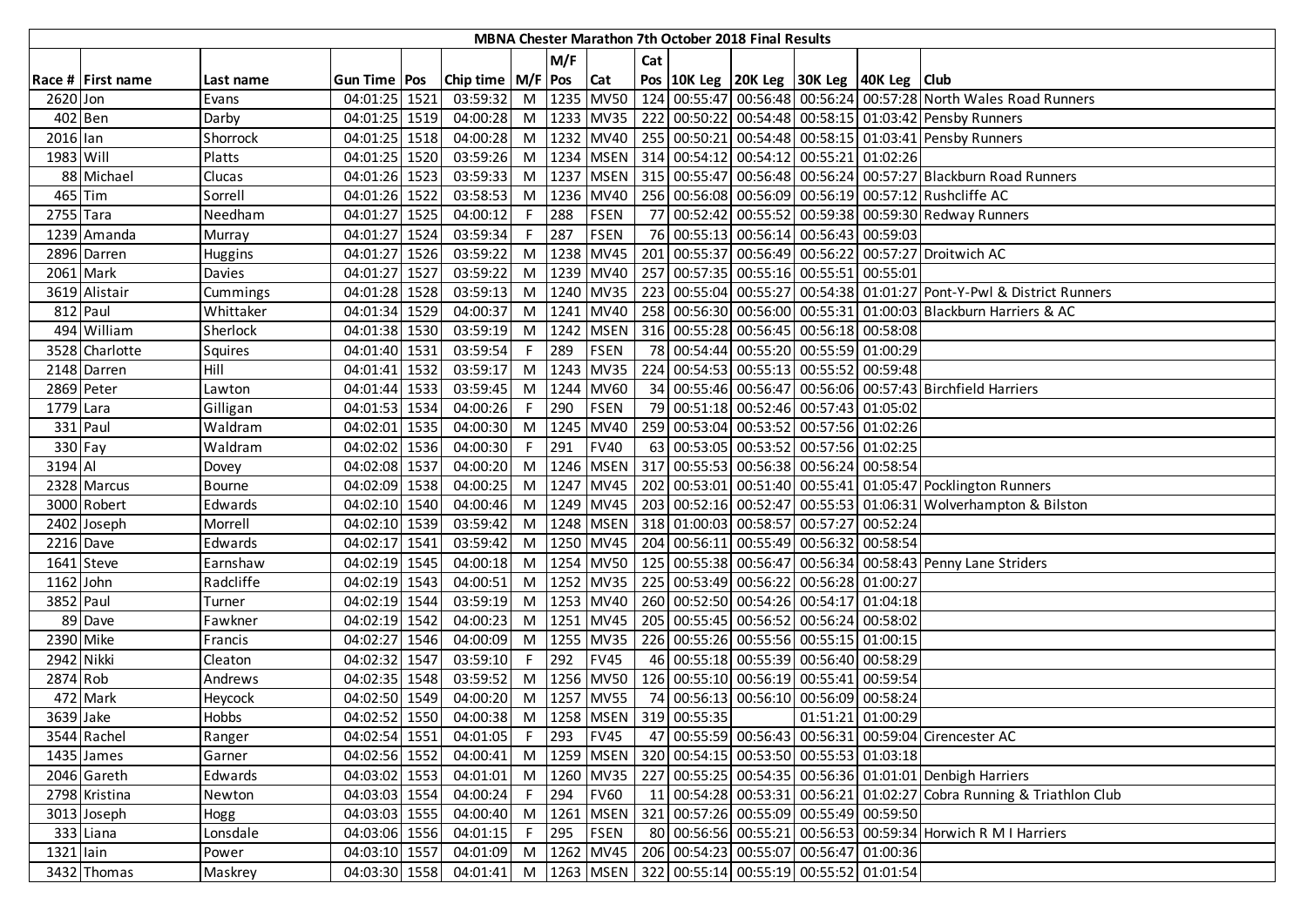|            |                   |               |                |                             |    |         |             |     |                                  | MBNA Chester Marathon 7th October 2018 Final Results |                                                                   |                                                                                            |
|------------|-------------------|---------------|----------------|-----------------------------|----|---------|-------------|-----|----------------------------------|------------------------------------------------------|-------------------------------------------------------------------|--------------------------------------------------------------------------------------------|
|            |                   |               |                |                             |    | M/F     |             | Cat |                                  |                                                      |                                                                   |                                                                                            |
|            | Race # First name | Last name     | Gun Time   Pos | Chip time   M/F   Pos   Cat |    |         |             |     |                                  |                                                      | Pos 10K Leg 20K Leg 30K Leg 40K Leg Club                          |                                                                                            |
| 2620 Jon   |                   | Evans         | 04:01:25 1521  | 03:59:32                    |    |         | M 1235 MV50 |     |                                  |                                                      |                                                                   | 124 00:55:47 00:56:48 00:56:24 00:57:28 North Wales Road Runners                           |
| 402 Ben    |                   | Darby         | 04:01:25 1519  | 04:00:28                    |    |         |             |     |                                  |                                                      |                                                                   | M   1233   MV35   222   00:50:22   00:54:48   00:58:15   01:03:42   Pensby Runners         |
| 2016 lan   |                   | Shorrock      | 04:01:25 1518  | 04:00:28                    |    |         |             |     |                                  |                                                      |                                                                   | M   1232   MV40   255   00:50:21   00:54:48   00:58:15   01:03:41   Pensby Runners         |
| 1983 Will  |                   | Platts        | 04:01:25 1520  | 03:59:26                    |    |         |             |     |                                  |                                                      | M   1234   MSEN   314   00:54:12   00:54:12   00:55:21   01:02:26 |                                                                                            |
|            | 88 Michael        | Clucas        | 04:01:26 1523  | 03:59:33                    | M  |         |             |     |                                  |                                                      |                                                                   | 1237   MSEN   315   00:55:47   00:56:48   00:56:24   00:57:27   Blackburn Road Runners     |
| 465 Tim    |                   | Sorrell       | 04:01:26 1522  | 03:58:53                    | M  |         | 1236 MV40   |     |                                  |                                                      |                                                                   | 256 00:56:08 00:56:09 00:56:19 00:57:12 Rushcliffe AC                                      |
| 2755 Tara  |                   | Needham       | 04:01:27 1525  | 04:00:12                    | F. | 288     | <b>FSEN</b> |     |                                  |                                                      |                                                                   | 77 00:52:42 00:55:52 00:59:38 00:59:30 Redway Runners                                      |
|            | 1239 Amanda       | Murray        | 04:01:27 1524  | 03:59:34                    | F. | 287     | <b>FSEN</b> |     |                                  |                                                      | 76 00:55:13 00:56:14 00:56:43 00:59:03                            |                                                                                            |
|            | 2896 Darren       | Huggins       | 04:01:27 1526  | 03:59:22                    |    |         | M 1238 MV45 |     |                                  |                                                      |                                                                   | 201 00:55:37 00:56:49 00:56:22 00:57:27 Droitwich AC                                       |
|            | 2061 Mark         | Davies        | 04:01:27 1527  | 03:59:22                    |    |         | M 1239 MV40 |     |                                  |                                                      | 257 00:57:35 00:55:16 00:55:51 00:55:01                           |                                                                                            |
|            | 3619 Alistair     | Cummings      | 04:01:28 1528  | 03:59:13                    |    |         | M 1240 MV35 |     |                                  |                                                      |                                                                   | 223 00:55:04 00:55:27 00:54:38 01:01:27 Pont-Y-Pwl & District Runners                      |
| 812 Paul   |                   | Whittaker     | 04:01:34 1529  | 04:00:37                    |    |         | M 1241 MV40 |     |                                  |                                                      |                                                                   | 258 00:56:30 00:56:00 00:55:31 01:00:03 Blackburn Harriers & AC                            |
|            | 494 William       | Sherlock      | 04:01:38 1530  | 03:59:19                    |    |         | M 1242 MSEN |     |                                  |                                                      | 316 00:55:28 00:56:45 00:56:18 00:58:08                           |                                                                                            |
|            | 3528 Charlotte    | Squires       | 04:01:40 1531  | 03:59:54                    | F. | 289     | FSEN        |     |                                  |                                                      | 78 00:54:44 00:55:20 00:55:59 01:00:29                            |                                                                                            |
|            | 2148 Darren       | Hill          | 04:01:41 1532  | 03:59:17                    |    |         | M 1243 MV35 |     |                                  |                                                      | 224 00:54:53 00:55:13 00:55:52 00:59:48                           |                                                                                            |
| 2869 Peter |                   | Lawton        | 04:01:44 1533  | 03:59:45                    |    |         | M 1244 MV60 |     |                                  |                                                      |                                                                   | 34 00:55:46 00:56:47 00:56:06 00:57:43 Birchfield Harriers                                 |
| 1779 Lara  |                   | Gilligan      | 04:01:53 1534  | 04:00:26                    |    | $F$ 290 | <b>FSEN</b> |     |                                  |                                                      | 79 00:51:18 00:52:46 00:57:43 01:05:02                            |                                                                                            |
| 331 Paul   |                   | Waldram       | 04:02:01 1535  | 04:00:30                    |    |         | M 1245 MV40 |     |                                  |                                                      | 259 00:53:04 00:53:52 00:57:56 01:02:26                           |                                                                                            |
| $330$ Fay  |                   | Waldram       | 04:02:02 1536  | 04:00:30                    | F. | 291     | <b>FV40</b> |     |                                  |                                                      | 63 00:53:05 00:53:52 00:57:56 01:02:25                            |                                                                                            |
| 3194 Al    |                   | Dovey         | 04:02:08 1537  | 04:00:20                    |    |         |             |     |                                  |                                                      | M  1246   MSEN   317   00:55:53   00:56:38   00:56:24   00:58:54  |                                                                                            |
|            | 2328 Marcus       | <b>Bourne</b> | 04:02:09 1538  | 04:00:25                    |    |         |             |     |                                  |                                                      |                                                                   | M  1247   MV45   202   00:53:01   00:51:40   00:55:41   01:05:47   Pocklington Runners     |
|            | 3000 Robert       | Edwards       | 04:02:10 1540  | 04:00:46                    |    |         |             |     |                                  |                                                      |                                                                   | M  1249   MV45   203   00:52:16   00:52:47   00:55:53   01:06:31   Wolverhampton & Bilston |
|            | 2402 Joseph       | Morrell       | 04:02:10 1539  | 03:59:42                    |    |         |             |     |                                  |                                                      | M  1248   MSEN   318   01:00:03   00:58:57   00:57:27   00:52:24  |                                                                                            |
| 2216 Dave  |                   | Edwards       | 04:02:17 1541  | 03:59:42                    |    |         | M 1250 MV45 |     |                                  |                                                      | 204 00:56:11 00:55:49 00:56:32 00:58:54                           |                                                                                            |
| 1641 Steve |                   | Earnshaw      | 04:02:19 1545  | 04:00:18                    |    |         |             |     |                                  |                                                      |                                                                   | M  1254   MV50   125   00:55:38   00:56:47   00:56:34   00:58:43   Penny Lane Striders     |
| 1162 John  |                   | Radcliffe     | 04:02:19 1543  | 04:00:51                    |    |         |             |     |                                  |                                                      | M  1252   MV35   225   00:53:49   00:56:22   00:56:28   01:00:27  |                                                                                            |
| 3852 Paul  |                   | Turner        | 04:02:19 1544  | 03:59:19                    |    |         |             |     |                                  |                                                      | M  1253  MV40   260 00:52:50 00:54:26 00:54:17 01:04:18           |                                                                                            |
|            | 89 Dave           | Fawkner       | 04:02:19 1542  | 04:00:23                    |    |         | M 1251 MV45 |     |                                  |                                                      | 205 00:55:45 00:56:52 00:56:24 00:58:02                           |                                                                                            |
| 2390 Mike  |                   | Francis       | 04:02:27 1546  | 04:00:09                    |    |         | M 1255 MV35 |     |                                  |                                                      | 226 00:55:26 00:55:56 00:55:15 01:00:15                           |                                                                                            |
| 2942 Nikki |                   | Cleaton       | 04:02:32 1547  | 03:59:10                    | F  | 292     | <b>FV45</b> |     |                                  |                                                      | 46 00:55:18 00:55:39 00:56:40 00:58:29                            |                                                                                            |
| 2874 Rob   |                   | Andrews       | 04:02:35 1548  | 03:59:52                    |    |         | M 1256 MV50 |     |                                  |                                                      | 126 00:55:10 00:56:19 00:55:41 00:59:54                           |                                                                                            |
|            | 472 Mark          | Heycock       | 04:02:50 1549  | 04:00:20                    | M  |         | 1257 MV55   |     |                                  |                                                      | 74 00:56:13 00:56:10 00:56:09 00:58:24                            |                                                                                            |
| 3639 Jake  |                   | Hobbs         | 04:02:52 1550  | 04:00:38                    |    |         |             |     | M   1258   MSEN   319   00:55:35 |                                                      | 01:51:21 01:00:29                                                 |                                                                                            |
|            | 3544 Rachel       | Ranger        | 04:02:54 1551  | 04:01:05                    |    | $F$ 293 | <b>FV45</b> |     |                                  |                                                      |                                                                   | 47 00:55:59 00:56:43 00:56:31 00:59:04 Cirencester AC                                      |
|            | 1435 James        | Garner        | 04:02:56 1552  | 04:00:41                    |    |         |             |     |                                  |                                                      | M  1259   MSEN   320   00:54:15   00:53:50   00:55:53   01:03:18  |                                                                                            |
|            | 2046 Gareth       | Edwards       | 04:03:02 1553  | 04:01:01                    |    |         | M 1260 MV35 |     |                                  |                                                      |                                                                   | 227 00:55:25 00:54:35 00:56:36 01:01:01 Denbigh Harriers                                   |
|            | 2798 Kristina     | Newton        | 04:03:03 1554  | 04:00:24                    | F. | 294     | <b>FV60</b> |     |                                  |                                                      |                                                                   | 11 00:54:28 00:53:31 00:56:21 01:02:27 Cobra Running & Triathlon Club                      |
|            | 3013 Joseph       | Hogg          | 04:03:03 1555  | 04:00:40                    |    | M 1261  | <b>MSEN</b> |     |                                  |                                                      | 321 00:57:26 00:55:09 00:55:49 00:59:50                           |                                                                                            |
|            | 333 Liana         | Lonsdale      | 04:03:06 1556  | 04:01:15                    | F. | 295     | FSEN        |     |                                  |                                                      |                                                                   | 80 00:56:56 00:55:21 00:56:53 00:59:34 Horwich R M I Harriers                              |
| 1321 lain  |                   | Power         | 04:03:10 1557  | 04:01:09                    |    |         |             |     |                                  |                                                      | M  1262   MV45   206   00:54:23   00:55:07   00:56:47   01:00:36  |                                                                                            |
|            | 3432 Thomas       | Maskrey       | 04:03:30 1558  | 04:01:41                    |    |         |             |     |                                  |                                                      | M  1263  MSEN   322   00:55:14   00:55:19   00:55:52   01:01:54   |                                                                                            |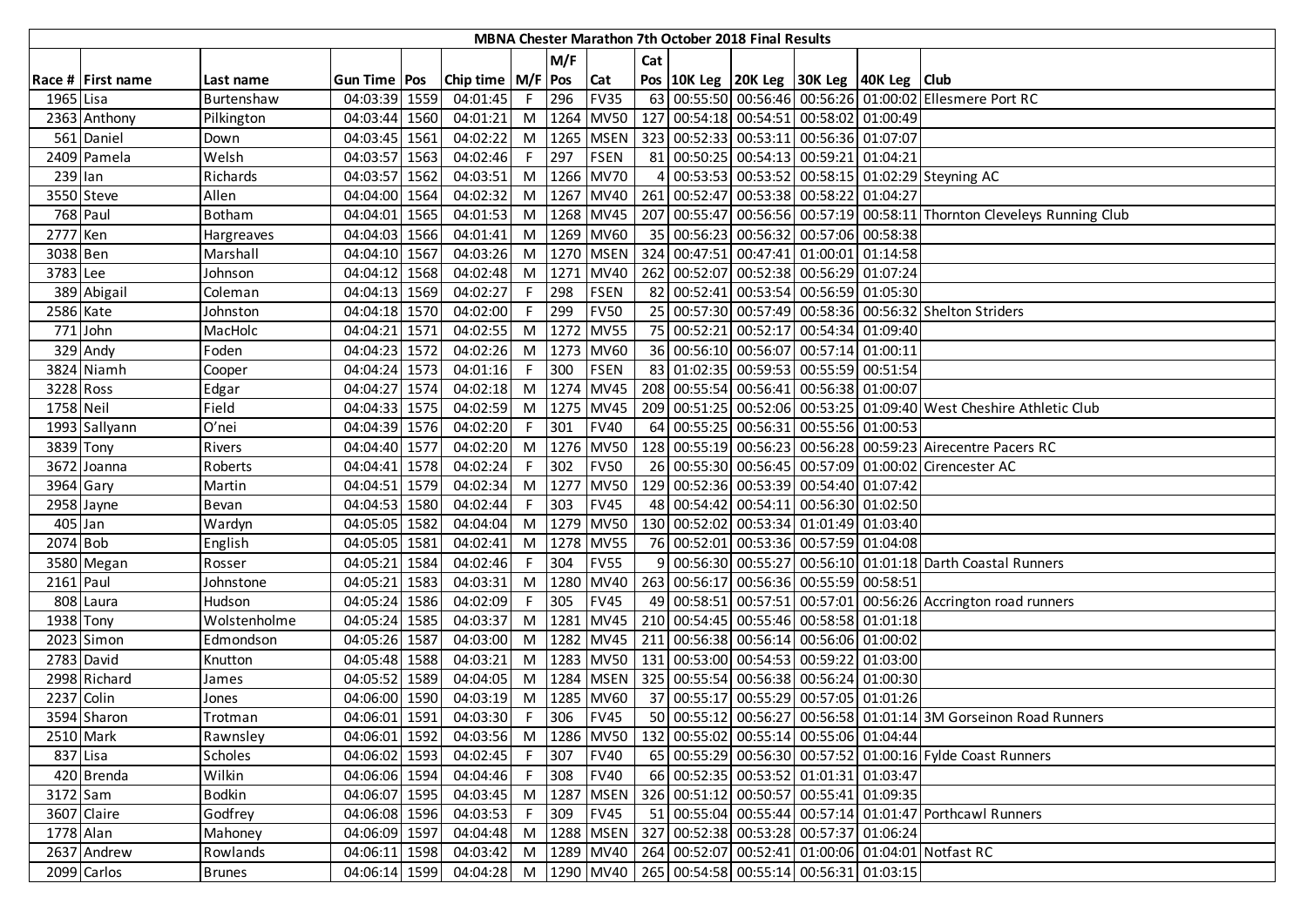|            |                   |                |                |                       |                |         |                 |     | MBNA Chester Marathon 7th October 2018 Final Results |                                                                   |                                                                                |
|------------|-------------------|----------------|----------------|-----------------------|----------------|---------|-----------------|-----|------------------------------------------------------|-------------------------------------------------------------------|--------------------------------------------------------------------------------|
|            |                   |                |                |                       |                | M/F     |                 | Cat |                                                      |                                                                   |                                                                                |
|            | Race # First name | Last name      | Gun Time   Pos | Chip time   M/F   Pos |                |         | <b>Cat</b>      |     |                                                      | Pos   10K Leg   20K Leg   30K Leg   40K Leg   Club                |                                                                                |
| 1965 Lisa  |                   | Burtenshaw     | 04:03:39 1559  | 04:01:45              |                | F 296   | <b>FV35</b>     |     |                                                      |                                                                   | 63 00:55:50 00:56:46 00:56:26 01:00:02 Ellesmere Port RC                       |
|            | 2363 Anthony      | Pilkington     | 04:03:44 1560  | 04:01:21              |                |         | M 1264 MV50     |     |                                                      | 127 00:54:18 00:54:51 00:58:02 01:00:49                           |                                                                                |
|            | 561 Daniel        | Down           | 04:03:45 1561  | 04:02:22              |                |         |                 |     |                                                      | M  1265   MSEN   323   00:52:33   00:53:11   00:56:36   01:07:07  |                                                                                |
|            | 2409 Pamela       | Welsh          | 04:03:57 1563  | 04:02:46              |                | $F$ 297 | <b>FSEN</b>     |     |                                                      | 81 00:50:25 00:54:13 00:59:21 01:04:21                            |                                                                                |
| 239 Ian    |                   | Richards       | 04:03:57 1562  | 04:03:51              |                |         | M 1266 MV70     | 4   |                                                      |                                                                   | 00:53:53 00:53:52 00:58:15 01:02:29 Steyning AC                                |
|            | 3550 Steve        | Allen          | 04:04:00 1564  | 04:02:32              |                |         |                 |     |                                                      | M  1267   MV40   261   00:52:47   00:53:38   00:58:22   01:04:27  |                                                                                |
| 768 Paul   |                   | <b>Botham</b>  | 04:04:01 1565  | 04:01:53              |                |         | M 1268 MV45     |     |                                                      |                                                                   | 207 00:55:47 00:56:56 00:57:19 00:58:11 Thornton Cleveleys Running Club        |
| 2777 Ken   |                   | Hargreaves     | 04:04:03 1566  | 04:01:41              | M              |         | 1269 MV60       |     |                                                      | 35 00:56:23 00:56:32 00:57:06 00:58:38                            |                                                                                |
| 3038 Ben   |                   | Marshall       | 04:04:10 1567  | 04:03:26              |                |         | M 1270 MSEN     |     |                                                      | 324 00:47:51 00:47:41 01:00:01 01:14:58                           |                                                                                |
| 3783 Lee   |                   | Johnson        | 04:04:12 1568  | 04:02:48              |                |         | M 1271 MV40     |     |                                                      | 262 00:52:07 00:52:38 00:56:29 01:07:24                           |                                                                                |
|            | 389 Abigail       | Coleman        | 04:04:13 1569  | 04:02:27              | F.             | 298     | <b>FSEN</b>     |     |                                                      | 82 00:52:41 00:53:54 00:56:59 01:05:30                            |                                                                                |
| 2586 Kate  |                   | Johnston       | 04:04:18 1570  | 04:02:00              | F.             | 299     | <b>FV50</b>     |     |                                                      |                                                                   | 25 00:57:30 00:57:49 00:58:36 00:56:32 Shelton Striders                        |
|            | 771 John          | MacHolc        | 04:04:21 1571  | 04:02:55              |                | M 1272  | <b>MV55</b>     |     |                                                      | 75 00:52:21 00:52:17 00:54:34 01:09:40                            |                                                                                |
|            | 329 Andy          | Foden          | 04:04:23 1572  | 04:02:26              |                |         | M 1273 MV60     |     |                                                      | 36 00:56:10 00:56:07 00:57:14 01:00:11                            |                                                                                |
|            | 3824 Niamh        | Cooper         | 04:04:24 1573  | 04:01:16              | F <sub>1</sub> | 300     | FSEN            |     |                                                      | 83 01:02:35 00:59:53 00:55:59 00:51:54                            |                                                                                |
| 3228 Ross  |                   | Edgar          | 04:04:27 1574  | 04:02:18              |                |         | M 1274 MV45     |     |                                                      | 208 00:55:54 00:56:41 00:56:38 01:00:07                           |                                                                                |
| 1758 Neil  |                   | Field          | 04:04:33 1575  | 04:02:59              |                |         | M 1275 MV45     |     |                                                      |                                                                   | 209 00:51:25 00:52:06 00:53:25 01:09:40 West Cheshire Athletic Club            |
|            | 1993 Sallyann     | O'nei          | 04:04:39 1576  | 04:02:20              |                | F 301   | <b>FV40</b>     |     |                                                      | 64 00:55:25 00:56:31 00:55:56 01:00:53                            |                                                                                |
| 3839 Tony  |                   | Rivers         | 04:04:40 1577  | 04:02:20              |                |         | M 1276 MV50     |     |                                                      |                                                                   | 128 00:55:19 00:56:23 00:56:28 00:59:23 Airecentre Pacers RC                   |
|            | 3672 Joanna       | Roberts        | 04:04:41 1578  | 04:02:24              | F.             | 302     | <b>FV50</b>     |     |                                                      |                                                                   | 26 00:55:30 00:56:45 00:57:09 01:00:02 Cirencester AC                          |
| 3964 Gary  |                   | Martin         | 04:04:51 1579  | 04:02:34              |                |         | M 1277 MV50     |     |                                                      | 129 00:52:36 00:53:39 00:54:40 01:07:42                           |                                                                                |
|            | 2958 Jayne        | Bevan          | 04:04:53 1580  | 04:02:44              |                | 303     | <b>FV45</b>     |     |                                                      | 48 00:54:42 00:54:11 00:56:30 01:02:50                            |                                                                                |
| 405 Jan    |                   | Wardyn         | 04:05:05 1582  | 04:04:04              |                |         | M 1279 MV50     |     |                                                      | 130 00:52:02 00:53:34 01:01:49 01:03:40                           |                                                                                |
| 2074 Bob   |                   | English        | 04:05:05 1581  | 04:02:41              |                |         | M   1278   MV55 |     |                                                      | 76 00:52:01 00:53:36 00:57:59 01:04:08                            |                                                                                |
|            | 3580 Megan        | Rosser         | 04:05:21 1584  | 04:02:46              | F.             | 304     | <b>FV55</b>     |     |                                                      |                                                                   | 9 00:56:30 00:55:27 00:56:10 01:01:18 Darth Coastal Runners                    |
| 2161 Paul  |                   | Johnstone      | 04:05:21 1583  | 04:03:31              |                |         | M 1280 MV40     |     |                                                      | 263 00:56:17 00:56:36 00:55:59 00:58:51                           |                                                                                |
|            | 808 Laura         | Hudson         | 04:05:24 1586  | 04:02:09              | F.             | 305     | <b>FV45</b>     |     |                                                      |                                                                   | 49 00:58:51 00:57:51 00:57:01 00:56:26 Accrington road runners                 |
| 1938 Tony  |                   | Wolstenholme   | 04:05:24 1585  | 04:03:37              |                |         | M 1281 MV45     |     |                                                      | 210 00:54:45 00:55:46 00:58:58 01:01:18                           |                                                                                |
|            | 2023 Simon        | Edmondson      | 04:05:26 1587  | 04:03:00              | M <sub>1</sub> |         |                 |     |                                                      | 1282 MV45 211 00:56:38 00:56:14 00:56:06 01:00:02                 |                                                                                |
|            | 2783 David        | Knutton        | 04:05:48 1588  | 04:03:21              |                |         |                 |     |                                                      | M  1283  MV50   131 00:53:00 00:54:53 00:59:22 01:03:00           |                                                                                |
|            | 2998 Richard      | James          | 04:05:52 1589  | 04:04:05              |                |         | M   1284   MSEN |     |                                                      | 325 00:55:54 00:56:38 00:56:24 01:00:30                           |                                                                                |
| 2237 Colin |                   | Jones          | 04:06:00 1590  | 04:03:19              | M              |         | 1285 MV60       |     |                                                      | 37 00:55:17 00:55:29 00:57:05 01:01:26                            |                                                                                |
|            | 3594 Sharon       | Trotman        | 04:06:01 1591  | 04:03:30              |                |         | F 306 FV45      |     |                                                      |                                                                   | 50 00:55:12 00:56:27 00:56:58 01:01:14 3M Gorseinon Road Runners               |
|            | 2510 Mark         | Rawnsley       | 04:06:01 1592  | 04:03:56              |                |         |                 |     |                                                      | M  1286   MV50   132   00:55:02   00:55:14   00:55:06   01:04:44  |                                                                                |
| 837 Lisa   |                   | <b>Scholes</b> | 04:06:02 1593  | 04:02:45              |                | F 307   | <b>FV40</b>     |     |                                                      |                                                                   | 65 00:55:29 00:56:30 00:57:52 01:00:16 Fylde Coast Runners                     |
|            | 420 Brenda        | Wilkin         | 04:06:06 1594  | 04:04:46              |                | F 308   | <b>FV40</b>     |     |                                                      | 66 00:52:35 00:53:52 01:01:31 01:03:47                            |                                                                                |
| 3172 Sam   |                   | <b>Bodkin</b>  | 04:06:07 1595  | 04:03:45              |                |         | M   1287   MSEN |     |                                                      | 326 00:51:12 00:50:57 00:55:41 01:09:35                           |                                                                                |
|            | 3607 Claire       | Godfrey        | 04:06:08 1596  | 04:03:53              | F <sub>1</sub> | 309     | <b>FV45</b>     |     |                                                      |                                                                   | 51 00:55:04 00:55:44 00:57:14 01:01:47 Porthcawl Runners                       |
| 1778 Alan  |                   | Mahoney        | 04:06:09 1597  | 04:04:48              |                |         |                 |     |                                                      | M  1288   MSEN   327   00:52:38   00:53:28   00:57:37   01:06:24  |                                                                                |
|            | 2637 Andrew       | Rowlands       | 04:06:11 1598  | 04:03:42              |                |         |                 |     |                                                      |                                                                   | M   1289   MV40   264   00:52:07   00:52:41   01:00:06   01:04:01   Notfast RC |
|            | 2099 Carlos       | <b>Brunes</b>  | 04:06:14 1599  | 04:04:28              |                |         |                 |     |                                                      | M   1290   MV40   265   00:54:58   00:55:14   00:56:31   01:03:15 |                                                                                |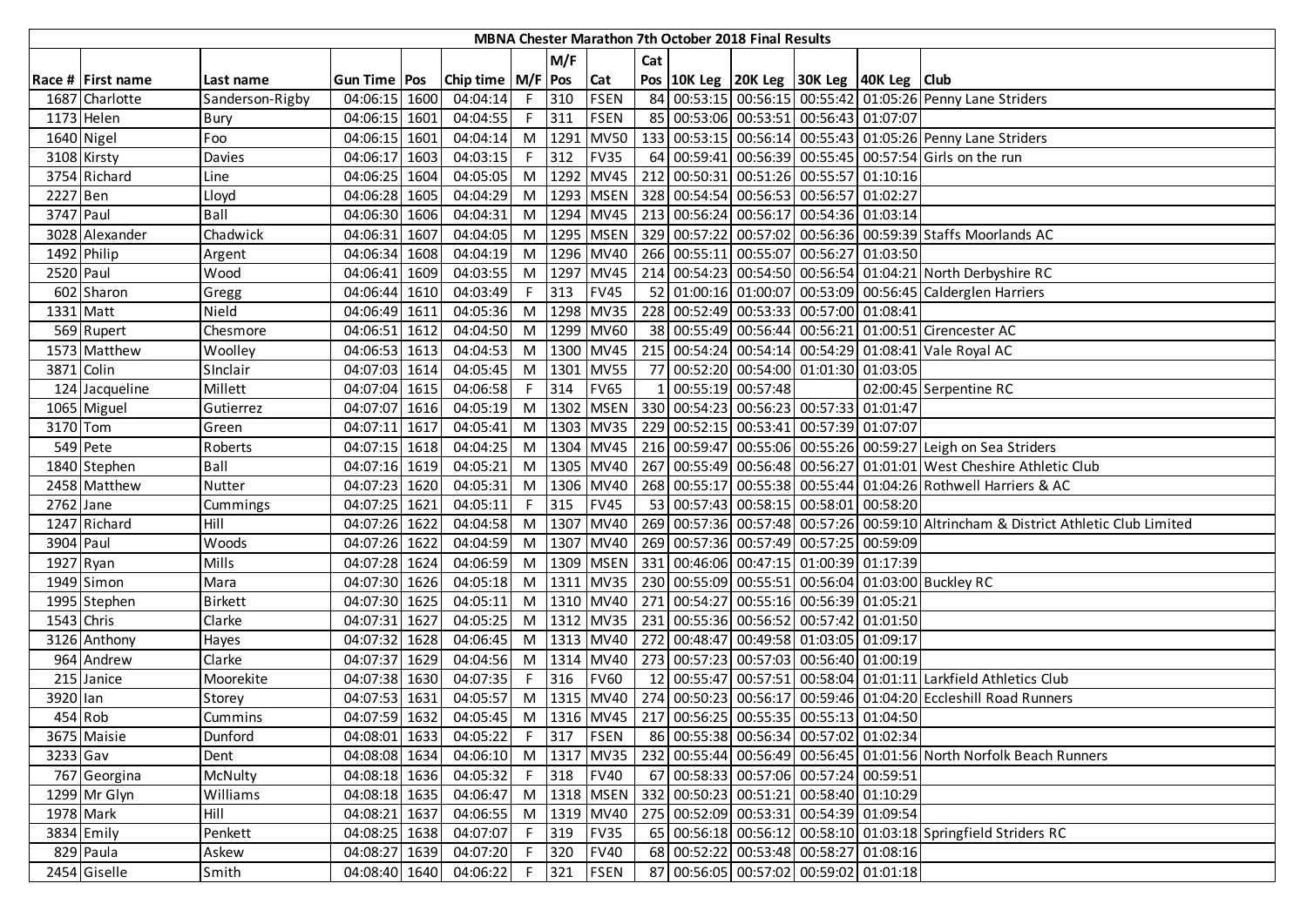|             |                   |                 |               |                       |    |         |                 |     | MBNA Chester Marathon 7th October 2018 Final Results |                                                                   |                                                                                                 |
|-------------|-------------------|-----------------|---------------|-----------------------|----|---------|-----------------|-----|------------------------------------------------------|-------------------------------------------------------------------|-------------------------------------------------------------------------------------------------|
|             |                   |                 |               |                       |    | M/F     |                 | Cat |                                                      |                                                                   |                                                                                                 |
|             | Race # First name | Last name       | Gun Time Pos  | Chip time   M/F   Pos |    |         | <b>Cat</b>      |     |                                                      | Pos   10K Leg   20K Leg   30K Leg   40K Leg   Club                |                                                                                                 |
|             | 1687 Charlotte    | Sanderson-Rigby | 04:06:15 1600 | 04:04:14              |    | F 310   | <b>FSEN</b>     |     |                                                      |                                                                   | 84 00:53:15 00:56:15 00:55:42 01:05:26 Penny Lane Striders                                      |
|             | 1173 Helen        | Bury            | 04:06:15 1601 | 04:04:55              |    | $F$ 311 | <b>FSEN</b>     |     |                                                      | 85 00:53:06 00:53:51 00:56:43 01:07:07                            |                                                                                                 |
|             | 1640 Nigel        | Foo             | 04:06:15 1601 | 04:04:14              |    |         | M 1291 MV50     |     |                                                      |                                                                   | 133 00:53:15 00:56:14 00:55:43 01:05:26 Penny Lane Striders                                     |
|             | 3108 Kirsty       | Davies          | 04:06:17 1603 | 04:03:15              |    | $F$ 312 | <b>FV35</b>     |     |                                                      |                                                                   | 64 00:59:41 00:56:39 00:55:45 00:57:54 Girls on the run                                         |
|             | 3754 Richard      | Line            | 04:06:25 1604 | 04:05:05              |    |         |                 |     |                                                      | M  1292   MV45   212   00:50:31   00:51:26   00:55:57   01:10:16  |                                                                                                 |
| 2227 Ben    |                   | Lloyd           | 04:06:28 1605 | 04:04:29              |    |         |                 |     |                                                      | M  1293   MSEN   328   00:54:54   00:56:53   00:56:57   01:02:27  |                                                                                                 |
| 3747 Paul   |                   | Ball            | 04:06:30 1606 | 04:04:31              |    |         |                 |     |                                                      | M   1294   MV45   213   00:56:24   00:56:17   00:54:36   01:03:14 |                                                                                                 |
|             | 3028 Alexander    | Chadwick        | 04:06:31 1607 | 04:04:05              | M  |         |                 |     |                                                      |                                                                   | 1295   MSEN   329   00:57:22   00:57:02   00:56:36   00:59:39 Staffs Moorlands AC               |
|             | 1492 Philip       | Argent          | 04:06:34 1608 | 04:04:19              |    |         | M   1296   MV40 |     |                                                      | 266 00:55:11 00:55:07 00:56:27 01:03:50                           |                                                                                                 |
| 2520 Paul   |                   | Wood            | 04:06:41 1609 | 04:03:55              |    |         | M 1297 MV45     |     |                                                      |                                                                   | 214 00:54:23 00:54:50 00:56:54 01:04:21 North Derbyshire RC                                     |
|             | 602 Sharon        | Gregg           | 04:06:44 1610 | 04:03:49              | F. | 313     | <b>FV45</b>     |     |                                                      |                                                                   | 52 01:00:16 01:00:07 00:53:09 00:56:45 Calderglen Harriers                                      |
|             | 1331 Matt         | Nield           | 04:06:49 1611 | 04:05:36              |    |         | M 1298 MV35     |     |                                                      | 228 00:52:49 00:53:33 00:57:00 01:08:41                           |                                                                                                 |
|             | 569 Rupert        | Chesmore        | 04:06:51 1612 | 04:04:50              | M  |         | 1299 MV60       |     |                                                      |                                                                   | 38 00:55:49 00:56:44 00:56:21 01:00:51 Cirencester AC                                           |
|             | 1573 Matthew      | Woolley         | 04:06:53 1613 | 04:04:53              |    |         | M 1300 MV45     |     |                                                      |                                                                   | 215 00:54:24 00:54:14 00:54:29 01:08:41 Vale Royal AC                                           |
|             | 3871 Colin        | SInclair        | 04:07:03 1614 | 04:05:45              |    |         | M 1301 MV55     |     |                                                      | 77 00:52:20 00:54:00 01:01:30 01:03:05                            |                                                                                                 |
|             | 124 Jacqueline    | Millett         | 04:07:04 1615 | 04:06:58              |    | $F$ 314 | <b>FV65</b>     |     | 1 00:55:19 00:57:48                                  |                                                                   | 02:00:45 Serpentine RC                                                                          |
|             | 1065 Miguel       | Gutierrez       | 04:07:07 1616 | 04:05:19              |    |         |                 |     |                                                      | M  1302   MSEN   330   00:54:23   00:56:23   00:57:33   01:01:47  |                                                                                                 |
| 3170 Tom    |                   | Green           | 04:07:11 1617 | 04:05:41              |    |         |                 |     |                                                      | M  1303   MV35   229   00:52:15   00:53:41   00:57:39   01:07:07  |                                                                                                 |
|             | 549 Pete          | Roberts         | 04:07:15 1618 | 04:04:25              |    |         |                 |     |                                                      |                                                                   | M  1304   MV45   216   00:59:47   00:55:06   00:55:26   00:59:27 Leigh on Sea Striders          |
|             | 1840 Stephen      | Ball            | 04:07:16 1619 | 04:05:21              |    |         |                 |     |                                                      |                                                                   | M   1305   MV40   267   00:55:49   00:56:48   00:56:27   01:01:01   West Cheshire Athletic Club |
|             | 2458 Matthew      | Nutter          | 04:07:23 1620 | 04:05:31              |    |         |                 |     |                                                      |                                                                   | M  1306   MV40   268   00:55:17   00:55:38   00:55:44   01:04:26   Rothwell Harriers & AC       |
| $2762$ Jane |                   | Cummings        | 04:07:25 1621 | 04:05:11              | F. | 315     | <b>FV45</b>     |     |                                                      | 53 00:57:43 00:58:15 00:58:01 00:58:20                            |                                                                                                 |
|             | 1247 Richard      | Hill            | 04:07:26 1622 | 04:04:58              |    |         | M 1307 MV40     |     |                                                      |                                                                   | 269   00:57:36   00:57:48   00:57:26   00:59:10   Altrincham & District Athletic Club Limited   |
| 3904 Paul   |                   | Woods           | 04:07:26 1622 | 04:04:59              |    |         |                 |     |                                                      | M  1307  MV40   269 00:57:36 00:57:49 00:57:25 00:59:09           |                                                                                                 |
|             | 1927 Ryan         | Mills           | 04:07:28 1624 | 04:06:59              |    |         |                 |     |                                                      | M  1309   MSEN   331   00:46:06   00:47:15   01:00:39   01:17:39  |                                                                                                 |
|             | 1949 Simon        | Mara            | 04:07:30 1626 | 04:05:18              |    |         |                 |     |                                                      |                                                                   | M  1311  MV35   230   00:55:09   00:55:51   00:56:04   01:03:00   Buckley RC                    |
|             | 1995 Stephen      | <b>Birkett</b>  | 04:07:30 1625 | 04:05:11              |    |         |                 |     |                                                      | M  1310   MV40   271   00:54:27   00:55:16   00:56:39   01:05:21  |                                                                                                 |
|             | 1543 Chris        | Clarke          | 04:07:31 1627 | 04:05:25              |    |         |                 |     |                                                      | M  1312   MV35   231   00:55:36   00:56:52   00:57:42   01:01:50  |                                                                                                 |
|             | 3126 Anthony      | Hayes           | 04:07:32 1628 | 04:06:45              |    |         |                 |     |                                                      | M  1313  MV40   272   00:48:47   00:49:58   01:03:05   01:09:17   |                                                                                                 |
|             | 964 Andrew        | Clarke          | 04:07:37 1629 | 04:04:56              |    |         | M 1314 MV40     |     |                                                      | 273 00:57:23 00:57:03 00:56:40 01:00:19                           |                                                                                                 |
|             | 215 Janice        | Moorekite       | 04:07:38 1630 | 04:07:35              |    | $F$ 316 | <b>FV60</b>     |     |                                                      |                                                                   | 12 00:55:47 00:57:51 00:58:04 01:01:11 Larkfield Athletics Club                                 |
| 3920 lan    |                   | Storey          | 04:07:53 1631 | 04:05:57              |    |         |                 |     |                                                      |                                                                   | M  1315   MV40   274   00:50:23   00:56:17   00:59:46   01:04:20   Eccleshill Road Runners      |
|             | 454 Rob           | Cummins         | 04:07:59 1632 | 04:05:45              |    |         |                 |     |                                                      | M  1316   MV45   217   00:56:25   00:55:35   00:55:13   01:04:50  |                                                                                                 |
|             | 3675 Maisie       | Dunford         | 04:08:01 1633 | 04:05:22              |    |         | F 317 FSEN      |     |                                                      | 86 00:55:38 00:56:34 00:57:02 01:02:34                            |                                                                                                 |
| 3233 Gav    |                   | Dent            | 04:08:08 1634 | 04:06:10              |    |         | M 1317 MV35     |     |                                                      |                                                                   | 232 00:55:44 00:56:49 00:56:45 01:01:56 North Norfolk Beach Runners                             |
|             | 767 Georgina      | McNulty         | 04:08:18 1636 | 04:05:32              |    |         | F 318 FV40      |     |                                                      | 67 00:58:33 00:57:06 00:57:24 00:59:51                            |                                                                                                 |
|             | 1299 Mr Glyn      | Williams        | 04:08:18 1635 | 04:06:47              |    |         | M 1318 MSEN     |     |                                                      | 332 00:50:23 00:51:21 00:58:40 01:10:29                           |                                                                                                 |
|             | 1978 Mark         | Hill            | 04:08:21 1637 | 04:06:55              |    |         | M 1319 MV40     |     |                                                      | 275 00:52:09 00:53:31 00:54:39 01:09:54                           |                                                                                                 |
|             | 3834 Emily        | Penkett         | 04:08:25 1638 | 04:07:07              |    | F 319   | <b>FV35</b>     |     |                                                      |                                                                   | 65 00:56:18 00:56:12 00:58:10 01:03:18 Springfield Striders RC                                  |
|             | 829 Paula         | Askew           | 04:08:27 1639 | 04:07:20              | F. | 320     | <b>FV40</b>     |     |                                                      | 68 00:52:22 00:53:48 00:58:27 01:08:16                            |                                                                                                 |
|             | 2454 Giselle      | Smith           | 04:08:40 1640 | 04:06:22              |    | $F$ 321 | FSEN            |     |                                                      | 87 00:56:05 00:57:02 00:59:02 01:01:18                            |                                                                                                 |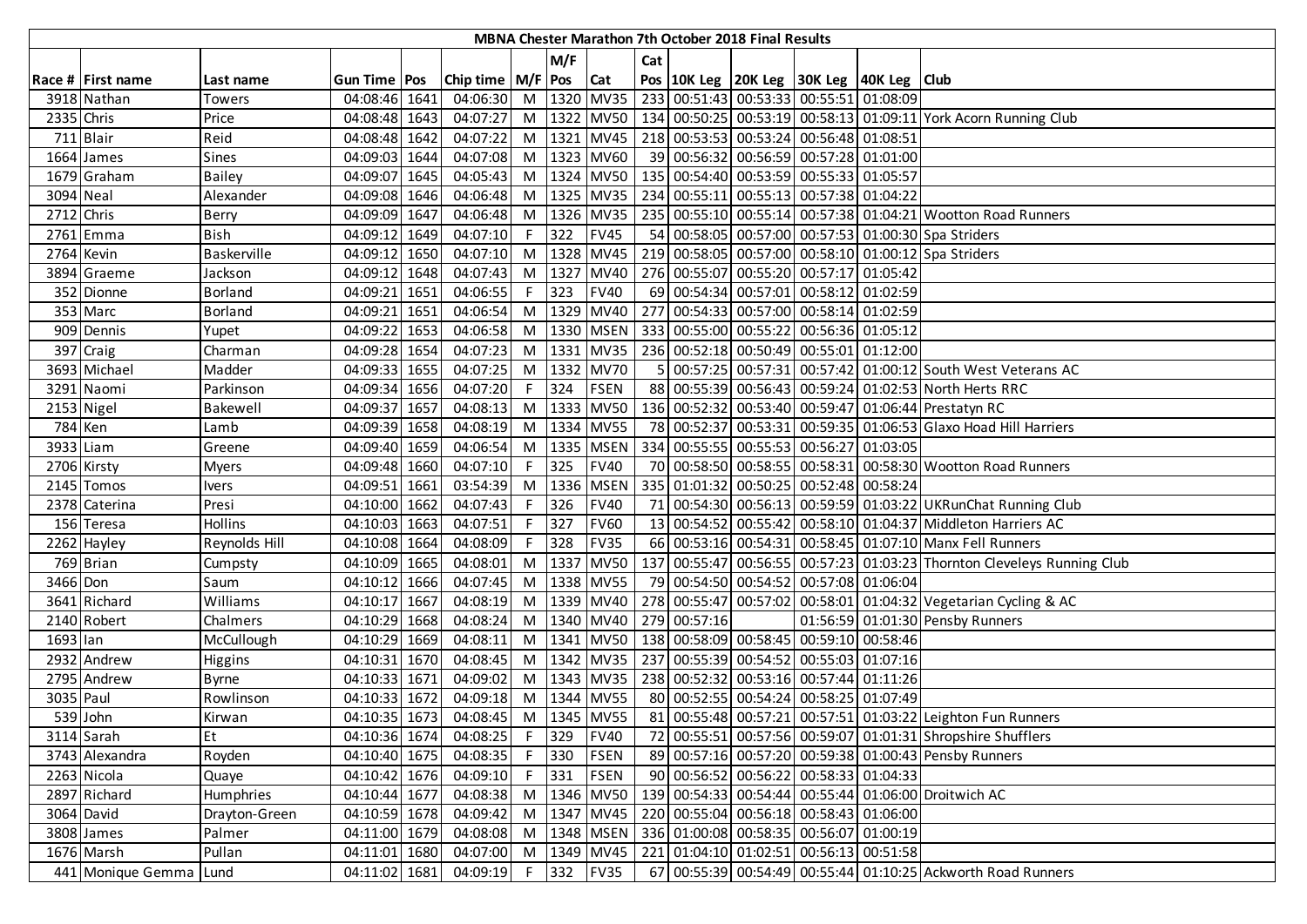|            |                        |                |                |      |                             |    |         |                 |     |              | MBNA Chester Marathon 7th October 2018 Final Results |                                                                  |                                                                                |
|------------|------------------------|----------------|----------------|------|-----------------------------|----|---------|-----------------|-----|--------------|------------------------------------------------------|------------------------------------------------------------------|--------------------------------------------------------------------------------|
|            |                        |                |                |      |                             |    | M/F     |                 | Cat |              |                                                      |                                                                  |                                                                                |
|            | Race # First name      | Last name      | Gun Time   Pos |      | Chip time   M/F   Pos   Cat |    |         |                 |     |              |                                                      | Pos   10K Leg   20K Leg   30K Leg   40K Leg   Club               |                                                                                |
|            | 3918 Nathan            | Towers         | 04:08:46 1641  |      | 04:06:30                    |    |         | M 1320 MV35     |     |              |                                                      | 233 00:51:43 00:53:33 00:55:51 01:08:09                          |                                                                                |
| 2335 Chris |                        | Price          | 04:08:48 1643  |      | 04:07:27                    |    |         |                 |     |              |                                                      |                                                                  | M  1322 MV50   134 00:50:25 00:53:19 00:58:13 01:09:11 York Acorn Running Club |
|            | 711 Blair              | Reid           | 04:08:48 1642  |      | 04:07:22                    |    |         |                 |     |              |                                                      | M  1321   MV45   218   00:53:53   00:53:24   00:56:48   01:08:51 |                                                                                |
|            | 1664 James             | Sines          | 04:09:03 1644  |      | 04:07:08                    |    |         | M 1323 MV60     |     |              |                                                      | 39 00:56:32 00:56:59 00:57:28 01:01:00                           |                                                                                |
|            | 1679 Graham            | <b>Bailey</b>  | 04:09:07 1645  |      | 04:05:43                    |    |         |                 |     |              |                                                      | M  1324   MV50   135   00:54:40   00:53:59   00:55:33   01:05:57 |                                                                                |
| 3094 Neal  |                        | Alexander      | 04:09:08 1646  |      | 04:06:48                    |    |         | M 1325 MV35     |     |              |                                                      | 234 00:55:11 00:55:13 00:57:38 01:04:22                          |                                                                                |
| 2712 Chris |                        | Berry          | 04:09:09 1647  |      | 04:06:48                    |    |         | M 1326 MV35     |     |              |                                                      |                                                                  | 235 00:55:10 00:55:14 00:57:38 01:04:21 Wootton Road Runners                   |
|            | 2761 Emma              | <b>Bish</b>    | 04:09:12 1649  |      | 04:07:10                    | F. | 322     | <b>FV45</b>     |     |              |                                                      |                                                                  | 54 00:58:05 00:57:00 00:57:53 01:00:30 Spa Striders                            |
| 2764 Kevin |                        | Baskerville    | 04:09:12 1650  |      | 04:07:10                    |    |         | M 1328 MV45     |     |              |                                                      |                                                                  | 219 00:58:05 00:57:00 00:58:10 01:00:12 Spa Striders                           |
|            | 3894 Graeme            | Jackson        | 04:09:12 1648  |      | 04:07:43                    |    |         | M   1327   MV40 |     |              |                                                      | 276 00:55:07 00:55:20 00:57:17 01:05:42                          |                                                                                |
|            | 352 Dionne             | <b>Borland</b> | 04:09:21 1651  |      | 04:06:55                    | F. | 323     | <b>FV40</b>     |     |              |                                                      | 69 00:54:34 00:57:01 00:58:12 01:02:59                           |                                                                                |
|            | 353 Marc               | <b>Borland</b> | 04:09:21       | 1651 | 04:06:54                    |    |         | M 1329 MV40     |     |              |                                                      | 277 00:54:33 00:57:00 00:58:14 01:02:59                          |                                                                                |
|            | 909 Dennis             | Yupet          | 04:09:22 1653  |      | 04:06:58                    |    |         | M 1330 MSEN     |     |              |                                                      | 333 00:55:00 00:55:22 00:56:36 01:05:12                          |                                                                                |
|            | 397 Craig              | Charman        | 04:09:28 1654  |      | 04:07:23                    |    |         | M 1331 MV35     |     |              |                                                      | 236 00:52:18 00:50:49 00:55:01 01:12:00                          |                                                                                |
|            | 3693 Michael           | Madder         | 04:09:33 1655  |      | 04:07:25                    |    |         | M 1332 MV70     |     |              |                                                      |                                                                  | 5 00:57:25 00:57:31 00:57:42 01:00:12 South West Veterans AC                   |
|            | 3291 Naomi             | Parkinson      | 04:09:34 1656  |      | 04:07:20                    |    |         | $F$ 324 FSEN    |     |              |                                                      |                                                                  | 88 00:55:39 00:56:43 00:59:24 01:02:53 North Herts RRC                         |
|            | 2153 Nigel             | Bakewell       | 04:09:37 1657  |      | 04:08:13                    |    |         | M 1333 MV50     |     |              |                                                      |                                                                  | 136 00:52:32 00:53:40 00:59:47 01:06:44 Prestatyn RC                           |
| 784 Ken    |                        | Lamb           | 04:09:39 1658  |      | 04:08:19                    |    |         | M 1334 MV55     |     |              |                                                      |                                                                  | 78 00:52:37 00:53:31 00:59:35 01:06:53 Glaxo Hoad Hill Harriers                |
| 3933 Liam  |                        | Greene         | 04:09:40 1659  |      | 04:06:54                    |    |         | M 1335 MSEN     |     |              |                                                      | 334 00:55:55 00:55:53 00:56:27 01:03:05                          |                                                                                |
|            | 2706 Kirsty            | <b>Myers</b>   | 04:09:48 1660  |      | 04:07:10                    | F. | 325     | <b>FV40</b>     |     |              |                                                      |                                                                  | 70 00:58:50 00:58:55 00:58:31 00:58:30 Wootton Road Runners                    |
|            | 2145 Tomos             | <b>Ivers</b>   | 04:09:51 1661  |      | 03:54:39                    |    |         | M   1336   MSEN |     |              |                                                      | 335 01:01:32 00:50:25 00:52:48 00:58:24                          |                                                                                |
|            | 2378 Caterina          | Presi          | 04:10:00 1662  |      | 04:07:43                    |    | 326     | <b>FV40</b>     |     |              |                                                      |                                                                  | 71 00:54:30 00:56:13 00:59:59 01:03:22 UKRunChat Running Club                  |
|            | 156 Teresa             | Hollins        | 04:10:03 1663  |      | 04:07:51                    | F. | 327     | <b>FV60</b>     |     |              |                                                      |                                                                  | 13 00:54:52 00:55:42 00:58:10 01:04:37 Middleton Harriers AC                   |
|            | 2262 Hayley            | Reynolds Hill  | 04:10:08 1664  |      | 04:08:09                    |    | 328     | <b>FV35</b>     |     |              |                                                      |                                                                  | 66 00:53:16 00:54:31 00:58:45 01:07:10 Manx Fell Runners                       |
|            | 769 Brian              | Cumpsty        | 04:10:09 1665  |      | 04:08:01                    |    |         | M 1337 MV50     |     |              |                                                      |                                                                  | 137 00:55:47 00:56:55 00:57:23 01:03:23 Thornton Cleveleys Running Club        |
| 3466 Don   |                        | Saum           | 04:10:12 1666  |      | 04:07:45                    |    |         | M 1338 MV55     |     |              |                                                      | 79 00:54:50 00:54:52 00:57:08 01:06:04                           |                                                                                |
|            | 3641 Richard           | Williams       | 04:10:17 1667  |      | 04:08:19                    |    |         | M 1339 MV40     |     |              |                                                      |                                                                  | 278 00:55:47 00:57:02 00:58:01 01:04:32 Vegetarian Cycling & AC                |
|            | 2140 Robert            | Chalmers       | 04:10:29 1668  |      | 04:08:24                    |    |         | M 1340 MV40     |     | 279 00:57:16 |                                                      |                                                                  | 01:56:59 01:01:30 Pensby Runners                                               |
| 1693 lan   |                        | McCullough     | 04:10:29 1669  |      | 04:08:11                    |    |         | M   1341   MV50 |     |              |                                                      | 138 00:58:09 00:58:45 00:59:10 00:58:46                          |                                                                                |
|            | 2932 Andrew            | Higgins        | 04:10:31 1670  |      | 04:08:45                    |    |         | M 1342 MV35     |     |              |                                                      | 237 00:55:39 00:54:52 00:55:03 01:07:16                          |                                                                                |
|            | 2795 Andrew            | <b>Byrne</b>   | 04:10:33 1671  |      | 04:09:02                    |    |         | M 1343 MV35     |     |              |                                                      | 238 00:52:32 00:53:16 00:57:44 01:11:26                          |                                                                                |
| 3035 Paul  |                        | Rowlinson      | 04:10:33 1672  |      | 04:09:18                    |    |         | M 1344 MV55     |     |              |                                                      | 80 00:52:55 00:54:24 00:58:25 01:07:49                           |                                                                                |
|            | 539 John               | Kirwan         | 04:10:35 1673  |      | 04:08:45 M 1345 MV55        |    |         |                 |     |              |                                                      |                                                                  | 81 00:55:48 00:57:21 00:57:51 01:03:22 Leighton Fun Runners                    |
|            | $3114$ Sarah           | Et             | 04:10:36 1674  |      | 04:08:25                    |    | F 329   | <b>FV40</b>     |     |              |                                                      |                                                                  | 72 00:55:51 00:57:56 00:59:07 01:01:31 Shropshire Shufflers                    |
|            | 3743 Alexandra         | Royden         | 04:10:40 1675  |      | 04:08:35                    | F. | 330     | FSEN            |     |              |                                                      |                                                                  | 89 00:57:16 00:57:20 00:59:38 01:00:43 Pensby Runners                          |
|            | 2263 Nicola            | Quaye          | 04:10:42 1676  |      | 04:09:10                    |    | $F$ 331 | FSEN            |     |              |                                                      | 90 00:56:52 00:56:22 00:58:33 01:04:33                           |                                                                                |
|            | 2897 Richard           | Humphries      | 04:10:44 1677  |      | 04:08:38                    |    |         | M 1346 MV50     |     |              |                                                      |                                                                  | 139 00:54:33 00:54:44 00:55:44 01:06:00 Droitwich AC                           |
|            | 3064 David             | Drayton-Green  | 04:10:59 1678  |      | 04:09:42                    |    |         | M 1347 MV45     |     |              |                                                      | 220 00:55:04 00:56:18 00:58:43 01:06:00                          |                                                                                |
|            | 3808 James             | Palmer         | 04:11:00 1679  |      | 04:08:08                    |    |         | M   1348   MSEN |     |              |                                                      | 336 01:00:08 00:58:35 00:56:07 01:00:19                          |                                                                                |
|            | 1676 Marsh             | Pullan         | 04:11:01 1680  |      | 04:07:00                    |    |         | M 1349 MV45     |     |              |                                                      | 221 01:04:10 01:02:51 00:56:13 00:51:58                          |                                                                                |
|            | 441 Monique Gemma Lund |                | 04:11:02 1681  |      | 04:09:19                    |    |         | F 332 FV35      |     |              |                                                      |                                                                  | 67 00:55:39 00:54:49 00:55:44 01:10:25 Ackworth Road Runners                   |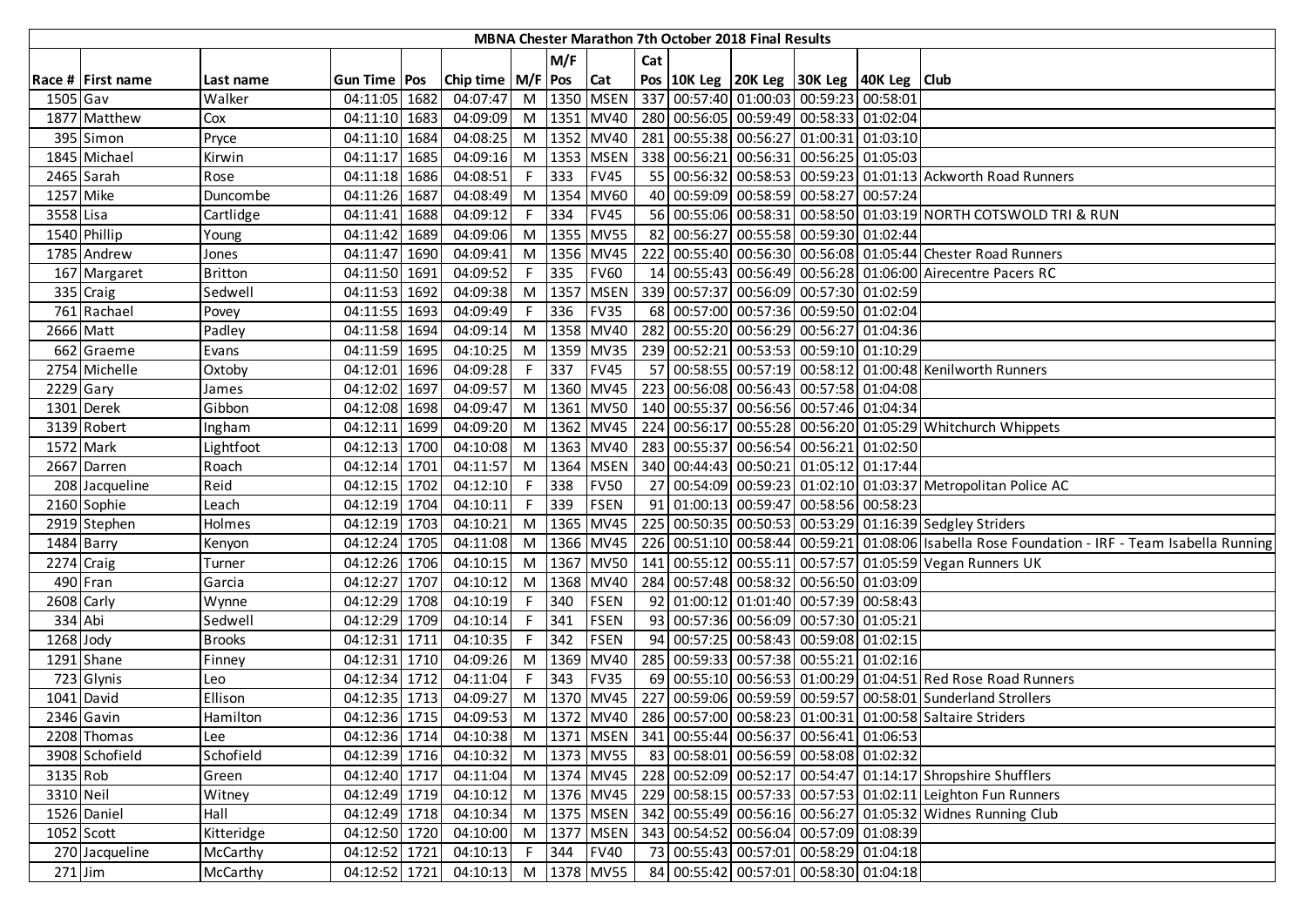|             |                   |                |                     |                             |    |         |                 |     | <b>MBNA Chester Marathon 7th October 2018 Final Results</b> |                                                                  |                                                                                                |
|-------------|-------------------|----------------|---------------------|-----------------------------|----|---------|-----------------|-----|-------------------------------------------------------------|------------------------------------------------------------------|------------------------------------------------------------------------------------------------|
|             |                   |                |                     |                             |    | M/F     |                 | Cat |                                                             |                                                                  |                                                                                                |
|             | Race # First name | Last name      | <b>Gun Time Pos</b> | Chip time   M/F   Pos   Cat |    |         |                 |     |                                                             | Pos 10K Leg 20K Leg 30K Leg 40K Leg Club                         |                                                                                                |
| 1505 Gav    |                   | Walker         | 04:11:05 1682       | 04:07:47                    |    |         | M   1350   MSEN |     |                                                             | 337 00:57:40 01:00:03 00:59:23 00:58:01                          |                                                                                                |
|             | 1877 Matthew      | Cox            | 04:11:10 1683       | 04:09:09                    |    |         |                 |     |                                                             | M  1351  MV40   280 00:56:05 00:59:49 00:58:33 01:02:04          |                                                                                                |
|             | 395 Simon         | Pryce          | 04:11:10 1684       | 04:08:25                    |    |         | M 1352 MV40     |     |                                                             | 281 00:55:38 00:56:27 01:00:31 01:03:10                          |                                                                                                |
|             | 1845 Michael      | Kirwin         | 04:11:17 1685       | 04:09:16                    |    |         | M 1353 MSEN     |     |                                                             | 338 00:56:21 00:56:31 00:56:25 01:05:03                          |                                                                                                |
|             | 2465 Sarah        | Rose           | 04:11:18 1686       | 04:08:51                    | F. | 333     | <b>FV45</b>     |     |                                                             |                                                                  | 55 00:56:32 00:58:53 00:59:23 01:01:13 Ackworth Road Runners                                   |
| 1257 Mike   |                   | Duncombe       | 04:11:26 1687       | 04:08:49                    |    |         | M   1354   MV60 |     |                                                             | 40 00:59:09 00:58:59 00:58:27 00:57:24                           |                                                                                                |
| 3558 Lisa   |                   | Cartlidge      | 04:11:41 1688       | 04:09:12                    | F. | 334     | <b>FV45</b>     |     |                                                             |                                                                  | 56 00:55:06 00:58:31 00:58:50 01:03:19 NORTH COTSWOLD TRI & RUN                                |
|             | 1540 Phillip      | Young          | 04:11:42 1689       | 04:09:06                    |    |         | M 1355 MV55     |     |                                                             | 82 00:56:27 00:55:58 00:59:30 01:02:44                           |                                                                                                |
|             | 1785 Andrew       | Jones          | 04:11:47 1690       | 04:09:41                    |    |         | M 1356 MV45     |     |                                                             |                                                                  | 222 00:55:40 00:56:30 00:56:08 01:05:44 Chester Road Runners                                   |
|             | 167 Margaret      | <b>Britton</b> | 04:11:50 1691       | 04:09:52                    | F. | 335     | <b>FV60</b>     |     |                                                             |                                                                  | 14 00:55:43 00:56:49 00:56:28 01:06:00 Airecentre Pacers RC                                    |
|             | 335 Craig         | Sedwell        | 04:11:53 1692       | 04:09:38                    |    | M 1357  | <b>MSEN</b>     |     |                                                             | 339 00:57:37 00:56:09 00:57:30 01:02:59                          |                                                                                                |
|             | 761 Rachael       | Povey          | 04:11:55 1693       | 04:09:49                    | F. | 336     | <b>FV35</b>     |     |                                                             | 68 00:57:00 00:57:36 00:59:50 01:02:04                           |                                                                                                |
|             | 2666 Matt         | Padley         | 04:11:58 1694       | 04:09:14                    |    |         | M 1358 MV40     |     |                                                             | 282 00:55:20 00:56:29 00:56:27 01:04:36                          |                                                                                                |
|             | 662 Graeme        | Evans          | 04:11:59 1695       | 04:10:25                    |    |         | M 1359 MV35     |     |                                                             | 239 00:52:21 00:53:53 00:59:10 01:10:29                          |                                                                                                |
|             | 2754 Michelle     | Oxtoby         | 04:12:01 1696       | 04:09:28                    |    | $F$ 337 | <b>FV45</b>     |     |                                                             |                                                                  | 57 00:58:55 00:57:19 00:58:12 01:00:48 Kenilworth Runners                                      |
| $2229$ Gary |                   | James          | 04:12:02 1697       | 04:09:57                    |    |         | M 1360 MV45     |     |                                                             | 223 00:56:08 00:56:43 00:57:58 01:04:08                          |                                                                                                |
|             | 1301 Derek        | Gibbon         | 04:12:08 1698       | 04:09:47                    |    |         |                 |     |                                                             | M  1361  MV50   140   00:55:37   00:56:56   00:57:46   01:04:34  |                                                                                                |
|             | 3139 Robert       | Ingham         | 04:12:11 1699       | 04:09:20                    |    |         |                 |     |                                                             |                                                                  | M  1362 MV45   224 00:56:17 00:55:28 00:56:20 01:05:29 Whitchurch Whippets                     |
|             | 1572 Mark         | Lightfoot      | 04:12:13 1700       | 04:10:08                    |    |         |                 |     |                                                             | M  1363  MV40   283   00:55:37   00:56:54   00:56:21   01:02:50  |                                                                                                |
|             | 2667 Darren       | Roach          | 04:12:14 1701       | 04:11:57                    | M  |         | 1364 MSEN       |     |                                                             | 340 00:44:43 00:50:21 01:05:12 01:17:44                          |                                                                                                |
|             | 208 Jacqueline    | Reid           | 04:12:15 1702       | 04:12:10                    | F. | 338     | <b>FV50</b>     |     |                                                             |                                                                  | 27 00:54:09 00:59:23 01:02:10 01:03:37 Metropolitan Police AC                                  |
|             | 2160 Sophie       | Leach          | 04:12:19 1704       | 04:10:11                    |    | 339     | <b>FSEN</b>     |     |                                                             | 91 01:00:13 00:59:47 00:58:56 00:58:23                           |                                                                                                |
|             | 2919 Stephen      | Holmes         | 04:12:19 1703       | 04:10:21                    |    |         | M 1365 MV45     |     |                                                             |                                                                  | 225   00:50:35   00:50:53   00:53:29   01:16:39 Sedgley Striders                               |
|             | 1484 Barry        | Kenyon         | 04:12:24 1705       | 04:11:08                    |    |         | M   1366   MV45 |     |                                                             |                                                                  | 226 00:51:10 00:58:44 00:59:21 01:08:06 Isabella Rose Foundation - IRF - Team Isabella Running |
|             | 2274 Craig        | Turner         | 04:12:26 1706       | 04:10:15                    |    |         | M 1367 MV50     |     |                                                             |                                                                  | 141 00:55:12 00:55:11 00:57:57 01:05:59 Vegan Runners UK                                       |
|             | 490 Fran          | Garcia         | 04:12:27 1707       | 04:10:12                    |    |         | M 1368 MV40     |     |                                                             | 284 00:57:48 00:58:32 00:56:50 01:03:09                          |                                                                                                |
|             | 2608 Carly        | Wynne          | 04:12:29 1708       | 04:10:19                    | F. | 340     | <b>FSEN</b>     |     |                                                             | 92 01:00:12 01:01:40 00:57:39 00:58:43                           |                                                                                                |
| 334 Abi     |                   | Sedwell        | 04:12:29 1709       | 04:10:14                    |    | F 341   | <b>FSEN</b>     |     |                                                             | 93 00:57:36 00:56:09 00:57:30 01:05:21                           |                                                                                                |
| 1268 Jody   |                   | <b>Brooks</b>  | 04:12:31 1711       | 04:10:35                    | F. | 342     | <b>FSEN</b>     |     |                                                             | 94 00:57:25 00:58:43 00:59:08 01:02:15                           |                                                                                                |
|             | 1291 Shane        | Finney         | 04:12:31 1710       | 04:09:26                    |    |         | M 1369 MV40     |     |                                                             | 285 00:59:33 00:57:38 00:55:21 01:02:16                          |                                                                                                |
|             | 723 Glynis        | Leo            | 04:12:34 1712       | 04:11:04                    |    | $F$ 343 | <b>FV35</b>     |     |                                                             |                                                                  | 69 00:55:10 00:56:53 01:00:29 01:04:51 Red Rose Road Runners                                   |
|             | 1041 David        | Ellison        | 04:12:35 1713       | 04:09:27                    |    |         |                 |     |                                                             |                                                                  | M  1370   MV45   227   00:59:06   00:59:59   00:59:57   00:58:01 Sunderland Strollers          |
|             | 2346 Gavin        | Hamilton       | 04:12:36 1715       | 04:09:53                    |    |         |                 |     |                                                             |                                                                  | M  1372 MV40   286 00:57:00 00:58:23 01:00:31 01:00:58 Saltaire Striders                       |
|             | 2208 Thomas       | Lee            | 04:12:36 1714       | 04:10:38                    |    |         |                 |     |                                                             | M  1371   MSEN   341   00:55:44   00:56:37   00:56:41   01:06:53 |                                                                                                |
|             | 3908 Schofield    | Schofield      | 04:12:39 1716       | 04:10:32                    |    |         | M 1373 MV55     |     |                                                             | 83 00:58:01 00:56:59 00:58:08 01:02:32                           |                                                                                                |
| 3135 Rob    |                   | Green          | 04:12:40 1717       | 04:11:04                    |    |         |                 |     |                                                             |                                                                  | M  1374  MV45   228   00:52:09   00:52:17   00:54:47   01:14:17 Shropshire Shufflers           |
| 3310 Neil   |                   | Witney         | 04:12:49 1719       | 04:10:12                    |    |         |                 |     |                                                             |                                                                  | M  1376   MV45   229   00:58:15   00:57:33   00:57:53   01:02:11   Leighton Fun Runners        |
|             | 1526 Daniel       | Hall           | 04:12:49 1718       | 04:10:34                    |    |         | M 1375 MSEN     |     |                                                             |                                                                  | 342 00:55:49 00:56:16 00:56:27 01:05:32 Widnes Running Club                                    |
|             | $1052$ Scott      | Kitteridge     | 04:12:50 1720       | 04:10:00                    |    |         | M 1377 MSEN     |     |                                                             | 343 00:54:52 00:56:04 00:57:09 01:08:39                          |                                                                                                |
|             | 270 Jacqueline    | McCarthy       | 04:12:52 1721       | 04:10:13                    | F  | 344     | <b>FV40</b>     |     |                                                             | 73 00:55:43 00:57:01 00:58:29 01:04:18                           |                                                                                                |
| $271$ Jim   |                   | McCarthy       | 04:12:52 1721       | 04:10:13                    |    |         | M 1378 MV55     |     |                                                             | 84 00:55:42 00:57:01 00:58:30 01:04:18                           |                                                                                                |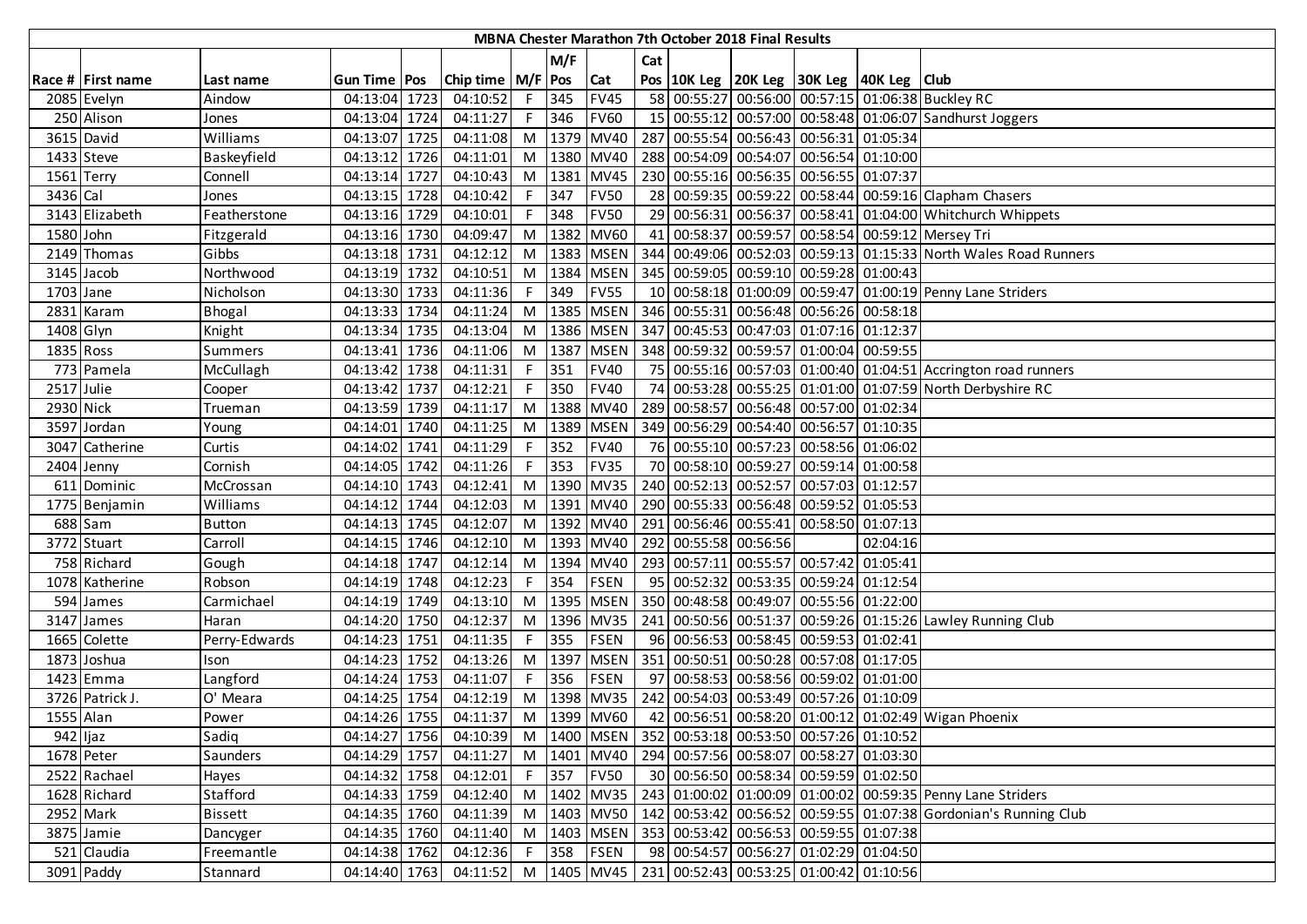|            |                         |                |                |                       |          |      |             |     | MBNA Chester Marathon 7th October 2018 Final Results |                                                                            |          |                                                                  |
|------------|-------------------------|----------------|----------------|-----------------------|----------|------|-------------|-----|------------------------------------------------------|----------------------------------------------------------------------------|----------|------------------------------------------------------------------|
|            |                         |                |                |                       |          | M/F  |             | Cat |                                                      |                                                                            |          |                                                                  |
|            | Race # First name       | Last name      | Gun Time   Pos | Chip time   M/F   Pos |          |      | Cat         |     |                                                      | Pos   10K Leg   20K Leg   30K Leg   40K Leg   Club                         |          |                                                                  |
|            | 2085 Evelyn             | Aindow         | 04:13:04 1723  | 04:10:52              | $F \cup$ | 345  | <b>FV45</b> |     |                                                      |                                                                            |          | 58 00:55:27 00:56:00 00:57:15 01:06:38 Buckley RC                |
|            | 250 Alison              | Jones          | 04:13:04 1724  | 04:11:27              | F        | 346  | <b>FV60</b> |     |                                                      |                                                                            |          | 15 00:55:12 00:57:00 00:58:48 01:06:07 Sandhurst Joggers         |
|            | 3615 David              | Williams       | 04:13:07 1725  | 04:11:08              | M        |      | 1379 MV40   |     |                                                      | 287 00:55:54 00:56:43 00:56:31 01:05:34                                    |          |                                                                  |
|            | $\overline{1433}$ Steve | Baskeyfield    | 04:13:12 1726  | 04:11:01              | M        |      | 1380 MV40   |     |                                                      | 288 00:54:09 00:54:07 00:56:54 01:10:00                                    |          |                                                                  |
| 1561 Terry |                         | Connell        | 04:13:14 1727  | 04:10:43              | M        |      | 1381 MV45   |     |                                                      | 230 00:55:16 00:56:35 00:56:55 01:07:37                                    |          |                                                                  |
| 3436 Cal   |                         | Jones          | 04:13:15 1728  | 04:10:42              | F.       | 347  | <b>FV50</b> |     |                                                      |                                                                            |          | 28 00:59:35 00:59:22 00:58:44 00:59:16 Clapham Chasers           |
|            | 3143 Elizabeth          | Featherstone   | 04:13:16 1729  | 04:10:01              | F        | 348  | <b>FV50</b> |     |                                                      |                                                                            |          | 29 00:56:31 00:56:37 00:58:41 01:04:00 Whitchurch Whippets       |
| 1580 John  |                         | Fitzgerald     | 04:13:16 1730  | 04:09:47              | M        | 1382 | <b>MV60</b> |     |                                                      |                                                                            |          | 41 00:58:37 00:59:57 00:58:54 00:59:12 Mersey Tri                |
|            | 2149 Thomas             | Gibbs          | 04:13:18 1731  | 04:12:12              | M        |      | 1383 MSEN   |     |                                                      |                                                                            |          | 344 00:49:06 00:52:03 00:59:13 01:15:33 North Wales Road Runners |
|            | 3145 Jacob              | Northwood      | 04:13:19 1732  | 04:10:51              | M        |      | 1384 MSEN   |     |                                                      | 345 00:59:05 00:59:10 00:59:28 01:00:43                                    |          |                                                                  |
| 1703 Jane  |                         | Nicholson      | 04:13:30 1733  | 04:11:36              | F.       | 349  | <b>FV55</b> |     |                                                      |                                                                            |          | 10 00:58:18 01:00:09 00:59:47 01:00:19 Penny Lane Striders       |
|            | 2831 Karam              | Bhogal         | 04:13:33 1734  | 04:11:24              | M        | 1385 | <b>MSEN</b> |     |                                                      | 346 00:55:31 00:56:48 00:56:26 00:58:18                                    |          |                                                                  |
| 1408 Glyn  |                         | Knight         | 04:13:34 1735  | 04:13:04              | M        |      | 1386 MSEN   |     |                                                      | 347 00:45:53 00:47:03 01:07:16 01:12:37                                    |          |                                                                  |
| 1835 Ross  |                         | <b>Summers</b> | 04:13:41 1736  | 04:11:06              | M        | 1387 | <b>MSEN</b> |     |                                                      | 348 00:59:32 00:59:57 01:00:04 00:59:55                                    |          |                                                                  |
|            | 773 Pamela              | McCullagh      | 04:13:42 1738  | 04:11:31              | F        | 351  | <b>FV40</b> |     |                                                      |                                                                            |          | 75 00:55:16 00:57:03 01:00:40 01:04:51 Accrington road runners   |
| 2517 Julie |                         | Cooper         | 04:13:42 1737  | 04:12:21              | F        | 350  | <b>FV40</b> |     |                                                      |                                                                            |          | 74 00:53:28 00:55:25 01:01:00 01:07:59 North Derbyshire RC       |
| 2930 Nick  |                         | Trueman        | 04:13:59 1739  | 04:11:17              |          |      | M 1388 MV40 |     |                                                      | 289 00:58:57 00:56:48 00:57:00 01:02:34                                    |          |                                                                  |
|            | 3597 Jordan             | Young          | 04:14:01 1740  | 04:11:25              | M        |      | 1389 MSEN   |     |                                                      | 349 00:56:29 00:54:40 00:56:57 01:10:35                                    |          |                                                                  |
|            | 3047 Catherine          | Curtis         | 04:14:02 1741  | 04:11:29              | F.       | 352  | <b>FV40</b> |     |                                                      | 76 00:55:10 00:57:23 00:58:56 01:06:02                                     |          |                                                                  |
|            | 2404 Jenny              | Cornish        | 04:14:05 1742  | 04:11:26              |          | 353  | <b>FV35</b> |     |                                                      | 70 00:58:10 00:59:27 00:59:14 01:00:58                                     |          |                                                                  |
|            | 611 Dominic             | McCrossan      | 04:14:10 1743  | 04:12:41              | M        |      | 1390 MV35   |     |                                                      | 240 00:52:13 00:52:57 00:57:03 01:12:57                                    |          |                                                                  |
|            | 1775 Benjamin           | Williams       | 04:14:12 1744  | 04:12:03              | M        |      | 1391 MV40   |     |                                                      | 290 00:55:33 00:56:48 00:59:52 01:05:53                                    |          |                                                                  |
|            | 688 Sam                 | <b>Button</b>  | 04:14:13 1745  | 04:12:07              | M        |      | 1392 MV40   |     |                                                      | 291 00:56:46 00:55:41 00:58:50 01:07:13                                    |          |                                                                  |
|            | 3772 Stuart             | Carroll        | 04:14:15 1746  | 04:12:10              | M        |      | 1393 MV40   |     | 292 00:55:58 00:56:56                                |                                                                            | 02:04:16 |                                                                  |
|            | 758 Richard             | Gough          | 04:14:18 1747  | 04:12:14              | M        |      | 1394 MV40   |     |                                                      | 293 00:57:11 00:55:57 00:57:42 01:05:41                                    |          |                                                                  |
|            | 1078 Katherine          | Robson         | 04:14:19 1748  | 04:12:23              | F.       | 354  | <b>FSEN</b> |     |                                                      | 95 00:52:32 00:53:35 00:59:24 01:12:54                                     |          |                                                                  |
|            | 594 James               | Carmichael     | 04:14:19 1749  | 04:13:10              | M        |      | 1395 MSEN   |     |                                                      | 350 00:48:58 00:49:07 00:55:56 01:22:00                                    |          |                                                                  |
|            | 3147 James              | Haran          | 04:14:20 1750  | 04:12:37              | M        |      | 1396 MV35   |     |                                                      |                                                                            |          | 241 00:50:56 00:51:37 00:59:26 01:15:26 Lawley Running Club      |
|            | 1665 Colette            | Perry-Edwards  | 04:14:23 1751  | 04:11:35              | F        | 355  | <b>FSEN</b> |     |                                                      | 96 00:56:53 00:58:45 00:59:53 01:02:41                                     |          |                                                                  |
|            | 1873 Joshua             | Ison           | 04:14:23 1752  | 04:13:26              | M        | 1397 | <b>MSEN</b> |     |                                                      | 351 00:50:51 00:50:28 00:57:08 01:17:05                                    |          |                                                                  |
|            | 1423 Emma               | Langford       | 04:14:24 1753  | 04:11:07              | F        | 356  | <b>FSEN</b> |     |                                                      | 97 00:58:53 00:58:56 00:59:02 01:01:00                                     |          |                                                                  |
|            | 3726 Patrick J.         | O' Meara       | 04:14:25 1754  | 04:12:19              | M        |      | 1398 MV35   |     |                                                      | 242 00:54:03 00:53:49 00:57:26 01:10:09                                    |          |                                                                  |
| 1555 Alan  |                         | Power          | 04:14:26 1755  | 04:11:37 M 1399 MV60  |          |      |             |     |                                                      |                                                                            |          | 42 00:56:51 00:58:20 01:00:12 01:02:49 Wigan Phoenix             |
| 942 ljaz   |                         | Sadiq          | 04:14:27 1756  | 04:10:39              |          |      |             |     |                                                      | M  1400   MSEN   352   00:53:18   00:53:50   00:57:26   01:10:52           |          |                                                                  |
|            | 1678 Peter              | Saunders       | 04:14:29 1757  | 04:11:27              |          |      | M 1401 MV40 |     |                                                      | 294 00:57:56 00:58:07 00:58:27 01:03:30                                    |          |                                                                  |
|            | 2522 Rachael            | Hayes          | 04:14:32 1758  | 04:12:01              |          |      | F 357 FV50  |     |                                                      | 30 00:56:50 00:58:34 00:59:59 01:02:50                                     |          |                                                                  |
|            | 1628 Richard            | Stafford       | 04:14:33 1759  | 04:12:40              | M        |      | 1402 MV35   |     |                                                      |                                                                            |          | 243 01:00:02 01:00:09 01:00:02 00:59:35 Penny Lane Striders      |
|            | 2952 Mark               | <b>Bissett</b> | 04:14:35 1760  | 04:11:39              | M        |      | 1403 MV50   |     |                                                      |                                                                            |          | 142 00:53:42 00:56:52 00:59:55 01:07:38 Gordonian's Running Club |
|            | 3875 Jamie              | Dancyger       | 04:14:35 1760  | 04:11:40              | M        |      | 1403 MSEN   |     |                                                      | 353 00:53:42 00:56:53 00:59:55 01:07:38                                    |          |                                                                  |
|            | 521 Claudia             | Freemantle     | 04:14:38 1762  | 04:12:36              | F        | 358  | <b>FSEN</b> |     |                                                      | 98 00:54:57 00:56:27 01:02:29 01:04:50                                     |          |                                                                  |
|            | 3091 Paddy              | Stannard       | 04:14:40 1763  |                       |          |      |             |     |                                                      | 04:11:52 M   1405   MV45   231   00:52:43   00:53:25   01:00:42   01:10:56 |          |                                                                  |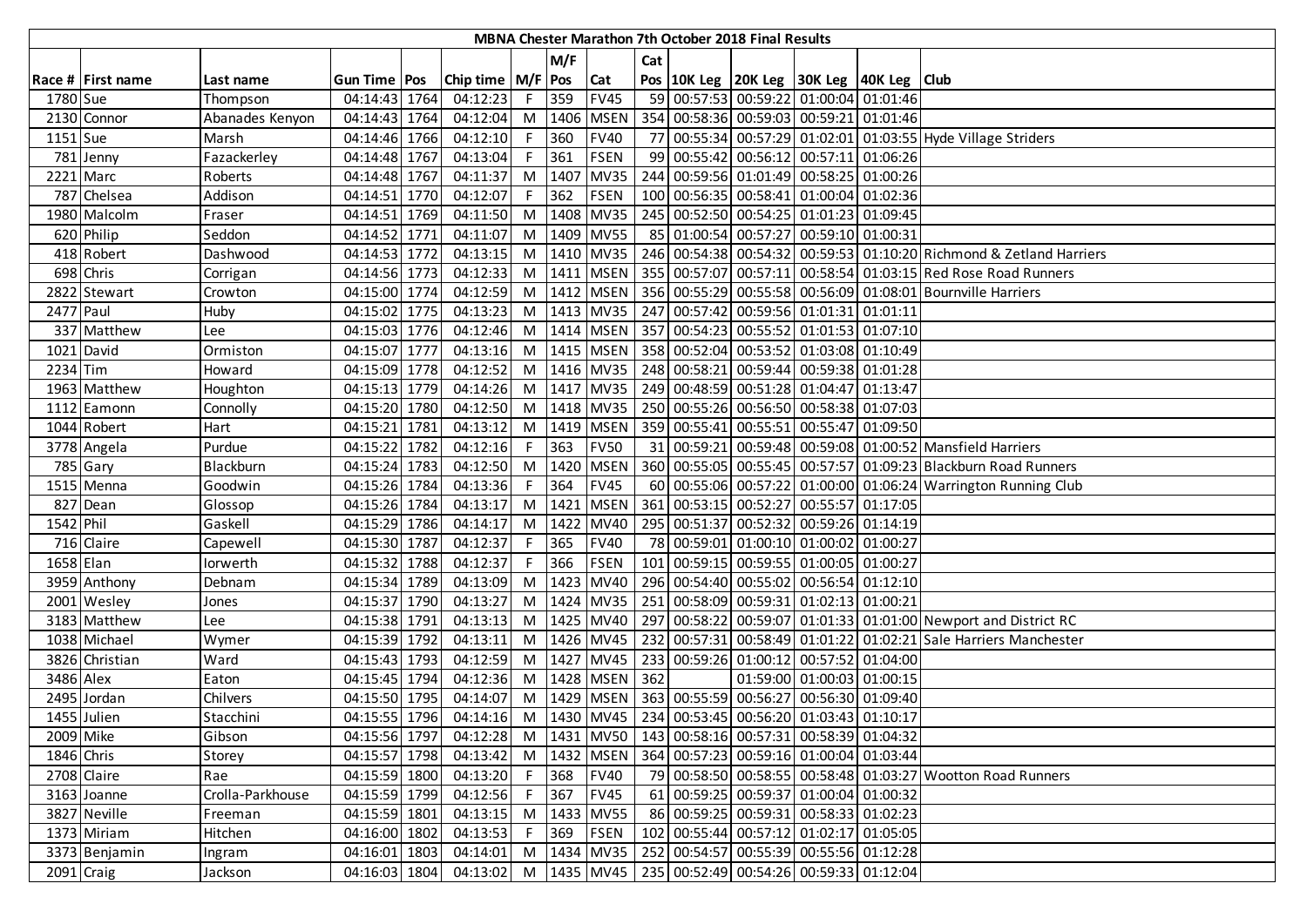|            |                   |                  |                |                                                                            |    |            |                       |     | MBNA Chester Marathon 7th October 2018 Final Results |                                                                            |                                                                                         |
|------------|-------------------|------------------|----------------|----------------------------------------------------------------------------|----|------------|-----------------------|-----|------------------------------------------------------|----------------------------------------------------------------------------|-----------------------------------------------------------------------------------------|
|            |                   |                  |                |                                                                            |    | M/F        |                       | Cat |                                                      |                                                                            |                                                                                         |
|            | Race # First name | Last name        | Gun Time   Pos | Chip time   M/F   Pos                                                      |    |            | <b>Cat</b>            |     |                                                      | Pos   10K Leg   20K Leg   30K Leg   40K Leg   Club                         |                                                                                         |
| 1780 Sue   |                   | Thompson         | 04:14:43 1764  | 04:12:23                                                                   |    | F 359      | <b>FV45</b>           |     |                                                      | 59 00:57:53 00:59:22 01:00:04 01:01:46                                     |                                                                                         |
|            | 2130 Connor       | Abanades Kenyon  | 04:14:43 1764  | 04:12:04                                                                   |    |            | M   1406   MSEN       |     |                                                      | 354 00:58:36 00:59:03 00:59:21 01:01:46                                    |                                                                                         |
| 1151 Sue   |                   | Marsh            | 04:14:46 1766  | 04:12:10                                                                   |    | F 360      | <b>FV40</b>           |     |                                                      |                                                                            | 77 00:55:34 00:57:29 01:02:01 01:03:55 Hyde Village Striders                            |
|            | 781 Jenny         | Fazackerley      | 04:14:48 1767  | 04:13:04                                                                   |    | $F$ 361    | <b>FSEN</b>           |     |                                                      | 99 00:55:42 00:56:12 00:57:11 01:06:26                                     |                                                                                         |
|            | 2221 Marc         | Roberts          | 04:14:48 1767  | 04:11:37                                                                   |    |            | M 1407 MV35           |     |                                                      | 244 00:59:56 01:01:49 00:58:25 01:00:26                                    |                                                                                         |
|            | 787 Chelsea       | Addison          | 04:14:51 1770  | 04:12:07                                                                   | F. | 362        | FSEN                  |     |                                                      | 100 00:56:35 00:58:41 01:00:04 01:02:36                                    |                                                                                         |
|            | 1980 Malcolm      | Fraser           | 04:14:51 1769  | 04:11:50                                                                   |    |            | M 1408 MV35           |     |                                                      | 245 00:52:50 00:54:25 01:01:23 01:09:45                                    |                                                                                         |
|            | 620 Philip        | Seddon           | 04:14:52 1771  | 04:11:07                                                                   |    |            | M 1409 MV55           |     |                                                      | 85 01:00:54 00:57:27 00:59:10 01:00:31                                     |                                                                                         |
|            | 418 Robert        | Dashwood         | 04:14:53 1772  | 04:13:15                                                                   |    |            | M   1410   MV35       |     |                                                      |                                                                            | 246 00:54:38 00:54:32 00:59:53 01:10:20 Richmond & Zetland Harriers                     |
|            | 698 Chris         | Corrigan         | 04:14:56 1773  | 04:12:33                                                                   |    |            |                       |     |                                                      |                                                                            | M  1411  MSEN   355   00:57:07   00:57:11   00:58:54   01:03:15   Red Rose Road Runners |
|            | 2822 Stewart      | Crowton          | 04:15:00 1774  | 04:12:59                                                                   |    |            |                       |     |                                                      |                                                                            | M  1412   MSEN   356   00:55:29   00:55:58   00:56:09   01:08:01   Bournville Harriers  |
| 2477 Paul  |                   | Huby             | 04:15:02 1775  | 04:13:23                                                                   |    |            | M 1413 MV35           |     |                                                      | 247 00:57:42 00:59:56 01:01:31 01:01:11                                    |                                                                                         |
|            | 337 Matthew       | Lee              | 04:15:03 1776  | 04:12:46                                                                   |    |            | M 1414 MSEN           |     |                                                      | 357 00:54:23 00:55:52 01:01:53 01:07:10                                    |                                                                                         |
|            | 1021 David        | Ormiston         | 04:15:07 1777  | 04:13:16                                                                   |    |            | M 1415 MSEN           |     |                                                      | 358 00:52:04 00:53:52 01:03:08 01:10:49                                    |                                                                                         |
| 2234 Tim   |                   | Howard           | 04:15:09 1778  | 04:12:52                                                                   |    |            |                       |     |                                                      | M  1416   MV35   248   00:58:21   00:59:44   00:59:38   01:01:28           |                                                                                         |
|            | 1963 Matthew      | Houghton         | 04:15:13 1779  | 04:14:26                                                                   |    |            |                       |     |                                                      | M  1417   MV35   249   00:48:59   00:51:28   01:04:47   01:13:47           |                                                                                         |
|            | 1112 Eamonn       | Connolly         | 04:15:20 1780  | 04:12:50                                                                   |    |            | M   1418   MV35       |     |                                                      | 250 00:55:26 00:56:50 00:58:38 01:07:03                                    |                                                                                         |
|            | 1044 Robert       | Hart             | 04:15:21 1781  | 04:13:12                                                                   |    |            | M 1419 MSEN           |     |                                                      | 359 00:55:41 00:55:51 00:55:47 01:09:50                                    |                                                                                         |
|            | 3778 Angela       | Purdue           | 04:15:22 1782  | 04:12:16                                                                   | F. | 363        | <b>FV50</b>           |     |                                                      |                                                                            | 31 00:59:21 00:59:48 00:59:08 01:00:52 Mansfield Harriers                               |
|            | 785 Gary          | Blackburn        | 04:15:24 1783  | 04:12:50                                                                   |    |            | M 1420 MSEN           |     |                                                      |                                                                            | 360 00:55:05 00:55:45 00:57:57 01:09:23 Blackburn Road Runners                          |
|            | 1515 Menna        | Goodwin          | 04:15:26 1784  | 04:13:36                                                                   | F. | 364        | <b>FV45</b>           |     |                                                      |                                                                            | 60 00:55:06 00:57:22 01:00:00 01:06:24 Warrington Running Club                          |
|            | 827 Dean          | Glossop          | 04:15:26 1784  | 04:13:17                                                                   |    |            | M 1421 MSEN           |     |                                                      | 361 00:53:15 00:52:27 00:55:57 01:17:05                                    |                                                                                         |
| 1542 Phil  |                   | Gaskell          | 04:15:29 1786  | 04:14:17                                                                   |    |            | M 1422 MV40           |     |                                                      | 295 00:51:37 00:52:32 00:59:26 01:14:19                                    |                                                                                         |
|            | 716 Claire        | Capewell         | 04:15:30 1787  | 04:12:37                                                                   | F. | 365        | <b>FV40</b>           |     |                                                      | 78 00:59:01 01:00:10 01:00:02 01:00:27                                     |                                                                                         |
| 1658 Elan  |                   | lorwerth         | 04:15:32 1788  | 04:12:37                                                                   | F. | 366        | <b>FSEN</b>           |     |                                                      | 101 00:59:15 00:59:55 01:00:05 01:00:27                                    |                                                                                         |
|            | 3959 Anthony      | Debnam           | 04:15:34 1789  | 04:13:09                                                                   |    |            | M   1423   MV40       |     |                                                      | 296 00:54:40 00:55:02 00:56:54 01:12:10                                    |                                                                                         |
|            | 2001 Wesley       | Jones            | 04:15:37 1790  | 04:13:27                                                                   |    |            | M 1424 MV35           |     |                                                      | 251 00:58:09 00:59:31 01:02:13 01:00:21                                    |                                                                                         |
|            | 3183 Matthew      | Lee              | 04:15:38 1791  | 04:13:13                                                                   |    |            | M 1425 MV40           |     |                                                      |                                                                            | 297 00:58:22 00:59:07 01:01:33 01:01:00 Newport and District RC                         |
|            | 1038 Michael      | Wymer            | 04:15:39 1792  | 04:13:11                                                                   |    |            | M 1426 MV45           |     |                                                      |                                                                            | 232 00:57:31 00:58:49 01:01:22 01:02:21 Sale Harriers Manchester                        |
|            | 3826 Christian    | Ward             | 04:15:43 1793  | $\overline{04:12:59}$                                                      |    |            | M 1427 MV45           |     |                                                      | 233 00:59:26 01:00:12 00:57:52 01:04:00                                    |                                                                                         |
| 3486 Alex  |                   | Eaton            | 04:15:45 1794  | 04:12:36                                                                   |    |            | M   1428   MSEN   362 |     |                                                      | 01:59:00 01:00:03 01:00:15                                                 |                                                                                         |
|            | 2495 Jordan       | Chilvers         | 04:15:50 1795  | 04:14:07                                                                   |    |            | M   1429   MSEN       |     |                                                      | 363 00:55:59 00:56:27 00:56:30 01:09:40                                    |                                                                                         |
|            | 1455 Julien       | Stacchini        | 04:15:55 1796  |                                                                            |    |            |                       |     |                                                      | 04:14:16 M   1430   MV45   234   00:53:45   00:56:20   01:03:43   01:10:17 |                                                                                         |
| 2009 Mike  |                   | Gibson           |                | 04:15:56 1797 04:12:28 M 1431 MV50 143 00:58:16 00:57:31 00:58:39 01:04:32 |    |            |                       |     |                                                      |                                                                            |                                                                                         |
| 1846 Chris |                   | Storey           | 04:15:57 1798  | 04:13:42 M 1432 MSEN                                                       |    |            |                       |     |                                                      | 364 00:57:23 00:59:16 01:00:04 01:03:44                                    |                                                                                         |
|            | 2708 Claire       | Rae              | 04:15:59 1800  | 04:13:20 F 368 FV40                                                        |    |            |                       |     |                                                      |                                                                            | 79 00:58:50 00:58:55 00:58:48 01:03:27 Wootton Road Runners                             |
|            | 3163 Joanne       | Crolla-Parkhouse | 04:15:59 1799  | 04:12:56                                                                   | F  | 367        | <b>FV45</b>           |     |                                                      | 61 00:59:25 00:59:37 01:00:04 01:00:32                                     |                                                                                         |
|            | 3827 Neville      | Freeman          | 04:15:59 1801  | 04:13:15 M 1433 MV55                                                       |    |            |                       |     |                                                      | 86 00:59:25 00:59:31 00:58:33 01:02:23                                     |                                                                                         |
|            | 1373 Miriam       | Hitchen          | 04:16:00 1802  | 04:13:53                                                                   |    | F 369 FSEN |                       |     |                                                      | 102 00:55:44 00:57:12 01:02:17 01:05:05                                    |                                                                                         |
|            | 3373 Benjamin     | Ingram           | 04:16:01 1803  | 04:14:01                                                                   |    |            | M 1434 MV35           |     |                                                      | 252 00:54:57 00:55:39 00:55:56 01:12:28                                    |                                                                                         |
|            | 2091 Craig        | Jackson          | 04:16:03 1804  |                                                                            |    |            |                       |     |                                                      | 04:13:02 M   1435   MV45   235   00:52:49   00:54:26   00:59:33   01:12:04 |                                                                                         |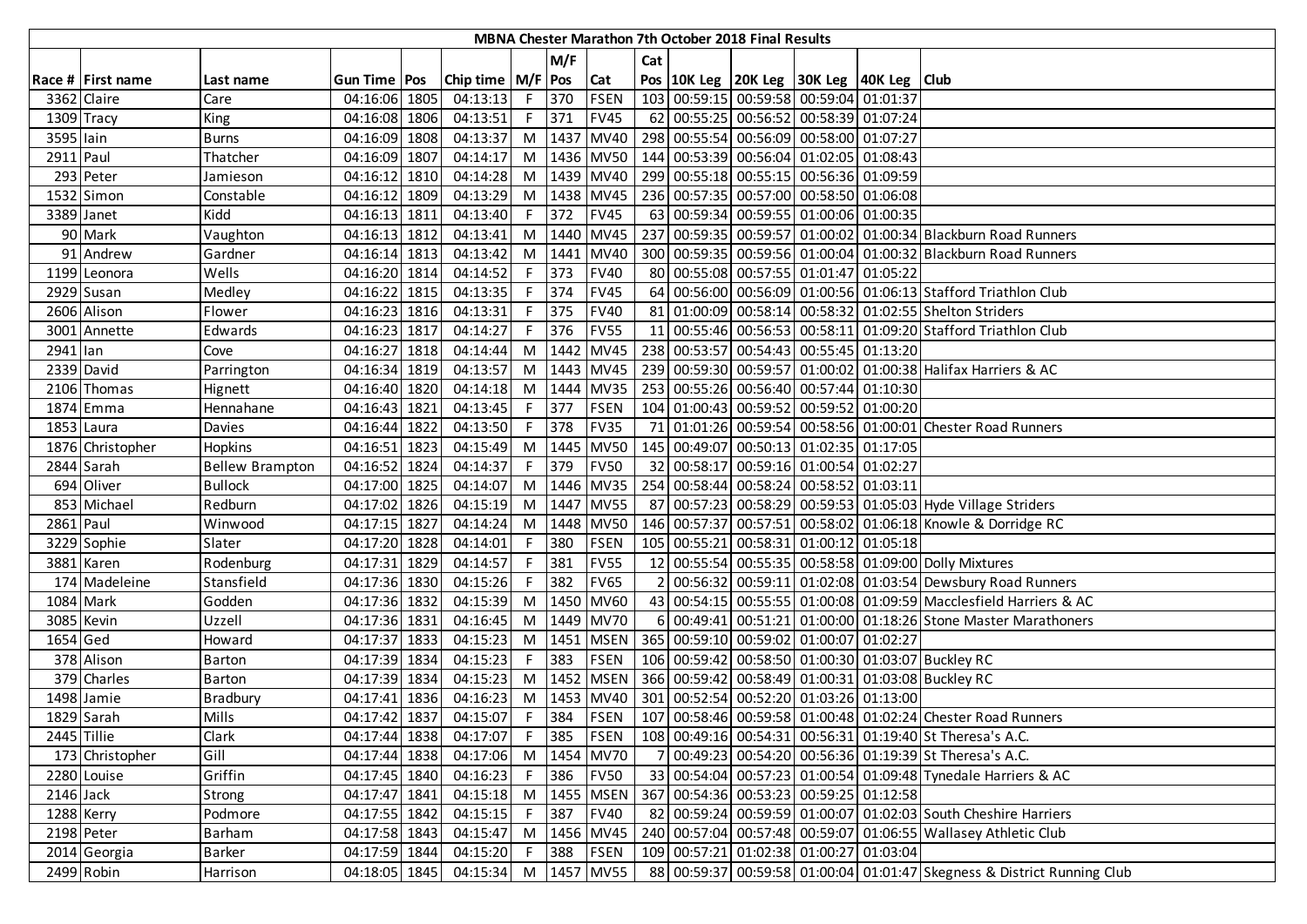|             |                   |                        |                             |                       |    |       |                 |     | MBNA Chester Marathon 7th October 2018 Final Results |                                                                  |                                                                         |
|-------------|-------------------|------------------------|-----------------------------|-----------------------|----|-------|-----------------|-----|------------------------------------------------------|------------------------------------------------------------------|-------------------------------------------------------------------------|
|             |                   |                        |                             |                       |    | M/F   |                 | Cat |                                                      |                                                                  |                                                                         |
|             | Race # First name | Last name              | Gun Time   Pos              | Chip time   M/F   Pos |    |       | Cat             |     |                                                      | Pos   10K Leg   20K Leg   30K Leg   40K Leg   Club               |                                                                         |
|             | 3362 Claire       | Care                   | 04:16:06 1805               | 04:13:13              |    | F 370 | <b>FSEN</b>     |     |                                                      | 103 00:59:15 00:59:58 00:59:04 01:01:37                          |                                                                         |
|             | 1309 Tracy        | King                   | 04:16:08 1806               | 04:13:51              |    | F 371 | <b>FV45</b>     |     |                                                      | 62 00:55:25 00:56:52 00:58:39 01:07:24                           |                                                                         |
| 3595 lain   |                   | <b>Burns</b>           | 04:16:09 1808               | 04:13:37              |    |       | M 1437 MV40     |     |                                                      | 298 00:55:54 00:56:09 00:58:00 01:07:27                          |                                                                         |
| 2911 Paul   |                   | Thatcher               | 04:16:09 1807               | 04:14:17              |    |       |                 |     |                                                      | M  1436   MV50   144   00:53:39   00:56:04   01:02:05   01:08:43 |                                                                         |
|             | 293 Peter         | Jamieson               | 04:16:12 1810               | 04:14:28              |    |       | M 1439 MV40     |     |                                                      | 299 00:55:18 00:55:15 00:56:36 01:09:59                          |                                                                         |
|             | 1532 Simon        | Constable              | 04:16:12 1809               | 04:13:29              |    |       | M   1438   MV45 |     |                                                      | 236 00:57:35 00:57:00 00:58:50 01:06:08                          |                                                                         |
|             | 3389 Janet        | Kidd                   | 04:16:13 1811               | 04:13:40              | F. | 372   | <b>FV45</b>     |     |                                                      | 63 00:59:34 00:59:55 01:00:06 01:00:35                           |                                                                         |
|             | 90 Mark           | Vaughton               | 04:16:13 1812               | 04:13:41              |    |       | M 1440 MV45     |     |                                                      |                                                                  | 237 00:59:35 00:59:57 01:00:02 01:00:34 Blackburn Road Runners          |
|             | 91 Andrew         | Gardner                | 04:16:14 1813               | 04:13:42              |    |       | M 1441 MV40     |     |                                                      |                                                                  | 300 00:59:35 00:59:56 01:00:04 01:00:32 Blackburn Road Runners          |
|             | 1199 Leonora      | Wells                  | 04:16:20 1814               | 04:14:52              |    | F 373 | <b>FV40</b>     |     |                                                      | 80 00:55:08 00:57:55 01:01:47 01:05:22                           |                                                                         |
|             | $2929$ Susan      | Medley                 | 04:16:22 1815               | 04:13:35              | F. | 374   | <b>FV45</b>     |     |                                                      |                                                                  | 64 00:56:00 00:56:09 01:00:56 01:06:13 Stafford Triathlon Club          |
|             | 2606 Alison       | Flower                 | 04:16:23 1816               | 04:13:31              | F. | 375   | <b>FV40</b>     |     |                                                      |                                                                  | 81 01:00:09 00:58:14 00:58:32 01:02:55 Shelton Striders                 |
|             | 3001 Annette      | Edwards                | $\overline{0}$ 4:16:23 1817 | 04:14:27              | F. | 376   | <b>FV55</b>     |     |                                                      |                                                                  | 11 00:55:46 00:56:53 00:58:11 01:09:20 Stafford Triathlon Club          |
| 2941 lan    |                   | Cove                   | 04:16:27 1818               | 04:14:44              |    |       | M 1442 MV45     |     |                                                      | 238 00:53:57 00:54:43 00:55:45 01:13:20                          |                                                                         |
|             | 2339 David        | Parrington             | 04:16:34 1819               | 04:13:57              |    |       | M 1443 MV45     |     |                                                      |                                                                  | 239 00:59:30 00:59:57 01:00:02 01:00:38 Halifax Harriers & AC           |
|             | 2106 Thomas       | Hignett                | 04:16:40 1820               | 04:14:18              |    |       | M   1444   MV35 |     |                                                      | 253 00:55:26 00:56:40 00:57:44 01:10:30                          |                                                                         |
|             | 1874 Emma         | Hennahane              | 04:16:43 1821               | 04:13:45              |    | F 377 | <b>FSEN</b>     |     |                                                      | 104 01:00:43 00:59:52 00:59:52 01:00:20                          |                                                                         |
|             | 1853 Laura        | Davies                 | 04:16:44 1822               | 04:13:50              |    | F 378 | <b>FV35</b>     |     |                                                      |                                                                  | 71 01:01:26 00:59:54 00:58:56 01:00:01 Chester Road Runners             |
|             | 1876 Christopher  | Hopkins                | 04:16:51 1823               | 04:15:49              |    |       | M 1445 MV50     |     |                                                      | 145 00:49:07 00:50:13 01:02:35 01:17:05                          |                                                                         |
|             | 2844 Sarah        | <b>Bellew Brampton</b> | 04:16:52 1824               | 04:14:37              | F. | 379   | <b>FV50</b>     |     |                                                      | 32 00:58:17 00:59:16 01:00:54 01:02:27                           |                                                                         |
|             | 694 Oliver        | <b>Bullock</b>         | 04:17:00 1825               | 04:14:07              |    |       | M 1446 MV35     |     |                                                      | 254 00:58:44 00:58:24 00:58:52 01:03:11                          |                                                                         |
|             | 853 Michael       | Redburn                | 04:17:02 1826               | 04:15:19              |    |       | M 1447 MV55     |     |                                                      |                                                                  | 87 00:57:23 00:58:29 00:59:53 01:05:03 Hyde Village Striders            |
| 2861 Paul   |                   | Winwood                | 04:17:15 1827               | 04:14:24              |    |       | M 1448 MV50     |     |                                                      |                                                                  | 146 00:57:37 00:57:51 00:58:02 01:06:18 Knowle & Dorridge RC            |
|             | 3229 Sophie       | Slater                 | 04:17:20 1828               | 04:14:01              | F. | 380   | <b>FSEN</b>     |     |                                                      | 105 00:55:21 00:58:31 01:00:12 01:05:18                          |                                                                         |
|             | 3881 Karen        | Rodenburg              | 04:17:31 1829               | 04:14:57              | F. | 381   | <b>FV55</b>     |     |                                                      |                                                                  | 12 00:55:54 00:55:35 00:58:58 01:09:00 Dolly Mixtures                   |
|             | 174 Madeleine     | Stansfield             | 04:17:36 1830               | 04:15:26              | F. | 382   | <b>FV65</b>     |     |                                                      |                                                                  | 00:56:32 00:59:11 01:02:08 01:03:54 Dewsbury Road Runners               |
|             | 1084 Mark         | Godden                 | 04:17:36 1832               | 04:15:39              |    |       | M 1450 MV60     |     |                                                      |                                                                  | 43 00:54:15 00:55:55 01:00:08 01:09:59 Macclesfield Harriers & AC       |
|             | 3085 Kevin        | Uzzell                 | 04:17:36 1831               | 04:16:45              |    |       | M 1449 MV70     |     |                                                      |                                                                  | 6 00:49:41 00:51:21 01:00:00 01:18:26 Stone Master Marathoners          |
| 1654 Ged    |                   | Howard                 | 04:17:37 1833               | 04:15:23              |    |       | M   1451   MSEN |     |                                                      | 365 00:59:10 00:59:02 01:00:07 01:02:27                          |                                                                         |
|             | 378 Alison        | Barton                 | 04:17:39 1834               | 04:15:23              |    | F 383 | <b>FSEN</b>     |     |                                                      |                                                                  | 106 00:59:42 00:58:50 01:00:30 01:03:07 Buckley RC                      |
|             | 379 Charles       | Barton                 | 04:17:39 1834               | 04:15:23              |    |       | M 1452 MSEN     |     |                                                      |                                                                  | 366 00:59:42 00:58:49 01:00:31 01:03:08 Buckley RC                      |
|             | 1498 Jamie        | Bradbury               | 04:17:41 1836               | 04:16:23              |    |       | M 1453 MV40     |     |                                                      | 301 00:52:54 00:52:20 01:03:26 01:13:00                          |                                                                         |
|             | 1829 Sarah        | <b>Mills</b>           | 04:17:42 1837               | 04:15:07              |    |       | $F$ 384 FSEN    |     |                                                      |                                                                  | 107 00:58:46 00:59:58 01:00:48 01:02:24 Chester Road Runners            |
| 2445 Tillie |                   | Clark                  | 04:17:44 1838               | 04:17:07              |    | F 385 | FSEN            |     |                                                      |                                                                  | 108 00:49:16 00:54:31 00:56:31 01:19:40 St Theresa's A.C.               |
|             | 173 Christopher   | Gill                   | 04:17:44 1838               | 04:17:06              |    |       | M 1454 MV70     |     |                                                      |                                                                  | 00:49:23 00:54:20 00:56:36 01:19:39 St Theresa's A.C.                   |
|             | 2280 Louise       | Griffin                | 04:17:45 1840               | 04:16:23              |    | F 386 | <b>FV50</b>     |     |                                                      |                                                                  | 33 00:54:04 00:57:23 01:00:54 01:09:48 Tynedale Harriers & AC           |
| $2146$ Jack |                   | Strong                 | 04:17:47 1841               | 04:15:18              |    |       | M   1455   MSEN |     |                                                      | 367 00:54:36 00:53:23 00:59:25 01:12:58                          |                                                                         |
| 1288 Kerry  |                   | Podmore                | 04:17:55 1842               | 04:15:15              | F. | 387   | <b>FV40</b>     |     |                                                      |                                                                  | 82 00:59:24 00:59:59 01:00:07 01:02:03 South Cheshire Harriers          |
|             | 2198 Peter        | <b>Barham</b>          | 04:17:58 1843               | 04:15:47              |    |       | M 1456 MV45     |     |                                                      |                                                                  | 240 00:57:04 00:57:48 00:59:07 01:06:55 Wallasey Athletic Club          |
|             | 2014 Georgia      | <b>Barker</b>          | 04:17:59 1844               | 04:15:20              |    | F 388 | <b>FSEN</b>     |     |                                                      | 109 00:57:21 01:02:38 01:00:27 01:03:04                          |                                                                         |
|             | 2499 Robin        | Harrison               | 04:18:05 1845               | 04:15:34 M 1457 MV55  |    |       |                 |     |                                                      |                                                                  | 88 00:59:37 00:59:58 01:00:04 01:01:47 Skegness & District Running Club |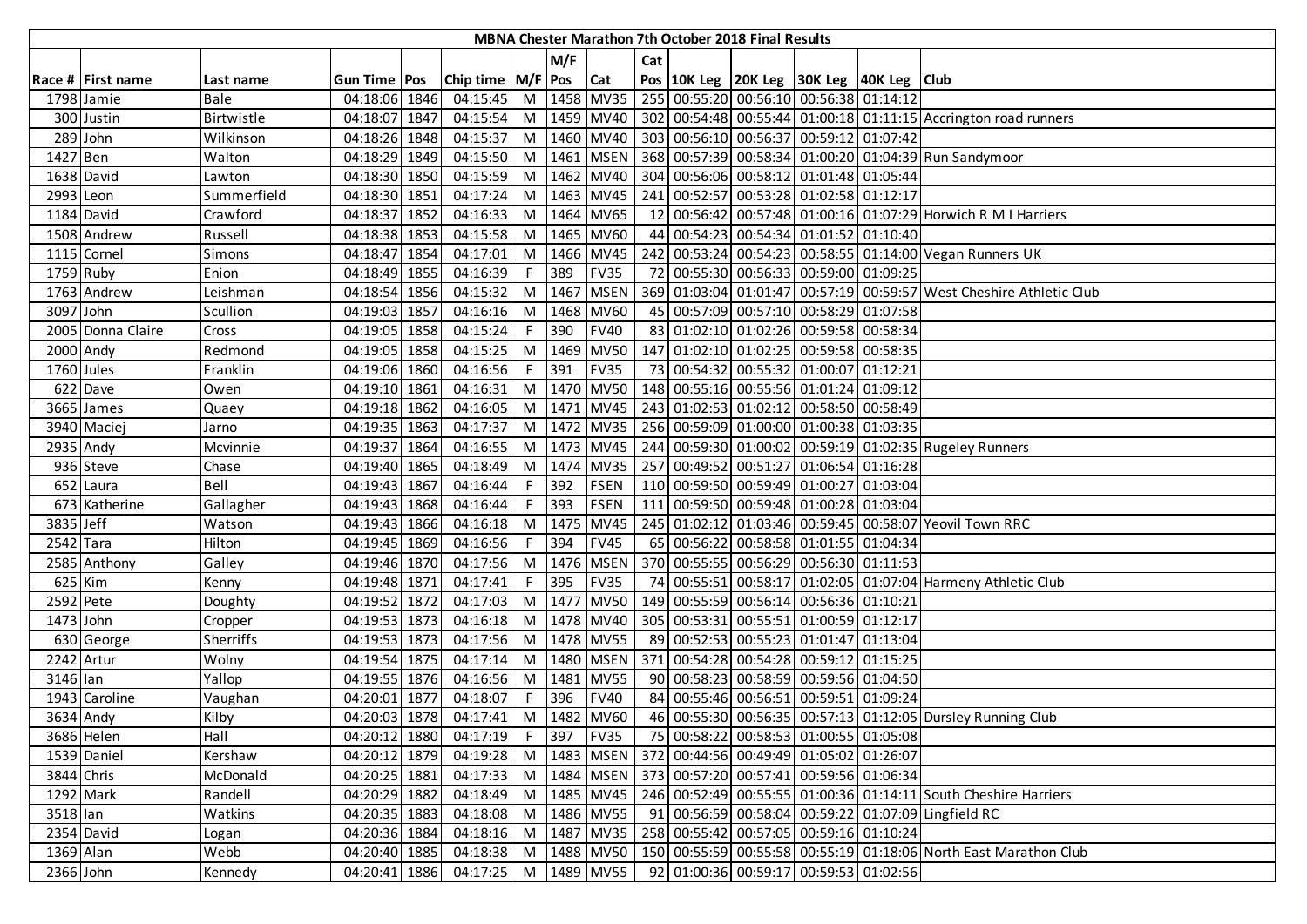|            |                   |             |                |      |                             |     |      |             |     | <b>MBNA Chester Marathon 7th October 2018 Final Results</b> |                                                                            |                                                                     |
|------------|-------------------|-------------|----------------|------|-----------------------------|-----|------|-------------|-----|-------------------------------------------------------------|----------------------------------------------------------------------------|---------------------------------------------------------------------|
|            |                   |             |                |      |                             |     | M/F  |             | Cat |                                                             |                                                                            |                                                                     |
|            | Race # First name | Last name   | Gun Time   Pos |      | Chip time   M/F   Pos   Cat |     |      |             |     |                                                             | Pos 10K Leg 20K Leg 30K Leg 40K Leg Club                                   |                                                                     |
|            | 1798 Jamie        | Bale        | 04:18:06 1846  |      | 04:15:45                    | $M$ |      | 1458 MV35   |     |                                                             | 255 00:55:20 00:56:10 00:56:38 01:14:12                                    |                                                                     |
|            | 300 Justin        | Birtwistle  | 04:18:07 1847  |      | 04:15:54                    | M   |      | 1459 MV40   |     |                                                             |                                                                            | 302 00:54:48 00:55:44 01:00:18 01:11:15 Accrington road runners     |
|            | 289 John          | Wilkinson   | 04:18:26 1848  |      | 04:15:37                    | M   |      | 1460 MV40   |     |                                                             | 303 00:56:10 00:56:37 00:59:12 01:07:42                                    |                                                                     |
| $1427$ Ben |                   | Walton      | 04:18:29 1849  |      | 04:15:50                    | M   |      | 1461 MSEN   |     |                                                             |                                                                            | 368 00:57:39 00:58:34 01:00:20 01:04:39 Run Sandymoor               |
|            | 1638 David        | Lawton      | 04:18:30 1850  |      | 04:15:59                    | M   |      | 1462 MV40   |     |                                                             | 304 00:56:06 00:58:12 01:01:48 01:05:44                                    |                                                                     |
| 2993 Leon  |                   | Summerfield | 04:18:30 1851  |      | 04:17:24                    | M   |      | 1463 MV45   |     |                                                             | 241 00:52:57 00:53:28 01:02:58 01:12:17                                    |                                                                     |
|            | 1184 David        | Crawford    | 04:18:37       | 1852 | 04:16:33                    | M   |      | 1464 MV65   |     |                                                             |                                                                            | 12 00:56:42 00:57:48 01:00:16 01:07:29 Horwich R M I Harriers       |
|            | 1508 Andrew       | Russell     | 04:18:38 1853  |      | 04:15:58                    | M   |      | 1465 MV60   |     |                                                             | 44 00:54:23 00:54:34 01:01:52 01:10:40                                     |                                                                     |
|            | 1115 Cornel       | Simons      | 04:18:47       | 1854 | 04:17:01                    | M   |      | 1466 MV45   |     |                                                             |                                                                            | 242 00:53:24 00:54:23 00:58:55 01:14:00 Vegan Runners UK            |
| 1759 Ruby  |                   | Enion       | 04:18:49 1855  |      | 04:16:39                    |     | 389  | <b>FV35</b> |     |                                                             | 72 00:55:30 00:56:33 00:59:00 01:09:25                                     |                                                                     |
|            | 1763 Andrew       | Leishman    | 04:18:54       | 1856 | 04:15:32                    | M   | 1467 | <b>MSEN</b> |     |                                                             |                                                                            | 369 01:03:04 01:01:47 00:57:19 00:59:57 West Cheshire Athletic Club |
| 3097 John  |                   | Scullion    | 04:19:03 1857  |      | 04:16:16                    | M   |      | 1468 MV60   |     |                                                             | 45 00:57:09 00:57:10 00:58:29 01:07:58                                     |                                                                     |
|            | 2005 Donna Claire | Cross       | 04:19:05 1858  |      | 04:15:24                    | F   | 390  | <b>FV40</b> |     |                                                             | 83 01:02:10 01:02:26 00:59:58 00:58:34                                     |                                                                     |
| 2000 Andy  |                   | Redmond     | 04:19:05 1858  |      | 04:15:25                    | M   | 1469 | <b>MV50</b> |     |                                                             | 147 01:02:10 01:02:25 00:59:58 00:58:35                                    |                                                                     |
| 1760 Jules |                   | Franklin    | 04:19:06 1860  |      | 04:16:56                    | F.  | 391  | <b>FV35</b> |     |                                                             | 73 00:54:32 00:55:32 01:00:07 01:12:21                                     |                                                                     |
|            | 622 Dave          | Owen        | 04:19:10 1861  |      | 04:16:31                    | M   |      | 1470 MV50   |     |                                                             | 148 00:55:16 00:55:56 01:01:24 01:09:12                                    |                                                                     |
|            | 3665 James        | Quaey       | 04:19:18 1862  |      | 04:16:05                    | M   |      | 1471 MV45   |     |                                                             | 243 01:02:53 01:02:12 00:58:50 00:58:49                                    |                                                                     |
|            | 3940 Maciej       | Jarno       | 04:19:35 1863  |      | 04:17:37                    | M   |      | 1472 MV35   |     |                                                             | 256 00:59:09 01:00:00 01:00:38 01:03:35                                    |                                                                     |
| 2935 Andy  |                   | Mcvinnie    | 04:19:37       | 1864 | 04:16:55                    | M   |      | 1473 MV45   |     |                                                             |                                                                            | 244 00:59:30 01:00:02 00:59:19 01:02:35 Rugeley Runners             |
|            | 936 Steve         | Chase       | 04:19:40 1865  |      | 04:18:49                    | M   |      | 1474 MV35   |     |                                                             | 257 00:49:52 00:51:27 01:06:54 01:16:28                                    |                                                                     |
|            | 652 Laura         | Bell        | 04:19:43 1867  |      | 04:16:44                    | F   | 392  | <b>FSEN</b> |     |                                                             | 110 00:59:50 00:59:49 01:00:27 01:03:04                                    |                                                                     |
|            | 673 Katherine     | Gallagher   | 04:19:43 1868  |      | 04:16:44                    |     | 393  | <b>FSEN</b> |     |                                                             | 111 00:59:50 00:59:48 01:00:28 01:03:04                                    |                                                                     |
| 3835 Jeff  |                   | Watson      | 04:19:43 1866  |      | 04:16:18                    | M   |      | 1475 MV45   |     |                                                             |                                                                            | 245 01:02:12 01:03:46 00:59:45 00:58:07 Yeovil Town RRC             |
| 2542 Tara  |                   | Hilton      | 04:19:45       | 1869 | 04:16:56                    |     | 394  | <b>FV45</b> |     |                                                             | 65 00:56:22 00:58:58 01:01:55 01:04:34                                     |                                                                     |
|            | 2585 Anthony      | Galley      | 04:19:46       | 1870 | 04:17:56                    | M   | 1476 | <b>MSEN</b> |     |                                                             | 370 00:55:55 00:56:29 00:56:30 01:11:53                                    |                                                                     |
| $625$ Kim  |                   | Kenny       | 04:19:48 1871  |      | 04:17:41                    | F.  | 395  | <b>FV35</b> |     |                                                             |                                                                            | 74 00:55:51 00:58:17 01:02:05 01:07:04 Harmeny Athletic Club        |
| 2592 Pete  |                   | Doughty     | 04:19:52       | 1872 | 04:17:03                    | M   | 1477 | <b>MV50</b> |     |                                                             | 149 00:55:59 00:56:14 00:56:36 01:10:21                                    |                                                                     |
| 1473 John  |                   | Cropper     | 04:19:53 1873  |      | 04:16:18                    | M   |      | 1478 MV40   |     |                                                             | 305 00:53:31 00:55:51 01:00:59 01:12:17                                    |                                                                     |
|            | 630 George        | Sherriffs   | 04:19:53 1873  |      | 04:17:56                    | M   |      | 1478 MV55   |     |                                                             | 89 00:52:53 00:55:23 01:01:47 01:13:04                                     |                                                                     |
|            | 2242 Artur        | Wolny       | 04:19:54 1875  |      | 04:17:14                    | M   |      | 1480 MSEN   |     |                                                             | 371 00:54:28 00:54:28 00:59:12 01:15:25                                    |                                                                     |
| 3146 lan   |                   | Yallop      | 04:19:55 1876  |      | 04:16:56                    | M   |      | 1481 MV55   |     |                                                             | 90 00:58:23 00:58:59 00:59:56 01:04:50                                     |                                                                     |
|            | 1943 Caroline     | Vaughan     | 04:20:01       | 1877 | 04:18:07                    |     | 396  | <b>FV40</b> |     |                                                             | 84 00:55:46 00:56:51 00:59:51 01:09:24                                     |                                                                     |
|            | 3634 Andy         | Kilby       | 04:20:03 1878  |      | 04:17:41                    | M   |      | 1482 MV60   |     |                                                             |                                                                            | 46 00:55:30 00:56:35 00:57:13 01:12:05 Dursley Running Club         |
|            | 3686 Helen        | Hall        | 04:20:12 1880  |      | 04:17:19                    | - F |      | 397 FV35    |     |                                                             | 75 00:58:22 00:58:53 01:00:55 01:05:08                                     |                                                                     |
|            | 1539 Daniel       | Kershaw     | 04:20:12 1879  |      | 04:19:28                    | M   |      |             |     |                                                             | 1483   MSEN   372   00:44:56   00:49:49   01:05:02   01:26:07              |                                                                     |
| 3844 Chris |                   | McDonald    | 04:20:25 1881  |      |                             |     |      |             |     |                                                             | 04:17:33 M   1484   MSEN   373   00:57:20   00:57:41   00:59:56   01:06:34 |                                                                     |
|            | 1292 Mark         | Randell     | 04:20:29 1882  |      | 04:18:49                    | M   |      | 1485 MV45   |     |                                                             |                                                                            | 246 00:52:49 00:55:55 01:00:36 01:14:11 South Cheshire Harriers     |
| 3518 lan   |                   | Watkins     | 04:20:35 1883  |      | 04:18:08                    | M   |      | 1486 MV55   |     |                                                             |                                                                            | 91 00:56:59 00:58:04 00:59:22 01:07:09 Lingfield RC                 |
|            | 2354 David        | Logan       | 04:20:36 1884  |      | 04:18:16                    | M   |      | 1487 MV35   |     |                                                             | 258 00:55:42 00:57:05 00:59:16 01:10:24                                    |                                                                     |
| 1369 Alan  |                   | Webb        | 04:20:40 1885  |      | 04:18:38                    | M   |      | 1488 MV50   |     |                                                             |                                                                            | 150 00:55:59 00:55:58 00:55:19 01:18:06 North East Marathon Club    |
| 2366 John  |                   | Kennedy     | 04:20:41 1886  |      | 04:17:25 M 1489 MV55        |     |      |             |     |                                                             | 92 01:00:36 00:59:17 00:59:53 01:02:56                                     |                                                                     |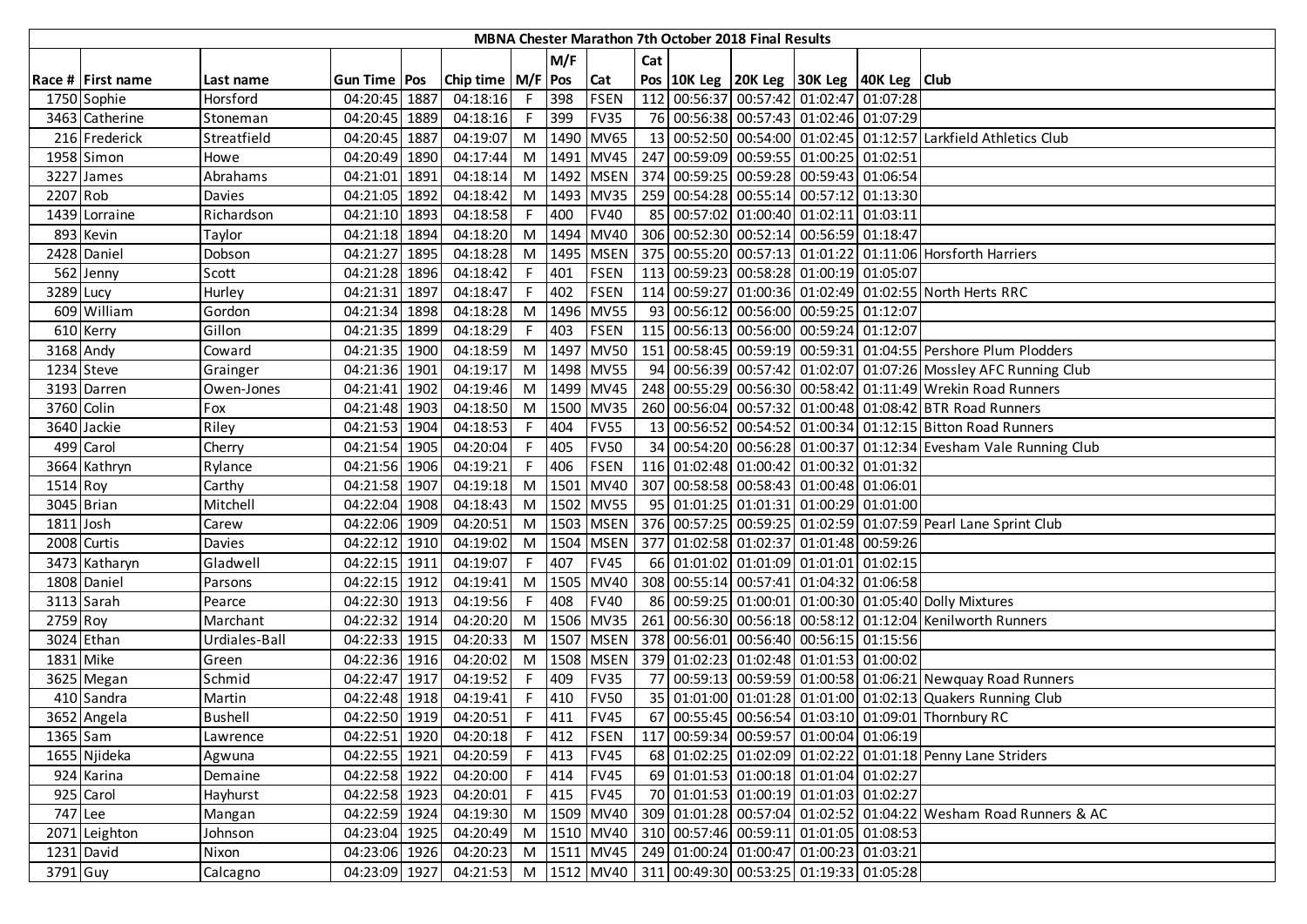|          |                   |                |                |      |                       |    |       |             |     | <b>MBNA Chester Marathon 7th October 2018 Final Results</b> |                                                    |                                                                  |
|----------|-------------------|----------------|----------------|------|-----------------------|----|-------|-------------|-----|-------------------------------------------------------------|----------------------------------------------------|------------------------------------------------------------------|
|          |                   |                |                |      |                       |    | M/F   |             | Cat |                                                             |                                                    |                                                                  |
|          | Race # First name | Last name      | Gun Time   Pos |      | Chip time   M/F   Pos |    |       | Cat         |     |                                                             | Pos   10K Leg   20K Leg   30K Leg   40K Leg   Club |                                                                  |
|          | 1750 Sophie       | Horsford       | 04:20:45 1887  |      | 04:18:16              | F. | 398   | <b>FSEN</b> |     |                                                             | 112 00:56:37 00:57:42 01:02:47 01:07:28            |                                                                  |
|          | 3463 Catherine    | Stoneman       | 04:20:45 1889  |      | 04:18:16              | F. | 399   | <b>FV35</b> |     |                                                             | 76 00:56:38 00:57:43 01:02:46 01:07:29             |                                                                  |
|          | 216 Frederick     | Streatfield    | 04:20:45 1887  |      | 04:19:07              | M  |       | 1490 MV65   |     |                                                             |                                                    | 13 00:52:50 00:54:00 01:02:45 01:12:57 Larkfield Athletics Club  |
|          | 1958 Simon        | Howe           | 04:20:49 1890  |      | 04:17:44              | M  |       | 1491 MV45   |     |                                                             | 247 00:59:09 00:59:55 01:00:25 01:02:51            |                                                                  |
|          | 3227 James        | Abrahams       | 04:21:01       | 1891 | 04:18:14              | M  |       | 1492 MSEN   |     |                                                             | 374 00:59:25 00:59:28 00:59:43 01:06:54            |                                                                  |
| 2207 Rob |                   | Davies         | 04:21:05 1892  |      | 04:18:42              | M  |       | 1493 MV35   |     |                                                             | 259 00:54:28 00:55:14 00:57:12 01:13:30            |                                                                  |
|          | 1439 Lorraine     | Richardson     | 04:21:10 1893  |      | 04:18:58              |    | 400   | <b>FV40</b> |     |                                                             | 85 00:57:02 01:00:40 01:02:11 01:03:11             |                                                                  |
|          | 893 Kevin         | Taylor         | 04:21:18 1894  |      | 04:18:20              | M  |       | 1494 MV40   |     |                                                             | 306 00:52:30 00:52:14 00:56:59 01:18:47            |                                                                  |
|          | 2428 Daniel       | Dobson         | 04:21:27 1895  |      | 04:18:28              | M  |       | 1495 MSEN   |     |                                                             |                                                    | 375 00:55:20 00:57:13 01:01:22 01:11:06 Horsforth Harriers       |
|          | 562 Jenny         | Scott          | 04:21:28 1896  |      | 04:18:42              |    | 401   | <b>FSEN</b> |     |                                                             | 113 00:59:23 00:58:28 01:00:19 01:05:07            |                                                                  |
|          | 3289 Lucy         | Hurley         | 04:21:31       | 1897 | 04:18:47              |    | 402   | <b>FSEN</b> |     |                                                             |                                                    | 114 00:59:27 01:00:36 01:02:49 01:02:55 North Herts RRC          |
|          | 609 William       | Gordon         | 04:21:34       | 1898 | 04:18:28              | M  | 1496  | <b>MV55</b> |     |                                                             | 93 00:56:12 00:56:00 00:59:25 01:12:07             |                                                                  |
|          | 610 Kerry         | Gillon         | 04:21:35 1899  |      | 04:18:29              | F  | 403   | <b>FSEN</b> |     |                                                             | 115 00:56:13 00:56:00 00:59:24 01:12:07            |                                                                  |
|          | 3168 Andy         | Coward         | 04:21:35 1900  |      | 04:18:59              | M  | 1497  | <b>MV50</b> |     |                                                             |                                                    | 151 00:58:45 00:59:19 00:59:31 01:04:55 Pershore Plum Plodders   |
|          | 1234 Steve        | Grainger       | 04:21:36 1901  |      | 04:19:17              | M  |       | 1498 MV55   |     |                                                             |                                                    | 94 00:56:39 00:57:42 01:02:07 01:07:26 Mossley AFC Running Club  |
|          | 3193 Darren       | Owen-Jones     | 04:21:41 1902  |      | 04:19:46              | M  |       | 1499 MV45   |     |                                                             |                                                    | 248 00:55:29 00:56:30 00:58:42 01:11:49 Wrekin Road Runners      |
|          | 3760 Colin        | Fox            | 04:21:48 1903  |      | 04:18:50              | M  |       | 1500 MV35   |     |                                                             |                                                    | 260 00:56:04 00:57:32 01:00:48 01:08:42 BTR Road Runners         |
|          | 3640 Jackie       | Riley          | 04:21:53 1904  |      | 04:18:53              | F. | 404   | <b>FV55</b> |     |                                                             |                                                    | 13 00:56:52 00:54:52 01:00:34 01:12:15 Bitton Road Runners       |
|          | 499 Carol         | Cherry         | 04:21:54 1905  |      | 04:20:04              | F. | 405   | <b>FV50</b> |     |                                                             |                                                    | 34 00:54:20 00:56:28 01:00:37 01:12:34 Evesham Vale Running Club |
|          | 3664 Kathryn      | Rylance        | 04:21:56 1906  |      | 04:19:21              |    | 406   | <b>FSEN</b> |     |                                                             | 116 01:02:48 01:00:42 01:00:32 01:01:32            |                                                                  |
| 1514 Roy |                   | Carthy         | 04:21:58 1907  |      | 04:19:18              | M  | 1501  | <b>MV40</b> |     |                                                             | 307 00:58:58 00:58:43 01:00:48 01:06:01            |                                                                  |
|          | 3045 Brian        | Mitchell       | 04:22:04 1908  |      | 04:18:43              | M  |       | 1502 MV55   |     |                                                             | 95 01:01:25 01:01:31 01:00:29 01:01:00             |                                                                  |
|          | 1811 Josh         | Carew          | 04:22:06 1909  |      | 04:20:51              | M  |       | 1503 MSEN   |     |                                                             |                                                    | 376 00:57:25 00:59:25 01:02:59 01:07:59 Pearl Lane Sprint Club   |
|          | 2008 Curtis       | Davies         | 04:22:12       | 1910 | 04:19:02              | M  |       | 1504 MSEN   |     |                                                             | 377 01:02:58 01:02:37 01:01:48 00:59:26            |                                                                  |
|          | 3473 Katharyn     | Gladwell       | 04:22:15       | 1911 | 04:19:07              | F  | 407   | <b>FV45</b> |     |                                                             | 66 01:01:02 01:01:09 01:01:01 01:02:15             |                                                                  |
|          | 1808 Daniel       | Parsons        | 04:22:15 1912  |      | 04:19:41              | M  | 1505  | <b>MV40</b> |     |                                                             | 308 00:55:14 00:57:41 01:04:32 01:06:58            |                                                                  |
|          | 3113 Sarah        | Pearce         | 04:22:30 1913  |      | 04:19:56              |    | 408   | <b>FV40</b> |     |                                                             |                                                    | 86 00:59:25 01:00:01 01:00:30 01:05:40 Dolly Mixtures            |
| 2759 Roy |                   | Marchant       | 04:22:32 1914  |      | 04:20:20              | M  |       | 1506 MV35   |     |                                                             |                                                    | 261 00:56:30 00:56:18 00:58:12 01:12:04 Kenilworth Runners       |
|          | 3024 Ethan        | Urdiales-Ball  | 04:22:33 1915  |      | 04:20:33              | M  |       | 1507 MSEN   |     |                                                             | 378 00:56:01 00:56:40 00:56:15 01:15:56            |                                                                  |
|          | 1831 Mike         | Green          | 04:22:36 1916  |      | 04:20:02              | M  |       | 1508 MSEN   |     |                                                             | 379 01:02:23 01:02:48 01:01:53 01:00:02            |                                                                  |
|          | 3625 Megan        | Schmid         | 04:22:47 1917  |      | 04:19:52              | F. | 409   | <b>FV35</b> |     |                                                             |                                                    | 77 00:59:13 00:59:59 01:00:58 01:06:21 Newquay Road Runners      |
|          | 410 Sandra        | Martin         | 04:22:48 1918  |      | 04:19:41              |    | 410   | <b>FV50</b> |     |                                                             |                                                    | 35 01:01:00 01:01:28 01:01:00 01:02:13 Quakers Running Club      |
|          | 3652 Angela       | <b>Bushell</b> | 04:22:50 1919  |      | 04:20:51              | F. | 411   | <b>FV45</b> |     |                                                             |                                                    | 67 00:55:45 00:56:54 01:03:10 01:09:01 Thornbury RC              |
| 1365 Sam |                   | Lawrence       | 04:22:51 1920  |      | 04:20:18              |    | F 412 | <b>FSEN</b> |     |                                                             | 117 00:59:34 00:59:57 01:00:04 01:06:19            |                                                                  |
|          | 1655 Njideka      | Agwuna         | 04:22:55 1921  |      | 04:20:59              | F. | 413   | <b>FV45</b> |     |                                                             |                                                    | 68 01:02:25 01:02:09 01:02:22 01:01:18 Penny Lane Striders       |
|          | 924 Karina        | Demaine        | 04:22:58 1922  |      | 04:20:00              | F  | 414   | <b>FV45</b> |     |                                                             | 69 01:01:53 01:00:18 01:01:04 01:02:27             |                                                                  |
|          | 925 Carol         | Hayhurst       | 04:22:58 1923  |      | 04:20:01              |    | 415   | <b>FV45</b> |     |                                                             | 70 01:01:53 01:00:19 01:01:03 01:02:27             |                                                                  |
|          | 747 Lee           | Mangan         | 04:22:59 1924  |      | 04:19:30              | M  |       | 1509 MV40   |     |                                                             |                                                    | 309 01:01:28 00:57:04 01:02:52 01:04:22 Wesham Road Runners & AC |
|          | 2071 Leighton     | Johnson        | 04:23:04 1925  |      | 04:20:49              | M  |       | 1510 MV40   |     |                                                             | 310 00:57:46 00:59:11 01:01:05 01:08:53            |                                                                  |
|          | 1231 David        | Nixon          | 04:23:06 1926  |      | 04:20:23              | M  |       | 1511 MV45   |     |                                                             | 249 01:00:24 01:00:47 01:00:23 01:03:21            |                                                                  |
| 3791 Guy |                   | Calcagno       | 04:23:09 1927  |      | 04:21:53 M            |    |       |             |     |                                                             | 1512 MV40 311 00:49:30 00:53:25 01:19:33 01:05:28  |                                                                  |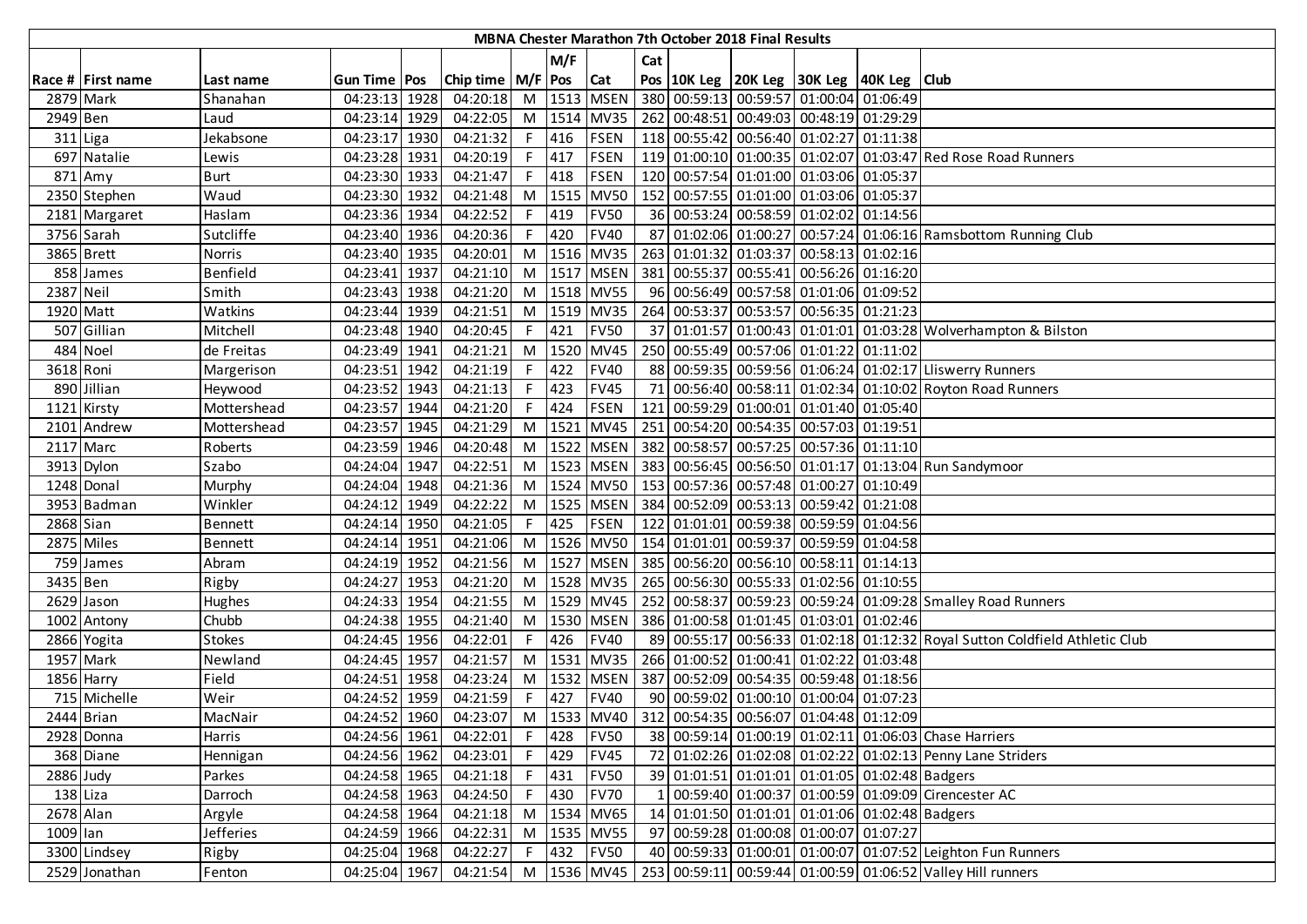|            |                   |               |                |      |                             |    |         |                 |     | <b>MBNA Chester Marathon 7th October 2018 Final Results</b> |                                                                  |          |                                                                             |
|------------|-------------------|---------------|----------------|------|-----------------------------|----|---------|-----------------|-----|-------------------------------------------------------------|------------------------------------------------------------------|----------|-----------------------------------------------------------------------------|
|            |                   |               |                |      |                             |    | M/F     |                 | Cat |                                                             |                                                                  |          |                                                                             |
|            | Race # First name | Last name     | Gun Time   Pos |      | Chip time   M/F   Pos   Cat |    |         |                 |     |                                                             | Pos   10K Leg   20K Leg   30K Leg   40K Leg   Club               |          |                                                                             |
|            | 2879 Mark         | Shanahan      | 04:23:13 1928  |      | 04:20:18                    |    |         | M 1513 MSEN     |     |                                                             | 380 00:59:13 00:59:57 01:00:04 01:06:49                          |          |                                                                             |
| 2949 Ben   |                   | Laud          | 04:23:14 1929  |      | 04:22:05                    |    |         | M 1514 MV35     |     |                                                             | 262 00:48:51 00:49:03 00:48:19 01:29:29                          |          |                                                                             |
|            | 311 Liga          | Jekabsone     | 04:23:17 1930  |      | 04:21:32                    |    | F 416   | <b>FSEN</b>     |     |                                                             | 118 00:55:42 00:56:40 01:02:27 01:11:38                          |          |                                                                             |
|            | 697 Natalie       | Lewis         | 04:23:28 1931  |      | 04:20:19                    |    | F 417   | <b>FSEN</b>     |     |                                                             |                                                                  |          | 119 01:00:10 01:00:35 01:02:07 01:03:47 Red Rose Road Runners               |
|            | 871 Amy           | <b>Burt</b>   | 04:23:30 1933  |      | 04:21:47                    |    | F 418   | <b>FSEN</b>     |     |                                                             | 120 00:57:54 01:01:00 01:03:06 01:05:37                          |          |                                                                             |
|            | 2350 Stephen      | Waud          | 04:23:30 1932  |      | 04:21:48                    |    |         | M 1515 MV50     |     |                                                             | 152 00:57:55 01:01:00 01:03:06 01:05:37                          |          |                                                                             |
|            | 2181 Margaret     | Haslam        | 04:23:36 1934  |      | 04:22:52                    | F. | 419     | <b>FV50</b>     |     |                                                             | 36 00:53:24 00:58:59 01:02:02 01:14:56                           |          |                                                                             |
|            | 3756 Sarah        | Sutcliffe     | 04:23:40 1936  |      | 04:20:36                    | F. | 420     | <b>FV40</b>     |     |                                                             |                                                                  |          | 87 01:02:06 01:00:27 00:57:24 01:06:16 Ramsbottom Running Club              |
|            | 3865 Brett        | Norris        | 04:23:40 1935  |      | 04:20:01                    |    |         | M 1516 MV35     |     |                                                             | 263 01:01:32 01:03:37 00:58:13 01:02:16                          |          |                                                                             |
|            | 858 James         | Benfield      | 04:23:41 1937  |      | 04:21:10                    |    |         | M 1517 MSEN     |     |                                                             | 381 00:55:37 00:55:41 00:56:26 01:16:20                          |          |                                                                             |
| 2387 Neil  |                   | Smith         | 04:23:43 1938  |      | 04:21:20                    |    |         | M 1518 MV55     |     |                                                             | 96 00:56:49 00:57:58 01:01:06 01:09:52                           |          |                                                                             |
| 1920 Matt  |                   | Watkins       | 04:23:44 1939  |      | 04:21:51                    |    |         | M 1519 MV35     |     |                                                             | 264 00:53:37 00:53:57 00:56:35 01:21:23                          |          |                                                                             |
|            | 507 Gillian       | Mitchell      | 04:23:48 1940  |      | 04:20:45                    |    | $F$ 421 | <b>FV50</b>     |     |                                                             |                                                                  |          | 37 01:01:57 01:00:43 01:01:01 01:03:28 Wolverhampton & Bilston              |
|            | 484 Noel          | de Freitas    | 04:23:49 1941  |      | 04:21:21                    |    | M 1520  | <b>MV45</b>     |     |                                                             | 250 00:55:49 00:57:06 01:01:22                                   | 01:11:02 |                                                                             |
| 3618 Roni  |                   | Margerison    | 04:23:51 1942  |      | 04:21:19                    |    | $F$ 422 | <b>FV40</b>     |     |                                                             |                                                                  |          | 88 00:59:35 00:59:56 01:06:24 01:02:17 Lliswerry Runners                    |
|            | 890 Jillian       | Heywood       | 04:23:52 1943  |      | 04:21:13                    |    | F 423   | <b>FV45</b>     |     |                                                             |                                                                  |          | 71 00:56:40 00:58:11 01:02:34 01:10:02 Royton Road Runners                  |
|            | 1121 Kirsty       | Mottershead   | 04:23:57 1944  |      | 04:21:20                    | F. | 424     | <b>FSEN</b>     |     |                                                             | 121 00:59:29 01:00:01 01:01:40 01:05:40                          |          |                                                                             |
|            | 2101 Andrew       | Mottershead   | 04:23:57 1945  |      | 04:21:29                    |    |         | M 1521 MV45     |     |                                                             | 251 00:54:20 00:54:35 00:57:03 01:19:51                          |          |                                                                             |
|            | 2117 Marc         | Roberts       | 04:23:59 1946  |      | 04:20:48                    |    |         | M   1522   MSEN |     |                                                             | 382 00:58:57 00:57:25 00:57:36 01:11:10                          |          |                                                                             |
|            | 3913 Dylon        | Szabo         | 04:24:04 1947  |      | 04:22:51                    |    |         | M   1523   MSEN |     |                                                             |                                                                  |          | 383 00:56:45 00:56:50 01:01:17 01:13:04 Run Sandymoor                       |
|            | 1248 Donal        | Murphy        | 04:24:04 1948  |      | 04:21:36                    |    |         | M 1524 MV50     |     |                                                             | 153 00:57:36 00:57:48 01:00:27 01:10:49                          |          |                                                                             |
|            | 3953 Badman       | Winkler       | 04:24:12 1949  |      | 04:22:22                    |    |         | M 1525 MSEN     |     |                                                             | 384 00:52:09 00:53:13 00:59:42 01:21:08                          |          |                                                                             |
| 2868 Sian  |                   | Bennett       | 04:24:14 1950  |      | 04:21:05                    |    | F 425   | FSEN            |     |                                                             | 122 01:01:01 00:59:38 00:59:59 01:04:56                          |          |                                                                             |
|            | 2875 Miles        | Bennett       | 04:24:14 1951  |      | 04:21:06                    |    |         |                 |     |                                                             | M  1526   MV50   154   01:01:01   00:59:37   00:59:59   01:04:58 |          |                                                                             |
|            | 759 James         | Abram         | 04:24:19       | 1952 | 04:21:56                    |    |         | M   1527   MSEN |     |                                                             | 385 00:56:20 00:56:10 00:58:11 01:14:13                          |          |                                                                             |
| 3435 Ben   |                   | Rigby         | 04:24:27       | 1953 | 04:21:20                    |    |         | M 1528 MV35     |     |                                                             | 265 00:56:30 00:55:33 01:02:56 01:10:55                          |          |                                                                             |
|            | 2629 Jason        | Hughes        | 04:24:33 1954  |      | 04:21:55                    |    |         | M 1529 MV45     |     |                                                             |                                                                  |          | 252 00:58:37 00:59:23 00:59:24 01:09:28 Smalley Road Runners                |
|            | 1002 Antony       | Chubb         | 04:24:38 1955  |      | 04:21:40                    |    |         | M   1530   MSEN |     |                                                             | 386 01:00:58 01:01:45 01:03:01 01:02:46                          |          |                                                                             |
|            | 2866 Yogita       | <b>Stokes</b> | 04:24:45 1956  |      | 04:22:01                    | F. | 426     | <b>FV40</b>     |     |                                                             |                                                                  |          | 89 00:55:17 00:56:33 01:02:18 01:12:32 Royal Sutton Coldfield Athletic Club |
|            | 1957 Mark         | Newland       | 04:24:45 1957  |      | 04:21:57                    |    |         | M 1531 MV35     |     | 266 01:00:52 01:00:41 01:02:22                              |                                                                  | 01:03:48 |                                                                             |
|            | 1856 Harry        | Field         | 04:24:51 1958  |      | 04:23:24                    |    |         | M 1532 MSEN     |     |                                                             | 387 00:52:09 00:54:35 00:59:48 01:18:56                          |          |                                                                             |
|            | 715 Michelle      | Weir          | 04:24:52 1959  |      | 04:21:59                    | F. | 427     | <b>FV40</b>     |     |                                                             | 90 00:59:02 01:00:10 01:00:04 01:07:23                           |          |                                                                             |
|            | 2444 Brian        | MacNair       | 04:24:52 1960  |      |                             |    |         |                 |     |                                                             | 04:23:07 M   1533 MV40   312 00:54:35 00:56:07 01:04:48 01:12:09 |          |                                                                             |
|            | 2928 Donna        | Harris        | 04:24:56 1961  |      | 04:22:01                    |    | F 428   | <b>FV50</b>     |     |                                                             |                                                                  |          | 38 00:59:14 01:00:19 01:02:11 01:06:03 Chase Harriers                       |
|            | 368 Diane         | Hennigan      | 04:24:56 1962  |      | 04:23:01                    | F. | 429     | <b>FV45</b>     |     |                                                             |                                                                  |          | 72 01:02:26 01:02:08 01:02:22 01:02:13 Penny Lane Striders                  |
| 2886 Judy  |                   | Parkes        | 04:24:58 1965  |      | 04:21:18                    |    | $F$ 431 | <b>FV50</b>     |     |                                                             | 39 01:01:51 01:01:01 01:01:05 01:02:48 Badgers                   |          |                                                                             |
| $138$ Liza |                   | Darroch       | 04:24:58 1963  |      | 04:24:50                    | F  | 430     | <b>FV70</b>     |     |                                                             |                                                                  |          | 00:59:40 01:00:37 01:00:59 01:09:09 Cirencester AC                          |
| 2678 Alan  |                   | Argyle        | 04:24:58 1964  |      | 04:21:18                    |    |         | M 1534 MV65     |     |                                                             | 14 01:01:50 01:01:01 01:01:06 01:02:48 Badgers                   |          |                                                                             |
| 1009 lan   |                   | Jefferies     | 04:24:59 1966  |      | 04:22:31                    |    |         | M 1535 MV55     |     |                                                             | 97 00:59:28 01:00:08 01:00:07 01:07:27                           |          |                                                                             |
|            | 3300 Lindsey      | Rigby         | 04:25:04 1968  |      | 04:22:27                    |    | $F$ 432 | <b>FV50</b>     |     |                                                             |                                                                  |          | 40 00:59:33 01:00:01 01:00:07 01:07:52 Leighton Fun Runners                 |
|            | 2529 Jonathan     | Fenton        | 04:25:04 1967  |      | 04:21:54                    |    |         | M   1536   MV45 |     |                                                             |                                                                  |          | 253 00:59:11 00:59:44 01:00:59 01:06:52 Valley Hill runners                 |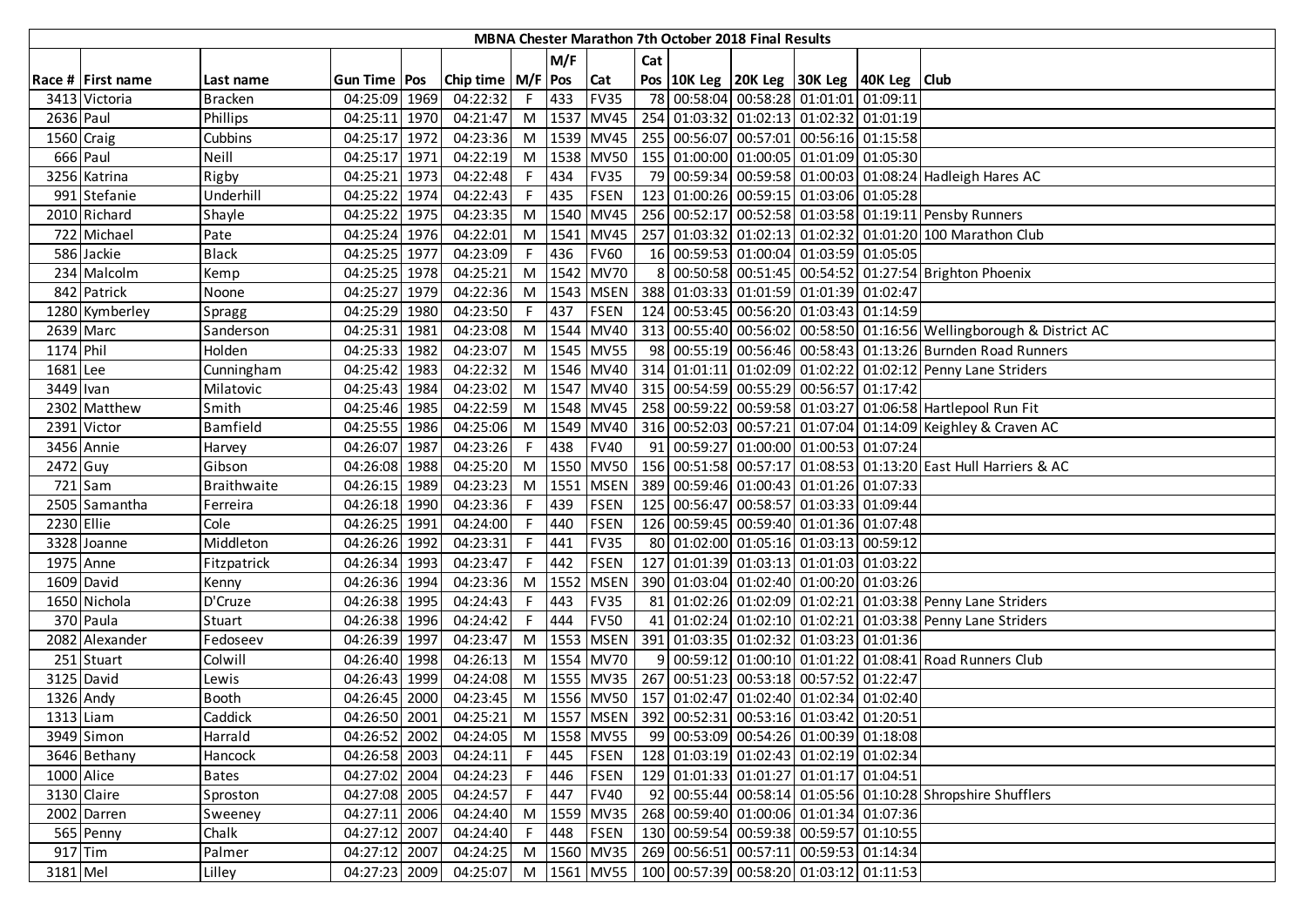|            | MBNA Chester Marathon 7th October 2018 Final Results |                |                |  |                       |    |       |             |     |  |  |                                                                  |  |                                                                      |
|------------|------------------------------------------------------|----------------|----------------|--|-----------------------|----|-------|-------------|-----|--|--|------------------------------------------------------------------|--|----------------------------------------------------------------------|
|            |                                                      |                |                |  |                       |    | M/F   |             | Cat |  |  |                                                                  |  |                                                                      |
|            | Race # First name                                    | Last name      | Gun Time   Pos |  | Chip time   M/F   Pos |    |       | Cat         |     |  |  | Pos   10K Leg   20K Leg   30K Leg   40K Leg   Club               |  |                                                                      |
|            | 3413 Victoria                                        | <b>Bracken</b> | 04:25:09 1969  |  | 04:22:32              |    | F 433 | <b>FV35</b> |     |  |  | 78 00:58:04 00:58:28 01:01:01 01:09:11                           |  |                                                                      |
| 2636 Paul  |                                                      | Phillips       | 04:25:11 1970  |  | 04:21:47              | M  |       | 1537 MV45   |     |  |  | 254 01:03:32 01:02:13 01:02:32 01:01:19                          |  |                                                                      |
| 1560 Craig |                                                      | Cubbins        | 04:25:17 1972  |  | 04:23:36              |    |       | M 1539 MV45 |     |  |  | 255 00:56:07 00:57:01 00:56:16 01:15:58                          |  |                                                                      |
|            | 666 Paul                                             | Neill          | 04:25:17 1971  |  | 04:22:19              |    |       | M 1538 MV50 |     |  |  | 155   01:00:00   01:00:05   01:01:09   01:05:30                  |  |                                                                      |
|            | 3256 Katrina                                         | Rigby          | 04:25:21 1973  |  | 04:22:48              | F  | 434   | <b>FV35</b> |     |  |  |                                                                  |  | 79 00:59:34 00:59:58 01:00:03 01:08:24 Hadleigh Hares AC             |
|            | 991 Stefanie                                         | Underhill      | 04:25:22 1974  |  | 04:22:43              | F. | 435   | <b>FSEN</b> |     |  |  | 123 01:00:26 00:59:15 01:03:06 01:05:28                          |  |                                                                      |
|            | 2010 Richard                                         | Shayle         | 04:25:22 1975  |  | 04:23:35              | M  |       | 1540 MV45   |     |  |  |                                                                  |  | 256 00:52:17 00:52:58 01:03:58 01:19:11 Pensby Runners               |
|            | 722 Michael                                          | Pate           | 04:25:24 1976  |  | 04:22:01              | M  |       | 1541 MV45   |     |  |  |                                                                  |  | 257 01:03:32 01:02:13 01:02:32 01:01:20 100 Marathon Club            |
|            | 586 Jackie                                           | <b>Black</b>   | 04:25:25 1977  |  | 04:23:09              |    | 436   | <b>FV60</b> |     |  |  | 16 00:59:53 01:00:04 01:03:59 01:05:05                           |  |                                                                      |
|            | 234 Malcolm                                          | Kemp           | 04:25:25 1978  |  | 04:25:21              | M  |       | 1542 MV70   |     |  |  |                                                                  |  | 8 00:50:58 00:51:45 00:54:52 01:27:54 Brighton Phoenix               |
|            | 842 Patrick                                          | Noone          | 04:25:27 1979  |  | 04:22:36              | M  |       | 1543 MSEN   |     |  |  | 388 01:03:33 01:01:59 01:01:39 01:02:47                          |  |                                                                      |
|            | 1280 Kymberley                                       | Spragg         | 04:25:29 1980  |  | 04:23:50              | F. | 437   | <b>FSEN</b> |     |  |  | 124 00:53:45 00:56:20 01:03:43 01:14:59                          |  |                                                                      |
|            | 2639 Marc                                            | Sanderson      | 04:25:31 1981  |  | 04:23:08              | M  |       | 1544 MV40   |     |  |  |                                                                  |  | 313 00:55:40 00:56:02 00:58:50 01:16:56 Wellingborough & District AC |
| 1174 Phil  |                                                      | Holden         | 04:25:33 1982  |  | 04:23:07              | M  |       | 1545 MV55   |     |  |  |                                                                  |  | 98 00:55:19 00:56:46 00:58:43 01:13:26 Burnden Road Runners          |
| 1681 Lee   |                                                      | Cunningham     | 04:25:42 1983  |  | 04:22:32              | M  |       | 1546 MV40   |     |  |  |                                                                  |  | 314 01:01:11 01:02:09 01:02:22 01:02:12 Penny Lane Striders          |
| 3449 Ivan  |                                                      | Milatovic      | 04:25:43 1984  |  | 04:23:02              |    |       |             |     |  |  | M  1547   MV40   315   00:54:59   00:55:29   00:56:57   01:17:42 |  |                                                                      |
|            | 2302 Matthew                                         | Smith          | 04:25:46 1985  |  | 04:22:59              |    |       | M 1548 MV45 |     |  |  |                                                                  |  | 258 00:59:22 00:59:58 01:03:27 01:06:58 Hartlepool Run Fit           |
|            | 2391 Victor                                          | Bamfield       | 04:25:55 1986  |  | 04:25:06              |    |       | M 1549 MV40 |     |  |  |                                                                  |  | 316 00:52:03 00:57:21 01:07:04 01:14:09 Keighley & Craven AC         |
|            | 3456 Annie                                           | Harvey         | 04:26:07 1987  |  | 04:23:26              | F. | 438   | <b>FV40</b> |     |  |  | 91 00:59:27 01:00:00 01:00:53 01:07:24                           |  |                                                                      |
| 2472 Guy   |                                                      | Gibson         | 04:26:08 1988  |  | 04:25:20              | M  |       | 1550 MV50   |     |  |  |                                                                  |  | 156 00:51:58 00:57:17 01:08:53 01:13:20 East Hull Harriers & AC      |
|            | $721$ Sam                                            | Braithwaite    | 04:26:15 1989  |  | 04:23:23              | M  | 1551  | <b>MSEN</b> |     |  |  | 389 00:59:46 01:00:43 01:01:26 01:07:33                          |  |                                                                      |
|            | 2505 Samantha                                        | Ferreira       | 04:26:18 1990  |  | 04:23:36              |    | 439   | <b>FSEN</b> |     |  |  | 125 00:56:47 00:58:57 01:03:33 01:09:44                          |  |                                                                      |
| 2230 Ellie |                                                      | Cole           | 04:26:25 1991  |  | 04:24:00              |    | 440   | <b>FSEN</b> |     |  |  | 126 00:59:45 00:59:40 01:01:36 01:07:48                          |  |                                                                      |
|            | 3328 Joanne                                          | Middleton      | 04:26:26 1992  |  | 04:23:31              |    | 441   | <b>FV35</b> |     |  |  | 80 01:02:00 01:05:16 01:03:13 00:59:12                           |  |                                                                      |
| 1975 Anne  |                                                      | Fitzpatrick    | 04:26:34 1993  |  | 04:23:47              | F. | 442   | <b>FSEN</b> |     |  |  | 127 01:01:39 01:03:13 01:01:03 01:03:22                          |  |                                                                      |
|            | 1609 David                                           | Kenny          | 04:26:36 1994  |  | 04:23:36              | M  | 1552  | <b>MSEN</b> |     |  |  | 390 01:03:04 01:02:40 01:00:20 01:03:26                          |  |                                                                      |
|            | 1650 Nichola                                         | D'Cruze        | 04:26:38 1995  |  | 04:24:43              | F. | 443   | <b>FV35</b> |     |  |  |                                                                  |  | 81 01:02:26 01:02:09 01:02:21 01:03:38 Penny Lane Striders           |
|            | 370 Paula                                            | Stuart         | 04:26:38 1996  |  | 04:24:42              | F. | 444   | <b>FV50</b> |     |  |  |                                                                  |  | 41 01:02:24 01:02:10 01:02:21 01:03:38 Penny Lane Striders           |
|            | 2082 Alexander                                       | Fedoseev       | 04:26:39 1997  |  | 04:23:47              | M  |       | 1553 MSEN   |     |  |  | 391 01:03:35 01:02:32 01:03:23 01:01:36                          |  |                                                                      |
|            | 251 Stuart                                           | Colwill        | 04:26:40 1998  |  | 04:26:13              | M  |       | 1554 MV70   |     |  |  |                                                                  |  | 9 00:59:12 01:00:10 01:01:22 01:08:41 Road Runners Club              |
|            | 3125 David                                           | Lewis          | 04:26:43 1999  |  | 04:24:08              | M  |       |             |     |  |  | 1555 MV35 267 00:51:23 00:53:18 00:57:52 01:22:47                |  |                                                                      |
| 1326 Andy  |                                                      | <b>Booth</b>   | 04:26:45 2000  |  | 04:23:45              | M  |       |             |     |  |  | 1556 MV50 157 01:02:47 01:02:40 01:02:34 01:02:40                |  |                                                                      |
| 1313 Liam  |                                                      | Caddick        | 04:26:50 2001  |  | 04:25:21              |    |       |             |     |  |  | M  1557   MSEN   392   00:52:31   00:53:16   01:03:42   01:20:51 |  |                                                                      |
|            | 3949 Simon                                           | Harrald        | 04:26:52 2002  |  | 04:24:05              |    |       | M 1558 MV55 |     |  |  | 99 00:53:09 00:54:26 01:00:39 01:18:08                           |  |                                                                      |
|            | 3646 Bethany                                         | Hancock        | 04:26:58 2003  |  | 04:24:11              |    | F 445 | <b>FSEN</b> |     |  |  | 128 01:03:19 01:02:43 01:02:19 01:02:34                          |  |                                                                      |
| 1000 Alice |                                                      | <b>Bates</b>   | 04:27:02 2004  |  | 04:24:23              |    | F 446 | <b>FSEN</b> |     |  |  | 129 01:01:33 01:01:27 01:01:17 01:04:51                          |  |                                                                      |
|            | 3130 Claire                                          | Sproston       | 04:27:08 2005  |  | 04:24:57              |    | F 447 | <b>FV40</b> |     |  |  |                                                                  |  | 92 00:55:44 00:58:14 01:05:56 01:10:28 Shropshire Shufflers          |
|            | 2002 Darren                                          | Sweeney        | 04:27:11 2006  |  | 04:24:40              |    |       | M 1559 MV35 |     |  |  | 268 00:59:40 01:00:06 01:01:34 01:07:36                          |  |                                                                      |
|            | 565 Penny                                            | Chalk          | 04:27:12 2007  |  | 04:24:40              | F. |       | 448 FSEN    |     |  |  | 130 00:59:54 00:59:38 00:59:57 01:10:55                          |  |                                                                      |
| $917$ Tim  |                                                      | Palmer         | 04:27:12 2007  |  | 04:24:25              | M  |       | 1560 MV35   |     |  |  | 269 00:56:51 00:57:11 00:59:53 01:14:34                          |  |                                                                      |
| 3181 Mel   |                                                      | Lilley         | 04:27:23 2009  |  | 04:25:07              | M  |       |             |     |  |  | 1561 MV55   100 00:57:39 00:58:20 01:03:12 01:11:53              |  |                                                                      |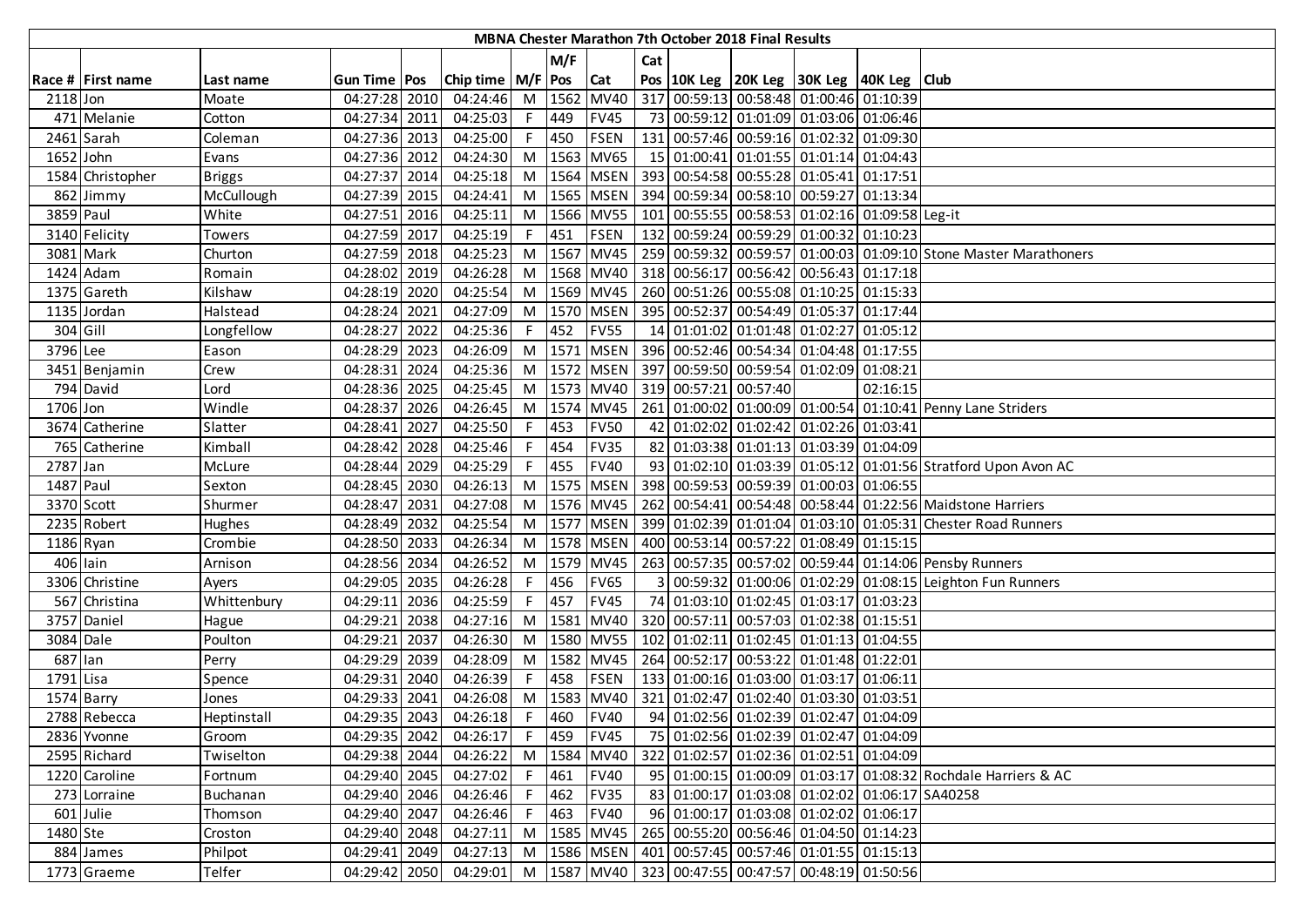| MBNA Chester Marathon 7th October 2018 Final Results |                   |               |                |      |                                                                            |    |         |             |     |  |                       |                                                                  |          |                                                                  |
|------------------------------------------------------|-------------------|---------------|----------------|------|----------------------------------------------------------------------------|----|---------|-------------|-----|--|-----------------------|------------------------------------------------------------------|----------|------------------------------------------------------------------|
|                                                      |                   |               |                |      |                                                                            |    | M/F     |             | Cat |  |                       |                                                                  |          |                                                                  |
|                                                      | Race # First name | Last name     | Gun Time   Pos |      | Chip time   M/F   Pos   Cat                                                |    |         |             |     |  |                       | Pos   10K Leg   20K Leg   30K Leg   40K Leg   Club               |          |                                                                  |
| 2118 Jon                                             |                   | Moate         | 04:27:28 2010  |      | 04:24:46                                                                   |    |         | M 1562 MV40 |     |  |                       | 317 00:59:13 00:58:48 01:00:46 01:10:39                          |          |                                                                  |
|                                                      | 471 Melanie       | Cotton        | 04:27:34 2011  |      | 04:25:03                                                                   |    | F 449   | <b>FV45</b> |     |  |                       | 73 00:59:12 01:01:09 01:03:06 01:06:46                           |          |                                                                  |
| 2461 Sarah                                           |                   | Coleman       | 04:27:36 2013  |      | 04:25:00                                                                   |    | F 450   | <b>FSEN</b> |     |  |                       | 131 00:57:46 00:59:16 01:02:32 01:09:30                          |          |                                                                  |
| 1652 John                                            |                   | Evans         | 04:27:36 2012  |      | 04:24:30                                                                   |    |         | M 1563 MV65 |     |  |                       | 15 01:00:41 01:01:55 01:01:14 01:04:43                           |          |                                                                  |
|                                                      | 1584 Christopher  | <b>Briggs</b> | 04:27:37 2014  |      | 04:25:18                                                                   |    |         |             |     |  |                       | M  1564   MSEN   393   00:54:58   00:55:28   01:05:41   01:17:51 |          |                                                                  |
|                                                      | 862 Jimmy         | McCullough    | 04:27:39 2015  |      | 04:24:41                                                                   |    |         |             |     |  |                       | M  1565   MSEN   394   00:59:34   00:58:10   00:59:27   01:13:34 |          |                                                                  |
| 3859 Paul                                            |                   | White         | 04:27:51       | 2016 | 04:25:11                                                                   |    |         | M 1566 MV55 |     |  |                       | 101 00:55:55 00:58:53 01:02:16 01:09:58 Leg-it                   |          |                                                                  |
|                                                      | 3140 Felicity     | Towers        | 04:27:59 2017  |      | 04:25:19                                                                   | F. | 451     | <b>FSEN</b> |     |  |                       | 132 00:59:24 00:59:29 01:00:32 01:10:23                          |          |                                                                  |
| 3081 Mark                                            |                   | Churton       | 04:27:59 2018  |      | 04:25:23                                                                   |    |         | M 1567 MV45 |     |  |                       |                                                                  |          | 259 00:59:32 00:59:57 01:00:03 01:09:10 Stone Master Marathoners |
|                                                      | 1424 Adam         | Romain        | 04:28:02       | 2019 | 04:26:28                                                                   |    |         | M 1568 MV40 |     |  |                       | 318 00:56:17 00:56:42 00:56:43 01:17:18                          |          |                                                                  |
|                                                      | 1375 Gareth       | Kilshaw       | 04:28:19       | 2020 | 04:25:54                                                                   |    |         | M 1569 MV45 |     |  |                       | 260 00:51:26 00:55:08 01:10:25 01:15:33                          |          |                                                                  |
|                                                      | 1135 Jordan       | Halstead      | 04:28:24       | 2021 | 04:27:09                                                                   |    |         | M 1570 MSEN |     |  |                       | 395 00:52:37 00:54:49 01:05:37 01:17:44                          |          |                                                                  |
| 304 Gill                                             |                   | Longfellow    | 04:28:27       | 2022 | 04:25:36                                                                   | F. | 452     | <b>FV55</b> |     |  |                       | 14 01:01:02 01:01:48 01:02:27 01:05:12                           |          |                                                                  |
| 3796 Lee                                             |                   | Eason         | 04:28:29       | 2023 | 04:26:09                                                                   |    |         | M 1571 MSEN |     |  |                       | 396 00:52:46 00:54:34 01:04:48 01:17:55                          |          |                                                                  |
|                                                      | 3451 Benjamin     | Crew          | 04:28:31       | 2024 | 04:25:36                                                                   |    |         | M 1572 MSEN |     |  |                       | 397 00:59:50 00:59:54 01:02:09 01:08:21                          |          |                                                                  |
|                                                      | 794 David         | Lord          | 04:28:36 2025  |      | 04:25:45                                                                   |    |         | M 1573 MV40 |     |  | 319 00:57:21 00:57:40 |                                                                  | 02:16:15 |                                                                  |
| 1706 Jon                                             |                   | Windle        | 04:28:37 2026  |      | 04:26:45                                                                   |    |         | M 1574 MV45 |     |  |                       |                                                                  |          | 261 01:00:02 01:00:09 01:00:54 01:10:41 Penny Lane Striders      |
|                                                      | 3674 Catherine    | Slatter       | 04:28:41       | 2027 | 04:25:50                                                                   | F  | 453     | <b>FV50</b> |     |  |                       | 42 01:02:02 01:02:42 01:02:26 01:03:41                           |          |                                                                  |
|                                                      | 765 Catherine     | Kimball       | 04:28:42 2028  |      | 04:25:46                                                                   | F. | 454     | <b>FV35</b> |     |  |                       | 82 01:03:38 01:01:13 01:03:39 01:04:09                           |          |                                                                  |
| 2787 Jan                                             |                   | McLure        | 04:28:44       | 2029 | 04:25:29                                                                   | F. | 455     | <b>FV40</b> |     |  |                       |                                                                  |          | 93 01:02:10 01:03:39 01:05:12 01:01:56 Stratford Upon Avon AC    |
| 1487 Paul                                            |                   | Sexton        | 04:28:45       | 2030 | 04:26:13                                                                   |    |         | M 1575 MSEN |     |  |                       | 398 00:59:53 00:59:39 01:00:03 01:06:55                          |          |                                                                  |
| 3370 Scott                                           |                   | Shurmer       | 04:28:47       | 2031 | 04:27:08                                                                   |    |         | M 1576 MV45 |     |  |                       |                                                                  |          | 262 00:54:41 00:54:48 00:58:44 01:22:56 Maidstone Harriers       |
|                                                      | 2235 Robert       | Hughes        | 04:28:49       | 2032 | 04:25:54                                                                   |    |         | M 1577 MSEN |     |  |                       |                                                                  |          | 399 01:02:39 01:01:04 01:03:10 01:05:31 Chester Road Runners     |
| $1186$ Ryan                                          |                   | Crombie       | 04:28:50       | 2033 | 04:26:34                                                                   |    |         | M 1578 MSEN |     |  |                       | 400 00:53:14 00:57:22 01:08:49 01:15:15                          |          |                                                                  |
| 406 lain                                             |                   | Arnison       | 04:28:56       | 2034 | 04:26:52                                                                   |    |         | M 1579 MV45 |     |  |                       |                                                                  |          | 263 00:57:35 00:57:02 00:59:44 01:14:06 Pensby Runners           |
|                                                      | 3306 Christine    | Ayers         | 04:29:05       | 2035 | 04:26:28                                                                   | F. | 456     | <b>FV65</b> |     |  |                       |                                                                  |          | 00:59:32 01:00:06 01:02:29 01:08:15 Leighton Fun Runners         |
|                                                      | 567 Christina     | Whittenbury   | 04:29:11       | 2036 | 04:25:59                                                                   | F. | 457     | <b>FV45</b> |     |  |                       | 74 01:03:10 01:02:45 01:03:17 01:03:23                           |          |                                                                  |
|                                                      | 3757 Daniel       | Hague         | 04:29:21       | 2038 | 04:27:16                                                                   |    |         | M 1581 MV40 |     |  |                       | 320 00:57:11 00:57:03 01:02:38 01:15:51                          |          |                                                                  |
| 3084 Dale                                            |                   | Poulton       | 04:29:21       | 2037 | 04:26:30                                                                   |    |         | M 1580 MV55 |     |  |                       | 102 01:02:11 01:02:45 01:01:13 01:04:55                          |          |                                                                  |
| 687 lan                                              |                   | Perry         | 04:29:29       | 2039 | 04:28:09                                                                   |    |         | M 1582 MV45 |     |  |                       | 264 00:52:17 00:53:22 01:01:48 01:22:01                          |          |                                                                  |
| 1791 Lisa                                            |                   | Spence        | 04:29:31       | 2040 | 04:26:39                                                                   | F. | 458     | <b>FSEN</b> |     |  |                       | 133 01:00:16 01:03:00 01:03:17 01:06:11                          |          |                                                                  |
| 1574 Barry                                           |                   | Jones         | 04:29:33 2041  |      | 04:26:08                                                                   | M  |         | 1583 MV40   |     |  |                       | 321 01:02:47 01:02:40 01:03:30 01:03:51                          |          |                                                                  |
|                                                      | 2788 Rebecca      | Heptinstall   | 04:29:35 2043  |      | 04:26:18 F 460 FV40                                                        |    |         |             |     |  |                       | 94 01:02:56 01:02:39 01:02:47 01:04:09                           |          |                                                                  |
|                                                      | 2836 Yvonne       | Groom         | 04:29:35 2042  |      | 04:26:17 F 459 FV45                                                        |    |         |             |     |  |                       | 75 01:02:56 01:02:39 01:02:47 01:04:09                           |          |                                                                  |
|                                                      | 2595 Richard      | [wiselton     | 04:29:38 2044  |      | 04:26:22                                                                   |    |         | M 1584 MV40 |     |  |                       | 322 01:02:57 01:02:36 01:02:51 01:04:09                          |          |                                                                  |
|                                                      | 1220 Caroline     | Fortnum       | 04:29:40 2045  |      | $04:27:02$ F 461                                                           |    |         | <b>FV40</b> |     |  |                       |                                                                  |          | 95 01:00:15 01:00:09 01:03:17 01:08:32 Rochdale Harriers & AC    |
|                                                      | 273 Lorraine      | Buchanan      | 04:29:40 2046  |      | 04:26:46                                                                   | F. | 462     | <b>FV35</b> |     |  |                       | 83 01:00:17 01:03:08 01:02:02 01:06:17 SA40258                   |          |                                                                  |
|                                                      | 601 Julie         | Thomson       | 04:29:40 2047  |      | 04:26:46                                                                   |    | $F$ 463 | <b>FV40</b> |     |  |                       | 96 01:00:17 01:03:08 01:02:02 01:06:17                           |          |                                                                  |
| 1480 Ste                                             |                   | Croston       | 04:29:40 2048  |      | 04:27:11                                                                   |    |         | M 1585 MV45 |     |  |                       | 265 00:55:20 00:56:46 01:04:50 01:14:23                          |          |                                                                  |
|                                                      | 884 James         | Philpot       | 04:29:41 2049  |      | 04:27:13                                                                   |    |         | M 1586 MSEN |     |  |                       | 401 00:57:45 00:57:46 01:01:55 01:15:13                          |          |                                                                  |
|                                                      | 1773 Graeme       | Telfer        |                |      | 04:29:42 2050 04:29:01 M 1587 MV40 323 00:47:55 00:47:57 00:48:19 01:50:56 |    |         |             |     |  |                       |                                                                  |          |                                                                  |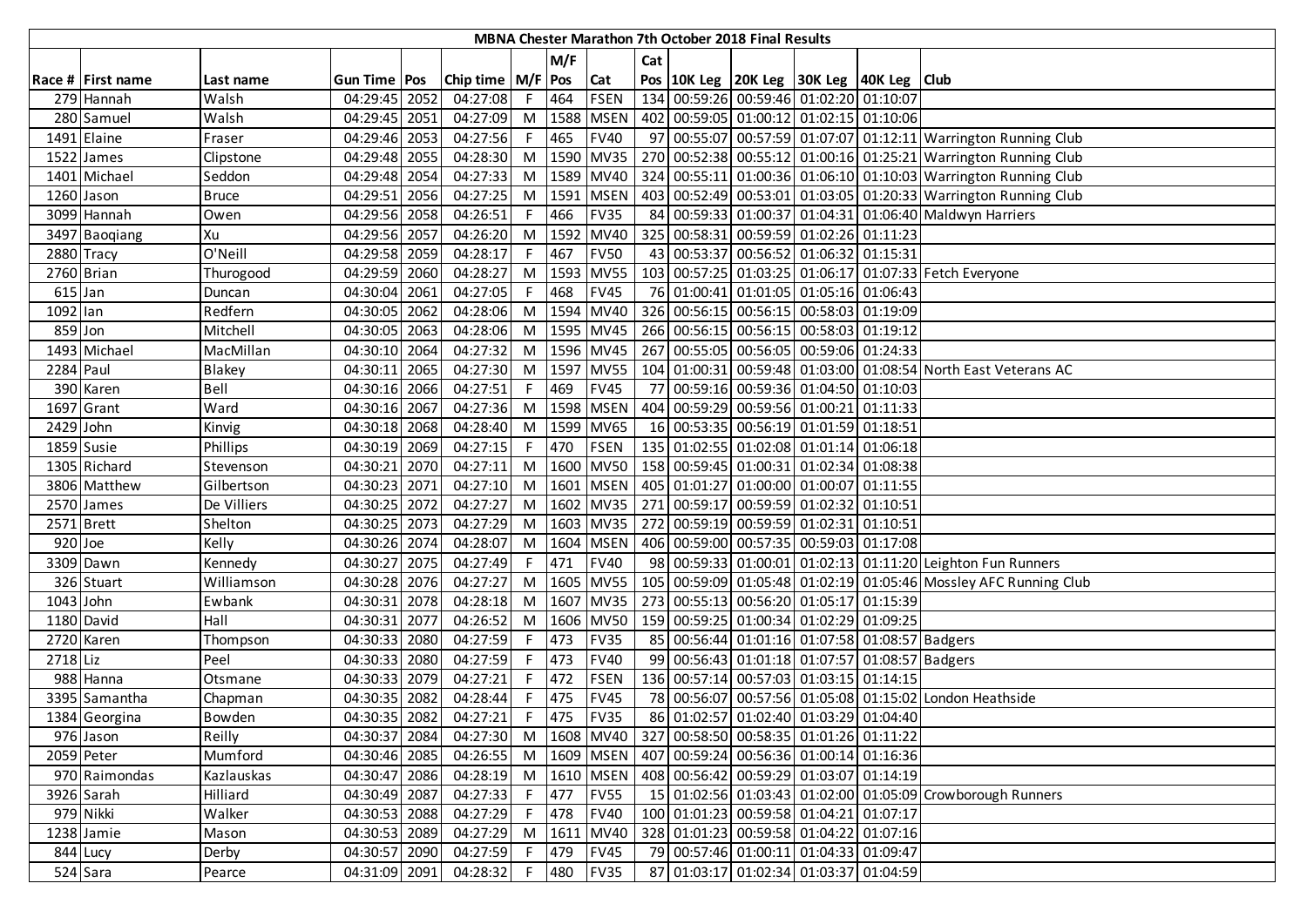|                      | MBNA Chester Marathon 7th October 2018 Final Results |              |                |      |                       |    |      |             |     |                                                                  |  |                                             |  |                                                                  |
|----------------------|------------------------------------------------------|--------------|----------------|------|-----------------------|----|------|-------------|-----|------------------------------------------------------------------|--|---------------------------------------------|--|------------------------------------------------------------------|
|                      |                                                      |              |                |      |                       |    | M/F  |             | Cat |                                                                  |  |                                             |  |                                                                  |
|                      | Race # First name                                    | Last name    | Gun Time   Pos |      | Chip time   M/F   Pos |    |      | Cat         |     | Pos   10K Leg   20K Leg   30K Leg   40K Leg   Club               |  |                                             |  |                                                                  |
|                      | 279 Hannah                                           | Walsh        | 04:29:45 2052  |      | 04:27:08              |    | 464  | <b>FSEN</b> |     | 134 00:59:26 00:59:46 01:02:20 01:10:07                          |  |                                             |  |                                                                  |
|                      | 280 Samuel                                           | Walsh        | 04:29:45 2051  |      | 04:27:09              | M  | 1588 | <b>MSEN</b> |     | 402 00:59:05 01:00:12 01:02:15 01:10:06                          |  |                                             |  |                                                                  |
|                      | 1491 Elaine                                          | Fraser       | 04:29:46 2053  |      | 04:27:56              |    | 465  | <b>FV40</b> |     |                                                                  |  |                                             |  | 97 00:55:07 00:57:59 01:07:07 01:12:11 Warrington Running Club   |
|                      | 1522 James                                           | Clipstone    | 04:29:48 2055  |      | 04:28:30              | M  |      | 1590 MV35   |     |                                                                  |  |                                             |  | 270 00:52:38 00:55:12 01:00:16 01:25:21 Warrington Running Club  |
|                      | 1401 Michael                                         | Seddon       | 04:29:48 2054  |      | 04:27:33              | M  |      | 1589 MV40   |     |                                                                  |  |                                             |  | 324 00:55:11 01:00:36 01:06:10 01:10:03 Warrington Running Club  |
|                      | 1260 Jason                                           | <b>Bruce</b> | 04:29:51 2056  |      | 04:27:25              | M  |      | 1591 MSEN   |     |                                                                  |  |                                             |  | 403 00:52:49 00:53:01 01:03:05 01:20:33 Warrington Running Club  |
|                      | 3099 Hannah                                          | Owen         | 04:29:56 2058  |      | 04:26:51              |    | 466  | <b>FV35</b> | 84  |                                                                  |  |                                             |  | 00:59:33 01:00:37 01:04:31 01:06:40 Maldwyn Harriers             |
|                      | 3497 Baoqiang                                        | Xu           | 04:29:56 2057  |      | 04:26:20              | M  | 1592 | <b>MV40</b> |     | 325 00:58:31 00:59:59 01:02:26 01:11:23                          |  |                                             |  |                                                                  |
|                      | 2880 Tracy                                           | O'Neill      | 04:29:58 2059  |      | 04:28:17              | F  | 467  | <b>FV50</b> |     | 43 00:53:37 00:56:52 01:06:32 01:15:31                           |  |                                             |  |                                                                  |
|                      | 2760 Brian                                           | Thurogood    | 04:29:59 2060  |      | 04:28:27              | M  | 1593 | <b>MV55</b> |     |                                                                  |  |                                             |  | 103 00:57:25 01:03:25 01:06:17 01:07:33 Fetch Everyone           |
| $\overline{615}$ Jan |                                                      | Duncan       | 04:30:04 2061  |      | 04:27:05              |    | 468  | <b>FV45</b> |     | 76 01:00:41 01:01:05 01:05:16 01:06:43                           |  |                                             |  |                                                                  |
| $1092$ lan           |                                                      | Redfern      | 04:30:05 2062  |      | 04:28:06              | M  | 1594 | <b>MV40</b> |     | 326 00:56:15 00:56:15 00:58:03 01:19:09                          |  |                                             |  |                                                                  |
| 859 Jon              |                                                      | Mitchell     | 04:30:05 2063  |      | 04:28:06              | M  |      | 1595 MV45   |     | 266 00:56:15 00:56:15 00:58:03 01:19:12                          |  |                                             |  |                                                                  |
|                      | 1493 Michael                                         | MacMillan    | 04:30:10       | 2064 | 04:27:32              | M  |      | 1596 MV45   |     | 267 00:55:05 00:56:05 00:59:06 01:24:33                          |  |                                             |  |                                                                  |
| 2284 Paul            |                                                      | Blakey       | 04:30:11 2065  |      | 04:27:30              | M  |      | 1597 MV55   |     |                                                                  |  |                                             |  | 104 01:00:31 00:59:48 01:03:00 01:08:54 North East Veterans AC   |
|                      | 390 Karen                                            | Bell         | 04:30:16 2066  |      | 04:27:51              | F. | 469  | <b>FV45</b> |     | 77 00:59:16 00:59:36 01:04:50 01:10:03                           |  |                                             |  |                                                                  |
|                      | 1697 Grant                                           | Ward         | 04:30:16 2067  |      | 04:27:36              |    |      | M 1598 MSEN |     | 404 00:59:29 00:59:56 01:00:21 01:11:33                          |  |                                             |  |                                                                  |
| 2429 John            |                                                      | Kinvig       | 04:30:18 2068  |      | 04:28:40              | M  |      | 1599 MV65   |     | 16 00:53:35 00:56:19 01:01:59 01:18:51                           |  |                                             |  |                                                                  |
|                      | 1859 Susie                                           | Phillips     | 04:30:19 2069  |      | 04:27:15              |    | 470  | <b>FSEN</b> |     | 135 01:02:55 01:02:08 01:01:14 01:06:18                          |  |                                             |  |                                                                  |
|                      | 1305 Richard                                         | Stevenson    | 04:30:21       | 2070 | 04:27:11              | M  |      | 1600 MV50   |     | 158 00:59:45 01:00:31 01:02:34 01:08:38                          |  |                                             |  |                                                                  |
|                      | 3806 Matthew                                         | Gilbertson   | 04:30:23 2071  |      | 04:27:10              | M  | 1601 | <b>MSEN</b> |     | 405 01:01:27 01:00:00 01:00:07 01:11:55                          |  |                                             |  |                                                                  |
|                      | 2570 James                                           | De Villiers  | 04:30:25 2072  |      | 04:27:27              | M  |      | 1602 MV35   |     | 271 00:59:17 00:59:59 01:02:32 01:10:51                          |  |                                             |  |                                                                  |
|                      | 2571 Brett                                           | Shelton      | 04:30:25 2073  |      | 04:27:29              | M  |      | 1603 MV35   |     | 272 00:59:19 00:59:59 01:02:31 01:10:51                          |  |                                             |  |                                                                  |
| 920 Joe              |                                                      | Kelly        | 04:30:26 2074  |      | 04:28:07              | M  |      | 1604 MSEN   |     | 406 00:59:00 00:57:35 00:59:03 01:17:08                          |  |                                             |  |                                                                  |
|                      | 3309 Dawn                                            | Kennedy      | 04:30:27 2075  |      | 04:27:49              | F  | 471  | <b>FV40</b> |     |                                                                  |  |                                             |  | 98 00:59:33 01:00:01 01:02:13 01:11:20 Leighton Fun Runners      |
|                      | 326 Stuart                                           | Williamson   | 04:30:28       | 2076 | 04:27:27              | M  | 1605 | <b>MV55</b> |     |                                                                  |  |                                             |  | 105 00:59:09 01:05:48 01:02:19 01:05:46 Mossley AFC Running Club |
| 1043 John            |                                                      | Ewbank       | 04:30:31       | 2078 | 04:28:18              | M  | 1607 | <b>MV35</b> |     | 273 00:55:13 00:56:20 01:05:17 01:15:39                          |  |                                             |  |                                                                  |
|                      | 1180 David                                           | Hall         | 04:30:31 2077  |      | 04:26:52              | M  | 1606 | <b>MV50</b> |     | 159 00:59:25 01:00:34 01:02:29 01:09:25                          |  |                                             |  |                                                                  |
|                      | 2720 Karen                                           | Thompson     | 04:30:33 2080  |      | 04:27:59              | F. | 473  | <b>FV35</b> |     | 85 00:56:44 01:01:16 01:07:58 01:08:57 Badgers                   |  |                                             |  |                                                                  |
| 2718 Liz             |                                                      | Peel         | 04:30:33 2080  |      | 04:27:59              |    | 473  | <b>FV40</b> | 99  |                                                                  |  | 00:56:43 01:01:18 01:07:57 01:08:57 Badgers |  |                                                                  |
|                      | 988 Hanna                                            | Otsmane      | 04:30:33 2079  |      | 04:27:21              | F. | 472  | <b>FSEN</b> |     | 136 00:57:14 00:57:03 01:03:15 01:14:15                          |  |                                             |  |                                                                  |
|                      | 3395 Samantha                                        | Chapman      | 04:30:35 2082  |      | 04:28:44              |    | 475  | <b>FV45</b> | 78  |                                                                  |  |                                             |  | 00:56:07 00:57:56 01:05:08 01:15:02 London Heathside             |
|                      | 1384 Georgina                                        | Bowden       | 04:30:35 2082  |      | 04:27:21              | F. | 475  | <b>FV35</b> |     | 86 01:02:57 01:02:40 01:03:29 01:04:40                           |  |                                             |  |                                                                  |
|                      | 976 Jason                                            | Reilly       | 04:30:37 2084  |      | 04:27:30              |    |      |             |     | M  1608   MV40   327   00:58:50   00:58:35   01:01:26   01:11:22 |  |                                             |  |                                                                  |
|                      | 2059 Peter                                           | Mumford      | 04:30:46 2085  |      | 04:26:55              |    |      | M 1609 MSEN |     | 407 00:59:24 00:56:36 01:00:14 01:16:36                          |  |                                             |  |                                                                  |
|                      | 970 Raimondas                                        | Kazlauskas   | 04:30:47 2086  |      | 04:28:19              |    |      | M 1610 MSEN |     | 408 00:56:42 00:59:29 01:03:07 01:14:19                          |  |                                             |  |                                                                  |
|                      | 3926 Sarah                                           | Hilliard     | 04:30:49 2087  |      | 04:27:33              |    | 477  | <b>FV55</b> |     |                                                                  |  |                                             |  | 15 01:02:56 01:03:43 01:02:00 01:05:09 Crowborough Runners       |
|                      | 979 Nikki                                            | Walker       | 04:30:53 2088  |      | 04:27:29              | F. | 478  | <b>FV40</b> |     | 100 01:01:23 00:59:58 01:04:21 01:07:17                          |  |                                             |  |                                                                  |
|                      | 1238 Jamie                                           | Mason        | 04:30:53 2089  |      | 04:27:29              | M  | 1611 | <b>MV40</b> |     | 328 01:01:23 00:59:58 01:04:22 01:07:16                          |  |                                             |  |                                                                  |
|                      | 844 Lucy                                             | Derby        | 04:30:57 2090  |      | 04:27:59              |    | 479  | <b>FV45</b> |     | 79 00:57:46 01:00:11 01:04:33 01:09:47                           |  |                                             |  |                                                                  |
|                      | 524 Sara                                             | Pearce       | 04:31:09 2091  |      | 04:28:32              | F. | 480  | <b>FV35</b> |     | 87 01:03:17 01:02:34 01:03:37 01:04:59                           |  |                                             |  |                                                                  |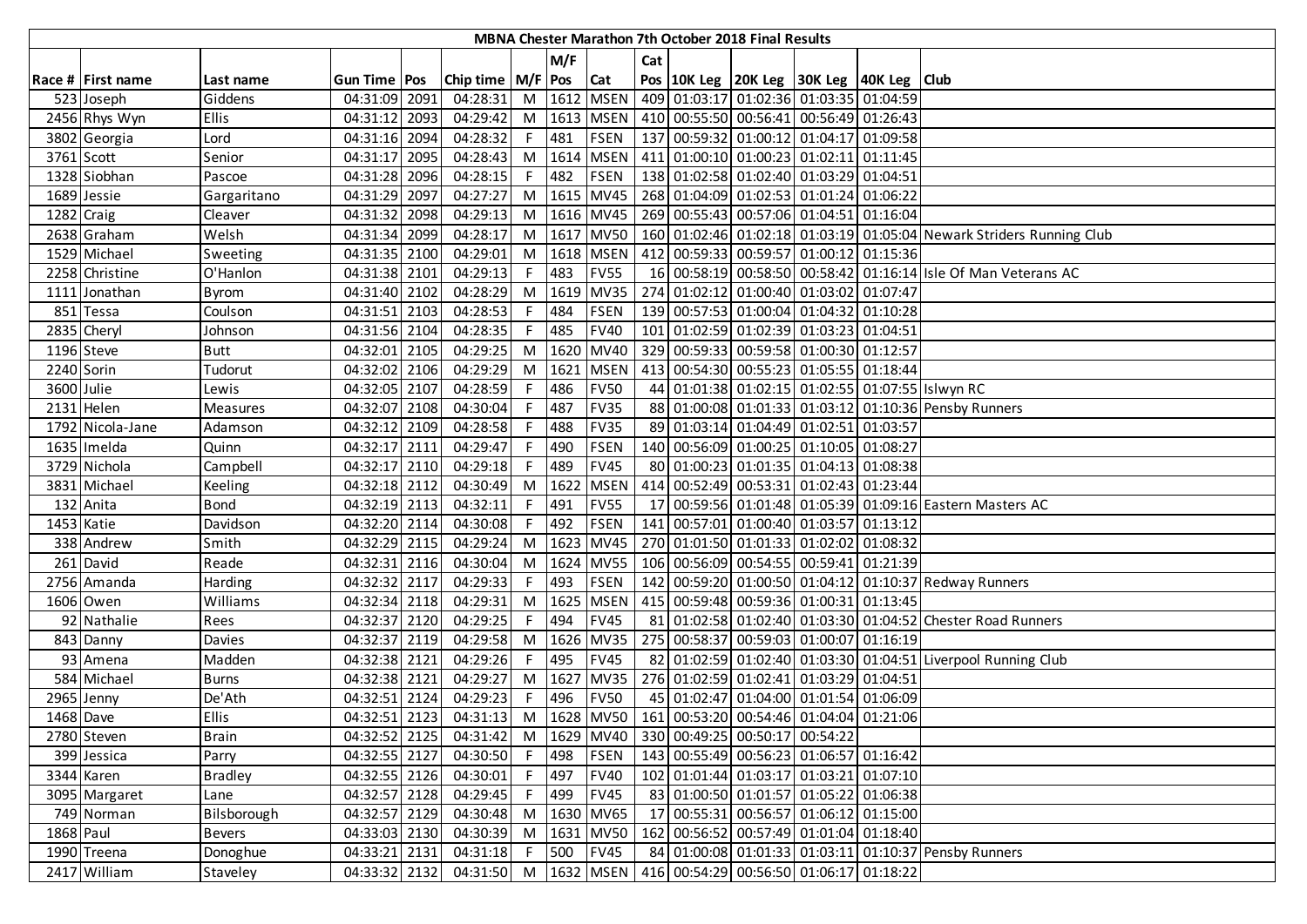| MBNA Chester Marathon 7th October 2018 Final Results |                   |                |                |      |                       |    |        |             |     |  |  |                                                                            |                                                                      |
|------------------------------------------------------|-------------------|----------------|----------------|------|-----------------------|----|--------|-------------|-----|--|--|----------------------------------------------------------------------------|----------------------------------------------------------------------|
|                                                      |                   |                |                |      |                       |    | M/F    |             | Cat |  |  |                                                                            |                                                                      |
|                                                      | Race # First name | Last name      | Gun Time   Pos |      | Chip time   M/F   Pos |    |        | <b>Cat</b>  |     |  |  | Pos 10K Leg 20K Leg 30K Leg 40K Leg Club                                   |                                                                      |
|                                                      | 523 Joseph        | Giddens        | 04:31:09 2091  |      | 04:28:31              |    |        | M 1612 MSEN |     |  |  | 409 01:03:17 01:02:36 01:03:35 01:04:59                                    |                                                                      |
|                                                      | 2456 Rhys Wyn     | Ellis          | 04:31:12 2093  |      | 04:29:42              |    |        |             |     |  |  | M  1613   MSEN   410   00:55:50   00:56:41   00:56:49   01:26:43           |                                                                      |
|                                                      | 3802 Georgia      | Lord           | 04:31:16 2094  |      | 04:28:32              |    | F 481  | <b>FSEN</b> |     |  |  | 137 00:59:32 01:00:12 01:04:17 01:09:58                                    |                                                                      |
|                                                      | 3761 Scott        | Senior         | 04:31:17 2095  |      | 04:28:43              |    |        | M 1614 MSEN |     |  |  | 411 01:00:10 01:00:23 01:02:11 01:11:45                                    |                                                                      |
|                                                      | 1328 Siobhan      | Pascoe         | 04:31:28 2096  |      | 04:28:15              |    | F 482  | <b>FSEN</b> |     |  |  | 138 01:02:58 01:02:40 01:03:29 01:04:51                                    |                                                                      |
|                                                      | 1689 Jessie       | Gargaritano    | 04:31:29 2097  |      | 04:27:27              |    |        |             |     |  |  | M  1615   MV45   268   01:04:09   01:02:53   01:01:24   01:06:22           |                                                                      |
|                                                      | 1282 Craig        | Cleaver        | 04:31:32 2098  |      | 04:29:13              | M  |        |             |     |  |  | 1616 MV45   269 00:55:43 00:57:06 01:04:51 01:16:04                        |                                                                      |
|                                                      | 2638 Graham       | Welsh          | 04:31:34 2099  |      | 04:28:17              | M  |        | 1617 MV50   |     |  |  |                                                                            | 160 01:02:46 01:02:18 01:03:19 01:05:04 Newark Striders Running Club |
|                                                      | 1529 Michael      | Sweeting       | 04:31:35 2100  |      | 04:29:01              | M  |        | 1618 MSEN   |     |  |  | 412 00:59:33 00:59:57 01:00:12 01:15:36                                    |                                                                      |
|                                                      | 2258 Christine    | O'Hanlon       | 04:31:38 2101  |      | 04:29:13              | F. | 483    | <b>FV55</b> |     |  |  |                                                                            | 16 00:58:19 00:58:50 00:58:42 01:16:14 Isle Of Man Veterans AC       |
|                                                      | 1111 Jonathan     | Byrom          | 04:31:40 2102  |      | 04:28:29              | M  | 1619   | <b>MV35</b> |     |  |  | 274 01:02:12 01:00:40 01:03:02 01:07:47                                    |                                                                      |
|                                                      | 851 Tessa         | Coulson        | 04:31:51       | 2103 | 04:28:53              | F. | 484    | <b>FSEN</b> |     |  |  | 139 00:57:53 01:00:04 01:04:32 01:10:28                                    |                                                                      |
|                                                      | 2835 Cheryl       | Johnson        | 04:31:56 2104  |      | 04:28:35              | F. | 485    | <b>FV40</b> |     |  |  | 101 01:02:59 01:02:39 01:03:23 01:04:51                                    |                                                                      |
|                                                      | 1196 Steve        | <b>Butt</b>    | 04:32:01 2105  |      | 04:29:25              | M  | 1620   | <b>MV40</b> |     |  |  | 329 00:59:33 00:59:58 01:00:30 01:12:57                                    |                                                                      |
|                                                      | 2240 Sorin        | Tudorut        | 04:32:02 2106  |      | 04:29:29              | M  | 1621   | <b>MSEN</b> |     |  |  | 413 00:54:30 00:55:23 01:05:55 01:18:44                                    |                                                                      |
| 3600 Julie                                           |                   | Lewis          | 04:32:05 2107  |      | 04:28:59              |    | F 486  | <b>FV50</b> |     |  |  |                                                                            | 44 01:01:38 01:02:15 01:02:55 01:07:55 Islwyn RC                     |
|                                                      | 2131 Helen        | Measures       | 04:32:07 2108  |      | 04:30:04              |    | F 487  | <b>FV35</b> |     |  |  |                                                                            | 88 01:00:08 01:01:33 01:03:12 01:10:36 Pensby Runners                |
|                                                      | 1792 Nicola-Jane  | Adamson        | 04:32:12 2109  |      | 04:28:58              |    | F 488  | <b>FV35</b> |     |  |  | 89 01:03:14 01:04:49 01:02:51 01:03:57                                     |                                                                      |
|                                                      | 1635 Imelda       | Quinn          | 04:32:17 2111  |      | 04:29:47              | F. | 490    | <b>FSEN</b> |     |  |  | 140 00:56:09 01:00:25 01:10:05 01:08:27                                    |                                                                      |
|                                                      | 3729 Nichola      | Campbell       | 04:32:17 2110  |      | 04:29:18              | F. | 489    | <b>FV45</b> |     |  |  | 80 01:00:23 01:01:35 01:04:13 01:08:38                                     |                                                                      |
|                                                      | 3831 Michael      | <b>Keeling</b> | 04:32:18 2112  |      | 04:30:49              | M  | 1622   | <b>MSEN</b> |     |  |  | 414 00:52:49 00:53:31 01:02:43 01:23:44                                    |                                                                      |
|                                                      | 132 Anita         | Bond           | 04:32:19 2113  |      | 04:32:11              |    | 491    | <b>FV55</b> |     |  |  |                                                                            | 17 00:59:56 01:01:48 01:05:39 01:09:16 Eastern Masters AC            |
|                                                      | 1453 Katie        | Davidson       | 04:32:20 2114  |      | 04:30:08              | F. | 492    | <b>FSEN</b> |     |  |  | 141 00:57:01 01:00:40 01:03:57 01:13:12                                    |                                                                      |
|                                                      | 338 Andrew        | Smith          | 04:32:29 2115  |      | 04:29:24              | M  |        | 1623 MV45   |     |  |  | 270 01:01:50 01:01:33 01:02:02 01:08:32                                    |                                                                      |
|                                                      | 261 David         | Reade          | 04:32:31       | 2116 | 04:30:04              | M  |        | 1624 MV55   |     |  |  | 106 00:56:09 00:54:55 00:59:41 01:21:39                                    |                                                                      |
|                                                      | 2756 Amanda       | Harding        | 04:32:32 2117  |      | 04:29:33              | F. | 493    | <b>FSEN</b> |     |  |  |                                                                            | 142 00:59:20 01:00:50 01:04:12 01:10:37 Redway Runners               |
|                                                      | 1606 Owen         | Williams       | 04:32:34 2118  |      | 04:29:31              | M  | 1625   | <b>MSEN</b> |     |  |  | 415 00:59:48 00:59:36 01:00:31 01:13:45                                    |                                                                      |
|                                                      | 92 Nathalie       | Rees           | 04:32:37 2120  |      | 04:29:25              | F. | 494    | <b>FV45</b> |     |  |  |                                                                            | 81 01:02:58 01:02:40 01:03:30 01:04:52 Chester Road Runners          |
|                                                      | 843 Danny         | Davies         | 04:32:37 2119  |      | 04:29:58              | M  |        | 1626 MV35   |     |  |  | 275 00:58:37 00:59:03 01:00:07 01:16:19                                    |                                                                      |
|                                                      | 93 Amena          | Madden         | 04:32:38 2121  |      | 04:29:26              | F. | 495    | <b>FV45</b> |     |  |  |                                                                            | 82 01:02:59 01:02:40 01:03:30 01:04:51 Liverpool Running Club        |
|                                                      | 584 Michael       | <b>Burns</b>   | 04:32:38 2121  |      | 04:29:27              |    | M 1627 | <b>MV35</b> |     |  |  | 276 01:02:59 01:02:41 01:03:29 01:04:51                                    |                                                                      |
|                                                      | 2965 Jenny        | De'Ath         | 04:32:51 2124  |      | 04:29:23              |    | 496    | <b>FV50</b> |     |  |  | 45 01:02:47 01:04:00 01:01:54 01:06:09                                     |                                                                      |
|                                                      | 1468 Dave         | <b>Ellis</b>   | 04:32:51 2123  |      | 04:31:13              |    |        |             |     |  |  | M  1628  MV50   161   00:53:20   00:54:46   01:04:04   01:21:06            |                                                                      |
|                                                      | 2780 Steven       | <b>Brain</b>   | 04:32:52 2125  |      | 04:31:42              |    |        |             |     |  |  | M   1629   MV40   330   00:49:25   00:50:17   00:54:22                     |                                                                      |
|                                                      | 399 Jessica       | Parry          | 04:32:55 2127  |      | 04:30:50              |    | F 498  | <b>FSEN</b> |     |  |  | 143 00:55:49 00:56:23 01:06:57 01:16:42                                    |                                                                      |
|                                                      | 3344 Karen        | <b>Bradley</b> | 04:32:55 2126  |      | 04:30:01              |    | F 497  | <b>FV40</b> |     |  |  | 102 01:01:44 01:03:17 01:03:21 01:07:10                                    |                                                                      |
|                                                      | 3095 Margaret     | Lane           | 04:32:57 2128  |      | 04:29:45              | F. | 499    | <b>FV45</b> |     |  |  | 83 01:00:50 01:01:57 01:05:22 01:06:38                                     |                                                                      |
|                                                      | 749 Norman        | Bilsborough    | 04:32:57 2129  |      | 04:30:48              |    |        | M 1630 MV65 |     |  |  | 17 00:55:31 00:56:57 01:06:12 01:15:00                                     |                                                                      |
| 1868 Paul                                            |                   | <b>Bevers</b>  | 04:33:03 2130  |      | 04:30:39              |    |        | M 1631 MV50 |     |  |  | 162 00:56:52 00:57:49 01:01:04 01:18:40                                    |                                                                      |
|                                                      | 1990 Treena       | Donoghue       | 04:33:21 2131  |      | 04:31:18              |    | F 500  | <b>FV45</b> |     |  |  |                                                                            | 84 01:00:08 01:01:33 01:03:11 01:10:37 Pensby Runners                |
|                                                      | 2417 William      | Staveley       | 04:33:32 2132  |      |                       |    |        |             |     |  |  | 04:31:50 M   1632   MSEN   416   00:54:29   00:56:50   01:06:17   01:18:22 |                                                                      |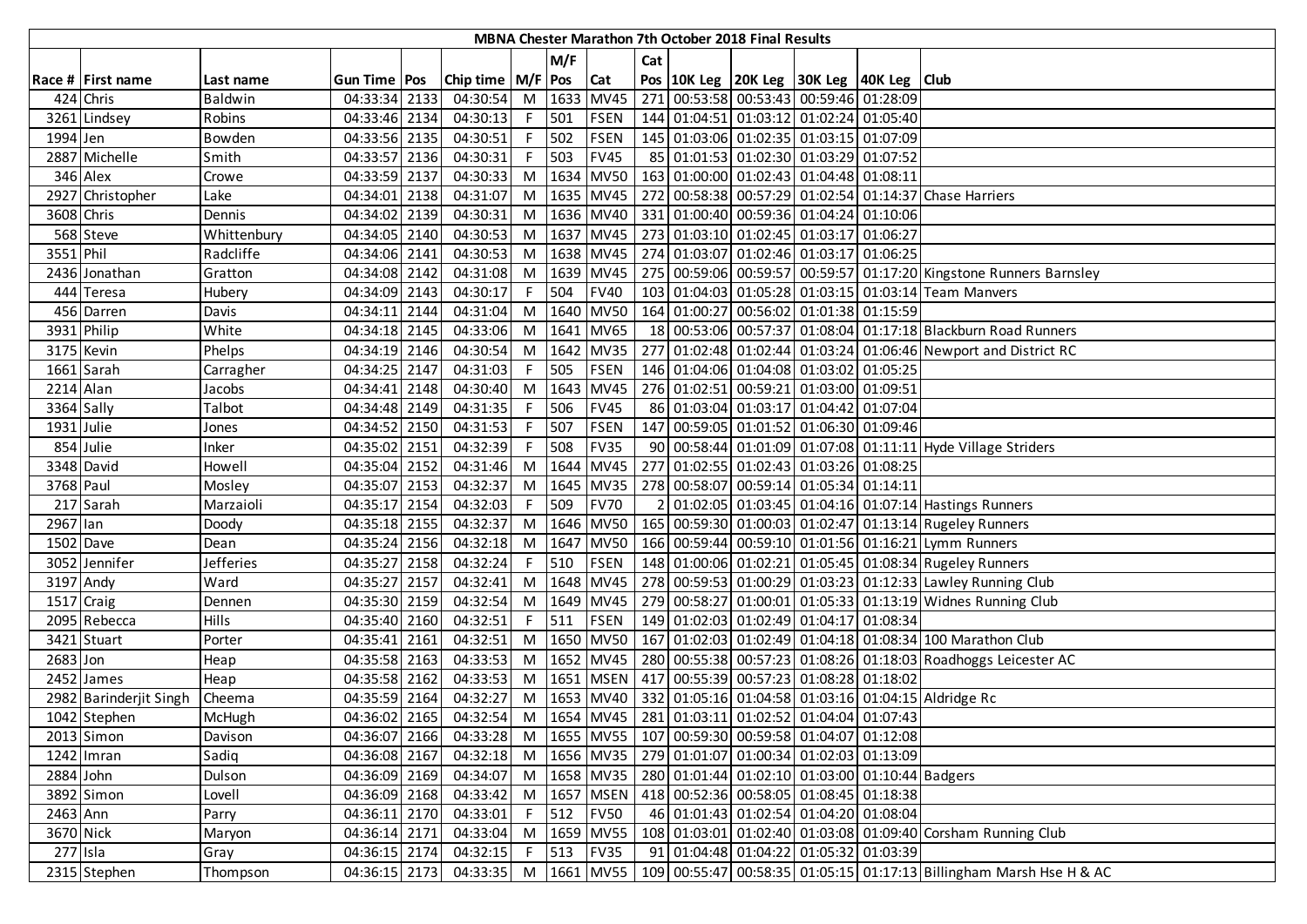|            | MBNA Chester Marathon 7th October 2018 Final Results |             |               |  |                       |    |         |             |     |  |  |                                                                            |  |                                                                                                 |
|------------|------------------------------------------------------|-------------|---------------|--|-----------------------|----|---------|-------------|-----|--|--|----------------------------------------------------------------------------|--|-------------------------------------------------------------------------------------------------|
|            |                                                      |             |               |  |                       |    | M/F     |             | Cat |  |  |                                                                            |  |                                                                                                 |
|            | Race # First name                                    | Last name   | Gun Time Pos  |  | Chip time   M/F   Pos |    |         | <b>Cat</b>  |     |  |  | Pos 10K Leg 20K Leg 30K Leg 40K Leg Club                                   |  |                                                                                                 |
|            | 424 Chris                                            | Baldwin     | 04:33:34 2133 |  | 04:30:54              |    |         | M 1633 MV45 |     |  |  | 271 00:53:58 00:53:43 00:59:46 01:28:09                                    |  |                                                                                                 |
|            | 3261 Lindsey                                         | Robins      | 04:33:46 2134 |  | 04:30:13              |    | F 501   | <b>FSEN</b> |     |  |  | 144 01:04:51 01:03:12 01:02:24 01:05:40                                    |  |                                                                                                 |
| 1994 Jen   |                                                      | Bowden      | 04:33:56 2135 |  | 04:30:51              |    | F 502   | <b>FSEN</b> |     |  |  | 145 01:03:06 01:02:35 01:03:15 01:07:09                                    |  |                                                                                                 |
|            | 2887 Michelle                                        | Smith       | 04:33:57 2136 |  | 04:30:31              |    | F 503   | <b>FV45</b> |     |  |  | 85 01:01:53 01:02:30 01:03:29 01:07:52                                     |  |                                                                                                 |
|            | 346 Alex                                             | Crowe       | 04:33:59 2137 |  | 04:30:33              |    |         |             |     |  |  | M  1634   MV50   163   01:00:00   01:02:43   01:04:48   01:08:11           |  |                                                                                                 |
|            | 2927 Christopher                                     | Lake        | 04:34:01 2138 |  | 04:31:07              |    |         |             |     |  |  |                                                                            |  | M   1635   MV45   272   00:58:38   00:57:29   01:02:54   01:14:37 Chase Harriers                |
| 3608 Chris |                                                      | Dennis      | 04:34:02 2139 |  | 04:30:31              |    |         |             |     |  |  | M  1636   MV40   331   01:00:40   00:59:36   01:04:24   01:10:06           |  |                                                                                                 |
|            | 568 Steve                                            | Whittenbury | 04:34:05 2140 |  | 04:30:53              | M  |         |             |     |  |  | 1637 MV45 273 01:03:10 01:02:45 01:03:17 01:06:27                          |  |                                                                                                 |
| 3551 Phil  |                                                      | Radcliffe   | 04:34:06 2141 |  | 04:30:53              |    |         |             |     |  |  | M   1638   MV45   274   01:03:07   01:02:46   01:03:17   01:06:25          |  |                                                                                                 |
|            | 2436 Jonathan                                        | Gratton     | 04:34:08 2142 |  | 04:31:08              |    |         | M 1639 MV45 |     |  |  |                                                                            |  | 275 00:59:06 00:59:57 00:59:57 01:17:20 Kingstone Runners Barnsley                              |
|            | 444 Teresa                                           | Hubery      | 04:34:09 2143 |  | 04:30:17              | F. | 504     | <b>FV40</b> |     |  |  |                                                                            |  | 103 01:04:03 01:05:28 01:03:15 01:03:14 Team Manvers                                            |
|            | 456 Darren                                           | Davis       | 04:34:11 2144 |  | 04:31:04              |    |         | M 1640 MV50 |     |  |  | 164 01:00:27 00:56:02 01:01:38 01:15:59                                    |  |                                                                                                 |
|            | 3931 Philip                                          | White       | 04:34:18 2145 |  | 04:33:06              |    |         | M 1641 MV65 |     |  |  |                                                                            |  | 18 00:53:06 00:57:37 01:08:04 01:17:18 Blackburn Road Runners                                   |
|            | 3175 Kevin                                           | Phelps      | 04:34:19 2146 |  | 04:30:54              |    |         | M 1642 MV35 |     |  |  |                                                                            |  | 277 01:02:48 01:02:44 01:03:24 01:06:46 Newport and District RC                                 |
|            | 1661 Sarah                                           | Carragher   | 04:34:25 2147 |  | 04:31:03              |    | F 505   | <b>FSEN</b> |     |  |  | 146 01:04:06 01:04:08 01:03:02 01:05:25                                    |  |                                                                                                 |
| 2214 Alan  |                                                      | Jacobs      | 04:34:41 2148 |  | 04:30:40              |    |         | M 1643 MV45 |     |  |  | 276 01:02:51 00:59:21 01:03:00 01:09:51                                    |  |                                                                                                 |
| 3364 Sally |                                                      | Talbot      | 04:34:48 2149 |  | 04:31:35              |    | F 506   | <b>FV45</b> |     |  |  | 86 01:03:04 01:03:17 01:04:42 01:07:04                                     |  |                                                                                                 |
| 1931 Julie |                                                      | Jones       | 04:34:52 2150 |  | 04:31:53              |    | F 507   | <b>FSEN</b> |     |  |  | 147 00:59:05 01:01:52 01:06:30 01:09:46                                    |  |                                                                                                 |
|            | 854 Julie                                            | Inker       | 04:35:02 2151 |  | 04:32:39              | F. | 508     | <b>FV35</b> |     |  |  |                                                                            |  | 90 00:58:44 01:01:09 01:07:08 01:11:11 Hyde Village Striders                                    |
|            | 3348 David                                           | Howell      | 04:35:04 2152 |  | 04:31:46              |    |         | M 1644 MV45 |     |  |  | 277 01:02:55 01:02:43 01:03:26 01:08:25                                    |  |                                                                                                 |
| 3768 Paul  |                                                      | Mosley      | 04:35:07 2153 |  | 04:32:37              |    |         |             |     |  |  | M  1645   MV35   278   00:58:07   00:59:14   01:05:34   01:14:11           |  |                                                                                                 |
|            | 217 Sarah                                            | Marzaioli   | 04:35:17 2154 |  | 04:32:03              |    | 509     | <b>FV70</b> |     |  |  |                                                                            |  | 01:02:05 01:03:45 01:04:16 01:07:14 Hastings Runners                                            |
| 2967 lan   |                                                      | Doody       | 04:35:18 2155 |  | 04:32:37              |    |         |             |     |  |  |                                                                            |  | M   1646   MV50   165   00:59:30   01:00:03   01:02:47   01:13:14   Rugeley Runners             |
| 1502 Dave  |                                                      | Dean        | 04:35:24 2156 |  | 04:32:18              |    |         | M 1647 MV50 |     |  |  |                                                                            |  | 166 00:59:44 00:59:10 01:01:56 01:16:21 Lymm Runners                                            |
|            | 3052 Jennifer                                        | Jefferies   | 04:35:27 2158 |  | 04:32:24              | F. | 510     | <b>FSEN</b> |     |  |  |                                                                            |  | 148 01:00:06 01:02:21 01:05:45 01:08:34 Rugeley Runners                                         |
| 3197 Andy  |                                                      | Ward        | 04:35:27 2157 |  | 04:32:41              |    |         | M 1648 MV45 |     |  |  |                                                                            |  | 278 00:59:53 01:00:29 01:03:23 01:12:33 Lawley Running Club                                     |
| 1517 Craig |                                                      | Dennen      | 04:35:30 2159 |  | 04:32:54              |    |         | M 1649 MV45 |     |  |  |                                                                            |  | 279 00:58:27 01:00:01 01:05:33 01:13:19 Widnes Running Club                                     |
|            | 2095 Rebecca                                         | Hills       | 04:35:40 2160 |  | 04:32:51              |    | $F$ 511 | <b>FSEN</b> |     |  |  | 149 01:02:03 01:02:49 01:04:17 01:08:34                                    |  |                                                                                                 |
|            | 3421 Stuart                                          | Porter      | 04:35:41 2161 |  | 04:32:51              |    |         |             |     |  |  |                                                                            |  | M   1650   MV50   167   01:02:03   01:02:49   01:04:18   01:08:34   100 Marathon Club           |
| 2683 Jon   |                                                      | Heap        | 04:35:58 2163 |  | 04:33:53              |    |         |             |     |  |  |                                                                            |  | M  1652   MV45   280   00:55:38   00:57:23   01:08:26   01:18:03   Roadhoggs Leicester AC       |
|            | 2452 James                                           | Heap        | 04:35:58 2162 |  | 04:33:53              |    |         |             |     |  |  | M  1651   MSEN   417   00:55:39   00:57:23   01:08:28   01:18:02           |  |                                                                                                 |
|            | 2982 Barinderjit Singh                               | Cheema      | 04:35:59 2164 |  | 04:32:27              |    |         |             |     |  |  |                                                                            |  | M   1653   MV40   332   01:05:16   01:04:58   01:03:16   01:04:15   Aldridge Rc                 |
|            | 1042 Stephen                                         | McHugh      | 04:36:02 2165 |  | 04:32:54              |    |         |             |     |  |  | M  1654   MV45   281   01:03:11   01:02:52   01:04:04   01:07:43           |  |                                                                                                 |
|            | 2013 Simon                                           | Davison     | 04:36:07 2166 |  | 04:33:28              |    |         |             |     |  |  | M  1655  MV55   107 00:59:30 00:59:58 01:04:07 01:12:08                    |  |                                                                                                 |
|            | $1242$ Imran                                         | Sadiq       | 04:36:08 2167 |  | 04:32:18              |    |         |             |     |  |  | M  1656   MV35   279   01:01:07   01:00:34   01:02:03   01:13:09           |  |                                                                                                 |
| 2884 John  |                                                      | Dulson      | 04:36:09 2169 |  | 04:34:07              |    |         |             |     |  |  | M  1658   MV35   280   01:01:44   01:02:10   01:03:00   01:10:44   Badgers |  |                                                                                                 |
|            | 3892 Simon                                           | Lovell      | 04:36:09 2168 |  | 04:33:42              |    |         | M 1657 MSEN |     |  |  | 418 00:52:36 00:58:05 01:08:45 01:18:38                                    |  |                                                                                                 |
| 2463 Ann   |                                                      | Parry       | 04:36:11 2170 |  | 04:33:01              |    | $F$ 512 | <b>FV50</b> |     |  |  | 46 01:01:43 01:02:54 01:04:20 01:08:04                                     |  |                                                                                                 |
| 3670 Nick  |                                                      | Maryon      | 04:36:14 2171 |  | 04:33:04              |    |         | M 1659 MV55 |     |  |  |                                                                            |  | 108 01:03:01 01:02:40 01:03:08 01:09:40 Corsham Running Club                                    |
| 277 Isla   |                                                      | Gray        | 04:36:15 2174 |  | 04:32:15              |    | $F$ 513 | <b>FV35</b> |     |  |  | 91 01:04:48 01:04:22 01:05:32 01:03:39                                     |  |                                                                                                 |
|            | 2315 Stephen                                         | Thompson    | 04:36:15 2173 |  | 04:33:35              |    |         |             |     |  |  |                                                                            |  | M   1661   MV55   109   00:55:47   00:58:35   01:05:15   01:17:13   Billingham Marsh Hse H & AC |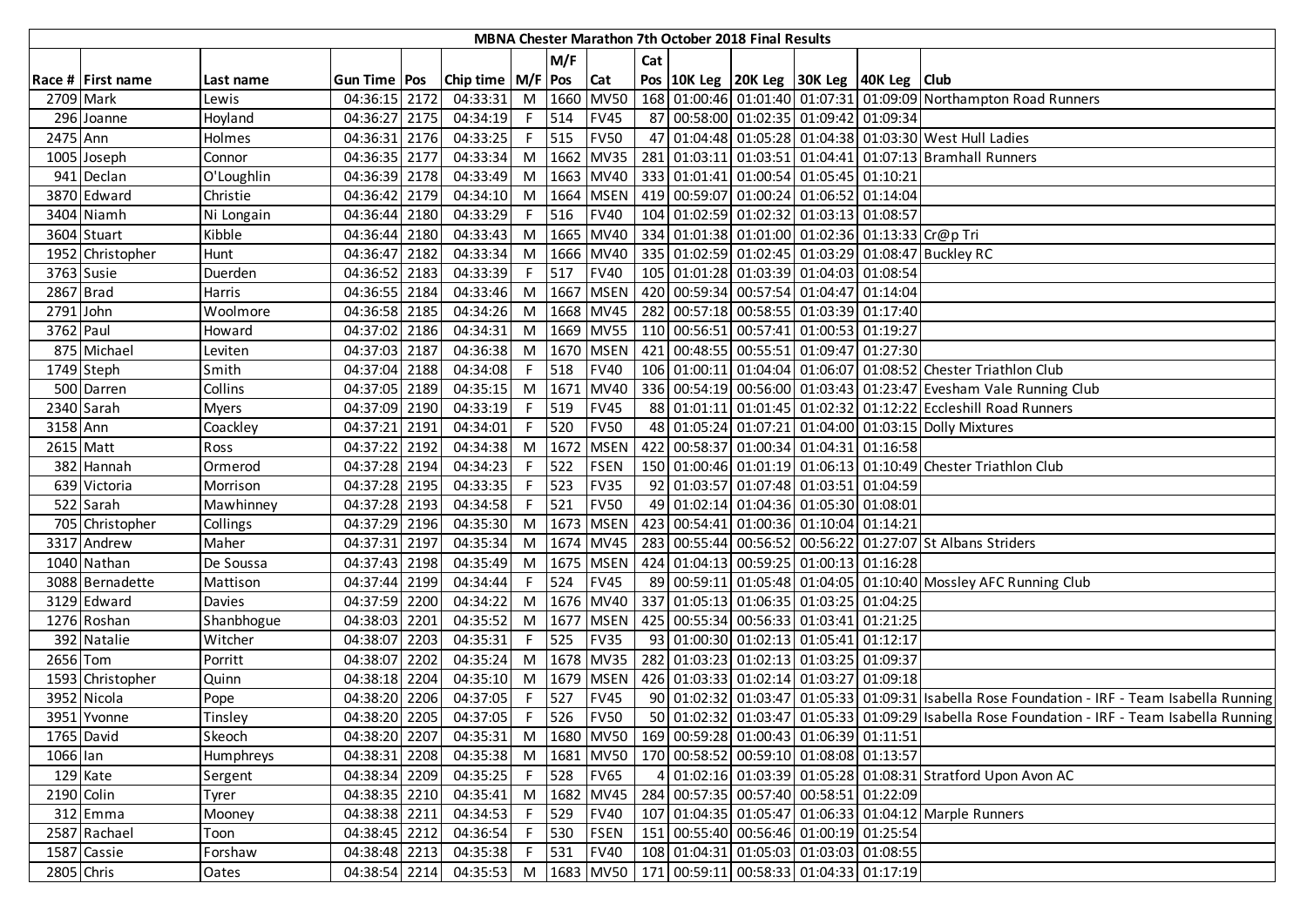| M/F<br>Cat<br>Chip time   M/F   Pos   Cat<br>Pos   10K Leg   20K Leg   30K Leg   40K Leg   Club<br>Race # First name<br>Gun Time   Pos<br>Last name<br>168 01:00:46 01:01:40 01:07:31 01:09:09 Northampton Road Runners<br>M 1660 MV50<br>2709 Mark<br>04:36:15 2172<br>04:33:31<br>Lewis<br>F 514<br>87 00:58:00 01:02:35 01:09:42 01:09:34<br>296 Joanne<br>04:36:27 2175<br>04:34:19<br><b>FV45</b><br>Hoyland<br>$F$ 515<br>04:33:25<br><b>FV50</b><br>47 01:04:48 01:05:28 01:04:38 01:03:30 West Hull Ladies<br>2475 Ann<br>Holmes<br>04:36:31 2176<br>M 1662 MV35<br>04:33:34<br>281 01:03:11 01:03:51 01:04:41 01:07:13 Bramhall Runners<br>04:36:35 2177<br>1005 Joseph<br>Connor<br>O'Loughlin<br>M 1663 MV40<br>333 01:01:41 01:00:54 01:05:45 01:10:21<br>941 Declan<br>04:36:39 2178<br>04:33:49<br>3870 Edward<br>04:34:10<br>M 1664 MSEN<br>419 00:59:07 01:00:24 01:06:52 01:14:04<br>Christie<br>04:36:42 2179<br><b>FV40</b><br>104 01:02:59 01:02:32 01:03:13 01:08:57<br>3404 Niamh<br>04:36:44 2180<br>04:33:29<br>516<br>Ni Longain<br>F.<br>M 1665 MV40<br>334 01:01:38 01:01:00 01:02:36 01:13:33 Cr@p Tri<br>Kibble<br>04:33:43<br>3604 Stuart<br>04:36:44 2180<br>335 01:02:59 01:02:45 01:03:29 01:08:47 Buckley RC<br>04:33:34<br>M 1666 MV40<br>1952 Christopher<br>04:36:47 2182<br>Hunt<br>105 01:01:28 01:03:39 01:04:03 01:08:54<br>3763 Susie<br>04:33:39<br>517<br><b>FV40</b><br>Duerden<br>04:36:52 2183<br>F.<br>2867 Brad<br>04:33:46<br>M 1667 MSEN<br>420 00:59:34 00:57:54 01:04:47 01:14:04<br>04:36:55 2184<br>Harris<br>04:34:26<br>M 1668 MV45<br>282 00:57:18 00:58:55 01:03:39 01:17:40<br>2791 John<br>Woolmore<br>04:36:58 2185<br>3762 Paul<br>04:34:31<br>M 1669 MV55<br>110 00:56:51 00:57:41 01:00:53 01:19:27<br>04:37:02 2186<br>Howard<br>875 Michael<br>04:36:38<br>M 1670 MSEN<br>421 00:48:55 00:55:51 01:09:47 01:27:30<br>04:37:03 2187<br>Leviten<br>04:34:08<br>F 518<br><b>FV40</b><br>106 01:00:11 01:04:04 01:06:07 01:08:52 Chester Triathlon Club<br>1749 Steph<br>Smith<br>04:37:04 2188<br>04:35:15<br>M 1671 MV40<br>336 00:54:19 00:56:00 01:03:43 01:23:47 Evesham Vale Running Club<br>500 Darren<br>Collins<br>04:37:05 2189<br>F 519<br>2340 Sarah<br>04:33:19<br><b>FV45</b><br>88 01:01:11 01:01:45 01:02:32 01:12:22 Eccleshill Road Runners<br>04:37:09 2190<br><b>Myers</b><br>F 520<br>3158 Ann<br>04:34:01<br><b>FV50</b><br>48 01:05:24 01:07:21 01:04:00 01:03:15 Dolly Mixtures<br>Coackley<br>04:37:21 2191<br>2615 Matt<br>04:34:38<br>M 1672 MSEN<br>422 00:58:37 01:00:34 01:04:31 01:16:58<br>04:37:22 2192<br>Ross<br>150 01:00:46 01:01:19 01:06:13 01:10:49 Chester Triathlon Club<br>522<br>382 Hannah<br>04:34:23<br><b>FSEN</b><br>Ormerod<br>04:37:28 2194<br>F.<br>523<br>92 01:03:57 01:07:48 01:03:51 01:04:59<br>639 Victoria<br>04:37:28 2195<br>04:33:35<br><b>FV35</b><br>F.<br>Morrison<br>521<br><b>FV50</b><br>49 01:02:14 01:04:36 01:05:30 01:08:01<br>522 Sarah<br>04:37:28 2193<br>04:34:58<br>Mawhinney<br>M 1673 MSEN<br>423 00:54:41 01:00:36 01:10:04 01:14:21<br>705 Christopher<br>04:35:30<br>Collings<br>04:37:29 2196<br>04:35:34<br>M 1674 MV45<br>283 00:55:44 00:56:52 00:56:22 01:27:07 St Albans Striders<br>3317 Andrew<br>Maher<br>04:37:31 2197<br>M 1675 MSEN<br>424 01:04:13 00:59:25 01:00:13 01:16:28<br>1040 Nathan<br>De Soussa<br>04:37:43 2198<br>04:35:49<br>89 00:59:11 01:05:48 01:04:05 01:10:40 Mossley AFC Running Club<br>04:37:44 2199<br>04:34:44<br>F 524<br><b>FV45</b><br>3088 Bernadette<br>Mattison<br>3129 Edward<br>04:34:22<br>M 1676 MV40<br>337 01:05:13 01:06:35 01:03:25 01:04:25<br>Davies<br>04:37:59 2200<br>M 1677 MSEN<br>425 00:55:34 00:56:33 01:03:41 01:21:25<br>1276 Roshan<br>Shanbhogue<br>04:38:03 2201<br>04:35:52<br>04:35:31<br>F 525<br><b>FV35</b><br>93 01:00:30 01:02:13 01:05:41 01:12:17<br>392 Natalie<br>04:38:07 2203<br>Witcher<br>M 1678 MV35<br>282 01:03:23 01:02:13 01:03:25 01:09:37<br>2656 Tom<br>Porritt<br>04:38:07 2202<br>04:35:24<br>M 1679 MSEN<br>426 01:03:33 01:02:14 01:03:27 01:09:18<br>1593 Christopher<br>Quinn<br>04:38:18 2204<br>04:35:10<br>3952 Nicola<br>04:38:20 2206<br>04:37:05<br>527<br><b>FV45</b><br>90 01:02:32 01:03:47 01:05:33 01:09:31 Isabella Rose Foundation - IRF - Team Isabella Running<br>Pope<br>F.<br>50 01:02:32 01:03:47 01:05:33 01:09:29 Isabella Rose Foundation - IRF - Team Isabella Running<br>04:38:20 2205<br>04:37:05<br>526<br><b>FV50</b><br>3951 Yvonne<br>$-F$<br>Tinsley<br>1765 David<br>M  1680   MV50   169   00:59:28   01:00:43   01:06:39   01:11:51<br>04:38:20 2207<br>04:35:31<br>Skeoch<br>M  1681   MV50   170   00:58:52   00:59:10   01:08:08   01:13:57<br>1066 lan<br>04:38:31 2208<br>04:35:38<br>Humphreys<br>F 528 FV65<br>01:02:16 01:03:39 01:05:28 01:08:31 Stratford Upon Avon AC<br>129 Kate<br>04:35:25<br>04:38:34 2209<br>Sergent<br>M 1682 MV45<br>284 00:57:35 00:57:40 00:58:51 01:22:09<br>2190 Colin<br>04:38:35 2210<br>04:35:41<br>Tyrer<br>F 529<br><b>FV40</b><br>107 01:04:35 01:05:47 01:06:33 01:04:12 Marple Runners<br>312 Emma<br>04:38:38 2211<br>04:34:53<br>Mooney<br>F 530<br><b>FSEN</b><br>151 00:55:40 00:56:46 01:00:19 01:25:54<br>2587 Rachael<br>04:38:45 2212<br>04:36:54<br>Toon<br>04:35:38<br>531<br>108 01:04:31 01:05:03 01:03:03 01:08:55<br>1587 Cassie<br>Forshaw<br>04:38:48 2213<br>F.<br><b>FV40</b><br>04:35:53 M   1683 MV50   171 00:59:11 00:58:33 01:04:33 01:17:19<br>2805 Chris<br>04:38:54 2214<br>Oates | MBNA Chester Marathon 7th October 2018 Final Results |  |  |  |  |  |  |  |  |  |  |  |  |  |  |
|-------------------------------------------------------------------------------------------------------------------------------------------------------------------------------------------------------------------------------------------------------------------------------------------------------------------------------------------------------------------------------------------------------------------------------------------------------------------------------------------------------------------------------------------------------------------------------------------------------------------------------------------------------------------------------------------------------------------------------------------------------------------------------------------------------------------------------------------------------------------------------------------------------------------------------------------------------------------------------------------------------------------------------------------------------------------------------------------------------------------------------------------------------------------------------------------------------------------------------------------------------------------------------------------------------------------------------------------------------------------------------------------------------------------------------------------------------------------------------------------------------------------------------------------------------------------------------------------------------------------------------------------------------------------------------------------------------------------------------------------------------------------------------------------------------------------------------------------------------------------------------------------------------------------------------------------------------------------------------------------------------------------------------------------------------------------------------------------------------------------------------------------------------------------------------------------------------------------------------------------------------------------------------------------------------------------------------------------------------------------------------------------------------------------------------------------------------------------------------------------------------------------------------------------------------------------------------------------------------------------------------------------------------------------------------------------------------------------------------------------------------------------------------------------------------------------------------------------------------------------------------------------------------------------------------------------------------------------------------------------------------------------------------------------------------------------------------------------------------------------------------------------------------------------------------------------------------------------------------------------------------------------------------------------------------------------------------------------------------------------------------------------------------------------------------------------------------------------------------------------------------------------------------------------------------------------------------------------------------------------------------------------------------------------------------------------------------------------------------------------------------------------------------------------------------------------------------------------------------------------------------------------------------------------------------------------------------------------------------------------------------------------------------------------------------------------------------------------------------------------------------------------------------------------------------------------------------------------------------------------------------------------------------------------------------------------------------------------------------------------------------------------------------------------------------------------------------------------------------------------------------------------------------------------------------------------------------------------------------------------------------------------------------------------------------------------------------------------------------------------------------------------------------------------------------------------------------------------------------------------------------------------------------------------------------------------------------------------------------------------------------------------------------------------------------------------------------------------------------------------------------------------------------------------------------------------------------------------------------------------------------------------------------------------------------------------------------------------------------------------------------------------------------------------------------------------------------------------------------------------------------------------------------------------|------------------------------------------------------|--|--|--|--|--|--|--|--|--|--|--|--|--|--|
|                                                                                                                                                                                                                                                                                                                                                                                                                                                                                                                                                                                                                                                                                                                                                                                                                                                                                                                                                                                                                                                                                                                                                                                                                                                                                                                                                                                                                                                                                                                                                                                                                                                                                                                                                                                                                                                                                                                                                                                                                                                                                                                                                                                                                                                                                                                                                                                                                                                                                                                                                                                                                                                                                                                                                                                                                                                                                                                                                                                                                                                                                                                                                                                                                                                                                                                                                                                                                                                                                                                                                                                                                                                                                                                                                                                                                                                                                                                                                                                                                                                                                                                                                                                                                                                                                                                                                                                                                                                                                                                                                                                                                                                                                                                                                                                                                                                                                                                                                                                                                                                                                                                                                                                                                                                                                                                                                                                                                                                                                                                                           |                                                      |  |  |  |  |  |  |  |  |  |  |  |  |  |  |
|                                                                                                                                                                                                                                                                                                                                                                                                                                                                                                                                                                                                                                                                                                                                                                                                                                                                                                                                                                                                                                                                                                                                                                                                                                                                                                                                                                                                                                                                                                                                                                                                                                                                                                                                                                                                                                                                                                                                                                                                                                                                                                                                                                                                                                                                                                                                                                                                                                                                                                                                                                                                                                                                                                                                                                                                                                                                                                                                                                                                                                                                                                                                                                                                                                                                                                                                                                                                                                                                                                                                                                                                                                                                                                                                                                                                                                                                                                                                                                                                                                                                                                                                                                                                                                                                                                                                                                                                                                                                                                                                                                                                                                                                                                                                                                                                                                                                                                                                                                                                                                                                                                                                                                                                                                                                                                                                                                                                                                                                                                                                           |                                                      |  |  |  |  |  |  |  |  |  |  |  |  |  |  |
|                                                                                                                                                                                                                                                                                                                                                                                                                                                                                                                                                                                                                                                                                                                                                                                                                                                                                                                                                                                                                                                                                                                                                                                                                                                                                                                                                                                                                                                                                                                                                                                                                                                                                                                                                                                                                                                                                                                                                                                                                                                                                                                                                                                                                                                                                                                                                                                                                                                                                                                                                                                                                                                                                                                                                                                                                                                                                                                                                                                                                                                                                                                                                                                                                                                                                                                                                                                                                                                                                                                                                                                                                                                                                                                                                                                                                                                                                                                                                                                                                                                                                                                                                                                                                                                                                                                                                                                                                                                                                                                                                                                                                                                                                                                                                                                                                                                                                                                                                                                                                                                                                                                                                                                                                                                                                                                                                                                                                                                                                                                                           |                                                      |  |  |  |  |  |  |  |  |  |  |  |  |  |  |
|                                                                                                                                                                                                                                                                                                                                                                                                                                                                                                                                                                                                                                                                                                                                                                                                                                                                                                                                                                                                                                                                                                                                                                                                                                                                                                                                                                                                                                                                                                                                                                                                                                                                                                                                                                                                                                                                                                                                                                                                                                                                                                                                                                                                                                                                                                                                                                                                                                                                                                                                                                                                                                                                                                                                                                                                                                                                                                                                                                                                                                                                                                                                                                                                                                                                                                                                                                                                                                                                                                                                                                                                                                                                                                                                                                                                                                                                                                                                                                                                                                                                                                                                                                                                                                                                                                                                                                                                                                                                                                                                                                                                                                                                                                                                                                                                                                                                                                                                                                                                                                                                                                                                                                                                                                                                                                                                                                                                                                                                                                                                           |                                                      |  |  |  |  |  |  |  |  |  |  |  |  |  |  |
|                                                                                                                                                                                                                                                                                                                                                                                                                                                                                                                                                                                                                                                                                                                                                                                                                                                                                                                                                                                                                                                                                                                                                                                                                                                                                                                                                                                                                                                                                                                                                                                                                                                                                                                                                                                                                                                                                                                                                                                                                                                                                                                                                                                                                                                                                                                                                                                                                                                                                                                                                                                                                                                                                                                                                                                                                                                                                                                                                                                                                                                                                                                                                                                                                                                                                                                                                                                                                                                                                                                                                                                                                                                                                                                                                                                                                                                                                                                                                                                                                                                                                                                                                                                                                                                                                                                                                                                                                                                                                                                                                                                                                                                                                                                                                                                                                                                                                                                                                                                                                                                                                                                                                                                                                                                                                                                                                                                                                                                                                                                                           |                                                      |  |  |  |  |  |  |  |  |  |  |  |  |  |  |
|                                                                                                                                                                                                                                                                                                                                                                                                                                                                                                                                                                                                                                                                                                                                                                                                                                                                                                                                                                                                                                                                                                                                                                                                                                                                                                                                                                                                                                                                                                                                                                                                                                                                                                                                                                                                                                                                                                                                                                                                                                                                                                                                                                                                                                                                                                                                                                                                                                                                                                                                                                                                                                                                                                                                                                                                                                                                                                                                                                                                                                                                                                                                                                                                                                                                                                                                                                                                                                                                                                                                                                                                                                                                                                                                                                                                                                                                                                                                                                                                                                                                                                                                                                                                                                                                                                                                                                                                                                                                                                                                                                                                                                                                                                                                                                                                                                                                                                                                                                                                                                                                                                                                                                                                                                                                                                                                                                                                                                                                                                                                           |                                                      |  |  |  |  |  |  |  |  |  |  |  |  |  |  |
|                                                                                                                                                                                                                                                                                                                                                                                                                                                                                                                                                                                                                                                                                                                                                                                                                                                                                                                                                                                                                                                                                                                                                                                                                                                                                                                                                                                                                                                                                                                                                                                                                                                                                                                                                                                                                                                                                                                                                                                                                                                                                                                                                                                                                                                                                                                                                                                                                                                                                                                                                                                                                                                                                                                                                                                                                                                                                                                                                                                                                                                                                                                                                                                                                                                                                                                                                                                                                                                                                                                                                                                                                                                                                                                                                                                                                                                                                                                                                                                                                                                                                                                                                                                                                                                                                                                                                                                                                                                                                                                                                                                                                                                                                                                                                                                                                                                                                                                                                                                                                                                                                                                                                                                                                                                                                                                                                                                                                                                                                                                                           |                                                      |  |  |  |  |  |  |  |  |  |  |  |  |  |  |
|                                                                                                                                                                                                                                                                                                                                                                                                                                                                                                                                                                                                                                                                                                                                                                                                                                                                                                                                                                                                                                                                                                                                                                                                                                                                                                                                                                                                                                                                                                                                                                                                                                                                                                                                                                                                                                                                                                                                                                                                                                                                                                                                                                                                                                                                                                                                                                                                                                                                                                                                                                                                                                                                                                                                                                                                                                                                                                                                                                                                                                                                                                                                                                                                                                                                                                                                                                                                                                                                                                                                                                                                                                                                                                                                                                                                                                                                                                                                                                                                                                                                                                                                                                                                                                                                                                                                                                                                                                                                                                                                                                                                                                                                                                                                                                                                                                                                                                                                                                                                                                                                                                                                                                                                                                                                                                                                                                                                                                                                                                                                           |                                                      |  |  |  |  |  |  |  |  |  |  |  |  |  |  |
|                                                                                                                                                                                                                                                                                                                                                                                                                                                                                                                                                                                                                                                                                                                                                                                                                                                                                                                                                                                                                                                                                                                                                                                                                                                                                                                                                                                                                                                                                                                                                                                                                                                                                                                                                                                                                                                                                                                                                                                                                                                                                                                                                                                                                                                                                                                                                                                                                                                                                                                                                                                                                                                                                                                                                                                                                                                                                                                                                                                                                                                                                                                                                                                                                                                                                                                                                                                                                                                                                                                                                                                                                                                                                                                                                                                                                                                                                                                                                                                                                                                                                                                                                                                                                                                                                                                                                                                                                                                                                                                                                                                                                                                                                                                                                                                                                                                                                                                                                                                                                                                                                                                                                                                                                                                                                                                                                                                                                                                                                                                                           |                                                      |  |  |  |  |  |  |  |  |  |  |  |  |  |  |
|                                                                                                                                                                                                                                                                                                                                                                                                                                                                                                                                                                                                                                                                                                                                                                                                                                                                                                                                                                                                                                                                                                                                                                                                                                                                                                                                                                                                                                                                                                                                                                                                                                                                                                                                                                                                                                                                                                                                                                                                                                                                                                                                                                                                                                                                                                                                                                                                                                                                                                                                                                                                                                                                                                                                                                                                                                                                                                                                                                                                                                                                                                                                                                                                                                                                                                                                                                                                                                                                                                                                                                                                                                                                                                                                                                                                                                                                                                                                                                                                                                                                                                                                                                                                                                                                                                                                                                                                                                                                                                                                                                                                                                                                                                                                                                                                                                                                                                                                                                                                                                                                                                                                                                                                                                                                                                                                                                                                                                                                                                                                           |                                                      |  |  |  |  |  |  |  |  |  |  |  |  |  |  |
|                                                                                                                                                                                                                                                                                                                                                                                                                                                                                                                                                                                                                                                                                                                                                                                                                                                                                                                                                                                                                                                                                                                                                                                                                                                                                                                                                                                                                                                                                                                                                                                                                                                                                                                                                                                                                                                                                                                                                                                                                                                                                                                                                                                                                                                                                                                                                                                                                                                                                                                                                                                                                                                                                                                                                                                                                                                                                                                                                                                                                                                                                                                                                                                                                                                                                                                                                                                                                                                                                                                                                                                                                                                                                                                                                                                                                                                                                                                                                                                                                                                                                                                                                                                                                                                                                                                                                                                                                                                                                                                                                                                                                                                                                                                                                                                                                                                                                                                                                                                                                                                                                                                                                                                                                                                                                                                                                                                                                                                                                                                                           |                                                      |  |  |  |  |  |  |  |  |  |  |  |  |  |  |
|                                                                                                                                                                                                                                                                                                                                                                                                                                                                                                                                                                                                                                                                                                                                                                                                                                                                                                                                                                                                                                                                                                                                                                                                                                                                                                                                                                                                                                                                                                                                                                                                                                                                                                                                                                                                                                                                                                                                                                                                                                                                                                                                                                                                                                                                                                                                                                                                                                                                                                                                                                                                                                                                                                                                                                                                                                                                                                                                                                                                                                                                                                                                                                                                                                                                                                                                                                                                                                                                                                                                                                                                                                                                                                                                                                                                                                                                                                                                                                                                                                                                                                                                                                                                                                                                                                                                                                                                                                                                                                                                                                                                                                                                                                                                                                                                                                                                                                                                                                                                                                                                                                                                                                                                                                                                                                                                                                                                                                                                                                                                           |                                                      |  |  |  |  |  |  |  |  |  |  |  |  |  |  |
|                                                                                                                                                                                                                                                                                                                                                                                                                                                                                                                                                                                                                                                                                                                                                                                                                                                                                                                                                                                                                                                                                                                                                                                                                                                                                                                                                                                                                                                                                                                                                                                                                                                                                                                                                                                                                                                                                                                                                                                                                                                                                                                                                                                                                                                                                                                                                                                                                                                                                                                                                                                                                                                                                                                                                                                                                                                                                                                                                                                                                                                                                                                                                                                                                                                                                                                                                                                                                                                                                                                                                                                                                                                                                                                                                                                                                                                                                                                                                                                                                                                                                                                                                                                                                                                                                                                                                                                                                                                                                                                                                                                                                                                                                                                                                                                                                                                                                                                                                                                                                                                                                                                                                                                                                                                                                                                                                                                                                                                                                                                                           |                                                      |  |  |  |  |  |  |  |  |  |  |  |  |  |  |
|                                                                                                                                                                                                                                                                                                                                                                                                                                                                                                                                                                                                                                                                                                                                                                                                                                                                                                                                                                                                                                                                                                                                                                                                                                                                                                                                                                                                                                                                                                                                                                                                                                                                                                                                                                                                                                                                                                                                                                                                                                                                                                                                                                                                                                                                                                                                                                                                                                                                                                                                                                                                                                                                                                                                                                                                                                                                                                                                                                                                                                                                                                                                                                                                                                                                                                                                                                                                                                                                                                                                                                                                                                                                                                                                                                                                                                                                                                                                                                                                                                                                                                                                                                                                                                                                                                                                                                                                                                                                                                                                                                                                                                                                                                                                                                                                                                                                                                                                                                                                                                                                                                                                                                                                                                                                                                                                                                                                                                                                                                                                           |                                                      |  |  |  |  |  |  |  |  |  |  |  |  |  |  |
|                                                                                                                                                                                                                                                                                                                                                                                                                                                                                                                                                                                                                                                                                                                                                                                                                                                                                                                                                                                                                                                                                                                                                                                                                                                                                                                                                                                                                                                                                                                                                                                                                                                                                                                                                                                                                                                                                                                                                                                                                                                                                                                                                                                                                                                                                                                                                                                                                                                                                                                                                                                                                                                                                                                                                                                                                                                                                                                                                                                                                                                                                                                                                                                                                                                                                                                                                                                                                                                                                                                                                                                                                                                                                                                                                                                                                                                                                                                                                                                                                                                                                                                                                                                                                                                                                                                                                                                                                                                                                                                                                                                                                                                                                                                                                                                                                                                                                                                                                                                                                                                                                                                                                                                                                                                                                                                                                                                                                                                                                                                                           |                                                      |  |  |  |  |  |  |  |  |  |  |  |  |  |  |
|                                                                                                                                                                                                                                                                                                                                                                                                                                                                                                                                                                                                                                                                                                                                                                                                                                                                                                                                                                                                                                                                                                                                                                                                                                                                                                                                                                                                                                                                                                                                                                                                                                                                                                                                                                                                                                                                                                                                                                                                                                                                                                                                                                                                                                                                                                                                                                                                                                                                                                                                                                                                                                                                                                                                                                                                                                                                                                                                                                                                                                                                                                                                                                                                                                                                                                                                                                                                                                                                                                                                                                                                                                                                                                                                                                                                                                                                                                                                                                                                                                                                                                                                                                                                                                                                                                                                                                                                                                                                                                                                                                                                                                                                                                                                                                                                                                                                                                                                                                                                                                                                                                                                                                                                                                                                                                                                                                                                                                                                                                                                           |                                                      |  |  |  |  |  |  |  |  |  |  |  |  |  |  |
|                                                                                                                                                                                                                                                                                                                                                                                                                                                                                                                                                                                                                                                                                                                                                                                                                                                                                                                                                                                                                                                                                                                                                                                                                                                                                                                                                                                                                                                                                                                                                                                                                                                                                                                                                                                                                                                                                                                                                                                                                                                                                                                                                                                                                                                                                                                                                                                                                                                                                                                                                                                                                                                                                                                                                                                                                                                                                                                                                                                                                                                                                                                                                                                                                                                                                                                                                                                                                                                                                                                                                                                                                                                                                                                                                                                                                                                                                                                                                                                                                                                                                                                                                                                                                                                                                                                                                                                                                                                                                                                                                                                                                                                                                                                                                                                                                                                                                                                                                                                                                                                                                                                                                                                                                                                                                                                                                                                                                                                                                                                                           |                                                      |  |  |  |  |  |  |  |  |  |  |  |  |  |  |
|                                                                                                                                                                                                                                                                                                                                                                                                                                                                                                                                                                                                                                                                                                                                                                                                                                                                                                                                                                                                                                                                                                                                                                                                                                                                                                                                                                                                                                                                                                                                                                                                                                                                                                                                                                                                                                                                                                                                                                                                                                                                                                                                                                                                                                                                                                                                                                                                                                                                                                                                                                                                                                                                                                                                                                                                                                                                                                                                                                                                                                                                                                                                                                                                                                                                                                                                                                                                                                                                                                                                                                                                                                                                                                                                                                                                                                                                                                                                                                                                                                                                                                                                                                                                                                                                                                                                                                                                                                                                                                                                                                                                                                                                                                                                                                                                                                                                                                                                                                                                                                                                                                                                                                                                                                                                                                                                                                                                                                                                                                                                           |                                                      |  |  |  |  |  |  |  |  |  |  |  |  |  |  |
|                                                                                                                                                                                                                                                                                                                                                                                                                                                                                                                                                                                                                                                                                                                                                                                                                                                                                                                                                                                                                                                                                                                                                                                                                                                                                                                                                                                                                                                                                                                                                                                                                                                                                                                                                                                                                                                                                                                                                                                                                                                                                                                                                                                                                                                                                                                                                                                                                                                                                                                                                                                                                                                                                                                                                                                                                                                                                                                                                                                                                                                                                                                                                                                                                                                                                                                                                                                                                                                                                                                                                                                                                                                                                                                                                                                                                                                                                                                                                                                                                                                                                                                                                                                                                                                                                                                                                                                                                                                                                                                                                                                                                                                                                                                                                                                                                                                                                                                                                                                                                                                                                                                                                                                                                                                                                                                                                                                                                                                                                                                                           |                                                      |  |  |  |  |  |  |  |  |  |  |  |  |  |  |
|                                                                                                                                                                                                                                                                                                                                                                                                                                                                                                                                                                                                                                                                                                                                                                                                                                                                                                                                                                                                                                                                                                                                                                                                                                                                                                                                                                                                                                                                                                                                                                                                                                                                                                                                                                                                                                                                                                                                                                                                                                                                                                                                                                                                                                                                                                                                                                                                                                                                                                                                                                                                                                                                                                                                                                                                                                                                                                                                                                                                                                                                                                                                                                                                                                                                                                                                                                                                                                                                                                                                                                                                                                                                                                                                                                                                                                                                                                                                                                                                                                                                                                                                                                                                                                                                                                                                                                                                                                                                                                                                                                                                                                                                                                                                                                                                                                                                                                                                                                                                                                                                                                                                                                                                                                                                                                                                                                                                                                                                                                                                           |                                                      |  |  |  |  |  |  |  |  |  |  |  |  |  |  |
|                                                                                                                                                                                                                                                                                                                                                                                                                                                                                                                                                                                                                                                                                                                                                                                                                                                                                                                                                                                                                                                                                                                                                                                                                                                                                                                                                                                                                                                                                                                                                                                                                                                                                                                                                                                                                                                                                                                                                                                                                                                                                                                                                                                                                                                                                                                                                                                                                                                                                                                                                                                                                                                                                                                                                                                                                                                                                                                                                                                                                                                                                                                                                                                                                                                                                                                                                                                                                                                                                                                                                                                                                                                                                                                                                                                                                                                                                                                                                                                                                                                                                                                                                                                                                                                                                                                                                                                                                                                                                                                                                                                                                                                                                                                                                                                                                                                                                                                                                                                                                                                                                                                                                                                                                                                                                                                                                                                                                                                                                                                                           |                                                      |  |  |  |  |  |  |  |  |  |  |  |  |  |  |
|                                                                                                                                                                                                                                                                                                                                                                                                                                                                                                                                                                                                                                                                                                                                                                                                                                                                                                                                                                                                                                                                                                                                                                                                                                                                                                                                                                                                                                                                                                                                                                                                                                                                                                                                                                                                                                                                                                                                                                                                                                                                                                                                                                                                                                                                                                                                                                                                                                                                                                                                                                                                                                                                                                                                                                                                                                                                                                                                                                                                                                                                                                                                                                                                                                                                                                                                                                                                                                                                                                                                                                                                                                                                                                                                                                                                                                                                                                                                                                                                                                                                                                                                                                                                                                                                                                                                                                                                                                                                                                                                                                                                                                                                                                                                                                                                                                                                                                                                                                                                                                                                                                                                                                                                                                                                                                                                                                                                                                                                                                                                           |                                                      |  |  |  |  |  |  |  |  |  |  |  |  |  |  |
|                                                                                                                                                                                                                                                                                                                                                                                                                                                                                                                                                                                                                                                                                                                                                                                                                                                                                                                                                                                                                                                                                                                                                                                                                                                                                                                                                                                                                                                                                                                                                                                                                                                                                                                                                                                                                                                                                                                                                                                                                                                                                                                                                                                                                                                                                                                                                                                                                                                                                                                                                                                                                                                                                                                                                                                                                                                                                                                                                                                                                                                                                                                                                                                                                                                                                                                                                                                                                                                                                                                                                                                                                                                                                                                                                                                                                                                                                                                                                                                                                                                                                                                                                                                                                                                                                                                                                                                                                                                                                                                                                                                                                                                                                                                                                                                                                                                                                                                                                                                                                                                                                                                                                                                                                                                                                                                                                                                                                                                                                                                                           |                                                      |  |  |  |  |  |  |  |  |  |  |  |  |  |  |
|                                                                                                                                                                                                                                                                                                                                                                                                                                                                                                                                                                                                                                                                                                                                                                                                                                                                                                                                                                                                                                                                                                                                                                                                                                                                                                                                                                                                                                                                                                                                                                                                                                                                                                                                                                                                                                                                                                                                                                                                                                                                                                                                                                                                                                                                                                                                                                                                                                                                                                                                                                                                                                                                                                                                                                                                                                                                                                                                                                                                                                                                                                                                                                                                                                                                                                                                                                                                                                                                                                                                                                                                                                                                                                                                                                                                                                                                                                                                                                                                                                                                                                                                                                                                                                                                                                                                                                                                                                                                                                                                                                                                                                                                                                                                                                                                                                                                                                                                                                                                                                                                                                                                                                                                                                                                                                                                                                                                                                                                                                                                           |                                                      |  |  |  |  |  |  |  |  |  |  |  |  |  |  |
|                                                                                                                                                                                                                                                                                                                                                                                                                                                                                                                                                                                                                                                                                                                                                                                                                                                                                                                                                                                                                                                                                                                                                                                                                                                                                                                                                                                                                                                                                                                                                                                                                                                                                                                                                                                                                                                                                                                                                                                                                                                                                                                                                                                                                                                                                                                                                                                                                                                                                                                                                                                                                                                                                                                                                                                                                                                                                                                                                                                                                                                                                                                                                                                                                                                                                                                                                                                                                                                                                                                                                                                                                                                                                                                                                                                                                                                                                                                                                                                                                                                                                                                                                                                                                                                                                                                                                                                                                                                                                                                                                                                                                                                                                                                                                                                                                                                                                                                                                                                                                                                                                                                                                                                                                                                                                                                                                                                                                                                                                                                                           |                                                      |  |  |  |  |  |  |  |  |  |  |  |  |  |  |
|                                                                                                                                                                                                                                                                                                                                                                                                                                                                                                                                                                                                                                                                                                                                                                                                                                                                                                                                                                                                                                                                                                                                                                                                                                                                                                                                                                                                                                                                                                                                                                                                                                                                                                                                                                                                                                                                                                                                                                                                                                                                                                                                                                                                                                                                                                                                                                                                                                                                                                                                                                                                                                                                                                                                                                                                                                                                                                                                                                                                                                                                                                                                                                                                                                                                                                                                                                                                                                                                                                                                                                                                                                                                                                                                                                                                                                                                                                                                                                                                                                                                                                                                                                                                                                                                                                                                                                                                                                                                                                                                                                                                                                                                                                                                                                                                                                                                                                                                                                                                                                                                                                                                                                                                                                                                                                                                                                                                                                                                                                                                           |                                                      |  |  |  |  |  |  |  |  |  |  |  |  |  |  |
|                                                                                                                                                                                                                                                                                                                                                                                                                                                                                                                                                                                                                                                                                                                                                                                                                                                                                                                                                                                                                                                                                                                                                                                                                                                                                                                                                                                                                                                                                                                                                                                                                                                                                                                                                                                                                                                                                                                                                                                                                                                                                                                                                                                                                                                                                                                                                                                                                                                                                                                                                                                                                                                                                                                                                                                                                                                                                                                                                                                                                                                                                                                                                                                                                                                                                                                                                                                                                                                                                                                                                                                                                                                                                                                                                                                                                                                                                                                                                                                                                                                                                                                                                                                                                                                                                                                                                                                                                                                                                                                                                                                                                                                                                                                                                                                                                                                                                                                                                                                                                                                                                                                                                                                                                                                                                                                                                                                                                                                                                                                                           |                                                      |  |  |  |  |  |  |  |  |  |  |  |  |  |  |
|                                                                                                                                                                                                                                                                                                                                                                                                                                                                                                                                                                                                                                                                                                                                                                                                                                                                                                                                                                                                                                                                                                                                                                                                                                                                                                                                                                                                                                                                                                                                                                                                                                                                                                                                                                                                                                                                                                                                                                                                                                                                                                                                                                                                                                                                                                                                                                                                                                                                                                                                                                                                                                                                                                                                                                                                                                                                                                                                                                                                                                                                                                                                                                                                                                                                                                                                                                                                                                                                                                                                                                                                                                                                                                                                                                                                                                                                                                                                                                                                                                                                                                                                                                                                                                                                                                                                                                                                                                                                                                                                                                                                                                                                                                                                                                                                                                                                                                                                                                                                                                                                                                                                                                                                                                                                                                                                                                                                                                                                                                                                           |                                                      |  |  |  |  |  |  |  |  |  |  |  |  |  |  |
|                                                                                                                                                                                                                                                                                                                                                                                                                                                                                                                                                                                                                                                                                                                                                                                                                                                                                                                                                                                                                                                                                                                                                                                                                                                                                                                                                                                                                                                                                                                                                                                                                                                                                                                                                                                                                                                                                                                                                                                                                                                                                                                                                                                                                                                                                                                                                                                                                                                                                                                                                                                                                                                                                                                                                                                                                                                                                                                                                                                                                                                                                                                                                                                                                                                                                                                                                                                                                                                                                                                                                                                                                                                                                                                                                                                                                                                                                                                                                                                                                                                                                                                                                                                                                                                                                                                                                                                                                                                                                                                                                                                                                                                                                                                                                                                                                                                                                                                                                                                                                                                                                                                                                                                                                                                                                                                                                                                                                                                                                                                                           |                                                      |  |  |  |  |  |  |  |  |  |  |  |  |  |  |
|                                                                                                                                                                                                                                                                                                                                                                                                                                                                                                                                                                                                                                                                                                                                                                                                                                                                                                                                                                                                                                                                                                                                                                                                                                                                                                                                                                                                                                                                                                                                                                                                                                                                                                                                                                                                                                                                                                                                                                                                                                                                                                                                                                                                                                                                                                                                                                                                                                                                                                                                                                                                                                                                                                                                                                                                                                                                                                                                                                                                                                                                                                                                                                                                                                                                                                                                                                                                                                                                                                                                                                                                                                                                                                                                                                                                                                                                                                                                                                                                                                                                                                                                                                                                                                                                                                                                                                                                                                                                                                                                                                                                                                                                                                                                                                                                                                                                                                                                                                                                                                                                                                                                                                                                                                                                                                                                                                                                                                                                                                                                           |                                                      |  |  |  |  |  |  |  |  |  |  |  |  |  |  |
|                                                                                                                                                                                                                                                                                                                                                                                                                                                                                                                                                                                                                                                                                                                                                                                                                                                                                                                                                                                                                                                                                                                                                                                                                                                                                                                                                                                                                                                                                                                                                                                                                                                                                                                                                                                                                                                                                                                                                                                                                                                                                                                                                                                                                                                                                                                                                                                                                                                                                                                                                                                                                                                                                                                                                                                                                                                                                                                                                                                                                                                                                                                                                                                                                                                                                                                                                                                                                                                                                                                                                                                                                                                                                                                                                                                                                                                                                                                                                                                                                                                                                                                                                                                                                                                                                                                                                                                                                                                                                                                                                                                                                                                                                                                                                                                                                                                                                                                                                                                                                                                                                                                                                                                                                                                                                                                                                                                                                                                                                                                                           |                                                      |  |  |  |  |  |  |  |  |  |  |  |  |  |  |
|                                                                                                                                                                                                                                                                                                                                                                                                                                                                                                                                                                                                                                                                                                                                                                                                                                                                                                                                                                                                                                                                                                                                                                                                                                                                                                                                                                                                                                                                                                                                                                                                                                                                                                                                                                                                                                                                                                                                                                                                                                                                                                                                                                                                                                                                                                                                                                                                                                                                                                                                                                                                                                                                                                                                                                                                                                                                                                                                                                                                                                                                                                                                                                                                                                                                                                                                                                                                                                                                                                                                                                                                                                                                                                                                                                                                                                                                                                                                                                                                                                                                                                                                                                                                                                                                                                                                                                                                                                                                                                                                                                                                                                                                                                                                                                                                                                                                                                                                                                                                                                                                                                                                                                                                                                                                                                                                                                                                                                                                                                                                           |                                                      |  |  |  |  |  |  |  |  |  |  |  |  |  |  |
|                                                                                                                                                                                                                                                                                                                                                                                                                                                                                                                                                                                                                                                                                                                                                                                                                                                                                                                                                                                                                                                                                                                                                                                                                                                                                                                                                                                                                                                                                                                                                                                                                                                                                                                                                                                                                                                                                                                                                                                                                                                                                                                                                                                                                                                                                                                                                                                                                                                                                                                                                                                                                                                                                                                                                                                                                                                                                                                                                                                                                                                                                                                                                                                                                                                                                                                                                                                                                                                                                                                                                                                                                                                                                                                                                                                                                                                                                                                                                                                                                                                                                                                                                                                                                                                                                                                                                                                                                                                                                                                                                                                                                                                                                                                                                                                                                                                                                                                                                                                                                                                                                                                                                                                                                                                                                                                                                                                                                                                                                                                                           |                                                      |  |  |  |  |  |  |  |  |  |  |  |  |  |  |
|                                                                                                                                                                                                                                                                                                                                                                                                                                                                                                                                                                                                                                                                                                                                                                                                                                                                                                                                                                                                                                                                                                                                                                                                                                                                                                                                                                                                                                                                                                                                                                                                                                                                                                                                                                                                                                                                                                                                                                                                                                                                                                                                                                                                                                                                                                                                                                                                                                                                                                                                                                                                                                                                                                                                                                                                                                                                                                                                                                                                                                                                                                                                                                                                                                                                                                                                                                                                                                                                                                                                                                                                                                                                                                                                                                                                                                                                                                                                                                                                                                                                                                                                                                                                                                                                                                                                                                                                                                                                                                                                                                                                                                                                                                                                                                                                                                                                                                                                                                                                                                                                                                                                                                                                                                                                                                                                                                                                                                                                                                                                           |                                                      |  |  |  |  |  |  |  |  |  |  |  |  |  |  |
|                                                                                                                                                                                                                                                                                                                                                                                                                                                                                                                                                                                                                                                                                                                                                                                                                                                                                                                                                                                                                                                                                                                                                                                                                                                                                                                                                                                                                                                                                                                                                                                                                                                                                                                                                                                                                                                                                                                                                                                                                                                                                                                                                                                                                                                                                                                                                                                                                                                                                                                                                                                                                                                                                                                                                                                                                                                                                                                                                                                                                                                                                                                                                                                                                                                                                                                                                                                                                                                                                                                                                                                                                                                                                                                                                                                                                                                                                                                                                                                                                                                                                                                                                                                                                                                                                                                                                                                                                                                                                                                                                                                                                                                                                                                                                                                                                                                                                                                                                                                                                                                                                                                                                                                                                                                                                                                                                                                                                                                                                                                                           |                                                      |  |  |  |  |  |  |  |  |  |  |  |  |  |  |
|                                                                                                                                                                                                                                                                                                                                                                                                                                                                                                                                                                                                                                                                                                                                                                                                                                                                                                                                                                                                                                                                                                                                                                                                                                                                                                                                                                                                                                                                                                                                                                                                                                                                                                                                                                                                                                                                                                                                                                                                                                                                                                                                                                                                                                                                                                                                                                                                                                                                                                                                                                                                                                                                                                                                                                                                                                                                                                                                                                                                                                                                                                                                                                                                                                                                                                                                                                                                                                                                                                                                                                                                                                                                                                                                                                                                                                                                                                                                                                                                                                                                                                                                                                                                                                                                                                                                                                                                                                                                                                                                                                                                                                                                                                                                                                                                                                                                                                                                                                                                                                                                                                                                                                                                                                                                                                                                                                                                                                                                                                                                           |                                                      |  |  |  |  |  |  |  |  |  |  |  |  |  |  |
|                                                                                                                                                                                                                                                                                                                                                                                                                                                                                                                                                                                                                                                                                                                                                                                                                                                                                                                                                                                                                                                                                                                                                                                                                                                                                                                                                                                                                                                                                                                                                                                                                                                                                                                                                                                                                                                                                                                                                                                                                                                                                                                                                                                                                                                                                                                                                                                                                                                                                                                                                                                                                                                                                                                                                                                                                                                                                                                                                                                                                                                                                                                                                                                                                                                                                                                                                                                                                                                                                                                                                                                                                                                                                                                                                                                                                                                                                                                                                                                                                                                                                                                                                                                                                                                                                                                                                                                                                                                                                                                                                                                                                                                                                                                                                                                                                                                                                                                                                                                                                                                                                                                                                                                                                                                                                                                                                                                                                                                                                                                                           |                                                      |  |  |  |  |  |  |  |  |  |  |  |  |  |  |
|                                                                                                                                                                                                                                                                                                                                                                                                                                                                                                                                                                                                                                                                                                                                                                                                                                                                                                                                                                                                                                                                                                                                                                                                                                                                                                                                                                                                                                                                                                                                                                                                                                                                                                                                                                                                                                                                                                                                                                                                                                                                                                                                                                                                                                                                                                                                                                                                                                                                                                                                                                                                                                                                                                                                                                                                                                                                                                                                                                                                                                                                                                                                                                                                                                                                                                                                                                                                                                                                                                                                                                                                                                                                                                                                                                                                                                                                                                                                                                                                                                                                                                                                                                                                                                                                                                                                                                                                                                                                                                                                                                                                                                                                                                                                                                                                                                                                                                                                                                                                                                                                                                                                                                                                                                                                                                                                                                                                                                                                                                                                           |                                                      |  |  |  |  |  |  |  |  |  |  |  |  |  |  |
|                                                                                                                                                                                                                                                                                                                                                                                                                                                                                                                                                                                                                                                                                                                                                                                                                                                                                                                                                                                                                                                                                                                                                                                                                                                                                                                                                                                                                                                                                                                                                                                                                                                                                                                                                                                                                                                                                                                                                                                                                                                                                                                                                                                                                                                                                                                                                                                                                                                                                                                                                                                                                                                                                                                                                                                                                                                                                                                                                                                                                                                                                                                                                                                                                                                                                                                                                                                                                                                                                                                                                                                                                                                                                                                                                                                                                                                                                                                                                                                                                                                                                                                                                                                                                                                                                                                                                                                                                                                                                                                                                                                                                                                                                                                                                                                                                                                                                                                                                                                                                                                                                                                                                                                                                                                                                                                                                                                                                                                                                                                                           |                                                      |  |  |  |  |  |  |  |  |  |  |  |  |  |  |
|                                                                                                                                                                                                                                                                                                                                                                                                                                                                                                                                                                                                                                                                                                                                                                                                                                                                                                                                                                                                                                                                                                                                                                                                                                                                                                                                                                                                                                                                                                                                                                                                                                                                                                                                                                                                                                                                                                                                                                                                                                                                                                                                                                                                                                                                                                                                                                                                                                                                                                                                                                                                                                                                                                                                                                                                                                                                                                                                                                                                                                                                                                                                                                                                                                                                                                                                                                                                                                                                                                                                                                                                                                                                                                                                                                                                                                                                                                                                                                                                                                                                                                                                                                                                                                                                                                                                                                                                                                                                                                                                                                                                                                                                                                                                                                                                                                                                                                                                                                                                                                                                                                                                                                                                                                                                                                                                                                                                                                                                                                                                           |                                                      |  |  |  |  |  |  |  |  |  |  |  |  |  |  |
|                                                                                                                                                                                                                                                                                                                                                                                                                                                                                                                                                                                                                                                                                                                                                                                                                                                                                                                                                                                                                                                                                                                                                                                                                                                                                                                                                                                                                                                                                                                                                                                                                                                                                                                                                                                                                                                                                                                                                                                                                                                                                                                                                                                                                                                                                                                                                                                                                                                                                                                                                                                                                                                                                                                                                                                                                                                                                                                                                                                                                                                                                                                                                                                                                                                                                                                                                                                                                                                                                                                                                                                                                                                                                                                                                                                                                                                                                                                                                                                                                                                                                                                                                                                                                                                                                                                                                                                                                                                                                                                                                                                                                                                                                                                                                                                                                                                                                                                                                                                                                                                                                                                                                                                                                                                                                                                                                                                                                                                                                                                                           |                                                      |  |  |  |  |  |  |  |  |  |  |  |  |  |  |
|                                                                                                                                                                                                                                                                                                                                                                                                                                                                                                                                                                                                                                                                                                                                                                                                                                                                                                                                                                                                                                                                                                                                                                                                                                                                                                                                                                                                                                                                                                                                                                                                                                                                                                                                                                                                                                                                                                                                                                                                                                                                                                                                                                                                                                                                                                                                                                                                                                                                                                                                                                                                                                                                                                                                                                                                                                                                                                                                                                                                                                                                                                                                                                                                                                                                                                                                                                                                                                                                                                                                                                                                                                                                                                                                                                                                                                                                                                                                                                                                                                                                                                                                                                                                                                                                                                                                                                                                                                                                                                                                                                                                                                                                                                                                                                                                                                                                                                                                                                                                                                                                                                                                                                                                                                                                                                                                                                                                                                                                                                                                           |                                                      |  |  |  |  |  |  |  |  |  |  |  |  |  |  |
|                                                                                                                                                                                                                                                                                                                                                                                                                                                                                                                                                                                                                                                                                                                                                                                                                                                                                                                                                                                                                                                                                                                                                                                                                                                                                                                                                                                                                                                                                                                                                                                                                                                                                                                                                                                                                                                                                                                                                                                                                                                                                                                                                                                                                                                                                                                                                                                                                                                                                                                                                                                                                                                                                                                                                                                                                                                                                                                                                                                                                                                                                                                                                                                                                                                                                                                                                                                                                                                                                                                                                                                                                                                                                                                                                                                                                                                                                                                                                                                                                                                                                                                                                                                                                                                                                                                                                                                                                                                                                                                                                                                                                                                                                                                                                                                                                                                                                                                                                                                                                                                                                                                                                                                                                                                                                                                                                                                                                                                                                                                                           |                                                      |  |  |  |  |  |  |  |  |  |  |  |  |  |  |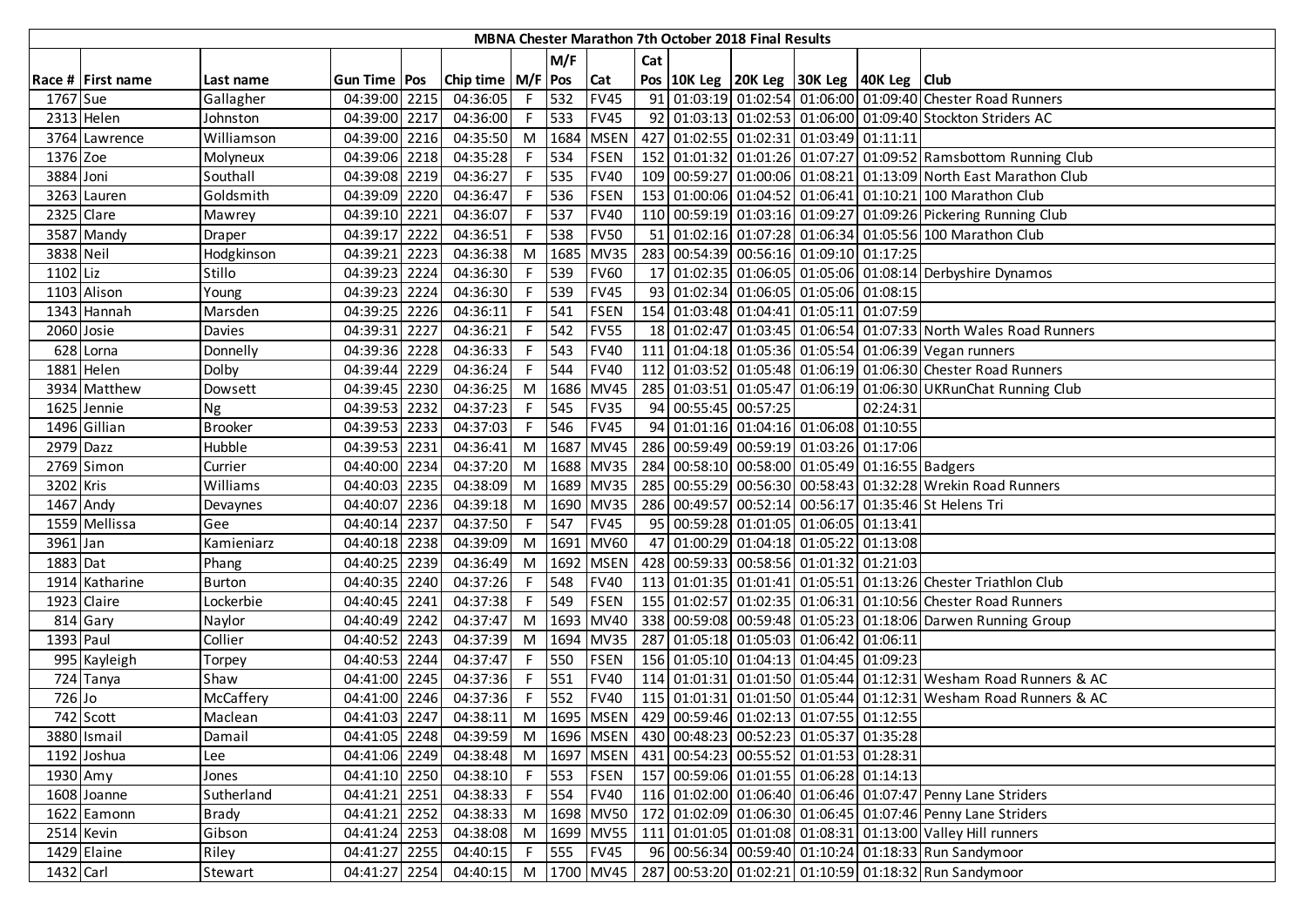|             | MBNA Chester Marathon 7th October 2018 Final Results |                |                |      |                        |               |       |             |     |                      |  |                                                                  |          |                                                                  |
|-------------|------------------------------------------------------|----------------|----------------|------|------------------------|---------------|-------|-------------|-----|----------------------|--|------------------------------------------------------------------|----------|------------------------------------------------------------------|
|             |                                                      |                |                |      |                        |               | M/F   |             | Cat |                      |  |                                                                  |          |                                                                  |
|             | Race # First name                                    | Last name      | Gun Time   Pos |      | Chip time   M/F   Pos  |               |       | Cat         |     |                      |  | Pos   10K Leg   20K Leg   30K Leg   40K Leg   Club               |          |                                                                  |
| 1767 Sue    |                                                      | Gallagher      | 04:39:00 2215  |      | 04:36:05               |               | F 532 | <b>FV45</b> |     |                      |  |                                                                  |          | 91 01:03:19 01:02:54 01:06:00 01:09:40 Chester Road Runners      |
|             | 2313 Helen                                           | Johnston       | 04:39:00 2217  |      | 04:36:00               | F             | 533   | <b>FV45</b> |     |                      |  |                                                                  |          | 92 01:03:13 01:02:53 01:06:00 01:09:40 Stockton Striders AC      |
|             | 3764 Lawrence                                        | Williamson     | 04:39:00 2216  |      | 04:35:50               | M             |       | 1684 MSEN   |     |                      |  | 427 01:02:55 01:02:31 01:03:49 01:11:11                          |          |                                                                  |
| 1376 Zoe    |                                                      | Molyneux       | 04:39:06 2218  |      | 04:35:28               |               | F 534 | <b>FSEN</b> |     |                      |  |                                                                  |          | 152 01:01:32 01:01:26 01:07:27 01:09:52 Ramsbottom Running Club  |
| 3884 Joni   |                                                      | Southall       | 04:39:08 2219  |      | 04:36:27               | $F \parallel$ | 535   | <b>FV40</b> |     |                      |  |                                                                  |          | 109 00:59:27 01:00:06 01:08:21 01:13:09 North East Marathon Club |
|             | 3263 Lauren                                          | Goldsmith      | 04:39:09 2220  |      | 04:36:47               | F.            | 536   | <b>FSEN</b> |     |                      |  |                                                                  |          | 153 01:00:06 01:04:52 01:06:41 01:10:21 100 Marathon Club        |
|             | 2325 Clare                                           | Mawrey         | 04:39:10 2221  |      | 04:36:07               | F             | 537   | <b>FV40</b> |     |                      |  |                                                                  |          | 110 00:59:19 01:03:16 01:09:27 01:09:26 Pickering Running Club   |
|             | 3587 Mandy                                           | Draper         | 04:39:17 2222  |      | 04:36:51               |               | 538   | <b>FV50</b> |     |                      |  |                                                                  |          | 51 01:02:16 01:07:28 01:06:34 01:05:56 100 Marathon Club         |
| 3838 Neil   |                                                      | Hodgkinson     | 04:39:21 2223  |      | 04:36:38               | M             | 1685  | <b>MV35</b> |     |                      |  | 283 00:54:39 00:56:16 01:09:10 01:17:25                          |          |                                                                  |
| 1102 Liz    |                                                      | Stillo         | 04:39:23 2224  |      | 04:36:30               |               | 539   | <b>FV60</b> |     |                      |  |                                                                  |          | 17 01:02:35 01:06:05 01:05:06 01:08:14 Derbyshire Dynamos        |
|             | 1103 Alison                                          | Young          | 04:39:23 2224  |      | 04:36:30               | F.            | 539   | <b>FV45</b> |     |                      |  | 93 01:02:34 01:06:05 01:05:06 01:08:15                           |          |                                                                  |
|             | 1343 Hannah                                          | Marsden        | 04:39:25 2226  |      | 04:36:11               | F.            | 541   | <b>FSEN</b> |     |                      |  | 154 01:03:48 01:04:41 01:05:11 01:07:59                          |          |                                                                  |
| 2060 Josie  |                                                      | Davies         | 04:39:31       | 2227 | 04:36:21               |               | 542   | <b>FV55</b> |     |                      |  |                                                                  |          | 18 01:02:47 01:03:45 01:06:54 01:07:33 North Wales Road Runners  |
|             | 628 Lorna                                            | Donnelly       | 04:39:36 2228  |      | 04:36:33               | F.            | 543   | <b>FV40</b> |     |                      |  |                                                                  |          | 111 01:04:18 01:05:36 01:05:54 01:06:39 Vegan runners            |
|             | 1881 Helen                                           | Dolby          | 04:39:44 2229  |      | 04:36:24               | F.            | 544   | <b>FV40</b> |     |                      |  |                                                                  |          | 112 01:03:52 01:05:48 01:06:19 01:06:30 Chester Road Runners     |
|             | 3934 Matthew                                         | Dowsett        | 04:39:45 2230  |      | 04:36:25               |               |       | M 1686 MV45 |     |                      |  |                                                                  |          | 285 01:03:51 01:05:47 01:06:19 01:06:30 UKRunChat Running Club   |
|             | 1625 Jennie                                          | <b>Ng</b>      | 04:39:53 2232  |      | 04:37:23               |               | F 545 | <b>FV35</b> |     | 94 00:55:45 00:57:25 |  |                                                                  | 02:24:31 |                                                                  |
|             | 1496 Gillian                                         | <b>Brooker</b> | 04:39:53 2233  |      | 04:37:03               | F I           | 546   | <b>FV45</b> |     |                      |  | 94 01:01:16 01:04:16 01:06:08 01:10:55                           |          |                                                                  |
| 2979 Dazz   |                                                      | Hubble         | 04:39:53 2231  |      | 04:36:41               | M             |       | 1687 MV45   |     |                      |  | 286 00:59:49 00:59:19 01:03:26 01:17:06                          |          |                                                                  |
|             | 2769 Simon                                           | Currier        | 04:40:00 2234  |      | 04:37:20               | M             |       | 1688 MV35   |     |                      |  | 284 00:58:10 00:58:00 01:05:49 01:16:55 Badgers                  |          |                                                                  |
| 3202 Kris   |                                                      | Williams       | 04:40:03 2235  |      | 04:38:09               | M             |       | 1689 MV35   |     |                      |  |                                                                  |          | 285 00:55:29 00:56:30 00:58:43 01:32:28 Wrekin Road Runners      |
| $1467$ Andy |                                                      | Devaynes       | 04:40:07 2236  |      | 04:39:18               | M             |       | 1690 MV35   |     |                      |  |                                                                  |          | 286 00:49:57 00:52:14 00:56:17 01:35:46 St Helens Tri            |
|             | 1559 Mellissa                                        | Gee            | 04:40:14 2237  |      | 04:37:50               | F.            | 547   | <b>FV45</b> |     |                      |  | 95 00:59:28 01:01:05 01:06:05 01:13:41                           |          |                                                                  |
| 3961 Jan    |                                                      | Kamieniarz     | 04:40:18 2238  |      | 04:39:09               | M             | 1691  | <b>MV60</b> |     |                      |  | 47 01:00:29 01:04:18 01:05:22 01:13:08                           |          |                                                                  |
| 1883 Dat    |                                                      | Phang          | 04:40:25 2239  |      | 04:36:49               | M             | 1692  | <b>MSEN</b> |     |                      |  | 428 00:59:33 00:58:56 01:01:32 01:21:03                          |          |                                                                  |
|             | 1914 Katharine                                       | <b>Burton</b>  | 04:40:35 2240  |      | 04:37:26               | F.            | 548   | <b>FV40</b> |     |                      |  |                                                                  |          | 113 01:01:35 01:01:41 01:05:51 01:13:26 Chester Triathlon Club   |
|             | 1923 Claire                                          | Lockerbie      | 04:40:45 2241  |      | 04:37:38               | F.            | 549   | <b>FSEN</b> |     |                      |  |                                                                  |          | 155 01:02:57 01:02:35 01:06:31 01:10:56 Chester Road Runners     |
|             | 814 Gary                                             | Naylor         | 04:40:49 2242  |      | 04:37:47               | M             |       | 1693 MV40   |     |                      |  |                                                                  |          | 338 00:59:08 00:59:48 01:05:23 01:18:06 Darwen Running Group     |
| 1393 Paul   |                                                      | Collier        | 04:40:52 2243  |      | 04:37:39               | M             |       | 1694 MV35   |     |                      |  | 287 01:05:18 01:05:03 01:06:42 01:06:11                          |          |                                                                  |
|             | 995 Kayleigh                                         | Torpey         | 04:40:53 2244  |      | 04:37:47               | F I           | 550   | <b>FSEN</b> |     |                      |  | 156 01:05:10 01:04:13 01:04:45 01:09:23                          |          |                                                                  |
|             | 724 Tanya                                            | Shaw           | 04:41:00 2245  |      | 04:37:36               | F             | 551   | <b>FV40</b> |     |                      |  |                                                                  |          | 114 01:01:31 01:01:50 01:05:44 01:12:31 Wesham Road Runners & AC |
| 726 Jo      |                                                      | McCaffery      | 04:41:00 2246  |      | 04:37:36               | F.            | 552   | <b>FV40</b> |     |                      |  |                                                                  |          | 115 01:01:31 01:01:50 01:05:44 01:12:31 Wesham Road Runners & AC |
|             | 742 Scott                                            | Maclean        | 04:41:03 2247  |      | 04:38:11               |               |       |             |     |                      |  | M  1695   MSEN   429   00:59:46   01:02:13   01:07:55   01:12:55 |          |                                                                  |
|             | 3880 Ismail                                          | Damail         | 04:41:05 2248  |      | 04:39:59               |               |       |             |     |                      |  | M  1696   MSEN   430   00:48:23   00:52:23   01:05:37   01:35:28 |          |                                                                  |
|             | 1192 Joshua                                          | Lee            | 04:41:06 2249  |      | 04:38:48               |               |       |             |     |                      |  | M  1697   MSEN   431   00:54:23   00:55:52   01:01:53   01:28:31 |          |                                                                  |
| 1930 Amy    |                                                      | Jones          |                |      | 04:41:10 2250 04:38:10 |               | F 553 | <b>FSEN</b> |     |                      |  | 157 00:59:06 01:01:55 01:06:28 01:14:13                          |          |                                                                  |
|             | 1608 Joanne                                          | Sutherland     | 04:41:21 2251  |      | 04:38:33               | F.            | 554   | <b>FV40</b> |     |                      |  |                                                                  |          | 116 01:02:00 01:06:40 01:06:46 01:07:47 Penny Lane Striders      |
|             | 1622 Eamonn                                          | <b>Brady</b>   | 04:41:21 2252  |      | 04:38:33               | M             |       | 1698 MV50   |     |                      |  |                                                                  |          | 172 01:02:09 01:06:30 01:06:45 01:07:46 Penny Lane Striders      |
|             | 2514 Kevin                                           | Gibson         | 04:41:24 2253  |      | 04:38:08               | M             |       | 1699 MV55   |     |                      |  |                                                                  |          | 111 01:01:05 01:01:08 01:08:31 01:13:00 Valley Hill runners      |
|             | 1429 Elaine                                          | Riley          | 04:41:27 2255  |      | 04:40:15               | F             | 555   | <b>FV45</b> |     |                      |  |                                                                  |          | 96 00:56:34 00:59:40 01:10:24 01:18:33 Run Sandymoor             |
| 1432 Carl   |                                                      | Stewart        | 04:41:27 2254  |      | 04:40:15 M 1700 MV45   |               |       |             |     |                      |  |                                                                  |          | 287 00:53:20 01:02:21 01:10:59 01:18:32 Run Sandymoor            |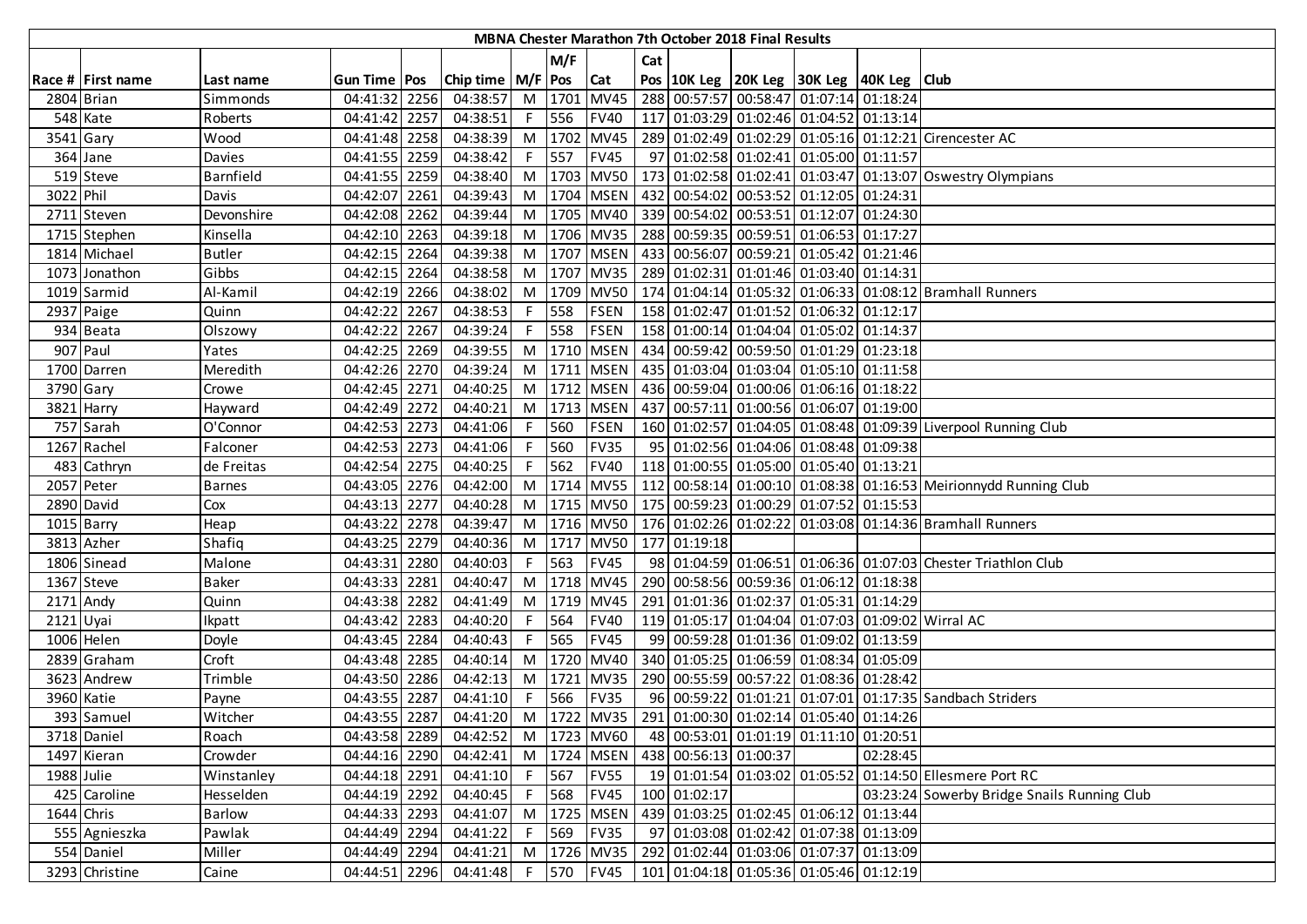| <b>MBNA Chester Marathon 7th October 2018 Final Results</b> |                   |               |                        |      |                       |            |      |             |     |                       |  |                                                               |          |                                                                      |
|-------------------------------------------------------------|-------------------|---------------|------------------------|------|-----------------------|------------|------|-------------|-----|-----------------------|--|---------------------------------------------------------------|----------|----------------------------------------------------------------------|
|                                                             |                   |               |                        |      |                       |            | M/F  |             | Cat |                       |  |                                                               |          |                                                                      |
|                                                             | Race # First name | Last name     | Gun Time   Pos         |      | Chip time   M/F   Pos |            |      | <b>Cat</b>  |     |                       |  | Pos 10K Leg 20K Leg 30K Leg 40K Leg Club                      |          |                                                                      |
|                                                             | 2804 Brian        | Simmonds      | 04:41:32               | 2256 | 04:38:57              | $M$        | 1701 | <b>MV45</b> |     |                       |  | 288 00:57:57 00:58:47 01:07:14 01:18:24                       |          |                                                                      |
|                                                             | 548 Kate          | Roberts       | 04:41:42 2257          |      | 04:38:51              | F.         | 556  | <b>FV40</b> |     |                       |  | 117 01:03:29 01:02:46 01:04:52 01:13:14                       |          |                                                                      |
| 3541 Gary                                                   |                   | Wood          | 04:41:48 2258          |      | 04:38:39              | M          |      | 1702 MV45   |     |                       |  |                                                               |          | 289 01:02:49 01:02:29 01:05:16 01:12:21 Cirencester AC               |
|                                                             | 364 Jane          | Davies        | 04:41:55 2259          |      | 04:38:42              | $\sqrt{F}$ | 557  | <b>FV45</b> |     |                       |  | 97 01:02:58 01:02:41 01:05:00 01:11:57                        |          |                                                                      |
|                                                             | 519 Steve         | Barnfield     | 04:41:55 2259          |      | 04:38:40              | M          |      |             |     |                       |  |                                                               |          | 1703 MV50 173 01:02:58 01:02:41 01:03:47 01:13:07 Oswestry Olympians |
| 3022 Phil                                                   |                   | Davis         | 04:42:07               | 2261 | 04:39:43              | M          |      |             |     |                       |  | 1704   MSEN   432   00:54:02   00:53:52   01:12:05   01:24:31 |          |                                                                      |
|                                                             | 2711 Steven       | Devonshire    | 04:42:08 2262          |      | 04:39:44              | M          |      |             |     |                       |  | 1705   MV40   339   00:54:02   00:53:51   01:12:07   01:24:30 |          |                                                                      |
|                                                             | 1715 Stephen      | Kinsella      | 04:42:10 2263          |      | 04:39:18              | M          |      | 1706 MV35   |     |                       |  | 288 00:59:35 00:59:51 01:06:53 01:17:27                       |          |                                                                      |
|                                                             | 1814 Michael      | <b>Butler</b> | 04:42:15 2264          |      | 04:39:38              | M          |      | 1707 MSEN   |     |                       |  | 433 00:56:07 00:59:21 01:05:42 01:21:46                       |          |                                                                      |
|                                                             | 1073 Jonathon     | Gibbs         | 04:42:15 2264          |      | 04:38:58              | M          |      | 1707 MV35   |     |                       |  | 289 01:02:31 01:01:46 01:03:40 01:14:31                       |          |                                                                      |
|                                                             | 1019 Sarmid       | Al-Kamil      | 04:42:19 2266          |      | 04:38:02              | M          |      | 1709 MV50   |     |                       |  |                                                               |          | 174 01:04:14 01:05:32 01:06:33 01:08:12 Bramhall Runners             |
|                                                             | 2937 Paige        | Quinn         | $\overline{0}$ 4:42:22 | 2267 | 04:38:53              | F.         | 558  | <b>FSEN</b> |     |                       |  | 158 01:02:47 01:01:52 01:06:32 01:12:17                       |          |                                                                      |
|                                                             | 934 Beata         | Olszowy       | 04:42:22               | 2267 | 04:39:24              | F.         | 558  | <b>FSEN</b> |     |                       |  | 158 01:00:14 01:04:04 01:05:02 01:14:37                       |          |                                                                      |
|                                                             | 907 Paul          | Yates         | 04:42:25 2269          |      | 04:39:55              | M          | 1710 | <b>MSEN</b> |     |                       |  | 434 00:59:42 00:59:50 01:01:29 01:23:18                       |          |                                                                      |
|                                                             | 1700 Darren       | Meredith      | 04:42:26 2270          |      | 04:39:24              | M          |      | 1711   MSEN |     |                       |  | 435 01:03:04 01:03:04 01:05:10 01:11:58                       |          |                                                                      |
| 3790 Gary                                                   |                   | Crowe         | 04:42:45 2271          |      | 04:40:25              | $M$        |      |             |     |                       |  | 1712   MSEN   436   00:59:04   01:00:06   01:06:16   01:18:22 |          |                                                                      |
|                                                             | 3821 Harry        | Hayward       | 04:42:49 2272          |      | 04:40:21              | M          |      | 1713 MSEN   |     |                       |  | 437 00:57:11 01:00:56 01:06:07 01:19:00                       |          |                                                                      |
|                                                             | 757 Sarah         | O'Connor      | 04:42:53 2273          |      | 04:41:06              | F          | 560  | <b>FSEN</b> |     |                       |  |                                                               |          | 160 01:02:57 01:04:05 01:08:48 01:09:39 Liverpool Running Club       |
|                                                             | 1267 Rachel       | Falconer      | 04:42:53 2273          |      | 04:41:06              | F.         | 560  | <b>FV35</b> |     |                       |  | 95 01:02:56 01:04:06 01:08:48 01:09:38                        |          |                                                                      |
|                                                             | 483 Cathryn       | de Freitas    | 04:42:54               | 2275 | 04:40:25              |            | 562  | <b>FV40</b> |     |                       |  | 118 01:00:55 01:05:00 01:05:40 01:13:21                       |          |                                                                      |
|                                                             | 2057 Peter        | <b>Barnes</b> | 04:43:05 2276          |      | 04:42:00              | M          |      | 1714 MV55   |     |                       |  |                                                               |          | 112 00:58:14 01:00:10 01:08:38 01:16:53 Meirionnydd Running Club     |
|                                                             | 2890 David        | Cox           | 04:43:13 2277          |      | 04:40:28              | M          |      | 1715 MV50   |     |                       |  | 175 00:59:23 01:00:29 01:07:52 01:15:53                       |          |                                                                      |
|                                                             | $1015$ Barry      | Heap          | 04:43:22 2278          |      | 04:39:47              | M          |      | 1716 MV50   |     |                       |  |                                                               |          | 176   01:02:26   01:02:22   01:03:08   01:14:36   Bramhall Runners   |
|                                                             | 3813 Azher        | Shafiq        | 04:43:25 2279          |      | 04:40:36              | M          |      | 1717 MV50   |     | 177 01:19:18          |  |                                                               |          |                                                                      |
|                                                             | 1806 Sinead       | Malone        | 04:43:31               | 2280 | 04:40:03              | F          | 563  | <b>FV45</b> |     |                       |  |                                                               |          | 98 01:04:59 01:06:51 01:06:36 01:07:03 Chester Triathlon Club        |
|                                                             | 1367 Steve        | <b>Baker</b>  | 04:43:33               | 2281 | 04:40:47              | M          |      | 1718 MV45   |     |                       |  | 290 00:58:56 00:59:36 01:06:12 01:18:38                       |          |                                                                      |
| 2171 Andy                                                   |                   | Quinn         | 04:43:38               | 2282 | 04:41:49              | M          |      | 1719 MV45   |     |                       |  | 291 01:01:36 01:02:37 01:05:31 01:14:29                       |          |                                                                      |
| 2121 Uyai                                                   |                   | Ikpatt        | 04:43:42 2283          |      | 04:40:20              | F.         | 564  | <b>FV40</b> |     |                       |  |                                                               |          | 119 01:05:17 01:04:04 01:07:03 01:09:02 Wirral AC                    |
|                                                             | 1006 Helen        | Doyle         | 04:43:45 2284          |      | 04:40:43              | F.         | 565  | <b>FV45</b> |     |                       |  | 99 00:59:28 01:01:36 01:09:02 01:13:59                        |          |                                                                      |
|                                                             | 2839 Graham       | Croft         | 04:43:48 2285          |      | 04:40:14              | M          |      | 1720 MV40   |     |                       |  | 340 01:05:25 01:06:59 01:08:34 01:05:09                       |          |                                                                      |
|                                                             | 3623 Andrew       | Trimble       | 04:43:50 2286          |      | 04:42:13              | M          |      | 1721 MV35   |     |                       |  | 290 00:55:59 00:57:22 01:08:36 01:28:42                       |          |                                                                      |
|                                                             | 3960 Katie        | Payne         | 04:43:55 2287          |      | 04:41:10              | F.         | 566  | <b>FV35</b> |     |                       |  |                                                               |          | 96 00:59:22 01:01:21 01:07:01 01:17:35 Sandbach Striders             |
|                                                             | 393 Samuel        | Witcher       | 04:43:55 2287          |      |                       |            |      |             |     |                       |  | 04:41:20 M 1722 MV35 291 01:00:30 01:02:14 01:05:40 01:14:26  |          |                                                                      |
|                                                             | 3718 Daniel       | Roach         | 04:43:58 2289          |      | 04:42:52              |            |      | M 1723 MV60 |     |                       |  | 48 00:53:01 01:01:19 01:11:10 01:20:51                        |          |                                                                      |
|                                                             | 1497 Kieran       | Crowder       | 04:44:16 2290          |      | 04:42:41              |            |      | M 1724 MSEN |     | 438 00:56:13 01:00:37 |  |                                                               | 02:28:45 |                                                                      |
| 1988 Julie                                                  |                   | Winstanley    | 04:44:18 2291          |      | 04:41:10              | -F I       |      | 567 FV55    |     |                       |  |                                                               |          | 19 01:01:54 01:03:02 01:05:52 01:14:50 Ellesmere Port RC             |
|                                                             | 425 Caroline      | Hesselden     | 04:44:19 2292          |      | 04:40:45              |            | 568  | <b>FV45</b> |     | 100 01:02:17          |  |                                                               |          | 03:23:24 Sowerby Bridge Snails Running Club                          |
| 1644 Chris                                                  |                   | Barlow        | 04:44:33 2293          |      | 04:41:07              | M          |      | 1725 MSEN   |     |                       |  | 439 01:03:25 01:02:45 01:06:12 01:13:44                       |          |                                                                      |
|                                                             | 555 Agnieszka     | Pawlak        | 04:44:49 2294          |      | 04:41:22              | F.         | 569  | <b>FV35</b> |     |                       |  | 97 01:03:08 01:02:42 01:07:38 01:13:09                        |          |                                                                      |
|                                                             | 554 Daniel        | Miller        | 04:44:49 2294          |      | 04:41:21              | M          |      | 1726 MV35   |     |                       |  | 292 01:02:44 01:03:06 01:07:37 01:13:09                       |          |                                                                      |
|                                                             | 3293 Christine    | Caine         | 04:44:51 2296          |      | 04:41:48              | F          |      | 570 FV45    |     |                       |  | 101 01:04:18 01:05:36 01:05:46 01:12:19                       |          |                                                                      |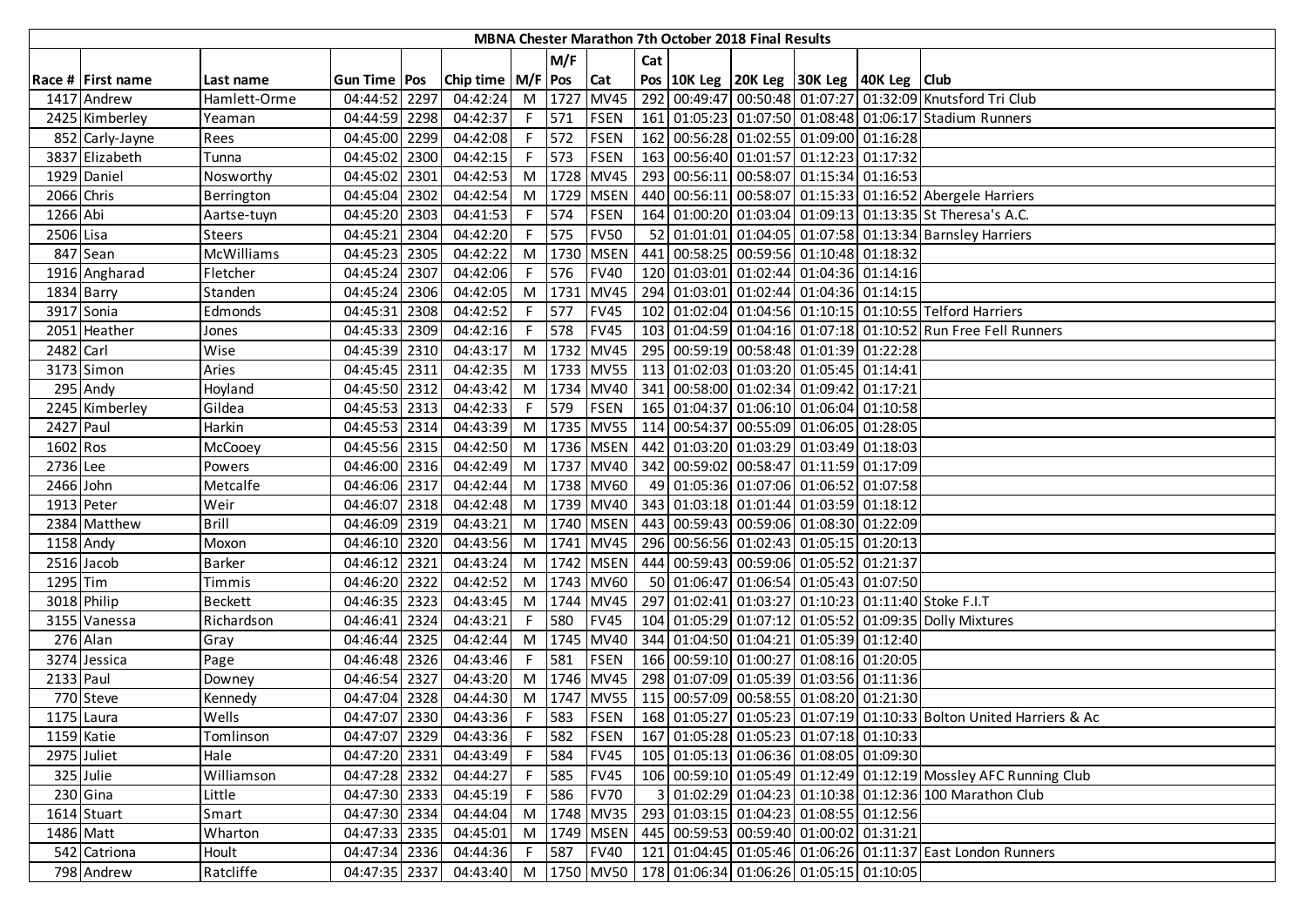|            | MBNA Chester Marathon 7th October 2018 Final Results |                |                        |      |                             |    |        |                 |     |  |  |                                                                  |  |                                                                     |
|------------|------------------------------------------------------|----------------|------------------------|------|-----------------------------|----|--------|-----------------|-----|--|--|------------------------------------------------------------------|--|---------------------------------------------------------------------|
|            |                                                      |                |                        |      |                             |    | M/F    |                 | Cat |  |  |                                                                  |  |                                                                     |
|            | Race # First name                                    | Last name      | <b>Gun Time Pos</b>    |      | Chip time   M/F   Pos   Cat |    |        |                 |     |  |  | Pos   10K Leg   20K Leg   30K Leg   40K Leg   Club               |  |                                                                     |
|            | 1417 Andrew                                          | Hamlett-Orme   | 04:44:52 2297          |      | 04:42:24                    |    |        | M 1727 MV45     |     |  |  |                                                                  |  | 292 00:49:47 00:50:48 01:07:27 01:32:09 Knutsford Tri Club          |
|            | 2425 Kimberley                                       | Yeaman         | 04:44:59 2298          |      | 04:42:37                    |    | F 571  | <b>FSEN</b>     |     |  |  |                                                                  |  | 161 01:05:23 01:07:50 01:08:48 01:06:17 Stadium Runners             |
|            | 852 Carly-Jayne                                      | Rees           | 04:45:00 2299          |      | 04:42:08                    |    | F 572  | <b>FSEN</b>     |     |  |  | 162 00:56:28 01:02:55 01:09:00 01:16:28                          |  |                                                                     |
|            | 3837 Elizabeth                                       | Tunna          | 04:45:02 2300          |      | 04:42:15                    |    | F 573  | <b>FSEN</b>     |     |  |  | 163 00:56:40 01:01:57 01:12:23 01:17:32                          |  |                                                                     |
|            | 1929 Daniel                                          | Nosworthy      | 04:45:02 2301          |      | 04:42:53                    |    |        | M 1728 MV45     |     |  |  | 293 00:56:11 00:58:07 01:15:34 01:16:53                          |  |                                                                     |
| 2066 Chris |                                                      | Berrington     | 04:45:04 2302          |      | 04:42:54                    |    |        | M 1729 MSEN     |     |  |  |                                                                  |  | 440 00:56:11 00:58:07 01:15:33 01:16:52 Abergele Harriers           |
| 1266 Abi   |                                                      | Aartse-tuyn    | 04:45:20 2303          |      | 04:41:53                    | F. | 574    | <b>FSEN</b>     |     |  |  |                                                                  |  | 164 01:00:20 01:03:04 01:09:13 01:13:35 St Theresa's A.C.           |
| 2506 Lisa  |                                                      | <b>Steers</b>  | 04:45:21 2304          |      | 04:42:20                    | F. | 575    | <b>FV50</b>     |     |  |  |                                                                  |  | 52 01:01:01 01:04:05 01:07:58 01:13:34 Barnsley Harriers            |
|            | 847 Sean                                             | McWilliams     | 04:45:23 2305          |      | 04:42:22                    |    | M 1730 | <b>MSEN</b>     |     |  |  | 441 00:58:25 00:59:56 01:10:48 01:18:32                          |  |                                                                     |
|            | 1916 Angharad                                        | Fletcher       | 04:45:24 2307          |      | 04:42:06                    | F. | 576    | <b>FV40</b>     |     |  |  | 120 01:03:01 01:02:44 01:04:36 01:14:16                          |  |                                                                     |
|            | 1834 Barry                                           | Standen        | 04:45:24 2306          |      | 04:42:05                    |    |        | M 1731 MV45     |     |  |  | 294 01:03:01 01:02:44 01:04:36 01:14:15                          |  |                                                                     |
|            | 3917 Sonia                                           | Edmonds        | $\overline{04:}45:31$  | 2308 | 04:42:52                    | F. | 577    | <b>FV45</b>     |     |  |  |                                                                  |  | 102 01:02:04 01:04:56 01:10:15 01:10:55 Telford Harriers            |
|            | 2051 Heather                                         | Jones          | 04:45:33 2309          |      | 04:42:16                    |    | F 578  | <b>FV45</b>     |     |  |  |                                                                  |  | 103 01:04:59 01:04:16 01:07:18 01:10:52 Run Free Fell Runners       |
| 2482 Carl  |                                                      | Wise           | 04:45:39 2310          |      | 04:43:17                    |    |        | M 1732 MV45     |     |  |  | 295 00:59:19 00:58:48 01:01:39 01:22:28                          |  |                                                                     |
|            | 3173 Simon                                           | Aries          | 04:45:45 2311          |      | 04:42:35                    |    |        | M 1733 MV55     |     |  |  | 113 01:02:03 01:03:20 01:05:45 01:14:41                          |  |                                                                     |
|            | 295 Andy                                             | Hoyland        | 04:45:50 2312          |      | 04:43:42                    |    |        | M 1734 MV40     |     |  |  | 341 00:58:00 01:02:34 01:09:42 01:17:21                          |  |                                                                     |
|            | 2245 Kimberley                                       | Gildea         | 04:45:53 2313          |      | 04:42:33                    |    |        | F 579 FSEN      |     |  |  | 165 01:04:37 01:06:10 01:06:04 01:10:58                          |  |                                                                     |
| 2427 Paul  |                                                      | Harkin         | 04:45:53 2314          |      | 04:43:39                    |    |        |                 |     |  |  | M  1735   MV55   114   00:54:37   00:55:09   01:06:05   01:28:05 |  |                                                                     |
| 1602 Ros   |                                                      | McCooey        | 04:45:56 2315          |      | 04:42:50                    |    |        | M 1736 MSEN     |     |  |  | 442 01:03:20 01:03:29 01:03:49 01:18:03                          |  |                                                                     |
| 2736 Lee   |                                                      | Powers         | 04:46:00 2316          |      | 04:42:49                    |    |        | M 1737 MV40     |     |  |  | 342 00:59:02 00:58:47 01:11:59 01:17:09                          |  |                                                                     |
| 2466 John  |                                                      | Metcalfe       | 04:46:06 2317          |      | 04:42:44                    |    |        | M   1738   MV60 |     |  |  | 49 01:05:36 01:07:06 01:06:52 01:07:58                           |  |                                                                     |
|            | 1913 Peter                                           | Weir           | 04:46:07 2318          |      | 04:42:48                    |    |        | M   1739   MV40 |     |  |  | 343 01:03:18 01:01:44 01:03:59 01:18:12                          |  |                                                                     |
|            | 2384 Matthew                                         | <b>Brill</b>   | 04:46:09 2319          |      | 04:43:21                    |    |        | M 1740 MSEN     |     |  |  | 443 00:59:43 00:59:06 01:08:30 01:22:09                          |  |                                                                     |
| 1158 Andy  |                                                      | Moxon          | 04:46:10 2320          |      | 04:43:56                    |    |        | M 1741 MV45     |     |  |  | 296 00:56:56 01:02:43 01:05:15 01:20:13                          |  |                                                                     |
|            | 2516 Jacob                                           | <b>Barker</b>  | 04:46:12 2321          |      | 04:43:24                    |    |        | M 1742 MSEN     |     |  |  | 444 00:59:43 00:59:06 01:05:52 01:21:37                          |  |                                                                     |
| 1295 Tim   |                                                      | Timmis         | $\overline{0}$ 4:46:20 | 2322 | 04:42:52                    |    |        | M 1743 MV60     |     |  |  | 50 01:06:47 01:06:54 01:05:43 01:07:50                           |  |                                                                     |
|            | 3018 Philip                                          | <b>Beckett</b> | 04:46:35 2323          |      | 04:43:45                    |    |        | M 1744 MV45     |     |  |  |                                                                  |  | 297 01:02:41 01:03:27 01:10:23 01:11:40 Stoke F.I.T                 |
|            | 3155 Vanessa                                         | Richardson     | 04:46:41 2324          |      | 04:43:21                    |    | F 580  | <b>FV45</b>     |     |  |  |                                                                  |  | 104 01:05:29 01:07:12 01:05:52 01:09:35 Dolly Mixtures              |
|            | 276 Alan                                             | Gray           | 04:46:44 2325          |      | 04:42:44                    |    |        | M 1745 MV40     |     |  |  | 344 01:04:50 01:04:21 01:05:39 01:12:40                          |  |                                                                     |
|            | 3274 Jessica                                         | Page           | 04:46:48 2326          |      | 04:43:46                    | F. | 581    | <b>FSEN</b>     |     |  |  | 166 00:59:10 01:00:27 01:08:16 01:20:05                          |  |                                                                     |
| 2133 Paul  |                                                      | Downey         | 04:46:54 2327          |      | 04:43:20                    |    |        | M 1746 MV45     |     |  |  | 298 01:07:09 01:05:39 01:03:56 01:11:36                          |  |                                                                     |
|            | 770 Steve                                            | Kennedy        | 04:47:04 2328          |      | 04:44:30                    |    |        | M 1747 MV55     |     |  |  | 115 00:57:09 00:58:55 01:08:20 01:21:30                          |  |                                                                     |
|            | 1175 Laura                                           | Wells          | 04:47:07 2330          |      | 04:43:36                    |    |        | F 583 FSEN      |     |  |  |                                                                  |  | 168 01:05:27 01:05:23 01:07:19 01:10:33 Bolton United Harriers & Ac |
| 1159 Katie |                                                      | Tomlinson      | 04:47:07 2329          |      | 04:43:36                    | F. | 582    | <b>FSEN</b>     |     |  |  | 167 01:05:28 01:05:23 01:07:18 01:10:33                          |  |                                                                     |
|            | 2975 Juliet                                          | Hale           | 04:47:20 2331          |      | 04:43:49                    | F. | 584    | <b>FV45</b>     |     |  |  | 105 01:05:13 01:06:36 01:08:05 01:09:30                          |  |                                                                     |
|            | 325 Julie                                            | Williamson     | 04:47:28 2332          |      | 04:44:27                    |    | F 585  | <b>FV45</b>     |     |  |  |                                                                  |  | 106 00:59:10 01:05:49 01:12:49 01:12:19 Mossley AFC Running Club    |
|            | 230 Gina                                             | Little         | 04:47:30 2333          |      | 04:45:19                    | F  | 586    | <b>FV70</b>     |     |  |  |                                                                  |  | 01:02:29 01:04:23 01:10:38 01:12:36 100 Marathon Club               |
|            | 1614 Stuart                                          | Smart          | 04:47:30 2334          |      | 04:44:04                    |    |        | M   1748   MV35 |     |  |  | 293 01:03:15 01:04:23 01:08:55 01:12:56                          |  |                                                                     |
|            | 1486 Matt                                            | Wharton        | 04:47:33 2335          |      | 04:45:01                    |    |        | M 1749 MSEN     |     |  |  | 445 00:59:53 00:59:40 01:00:02 01:31:21                          |  |                                                                     |
|            | 542 Catriona                                         | Hoult          | 04:47:34 2336          |      | 04:44:36                    |    | F 587  | <b>FV40</b>     |     |  |  |                                                                  |  | 121 01:04:45 01:05:46 01:06:26 01:11:37 East London Runners         |
|            | 798 Andrew                                           | Ratcliffe      | 04:47:35 2337          |      |                             |    |        |                 |     |  |  | 04:43:40 M 1750 MV50 178 01:06:34 01:06:26 01:05:15 01:10:05     |  |                                                                     |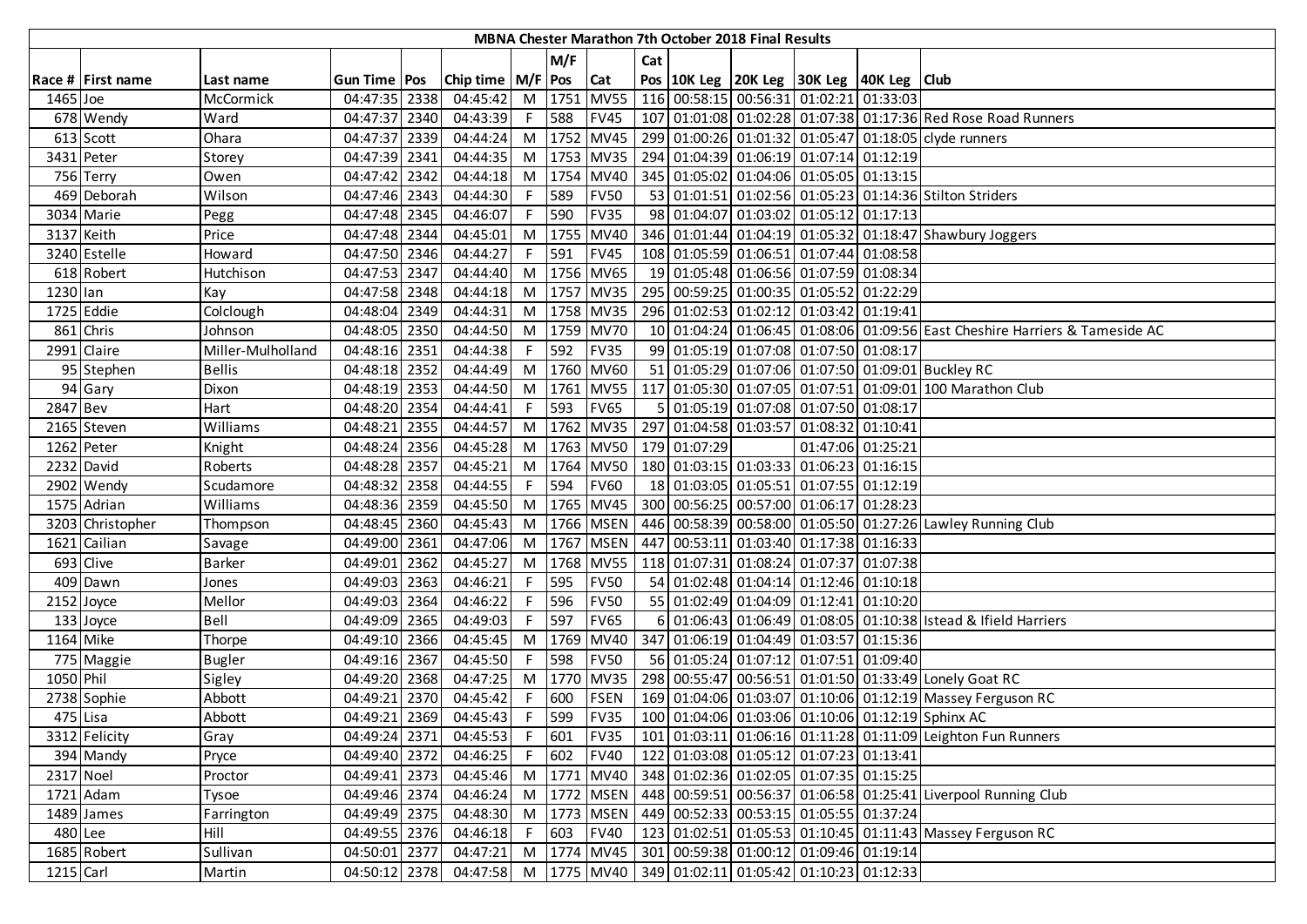|            | <b>MBNA Chester Marathon 7th October 2018 Final Results</b> |                   |                |      |                                 |                |        |             |     |              |  |                                                                            |                   |                                                                                          |
|------------|-------------------------------------------------------------|-------------------|----------------|------|---------------------------------|----------------|--------|-------------|-----|--------------|--|----------------------------------------------------------------------------|-------------------|------------------------------------------------------------------------------------------|
|            |                                                             |                   |                |      |                                 |                | M/F    |             | Cat |              |  |                                                                            |                   |                                                                                          |
|            | Race # First name                                           | Last name         | Gun Time   Pos |      | Chip time $\vert M/F \vert$ Pos |                |        | <b>Cat</b>  |     |              |  | Pos 10K Leg 20K Leg 30K Leg 40K Leg Club                                   |                   |                                                                                          |
| 1465 Joe   |                                                             | McCormick         | 04:47:35 2338  |      | 04:45:42                        |                | M 1751 | <b>MV55</b> |     |              |  | 116 00:58:15 00:56:31 01:02:21 01:33:03                                    |                   |                                                                                          |
|            | 678 Wendy                                                   | Ward              | 04:47:37 2340  |      | 04:43:39                        | F              | 588    | <b>FV45</b> |     |              |  |                                                                            |                   | 107 01:01:08 01:02:28 01:07:38 01:17:36 Red Rose Road Runners                            |
|            | 613 Scott                                                   | Ohara             | 04:47:37 2339  |      | 04:44:24                        |                |        | M 1752 MV45 |     |              |  |                                                                            |                   | 299 01:00:26 01:01:32 01:05:47 01:18:05 clyde runners                                    |
|            | 3431 Peter                                                  | Storey            | 04:47:39 2341  |      | 04:44:35                        |                |        | M 1753 MV35 |     |              |  | 294 01:04:39 01:06:19 01:07:14 01:12:19                                    |                   |                                                                                          |
|            | 756 Terry                                                   | Owen              | 04:47:42 2342  |      | 04:44:18                        | M              |        | 1754 MV40   |     |              |  | 345 01:05:02 01:04:06 01:05:05 01:13:15                                    |                   |                                                                                          |
|            | 469 Deborah                                                 | Wilson            | 04:47:46 2343  |      | 04:44:30                        | F.             | 589    | <b>FV50</b> |     |              |  |                                                                            |                   | 53 01:01:51 01:02:56 01:05:23 01:14:36 Stilton Striders                                  |
|            | 3034 Marie                                                  | Pegg              | 04:47:48 2345  |      | 04:46:07                        | F              | 590    | <b>FV35</b> |     |              |  | 98 01:04:07 01:03:02 01:05:12 01:17:13                                     |                   |                                                                                          |
| 3137 Keith |                                                             | Price             | 04:47:48 2344  |      | 04:45:01                        | M              | 1755   | <b>MV40</b> |     |              |  |                                                                            |                   | 346 01:01:44 01:04:19 01:05:32 01:18:47 Shawbury Joggers                                 |
|            | 3240 Estelle                                                | Howard            | 04:47:50 2346  |      | 04:44:27                        |                | 591    | <b>FV45</b> |     |              |  | 108 01:05:59 01:06:51 01:07:44 01:08:58                                    |                   |                                                                                          |
|            | 618 Robert                                                  | Hutchison         | 04:47:53 2347  |      | 04:44:40                        | M              |        | 1756 MV65   |     |              |  | 19 01:05:48 01:06:56 01:07:59 01:08:34                                     |                   |                                                                                          |
| 1230 lan   |                                                             | Kay               | 04:47:58 2348  |      | 04:44:18                        | M              |        | 1757 MV35   |     |              |  | 295 00:59:25 01:00:35 01:05:52 01:22:29                                    |                   |                                                                                          |
|            | 1725 Eddie                                                  | Colclough         | 04:48:04 2349  |      | 04:44:31                        | M              |        | 1758 MV35   |     |              |  | 296 01:02:53 01:02:12 01:03:42 01:19:41                                    |                   |                                                                                          |
|            | 861 Chris                                                   | Johnson           | 04:48:05 2350  |      | 04:44:50                        | M              |        | 1759 MV70   |     |              |  |                                                                            |                   | 10 01:04:24 01:06:45 01:08:06 01:09:56 East Cheshire Harriers & Tameside AC              |
|            | 2991 Claire                                                 | Miller-Mulholland | 04:48:16 2351  |      | 04:44:38                        | F.             | 592    | <b>FV35</b> |     |              |  | 99 01:05:19 01:07:08 01:07:50 01:08:17                                     |                   |                                                                                          |
|            | 95 Stephen                                                  | <b>Bellis</b>     | 04:48:18 2352  |      | 04:44:49                        | M              |        | 1760 MV60   |     |              |  |                                                                            |                   | 51 01:05:29 01:07:06 01:07:50 01:09:01 Buckley RC                                        |
|            | 94 Gary                                                     | Dixon             | 04:48:19 2353  |      | 04:44:50                        |                |        | M 1761 MV55 |     |              |  |                                                                            |                   | 117 01:05:30 01:07:05 01:07:51 01:09:01 100 Marathon Club                                |
| 2847 Bev   |                                                             | Hart              | 04:48:20 2354  |      | 04:44:41                        | F I            | 593    | <b>FV65</b> |     |              |  | 5 01:05:19 01:07:08 01:07:50 01:08:17                                      |                   |                                                                                          |
|            | 2165 Steven                                                 | Williams          | 04:48:21 2355  |      | 04:44:57                        |                |        | M 1762 MV35 |     |              |  | 297 01:04:58 01:03:57 01:08:32 01:10:41                                    |                   |                                                                                          |
| 1262 Peter |                                                             | Knight            | 04:48:24 2356  |      | 04:45:28                        | M              |        | 1763 MV50   |     | 179 01:07:29 |  |                                                                            | 01:47:06 01:25:21 |                                                                                          |
|            | 2232 David                                                  | Roberts           | 04:48:28 2357  |      | 04:45:21                        | M              |        | 1764 MV50   |     |              |  | 180 01:03:15 01:03:33 01:06:23 01:16:15                                    |                   |                                                                                          |
|            | 2902 Wendy                                                  | Scudamore         | 04:48:32 2358  |      | 04:44:55                        | F              | 594    | <b>FV60</b> |     |              |  | 18 01:03:05 01:05:51 01:07:55 01:12:19                                     |                   |                                                                                          |
|            | 1575 Adrian                                                 | Williams          | 04:48:36 2359  |      | 04:45:50                        | M              |        | 1765 MV45   |     |              |  | 300 00:56:25 00:57:00 01:06:17 01:28:23                                    |                   |                                                                                          |
|            | 3203 Christopher                                            | Thompson          | 04:48:45 2360  |      | 04:45:43                        | M <sub>1</sub> |        | 1766 MSEN   |     |              |  |                                                                            |                   | 446 00:58:39 00:58:00 01:05:50 01:27:26 Lawley Running Club                              |
|            | 1621 Cailian                                                | Savage            | 04:49:00 2361  |      | 04:47:06                        | M              |        | 1767 MSEN   |     |              |  | 447 00:53:11 01:03:40 01:17:38 01:16:33                                    |                   |                                                                                          |
|            | 693 Clive                                                   | <b>Barker</b>     | 04:49:01 2362  |      | 04:45:27                        | M              |        | 1768 MV55   |     |              |  | 118 01:07:31 01:08:24 01:07:37 01:07:38                                    |                   |                                                                                          |
|            | 409 Dawn                                                    | Jones             | 04:49:03 2363  |      | 04:46:21                        | F.             | 595    | <b>FV50</b> |     |              |  | 54 01:02:48 01:04:14 01:12:46 01:10:18                                     |                   |                                                                                          |
|            | 2152 Joyce                                                  | Mellor            | 04:49:03 2364  |      | 04:46:22                        | F              | 596    | <b>FV50</b> |     |              |  | 55 01:02:49 01:04:09 01:12:41 01:10:20                                     |                   |                                                                                          |
|            | 133 Joyce                                                   | Bell              | 04:49:09 2365  |      | 04:49:03                        | F.             | 597    | <b>FV65</b> |     |              |  |                                                                            |                   | 6 01:06:43 01:06:49 01:08:05 01:10:38 Istead & Ifield Harriers                           |
| 1164 Mike  |                                                             | Thorpe            | 04:49:10 2366  |      | 04:45:45                        | M              | 1769   | <b>MV40</b> |     |              |  | 347 01:06:19 01:04:49 01:03:57 01:15:36                                    |                   |                                                                                          |
|            | 775 Maggie                                                  | <b>Bugler</b>     | 04:49:16 2367  |      | 04:45:50                        | $F$ .          | 598    | <b>FV50</b> |     |              |  | 56 01:05:24 01:07:12 01:07:51 01:09:40                                     |                   |                                                                                          |
| 1050 Phil  |                                                             | Sigley            | 04:49:20 2368  |      | 04:47:25                        | M              |        | 1770 MV35   |     |              |  |                                                                            |                   | 298 00:55:47 00:56:51 01:01:50 01:33:49 Lonely Goat RC                                   |
|            | 2738 Sophie                                                 | Abbott            | 04:49:21       | 2370 | 04:45:42                        | F              | 600    | <b>FSEN</b> |     |              |  |                                                                            |                   | 169 01:04:06 01:03:07 01:10:06 01:12:19 Massey Ferguson RC                               |
| 475 Lisa   |                                                             | Abbott            | 04:49:21 2369  |      | 04:45:43                        | F              | 599    | <b>FV35</b> |     |              |  |                                                                            |                   | 100 01:04:06 01:03:06 01:10:06 01:12:19 Sphinx AC                                        |
|            | 3312 Felicity                                               | Gray              | 04:49:24 2371  |      | 04:45:53                        |                | F 601  | <b>FV35</b> |     |              |  |                                                                            |                   | 101 01:03:11 01:06:16 01:11:28 01:11:09 Leighton Fun Runners                             |
|            | 394 Mandy                                                   | Pryce             | 04:49:40 2372  |      | 04:46:25                        | F.             | 602    | <b>FV40</b> |     |              |  | 122 01:03:08 01:05:12 01:07:23 01:13:41                                    |                   |                                                                                          |
| 2317 Noel  |                                                             | Proctor           | 04:49:41 2373  |      |                                 |                |        |             |     |              |  | 04:45:46 M   1771   MV40   348   01:02:36   01:02:05   01:07:35   01:15:25 |                   |                                                                                          |
|            | 1721 Adam                                                   | Tysoe             | 04:49:46 2374  |      | 04:46:24                        |                |        |             |     |              |  |                                                                            |                   | M   1772   MSEN   448   00:59:51   00:56:37   01:06:58   01:25:41 Liverpool Running Club |
|            | 1489 James                                                  | Farrington        | 04:49:49 2375  |      | 04:48:30                        |                |        | M 1773 MSEN |     |              |  | 449 00:52:33 00:53:15 01:05:55 01:37:24                                    |                   |                                                                                          |
| 480 Lee    |                                                             | Hill              | 04:49:55 2376  |      | 04:46:18                        | F              | 603    | <b>FV40</b> |     |              |  |                                                                            |                   | 123 01:02:51 01:05:53 01:10:45 01:11:43 Massey Ferguson RC                               |
|            | 1685 Robert                                                 | Sullivan          | 04:50:01 2377  |      | 04:47:21                        |                |        | M 1774 MV45 |     |              |  | 301 00:59:38 01:00:12 01:09:46 01:19:14                                    |                   |                                                                                          |
| 1215 Carl  |                                                             | Martin            | 04:50:12 2378  |      |                                 |                |        |             |     |              |  | 04:47:58 M   1775   MV40   349   01:02:11   01:05:42   01:10:23   01:12:33 |                   |                                                                                          |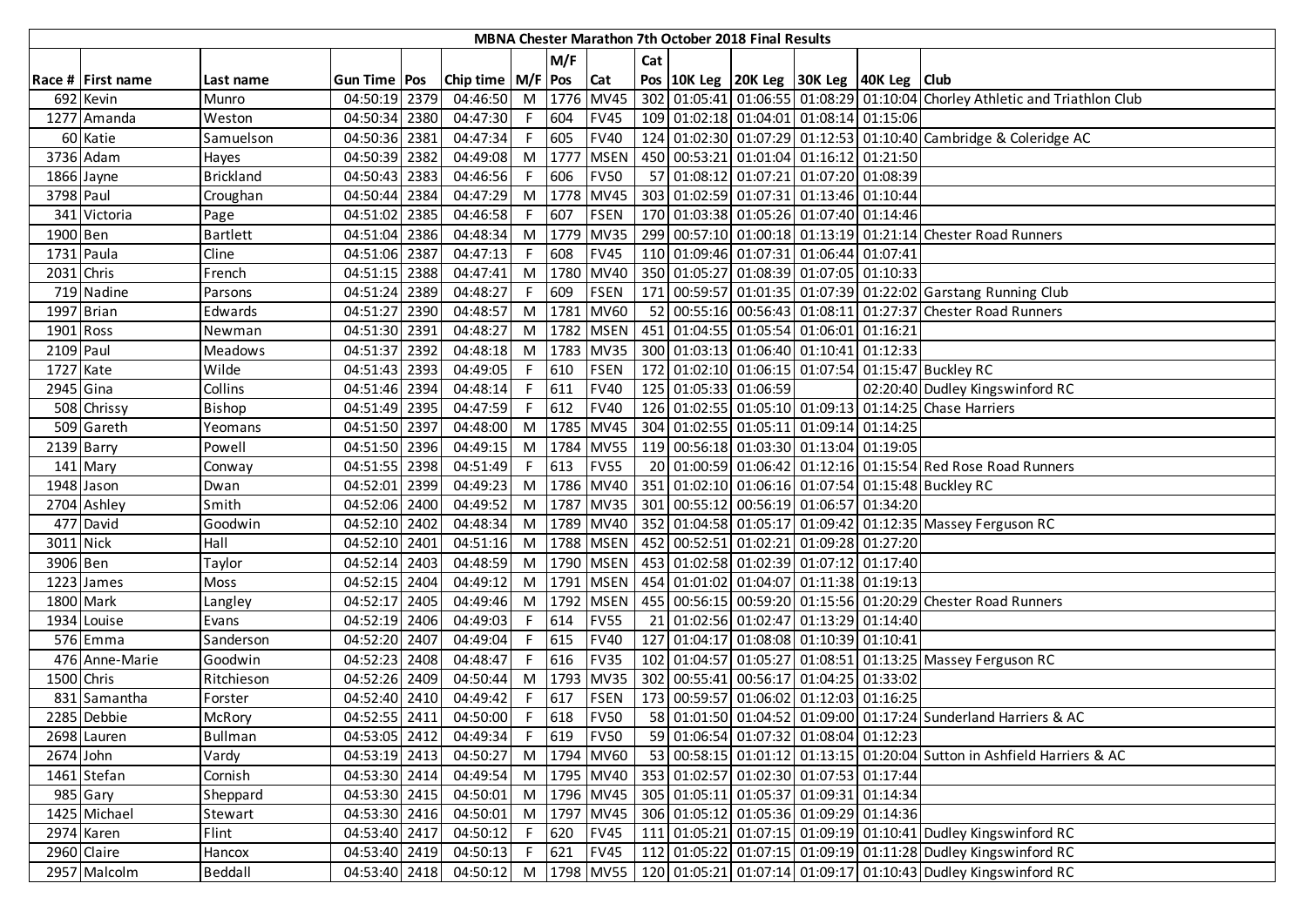|            | <b>MBNA Chester Marathon 7th October 2018 Final Results</b> |                  |                |      |                       |                |         |                 |     |  |                       |                                                                 |                                                                                           |
|------------|-------------------------------------------------------------|------------------|----------------|------|-----------------------|----------------|---------|-----------------|-----|--|-----------------------|-----------------------------------------------------------------|-------------------------------------------------------------------------------------------|
|            |                                                             |                  |                |      |                       |                | M/F     |                 | Cat |  |                       |                                                                 |                                                                                           |
|            | Race # First name                                           | Last name        | Gun Time   Pos |      | Chip time   M/F   Pos |                |         | <b>Cat</b>      |     |  |                       | Pos 10K Leg 20K Leg 30K Leg 40K Leg Club                        |                                                                                           |
|            | 692 Kevin                                                   | Munro            | 04:50:19 2379  |      | 04:46:50              |                |         | M 1776 MV45     |     |  |                       |                                                                 | 302 01:05:41 01:06:55 01:08:29 01:10:04 Chorley Athletic and Triathlon Club               |
|            | 1277 Amanda                                                 | Weston           | 04:50:34 2380  |      | 04:47:30              | F.             | 604     | <b>FV45</b>     |     |  |                       | 109 01:02:18 01:04:01 01:08:14 01:15:06                         |                                                                                           |
|            | 60 Katie                                                    | Samuelson        | 04:50:36 2381  |      | 04:47:34              |                | F 605   | <b>FV40</b>     |     |  |                       |                                                                 | 124 01:02:30 01:07:29 01:12:53 01:10:40 Cambridge & Coleridge AC                          |
|            | 3736 Adam                                                   | Hayes            | 04:50:39 2382  |      | 04:49:08              |                | M 1777  | <b>MSEN</b>     |     |  |                       | 450 00:53:21 01:01:04 01:16:12 01:21:50                         |                                                                                           |
|            | 1866 Jayne                                                  | <b>Brickland</b> | 04:50:43 2383  |      | 04:46:56              | F.             | 606     | <b>FV50</b>     |     |  |                       | 57 01:08:12 01:07:21 01:07:20 01:08:39                          |                                                                                           |
| 3798 Paul  |                                                             | Croughan         | 04:50:44 2384  |      | 04:47:29              |                |         | M 1778 MV45     |     |  |                       | 303   01:02:59   01:07:31   01:13:46   01:10:44                 |                                                                                           |
|            | 341 Victoria                                                | Page             | 04:51:02       | 2385 | 04:46:58              | F.             | 607     | <b>FSEN</b>     |     |  |                       | 170 01:03:38 01:05:26 01:07:40 01:14:46                         |                                                                                           |
| 1900 Ben   |                                                             | <b>Bartlett</b>  | 04:51:04 2386  |      | 04:48:34              | M              | 1779    | <b>MV35</b>     |     |  |                       |                                                                 | 299 00:57:10 01:00:18 01:13:19 01:21:14 Chester Road Runners                              |
|            | 1731 Paula                                                  | Cline            | 04:51:06 2387  |      | 04:47:13              |                | 608     | <b>FV45</b>     |     |  |                       | 110 01:09:46 01:07:31 01:06:44 01:07:41                         |                                                                                           |
| 2031 Chris |                                                             | French           | 04:51:15 2388  |      | 04:47:41              | M              | 1780    | <b>MV40</b>     |     |  |                       | 350 01:05:27 01:08:39 01:07:05 01:10:33                         |                                                                                           |
|            | 719 Nadine                                                  | Parsons          | 04:51:24 2389  |      | 04:48:27              | F.             | 609     | <b>FSEN</b>     |     |  |                       |                                                                 | 171 00:59:57 01:01:35 01:07:39 01:22:02 Garstang Running Club                             |
|            | 1997 Brian                                                  | Edwards          | 04:51:27       | 2390 | 04:48:57              | M              | 1781    | <b>MV60</b>     |     |  |                       |                                                                 | 52 00:55:16 00:56:43 01:08:11 01:27:37 Chester Road Runners                               |
| 1901 Ross  |                                                             | Newman           | 04:51:30       | 2391 | 04:48:27              |                |         | M   1782   MSEN |     |  |                       | 451 01:04:55 01:05:54 01:06:01 01:16:21                         |                                                                                           |
| 2109 Paul  |                                                             | <b>Meadows</b>   | 04:51:37       | 2392 | 04:48:18              | M              |         | 1783 MV35       |     |  |                       | 300 01:03:13 01:06:40 01:10:41 01:12:33                         |                                                                                           |
| 1727 Kate  |                                                             | Wilde            | 04:51:43 2393  |      | 04:49:05              |                | F 610   | <b>FSEN</b>     |     |  |                       |                                                                 | 172 01:02:10 01:06:15 01:07:54 01:15:47 Buckley RC                                        |
| 2945 Gina  |                                                             | Collins          | 04:51:46 2394  |      | 04:48:14              |                | $F$ 611 | <b>FV40</b>     |     |  | 125 01:05:33 01:06:59 |                                                                 | 02:20:40 Dudley Kingswinford RC                                                           |
|            | 508 Chrissy                                                 | Bishop           | 04:51:49 2395  |      | 04:47:59              |                | $F$ 612 | <b>FV40</b>     |     |  |                       |                                                                 | 126 01:02:55 01:05:10 01:09:13 01:14:25 Chase Harriers                                    |
|            | 509 Gareth                                                  | Yeomans          | 04:51:50 2397  |      | 04:48:00              |                |         | M 1785 MV45     |     |  |                       | 304 01:02:55 01:05:11 01:09:14 01:14:25                         |                                                                                           |
|            | 2139 Barry                                                  | Powell           | 04:51:50 2396  |      | 04:49:15              | M <sub>1</sub> |         | 1784 MV55       |     |  |                       | 119 00:56:18 01:03:30 01:13:04 01:19:05                         |                                                                                           |
|            | 141 Mary                                                    | Conway           | 04:51:55 2398  |      | 04:51:49              | F.             | 613     | <b>FV55</b>     |     |  |                       |                                                                 | 20 01:00:59 01:06:42 01:12:16 01:15:54 Red Rose Road Runners                              |
|            | 1948 Jason                                                  | Dwan             | 04:52:01 2399  |      | 04:49:23              | M <sub>1</sub> |         | 1786 MV40       |     |  |                       |                                                                 | 351 01:02:10 01:06:16 01:07:54 01:15:48 Buckley RC                                        |
|            | 2704 Ashley                                                 | Smith            | 04:52:06 2400  |      | 04:49:52              | M I            |         | 1787 MV35       |     |  |                       | 301 00:55:12 00:56:19 01:06:57 01:34:20                         |                                                                                           |
|            | 477 David                                                   | Goodwin          | 04:52:10 2402  |      | 04:48:34              |                |         | M 1789 MV40     |     |  |                       |                                                                 | 352 01:04:58 01:05:17 01:09:42 01:12:35 Massey Ferguson RC                                |
| 3011 Nick  |                                                             | Hall             | 04:52:10       | 2401 | 04:51:16              | M <sub>1</sub> |         | 1788 MSEN       |     |  |                       | 452 00:52:51 01:02:21 01:09:28 01:27:20                         |                                                                                           |
| 3906 Ben   |                                                             | Taylor           | 04:52:14       | 2403 | 04:48:59              | M              |         | 1790 MSEN       |     |  |                       | 453 01:02:58 01:02:39 01:07:12 01:17:40                         |                                                                                           |
|            | 1223 James                                                  | Moss             | 04:52:15       | 2404 | 04:49:12              | M              |         | 1791 MSEN       |     |  |                       | 454 01:01:02 01:04:07 01:11:38 01:19:13                         |                                                                                           |
|            | 1800 Mark                                                   | Langley          | 04:52:17       | 2405 | 04:49:46              | M              | 1792    | <b>MSEN</b>     |     |  |                       |                                                                 | 455 00:56:15 00:59:20 01:15:56 01:20:29 Chester Road Runners                              |
|            | 1934 Louise                                                 | Evans            | 04:52:19 2406  |      | 04:49:03              | F              | 614     | <b>FV55</b>     |     |  |                       | 21 01:02:56 01:02:47 01:13:29 01:14:40                          |                                                                                           |
|            | 576 Emma                                                    | Sanderson        | 04:52:20 2407  |      | 04:49:04              |                | F 615   | <b>FV40</b>     |     |  |                       | 127 01:04:17 01:08:08 01:10:39 01:10:41                         |                                                                                           |
|            | 476 Anne-Marie                                              | Goodwin          | 04:52:23 2408  |      | 04:48:47              |                | F 616   | <b>FV35</b>     |     |  |                       |                                                                 | 102 01:04:57 01:05:27 01:08:51 01:13:25 Massey Ferguson RC                                |
| 1500 Chris |                                                             | Ritchieson       | 04:52:26 2409  |      | 04:50:44              |                | M 1793  | <b>MV35</b>     |     |  |                       | 302 00:55:41 00:56:17 01:04:25 01:33:02                         |                                                                                           |
|            | 831 Samantha                                                | Forster          | 04:52:40 2410  |      | 04:49:42              | F.             | 617     | <b>FSEN</b>     |     |  |                       | 173 00:59:57 01:06:02 01:12:03 01:16:25                         |                                                                                           |
|            | 2285 Debbie                                                 | McRory           | 04:52:55 2411  |      | 04:50:00              | F.             | 618     | <b>FV50</b>     |     |  |                       |                                                                 | 58 01:01:50 01:04:52 01:09:00 01:17:24 Sunderland Harriers & AC                           |
|            | 2698 Lauren                                                 | <b>Bullman</b>   | 04:53:05 2412  |      | 04:49:34              |                |         | F 619 FV50      |     |  |                       | 59 01:06:54 01:07:32 01:08:04 01:12:23                          |                                                                                           |
| 2674 John  |                                                             | Vardy            | 04:53:19 2413  |      | 04:50:27              |                |         | M 1794 MV60     |     |  |                       |                                                                 | 53 00:58:15 01:01:12 01:13:15 01:20:04 Sutton in Ashfield Harriers & AC                   |
|            | 1461 Stefan                                                 | Cornish          | 04:53:30 2414  |      | 04:49:54              |                |         |                 |     |  |                       | M  1795  MV40   353   01:02:57   01:02:30   01:07:53   01:17:44 |                                                                                           |
|            | 985 Gary                                                    | Sheppard         | 04:53:30 2415  |      | 04:50:01              |                |         | M 1796 MV45     |     |  |                       | 305 01:05:11 01:05:37 01:09:31 01:14:34                         |                                                                                           |
|            | 1425 Michael                                                | Stewart          | 04:53:30 2416  |      | 04:50:01              |                |         | M 1797 MV45     |     |  |                       | 306 01:05:12 01:05:36 01:09:29 01:14:36                         |                                                                                           |
|            | 2974 Karen                                                  | Flint            | 04:53:40 2417  |      | 04:50:12              |                | F 620   | <b>FV45</b>     |     |  |                       |                                                                 | 111 01:05:21 01:07:15 01:09:19 01:10:41 Dudley Kingswinford RC                            |
|            | 2960 Claire                                                 | Hancox           | 04:53:40 2419  |      | 04:50:13              |                | F 621   | <b>FV45</b>     |     |  |                       |                                                                 | 112 01:05:22 01:07:15 01:09:19 01:11:28 Dudley Kingswinford RC                            |
|            | 2957 Malcolm                                                | Beddall          | 04:53:40 2418  |      | 04:50:12              |                |         |                 |     |  |                       |                                                                 | M  1798   MV55   120   01:05:21   01:07:14   01:09:17   01:10:43   Dudley Kingswinford RC |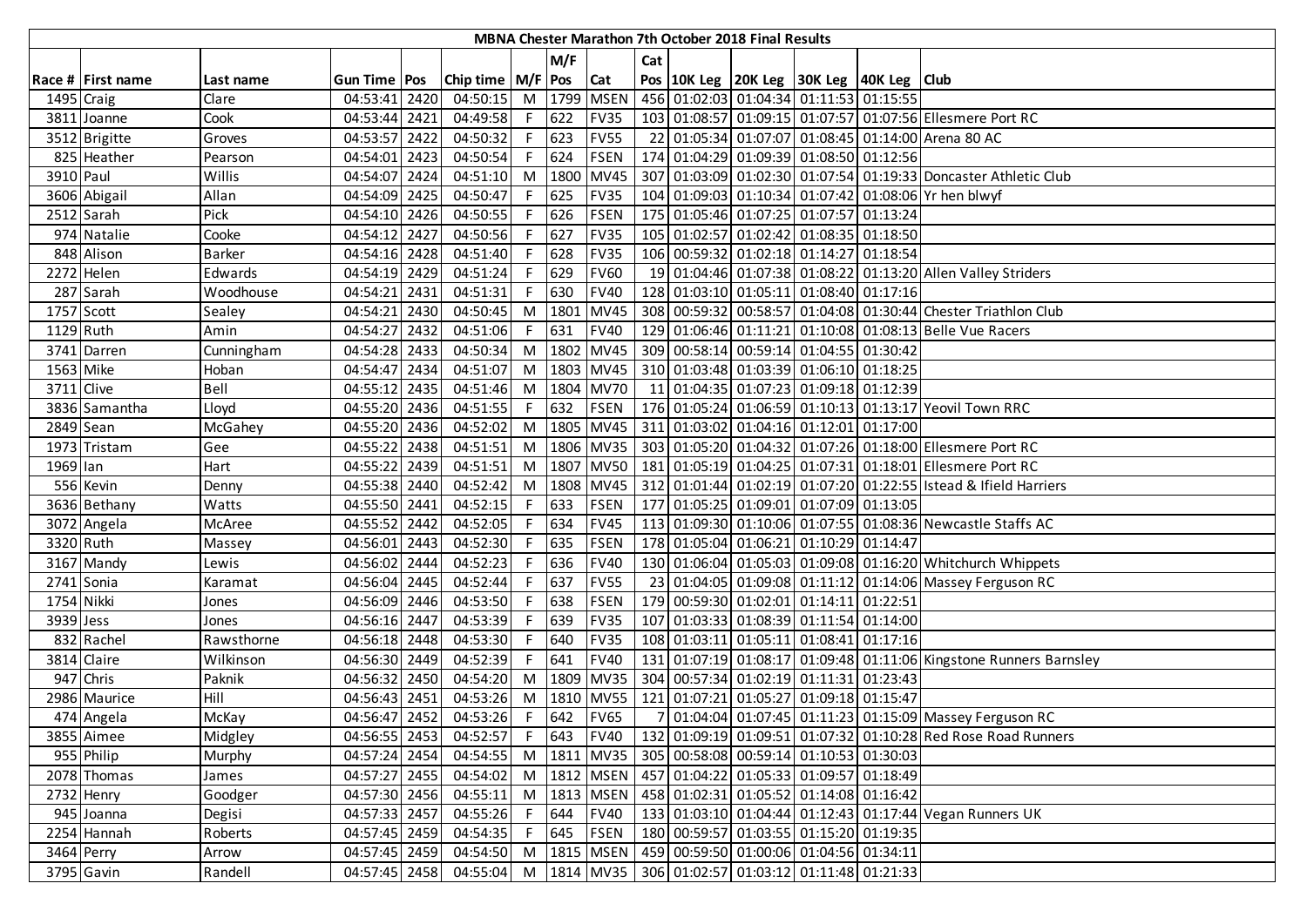|            | MBNA Chester Marathon 7th October 2018 Final Results |               |                |  |                             |                |         |                 |     |  |                                                                            |  |  |                                                                       |
|------------|------------------------------------------------------|---------------|----------------|--|-----------------------------|----------------|---------|-----------------|-----|--|----------------------------------------------------------------------------|--|--|-----------------------------------------------------------------------|
|            |                                                      |               |                |  |                             |                | M/F     |                 | Cat |  |                                                                            |  |  |                                                                       |
|            | Race # First name                                    | Last name     | Gun Time   Pos |  | Chip time   M/F   Pos   Cat |                |         |                 |     |  | Pos   10K Leg   20K Leg   30K Leg   40K Leg   Club                         |  |  |                                                                       |
| 1495 Craig |                                                      | Clare         | 04:53:41 2420  |  | 04:50:15                    |                |         | M 1799 MSEN     |     |  | 456 01:02:03 01:04:34 01:11:53 01:15:55                                    |  |  |                                                                       |
|            | 3811 Joanne                                          | Cook          | 04:53:44 2421  |  | 04:49:58                    |                | $F$ 622 | <b>FV35</b>     |     |  |                                                                            |  |  | 103 01:08:57 01:09:15 01:07:57 01:07:56 Ellesmere Port RC             |
|            | 3512 Brigitte                                        | Groves        | 04:53:57 2422  |  | 04:50:32                    |                | $F$ 623 | <b>FV55</b>     |     |  |                                                                            |  |  | 22 01:05:34 01:07:07 01:08:45 01:14:00 Arena 80 AC                    |
|            | 825 Heather                                          | Pearson       | 04:54:01 2423  |  | 04:50:54                    |                | F 624   | <b>FSEN</b>     |     |  | 174 01:04:29 01:09:39 01:08:50 01:12:56                                    |  |  |                                                                       |
| 3910 Paul  |                                                      | Willis        | 04:54:07 2424  |  | 04:51:10                    | M <sub>1</sub> | 1800    | <b>MV45</b>     |     |  |                                                                            |  |  | 307 01:03:09 01:02:30 01:07:54 01:19:33 Doncaster Athletic Club       |
|            | 3606 Abigail                                         | Allan         | 04:54:09 2425  |  | 04:50:47                    | F              | 625     | <b>FV35</b>     |     |  |                                                                            |  |  | 104 01:09:03 01:10:34 01:07:42 01:08:06 Yr hen blwyf                  |
|            | $2512$ Sarah                                         | Pick          | 04:54:10 2426  |  | 04:50:55                    |                | 626     | <b>FSEN</b>     |     |  | 175 01:05:46 01:07:25 01:07:57 01:13:24                                    |  |  |                                                                       |
|            | 974 Natalie                                          | Cooke         | 04:54:12 2427  |  | 04:50:56                    |                | 627     | <b>FV35</b>     |     |  | 105 01:02:57 01:02:42 01:08:35 01:18:50                                    |  |  |                                                                       |
|            | 848 Alison                                           | <b>Barker</b> | 04:54:16 2428  |  | 04:51:40                    |                | 628     | <b>FV35</b>     |     |  | 106 00:59:32 01:02:18 01:14:27 01:18:54                                    |  |  |                                                                       |
|            | 2272 Helen                                           | Edwards       | 04:54:19 2429  |  | 04:51:24                    |                | 629     | <b>FV60</b>     |     |  |                                                                            |  |  | 19 01:04:46 01:07:38 01:08:22 01:13:20 Allen Valley Striders          |
|            | 287 Sarah                                            | Woodhouse     | 04:54:21 2431  |  | 04:51:31                    | F              | 630     | <b>FV40</b>     |     |  | 128 01:03:10 01:05:11 01:08:40 01:17:16                                    |  |  |                                                                       |
| 1757 Scott |                                                      | Sealey        | 04:54:21 2430  |  | 04:50:45                    | M              | 1801    | <b>MV45</b>     |     |  |                                                                            |  |  | 308 00:59:32 00:58:57 01:04:08 01:30:44 Chester Triathlon Club        |
| 1129 Ruth  |                                                      | Amin          | 04:54:27 2432  |  | 04:51:06                    | F              | 631     | <b>FV40</b>     |     |  |                                                                            |  |  | 129 01:06:46 01:11:21 01:10:08 01:08:13 Belle Vue Racers              |
|            | 3741 Darren                                          | Cunningham    | 04:54:28 2433  |  | 04:50:34                    | M              |         | 1802 MV45       |     |  | 309 00:58:14 00:59:14 01:04:55 01:30:42                                    |  |  |                                                                       |
| 1563 Mike  |                                                      | Hoban         | 04:54:47 2434  |  | 04:51:07                    | M              |         | 1803 MV45       |     |  | 310 01:03:48 01:03:39 01:06:10 01:18:25                                    |  |  |                                                                       |
| 3711 Clive |                                                      | Bell          | 04:55:12 2435  |  | 04:51:46                    | $M$            |         | 1804 MV70       |     |  | 11 01:04:35 01:07:23 01:09:18 01:12:39                                     |  |  |                                                                       |
|            | 3836 Samantha                                        | Lloyd         | 04:55:20 2436  |  | 04:51:55                    |                | F 632   | <b>FSEN</b>     |     |  |                                                                            |  |  | 176 01:05:24 01:06:59 01:10:13 01:13:17 Yeovil Town RRC               |
|            | 2849 Sean                                            | McGahey       | 04:55:20 2436  |  | 04:52:02                    | M              |         | 1805 MV45       |     |  | 311 01:03:02 01:04:16 01:12:01 01:17:00                                    |  |  |                                                                       |
|            | 1973 Tristam                                         | Gee           | 04:55:22 2438  |  | 04:51:51                    | M              |         |                 |     |  |                                                                            |  |  | 1806 MV35 303 01:05:20 01:04:32 01:07:26 01:18:00 Ellesmere Port RC   |
| 1969 lan   |                                                      | Hart          | 04:55:22 2439  |  | 04:51:51                    | M              |         |                 |     |  |                                                                            |  |  | 1807 MV50   181 01:05:19 01:04:25 01:07:31 01:18:01 Ellesmere Port RC |
|            | 556 Kevin                                            | Denny         | 04:55:38 2440  |  | 04:52:42                    | M              |         | 1808 MV45       |     |  |                                                                            |  |  | 312 01:01:44 01:02:19 01:07:20 01:22:55 Istead & Ifield Harriers      |
|            | 3636 Bethany                                         | Watts         | 04:55:50 2441  |  | 04:52:15                    |                | 633     | <b>FSEN</b>     |     |  | 177 01:05:25 01:09:01 01:07:09 01:13:05                                    |  |  |                                                                       |
|            | 3072 Angela                                          | McAree        | 04:55:52 2442  |  | 04:52:05                    |                | 634     | <b>FV45</b>     |     |  |                                                                            |  |  | 113 01:09:30 01:10:06 01:07:55 01:08:36 Newcastle Staffs AC           |
| 3320 Ruth  |                                                      | Massey        | 04:56:01 2443  |  | 04:52:30                    | F.             | 635     | <b>FSEN</b>     |     |  | 178 01:05:04 01:06:21 01:10:29 01:14:47                                    |  |  |                                                                       |
|            | 3167 Mandy                                           | Lewis         | 04:56:02 2444  |  | 04:52:23                    | F              | 636     | <b>FV40</b>     |     |  |                                                                            |  |  | 130 01:06:04 01:05:03 01:09:08 01:16:20 Whitchurch Whippets           |
|            | 2741 Sonia                                           | Karamat       | 04:56:04 2445  |  | 04:52:44                    | F              | 637     | <b>FV55</b>     |     |  |                                                                            |  |  | 23 01:04:05 01:09:08 01:11:12 01:14:06 Massey Ferguson RC             |
| 1754 Nikki |                                                      | Jones         | 04:56:09 2446  |  | 04:53:50                    | F.             | 638     | <b>FSEN</b>     |     |  | 179 00:59:30 01:02:01 01:14:11 01:22:51                                    |  |  |                                                                       |
| 3939 Jess  |                                                      | Jones         | 04:56:16 2447  |  | 04:53:39                    | F.             | 639     | <b>FV35</b>     |     |  | 107 01:03:33 01:08:39 01:11:54 01:14:00                                    |  |  |                                                                       |
|            | 832 Rachel                                           | Rawsthorne    | 04:56:18 2448  |  | 04:53:30                    | F.             | 640     | <b>FV35</b>     |     |  | 108 01:03:11 01:05:11 01:08:41 01:17:16                                    |  |  |                                                                       |
|            | 3814 Claire                                          | Wilkinson     | 04:56:30 2449  |  | 04:52:39                    |                | $F$ 641 | <b>FV40</b>     |     |  |                                                                            |  |  | 131 01:07:19 01:08:17 01:09:48 01:11:06 Kingstone Runners Barnsley    |
|            | 947 Chris                                            | Paknik        | 04:56:32 2450  |  | 04:54:20                    | M              |         | 1809 MV35       |     |  | 304 00:57:34 01:02:19 01:11:31 01:23:43                                    |  |  |                                                                       |
|            | 2986 Maurice                                         | Hill          | 04:56:43 2451  |  | 04:53:26                    | M              |         | 1810 MV55       |     |  | 121 01:07:21 01:05:27 01:09:18 01:15:47                                    |  |  |                                                                       |
|            | 474 Angela                                           | McKay         | 04:56:47 2452  |  | 04:53:26                    | F              |         | 642 FV65        |     |  |                                                                            |  |  | 7 01:04:04 01:07:45 01:11:23 01:15:09 Massey Ferguson RC              |
|            | 3855 Aimee                                           | Midgley       | 04:56:55 2453  |  | 04:52:57 F 643 FV40         |                |         |                 |     |  |                                                                            |  |  | 132 01:09:19 01:09:51 01:07:32 01:10:28 Red Rose Road Runners         |
|            | 955 Philip                                           | Murphy        | 04:57:24 2454  |  | 04:54:55                    |                |         |                 |     |  | M  1811   MV35   305   00:58:08   00:59:14   01:10:53   01:30:03           |  |  |                                                                       |
|            | 2078 Thomas                                          | James         | 04:57:27 2455  |  |                             |                |         |                 |     |  | 04:54:02 M   1812   MSEN   457   01:04:22   01:05:33   01:09:57   01:18:49 |  |  |                                                                       |
|            | 2732 Henry                                           | Goodger       | 04:57:30 2456  |  | 04:55:11                    |                |         | M   1813   MSEN |     |  | 458 01:02:31 01:05:52 01:14:08 01:16:42                                    |  |  |                                                                       |
|            | 945 Joanna                                           | Degisi        | 04:57:33 2457  |  | 04:55:26                    |                | F 644   | <b>FV40</b>     |     |  |                                                                            |  |  | 133 01:03:10 01:04:44 01:12:43 01:17:44 Vegan Runners UK              |
|            | 2254 Hannah                                          | Roberts       | 04:57:45 2459  |  | 04:54:35                    |                | F 645   | <b>FSEN</b>     |     |  | 180 00:59:57 01:03:55 01:15:20 01:19:35                                    |  |  |                                                                       |
|            | 3464 Perry                                           | Arrow         | 04:57:45 2459  |  | 04:54:50                    |                |         |                 |     |  | M  1815   MSEN   459   00:59:50   01:00:06   01:04:56   01:34:11           |  |  |                                                                       |
|            | 3795 Gavin                                           | Randell       | 04:57:45 2458  |  |                             |                |         |                 |     |  | 04:55:04 M   1814   MV35   306   01:02:57 01:03:12 01:11:48 01:21:33       |  |  |                                                                       |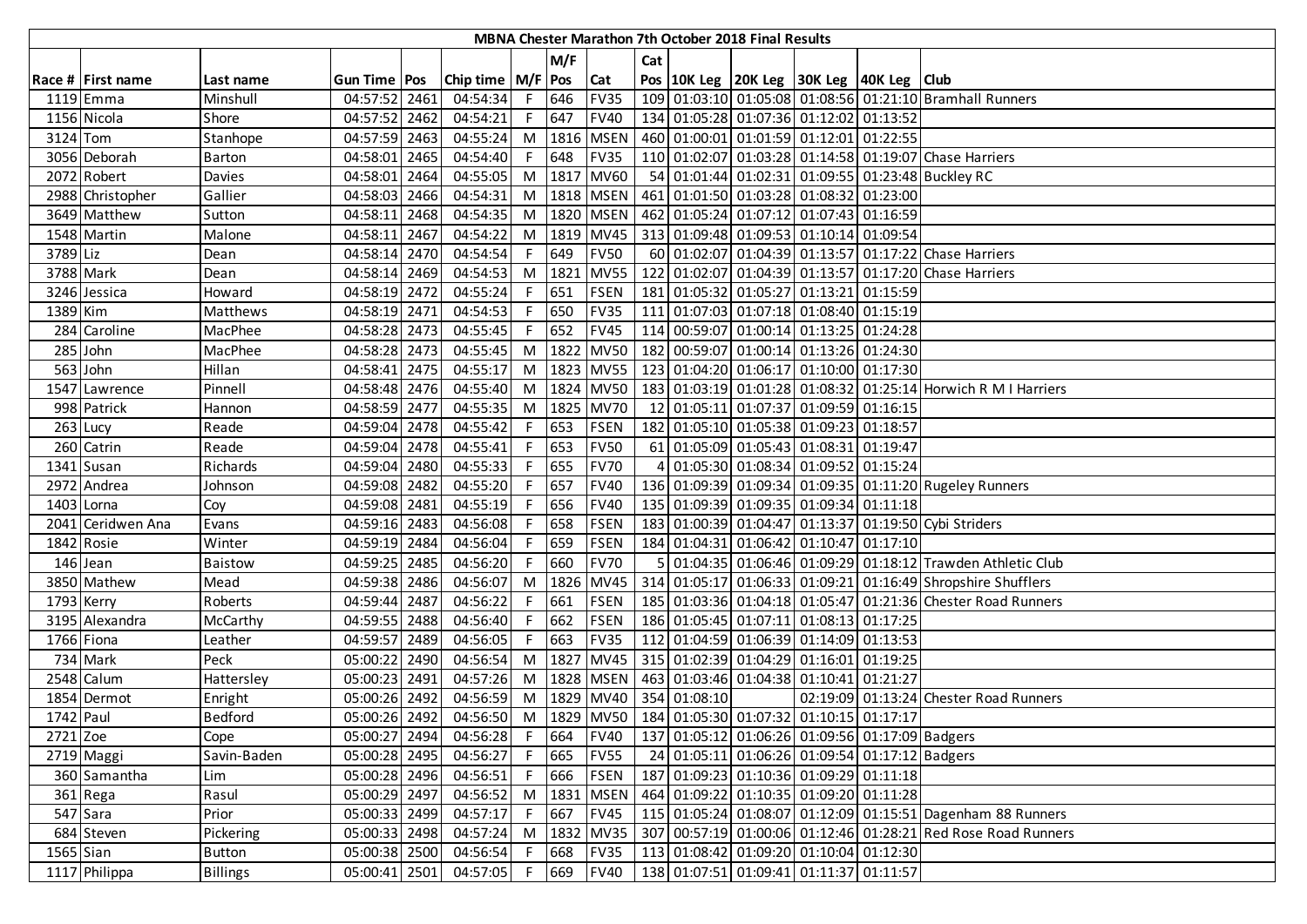|             | <b>MBNA Chester Marathon 7th October 2018 Final Results</b> |                 |                |  |                       |    |      |             |                |              |  |                                                                 |  |                                                                |
|-------------|-------------------------------------------------------------|-----------------|----------------|--|-----------------------|----|------|-------------|----------------|--------------|--|-----------------------------------------------------------------|--|----------------------------------------------------------------|
|             |                                                             |                 |                |  |                       |    | M/F  |             | Cat            |              |  |                                                                 |  |                                                                |
|             | Race # First name                                           | Last name       | Gun Time   Pos |  | Chip time   M/F   Pos |    |      | Cat         |                |              |  | Pos   10K Leg   20K Leg   30K Leg   40K Leg   Club              |  |                                                                |
|             | 1119 Emma                                                   | Minshull        | 04:57:52 2461  |  | 04:54:34              | F. | 646  | <b>FV35</b> |                |              |  |                                                                 |  | 109 01:03:10 01:05:08 01:08:56 01:21:10 Bramhall Runners       |
|             | 1156 Nicola                                                 | Shore           | 04:57:52 2462  |  | 04:54:21              | F. | 647  | <b>FV40</b> |                |              |  | 134 01:05:28 01:07:36 01:12:02 01:13:52                         |  |                                                                |
| 3124 Tom    |                                                             | Stanhope        | 04:57:59 2463  |  | 04:55:24              | M  | 1816 | <b>MSEN</b> |                |              |  | 460 01:00:01 01:01:59 01:12:01 01:22:55                         |  |                                                                |
|             | 3056 Deborah                                                | Barton          | 04:58:01 2465  |  | 04:54:40              |    | 648  | <b>FV35</b> |                |              |  |                                                                 |  | 110 01:02:07 01:03:28 01:14:58 01:19:07 Chase Harriers         |
|             | 2072 Robert                                                 | Davies          | 04:58:01 2464  |  | 04:55:05              | M  |      | 1817 MV60   |                |              |  |                                                                 |  | 54 01:01:44 01:02:31 01:09:55 01:23:48 Buckley RC              |
|             | 2988 Christopher                                            | Gallier         | 04:58:03 2466  |  | 04:54:31              | M  |      | 1818 MSEN   |                |              |  | 461 01:01:50 01:03:28 01:08:32 01:23:00                         |  |                                                                |
|             | 3649 Matthew                                                | Sutton          | 04:58:11 2468  |  | 04:54:35              | M  |      | 1820 MSEN   |                |              |  | 462 01:05:24 01:07:12 01:07:43 01:16:59                         |  |                                                                |
|             | 1548 Martin                                                 | Malone          | 04:58:11 2467  |  | 04:54:22              | M  |      | 1819 MV45   |                |              |  | 313 01:09:48 01:09:53 01:10:14 01:09:54                         |  |                                                                |
| 3789 Liz    |                                                             | Dean            | 04:58:14 2470  |  | 04:54:54              |    | 649  | <b>FV50</b> |                |              |  |                                                                 |  | 60 01:02:07 01:04:39 01:13:57 01:17:22 Chase Harriers          |
|             | 3788 Mark                                                   | Dean            | 04:58:14 2469  |  | 04:54:53              | M  | 1821 | <b>MV55</b> |                |              |  |                                                                 |  | 122 01:02:07 01:04:39 01:13:57 01:17:20 Chase Harriers         |
|             | 3246 Jessica                                                | Howard          | 04:58:19 2472  |  | 04:55:24              |    | 651  | <b>FSEN</b> |                |              |  | 181 01:05:32 01:05:27 01:13:21 01:15:59                         |  |                                                                |
| 1389 Kim    |                                                             | Matthews        | 04:58:19 2471  |  | 04:54:53              |    | 650  | <b>FV35</b> |                |              |  | 111 01:07:03 01:07:18 01:08:40 01:15:19                         |  |                                                                |
|             | 284 Caroline                                                | MacPhee         | 04:58:28 2473  |  | 04:55:45              |    | 652  | <b>FV45</b> |                |              |  | 114 00:59:07 01:00:14 01:13:25 01:24:28                         |  |                                                                |
|             | 285 John                                                    | MacPhee         | 04:58:28 2473  |  | 04:55:45              | M  | 1822 | <b>MV50</b> |                |              |  | 182 00:59:07 01:00:14 01:13:26 01:24:30                         |  |                                                                |
|             | 563 John                                                    | Hillan          | 04:58:41 2475  |  | 04:55:17              | M  |      | 1823 MV55   |                |              |  | 123 01:04:20 01:06:17 01:10:00 01:17:30                         |  |                                                                |
|             | 1547 Lawrence                                               | Pinnell         | 04:58:48 2476  |  | 04:55:40              | M  |      | 1824 MV50   |                |              |  |                                                                 |  | 183 01:03:19 01:01:28 01:08:32 01:25:14 Horwich R M I Harriers |
|             | 998 Patrick                                                 | Hannon          | 04:58:59 2477  |  | 04:55:35              | M  |      | 1825 MV70   |                |              |  | 12 01:05:11 01:07:37 01:09:59 01:16:15                          |  |                                                                |
|             | 263 Lucy                                                    | Reade           | 04:59:04 2478  |  | 04:55:42              | F. | 653  | <b>FSEN</b> |                |              |  | 182 01:05:10 01:05:38 01:09:23 01:18:57                         |  |                                                                |
|             | 260 Catrin                                                  | Reade           | 04:59:04 2478  |  | 04:55:41              |    | 653  | <b>FV50</b> |                |              |  | 61 01:05:09 01:05:43 01:08:31 01:19:47                          |  |                                                                |
|             | 1341 Susan                                                  | Richards        | 04:59:04 2480  |  | 04:55:33              |    | 655  | <b>FV70</b> | 4              |              |  | 01:05:30 01:08:34 01:09:52 01:15:24                             |  |                                                                |
|             | 2972 Andrea                                                 | Johnson         | 04:59:08 2482  |  | 04:55:20              |    | 657  | <b>FV40</b> |                |              |  |                                                                 |  | 136 01:09:39 01:09:34 01:09:35 01:11:20 Rugeley Runners        |
|             | 1403 Lorna                                                  | Coy             | 04:59:08 2481  |  | 04:55:19              |    | 656  | <b>FV40</b> |                |              |  | 135 01:09:39 01:09:35 01:09:34 01:11:18                         |  |                                                                |
|             | 2041 Ceridwen Ana                                           | Evans           | 04:59:16 2483  |  | 04:56:08              |    | 658  | <b>FSEN</b> |                |              |  |                                                                 |  | 183 01:00:39 01:04:47 01:13:37 01:19:50 Cybi Striders          |
|             | 1842 Rosie                                                  | Winter          | 04:59:19 2484  |  | 04:56:04              |    | 659  | <b>FSEN</b> |                |              |  | 184 01:04:31 01:06:42 01:10:47 01:17:10                         |  |                                                                |
|             | 146 Jean                                                    | <b>Baistow</b>  | 04:59:25 2485  |  | 04:56:20              |    | 660  | <b>FV70</b> | 5 <sup>1</sup> |              |  |                                                                 |  | 01:04:35 01:06:46 01:09:29 01:18:12 Trawden Athletic Club      |
|             | 3850 Mathew                                                 | Mead            | 04:59:38 2486  |  | 04:56:07              | M  | 1826 | <b>MV45</b> |                |              |  |                                                                 |  | 314 01:05:17 01:06:33 01:09:21 01:16:49 Shropshire Shufflers   |
|             | 1793 Kerry                                                  | Roberts         | 04:59:44 2487  |  | 04:56:22              |    | 661  | <b>FSEN</b> |                |              |  |                                                                 |  | 185 01:03:36 01:04:18 01:05:47 01:21:36 Chester Road Runners   |
|             | 3195 Alexandra                                              | McCarthy        | 04:59:55 2488  |  | 04:56:40              | F. | 662  | <b>FSEN</b> |                |              |  | 186 01:05:45 01:07:11 01:08:13 01:17:25                         |  |                                                                |
|             | 1766 Fiona                                                  | Leather         | 04:59:57 2489  |  | 04:56:05              | F  | 663  | <b>FV35</b> |                |              |  | 112 01:04:59 01:06:39 01:14:09 01:13:53                         |  |                                                                |
|             | 734 Mark                                                    | Peck            | 05:00:22 2490  |  | 04:56:54              | M  | 1827 | <b>MV45</b> |                |              |  | 315 01:02:39 01:04:29 01:16:01 01:19:25                         |  |                                                                |
|             | 2548 Calum                                                  | Hattersley      | 05:00:23 2491  |  | 04:57:26              | M  |      | 1828 MSEN   |                |              |  | 463 01:03:46 01:04:38 01:10:41 01:21:27                         |  |                                                                |
|             | 1854 Dermot                                                 | Enright         | 05:00:26 2492  |  | 04:56:59              | M  |      | 1829 MV40   |                | 354 01:08:10 |  |                                                                 |  | 02:19:09 01:13:24 Chester Road Runners                         |
| 1742 Paul   |                                                             | <b>Bedford</b>  | 05:00:26 2492  |  | 04:56:50              |    |      |             |                |              |  | M  1829  MV50   184   01:05:30   01:07:32   01:10:15   01:17:17 |  |                                                                |
| 2721 Zoe    |                                                             | Cope            | 05:00:27 2494  |  | 04:56:28              |    | 664  | <b>FV40</b> |                |              |  | 137 01:05:12 01:06:26 01:09:56 01:17:09 Badgers                 |  |                                                                |
|             | 2719 Maggi                                                  | Savin-Baden     | 05:00:28 2495  |  | 04:56:27              | F. | 665  | <b>FV55</b> |                |              |  | 24 01:05:11 01:06:26 01:09:54 01:17:12 Badgers                  |  |                                                                |
|             | 360 Samantha                                                | Lim             | 05:00:28 2496  |  | 04:56:51              | F. | 666  | <b>FSEN</b> |                |              |  | 187 01:09:23 01:10:36 01:09:29 01:11:18                         |  |                                                                |
|             | 361 Rega                                                    | Rasul           | 05:00:29 2497  |  | 04:56:52              | M  | 1831 | <b>MSEN</b> |                |              |  | 464 01:09:22 01:10:35 01:09:20 01:11:28                         |  |                                                                |
|             | 547 Sara                                                    | Prior           | 05:00:33 2499  |  | 04:57:17              | F. | 667  | <b>FV45</b> |                |              |  |                                                                 |  | 115 01:05:24 01:08:07 01:12:09 01:15:51 Dagenham 88 Runners    |
|             | 684 Steven                                                  | Pickering       | 05:00:33 2498  |  | 04:57:24              | M  | 1832 | <b>MV35</b> |                |              |  |                                                                 |  | 307 00:57:19 01:00:06 01:12:46 01:28:21 Red Rose Road Runners  |
| $1565$ Sian |                                                             | <b>Button</b>   | 05:00:38 2500  |  | 04:56:54              |    | 668  | <b>FV35</b> |                |              |  | 113 01:08:42 01:09:20 01:10:04 01:12:30                         |  |                                                                |
|             | 1117 Philippa                                               | <b>Billings</b> | 05:00:41 2501  |  | 04:57:05              |    | 669  | <b>FV40</b> |                |              |  | 138 01:07:51 01:09:41 01:11:37 01:11:57                         |  |                                                                |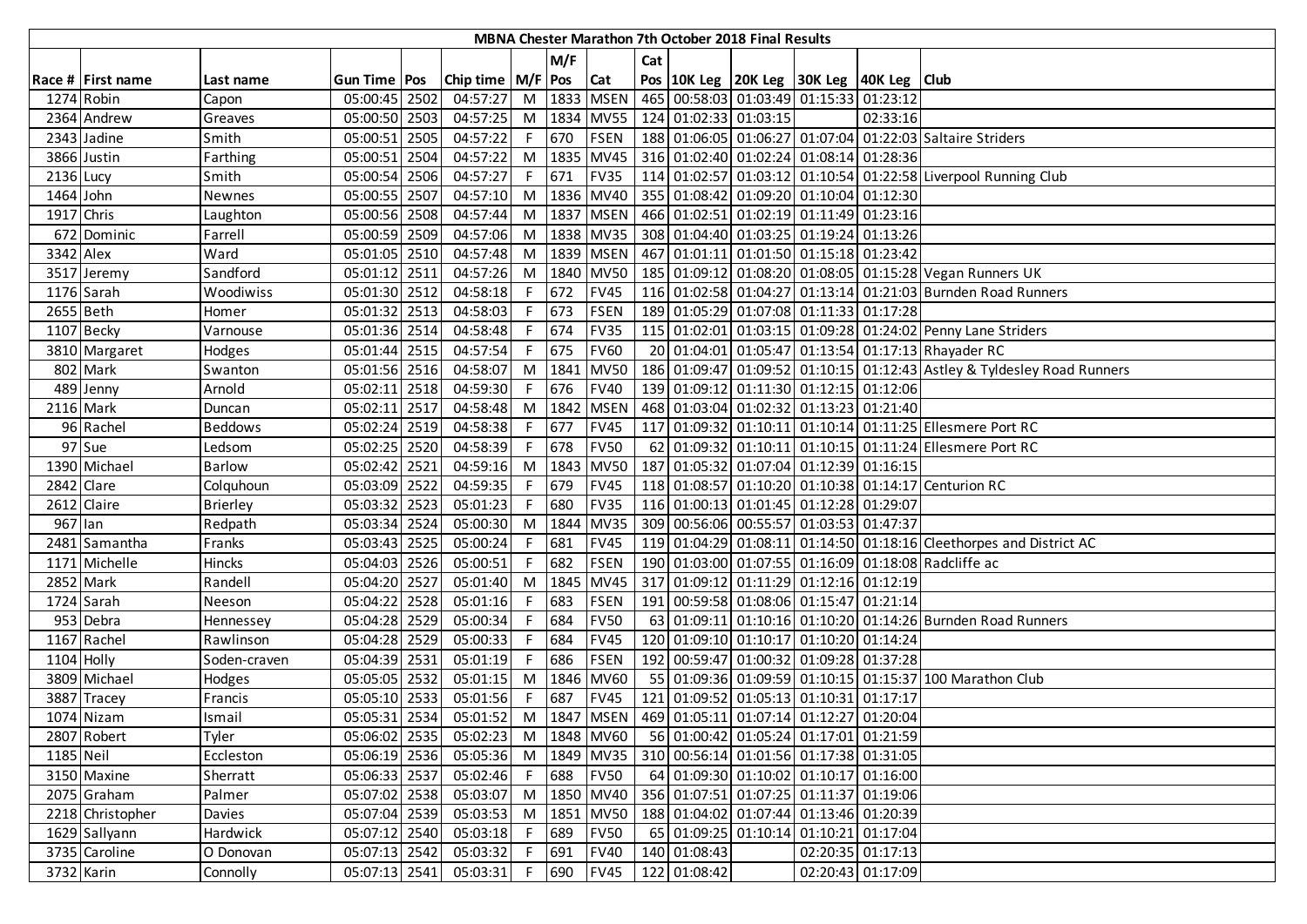| MBNA Chester Marathon 7th October 2018 Final Results |                   |                 |                |  |                     |    |       |                 |     |              |                                             |                                                                   |                   |                                                                         |
|------------------------------------------------------|-------------------|-----------------|----------------|--|---------------------|----|-------|-----------------|-----|--------------|---------------------------------------------|-------------------------------------------------------------------|-------------------|-------------------------------------------------------------------------|
|                                                      |                   |                 |                |  |                     |    | M/F   |                 | Cat |              |                                             |                                                                   |                   |                                                                         |
|                                                      | Race # First name | Last name       | Gun Time   Pos |  | Chip time $M/F$ Pos |    |       | <b>Cat</b>      |     |              |                                             | Pos 10K Leg 20K Leg 30K Leg 40K Leg Club                          |                   |                                                                         |
| 1274 Robin                                           |                   | Capon           | 05:00:45 2502  |  | 04:57:27            |    |       | M   1833   MSEN |     |              |                                             | 465 00:58:03 01:03:49 01:15:33 01:23:12                           |                   |                                                                         |
|                                                      | 2364 Andrew       | Greaves         | 05:00:50 2503  |  | 04:57:25            |    |       |                 |     |              | M   1834   MV55   124   01:02:33   01:03:15 |                                                                   | 02:33:16          |                                                                         |
|                                                      | 2343 Jadine       | Smith           | 05:00:51 2505  |  | 04:57:22            |    | F 670 | <b>FSEN</b>     |     |              |                                             |                                                                   |                   | 188 01:06:05 01:06:27 01:07:04 01:22:03 Saltaire Striders               |
|                                                      | 3866 Justin       | Farthing        | 05:00:51 2504  |  | 04:57:22            |    |       |                 |     |              |                                             | M  1835   MV45   316   01:02:40   01:02:24   01:08:14   01:28:36  |                   |                                                                         |
| 2136 Lucy                                            |                   | Smith           | 05:00:54 2506  |  | 04:57:27            | F. | 671   | <b>FV35</b>     |     |              |                                             |                                                                   |                   | 114 01:02:57 01:03:12 01:10:54 01:22:58 Liverpool Running Club          |
| 1464 John                                            |                   | Newnes          | 05:00:55 2507  |  | 04:57:10            | M  |       |                 |     |              |                                             | 1836 MV40 355 01:08:42 01:09:20 01:10:04 01:12:30                 |                   |                                                                         |
| 1917 Chris                                           |                   | Laughton        | 05:00:56 2508  |  | 04:57:44            |    |       | M 1837 MSEN     |     |              |                                             | 466 01:02:51 01:02:19 01:11:49 01:23:16                           |                   |                                                                         |
|                                                      | 672 Dominic       | Farrell         | 05:00:59 2509  |  | 04:57:06            | M  |       | 1838 MV35       |     |              |                                             | 308 01:04:40 01:03:25 01:19:24 01:13:26                           |                   |                                                                         |
| 3342 Alex                                            |                   | Ward            | 05:01:05 2510  |  | 04:57:48            |    |       | M 1839 MSEN     |     |              |                                             | 467 01:01:11 01:01:50 01:15:18 01:23:42                           |                   |                                                                         |
|                                                      | 3517 Jeremy       | Sandford        | 05:01:12 2511  |  | 04:57:26            |    |       | M 1840 MV50     |     |              |                                             |                                                                   |                   | 185   01:09:12   01:08:20   01:08:05   01:15:28   Vegan Runners UK      |
|                                                      | 1176 Sarah        | Woodiwiss       | 05:01:30 2512  |  | 04:58:18            | F. | 672   | <b>FV45</b>     |     |              |                                             |                                                                   |                   | 116 01:02:58 01:04:27 01:13:14 01:21:03 Burnden Road Runners            |
| 2655 Beth                                            |                   | Homer           | 05:01:32 2513  |  | 04:58:03            | F. | 673   | <b>FSEN</b>     |     |              |                                             | 189 01:05:29 01:07:08 01:11:33 01:17:28                           |                   |                                                                         |
|                                                      | 1107 Becky        | Varnouse        | 05:01:36 2514  |  | 04:58:48            |    | 674   | <b>FV35</b>     |     |              |                                             |                                                                   |                   | 115 01:02:01 01:03:15 01:09:28 01:24:02 Penny Lane Striders             |
|                                                      | 3810 Margaret     | Hodges          | 05:01:44 2515  |  | 04:57:54            | F. | 675   | <b>FV60</b>     |     |              |                                             |                                                                   |                   | 20 01:04:01 01:05:47 01:13:54 01:17:13 Rhayader RC                      |
|                                                      | 802 Mark          | Swanton         | 05:01:56 2516  |  | 04:58:07            |    |       | M 1841 MV50     |     |              |                                             |                                                                   |                   | 186 01:09:47 01:09:52 01:10:15 01:12:43 Astley & Tyldesley Road Runners |
|                                                      | 489 Jenny         | Arnold          | 05:02:11 2518  |  | 04:59:30            | F. | 676   | <b>FV40</b>     |     |              |                                             | 139 01:09:12 01:11:30 01:12:15 01:12:06                           |                   |                                                                         |
| 2116 Mark                                            |                   | Duncan          | 05:02:11 2517  |  | 04:58:48            |    |       | M   1842   MSEN |     |              |                                             | 468 01:03:04 01:02:32 01:13:23 01:21:40                           |                   |                                                                         |
|                                                      | 96 Rachel         | <b>Beddows</b>  | 05:02:24 2519  |  | 04:58:38            | F. | 677   | <b>FV45</b>     |     |              |                                             |                                                                   |                   | 117 01:09:32 01:10:11 01:10:14 01:11:25 Ellesmere Port RC               |
|                                                      | 97 Sue            | Ledsom          | 05:02:25 2520  |  | 04:58:39            |    | 678   | <b>FV50</b>     |     |              |                                             |                                                                   |                   | 62 01:09:32 01:10:11 01:10:15 01:11:24 Ellesmere Port RC                |
|                                                      | 1390 Michael      | <b>Barlow</b>   | 05:02:42 2521  |  | 04:59:16            | M  |       | 1843 MV50       |     |              |                                             | 187 01:05:32 01:07:04 01:12:39 01:16:15                           |                   |                                                                         |
| 2842 Clare                                           |                   | Colquhoun       | 05:03:09 2522  |  | 04:59:35            | F. | 679   | <b>FV45</b>     |     |              |                                             |                                                                   |                   | 118 01:08:57 01:10:20 01:10:38 01:14:17 Centurion RC                    |
|                                                      | 2612 Claire       | <b>Brierley</b> | 05:03:32 2523  |  | 05:01:23            |    | 680   | <b>FV35</b>     |     |              |                                             | 116 01:00:13 01:01:45 01:12:28 01:29:07                           |                   |                                                                         |
| 967 Ian                                              |                   | Redpath         | 05:03:34 2524  |  | 05:00:30            | M  | 1844  | <b>MV35</b>     |     |              |                                             | 309 00:56:06 00:55:57 01:03:53 01:47:37                           |                   |                                                                         |
|                                                      | 2481 Samantha     | Franks          | 05:03:43 2525  |  | 05:00:24            |    | 681   | <b>FV45</b>     |     |              |                                             |                                                                   |                   | 119 01:04:29 01:08:11 01:14:50 01:18:16 Cleethorpes and District AC     |
|                                                      | 1171 Michelle     | Hincks          | 05:04:03 2526  |  | 05:00:51            | F. | 682   | <b>FSEN</b>     |     |              |                                             |                                                                   |                   | 190 01:03:00 01:07:55 01:16:09 01:18:08 Radcliffe ac                    |
| 2852 Mark                                            |                   | Randell         | 05:04:20 2527  |  | 05:01:40            | M  | 1845  | <b>MV45</b>     |     |              |                                             | 317 01:09:12 01:11:29 01:12:16 01:12:19                           |                   |                                                                         |
|                                                      | 1724 Sarah        | Neeson          | 05:04:22 2528  |  | 05:01:16            | F. | 683   | <b>FSEN</b>     |     |              |                                             | 191 00:59:58 01:08:06 01:15:47 01:21:14                           |                   |                                                                         |
|                                                      | 953 Debra         | Hennessey       | 05:04:28 2529  |  | 05:00:34            | F. | 684   | <b>FV50</b>     |     |              |                                             |                                                                   |                   | 63 01:09:11 01:10:16 01:10:20 01:14:26 Burnden Road Runners             |
|                                                      | 1167 Rachel       | Rawlinson       | 05:04:28 2529  |  | 05:00:33            | F. | 684   | <b>FV45</b>     |     |              |                                             | 120 01:09:10 01:10:17 01:10:20 01:14:24                           |                   |                                                                         |
| $1104$ Holly                                         |                   | Soden-craven    | 05:04:39 2531  |  | 05:01:19            | F. | 686   | <b>FSEN</b>     |     |              |                                             | 192 00:59:47 01:00:32 01:09:28 01:37:28                           |                   |                                                                         |
|                                                      | 3809 Michael      | Hodges          | 05:05:05 2532  |  | 05:01:15            | M  | 1846  | <b>MV60</b>     |     |              |                                             |                                                                   |                   | 55 01:09:36 01:09:59 01:10:15 01:15:37 100 Marathon Club                |
|                                                      | 3887 Tracey       | Francis         | 05:05:10 2533  |  | 05:01:56            | F. | 687   | <b>FV45</b>     |     |              |                                             | 121 01:09:52 01:05:13 01:10:31 01:17:17                           |                   |                                                                         |
|                                                      | 1074 Nizam        | Ismail          | 05:05:31 2534  |  | 05:01:52            |    |       |                 |     |              |                                             | M  1847   MSEN   469   01:05:11   01:07:14   01:12:27   01:20:04  |                   |                                                                         |
|                                                      | 2807 Robert       | Tyler           | 05:06:02 2535  |  | 05:02:23            |    |       | M 1848 MV60     |     |              |                                             | 56 01:00:42 01:05:24 01:17:01 01:21:59                            |                   |                                                                         |
| 1185 Neil                                            |                   | Eccleston       | 05:06:19 2536  |  | 05:05:36            |    |       |                 |     |              |                                             | M   1849   MV35   310   00:56:14   01:01:56   01:17:38   01:31:05 |                   |                                                                         |
|                                                      | 3150 Maxine       | Sherratt        | 05:06:33 2537  |  | 05:02:46            |    |       | F 688 FV50      |     |              |                                             | 64 01:09:30 01:10:02 01:10:17 01:16:00                            |                   |                                                                         |
|                                                      | 2075 Graham       | Palmer          | 05:07:02 2538  |  | 05:03:07            |    |       | M 1850 MV40     |     |              |                                             | 356 01:07:51 01:07:25 01:11:37 01:19:06                           |                   |                                                                         |
|                                                      | 2218 Christopher  | Davies          | 05:07:04 2539  |  | 05:03:53            |    |       | M 1851 MV50     |     |              |                                             | 188 01:04:02 01:07:44 01:13:46 01:20:39                           |                   |                                                                         |
|                                                      | 1629 Sallyann     | Hardwick        | 05:07:12 2540  |  | 05:03:18            |    | F 689 | <b>FV50</b>     |     |              |                                             | 65 01:09:25 01:10:14 01:10:21 01:17:04                            |                   |                                                                         |
|                                                      | 3735 Caroline     | O Donovan       | 05:07:13 2542  |  | 05:03:32            | F. | 691   | <b>FV40</b>     |     | 140 01:08:43 |                                             |                                                                   | 02:20:35 01:17:13 |                                                                         |
|                                                      | 3732 Karin        | Connolly        | 05:07:13 2541  |  | 05:03:31            |    | F 690 | FV45            |     | 122 01:08:42 |                                             |                                                                   | 02:20:43 01:17:09 |                                                                         |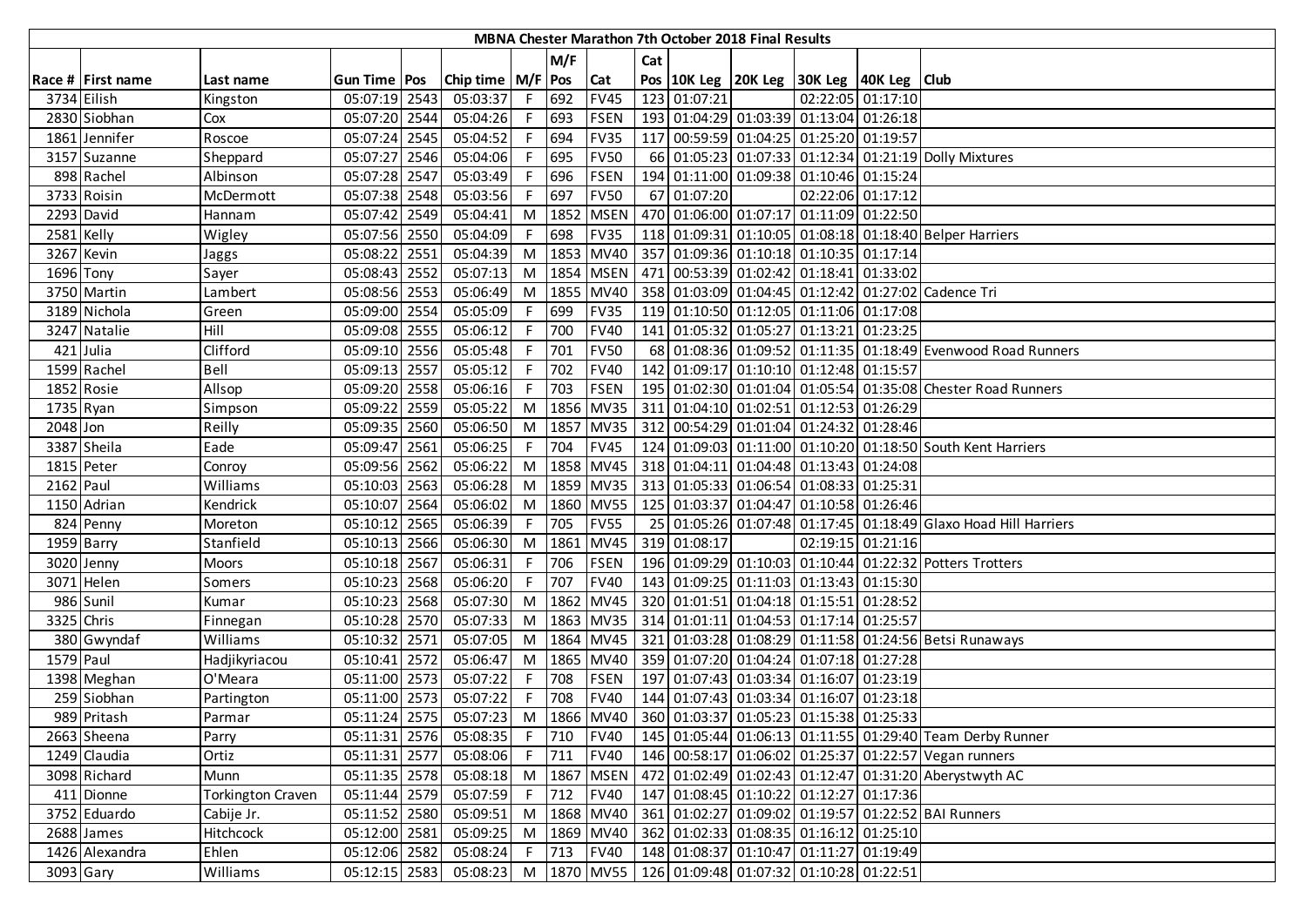|            | MBNA Chester Marathon 7th October 2018 Final Results |                          |                |  |                       |            |       |             |     |              |  |                                                                   |                   |                                                                 |
|------------|------------------------------------------------------|--------------------------|----------------|--|-----------------------|------------|-------|-------------|-----|--------------|--|-------------------------------------------------------------------|-------------------|-----------------------------------------------------------------|
|            |                                                      |                          |                |  |                       |            | M/F   |             | Cat |              |  |                                                                   |                   |                                                                 |
|            | Race # First name                                    | Last name                | Gun Time   Pos |  | Chip time   M/F   Pos |            |       | <b>Cat</b>  |     |              |  | Pos   10K Leg   20K Leg   30K Leg   40K Leg   Club                |                   |                                                                 |
|            | 3734 Eilish                                          | Kingston                 | 05:07:19 2543  |  | 05:03:37              |            | F 692 | <b>FV45</b> |     | 123 01:07:21 |  |                                                                   | 02:22:05 01:17:10 |                                                                 |
|            | 2830 Siobhan                                         | Cox                      | 05:07:20 2544  |  | 05:04:26              | F.         | 693   | <b>FSEN</b> |     |              |  | 193 01:04:29 01:03:39 01:13:04 01:26:18                           |                   |                                                                 |
|            | 1861 Jennifer                                        | Roscoe                   | 05:07:24 2545  |  | 05:04:52              | F          | 694   | <b>FV35</b> |     |              |  | 117 00:59:59 01:04:25 01:25:20 01:19:57                           |                   |                                                                 |
|            | 3157 Suzanne                                         | Sheppard                 | 05:07:27 2546  |  | 05:04:06              |            | F 695 | <b>FV50</b> |     |              |  |                                                                   |                   | 66 01:05:23 01:07:33 01:12:34 01:21:19 Dolly Mixtures           |
|            | 898 Rachel                                           | Albinson                 | 05:07:28 2547  |  | 05:03:49              | F.         | 696   | <b>FSEN</b> |     |              |  | 194 01:11:00 01:09:38 01:10:46 01:15:24                           |                   |                                                                 |
|            | 3733 Roisin                                          | McDermott                | 05:07:38 2548  |  | 05:03:56              | F          | 697   | <b>FV50</b> |     | 67 01:07:20  |  |                                                                   | 02:22:06 01:17:12 |                                                                 |
|            | 2293 David                                           | Hannam                   | 05:07:42 2549  |  | 05:04:41              | M          | 1852  | <b>MSEN</b> |     |              |  | 470 01:06:00 01:07:17 01:11:09 01:22:50                           |                   |                                                                 |
| 2581 Kelly |                                                      | Wigley                   | 05:07:56 2550  |  | 05:04:09              |            | 698   | <b>FV35</b> |     |              |  |                                                                   |                   | 118 01:09:31 01:10:05 01:08:18 01:18:40 Belper Harriers         |
|            | 3267 Kevin                                           | Jaggs                    | 05:08:22 2551  |  | 05:04:39              | M          |       | 1853 MV40   |     |              |  | 357 01:09:36 01:10:18 01:10:35 01:17:14                           |                   |                                                                 |
| 1696 Tony  |                                                      | Sayer                    | 05:08:43 2552  |  | 05:07:13              | M          |       | 1854 MSEN   |     |              |  | 471 00:53:39 01:02:42 01:18:41 01:33:02                           |                   |                                                                 |
|            | 3750 Martin                                          | Lambert                  | 05:08:56 2553  |  | 05:06:49              | M          |       | 1855 MV40   |     |              |  |                                                                   |                   | 358 01:03:09 01:04:45 01:12:42 01:27:02 Cadence Tri             |
|            | 3189 Nichola                                         | Green                    | 05:09:00 2554  |  | 05:05:09              | F          | 699   | <b>FV35</b> |     |              |  | 119 01:10:50 01:12:05 01:11:06 01:17:08                           |                   |                                                                 |
|            | 3247 Natalie                                         | Hill                     | 05:09:08 2555  |  | 05:06:12              | F          | 700   | <b>FV40</b> |     |              |  | 141 01:05:32 01:05:27 01:13:21 01:23:25                           |                   |                                                                 |
|            | 421 Julia                                            | Clifford                 | 05:09:10 2556  |  | 05:05:48              | F          | 701   | <b>FV50</b> |     |              |  |                                                                   |                   | 68 01:08:36 01:09:52 01:11:35 01:18:49 Evenwood Road Runners    |
|            | 1599 Rachel                                          | Bell                     | 05:09:13 2557  |  | 05:05:12              | F.         | 702   | <b>FV40</b> |     |              |  | 142 01:09:17 01:10:10 01:12:48 01:15:57                           |                   |                                                                 |
|            | 1852 Rosie                                           | Allsop                   | 05:09:20 2558  |  | 05:06:16              | F.         | 703   | <b>FSEN</b> |     |              |  |                                                                   |                   | 195 01:02:30 01:01:04 01:05:54 01:35:08 Chester Road Runners    |
| 1735 Ryan  |                                                      | Simpson                  | 05:09:22 2559  |  | 05:05:22              |            |       | M 1856 MV35 |     |              |  | 311 01:04:10 01:02:51 01:12:53 01:26:29                           |                   |                                                                 |
| 2048 Jon   |                                                      | Reilly                   | 05:09:35 2560  |  | 05:06:50              | M          |       | 1857 MV35   |     |              |  | 312 00:54:29 01:01:04 01:24:32 01:28:46                           |                   |                                                                 |
|            | 3387 Sheila                                          | Eade                     | 05:09:47 2561  |  | 05:06:25              | F.         | 704   | <b>FV45</b> |     |              |  |                                                                   |                   | 124 01:09:03 01:11:00 01:10:20 01:18:50 South Kent Harriers     |
|            | 1815 Peter                                           | Conroy                   | 05:09:56 2562  |  | 05:06:22              | M          |       | 1858 MV45   |     |              |  | 318 01:04:11 01:04:48 01:13:43 01:24:08                           |                   |                                                                 |
| 2162 Paul  |                                                      | Williams                 | 05:10:03 2563  |  | 05:06:28              | M          |       | 1859 MV35   |     |              |  | 313 01:05:33 01:06:54 01:08:33 01:25:31                           |                   |                                                                 |
|            | 1150 Adrian                                          | Kendrick                 | 05:10:07 2564  |  | 05:06:02              | M          |       | 1860 MV55   |     |              |  | 125 01:03:37 01:04:47 01:10:58 01:26:46                           |                   |                                                                 |
|            | 824 Penny                                            | Moreton                  | 05:10:12 2565  |  | 05:06:39              | F.         | 705   | <b>FV55</b> |     |              |  |                                                                   |                   | 25 01:05:26 01:07:48 01:17:45 01:18:49 Glaxo Hoad Hill Harriers |
|            | 1959 Barry                                           | Stanfield                | 05:10:13 2566  |  | 05:06:30              | M          | 1861  | <b>MV45</b> |     | 319 01:08:17 |  |                                                                   | 02:19:15 01:21:16 |                                                                 |
|            | 3020 Jenny                                           | <b>Moors</b>             | 05:10:18 2567  |  | 05:06:31              | F.         | 706   | <b>FSEN</b> |     |              |  |                                                                   |                   | 196 01:09:29 01:10:03 01:10:44 01:22:32 Potters Trotters        |
|            | 3071 Helen                                           | Somers                   | 05:10:23 2568  |  | 05:06:20              | F          | 707   | <b>FV40</b> |     |              |  | 143 01:09:25 01:11:03 01:13:43 01:15:30                           |                   |                                                                 |
|            | 986 Sunil                                            | Kumar                    | 05:10:23 2568  |  | 05:07:30              | M          | 1862  | <b>MV45</b> |     |              |  | 320 01:01:51 01:04:18 01:15:51 01:28:52                           |                   |                                                                 |
| 3325 Chris |                                                      | Finnegan                 | 05:10:28 2570  |  | 05:07:33              | M          |       | 1863 MV35   |     |              |  | 314 01:01:11 01:04:53 01:17:14 01:25:57                           |                   |                                                                 |
|            | 380 Gwyndaf                                          | Williams                 | 05:10:32 2571  |  | 05:07:05              | M          |       | 1864 MV45   |     |              |  |                                                                   |                   | 321 01:03:28 01:08:29 01:11:58 01:24:56 Betsi Runaways          |
| 1579 Paul  |                                                      | Hadjikyriacou            | 05:10:41 2572  |  | 05:06:47              | M          |       | 1865 MV40   |     |              |  | 359 01:07:20 01:04:24 01:07:18 01:27:28                           |                   |                                                                 |
|            | 1398 Meghan                                          | O'Meara                  | 05:11:00 2573  |  | 05:07:22              | F          | 708   | <b>FSEN</b> |     |              |  | 197 01:07:43 01:03:34 01:16:07 01:23:19                           |                   |                                                                 |
|            | 259 Siobhan                                          | Partington               | 05:11:00 2573  |  | 05:07:22              | F          | 708   | <b>FV40</b> |     |              |  | 144 01:07:43 01:03:34 01:16:07 01:23:18                           |                   |                                                                 |
|            | 989 Pritash                                          | Parmar                   | 05:11:24 2575  |  | 05:07:23              |            |       |             |     |              |  | M   1866   MV40   360   01:03:37   01:05:23   01:15:38   01:25:33 |                   |                                                                 |
|            | 2663 Sheena                                          | Parry                    | 05:11:31 2576  |  | 05:08:35              |            | F 710 | <b>FV40</b> |     |              |  |                                                                   |                   | 145 01:05:44 01:06:13 01:11:55 01:29:40 Team Derby Runner       |
|            | 1249 Claudia                                         | Ortiz                    | 05:11:31 2577  |  | 05:08:06              |            | F 711 | <b>FV40</b> |     |              |  |                                                                   |                   | 146 00:58:17 01:06:02 01:25:37 01:22:57 Vegan runners           |
|            | 3098 Richard                                         | Munn                     | 05:11:35 2578  |  | 05:08:18 M 1867 MSEN  |            |       |             |     |              |  |                                                                   |                   | 472 01:02:49 01:02:43 01:12:47 01:31:20 Aberystwyth AC          |
|            | 411 Dionne                                           | <b>Torkington Craven</b> | 05:11:44 2579  |  | 05:07:59              | $F^{-1}$   | 712   | <b>FV40</b> |     |              |  | 147 01:08:45 01:10:22 01:12:27 01:17:36                           |                   |                                                                 |
|            | 3752 Eduardo                                         | Cabije Jr.               | 05:11:52 2580  |  | 05:09:51              |            |       | M 1868 MV40 |     |              |  |                                                                   |                   | 361 01:02:27 01:09:02 01:19:57 01:22:52 BAI Runners             |
|            | 2688 James                                           | Hitchcock                | 05:12:00 2581  |  | 05:09:25              | M          |       | 1869 MV40   |     |              |  | 362 01:02:33 01:08:35 01:16:12 01:25:10                           |                   |                                                                 |
|            | 1426 Alexandra                                       | Ehlen                    | 05:12:06 2582  |  | 05:08:24              | $\sqrt{F}$ | 713   | <b>FV40</b> |     |              |  | 148 01:08:37 01:10:47 01:11:27 01:19:49                           |                   |                                                                 |
| 3093 Gary  |                                                      | Williams                 | 05:12:15 2583  |  | 05:08:23              |            |       |             |     |              |  | M   1870   MV55   126   01:09:48   01:07:32   01:10:28   01:22:51 |                   |                                                                 |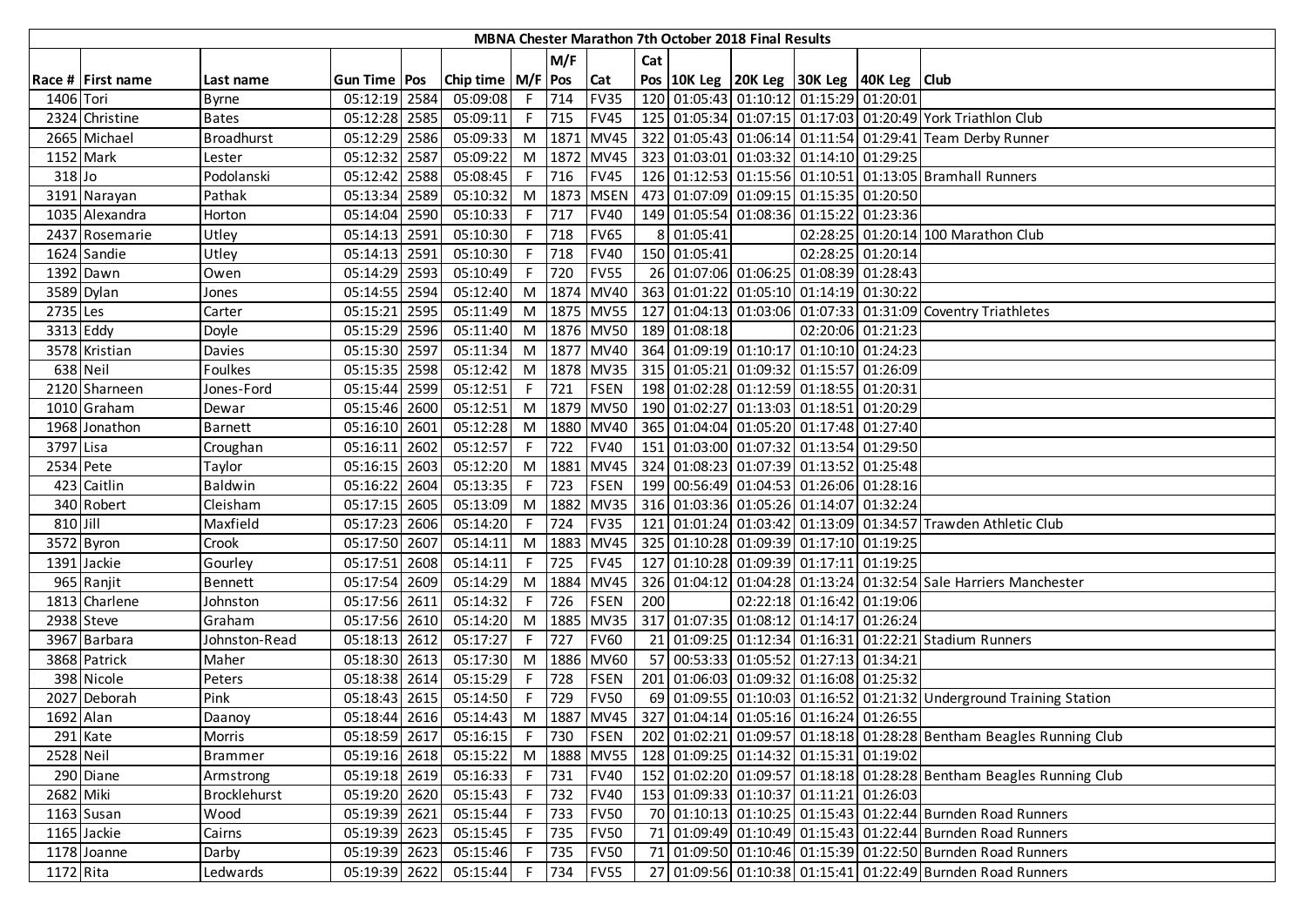| MBNA Chester Marathon 7th October 2018 Final Results |                   |                     |                       |      |                       |     |         |             |     |              |  |                                                                  |                   |                                                                      |
|------------------------------------------------------|-------------------|---------------------|-----------------------|------|-----------------------|-----|---------|-------------|-----|--------------|--|------------------------------------------------------------------|-------------------|----------------------------------------------------------------------|
|                                                      |                   |                     |                       |      |                       |     | M/F     |             | Cat |              |  |                                                                  |                   |                                                                      |
|                                                      | Race # First name | Last name           | <b>Gun Time Pos</b>   |      | Chip time   M/F   Pos |     |         | Cat         |     |              |  | Pos   10K Leg   20K Leg   30K Leg   40K Leg   Club               |                   |                                                                      |
| 1406 Tori                                            |                   | <b>Byrne</b>        | 05:12:19 2584         |      | 05:09:08              |     | F 714   | <b>FV35</b> |     |              |  | 120 01:05:43 01:10:12 01:15:29 01:20:01                          |                   |                                                                      |
|                                                      | 2324 Christine    | <b>Bates</b>        | 05:12:28 2585         |      | 05:09:11              |     | F 715   | <b>FV45</b> |     |              |  |                                                                  |                   | 125 01:05:34 01:07:15 01:17:03 01:20:49 York Triathlon Club          |
|                                                      | 2665 Michael      | <b>Broadhurst</b>   | 05:12:29 2586         |      | 05:09:33              |     |         | M 1871 MV45 |     |              |  |                                                                  |                   | 322 01:05:43 01:06:14 01:11:54 01:29:41 Team Derby Runner            |
| 1152 Mark                                            |                   | Lester              | 05:12:32 2587         |      | 05:09:22              |     |         | M 1872 MV45 |     |              |  | 323 01:03:01 01:03:32 01:14:10 01:29:25                          |                   |                                                                      |
| $318$ Jo                                             |                   | Podolanski          | 05:12:42 2588         |      | 05:08:45              |     | F 716   | <b>FV45</b> |     |              |  |                                                                  |                   | 126 01:12:53 01:15:56 01:10:51 01:13:05 Bramhall Runners             |
|                                                      | 3191 Narayan      | Pathak              | 05:13:34 2589         |      | 05:10:32              |     |         | M 1873 MSEN |     |              |  | 473 01:07:09 01:09:15 01:15:35 01:20:50                          |                   |                                                                      |
|                                                      | 1035 Alexandra    | Horton              | 05:14:04 2590         |      | 05:10:33              |     | F 717   | <b>FV40</b> |     |              |  | 149 01:05:54 01:08:36 01:15:22 01:23:36                          |                   |                                                                      |
|                                                      | 2437 Rosemarie    | Utley               | 05:14:13 2591         |      | 05:10:30              | F.  | 718     | <b>FV65</b> | 8   | 01:05:41     |  |                                                                  |                   | 02:28:25 01:20:14 100 Marathon Club                                  |
|                                                      | 1624 Sandie       | Utley               | 05:14:13 2591         |      | 05:10:30              | F.  | 718     | <b>FV40</b> |     | 150 01:05:41 |  |                                                                  | 02:28:25 01:20:14 |                                                                      |
|                                                      | 1392 Dawn         | Owen                | 05:14:29 2593         |      | 05:10:49              | F.  | 720     | <b>FV55</b> |     |              |  | 26 01:07:06 01:06:25 01:08:39 01:28:43                           |                   |                                                                      |
|                                                      | 3589 Dylan        | Jones               | 05:14:55 2594         |      | 05:12:40              |     | M 1874  | <b>MV40</b> |     |              |  | 363 01:01:22 01:05:10 01:14:19 01:30:22                          |                   |                                                                      |
| 2735 Les                                             |                   | Carter              | $\overline{05:15:21}$ | 2595 | 05:11:49              |     |         | M 1875 MV55 |     |              |  |                                                                  |                   | 127 01:04:13 01:03:06 01:07:33 01:31:09 Coventry Triathletes         |
| 3313 Eddy                                            |                   | Doyle               | 05:15:29 2596         |      | 05:11:40              |     |         | M 1876 MV50 |     | 189 01:08:18 |  | 02:20:06 01:21:23                                                |                   |                                                                      |
|                                                      | 3578 Kristian     | <b>Davies</b>       | 05:15:30 2597         |      | 05:11:34              |     |         | M 1877 MV40 |     |              |  | 364 01:09:19 01:10:17 01:10:10 01:24:23                          |                   |                                                                      |
|                                                      | 638 Neil          | Foulkes             | 05:15:35 2598         |      | 05:12:42              |     |         |             |     |              |  | M  1878   MV35   315   01:05:21   01:09:32   01:15:57   01:26:09 |                   |                                                                      |
|                                                      | 2120 Sharneen     | Jones-Ford          | 05:15:44 2599         |      | 05:12:51              |     | $F$ 721 | <b>FSEN</b> |     |              |  | 198 01:02:28 01:12:59 01:18:55 01:20:31                          |                   |                                                                      |
|                                                      | 1010 Graham       | Dewar               | 05:15:46 2600         |      | 05:12:51              |     |         |             |     |              |  | M  1879   MV50   190   01:02:27   01:13:03   01:18:51   01:20:29 |                   |                                                                      |
|                                                      | 1968 Jonathon     | <b>Barnett</b>      | 05:16:10 2601         |      | 05:12:28              |     |         | M 1880 MV40 |     |              |  | 365 01:04:04 01:05:20 01:17:48 01:27:40                          |                   |                                                                      |
| 3797 Lisa                                            |                   | Croughan            | 05:16:11 2602         |      | 05:12:57              | F.  | 722     | <b>FV40</b> |     |              |  | 151 01:03:00 01:07:32 01:13:54 01:29:50                          |                   |                                                                      |
| 2534 Pete                                            |                   | Taylor              | 05:16:15 2603         |      | 05:12:20              | M   |         |             |     |              |  | 1881   MV45   324   01:08:23   01:07:39   01:13:52   01:25:48    |                   |                                                                      |
|                                                      | 423 Caitlin       | Baldwin             | 05:16:22 2604         |      | 05:13:35              | F.  | 723     | <b>FSEN</b> |     |              |  | 199 00:56:49 01:04:53 01:26:06 01:28:16                          |                   |                                                                      |
|                                                      | 340 Robert        | Cleisham            | 05:17:15 2605         |      | 05:13:09              |     |         | M 1882 MV35 |     |              |  | 316 01:03:36 01:05:26 01:14:07 01:32:24                          |                   |                                                                      |
| 810 Jill                                             |                   | Maxfield            | 05:17:23 2606         |      | 05:14:20              | F I | 724     | <b>FV35</b> |     |              |  |                                                                  |                   | 121 01:01:24 01:03:42 01:13:09 01:34:57 Trawden Athletic Club        |
|                                                      | 3572 Byron        | Crook               | 05:17:50 2607         |      | 05:14:11              |     | M 1883  | <b>MV45</b> |     |              |  | 325 01:10:28 01:09:39 01:17:10 01:19:25                          |                   |                                                                      |
|                                                      | 1391 Jackie       | Gourley             | 05:17:51              | 2608 | 05:14:11              | F   | 725     | <b>FV45</b> |     |              |  | 127 01:10:28 01:09:39 01:17:11 01:19:25                          |                   |                                                                      |
|                                                      | 965 Ranjit        | <b>Bennett</b>      | 05:17:54              | 2609 | 05:14:29              |     | M 1884  | <b>MV45</b> |     |              |  |                                                                  |                   | 326 01:04:12 01:04:28 01:13:24 01:32:54 Sale Harriers Manchester     |
|                                                      | 1813 Charlene     | Johnston            | 05:17:56 2611         |      | 05:14:32              | F.  | 726     | <b>FSEN</b> | 200 |              |  | 02:22:18 01:16:42 01:19:06                                       |                   |                                                                      |
|                                                      | 2938 Steve        | Graham              | 05:17:56 2610         |      | 05:14:20              |     |         | M 1885 MV35 |     |              |  | 317 01:07:35 01:08:12 01:14:17 01:26:24                          |                   |                                                                      |
|                                                      | 3967 Barbara      | Johnston-Read       | 05:18:13 2612         |      | 05:17:27              | F.  | 727     | <b>FV60</b> |     |              |  |                                                                  |                   | 21 01:09:25 01:12:34 01:16:31 01:22:21 Stadium Runners               |
|                                                      | 3868 Patrick      | Maher               | 05:18:30 2613         |      | 05:17:30              |     |         | M 1886 MV60 |     |              |  | 57 00:53:33 01:05:52 01:27:13 01:34:21                           |                   |                                                                      |
|                                                      | 398 Nicole        | Peters              | 05:18:38 2614         |      | 05:15:29              | F   | 728     | <b>FSEN</b> |     |              |  | 201 01:06:03 01:09:32 01:16:08 01:25:32                          |                   |                                                                      |
|                                                      | 2027 Deborah      | Pink                | 05:18:43 2615         |      | 05:14:50              | F.  | 729     | <b>FV50</b> |     |              |  |                                                                  |                   | 69 01:09:55 01:10:03 01:16:52 01:21:32 Underground Training Station  |
| 1692 Alan                                            |                   | Daanoy              | 05:18:44 2616         |      | 05:14:43              |     |         |             |     |              |  | M  1887   MV45   327   01:04:14   01:05:16   01:16:24   01:26:55 |                   |                                                                      |
|                                                      | 291 Kate          | Morris              | 05:18:59 2617         |      | 05:16:15              |     | F 730   | FSEN        |     |              |  |                                                                  |                   | 202 01:02:21 01:09:57 01:18:18 01:28:28 Bentham Beagles Running Club |
| 2528 Neil                                            |                   | <b>Brammer</b>      | 05:19:16 2618         |      | 05:15:22              |     |         | M 1888 MV55 |     |              |  | 128 01:09:25 01:14:32 01:15:31 01:19:02                          |                   |                                                                      |
|                                                      | 290 Diane         | Armstrong           | 05:19:18 2619         |      | 05:16:33              |     | F 731   | <b>FV40</b> |     |              |  |                                                                  |                   | 152 01:02:20 01:09:57 01:18:18 01:28:28 Bentham Beagles Running Club |
| 2682 Miki                                            |                   | <b>Brocklehurst</b> | 05:19:20 2620         |      | 05:15:43              |     | F 732   | <b>FV40</b> |     |              |  | 153 01:09:33 01:10:37 01:11:21 01:26:03                          |                   |                                                                      |
|                                                      | 1163 Susan        | Wood                | 05:19:39 2621         |      | 05:15:44              |     | F 733   | <b>FV50</b> |     |              |  |                                                                  |                   | 70 01:10:13 01:10:25 01:15:43 01:22:44 Burnden Road Runners          |
|                                                      | 1165 Jackie       | Cairns              | 05:19:39 2623         |      | 05:15:45              |     | F 735   | <b>FV50</b> |     |              |  |                                                                  |                   | 71 01:09:49 01:10:49 01:15:43 01:22:44 Burnden Road Runners          |
|                                                      | 1178 Joanne       | Darby               | 05:19:39 2623         |      | 05:15:46              |     | F 735   | <b>FV50</b> |     |              |  |                                                                  |                   | 71 01:09:50 01:10:46 01:15:39 01:22:50 Burnden Road Runners          |
| 1172 Rita                                            |                   | Ledwards            | 05:19:39 2622         |      | 05:15:44              |     | F 734   | <b>FV55</b> |     |              |  |                                                                  |                   | 27 01:09:56 01:10:38 01:15:41 01:22:49 Burnden Road Runners          |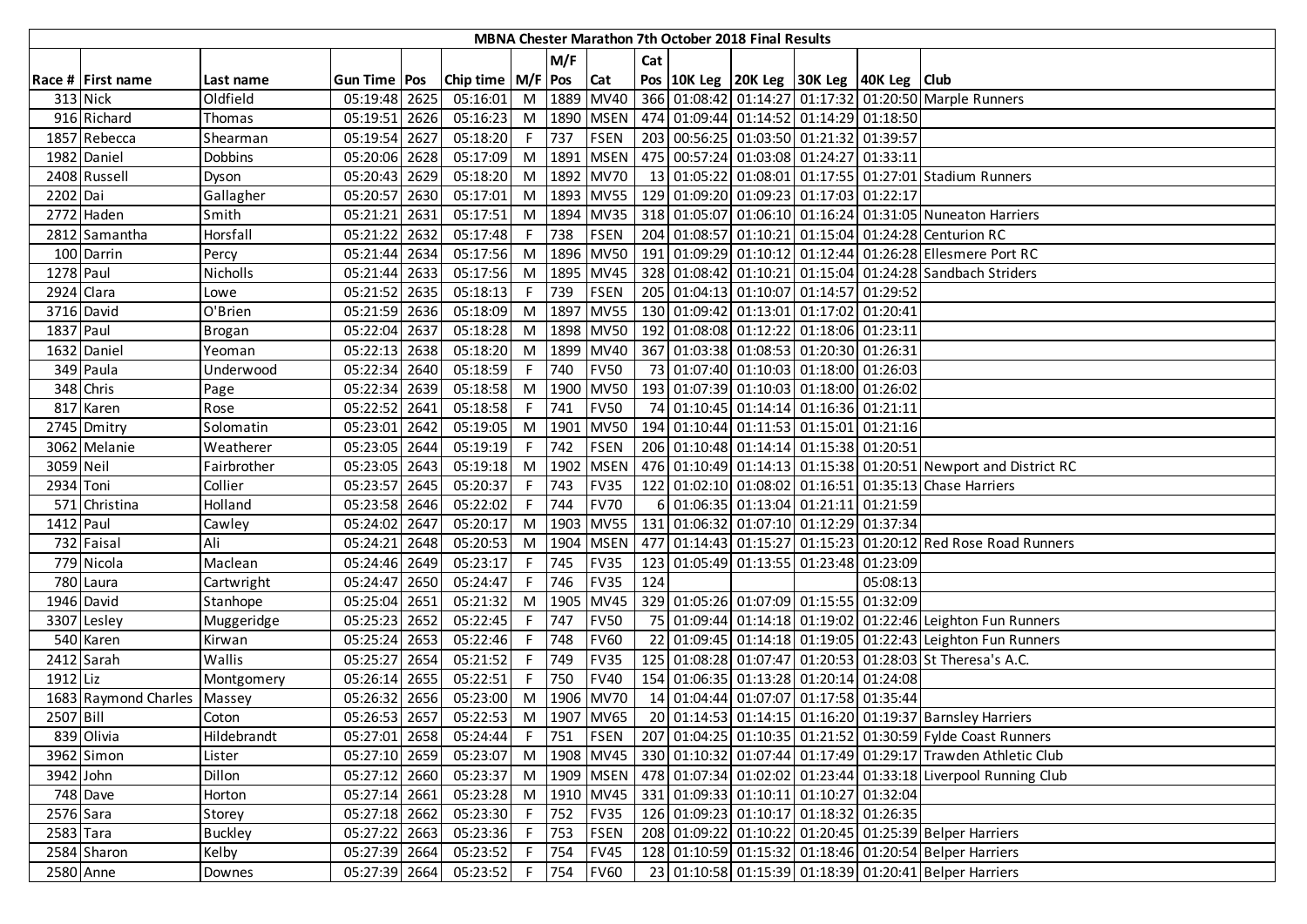|            | <b>MBNA Chester Marathon 7th October 2018 Final Results</b> |                |                |      |                       |                |         |             |     |  |  |                                                   |          |                                                                                                   |
|------------|-------------------------------------------------------------|----------------|----------------|------|-----------------------|----------------|---------|-------------|-----|--|--|---------------------------------------------------|----------|---------------------------------------------------------------------------------------------------|
|            |                                                             |                |                |      |                       |                | M/F     |             | Cat |  |  |                                                   |          |                                                                                                   |
|            | Race # First name                                           | Last name      | Gun Time   Pos |      | Chip time   M/F   Pos |                |         | <b>Cat</b>  |     |  |  | Pos 10K Leg 20K Leg 30K Leg 40K Leg Club          |          |                                                                                                   |
|            | 313 Nick                                                    | Oldfield       | 05:19:48 2625  |      | 05:16:01              |                |         | M 1889 MV40 |     |  |  |                                                   |          | 366 01:08:42 01:14:27 01:17:32 01:20:50 Marple Runners                                            |
|            | 916 Richard                                                 | Thomas         | 05:19:51 2626  |      | 05:16:23              | M <sub>1</sub> |         | 1890 MSEN   |     |  |  | 474 01:09:44 01:14:52 01:14:29 01:18:50           |          |                                                                                                   |
|            | 1857 Rebecca                                                | Shearman       | 05:19:54 2627  |      | 05:18:20              | $F^{-1}$       | 737     | <b>FSEN</b> |     |  |  | 203 00:56:25 01:03:50 01:21:32 01:39:57           |          |                                                                                                   |
|            | 1982 Daniel                                                 | Dobbins        | 05:20:06 2628  |      | 05:17:09              |                | M 1891  | <b>MSEN</b> |     |  |  | 475 00:57:24 01:03:08 01:24:27 01:33:11           |          |                                                                                                   |
|            | 2408 Russell                                                | Dyson          | 05:20:43 2629  |      | 05:18:20              | M <sub>1</sub> |         | 1892 MV70   |     |  |  |                                                   |          | 13 01:05:22 01:08:01 01:17:55 01:27:01 Stadium Runners                                            |
| 2202 Dai   |                                                             | Gallagher      | 05:20:57 2630  |      | 05:17:01              | M              |         |             |     |  |  | 1893 MV55 129 01:09:20 01:09:23 01:17:03 01:22:17 |          |                                                                                                   |
|            | 2772 Haden                                                  | Smith          | 05:21:21       | 2631 | 05:17:51              | M              |         |             |     |  |  |                                                   |          | 1894 MV35 318 01:05:07 01:06:10 01:16:24 01:31:05 Nuneaton Harriers                               |
|            | 2812 Samantha                                               | Horsfall       | 05:21:22 2632  |      | 05:17:48              | F.             | 738     | <b>FSEN</b> |     |  |  |                                                   |          | 204 01:08:57 01:10:21 01:15:04 01:24:28 Centurion RC                                              |
|            | 100 Darrin                                                  | Percy          | 05:21:44 2634  |      | 05:17:56              | M I            |         | 1896 MV50   |     |  |  |                                                   |          | 191 01:09:29 01:10:12 01:12:44 01:26:28 Ellesmere Port RC                                         |
| 1278 Paul  |                                                             | Nicholls       | 05:21:44 2633  |      | 05:17:56              | M <sub>1</sub> |         | 1895 MV45   |     |  |  |                                                   |          | 328 01:08:42 01:10:21 01:15:04 01:24:28 Sandbach Striders                                         |
| 2924 Clara |                                                             | Lowe           | 05:21:52       | 2635 | 05:18:13              | F.             | 739     | <b>FSEN</b> |     |  |  | 205 01:04:13 01:10:07 01:14:57 01:29:52           |          |                                                                                                   |
|            | 3716 David                                                  | O'Brien        | 05:21:59       | 2636 | 05:18:09              | M              | 1897    | <b>MV55</b> |     |  |  | 130 01:09:42 01:13:01 01:17:02 01:20:41           |          |                                                                                                   |
| 1837 Paul  |                                                             | Brogan         | 05:22:04 2637  |      | 05:18:28              | M              |         | 1898 MV50   |     |  |  | 192 01:08:08 01:12:22 01:18:06 01:23:11           |          |                                                                                                   |
|            | 1632 Daniel                                                 | Yeoman         | 05:22:13       | 2638 | 05:18:20              | M              |         | 1899 MV40   |     |  |  | 367 01:03:38 01:08:53 01:20:30 01:26:31           |          |                                                                                                   |
|            | 349 Paula                                                   | Underwood      | 05:22:34 2640  |      | 05:18:59              | F              | 740     | <b>FV50</b> |     |  |  | 73 01:07:40 01:10:03 01:18:00 01:26:03            |          |                                                                                                   |
|            | 348 Chris                                                   | Page           | 05:22:34 2639  |      | 05:18:58              |                |         | M 1900 MV50 |     |  |  | 193 01:07:39 01:10:03 01:18:00 01:26:02           |          |                                                                                                   |
|            | 817 Karen                                                   | Rose           | 05:22:52 2641  |      | 05:18:58              |                | F 741   | <b>FV50</b> |     |  |  | 74 01:10:45 01:14:14 01:16:36 01:21:11            |          |                                                                                                   |
|            | 2745 Dmitry                                                 | Solomatin      | 05:23:01 2642  |      | 05:19:05              |                | M 1901  | <b>MV50</b> |     |  |  | 194 01:10:44 01:11:53 01:15:01 01:21:16           |          |                                                                                                   |
|            | 3062 Melanie                                                | Weatherer      | 05:23:05 2644  |      | 05:19:19              | F.             | 742     | <b>FSEN</b> |     |  |  | 206 01:10:48 01:14:14 01:15:38 01:20:51           |          |                                                                                                   |
| 3059 Neil  |                                                             | Fairbrother    | 05:23:05 2643  |      | 05:19:18              | M              | 1902    | <b>MSEN</b> |     |  |  |                                                   |          | 476 01:10:49 01:14:13 01:15:38 01:20:51 Newport and District RC                                   |
| 2934 Toni  |                                                             | Collier        | 05:23:57 2645  |      | 05:20:37              | F.             | 743     | <b>FV35</b> |     |  |  |                                                   |          | 122 01:02:10 01:08:02 01:16:51 01:35:13 Chase Harriers                                            |
|            | 571 Christina                                               | Holland        | 05:23:58 2646  |      | 05:22:02              |                | 744     | <b>FV70</b> | 6   |  |  | 01:06:35 01:13:04 01:21:11 01:21:59               |          |                                                                                                   |
| 1412 Paul  |                                                             | Cawley         | 05:24:02 2647  |      | 05:20:17              |                | M 1903  | <b>MV55</b> |     |  |  | 131 01:06:32 01:07:10 01:12:29 01:37:34           |          |                                                                                                   |
|            | 732 Faisal                                                  | Ali            | 05:24:21       | 2648 | 05:20:53              | M              | 1904    | <b>MSEN</b> |     |  |  |                                                   |          | 477 01:14:43 01:15:27 01:15:23 01:20:12 Red Rose Road Runners                                     |
|            | 779 Nicola                                                  | Maclean        | 05:24:46       | 2649 | 05:23:17              | F              | 745     | <b>FV35</b> | 123 |  |  | 01:05:49 01:13:55 01:23:48 01:23:09               |          |                                                                                                   |
|            | 780 Laura                                                   | Cartwright     | 05:24:47       | 2650 | 05:24:47              | F              | 746     | <b>FV35</b> | 124 |  |  |                                                   | 05:08:13 |                                                                                                   |
|            | 1946 David                                                  | Stanhope       | 05:25:04       | 2651 | 05:21:32              | M              | 1905    | <b>MV45</b> |     |  |  | 329 01:05:26 01:07:09 01:15:55 01:32:09           |          |                                                                                                   |
|            | 3307 Lesley                                                 | Muggeridge     | 05:25:23 2652  |      | 05:22:45              | F              | 747     | <b>FV50</b> |     |  |  |                                                   |          | 75 01:09:44 01:14:18 01:19:02 01:22:46 Leighton Fun Runners                                       |
|            | 540 Karen                                                   | Kirwan         | 05:25:24 2653  |      | 05:22:46              | F I            | 748     | <b>FV60</b> |     |  |  |                                                   |          | 22 01:09:45 01:14:18 01:19:05 01:22:43 Leighton Fun Runners                                       |
|            | 2412 Sarah                                                  | Wallis         | 05:25:27 2654  |      | 05:21:52              | F I            | 749     | <b>FV35</b> |     |  |  |                                                   |          | 125 01:08:28 01:07:47 01:20:53 01:28:03 St Theresa's A.C.                                         |
| 1912 Liz   |                                                             | Montgomery     | 05:26:14 2655  |      | 05:22:51              | F I            | 750     | <b>FV40</b> |     |  |  | 154 01:06:35 01:13:28 01:20:14 01:24:08           |          |                                                                                                   |
|            | 1683 Raymond Charles                                        | Massey         | 05:26:32 2656  |      | 05:23:00              | M              |         | 1906 MV70   |     |  |  | 14 01:04:44 01:07:07 01:17:58 01:35:44            |          |                                                                                                   |
| 2507 Bill  |                                                             | Coton          | 05:26:53 2657  |      | 05:22:53              |                |         | M 1907 MV65 |     |  |  |                                                   |          | 20 01:14:53 01:14:15 01:16:20 01:19:37 Barnsley Harriers                                          |
|            | 839 Olivia                                                  | Hildebrandt    | 05:27:01 2658  |      | 05:24:44              |                | F 751   | <b>FSEN</b> |     |  |  |                                                   |          | 207 01:04:25 01:10:35 01:21:52 01:30:59 Fylde Coast Runners                                       |
|            | 3962 Simon                                                  | Lister         | 05:27:10 2659  |      | 05:23:07              |                |         |             |     |  |  |                                                   |          | M  1908   MV45   330   01:10:32   01:07:44   01:17:49   01:29:17   Trawden Athletic Club          |
| 3942 John  |                                                             | Dillon         | 05:27:12 2660  |      |                       |                |         |             |     |  |  |                                                   |          | 05:23:37 M   1909   MSEN   478   01:07:34   01:02:02   01:23:44   01:33:18 Liverpool Running Club |
|            | 748 Dave                                                    | Horton         | 05:27:14 2661  |      | 05:23:28              |                |         | M 1910 MV45 |     |  |  | 331 01:09:33 01:10:11 01:10:27 01:32:04           |          |                                                                                                   |
| 2576 Sara  |                                                             | Storey         | 05:27:18 2662  |      | 05:23:30              |                | $F$ 752 | <b>FV35</b> |     |  |  | 126 01:09:23 01:10:17 01:18:32 01:26:35           |          |                                                                                                   |
| 2583 Tara  |                                                             | <b>Buckley</b> | 05:27:22 2663  |      | 05:23:36              | F              | 753     | <b>FSEN</b> |     |  |  |                                                   |          | 208 01:09:22 01:10:22 01:20:45 01:25:39 Belper Harriers                                           |
|            | 2584 Sharon                                                 | Kelby          | 05:27:39 2664  |      | 05:23:52              | F <sub>1</sub> | 754     | <b>FV45</b> |     |  |  |                                                   |          | 128 01:10:59 01:15:32 01:18:46 01:20:54 Belper Harriers                                           |
| 2580 Anne  |                                                             | Downes         | 05:27:39 2664  |      | 05:23:52              |                | F 754   | <b>FV60</b> |     |  |  |                                                   |          | 23 01:10:58 01:15:39 01:18:39 01:20:41 Belper Harriers                                            |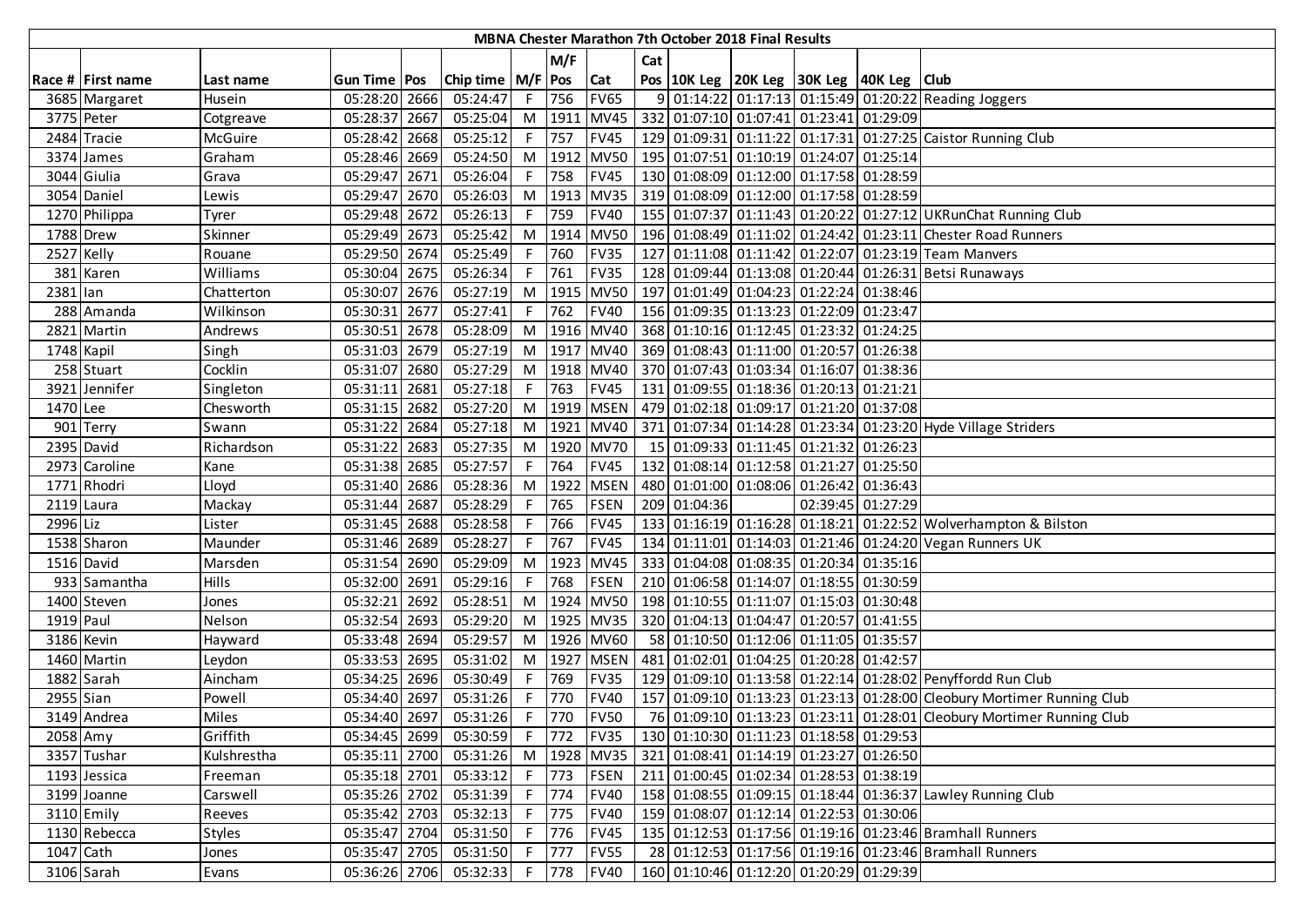|            | MBNA Chester Marathon 7th October 2018 Final Results |               |                |      |                                    |    |        |             |     |              |  |                                                    |  |                                                                        |
|------------|------------------------------------------------------|---------------|----------------|------|------------------------------------|----|--------|-------------|-----|--------------|--|----------------------------------------------------|--|------------------------------------------------------------------------|
|            |                                                      |               |                |      |                                    |    | M/F    |             | Cat |              |  |                                                    |  |                                                                        |
|            | Race # First name                                    | Last name     | Gun Time   Pos |      | Chip time   M/F   Pos              |    |        | <b>Cat</b>  |     |              |  | Pos   10K Leg   20K Leg   30K Leg   40K Leg   Club |  |                                                                        |
|            | 3685 Margaret                                        | Husein        | 05:28:20       | 2666 | 05:24:47                           |    | F 756  | <b>FV65</b> | 9   |              |  |                                                    |  | 01:14:22 01:17:13 01:15:49 01:20:22 Reading Joggers                    |
| 3775 Peter |                                                      | Cotgreave     | 05:28:37 2667  |      | 05:25:04                           |    |        | M 1911 MV45 |     |              |  | 332 01:07:10 01:07:41 01:23:41 01:29:09            |  |                                                                        |
|            | 2484 Tracie                                          | McGuire       | 05:28:42 2668  |      | 05:25:12                           |    | F 757  | <b>FV45</b> |     |              |  |                                                    |  | 129 01:09:31 01:11:22 01:17:31 01:27:25 Caistor Running Club           |
|            | 3374 James                                           | Graham        | 05:28:46 2669  |      | 05:24:50                           |    |        | M 1912 MV50 |     |              |  | 195 01:07:51 01:10:19 01:24:07 01:25:14            |  |                                                                        |
|            | 3044 Giulia                                          | Grava         | 05:29:47       | 2671 | 05:26:04                           | F  | 758    | <b>FV45</b> |     |              |  | 130 01:08:09 01:12:00 01:17:58 01:28:59            |  |                                                                        |
|            | 3054 Daniel                                          | Lewis         | 05:29:47 2670  |      | 05:26:03                           |    |        | M 1913 MV35 |     |              |  | 319 01:08:09 01:12:00 01:17:58 01:28:59            |  |                                                                        |
|            | 1270 Philippa                                        | Tyrer         | 05:29:48       | 2672 | 05:26:13                           | F. | 759    | <b>FV40</b> |     |              |  |                                                    |  | 155 01:07:37 01:11:43 01:20:22 01:27:12 UKRunChat Running Club         |
| 1788 Drew  |                                                      | Skinner       | 05:29:49       | 2673 | 05:25:42                           |    |        | M 1914 MV50 |     |              |  |                                                    |  | 196 01:08:49 01:11:02 01:24:42 01:23:11 Chester Road Runners           |
| 2527 Kelly |                                                      | Rouane        | 05:29:50 2674  |      | 05:25:49                           | F. | 760    | <b>FV35</b> |     |              |  |                                                    |  | 127 01:11:08 01:11:42 01:22:07 01:23:19 Team Manvers                   |
|            | 381 Karen                                            | Williams      | 05:30:04       | 2675 | 05:26:34                           | F  | 761    | <b>FV35</b> |     |              |  |                                                    |  | 128 01:09:44 01:13:08 01:20:44 01:26:31 Betsi Runaways                 |
| 2381 lan   |                                                      | Chatterton    | 05:30:07       | 2676 | 05:27:19                           |    | M 1915 | <b>MV50</b> |     |              |  | 197 01:01:49 01:04:23 01:22:24 01:38:46            |  |                                                                        |
|            | 288 Amanda                                           | Wilkinson     | 05:30:31       | 2677 | 05:27:41                           | F. | 762    | <b>FV40</b> |     |              |  | 156 01:09:35 01:13:23 01:22:09 01:23:47            |  |                                                                        |
|            | 2821 Martin                                          | Andrews       | 05:30:51       | 2678 | 05:28:09                           |    |        | M 1916 MV40 |     |              |  | 368 01:10:16 01:12:45 01:23:32 01:24:25            |  |                                                                        |
| 1748 Kapil |                                                      | Singh         | 05:31:03       | 2679 | 05:27:19                           |    |        | M 1917 MV40 |     |              |  | 369 01:08:43 01:11:00 01:20:57 01:26:38            |  |                                                                        |
|            | 258 Stuart                                           | Cocklin       | 05:31:07       | 2680 | 05:27:29                           |    |        | M 1918 MV40 |     |              |  | 370 01:07:43 01:03:34 01:16:07 01:38:36            |  |                                                                        |
|            | 3921 Jennifer                                        | Singleton     | 05:31:11       | 2681 | 05:27:18                           |    | F 763  | <b>FV45</b> |     |              |  | 131 01:09:55 01:18:36 01:20:13 01:21:21            |  |                                                                        |
| 1470 Lee   |                                                      | Chesworth     | 05:31:15 2682  |      | 05:27:20                           |    |        | M 1919 MSEN |     |              |  | 479 01:02:18 01:09:17 01:21:20 01:37:08            |  |                                                                        |
|            | 901 Terry                                            | Swann         | 05:31:22 2684  |      | 05:27:18                           |    |        | M 1921 MV40 |     |              |  |                                                    |  | 371 01:07:34 01:14:28 01:23:34 01:23:20 Hyde Village Striders          |
|            | 2395 David                                           | Richardson    | 05:31:22 2683  |      | 05:27:35                           |    |        | M 1920 MV70 |     |              |  | 15 01:09:33 01:11:45 01:21:32 01:26:23             |  |                                                                        |
|            | 2973 Caroline                                        | Kane          | 05:31:38 2685  |      | 05:27:57                           | -F | 764    | <b>FV45</b> |     |              |  | 132 01:08:14 01:12:58 01:21:27 01:25:50            |  |                                                                        |
|            | 1771 Rhodri                                          | Lloyd         | 05:31:40 2686  |      | 05:28:36                           |    | M 1922 | <b>MSEN</b> |     |              |  | 480 01:01:00 01:08:06 01:26:42 01:36:43            |  |                                                                        |
| 2119 Laura |                                                      | Mackay        | 05:31:44 2687  |      | 05:28:29                           | F  | 765    | <b>FSEN</b> |     | 209 01:04:36 |  | 02:39:45 01:27:29                                  |  |                                                                        |
| 2996 Liz   |                                                      | Lister        | 05:31:45       | 2688 | 05:28:58                           | F  | 766    | <b>FV45</b> |     |              |  |                                                    |  | 133 01:16:19 01:16:28 01:18:21 01:22:52 Wolverhampton & Bilston        |
|            | 1538 Sharon                                          | Maunder       | 05:31:46 2689  |      | 05:28:27                           | F  | 767    | <b>FV45</b> |     |              |  |                                                    |  | 134 01:11:01 01:14:03 01:21:46 01:24:20 Vegan Runners UK               |
|            | 1516 David                                           | Marsden       | 05:31:54       | 2690 | 05:29:09                           |    | M 1923 | <b>MV45</b> |     |              |  | 333 01:04:08 01:08:35 01:20:34 01:35:16            |  |                                                                        |
|            | 933 Samantha                                         | Hills         | 05:32:00       | 2691 | 05:29:16                           | F. | 768    | <b>FSEN</b> |     |              |  | 210 01:06:58 01:14:07 01:18:55 01:30:59            |  |                                                                        |
|            | 1400 Steven                                          | Jones         | 05:32:21       | 2692 | 05:28:51                           |    |        | M 1924 MV50 |     |              |  | 198 01:10:55 01:11:07 01:15:03 01:30:48            |  |                                                                        |
| 1919 Paul  |                                                      | Nelson        | 05:32:54 2693  |      | 05:29:20                           |    |        | M 1925 MV35 |     |              |  | 320 01:04:13 01:04:47 01:20:57 01:41:55            |  |                                                                        |
| 3186 Kevin |                                                      | Hayward       | 05:33:48 2694  |      | 05:29:57                           |    |        | M 1926 MV60 |     |              |  | 58 01:10:50 01:12:06 01:11:05 01:35:57             |  |                                                                        |
|            | 1460 Martin                                          | Leydon        | 05:33:53 2695  |      | 05:31:02                           |    |        | M 1927 MSEN |     |              |  | 481 01:02:01 01:04:25 01:20:28 01:42:57            |  |                                                                        |
|            | 1882 Sarah                                           | Aincham       | 05:34:25 2696  |      | 05:30:49                           | F  | 769    | <b>FV35</b> |     |              |  |                                                    |  | 129 01:09:10 01:13:58 01:22:14 01:28:02 Penyffordd Run Club            |
| 2955 Sian  |                                                      | Powell        | 05:34:40 2697  |      | 05:31:26                           |    | 770    | <b>FV40</b> |     |              |  |                                                    |  | 157 01:09:10 01:13:23 01:23:13 01:28:00 Cleobury Mortimer Running Club |
|            | 3149 Andrea                                          | Miles         | 05:34:40 2697  |      | 05:31:26 F                         |    | 770    | <b>FV50</b> |     |              |  |                                                    |  | 76 01:09:10 01:13:23 01:23:11 01:28:01 Cleobury Mortimer Running Club  |
| 2058 Amy   |                                                      | Griffith      |                |      | 05:34:45 2699 05:30:59 F 772 FV35  |    |        |             |     |              |  | 130 01:10:30 01:11:23 01:18:58 01:29:53            |  |                                                                        |
|            | 3357 Tushar                                          | Kulshrestha   |                |      | 05:35:11 2700 05:31:26 M 1928 MV35 |    |        |             |     |              |  | 321 01:08:41 01:14:19 01:23:27 01:26:50            |  |                                                                        |
|            | 1193 Jessica                                         | Freeman       | 05:35:18 2701  |      | 05:33:12 F 773                     |    |        | <b>FSEN</b> |     |              |  | 211 01:00:45 01:02:34 01:28:53 01:38:19            |  |                                                                        |
|            | 3199 Joanne                                          | Carswell      | 05:35:26 2702  |      | 05:31:39                           |    | F 774  | <b>FV40</b> |     |              |  |                                                    |  | 158 01:08:55 01:09:15 01:18:44 01:36:37 Lawley Running Club            |
|            | 3110 Emily                                           | Reeves        | 05:35:42 2703  |      | 05:32:13                           |    | F 775  | <b>FV40</b> |     |              |  | 159 01:08:07 01:12:14 01:22:53 01:30:06            |  |                                                                        |
|            | 1130 Rebecca                                         | <b>Styles</b> | 05:35:47 2704  |      | 05:31:50                           |    | F 776  | <b>FV45</b> |     |              |  |                                                    |  | 135 01:12:53 01:17:56 01:19:16 01:23:46 Bramhall Runners               |
| 1047 Cath  |                                                      | Jones         | 05:35:47 2705  |      | 05:31:50                           | F. | 777    | <b>FV55</b> |     |              |  |                                                    |  | 28 01:12:53 01:17:56 01:19:16 01:23:46 Bramhall Runners                |
|            | 3106 Sarah                                           | Evans         |                |      | 05:36:26 2706 05:32:33 F 778       |    |        | <b>FV40</b> |     |              |  | 160 01:10:46 01:12:20 01:20:29 01:29:39            |  |                                                                        |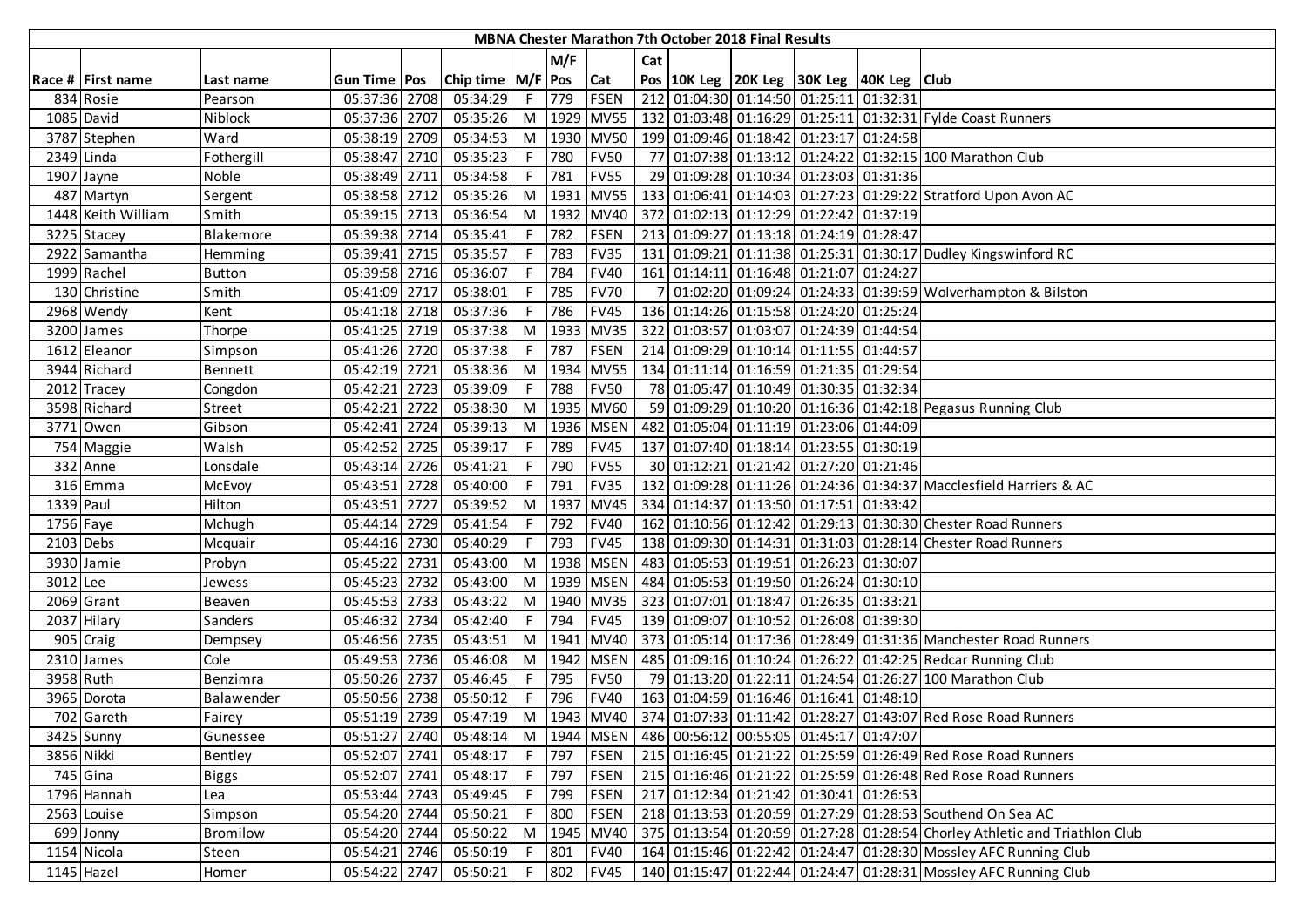| MBNA Chester Marathon 7th October 2018 Final Results |                    |               |                       |  |                       |    |       |             |     |  |  |                                                                  |                                                                             |
|------------------------------------------------------|--------------------|---------------|-----------------------|--|-----------------------|----|-------|-------------|-----|--|--|------------------------------------------------------------------|-----------------------------------------------------------------------------|
|                                                      |                    |               |                       |  |                       |    | M/F   |             | Cat |  |  |                                                                  |                                                                             |
|                                                      | Race # First name  | Last name     | <b>Gun Time   Pos</b> |  | Chip time   M/F   Pos |    |       | Cat         |     |  |  | Pos 10K Leg 20K Leg 30K Leg 40K Leg Club                         |                                                                             |
|                                                      | 834 Rosie          | Pearson       | 05:37:36 2708         |  | 05:34:29              | F  | 779   | <b>FSEN</b> |     |  |  | 212 01:04:30 01:14:50 01:25:11 01:32:31                          |                                                                             |
|                                                      | 1085 David         | Niblock       | 05:37:36 2707         |  | 05:35:26              | M  |       | 1929 MV55   |     |  |  |                                                                  | 132   01:03:48   01:16:29   01:25:11   01:32:31   Fylde Coast Runners       |
|                                                      | 3787 Stephen       | Ward          | 05:38:19 2709         |  | 05:34:53              | M  |       | 1930 MV50   |     |  |  | 199 01:09:46 01:18:42 01:23:17 01:24:58                          |                                                                             |
| 2349 Linda                                           |                    | Fothergill    | 05:38:47 2710         |  | 05:35:23              | F  | 780   | <b>FV50</b> |     |  |  |                                                                  | 77 01:07:38 01:13:12 01:24:22 01:32:15 100 Marathon Club                    |
|                                                      | 1907 Jayne         | Noble         | 05:38:49 2711         |  | 05:34:58              | F. | 781   | <b>FV55</b> |     |  |  | 29 01:09:28 01:10:34 01:23:03 01:31:36                           |                                                                             |
|                                                      | 487 Martyn         | Sergent       | 05:38:58 2712         |  | 05:35:26              | M  | 1931  | <b>MV55</b> |     |  |  |                                                                  | 133 01:06:41 01:14:03 01:27:23 01:29:22 Stratford Upon Avon AC              |
|                                                      | 1448 Keith William | Smith         | 05:39:15 2713         |  | 05:36:54              | M  | 1932  | <b>MV40</b> |     |  |  | 372 01:02:13 01:12:29 01:22:42 01:37:19                          |                                                                             |
|                                                      | 3225 Stacey        | Blakemore     | 05:39:38 2714         |  | 05:35:41              | F  | 782   | <b>FSEN</b> |     |  |  | 213 01:09:27 01:13:18 01:24:19 01:28:47                          |                                                                             |
|                                                      | 2922 Samantha      | Hemming       | 05:39:41 2715         |  | 05:35:57              |    | 783   | <b>FV35</b> |     |  |  |                                                                  | 131 01:09:21 01:11:38 01:25:31 01:30:17 Dudley Kingswinford RC              |
|                                                      | 1999 Rachel        | <b>Button</b> | 05:39:58 2716         |  | 05:36:07              |    | 784   | <b>FV40</b> |     |  |  | 161 01:14:11 01:16:48 01:21:07 01:24:27                          |                                                                             |
|                                                      | 130 Christine      | Smith         | 05:41:09 2717         |  | 05:38:01              |    | 785   | <b>FV70</b> |     |  |  |                                                                  | 01:02:20 01:09:24 01:24:33 01:39:59 Wolverhampton & Bilston                 |
|                                                      | 2968 Wendy         | Kent          | 05:41:18 2718         |  | 05:37:36              | F. | 786   | <b>FV45</b> |     |  |  | 136 01:14:26 01:15:58 01:24:20 01:25:24                          |                                                                             |
|                                                      | 3200 James         | Thorpe        | 05:41:25 2719         |  | 05:37:38              | M  | 1933  | <b>MV35</b> |     |  |  | 322 01:03:57 01:03:07 01:24:39 01:44:54                          |                                                                             |
|                                                      | 1612 Eleanor       | Simpson       | 05:41:26 2720         |  | 05:37:38              | F. | 787   | <b>FSEN</b> |     |  |  | 214 01:09:29 01:10:14 01:11:55 01:44:57                          |                                                                             |
|                                                      | 3944 Richard       | Bennett       | 05:42:19 2721         |  | 05:38:36              | M  |       | 1934 MV55   |     |  |  | 134 01:11:14 01:16:59 01:21:35 01:29:54                          |                                                                             |
|                                                      | 2012 Tracey        | Congdon       | 05:42:21 2723         |  | 05:39:09              | F. | 788   | <b>FV50</b> |     |  |  | 78 01:05:47 01:10:49 01:30:35 01:32:34                           |                                                                             |
|                                                      | 3598 Richard       | <b>Street</b> | 05:42:21 2722         |  | 05:38:30              | M  |       | 1935 MV60   |     |  |  |                                                                  | 59 01:09:29 01:10:20 01:16:36 01:42:18 Pegasus Running Club                 |
|                                                      | 3771 Owen          | Gibson        | 05:42:41 2724         |  | 05:39:13              | M  |       | 1936 MSEN   |     |  |  | 482 01:05:04 01:11:19 01:23:06 01:44:09                          |                                                                             |
|                                                      | 754 Maggie         | Walsh         | 05:42:52 2725         |  | 05:39:17              | F. | 789   | <b>FV45</b> |     |  |  | 137 01:07:40 01:18:14 01:23:55 01:30:19                          |                                                                             |
|                                                      | 332 Anne           | Lonsdale      | 05:43:14 2726         |  | 05:41:21              |    | 790   | <b>FV55</b> |     |  |  | 30 01:12:21 01:21:42 01:27:20 01:21:46                           |                                                                             |
|                                                      | 316 Emma           | McEvoy        | 05:43:51 2728         |  | 05:40:00              | F  | 791   | <b>FV35</b> |     |  |  |                                                                  | 132 01:09:28 01:11:26 01:24:36 01:34:37 Macclesfield Harriers & AC          |
| 1339 Paul                                            |                    | Hilton        | 05:43:51 2727         |  | 05:39:52              | M  | 1937  | <b>MV45</b> |     |  |  | 334 01:14:37 01:13:50 01:17:51 01:33:42                          |                                                                             |
| 1756 Faye                                            |                    | Mchugh        | 05:44:14 2729         |  | 05:41:54              | F. | 792   | <b>FV40</b> |     |  |  |                                                                  | 162 01:10:56 01:12:42 01:29:13 01:30:30 Chester Road Runners                |
| 2103 Debs                                            |                    | Mcquair       | 05:44:16 2730         |  | 05:40:29              | F. | 793   | <b>FV45</b> |     |  |  |                                                                  | 138 01:09:30 01:14:31 01:31:03 01:28:14 Chester Road Runners                |
|                                                      | 3930 Jamie         | Probyn        | 05:45:22 2731         |  | 05:43:00              | M  | 1938  | <b>MSEN</b> |     |  |  | 483 01:05:53 01:19:51 01:26:23 01:30:07                          |                                                                             |
| 3012 Lee                                             |                    | Jewess        | 05:45:23 2732         |  | 05:43:00              | M  |       | 1939 MSEN   |     |  |  | 484 01:05:53 01:19:50 01:26:24 01:30:10                          |                                                                             |
|                                                      | 2069 Grant         | Beaven        | 05:45:53 2733         |  | 05:43:22              | M  |       | 1940 MV35   |     |  |  | 323 01:07:01 01:18:47 01:26:35 01:33:21                          |                                                                             |
|                                                      | 2037 Hilary        | Sanders       | 05:46:32 2734         |  | 05:42:40              | F  | 794   | <b>FV45</b> |     |  |  | 139 01:09:07 01:10:52 01:26:08 01:39:30                          |                                                                             |
|                                                      | 905 Craig          | Dempsey       | 05:46:56 2735         |  | 05:43:51              | M  | 1941  | <b>MV40</b> |     |  |  |                                                                  | 373 01:05:14 01:17:36 01:28:49 01:31:36 Manchester Road Runners             |
|                                                      | 2310 James         | Cole          | 05:49:53 2736         |  | 05:46:08              | M  |       | 1942 MSEN   |     |  |  |                                                                  | 485 01:09:16 01:10:24 01:26:22 01:42:25 Redcar Running Club                 |
| 3958 Ruth                                            |                    | Benzimra      | 05:50:26 2737         |  | 05:46:45              | F  | 795   | <b>FV50</b> |     |  |  |                                                                  | 79 01:13:20 01:22:11 01:24:54 01:26:27 100 Marathon Club                    |
|                                                      | 3965 Dorota        | Balawender    | 05:50:56 2738         |  | 05:50:12              |    | 796   | <b>FV40</b> |     |  |  | 163 01:04:59 01:16:46 01:16:41 01:48:10                          |                                                                             |
|                                                      | 702 Gareth         | Fairey        | 05:51:19 2739         |  | 05:47:19              | M  |       |             |     |  |  |                                                                  | 1943 MV40 374 01:07:33 01:11:42 01:28:27 01:43:07 Red Rose Road Runners     |
|                                                      | 3425 Sunny         | Gunessee      | 05:51:27 2740         |  | 05:48:14              |    |       |             |     |  |  | M  1944   MSEN   486   00:56:12   00:55:05   01:45:17   01:47:07 |                                                                             |
| 3856 Nikki                                           |                    | Bentley       | 05:52:07 2741         |  | 05:48:17              | F  | 797   | <b>FSEN</b> |     |  |  |                                                                  | 215 01:16:45 01:21:22 01:25:59 01:26:49 Red Rose Road Runners               |
|                                                      | 745 Gina           | <b>Biggs</b>  | 05:52:07 2741         |  | 05:48:17              |    | F 797 | <b>FSEN</b> |     |  |  |                                                                  | 215 01:16:46 01:21:22 01:25:59 01:26:48 Red Rose Road Runners               |
|                                                      | 1796 Hannah        | Lea           | 05:53:44 2743         |  | 05:49:45              | F  | 799   | <b>FSEN</b> |     |  |  | 217 01:12:34 01:21:42 01:30:41 01:26:53                          |                                                                             |
|                                                      | 2563 Louise        | Simpson       | 05:54:20 2744         |  | 05:50:21              | F  | 800   | <b>FSEN</b> |     |  |  |                                                                  | 218 01:13:53 01:20:59 01:27:29 01:28:53 Southend On Sea AC                  |
|                                                      | 699 Jonny          | Bromilow      | 05:54:20 2744         |  | 05:50:22              | M  | 1945  | <b>MV40</b> |     |  |  |                                                                  | 375 01:13:54 01:20:59 01:27:28 01:28:54 Chorley Athletic and Triathlon Club |
|                                                      | 1154 Nicola        | Steen         | 05:54:21 2746         |  | 05:50:19              | F. | 801   | <b>FV40</b> |     |  |  |                                                                  | 164 01:15:46 01:22:42 01:24:47 01:28:30 Mossley AFC Running Club            |
|                                                      | 1145 Hazel         | Homer         | 05:54:22 2747         |  | 05:50:21              | F. | 802   | <b>FV45</b> |     |  |  |                                                                  | 140 01:15:47 01:22:44 01:24:47 01:28:31 Mossley AFC Running Club            |